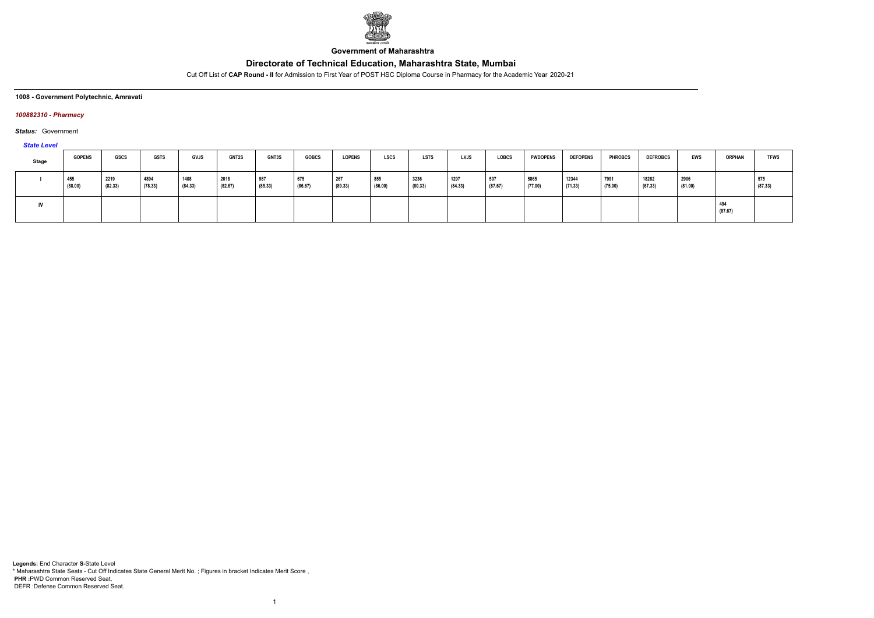

**Government of Maharashtra**

Cut Off List of **CAP Round - II** for Admission to First Year of POST HSC Diploma Course in Pharmacy for the Academic Year 2020-21

**1008 - Government Polytechnic, Amravati**

### *100882310 - Pharmacy*

*Status:* Government

*State Level*

| Stage | <b>GOPENS</b>  | <b>GSCS</b>     | <b>GSTS</b>     | GVJS            | <b>GNT2S</b>    | <b>GNT3S</b>   | <b>GOBCS</b>   | <b>LOPENS</b>  | LSCS           | LSTS            | <b>LVJS</b>     | <b>LOBCS</b>   | <b>PWDOPENS</b> | <b>DEFOPENS</b>  | <b>PHROBCS</b>  | <b>DEFROBCS</b>  | <b>EWS</b>      | <b>ORPHAN</b>  | <b>TFWS</b>    |
|-------|----------------|-----------------|-----------------|-----------------|-----------------|----------------|----------------|----------------|----------------|-----------------|-----------------|----------------|-----------------|------------------|-----------------|------------------|-----------------|----------------|----------------|
|       | 455<br>(88.00) | 2219<br>(82.33) | 4894<br>(78.33) | 1408<br>(84.33) | 2018<br>(82.67) | 987<br>(85.33) | 675<br>(86.67) | 267<br>(89.33) | 855<br>(86.00) | 3236<br>(80.33) | 1297<br>(84.33) | 507<br>(87.67) | 5865<br>(77.00) | 12344<br>(71.33) | 7991<br>(75.00) | 18282<br>(67.33) | 2906<br>(81.00) |                | 575<br>(87.33) |
| IV.   |                |                 |                 |                 |                 |                |                |                |                |                 |                 |                |                 |                  |                 |                  |                 | 494<br>(87.67) |                |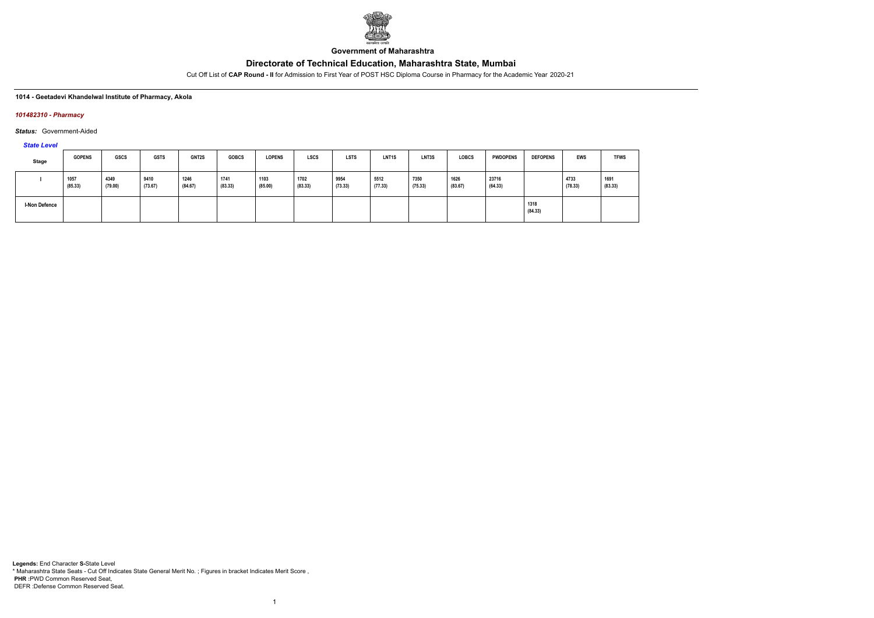

**Government of Maharashtra**

Cut Off List of **CAP Round - II** for Admission to First Year of POST HSC Diploma Course in Pharmacy for the Academic Year 2020-21

### **1014 - Geetadevi Khandelwal Institute of Pharmacy, Akola**

### *101482310 - Pharmacy*

*Status:* Government-Aided

### *State Level*

| <b>Stage</b>  | <b>GOPENS</b>   | GSCS            | <b>GSTS</b>     | <b>GNT2S</b>    | <b>GOBCS</b>    | <b>LOPENS</b>   | <b>LSCS</b>     | <b>LSTS</b>     | LNT <sub>1</sub> S | LNT3S           | <b>LOBCS</b>    | <b>PWDOPENS</b>  | <b>DEFOPENS</b> | <b>EWS</b>      | <b>TFWS</b>     |
|---------------|-----------------|-----------------|-----------------|-----------------|-----------------|-----------------|-----------------|-----------------|--------------------|-----------------|-----------------|------------------|-----------------|-----------------|-----------------|
|               | 1057<br>(85.33) | 4349<br>(79.00) | 9410<br>(73.67) | 1246<br>(84.67) | 1741<br>(83.33) | 1103<br>(85.00) | 1702<br>(83.33) | 9954<br>(73.33) | 5512<br>(77.33)    | 7350<br>(75.33) | 1626<br>(83.67) | 23716<br>(64.33) |                 | 4733<br>(78.33) | 1691<br>(83.33) |
| I-Non Defence |                 |                 |                 |                 |                 |                 |                 |                 |                    |                 |                 |                  | 1318<br>(84.33) |                 |                 |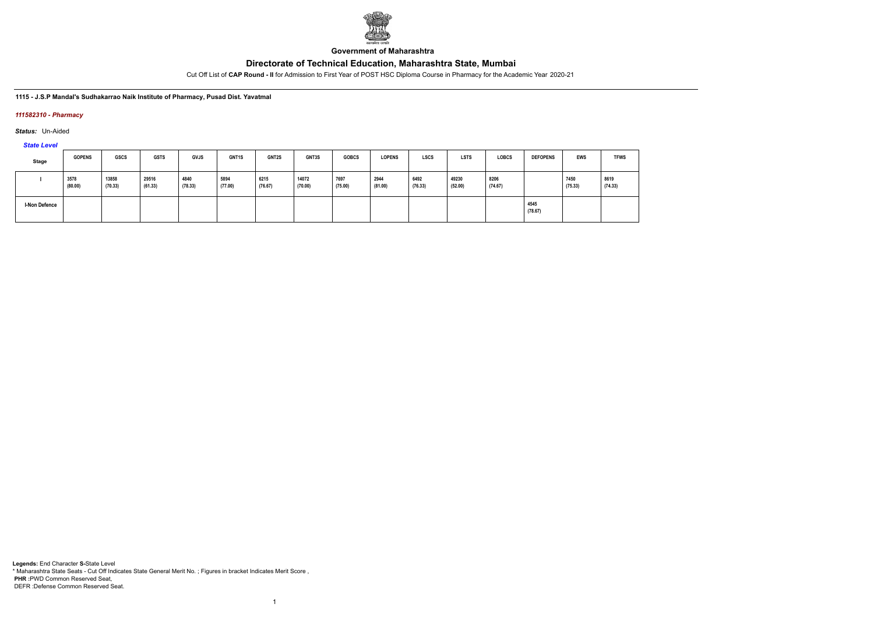

**Government of Maharashtra**

Cut Off List of **CAP Round - II** for Admission to First Year of POST HSC Diploma Course in Pharmacy for the Academic Year 2020-21

### **1115 - J.S.P Mandal's Sudhakarrao Naik Institute of Pharmacy, Pusad Dist. Yavatmal**

### *111582310 - Pharmacy*

*Status:* Un-Aided

# *State Level*

| Stage         | <b>GOPENS</b>   | <b>GSCS</b>      | <b>GSTS</b>      | <b>GVJS</b>     | GNT1S           | <b>GNT2S</b>    | <b>GNT3S</b>     | <b>GOBCS</b>    | <b>LOPENS</b>   | <b>LSCS</b>     | <b>LSTS</b>      | <b>LOBCS</b>    | <b>DEFOPENS</b> | EWS             | <b>TFWS</b>     |
|---------------|-----------------|------------------|------------------|-----------------|-----------------|-----------------|------------------|-----------------|-----------------|-----------------|------------------|-----------------|-----------------|-----------------|-----------------|
|               | 3578<br>(80.00) | 13858<br>(70.33) | 29516<br>(61.33) | 4840<br>(78.33) | 5894<br>(77.00) | 6215<br>(76.67) | 14072<br>(70.00) | 7697<br>(75.00) | 2944<br>(81.00) | 6492<br>(76.33) | 49230<br>(52.00) | 8206<br>(74.67) |                 | 7450<br>(75.33) | 8619<br>(74.33) |
| I-Non Defence |                 |                  |                  |                 |                 |                 |                  |                 |                 |                 |                  |                 | 4545<br>(78.67) |                 |                 |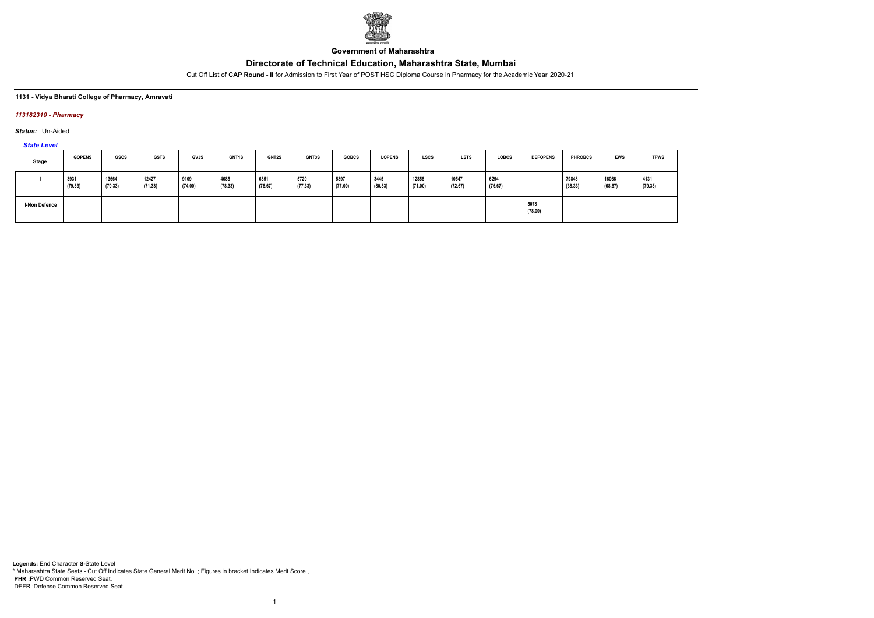

**Government of Maharashtra**

Cut Off List of **CAP Round - II** for Admission to First Year of POST HSC Diploma Course in Pharmacy for the Academic Year 2020-21

### **1131 - Vidya Bharati College of Pharmacy, Amravati**

### *113182310 - Pharmacy*

*Status:* Un-Aided

# *State Level*

| Stage                | <b>GOPENS</b>   | <b>GSCS</b>      | <b>GSTS</b>      | <b>GVJS</b>     | GNT1S           | <b>GNT2S</b>    | GNT3S           | <b>GOBCS</b>    | <b>LOPENS</b>   | <b>LSCS</b>      | <b>LSTS</b>      | <b>LOBCS</b>    | <b>DEFOPENS</b> | <b>PHROBCS</b>   | <b>EWS</b>       | <b>TFWS</b>     |
|----------------------|-----------------|------------------|------------------|-----------------|-----------------|-----------------|-----------------|-----------------|-----------------|------------------|------------------|-----------------|-----------------|------------------|------------------|-----------------|
|                      | 3931<br>(79.33) | 13664<br>(70.33) | 12427<br>(71.33) | 9109<br>(74.00) | 4685<br>(78.33) | 6351<br>(76.67) | 5720<br>(77.33) | 5897<br>(77.00) | 3445<br>(80.33) | 12856<br>(71.00) | 10547<br>(72.67) | 6294<br>(76.67) |                 | 79848<br>(38.33) | 16066<br>(68.67) | 4131<br>(79.33) |
| <b>I-Non Defence</b> |                 |                  |                  |                 |                 |                 |                 |                 |                 |                  |                  |                 | 5078<br>(78.00) |                  |                  |                 |

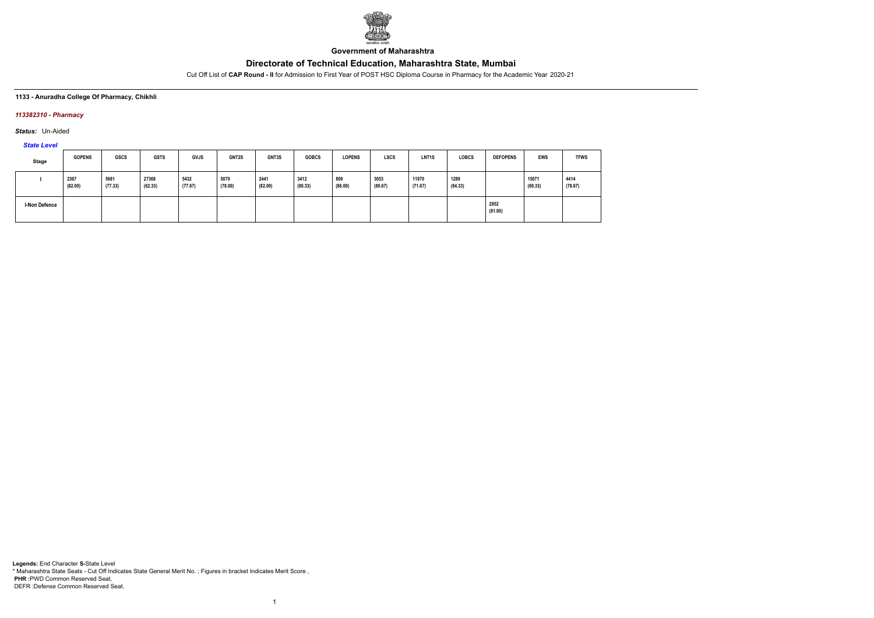

**Government of Maharashtra**

Cut Off List of **CAP Round - II** for Admission to First Year of POST HSC Diploma Course in Pharmacy for the Academic Year 2020-21

### **1133 - Anuradha College Of Pharmacy, Chikhli**

## *113382310 - Pharmacy*

*Status:* Un-Aided

# *State Level*

| Stage                | <b>GOPENS</b>   | <b>GSCS</b>     | <b>GSTS</b>      | <b>GVJS</b>     | <b>GNT2S</b>    | GNT3S           | <b>GOBCS</b>    | <b>LOPENS</b>  | <b>LSCS</b>     | LNT <sub>1</sub> S | <b>LOBCS</b>    | <b>DEFOPENS</b> | <b>EWS</b>       | <b>TFWS</b>     |
|----------------------|-----------------|-----------------|------------------|-----------------|-----------------|-----------------|-----------------|----------------|-----------------|--------------------|-----------------|-----------------|------------------|-----------------|
|                      | 2367<br>(82.00) | 5681<br>(77.33) | 27368<br>(62.33) | 5432<br>(77.67) | 5070<br>(78.00) | 2441<br>(82.00) | 3412<br>(80.33) | 809<br>(86.00) | 3053<br>(80.67) | 11970<br>(71.67)   | 1289<br>(84.33) |                 | 15071<br>(69.33) | 4414<br>(78.67) |
| <b>I-Non Defence</b> |                 |                 |                  |                 |                 |                 |                 |                |                 |                    |                 | 2852<br>(81.00) |                  |                 |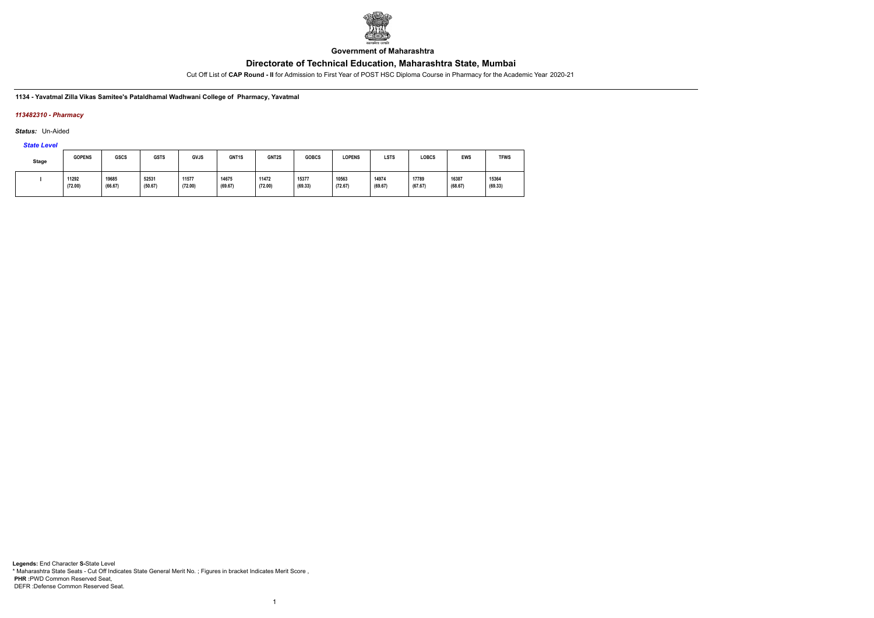

**Government of Maharashtra**

Cut Off List of **CAP Round - II** for Admission to First Year of POST HSC Diploma Course in Pharmacy for the Academic Year 2020-21

**1134 - Yavatmal Zilla Vikas Samitee's Pataldhamal Wadhwani College of Pharmacy, Yavatmal**

## *113482310 - Pharmacy*

*Status:* Un-Aided

*State Level*

| Stage | <b>GOPENS</b>    | <b>GSCS</b>      | <b>GSTS</b>      | GVJS             | GNT <sub>1</sub> S | GNT2S            | <b>GOBCS</b>     | <b>LOPENS</b>    | <b>LSTS</b>      | LOBCS            | <b>EWS</b>       | <b>TFWS</b>      |
|-------|------------------|------------------|------------------|------------------|--------------------|------------------|------------------|------------------|------------------|------------------|------------------|------------------|
|       | 11292<br>(72.00) | 19685<br>(66.67) | 52531<br>(50.67) | 11577<br>(72.00) | 14675<br>(69.67)   | 11472<br>(72.00) | 15377<br>(69.33) | 10563<br>(72.67) | 14974<br>(69.67) | 17789<br>(67.67) | 16387<br>(68.67) | 15364<br>(69.33) |

1

**Legends:** End Character **S-**State Level \* Maharashtra State Seats - Cut Off Indicates State General Merit No. ; Figures in bracket Indicates Merit Score , **PHR :**PWD Common Reserved Seat, DEFR :Defense Common Reserved Seat.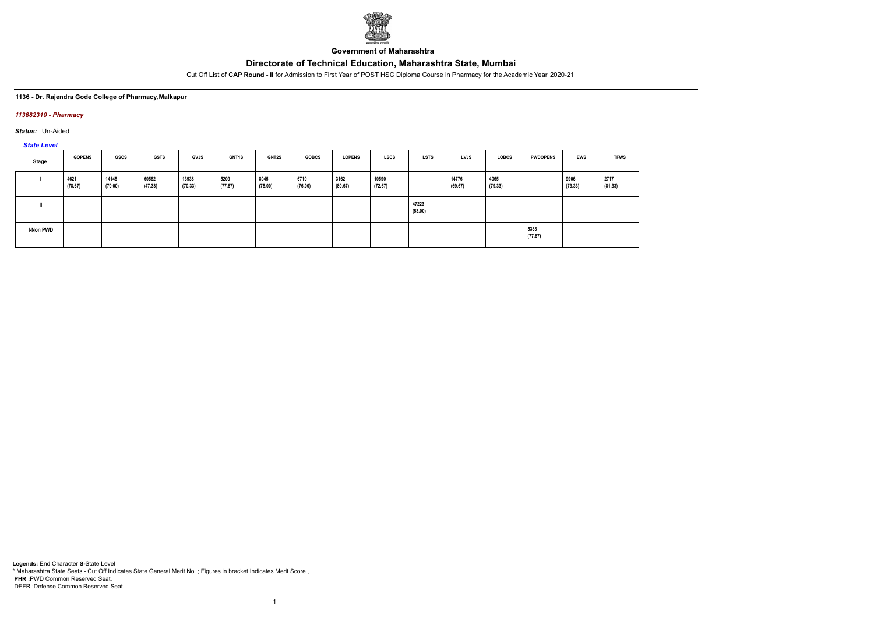

**Government of Maharashtra**

Cut Off List of **CAP Round - II** for Admission to First Year of POST HSC Diploma Course in Pharmacy for the Academic Year 2020-21

### **1136 - Dr. Rajendra Gode College of Pharmacy,Malkapur**

### *113682310 - Pharmacy*

*Status:* Un-Aided

*State Level*

| Stage            | <b>GOPENS</b>   | GSCS             | <b>GSTS</b>      | GVJS             | <b>GNT1S</b>    | <b>GNT2S</b>    | <b>GOBCS</b>    | <b>LOPENS</b>   | LSCS             | LSTS             | <b>LVJS</b>      | <b>LOBCS</b>    | <b>PWDOPENS</b> | EWS             | <b>TFWS</b>     |
|------------------|-----------------|------------------|------------------|------------------|-----------------|-----------------|-----------------|-----------------|------------------|------------------|------------------|-----------------|-----------------|-----------------|-----------------|
|                  | 4621<br>(78.67) | 14145<br>(70.00) | 60562<br>(47.33) | 13938<br>(70.33) | 5209<br>(77.67) | 8045<br>(75.00) | 6710<br>(76.00) | 3162<br>(80.67) | 10590<br>(72.67) |                  | 14776<br>(69.67) | 4065<br>(79.33) |                 | 9906<br>(73.33) | 2717<br>(81.33) |
|                  |                 |                  |                  |                  |                 |                 |                 |                 |                  | 47223<br>(53.00) |                  |                 |                 |                 |                 |
| <b>I-Non PWD</b> |                 |                  |                  |                  |                 |                 |                 |                 |                  |                  |                  |                 | 5333<br>(77.67) |                 |                 |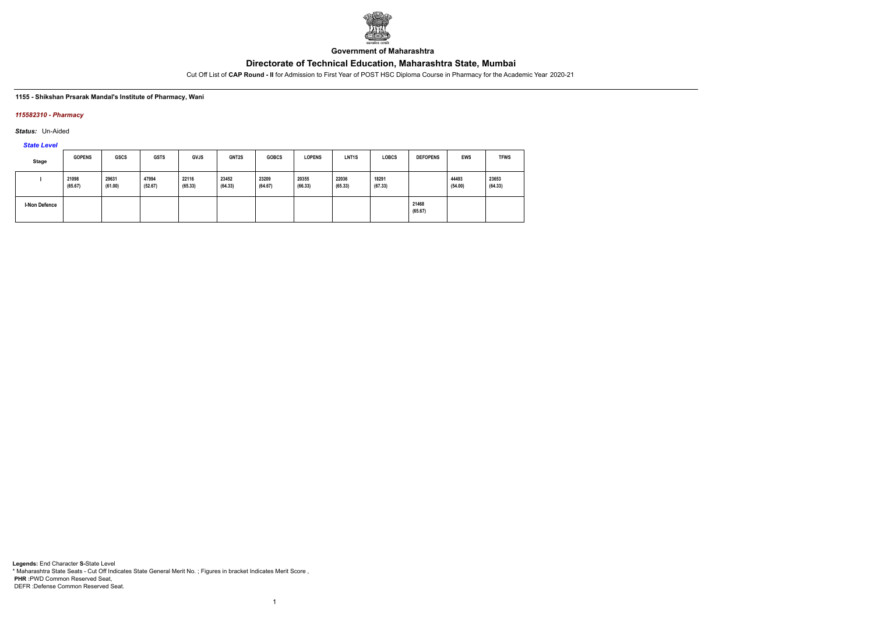

**Government of Maharashtra**

Cut Off List of **CAP Round - II** for Admission to First Year of POST HSC Diploma Course in Pharmacy for the Academic Year 2020-21

### **1155 - Shikshan Prsarak Mandal's Institute of Pharmacy, Wani**

### *115582310 - Pharmacy*

*Status:* Un-Aided

*State Level*

| <b>Stage</b>  | <b>GOPENS</b>    | <b>GSCS</b>      | <b>GSTS</b>      | <b>GVJS</b>      | GNT2S            | <b>GOBCS</b>     | <b>LOPENS</b>    | LNT <sub>1</sub> S | <b>LOBCS</b>     | <b>DEFOPENS</b>  | <b>EWS</b>       | <b>TFWS</b>      |
|---------------|------------------|------------------|------------------|------------------|------------------|------------------|------------------|--------------------|------------------|------------------|------------------|------------------|
|               | 21098<br>(65.67) | 29631<br>(61.00) | 47994<br>(52.67) | 22116<br>(65.33) | 23452<br>(64.33) | 23209<br>(64.67) | 20355<br>(66.33) | 22036<br>(65.33)   | 18291<br>(67.33) |                  | 44493<br>(54.00) | 23653<br>(64.33) |
| I-Non Defence |                  |                  |                  |                  |                  |                  |                  |                    |                  | 21468<br>(65.67) |                  |                  |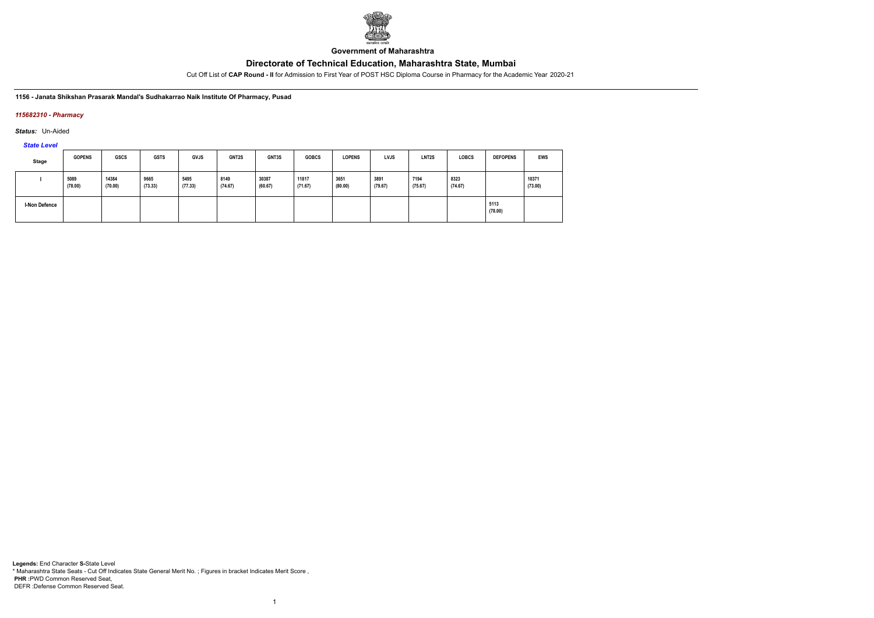

**Government of Maharashtra**

Cut Off List of **CAP Round - II** for Admission to First Year of POST HSC Diploma Course in Pharmacy for the Academic Year 2020-21

**1156 - Janata Shikshan Prasarak Mandal's Sudhakarrao Naik Institute Of Pharmacy, Pusad**

## *115682310 - Pharmacy*

*Status:* Un-Aided

*State Level*

| Stage                | <b>GOPENS</b>   | <b>GSCS</b>      | <b>GSTS</b>     | GVJS            | GNT2S           | GNT3S            | <b>GOBCS</b>     | <b>LOPENS</b>   | LVJS            | LNT <sub>2</sub> S | <b>LOBCS</b>    | <b>DEFOPENS</b> | <b>EWS</b>       |
|----------------------|-----------------|------------------|-----------------|-----------------|-----------------|------------------|------------------|-----------------|-----------------|--------------------|-----------------|-----------------|------------------|
|                      | 5089<br>(78.00) | 14384<br>(70.00) | 9665<br>(73.33) | 5495<br>(77.33) | 8149<br>(74.67) | 30387<br>(60.67) | 11817<br>(71.67) | 3651<br>(80.00) | 3891<br>(79.67) | 7194<br>(75.67)    | 8323<br>(74.67) |                 | 10371<br>(73.00) |
| <b>I-Non Defence</b> |                 |                  |                 |                 |                 |                  |                  |                 |                 |                    |                 | 5113<br>(78.00) |                  |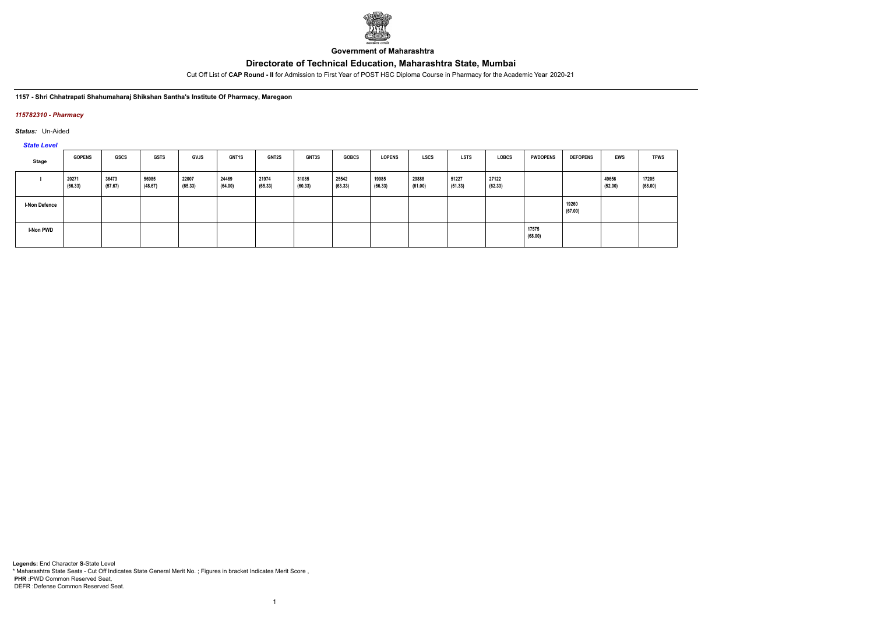

**Government of Maharashtra**

Cut Off List of **CAP Round - II** for Admission to First Year of POST HSC Diploma Course in Pharmacy for the Academic Year 2020-21

**1157 - Shri Chhatrapati Shahumaharaj Shikshan Santha's Institute Of Pharmacy, Maregaon**

### *115782310 - Pharmacy*

*Status:* Un-Aided

*State Level*

| Stage                | <b>GOPENS</b>    | GSCS             | <b>GSTS</b>      | <b>GVJS</b>      | <b>GNT1S</b>     | <b>GNT2S</b>     | GNT3S            | <b>GOBCS</b>     | <b>LOPENS</b>    | LSCS             | <b>LSTS</b>      | LOBCS            | <b>PWDOPENS</b>  | <b>DEFOPENS</b>  | <b>EWS</b>       | <b>TFWS</b>      |
|----------------------|------------------|------------------|------------------|------------------|------------------|------------------|------------------|------------------|------------------|------------------|------------------|------------------|------------------|------------------|------------------|------------------|
|                      | 20271<br>(66.33) | 36473<br>(57.67) | 56985<br>(48.67) | 22007<br>(65.33) | 24469<br>(64.00) | 21974<br>(65.33) | 31085<br>(60.33) | 25542<br>(63.33) | 19985<br>(66.33) | 29888<br>(61.00) | 51227<br>(51.33) | 27122<br>(62.33) |                  |                  | 49656<br>(52.00) | 17205<br>(68.00) |
| <b>I-Non Defence</b> |                  |                  |                  |                  |                  |                  |                  |                  |                  |                  |                  |                  |                  | 19260<br>(67.00) |                  |                  |
| <b>I-Non PWD</b>     |                  |                  |                  |                  |                  |                  |                  |                  |                  |                  |                  |                  | 17575<br>(68.00) |                  |                  |                  |

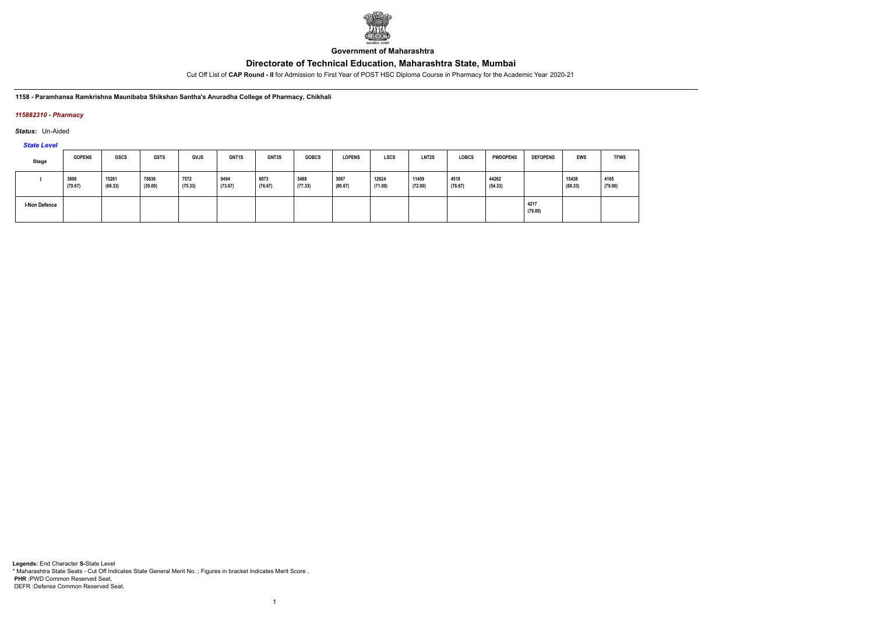

**Government of Maharashtra**

Cut Off List of **CAP Round - II** for Admission to First Year of POST HSC Diploma Course in Pharmacy for the Academic Year 2020-21

**1158 - Paramhansa Ramkrishna Maunibaba Shikshan Santha's Anuradha College of Pharmacy, Chikhali**

## *115882310 - Pharmacy*

*Status:* Un-Aided

*State Level*

| Stage         | <b>GOPENS</b>   | GSCS             | <b>GSTS</b>      | <b>GVJS</b>     | GNT1S           | GNT3S           | <b>GOBCS</b>    | <b>LOPENS</b>   | <b>LSCS</b>      | <b>LNT2S</b>     | <b>LOBCS</b>    | <b>PWDOPENS</b>  | <b>DEFOPENS</b> | <b>EWS</b>       | <b>TFWS</b>     |
|---------------|-----------------|------------------|------------------|-----------------|-----------------|-----------------|-----------------|-----------------|------------------|------------------|-----------------|------------------|-----------------|------------------|-----------------|
|               | 3808<br>(79.67) | 15261<br>(69.33) | 78836<br>(39.00) | 7572<br>(75.33) | 9494<br>(73.67) | 6073<br>(76.67) | 5488<br>(77.33) | 3067<br>(80.67) | 12624<br>(71.00) | 11459<br>(72.00) | 4518<br>(78.67) | 44262<br>(54.33) |                 | 15438<br>(69.33) | 4165<br>(79.00) |
| I-Non Defence |                 |                  |                  |                 |                 |                 |                 |                 |                  |                  |                 |                  | 4217<br>(79.00) |                  |                 |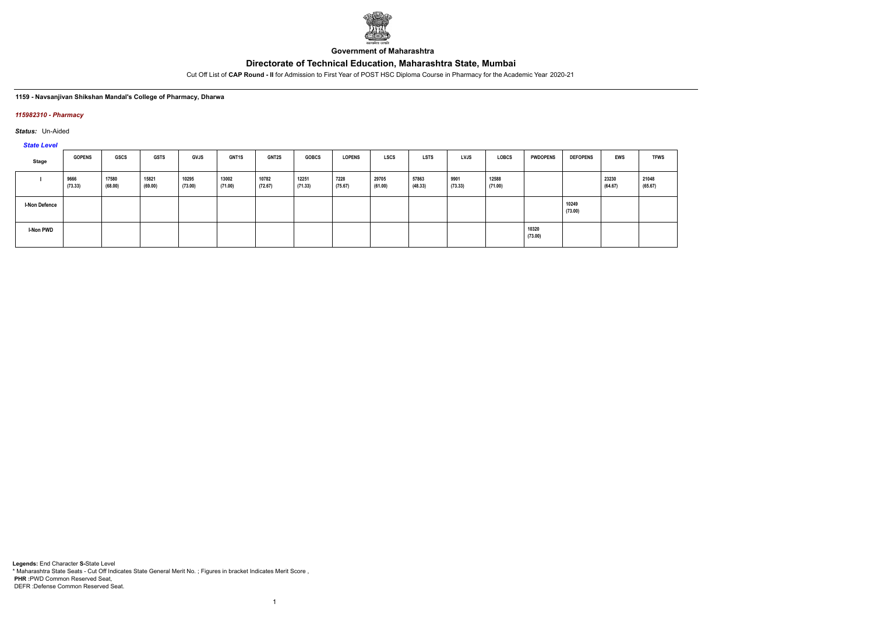

**Government of Maharashtra**

Cut Off List of **CAP Round - II** for Admission to First Year of POST HSC Diploma Course in Pharmacy for the Academic Year 2020-21

### **1159 - Navsanjivan Shikshan Mandal's College of Pharmacy, Dharwa**

### *115982310 - Pharmacy*

*Status:* Un-Aided

*State Level*

| Stage                | <b>GOPENS</b>   | GSCS             | <b>GSTS</b>      | <b>GVJS</b>      | GNT1S            | <b>GNT2S</b>     | <b>GOBCS</b>     | <b>LOPENS</b>   | <b>LSCS</b>      | <b>LSTS</b>      | <b>LVJS</b>     | <b>LOBCS</b>     | <b>PWDOPENS</b>  | <b>DEFOPENS</b>  | <b>EWS</b>       | <b>TFWS</b>      |
|----------------------|-----------------|------------------|------------------|------------------|------------------|------------------|------------------|-----------------|------------------|------------------|-----------------|------------------|------------------|------------------|------------------|------------------|
|                      | 9666<br>(73.33) | 17580<br>(68.00) | 15821<br>(69.00) | 10295<br>(73.00) | 13002<br>(71.00) | 10782<br>(72.67) | 12251<br>(71.33) | 7228<br>(75.67) | 29705<br>(61.00) | 57863<br>(48.33) | 9901<br>(73.33) | 12588<br>(71.00) |                  |                  | 23230<br>(64.67) | 21048<br>(65.67) |
| <b>I-Non Defence</b> |                 |                  |                  |                  |                  |                  |                  |                 |                  |                  |                 |                  |                  | 10249<br>(73.00) |                  |                  |
| <b>I-Non PWD</b>     |                 |                  |                  |                  |                  |                  |                  |                 |                  |                  |                 |                  | 10320<br>(73.00) |                  |                  |                  |

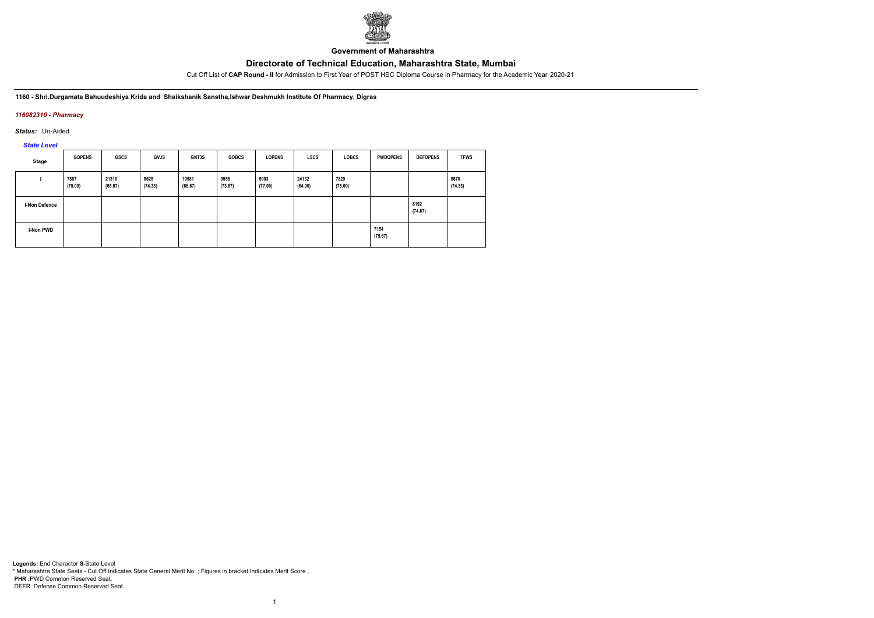

**Government of Maharashtra**

Cut Off List of **CAP Round - II** for Admission to First Year of POST HSC Diploma Course in Pharmacy for the Academic Year 2020-21

**1160 - Shri.Durgamata Bahuudeshiya Krida and Shaikshanik Sanstha,Ishwar Deshmukh Institute Of Pharmacy, Digras**

## *116082310 - Pharmacy*

*Status:* Un-Aided

*State Level*

| <b>Stage</b>  | <b>GOPENS</b>   | <b>GSCS</b>      | <b>GVJS</b>     | <b>GNT3S</b>     | <b>GOBCS</b>    | <b>LOPENS</b>   | <b>LSCS</b>      | <b>LOBCS</b>    | <b>PWDOPENS</b> | <b>DEFOPENS</b> | <b>TFWS</b>     |
|---------------|-----------------|------------------|-----------------|------------------|-----------------|-----------------|------------------|-----------------|-----------------|-----------------|-----------------|
|               | 7887<br>(75.00) | 21310<br>(65.67) | 8625<br>(74.33) | 19581<br>(66.67) | 9556<br>(73.67) | 5903<br>(77.00) | 24132<br>(64.00) | 7829<br>(75.00) |                 |                 | 8670<br>(74.33) |
| I-Non Defence |                 |                  |                 |                  |                 |                 |                  |                 |                 | 8192<br>(74.67) |                 |
| I-Non PWD     |                 |                  |                 |                  |                 |                 |                  |                 | 7154<br>(75.67) |                 |                 |

1

**Legends:** End Character **S-**State Level \* Maharashtra State Seats - Cut Off Indicates State General Merit No. ; Figures in bracket Indicates Merit Score , **PHR :**PWD Common Reserved Seat, DEFR :Defense Common Reserved Seat.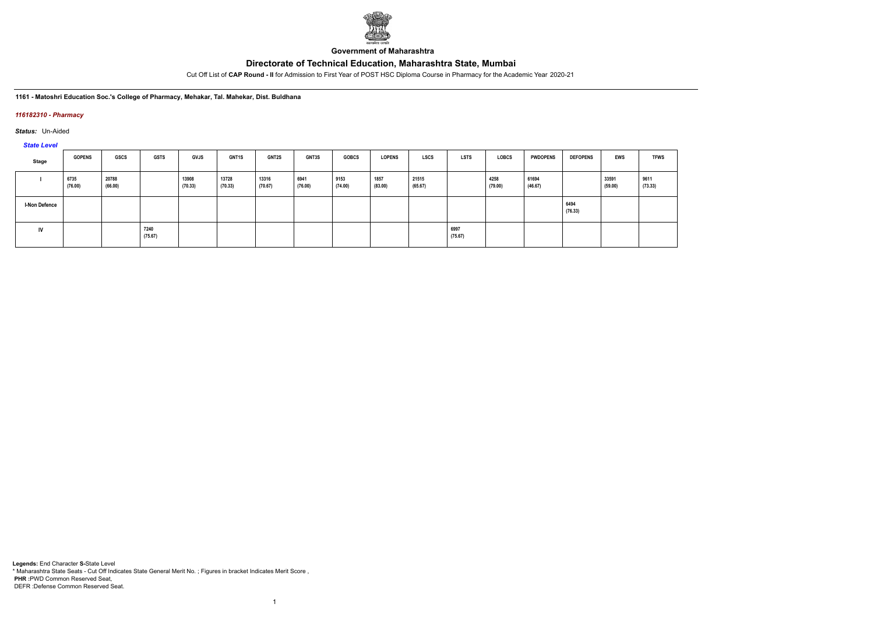

**Government of Maharashtra**

Cut Off List of **CAP Round - II** for Admission to First Year of POST HSC Diploma Course in Pharmacy for the Academic Year 2020-21

### **1161 - Matoshri Education Soc.'s College of Pharmacy, Mehakar, Tal. Mahekar, Dist. Buldhana**

### *116182310 - Pharmacy*

*Status:* Un-Aided

# *State Level*

| Stage                | <b>GOPENS</b>   | GSCS             | <b>GSTS</b>     | <b>GVJS</b>      | <b>GNT1S</b>     | <b>GNT2S</b>     | GNT3S           | <b>GOBCS</b>    | <b>LOPENS</b>   | LSCS             | <b>LSTS</b>     | LOBCS           | <b>PWDOPENS</b>  | <b>DEFOPENS</b> | <b>EWS</b>       | <b>TFWS</b>     |
|----------------------|-----------------|------------------|-----------------|------------------|------------------|------------------|-----------------|-----------------|-----------------|------------------|-----------------|-----------------|------------------|-----------------|------------------|-----------------|
|                      | 6735<br>(76.00) | 20788<br>(66.00) |                 | 13908<br>(70.33) | 13728<br>(70.33) | 13316<br>(70.67) | 6941<br>(76.00) | 9153<br>(74.00) | 1857<br>(83.00) | 21515<br>(65.67) |                 | 4258<br>(79.00) | 61694<br>(46.67) |                 | 33591<br>(59.00) | 9611<br>(73.33) |
| <b>I-Non Defence</b> |                 |                  |                 |                  |                  |                  |                 |                 |                 |                  |                 |                 |                  | 6494<br>(76.33) |                  |                 |
| IV                   |                 |                  | 7240<br>(75.67) |                  |                  |                  |                 |                 |                 |                  | 6997<br>(75.67) |                 |                  |                 |                  |                 |

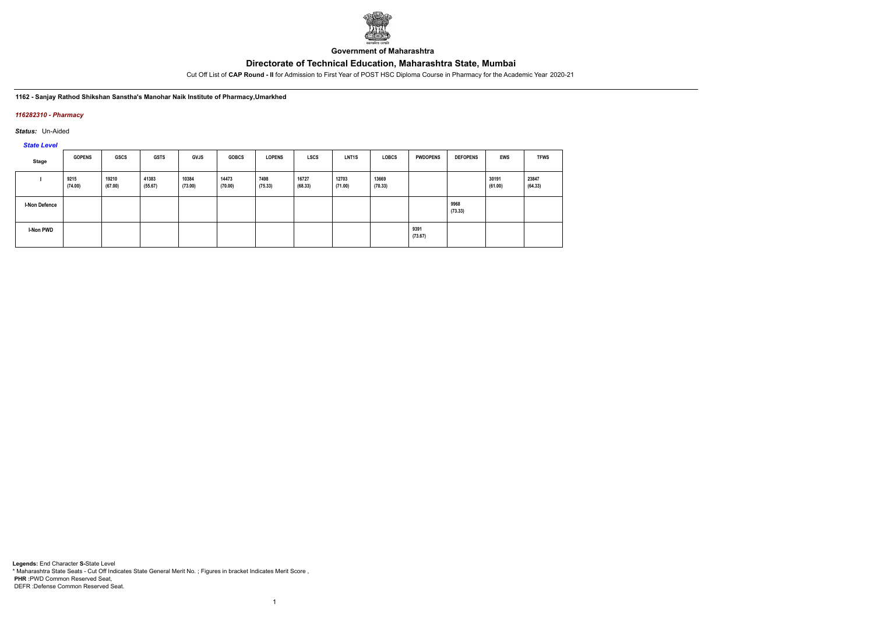

**Government of Maharashtra**

Cut Off List of **CAP Round - II** for Admission to First Year of POST HSC Diploma Course in Pharmacy for the Academic Year 2020-21

**1162 - Sanjay Rathod Shikshan Sanstha's Manohar Naik Institute of Pharmacy,Umarkhed**

### *116282310 - Pharmacy*

*Status:* Un-Aided

*State Level*

| Stage                | <b>GOPENS</b>   | <b>GSCS</b>      | <b>GSTS</b>      | GVJS             | <b>GOBCS</b>     | <b>LOPENS</b>   | <b>LSCS</b>      | <b>LNT1S</b>     | <b>LOBCS</b>     | <b>PWDOPENS</b> | <b>DEFOPENS</b> | <b>EWS</b>       | <b>TFWS</b>      |
|----------------------|-----------------|------------------|------------------|------------------|------------------|-----------------|------------------|------------------|------------------|-----------------|-----------------|------------------|------------------|
|                      | 9215<br>(74.00) | 19210<br>(67.00) | 41383<br>(55.67) | 10384<br>(73.00) | 14473<br>(70.00) | 7498<br>(75.33) | 16727<br>(68.33) | 12703<br>(71.00) | 13669<br>(70.33) |                 |                 | 30191<br>(61.00) | 23847<br>(64.33) |
| <b>I-Non Defence</b> |                 |                  |                  |                  |                  |                 |                  |                  |                  |                 | 9968<br>(73.33) |                  |                  |
| I-Non PWD            |                 |                  |                  |                  |                  |                 |                  |                  |                  | 9391<br>(73.67) |                 |                  |                  |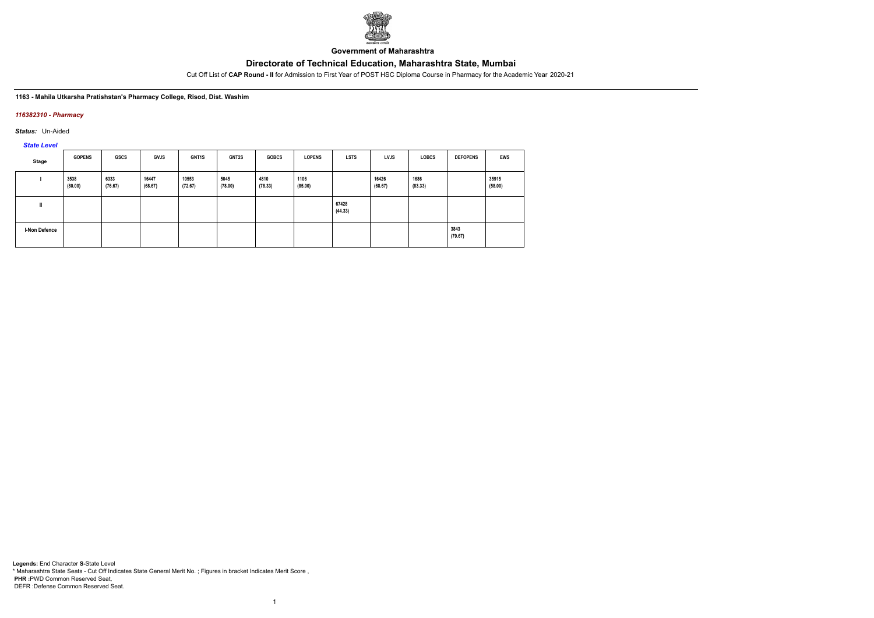

**Government of Maharashtra**

Cut Off List of **CAP Round - II** for Admission to First Year of POST HSC Diploma Course in Pharmacy for the Academic Year 2020-21

### **1163 - Mahila Utkarsha Pratishstan's Pharmacy College, Risod, Dist. Washim**

### *116382310 - Pharmacy*

*Status:* Un-Aided

*State Level*

| Stage         | <b>GOPENS</b>   | <b>GSCS</b>     | <b>GVJS</b>      | GNT1S            | <b>GNT2S</b>    | <b>GOBCS</b>    | <b>LOPENS</b>   | <b>LSTS</b>      | <b>LVJS</b>      | <b>LOBCS</b>    | <b>DEFOPENS</b> | EWS              |
|---------------|-----------------|-----------------|------------------|------------------|-----------------|-----------------|-----------------|------------------|------------------|-----------------|-----------------|------------------|
|               | 3538<br>(80.00) | 6333<br>(76.67) | 16447<br>(68.67) | 10553<br>(72.67) | 5045<br>(78.00) | 4810<br>(78.33) | 1106<br>(85.00) |                  | 16426<br>(68.67) | 1686<br>(83.33) |                 | 35915<br>(58.00) |
| Ш             |                 |                 |                  |                  |                 |                 |                 | 67428<br>(44.33) |                  |                 |                 |                  |
| I-Non Defence |                 |                 |                  |                  |                 |                 |                 |                  |                  |                 | 3843<br>(79.67) |                  |

1

**Legends:** End Character **S-**State Level \* Maharashtra State Seats - Cut Off Indicates State General Merit No. ; Figures in bracket Indicates Merit Score , **PHR :**PWD Common Reserved Seat, DEFR :Defense Common Reserved Seat.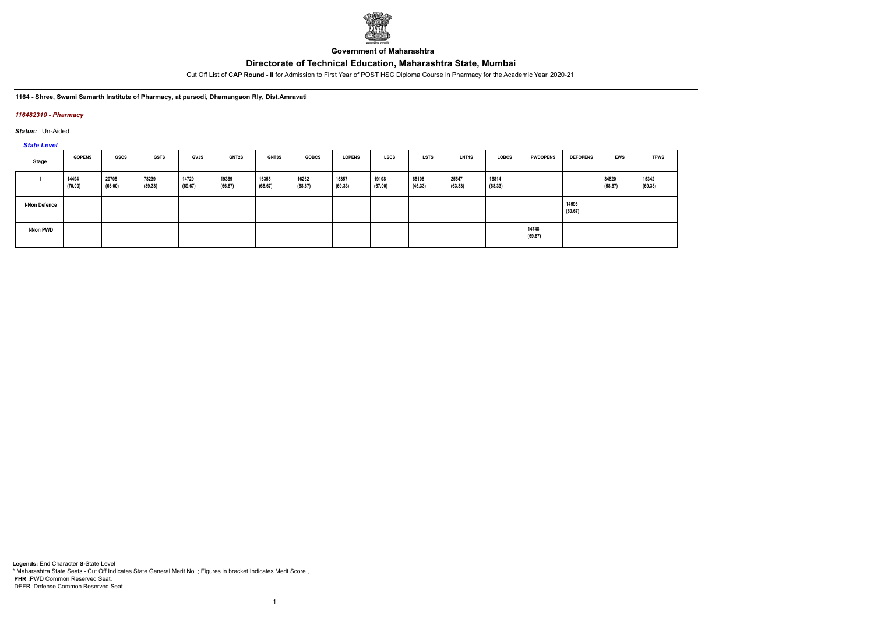

**Government of Maharashtra**

Cut Off List of **CAP Round - II** for Admission to First Year of POST HSC Diploma Course in Pharmacy for the Academic Year 2020-21

**1164 - Shree, Swami Samarth Institute of Pharmacy, at parsodi, Dhamangaon Rly, Dist.Amravati**

### *116482310 - Pharmacy*

*Status:* Un-Aided

*State Level*

| Stage                | <b>GOPENS</b>    | GSCS             | <b>GSTS</b>      | <b>GVJS</b>      | <b>GNT2S</b>     | GNT3S            | <b>GOBCS</b>     | <b>LOPENS</b>    | LSCS             | LSTS             | <b>LNT1S</b>     | LOBCS            | <b>PWDOPENS</b>  | <b>DEFOPENS</b>  | EWS              | <b>TFWS</b>      |
|----------------------|------------------|------------------|------------------|------------------|------------------|------------------|------------------|------------------|------------------|------------------|------------------|------------------|------------------|------------------|------------------|------------------|
|                      | 14494<br>(70.00) | 20705<br>(66.00) | 78239<br>(39.33) | 14729<br>(69.67) | 19369<br>(66.67) | 16355<br>(68.67) | 16262<br>(68.67) | 15357<br>(69.33) | 19108<br>(67.00) | 65108<br>(45.33) | 25547<br>(63.33) | 16814<br>(68.33) |                  |                  | 34820<br>(58.67) | 15342<br>(69.33) |
| <b>I-Non Defence</b> |                  |                  |                  |                  |                  |                  |                  |                  |                  |                  |                  |                  |                  | 14593<br>(69.67) |                  |                  |
| <b>I-Non PWD</b>     |                  |                  |                  |                  |                  |                  |                  |                  |                  |                  |                  |                  | 14748<br>(69.67) |                  |                  |                  |

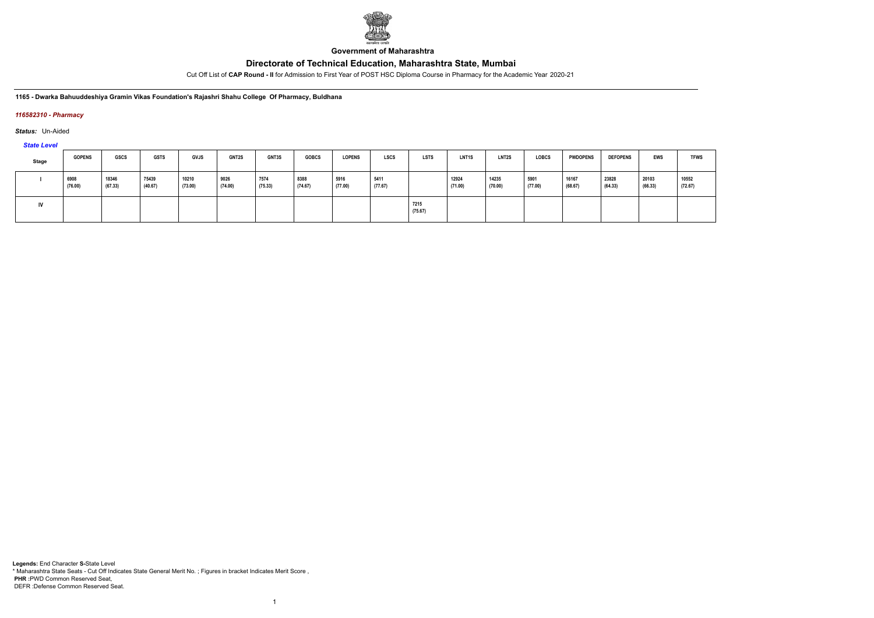

**Government of Maharashtra**

Cut Off List of **CAP Round - II** for Admission to First Year of POST HSC Diploma Course in Pharmacy for the Academic Year 2020-21

**1165 - Dwarka Bahuuddeshiya Gramin Vikas Foundation's Rajashri Shahu College Of Pharmacy, Buldhana**

### *116582310 - Pharmacy*

*Status:* Un-Aided

*State Level*

| <b>Stage</b> | <b>GOPENS</b>   | <b>GSCS</b>      | <b>GSTS</b>      | <b>GVJS</b>      | <b>GNT2S</b>    | <b>GNT3S</b>    | <b>GOBCS</b>    | <b>LOPENS</b>   | <b>LSCS</b>     | <b>LSTS</b>     | LNT1S            | <b>LNT2S</b>     | <b>LOBCS</b>    | <b>PWDOPENS</b>  | <b>DEFOPENS</b>  | <b>EWS</b>       | <b>TFWS</b>      |
|--------------|-----------------|------------------|------------------|------------------|-----------------|-----------------|-----------------|-----------------|-----------------|-----------------|------------------|------------------|-----------------|------------------|------------------|------------------|------------------|
|              | 6908<br>(76.00) | 18346<br>(67.33) | 75439<br>(40.67) | 10210<br>(73.00) | 9026<br>(74.00) | 7574<br>(75.33) | 8388<br>(74.67) | 5916<br>(77.00) | 5411<br>(77.67) |                 | 12924<br>(71.00) | 14235<br>(70.00) | 5901<br>(77.00) | 16167<br>(68.67) | 23828<br>(64.33) | 20103<br>(66.33) | 10552<br>(72.67) |
| IV           |                 |                  |                  |                  |                 |                 |                 |                 |                 | 7215<br>(75.67) |                  |                  |                 |                  |                  |                  |                  |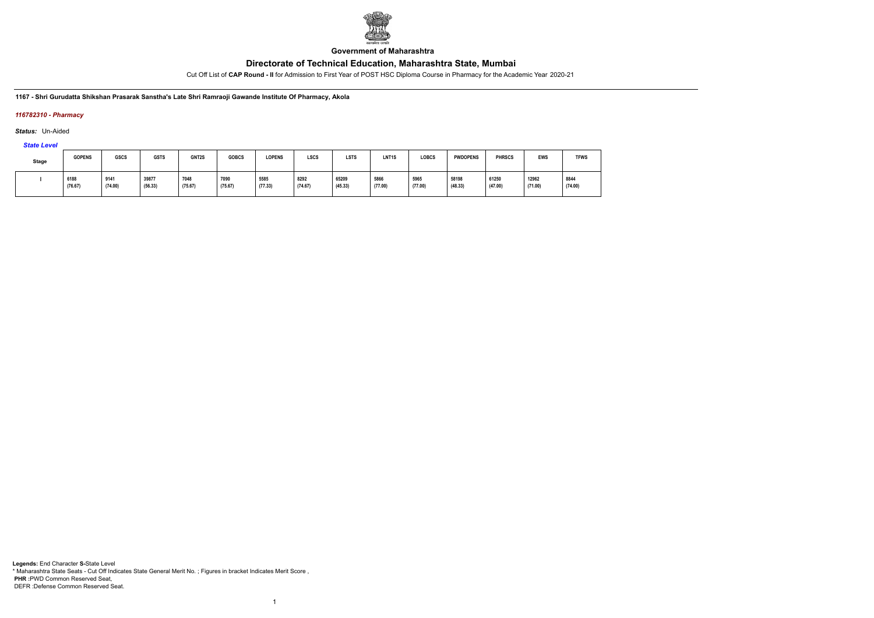

**Government of Maharashtra**

Cut Off List of **CAP Round - II** for Admission to First Year of POST HSC Diploma Course in Pharmacy for the Academic Year 2020-21

**1167 - Shri Gurudatta Shikshan Prasarak Sanstha's Late Shri Ramraoji Gawande Institute Of Pharmacy, Akola**

## *116782310 - Pharmacy*

*Status:* Un-Aided

*State Level*

| <b>Stage</b> | <b>GOPENS</b>   | GSCS            | <b>GSTS</b>      | GNT2S           | <b>GOBCS</b>    | <b>LOPENS</b>   | <b>LSCS</b>     | <b>LSTS</b>      | LNT1S           | <b>LOBCS</b>    | <b>PWDOPENS</b>  | <b>PHRSCS</b>                            | <b>EWS</b>       | <b>TFWS</b>     |
|--------------|-----------------|-----------------|------------------|-----------------|-----------------|-----------------|-----------------|------------------|-----------------|-----------------|------------------|------------------------------------------|------------------|-----------------|
|              | 6188<br>(76.67) | 9141<br>(74.00) | 39877<br>(56.33) | 7048<br>(75.67) | 7090<br>(75.67) | 5585<br>(77.33) | 8292<br>(74.67) | 65209<br>(45.33) | 5866<br>(77.00) | 5965<br>(77.00) | 58198<br>(48.33) | 61250<br>$\sim$ $\sim$ $\sim$<br>(47.00) | 12962<br>(71.00) | 8844<br>(74.00) |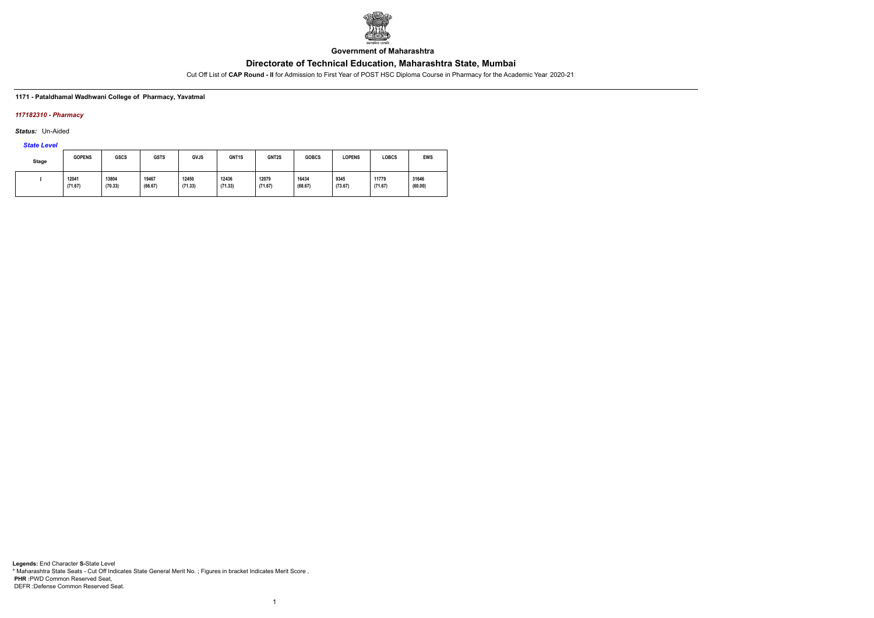

**Government of Maharashtra**

Cut Off List of **CAP Round - II** for Admission to First Year of POST HSC Diploma Course in Pharmacy for the Academic Year 2020-21

### **1171 - Pataldhamal Wadhwani College of Pharmacy, Yavatmal**

## *117182310 - Pharmacy*

*Status:* Un-Aided

*State Level*

| <b>Stage</b> | <b>GOPENS</b> | <b>GSCS</b> | <b>GSTS</b> | <b>GVJS</b> | GNT <sub>1</sub> S | GNT2S   | <b>GOBCS</b> | <b>LOPENS</b> | <b>LOBCS</b> | <b>EWS</b> |
|--------------|---------------|-------------|-------------|-------------|--------------------|---------|--------------|---------------|--------------|------------|
|              | 12041         | 13804       | 19467       | 12450       | 12436              | 12079   | 16434        | 9345          | 11779        | 31646      |
|              | (71.67)       | (70.33)     | (66.67)     | (71.33)     | (71.33)            | (71.67) | (68.67)      | (73.67)       | (71.67)      | (60.00)    |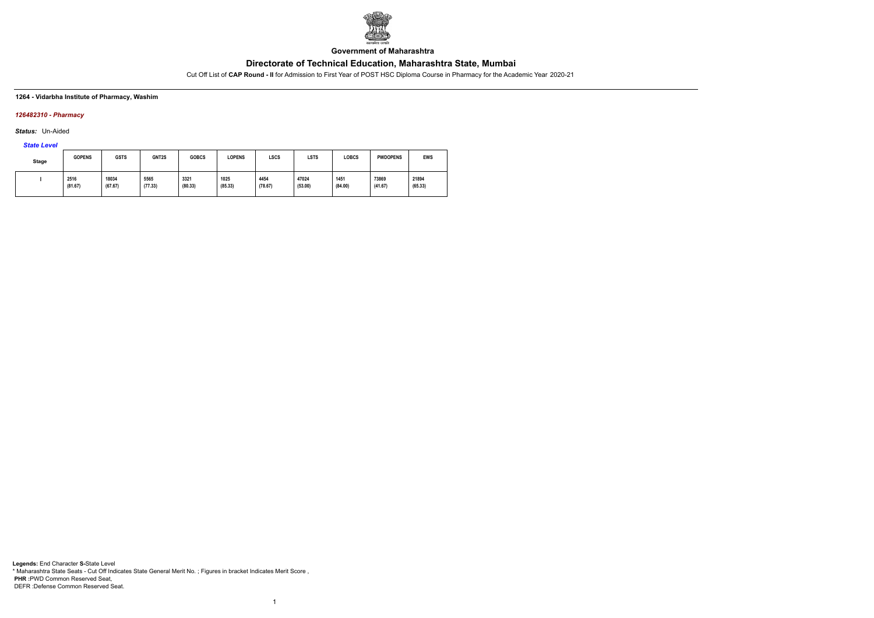

**Government of Maharashtra**

Cut Off List of **CAP Round - II** for Admission to First Year of POST HSC Diploma Course in Pharmacy for the Academic Year 2020-21

### **1264 - Vidarbha Institute of Pharmacy, Washim**

### *126482310 - Pharmacy*

*Status:* Un-Aided

# *State Level*

| <b>Stage</b> | <b>GOPENS</b>   | <b>GSTS</b>      | GNT2S           | <b>GOBCS</b>    | <b>LOPENS</b>   | <b>LSCS</b>     | <b>LSTS</b>      | LOBCS           | <b>PWDOPENS</b>  | <b>EWS</b>       |
|--------------|-----------------|------------------|-----------------|-----------------|-----------------|-----------------|------------------|-----------------|------------------|------------------|
|              | 2516<br>(81.67) | 18034<br>(67.67) | 5565<br>(77.33) | 3321<br>(80.33) | 1025<br>(85.33) | 4454<br>(78.67) | 47024<br>(53.00) | 1451<br>(84.00) | 73869<br>(41.67) | 21894<br>(65.33) |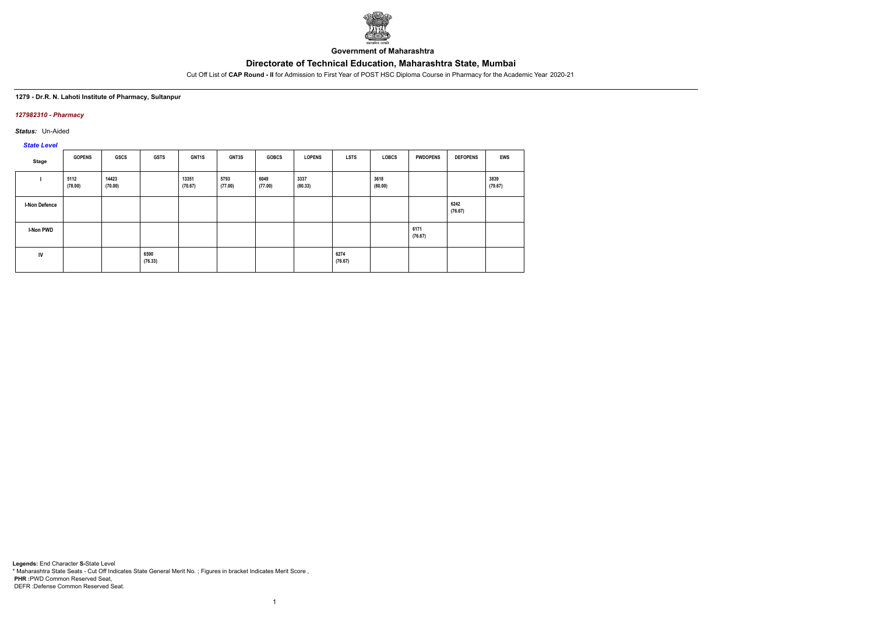

**Government of Maharashtra**

Cut Off List of **CAP Round - II** for Admission to First Year of POST HSC Diploma Course in Pharmacy for the Academic Year 2020-21

### **1279 - Dr.R. N. Lahoti Institute of Pharmacy, Sultanpur**

## *127982310 - Pharmacy*

*Status:* Un-Aided

# *State Level*

| Stage                | <b>GOPENS</b>   | GSCS             | <b>GSTS</b>     | GNT1S            | <b>GNT3S</b>    | <b>GOBCS</b>    | <b>LOPENS</b>   | <b>LSTS</b>     | <b>LOBCS</b>    | <b>PWDOPENS</b> | <b>DEFOPENS</b> | <b>EWS</b>      |
|----------------------|-----------------|------------------|-----------------|------------------|-----------------|-----------------|-----------------|-----------------|-----------------|-----------------|-----------------|-----------------|
|                      | 5112<br>(78.00) | 14423<br>(70.00) |                 | 13351<br>(70.67) | 5793<br>(77.00) | 6049<br>(77.00) | 3337<br>(80.33) |                 | 3618<br>(80.00) |                 |                 | 3839<br>(79.67) |
| <b>I-Non Defence</b> |                 |                  |                 |                  |                 |                 |                 |                 |                 |                 | 6242<br>(76.67) |                 |
| I-Non PWD            |                 |                  |                 |                  |                 |                 |                 |                 |                 | 6171<br>(76.67) |                 |                 |
| IV                   |                 |                  | 6590<br>(76.33) |                  |                 |                 |                 | 6274<br>(76.67) |                 |                 |                 |                 |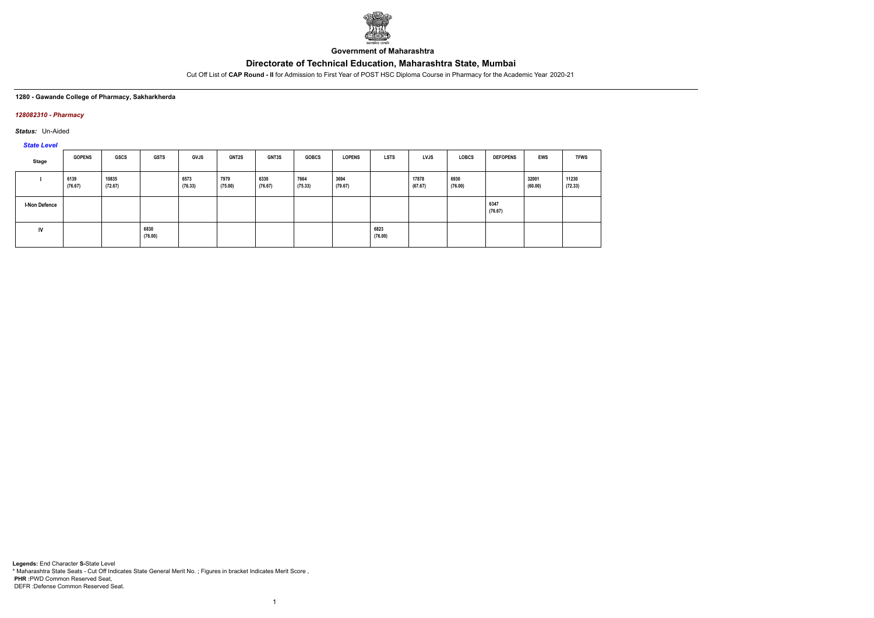

**Government of Maharashtra**

Cut Off List of **CAP Round - II** for Admission to First Year of POST HSC Diploma Course in Pharmacy for the Academic Year 2020-21

### **1280 - Gawande College of Pharmacy, Sakharkherda**

### *128082310 - Pharmacy*

*Status:* Un-Aided

*State Level*

| Stage                | <b>GOPENS</b>   | GSCS             | GSTS            | <b>GVJS</b>     | <b>GNT2S</b>    | <b>GNT3S</b>    | <b>GOBCS</b>    | <b>LOPENS</b>   | <b>LSTS</b>     | <b>LVJS</b>      | LOBCS           | <b>DEFOPENS</b> | <b>EWS</b>       | <b>TFWS</b>      |
|----------------------|-----------------|------------------|-----------------|-----------------|-----------------|-----------------|-----------------|-----------------|-----------------|------------------|-----------------|-----------------|------------------|------------------|
|                      | 6139<br>(76.67) | 10835<br>(72.67) |                 | 6573<br>(76.33) | 7979<br>(75.00) | 6330<br>(76.67) | 7664<br>(75.33) | 3694<br>(79.67) |                 | 17878<br>(67.67) | 6930<br>(76.00) |                 | 32001<br>(60.00) | 11230<br>(72.33) |
| <b>I-Non Defence</b> |                 |                  |                 |                 |                 |                 |                 |                 |                 |                  |                 | 6347<br>(76.67) |                  |                  |
| IV                   |                 |                  | 6830<br>(76.00) |                 |                 |                 |                 |                 | 6823<br>(76.00) |                  |                 |                 |                  |                  |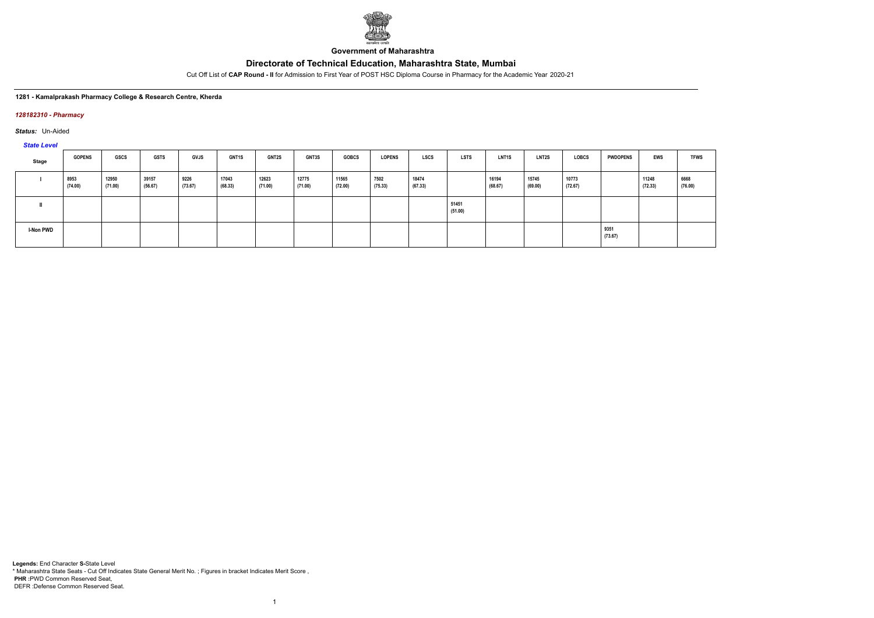

**Government of Maharashtra**

Cut Off List of **CAP Round - II** for Admission to First Year of POST HSC Diploma Course in Pharmacy for the Academic Year 2020-21

### **1281 - Kamalprakash Pharmacy College & Research Centre, Kherda**

### *128182310 - Pharmacy*

*Status:* Un-Aided

*State Level*

| $-$              |                 |                  |                  |                 |                  |                  |                  |                  |                 |                  |                  |                  |                  |                  |                 |                  |                 |
|------------------|-----------------|------------------|------------------|-----------------|------------------|------------------|------------------|------------------|-----------------|------------------|------------------|------------------|------------------|------------------|-----------------|------------------|-----------------|
| Stage            | <b>GOPENS</b>   | GSCS             | GSTS             | <b>GVJS</b>     | <b>GNT1S</b>     | <b>GNT2S</b>     | <b>GNT3S</b>     | <b>GOBCS</b>     | <b>LOPENS</b>   | <b>LSCS</b>      | LSTS             | <b>LNT1S</b>     | <b>LNT2S</b>     | LOBCS            | <b>PWDOPENS</b> | <b>EWS</b>       | <b>TFWS</b>     |
|                  | 8953<br>(74.00) | 12950<br>(71.00) | 39157<br>(56.67) | 9226<br>(73.67) | 17043<br>(68.33) | 12623<br>(71.00) | 12775<br>(71.00) | 11565<br>(72.00) | 7502<br>(75.33) | 18474<br>(67.33) |                  | 16194<br>(68.67) | 15745<br>(69.00) | 10773<br>(72.67) |                 | 11248<br>(72.33) | 6668<br>(76.00) |
|                  |                 |                  |                  |                 |                  |                  |                  |                  |                 |                  | 51451<br>(51.00) |                  |                  |                  |                 |                  |                 |
| <b>I-Non PWD</b> |                 |                  |                  |                 |                  |                  |                  |                  |                 |                  |                  |                  |                  |                  | 9351<br>(73.67) |                  |                 |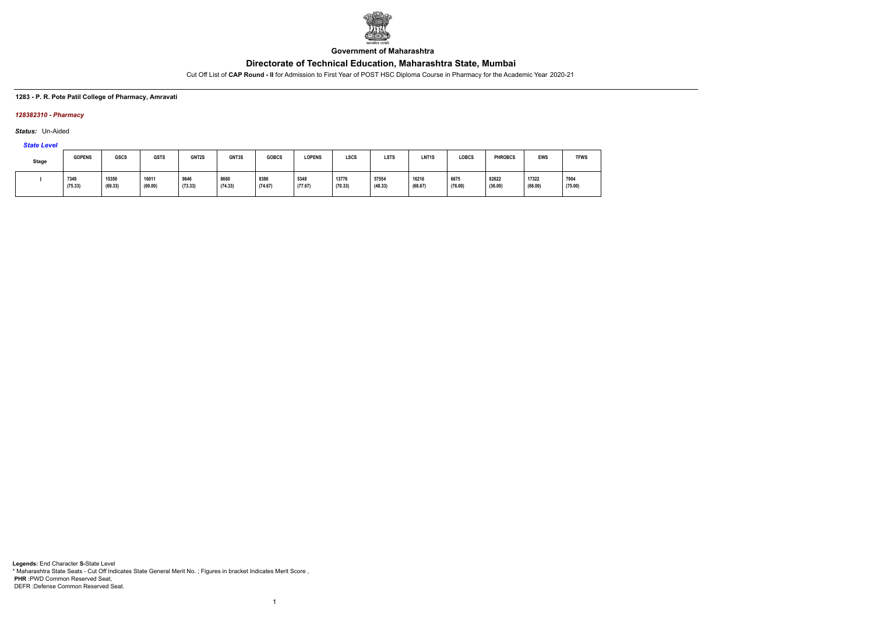

**Government of Maharashtra**

Cut Off List of **CAP Round - II** for Admission to First Year of POST HSC Diploma Course in Pharmacy for the Academic Year 2020-21

### **1283 - P. R. Pote Patil College of Pharmacy, Amravati**

### *128382310 - Pharmacy*

*Status:* Un-Aided

# *State Level*

| Stage | <b>GOPENS</b>   | <b>GSCS</b>      | <b>GSTS</b>      | GNT2S           | GNT3S           | <b>GOBCS</b>    | <b>LOPENS</b>   | LSCS             | <b>LSTS</b>      | LNT <sub>1</sub> S | <b>LOBCS</b>    | <b>PHROBCS</b>   | <b>EWS</b>       | <b>TFWS</b>     |
|-------|-----------------|------------------|------------------|-----------------|-----------------|-----------------|-----------------|------------------|------------------|--------------------|-----------------|------------------|------------------|-----------------|
|       | 7349<br>(75.33) | 15350<br>(69.33) | 16011<br>(69.00) | 9646<br>(73.33) | 8660<br>(74.33) | 8386<br>(74.67) | 5348<br>(77.67) | 13776<br>(70.33) | 57554<br>(48.33) | 16216<br>(68.67)   | 6675<br>(76.00) | 82622<br>(36.00) | 17322<br>(68.00) | 7904<br>(75.00) |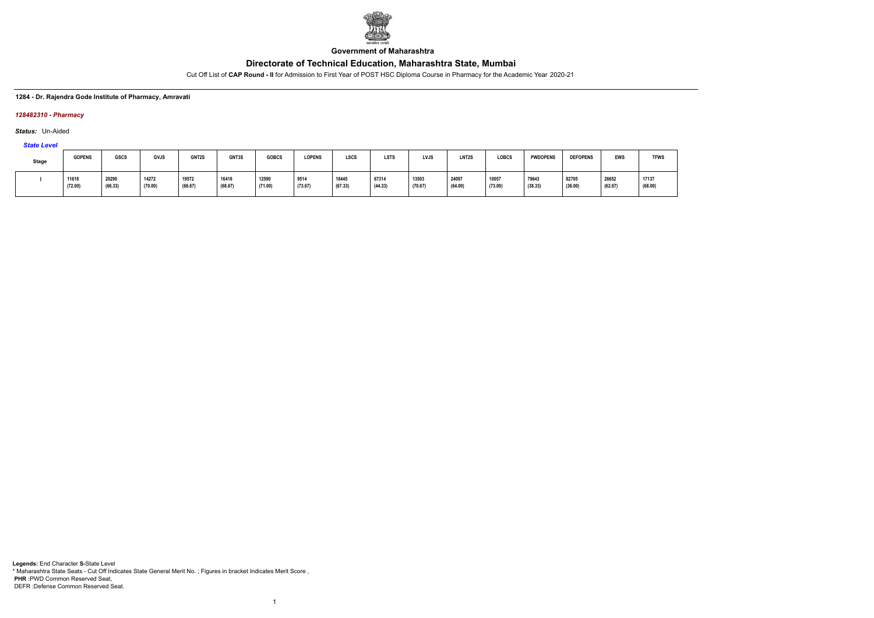

**Government of Maharashtra**

Cut Off List of **CAP Round - II** for Admission to First Year of POST HSC Diploma Course in Pharmacy for the Academic Year 2020-21

### **1284 - Dr. Rajendra Gode Institute of Pharmacy, Amravati**

### *128482310 - Pharmacy*

*Status:* Un-Aided

# *State Level*

| <b>Stage</b> | <b>GOPENS</b>    | GSCS             | GVJS             | GNT2S            | GNT3S            | <b>GOBCS</b>     | <b>LOPENS</b>   | LSCS             | <b>LSTS</b>      | LVJS             | LNT <sub>2</sub> S | LOBCS            | <b>PWDOPENS</b>  | <b>DEFOPENS</b>  | <b>EWS</b>       | <b>TFWS</b>      |
|--------------|------------------|------------------|------------------|------------------|------------------|------------------|-----------------|------------------|------------------|------------------|--------------------|------------------|------------------|------------------|------------------|------------------|
|              | 11618<br>(72.00) | 20290<br>(66.33) | 14272<br>(70.00) | 19572<br>(66.67) | 16416<br>(68.67) | 12590<br>(71.00) | 9514<br>(73.67) | 18445<br>(67.33) | 67314<br>(44.33) | 13503<br>(70.67) | 24097<br>(64.00)   | 10057<br>(73.00) | 79643<br>(38.33) | 82705<br>(36.00) | 26652<br>(62.67) | 17137<br>(68.00) |

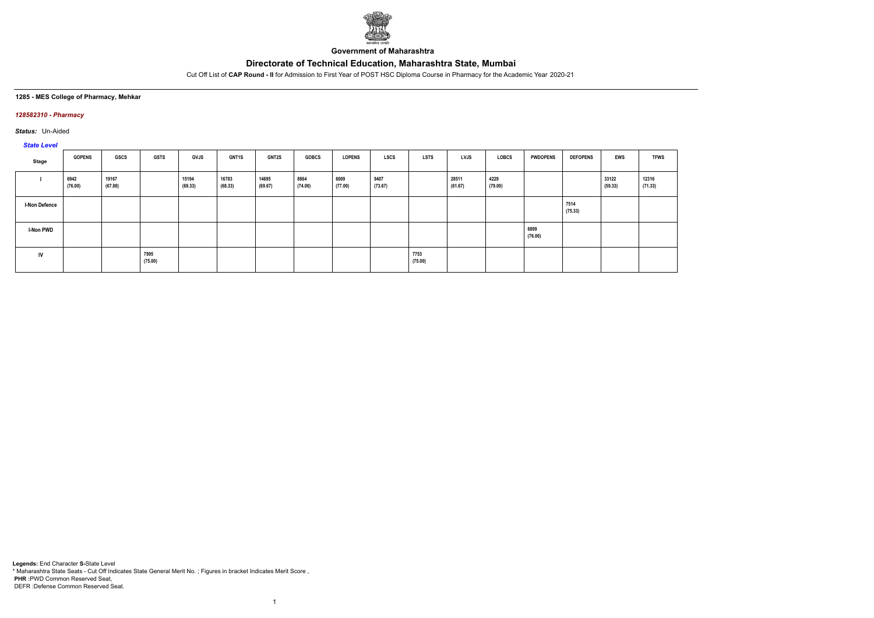

**Government of Maharashtra**

Cut Off List of **CAP Round - II** for Admission to First Year of POST HSC Diploma Course in Pharmacy for the Academic Year 2020-21

### **1285 - MES College of Pharmacy, Mehkar**

### *128582310 - Pharmacy*

*Status:* Un-Aided

# *State Level*

| Stage                | <b>GOPENS</b>   | GSCS             | <b>GSTS</b>     | GVJS             | <b>GNT1S</b>     | <b>GNT2S</b>     | <b>GOBCS</b>    | <b>LOPENS</b>   | <b>LSCS</b>     | <b>LSTS</b>     | LVJS             | LOBCS           | <b>PWDOPENS</b> | <b>DEFOPENS</b> | <b>EWS</b>       | <b>TFWS</b>      |
|----------------------|-----------------|------------------|-----------------|------------------|------------------|------------------|-----------------|-----------------|-----------------|-----------------|------------------|-----------------|-----------------|-----------------|------------------|------------------|
|                      | 6942<br>(76.00) | 19167<br>(67.00) |                 | 15194<br>(69.33) | 16783<br>(68.33) | 14695<br>(69.67) | 8864<br>(74.00) | 6009<br>(77.00) | 9407<br>(73.67) |                 | 28511<br>(61.67) | 4229<br>(79.00) |                 |                 | 33122<br>(59.33) | 12316<br>(71.33) |
| <b>I-Non Defence</b> |                 |                  |                 |                  |                  |                  |                 |                 |                 |                 |                  |                 |                 | 7514<br>(75.33) |                  |                  |
| I-Non PWD            |                 |                  |                 |                  |                  |                  |                 |                 |                 |                 |                  |                 | 6899<br>(76.00) |                 |                  |                  |
| IV                   |                 |                  | 7995<br>(75.00) |                  |                  |                  |                 |                 |                 | 7753<br>(75.00) |                  |                 |                 |                 |                  |                  |

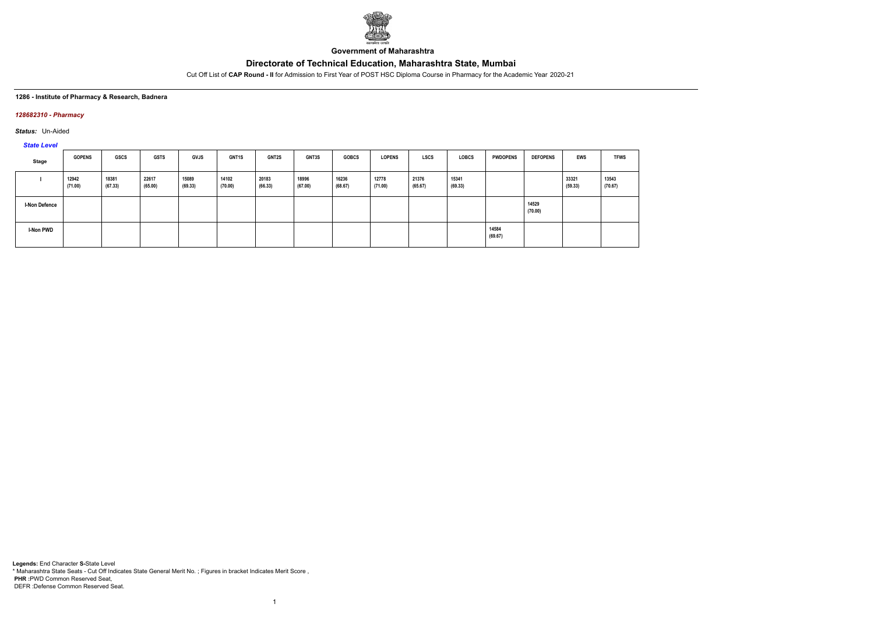

**Government of Maharashtra**

Cut Off List of **CAP Round - II** for Admission to First Year of POST HSC Diploma Course in Pharmacy for the Academic Year 2020-21

### **1286 - Institute of Pharmacy & Research, Badnera**

### *128682310 - Pharmacy*

*Status:* Un-Aided

*State Level*

| Stage                | <b>GOPENS</b>    | <b>GSCS</b>      | <b>GSTS</b>      | <b>GVJS</b>      | GNT1S            | <b>GNT2S</b>     | GNT3S            | <b>GOBCS</b>     | <b>LOPENS</b>    | LSCS             | <b>LOBCS</b>     | <b>PWDOPENS</b>  | <b>DEFOPENS</b>  | <b>EWS</b>       | <b>TFWS</b>      |
|----------------------|------------------|------------------|------------------|------------------|------------------|------------------|------------------|------------------|------------------|------------------|------------------|------------------|------------------|------------------|------------------|
|                      | 12942<br>(71.00) | 18381<br>(67.33) | 22617<br>(65.00) | 15089<br>(69.33) | 14102<br>(70.00) | 20183<br>(66.33) | 18996<br>(67.00) | 16236<br>(68.67) | 12778<br>(71.00) | 21376<br>(65.67) | 15341<br>(69.33) |                  |                  | 33321<br>(59.33) | 13543<br>(70.67) |
| <b>I-Non Defence</b> |                  |                  |                  |                  |                  |                  |                  |                  |                  |                  |                  |                  | 14529<br>(70.00) |                  |                  |
| I-Non PWD            |                  |                  |                  |                  |                  |                  |                  |                  |                  |                  |                  | 14584<br>(69.67) |                  |                  |                  |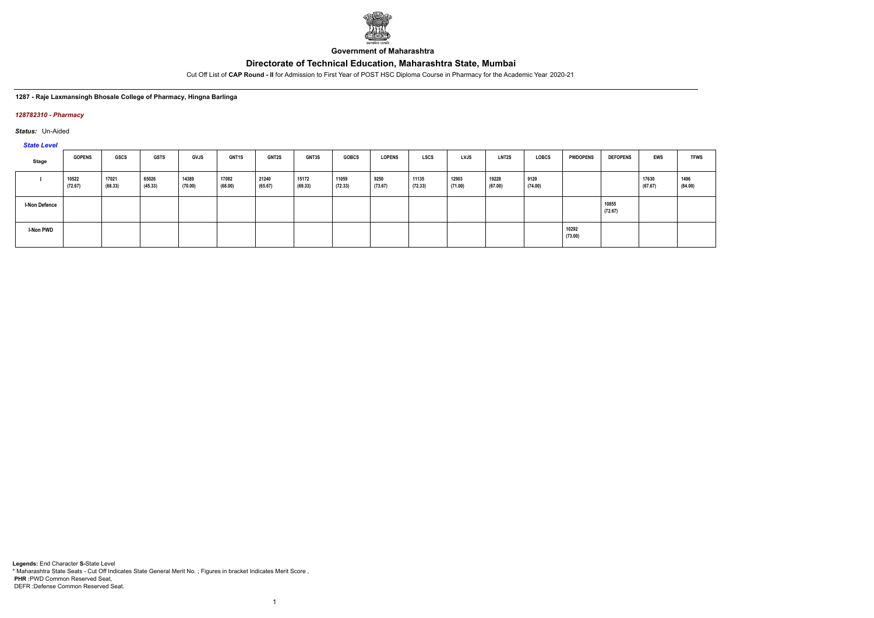

**Government of Maharashtra**

Cut Off List of **CAP Round - II** for Admission to First Year of POST HSC Diploma Course in Pharmacy for the Academic Year 2020-21

### **1287 - Raje Laxmansingh Bhosale College of Pharmacy, Hingna Barlinga**

### *128782310 - Pharmacy*

*Status:* Un-Aided

*State Level*

| Stage                | <b>GOPENS</b>    | GSCS             | <b>GSTS</b>      | <b>GVJS</b>      | <b>GNT1S</b>     | <b>GNT2S</b>     | <b>GNT3S</b>     | <b>GOBCS</b>     | <b>LOPENS</b>   | <b>LSCS</b>      | <b>LVJS</b>      | <b>LNT2S</b>     | <b>LOBCS</b>    | <b>PWDOPENS</b>  | <b>DEFOPENS</b>  | EWS              | <b>TFWS</b>     |
|----------------------|------------------|------------------|------------------|------------------|------------------|------------------|------------------|------------------|-----------------|------------------|------------------|------------------|-----------------|------------------|------------------|------------------|-----------------|
|                      | 10522<br>(72.67) | 17021<br>(68.33) | 65026<br>(45.33) | 14389<br>(70.00) | 17082<br>(68.00) | 21240<br>(65.67) | 15172<br>(69.33) | 11059<br>(72.33) | 9250<br>(73.67) | 11135<br>(72.33) | 12903<br>(71.00) | 19228<br>(67.00) | 9120<br>(74.00) |                  |                  | 17630<br>(67.67) | 1496<br>(84.00) |
| <b>I-Non Defence</b> |                  |                  |                  |                  |                  |                  |                  |                  |                 |                  |                  |                  |                 |                  | 10855<br>(72.67) |                  |                 |
| I-Non PWD            |                  |                  |                  |                  |                  |                  |                  |                  |                 |                  |                  |                  |                 | 10292<br>(73.00) |                  |                  |                 |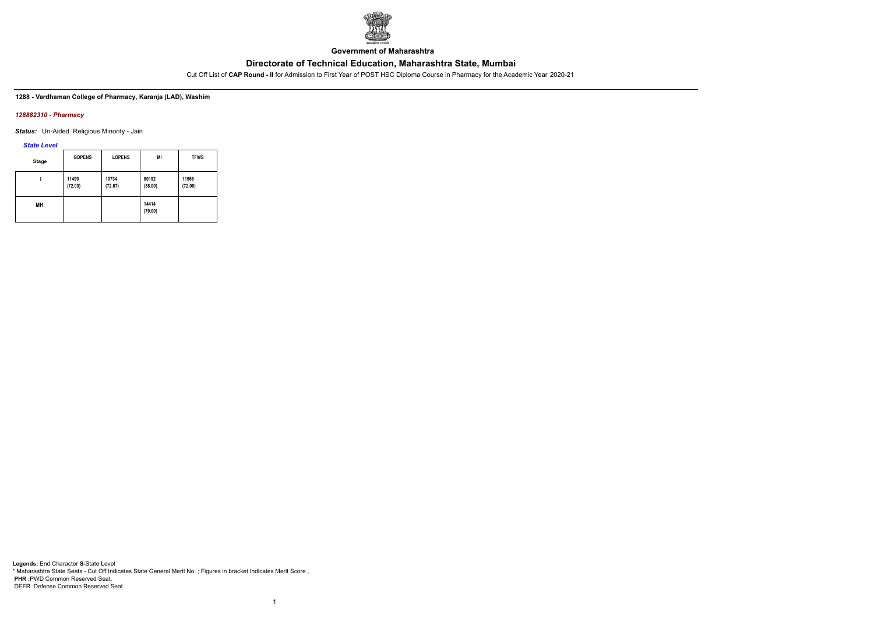

**Government of Maharashtra**

Cut Off List of **CAP Round - II** for Admission to First Year of POST HSC Diploma Course in Pharmacy for the Academic Year 2020-21

**1288 - Vardhaman College of Pharmacy, Karanja (LAD), Washim**

### *128882310 - Pharmacy*

*Status:* Un-Aided Religious Minority - Jain

*State Level*

| <b>Stage</b> | <b>GOPENS</b>    | <b>LOPENS</b>    | MI               | <b>TFWS</b>      |
|--------------|------------------|------------------|------------------|------------------|
|              | 11499<br>(72.00) | 10734<br>(72.67) | 80192<br>(38.00) | 11566<br>(72.00) |
| MН           |                  |                  | 14414<br>(70.00) |                  |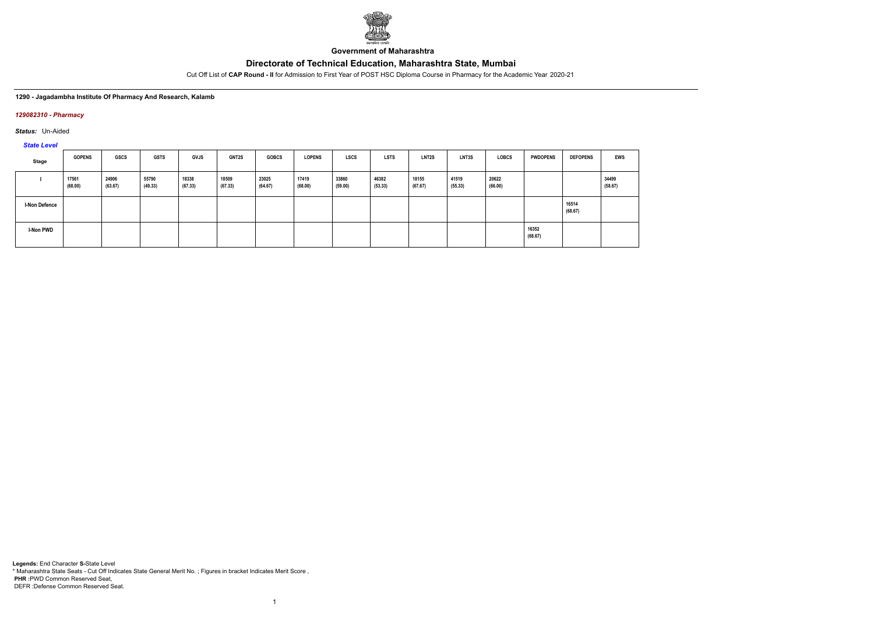

**Government of Maharashtra**

Cut Off List of **CAP Round - II** for Admission to First Year of POST HSC Diploma Course in Pharmacy for the Academic Year 2020-21

### **1290 - Jagadambha Institute Of Pharmacy And Research, Kalamb**

### *129082310 - Pharmacy*

*Status:* Un-Aided

*State Level*

| Stage                | <b>GOPENS</b>    | <b>GSCS</b>      | <b>GSTS</b>      | <b>GVJS</b>      | <b>GNT2S</b>     | <b>GOBCS</b>     | <b>LOPENS</b>    | <b>LSCS</b>      | <b>LSTS</b>      | <b>LNT2S</b>     | LNT3S            | <b>LOBCS</b>     | <b>PWDOPENS</b>  | <b>DEFOPENS</b>  | <b>EWS</b>       |
|----------------------|------------------|------------------|------------------|------------------|------------------|------------------|------------------|------------------|------------------|------------------|------------------|------------------|------------------|------------------|------------------|
|                      | 17561<br>(68.00) | 24906<br>(63.67) | 55790<br>(49.33) | 18338<br>(67.33) | 18509<br>(67.33) | 23025<br>(64.67) | 17419<br>(68.00) | 33860<br>(59.00) | 46382<br>(53.33) | 18155<br>(67.67) | 41519<br>(55.33) | 20622<br>(66.00) |                  |                  | 34499<br>(58.67) |
| <b>I-Non Defence</b> |                  |                  |                  |                  |                  |                  |                  |                  |                  |                  |                  |                  |                  | 16514<br>(68.67) |                  |
| I-Non PWD            |                  |                  |                  |                  |                  |                  |                  |                  |                  |                  |                  |                  | 16352<br>(68.67) |                  |                  |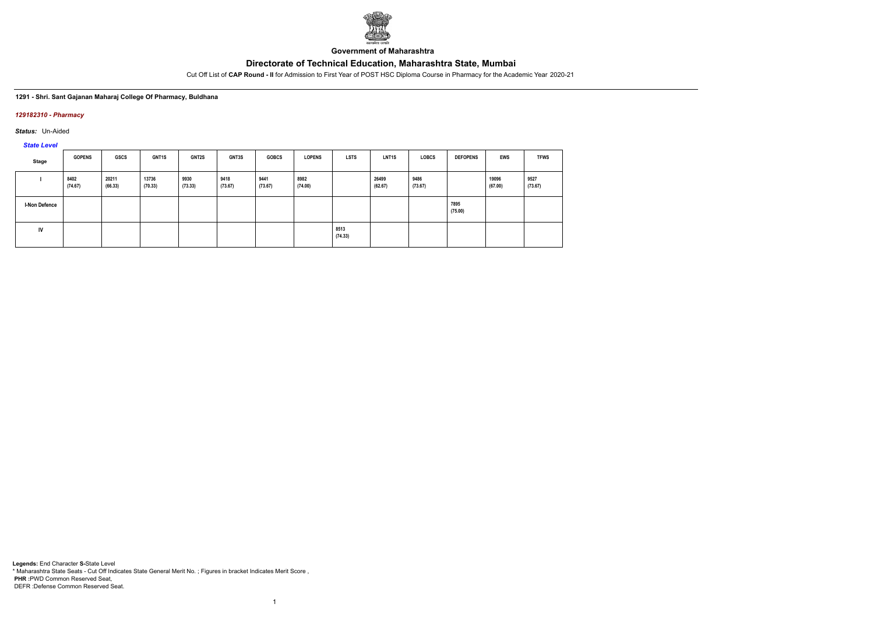

**Government of Maharashtra**

Cut Off List of **CAP Round - II** for Admission to First Year of POST HSC Diploma Course in Pharmacy for the Academic Year 2020-21

### **1291 - Shri. Sant Gajanan Maharaj College Of Pharmacy, Buldhana**

### *129182310 - Pharmacy*

*Status:* Un-Aided

*State Level*

| Stage                | <b>GOPENS</b>   | GSCS             | <b>GNT1S</b>     | GNT2S           | <b>GNT3S</b>    | <b>GOBCS</b>    | <b>LOPENS</b>   | <b>LSTS</b>     | LNT <sub>1</sub> S | <b>LOBCS</b>    | <b>DEFOPENS</b> | <b>EWS</b>       | <b>TFWS</b>     |
|----------------------|-----------------|------------------|------------------|-----------------|-----------------|-----------------|-----------------|-----------------|--------------------|-----------------|-----------------|------------------|-----------------|
|                      | 8402<br>(74.67) | 20211<br>(66.33) | 13736<br>(70.33) | 9930<br>(73.33) | 9418<br>(73.67) | 9441<br>(73.67) | 8982<br>(74.00) |                 | 26499<br>(62.67)   | 9486<br>(73.67) |                 | 19096<br>(67.00) | 9527<br>(73.67) |
| <b>I-Non Defence</b> |                 |                  |                  |                 |                 |                 |                 |                 |                    |                 | 7895<br>(75.00) |                  |                 |
| IV                   |                 |                  |                  |                 |                 |                 |                 | 8513<br>(74.33) |                    |                 |                 |                  |                 |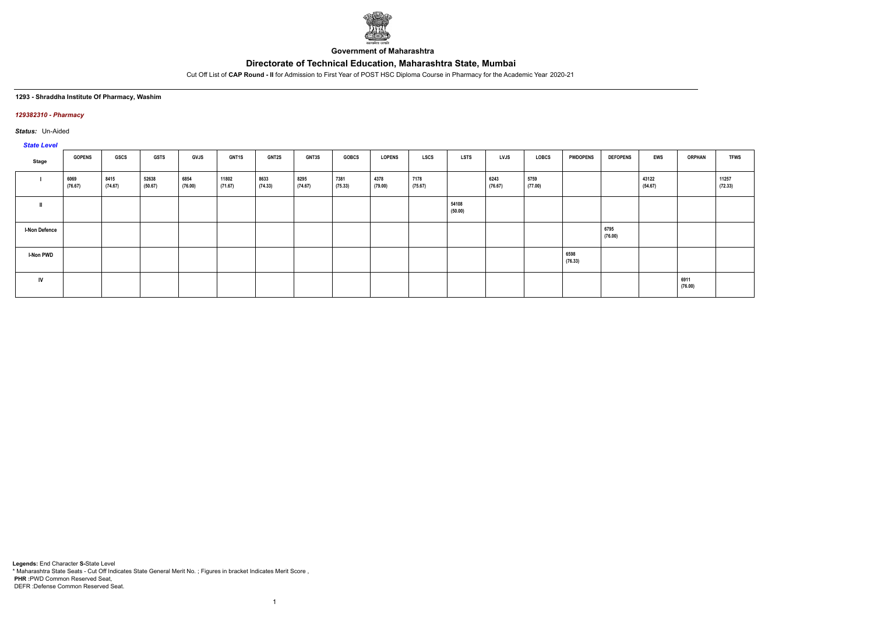

**Government of Maharashtra**

Cut Off List of **CAP Round - II** for Admission to First Year of POST HSC Diploma Course in Pharmacy for the Academic Year 2020-21

### **1293 - Shraddha Institute Of Pharmacy, Washim**

### *129382310 - Pharmacy*

*Status:* Un-Aided

# *State Level*

| Stage                | <b>GOPENS</b>   | <b>GSCS</b>     | <b>GSTS</b>      | <b>GVJS</b>     | <b>GNT1S</b>     | <b>GNT2S</b>    | <b>GNT3S</b>    | <b>GOBCS</b>    | <b>LOPENS</b>   | <b>LSCS</b>     | <b>LSTS</b>      | <b>LVJS</b>     | LOBCS           | <b>PWDOPENS</b> | <b>DEFOPENS</b> | EWS              | <b>ORPHAN</b>   | <b>TFWS</b>      |
|----------------------|-----------------|-----------------|------------------|-----------------|------------------|-----------------|-----------------|-----------------|-----------------|-----------------|------------------|-----------------|-----------------|-----------------|-----------------|------------------|-----------------|------------------|
|                      | 6069<br>(76.67) | 8415<br>(74.67) | 52638<br>(50.67) | 6854<br>(76.00) | 11802<br>(71.67) | 8633<br>(74.33) | 8295<br>(74.67) | 7381<br>(75.33) | 4378<br>(79.00) | 7178<br>(75.67) |                  | 6243<br>(76.67) | 5759<br>(77.00) |                 |                 | 43122<br>(54.67) |                 | 11257<br>(72.33) |
|                      |                 |                 |                  |                 |                  |                 |                 |                 |                 |                 | 54108<br>(50.00) |                 |                 |                 |                 |                  |                 |                  |
| <b>I-Non Defence</b> |                 |                 |                  |                 |                  |                 |                 |                 |                 |                 |                  |                 |                 |                 | 6795<br>(76.00) |                  |                 |                  |
| <b>I-Non PWD</b>     |                 |                 |                  |                 |                  |                 |                 |                 |                 |                 |                  |                 |                 | 6598<br>(76.33) |                 |                  |                 |                  |
| IV                   |                 |                 |                  |                 |                  |                 |                 |                 |                 |                 |                  |                 |                 |                 |                 |                  | 6911<br>(76.00) |                  |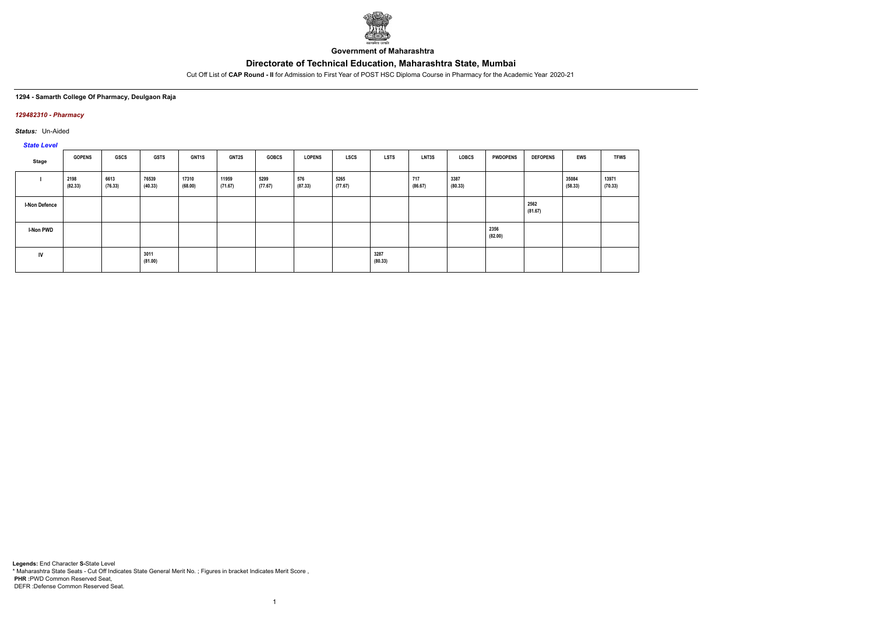

**Government of Maharashtra**

Cut Off List of **CAP Round - II** for Admission to First Year of POST HSC Diploma Course in Pharmacy for the Academic Year 2020-21

### **1294 - Samarth College Of Pharmacy, Deulgaon Raja**

### *129482310 - Pharmacy*

*Status:* Un-Aided

# *State Level*

| Stage                | <b>GOPENS</b>   | GSCS            | <b>GSTS</b>      | <b>GNT1S</b>     | <b>GNT2S</b>     | <b>GOBCS</b>    | <b>LOPENS</b>  | <b>LSCS</b>     | <b>LSTS</b>     | LNT3S          | <b>LOBCS</b>    | <b>PWDOPENS</b> | <b>DEFOPENS</b> | <b>EWS</b>       | <b>TFWS</b>      |
|----------------------|-----------------|-----------------|------------------|------------------|------------------|-----------------|----------------|-----------------|-----------------|----------------|-----------------|-----------------|-----------------|------------------|------------------|
|                      | 2198<br>(82.33) | 6613<br>(76.33) | 76539<br>(40.33) | 17310<br>(68.00) | 11959<br>(71.67) | 5299<br>(77.67) | 576<br>(87.33) | 5265<br>(77.67) |                 | 717<br>(86.67) | 3387<br>(80.33) |                 |                 | 35084<br>(58.33) | 13971<br>(70.33) |
| <b>I-Non Defence</b> |                 |                 |                  |                  |                  |                 |                |                 |                 |                |                 |                 | 2562<br>(81.67) |                  |                  |
| <b>I-Non PWD</b>     |                 |                 |                  |                  |                  |                 |                |                 |                 |                |                 | 2356<br>(82.00) |                 |                  |                  |
| IV                   |                 |                 | 3011<br>(81.00)  |                  |                  |                 |                |                 | 3287<br>(80.33) |                |                 |                 |                 |                  |                  |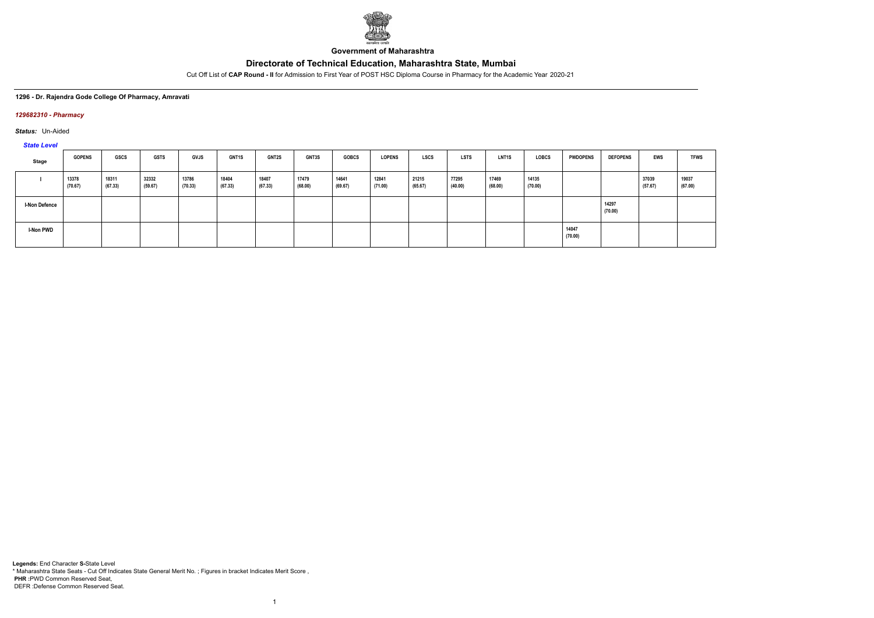

**Government of Maharashtra**

Cut Off List of **CAP Round - II** for Admission to First Year of POST HSC Diploma Course in Pharmacy for the Academic Year 2020-21

### **1296 - Dr. Rajendra Gode College Of Pharmacy, Amravati**

### *129682310 - Pharmacy*

*Status:* Un-Aided

*State Level*

| $-$                  |                  |                  |                  |                  |                  |                  |                  |                  |                  |                  |                  |                  |                  |                  |                  |                  |                  |
|----------------------|------------------|------------------|------------------|------------------|------------------|------------------|------------------|------------------|------------------|------------------|------------------|------------------|------------------|------------------|------------------|------------------|------------------|
| Stage                | <b>GOPENS</b>    | <b>GSCS</b>      | <b>GSTS</b>      | <b>GVJS</b>      | <b>GNT1S</b>     | GNT2S            | <b>GNT3S</b>     | <b>GOBCS</b>     | <b>LOPENS</b>    | <b>LSCS</b>      | <b>LSTS</b>      | <b>LNT1S</b>     | <b>LOBCS</b>     | <b>PWDOPENS</b>  | <b>DEFOPENS</b>  | EWS              | <b>TFWS</b>      |
|                      | 13378<br>(70.67) | 18311<br>(67.33) | 32332<br>(59.67) | 13786<br>(70.33) | 18404<br>(67.33) | 18407<br>(67.33) | 17479<br>(68.00) | 14641<br>(69.67) | 12841<br>(71.00) | 21215<br>(65.67) | 77295<br>(40.00) | 17469<br>(68.00) | 14135<br>(70.00) |                  |                  | 37039<br>(57.67) | 19037<br>(67.00) |
| <b>I-Non Defence</b> |                  |                  |                  |                  |                  |                  |                  |                  |                  |                  |                  |                  |                  |                  | 14297<br>(70.00) |                  |                  |
| <b>I-Non PWD</b>     |                  |                  |                  |                  |                  |                  |                  |                  |                  |                  |                  |                  |                  | 14047<br>(70.00) |                  |                  |                  |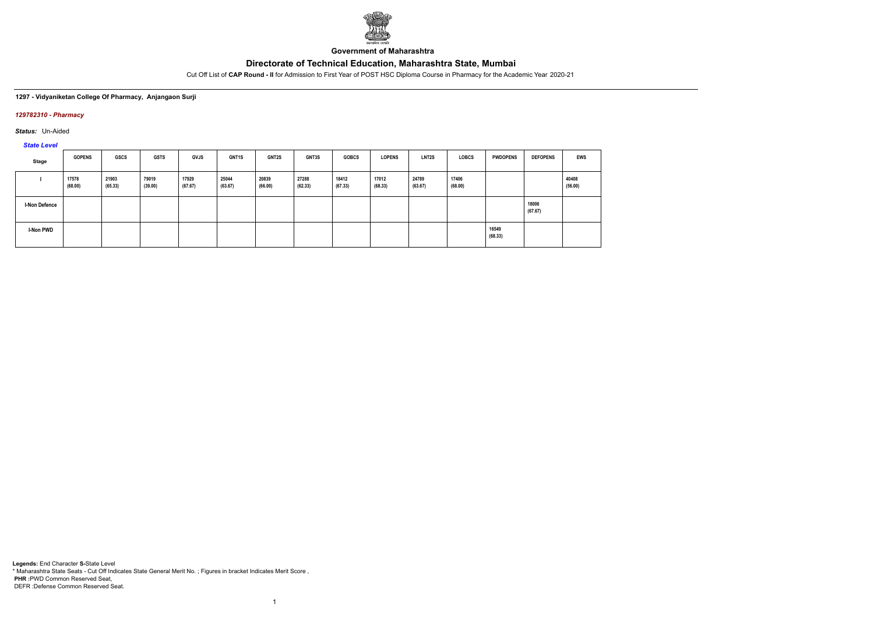

**Government of Maharashtra**

Cut Off List of **CAP Round - II** for Admission to First Year of POST HSC Diploma Course in Pharmacy for the Academic Year 2020-21

### **1297 - Vidyaniketan College Of Pharmacy, Anjangaon Surji**

### *129782310 - Pharmacy*

*Status:* Un-Aided

*State Level*

| Stage                | <b>GOPENS</b>    | GSCS             | <b>GSTS</b>      | <b>GVJS</b>      | <b>GNT1S</b>     | GNT2S            | GNT3S            | <b>GOBCS</b>     | <b>LOPENS</b>    | LNT <sub>2</sub> S | <b>LOBCS</b>     | <b>PWDOPENS</b>  | <b>DEFOPENS</b>  | <b>EWS</b>       |
|----------------------|------------------|------------------|------------------|------------------|------------------|------------------|------------------|------------------|------------------|--------------------|------------------|------------------|------------------|------------------|
|                      | 17578<br>(68.00) | 21903<br>(65.33) | 79019<br>(39.00) | 17929<br>(67.67) | 25044<br>(63.67) | 20839<br>(66.00) | 27288<br>(62.33) | 18412<br>(67.33) | 17012<br>(68.33) | 24789<br>(63.67)   | 17406<br>(68.00) |                  |                  | 40408<br>(56.00) |
| <b>I-Non Defence</b> |                  |                  |                  |                  |                  |                  |                  |                  |                  |                    |                  |                  | 18006<br>(67.67) |                  |
| <b>I-Non PWD</b>     |                  |                  |                  |                  |                  |                  |                  |                  |                  |                    |                  | 16549<br>(68.33) |                  |                  |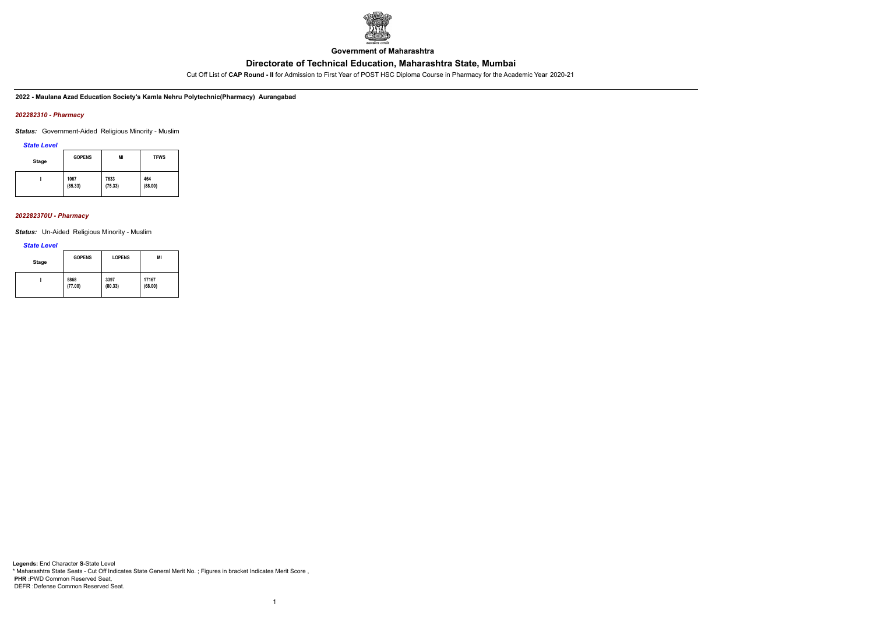

**Government of Maharashtra**

Cut Off List of **CAP Round - II** for Admission to First Year of POST HSC Diploma Course in Pharmacy for the Academic Year 2020-21

**2022 - Maulana Azad Education Society's Kamla Nehru Polytechnic(Pharmacy) Aurangabad**

### *202282310 - Pharmacy*

*Status:* Government-Aided Religious Minority - Muslim

*State Level*

| <b>Stage</b> | <b>GOPENS</b> | MI      | <b>TFWS</b> |
|--------------|---------------|---------|-------------|
|              | 1067          | 7633    | 464         |
|              | (85.33)       | (75.33) | (88.00)     |

#### *202282370U - Pharmacy*

*Status:* Un-Aided Religious Minority - Muslim

#### *State Level*

| Stage | <b>GOPENS</b> | <b>LOPENS</b> | MI      |
|-------|---------------|---------------|---------|
|       | 5868          | 3397          | 17167   |
|       | (77.00)       | (80.33)       | (68.00) |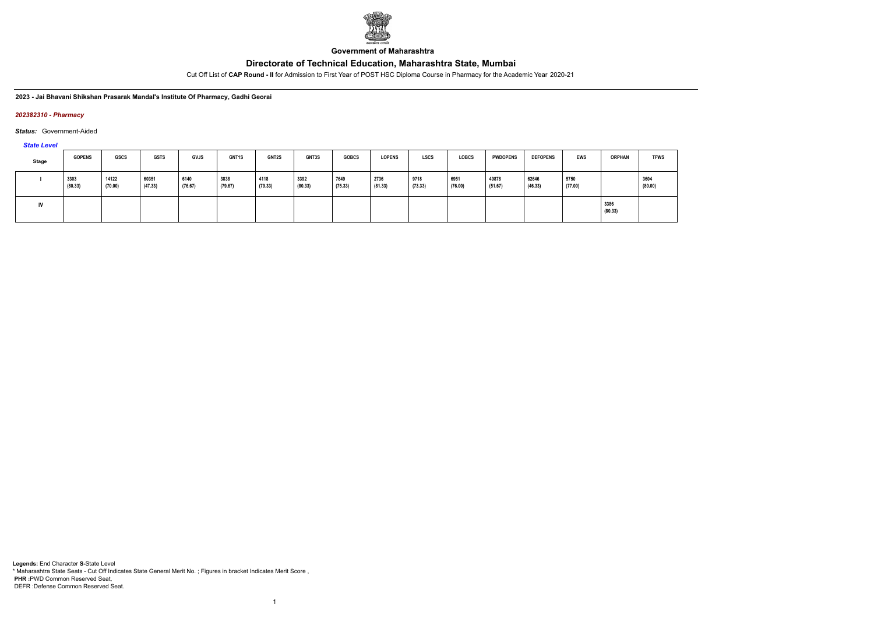

**Government of Maharashtra**

Cut Off List of **CAP Round - II** for Admission to First Year of POST HSC Diploma Course in Pharmacy for the Academic Year 2020-21

**2023 - Jai Bhavani Shikshan Prasarak Mandal's Institute Of Pharmacy, Gadhi Georai**

#### *202382310 - Pharmacy*

*Status:* Government-Aided

*State Level*

| <b>Stage</b> | <b>GOPENS</b>   | GSCS             | <b>GSTS</b>      | GVJS            | <b>GNT1S</b>    | <b>GNT2S</b>    | <b>GNT3S</b>    | <b>GOBCS</b>    | <b>LOPENS</b>   | <b>LSCS</b>     | <b>LOBCS</b>    | <b>PWDOPENS</b>  | <b>DEFOPENS</b>  | EWS             | <b>ORPHAN</b>   | <b>TFWS</b>     |
|--------------|-----------------|------------------|------------------|-----------------|-----------------|-----------------|-----------------|-----------------|-----------------|-----------------|-----------------|------------------|------------------|-----------------|-----------------|-----------------|
|              | 3303<br>(80.33) | 14122<br>(70.00) | 60351<br>(47.33) | 6140<br>(76.67) | 3838<br>(79.67) | 4118<br>(79.33) | 3392<br>(80.33) | 7649<br>(75.33) | 2736<br>(81.33) | 9718<br>(73.33) | 6951<br>(76.00) | 49878<br>(51.67) | 62646<br>(46.33) | 5750<br>(77.00) |                 | 3604<br>(80.00) |
| IV           |                 |                  |                  |                 |                 |                 |                 |                 |                 |                 |                 |                  |                  |                 | 3386<br>(80.33) |                 |

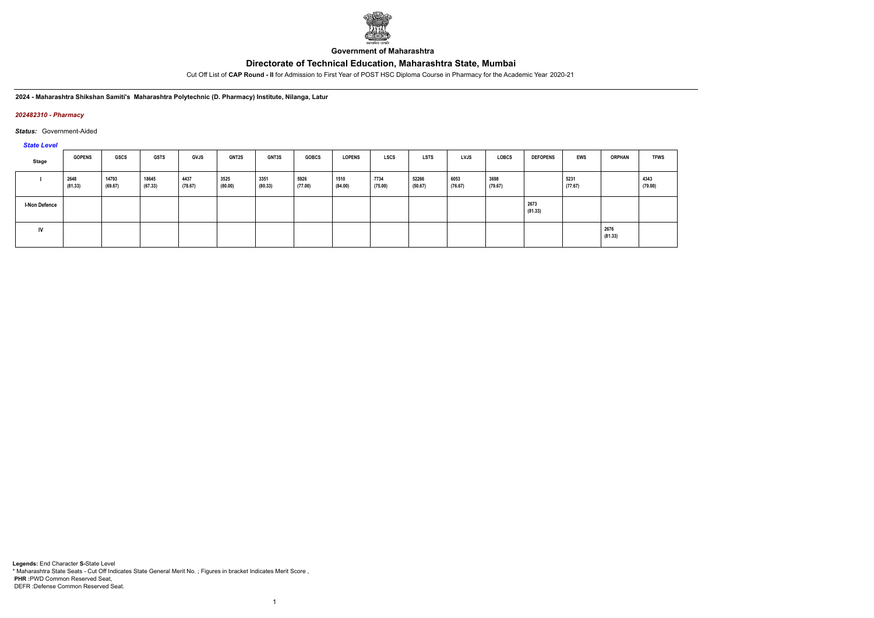

**Government of Maharashtra**

Cut Off List of **CAP Round - II** for Admission to First Year of POST HSC Diploma Course in Pharmacy for the Academic Year 2020-21

**2024 - Maharashtra Shikshan Samiti's Maharashtra Polytechnic (D. Pharmacy) Institute, Nilanga, Latur**

#### *202482310 - Pharmacy*

#### *Status:* Government-Aided

*State Level*

| Stage                | <b>GOPENS</b>   | <b>GSCS</b>      | <b>GSTS</b>      | GVJS            | <b>GNT2S</b>    | <b>GNT3S</b>    | <b>GOBCS</b>    | <b>LOPENS</b>   | <b>LSCS</b>     | LSTS             | <b>LVJS</b>     | LOBCS           | <b>DEFOPENS</b> | <b>EWS</b>      | <b>ORPHAN</b>   | <b>TFWS</b>     |
|----------------------|-----------------|------------------|------------------|-----------------|-----------------|-----------------|-----------------|-----------------|-----------------|------------------|-----------------|-----------------|-----------------|-----------------|-----------------|-----------------|
|                      | 2648<br>(81.33) | 14793<br>(69.67) | 18645<br>(67.33) | 4437<br>(78.67) | 3525<br>(80.00) | 3351<br>(80.33) | 5926<br>(77.00) | 1510<br>(84.00) | 7734<br>(75.00) | 52266<br>(50.67) | 6053<br>(76.67) | 3698<br>(79.67) |                 | 5231<br>(77.67) |                 | 4343<br>(79.00) |
| <b>I-Non Defence</b> |                 |                  |                  |                 |                 |                 |                 |                 |                 |                  |                 |                 | 2673<br>(81.33) |                 |                 |                 |
| IV                   |                 |                  |                  |                 |                 |                 |                 |                 |                 |                  |                 |                 |                 |                 | 2676<br>(81.33) |                 |

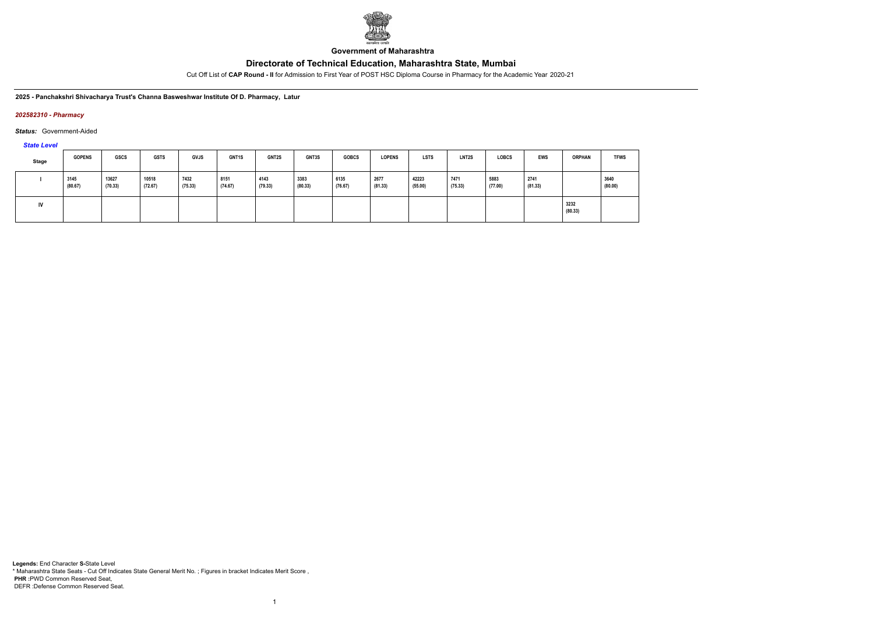

**Government of Maharashtra**

Cut Off List of **CAP Round - II** for Admission to First Year of POST HSC Diploma Course in Pharmacy for the Academic Year 2020-21

**2025 - Panchakshri Shivacharya Trust's Channa Basweshwar Institute Of D. Pharmacy, Latur**

#### *202582310 - Pharmacy*

*Status:* Government-Aided

*State Level*

| <b>Stage</b> | <b>GOPENS</b>   | <b>GSCS</b>      | <b>GSTS</b>      | <b>GVJS</b>     | GNT1S           | <b>GNT2S</b>    | <b>GNT3S</b>    | <b>GOBCS</b>    | <b>LOPENS</b>   | <b>LSTS</b>      | LNT <sub>2</sub> S | <b>LOBCS</b>    | <b>EWS</b>      | <b>ORPHAN</b>   | <b>TFWS</b>     |
|--------------|-----------------|------------------|------------------|-----------------|-----------------|-----------------|-----------------|-----------------|-----------------|------------------|--------------------|-----------------|-----------------|-----------------|-----------------|
|              | 3145<br>(80.67) | 13627<br>(70.33) | 10518<br>(72.67) | 7432<br>(75.33) | 8151<br>(74.67) | 4143<br>(79.33) | 3383<br>(80.33) | 6135<br>(76.67) | 2677<br>(81.33) | 42223<br>(55.00) | 7471<br>(75.33)    | 5883<br>(77.00) | 2741<br>(81.33) |                 | 3640<br>(80.00) |
|              |                 |                  |                  |                 |                 |                 |                 |                 |                 |                  |                    |                 |                 | 3232<br>(80.33) |                 |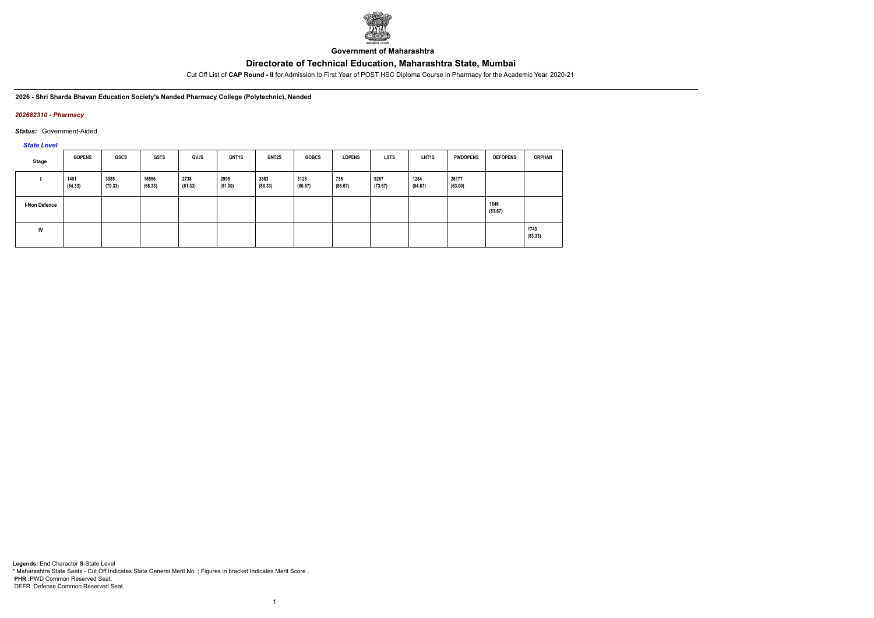

**Government of Maharashtra**

Cut Off List of **CAP Round - II** for Admission to First Year of POST HSC Diploma Course in Pharmacy for the Academic Year 2020-21

**2026 - Shri Sharda Bhavan Education Society's Nanded Pharmacy College (Polytechnic), Nanded**

#### *202682310 - Pharmacy*

*Status:* Government-Aided

#### *State Level*

| Stage                | <b>GOPENS</b>   | <b>GSCS</b>     | <b>GSTS</b>      | <b>GVJS</b>     | GNT1S           | <b>GNT2S</b>    | <b>GOBCS</b>    | <b>LOPENS</b>  | <b>LSTS</b>     | LNT <sub>1</sub> S | <b>PWDOPENS</b>  | <b>DEFOPENS</b> | <b>ORPHAN</b>   |
|----------------------|-----------------|-----------------|------------------|-----------------|-----------------|-----------------|-----------------|----------------|-----------------|--------------------|------------------|-----------------|-----------------|
|                      | 1401<br>(84.33) | 3985<br>(79.33) | 16556<br>(68.33) | 2738<br>(81.33) | 2995<br>(81.00) | 3363<br>(80.33) | 3128<br>(80.67) | 735<br>(86.67) | 9267<br>(73.67) | 1284<br>(84.67)    | 26177<br>(63.00) |                 |                 |
| <b>I-Non Defence</b> |                 |                 |                  |                 |                 |                 |                 |                |                 |                    |                  | 1646<br>(83.67) |                 |
| IV                   |                 |                 |                  |                 |                 |                 |                 |                |                 |                    |                  |                 | 1743<br>(83.33) |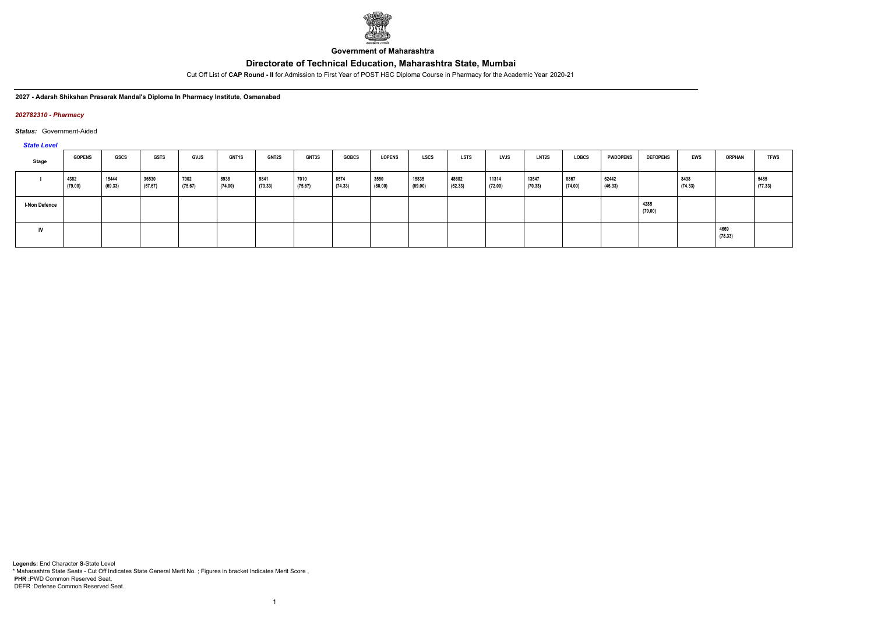

**Government of Maharashtra**

Cut Off List of **CAP Round - II** for Admission to First Year of POST HSC Diploma Course in Pharmacy for the Academic Year 2020-21

**2027 - Adarsh Shikshan Prasarak Mandal's Diploma In Pharmacy Institute, Osmanabad**

#### *202782310 - Pharmacy*

*Status:* Government-Aided

*State Level*

| Stage                | <b>GOPENS</b>   | GSCS             | <b>GSTS</b>      | GVJS            | <b>GNT1S</b>    | <b>GNT2S</b>    | <b>GNT3S</b>    | <b>GOBCS</b>    | <b>LOPENS</b>   | <b>LSCS</b>      | <b>LSTS</b>      | LVJS             | <b>LNT2S</b>     | <b>LOBCS</b>    | <b>PWDOPENS</b>  | <b>DEFOPENS</b> | EWS             | <b>ORPHAN</b> | <b>TFWS</b>     |
|----------------------|-----------------|------------------|------------------|-----------------|-----------------|-----------------|-----------------|-----------------|-----------------|------------------|------------------|------------------|------------------|-----------------|------------------|-----------------|-----------------|---------------|-----------------|
|                      | 4382<br>(79.00) | 15444<br>(69.33) | 36530<br>(57.67) | 7002<br>(75.67) | 8938<br>(74.00) | 9841<br>(73.33) | 7010<br>(75.67) | 8574<br>(74.33) | 3550<br>(80.00) | 15835<br>(69.00) | 48682<br>(52.33) | 11314<br>(72.00) | 13547<br>(70.33) | 8867<br>(74.00) | 62442<br>(46.33) |                 | 8438<br>(74.33) |               | 5485<br>(77.33) |
| <b>I-Non Defence</b> |                 |                  |                  |                 |                 |                 |                 |                 |                 |                  |                  |                  |                  |                 |                  | 4285<br>(79.00) |                 |               |                 |
| IV                   |                 |                  |                  |                 |                 |                 |                 |                 |                 |                  |                  |                  |                  |                 |                  |                 | 4669<br>(78.33) |               |                 |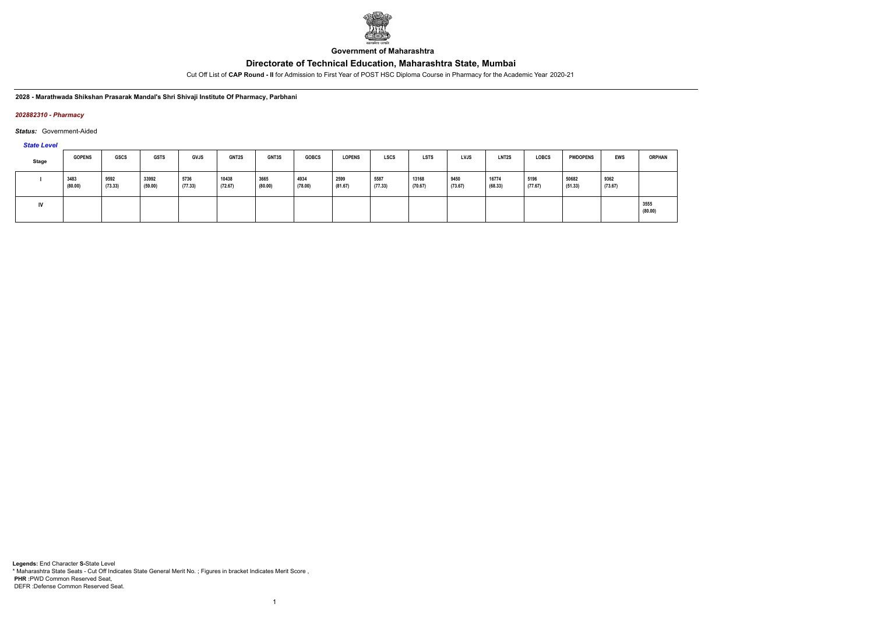

**Government of Maharashtra**

Cut Off List of **CAP Round - II** for Admission to First Year of POST HSC Diploma Course in Pharmacy for the Academic Year 2020-21

**2028 - Marathwada Shikshan Prasarak Mandal's Shri Shivaji Institute Of Pharmacy, Parbhani**

#### *202882310 - Pharmacy*

*Status:* Government-Aided

*State Level*

| <b>Stage</b> | <b>GOPENS</b>   | GSCS            | <b>GSTS</b>      | GVJS            | <b>GNT2S</b>     | GNT3S           | <b>GOBCS</b>    | <b>LOPENS</b>   | <b>LSCS</b>     | <b>LSTS</b>      | <b>LVJS</b>     | <b>LNT2S</b>     | <b>LOBCS</b>    | <b>PWDOPENS</b>  | <b>EWS</b>      | <b>ORPHAN</b>   |
|--------------|-----------------|-----------------|------------------|-----------------|------------------|-----------------|-----------------|-----------------|-----------------|------------------|-----------------|------------------|-----------------|------------------|-----------------|-----------------|
|              | 3483<br>(80.00) | 9592<br>(73.33) | 33992<br>(59.00) | 5736<br>(77.33) | 10438<br>(72.67) | 3665<br>(80.00) | 4934<br>(78.00) | 2599<br>(81.67) | 5587<br>(77.33) | 13168<br>(70.67) | 9450<br>(73.67) | 16774<br>(68.33) | 5196<br>(77.67) | 50682<br>(51.33) | 9362<br>(73.67) |                 |
| IV           |                 |                 |                  |                 |                  |                 |                 |                 |                 |                  |                 |                  |                 |                  |                 | 3555<br>(80.00) |

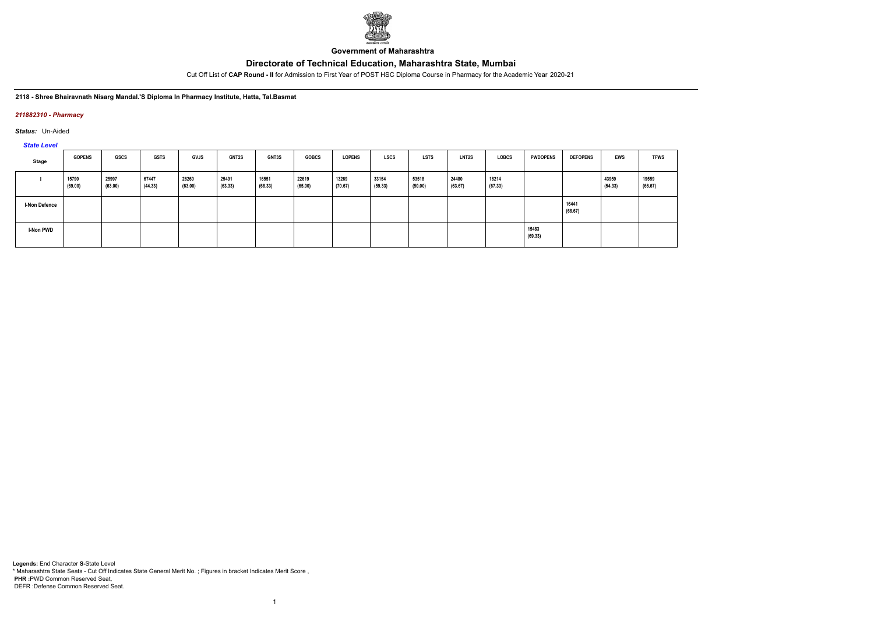

**Government of Maharashtra**

Cut Off List of **CAP Round - II** for Admission to First Year of POST HSC Diploma Course in Pharmacy for the Academic Year 2020-21

#### **2118 - Shree Bhairavnath Nisarg Mandal.'S Diploma In Pharmacy Institute, Hatta, Tal.Basmat**

#### *211882310 - Pharmacy*

*Status:* Un-Aided

# *State Level*

| Stage                | <b>GOPENS</b>    | GSCS             | <b>GSTS</b>      | <b>GVJS</b>      | <b>GNT2S</b>     | GNT3S            | <b>GOBCS</b>     | <b>LOPENS</b>    | LSCS             | LSTS             | LNT2S            | LOBCS            | <b>PWDOPENS</b>  | <b>DEFOPENS</b>  | EWS              | <b>TFWS</b>      |
|----------------------|------------------|------------------|------------------|------------------|------------------|------------------|------------------|------------------|------------------|------------------|------------------|------------------|------------------|------------------|------------------|------------------|
|                      | 15790<br>(69.00) | 25997<br>(63.00) | 67447<br>(44.33) | 26260<br>(63.00) | 25491<br>(63.33) | 16551<br>(68.33) | 22619<br>(65.00) | 13269<br>(70.67) | 33154<br>(59.33) | 53518<br>(50.00) | 24480<br>(63.67) | 18214<br>(67.33) |                  |                  | 43959<br>(54.33) | 19559<br>(66.67) |
| <b>I-Non Defence</b> |                  |                  |                  |                  |                  |                  |                  |                  |                  |                  |                  |                  |                  | 16441<br>(68.67) |                  |                  |
| <b>I-Non PWD</b>     |                  |                  |                  |                  |                  |                  |                  |                  |                  |                  |                  |                  | 15483<br>(69.33) |                  |                  |                  |

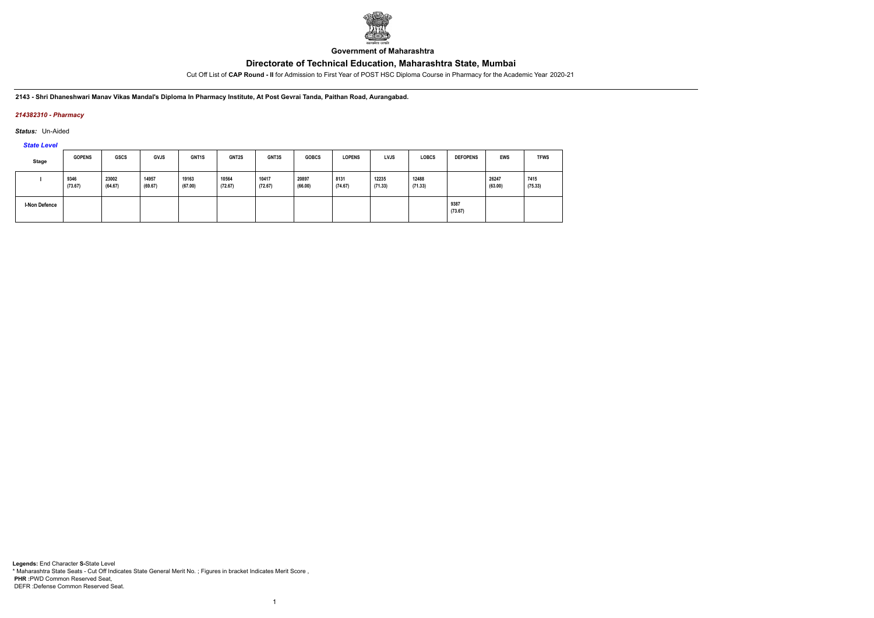

**Government of Maharashtra**

Cut Off List of **CAP Round - II** for Admission to First Year of POST HSC Diploma Course in Pharmacy for the Academic Year 2020-21

**2143 - Shri Dhaneshwari Manav Vikas Mandal's Diploma In Pharmacy Institute, At Post Gevrai Tanda, Paithan Road, Aurangabad.**

### *214382310 - Pharmacy*

*Status:* Un-Aided

*State Level*

| Stage         | <b>GOPENS</b>   | <b>GSCS</b>      | <b>GVJS</b>      | GNT <sub>1</sub> S | <b>GNT2S</b>     | GNT3S            | <b>GOBCS</b>     | <b>LOPENS</b>   | <b>LVJS</b>      | <b>LOBCS</b>     | <b>DEFOPENS</b> | <b>EWS</b>       | <b>TFWS</b>     |
|---------------|-----------------|------------------|------------------|--------------------|------------------|------------------|------------------|-----------------|------------------|------------------|-----------------|------------------|-----------------|
|               | 9346<br>(73.67) | 23002<br>(64.67) | 14957<br>(69.67) | 19163<br>(67.00)   | 10564<br>(72.67) | 10417<br>(72.67) | 20897<br>(66.00) | 8131<br>(74.67) | 12235<br>(71.33) | 12488<br>(71.33) |                 | 26247<br>(63.00) | 7415<br>(75.33) |
| I-Non Defence |                 |                  |                  |                    |                  |                  |                  |                 |                  |                  | 9387<br>(73.67) |                  |                 |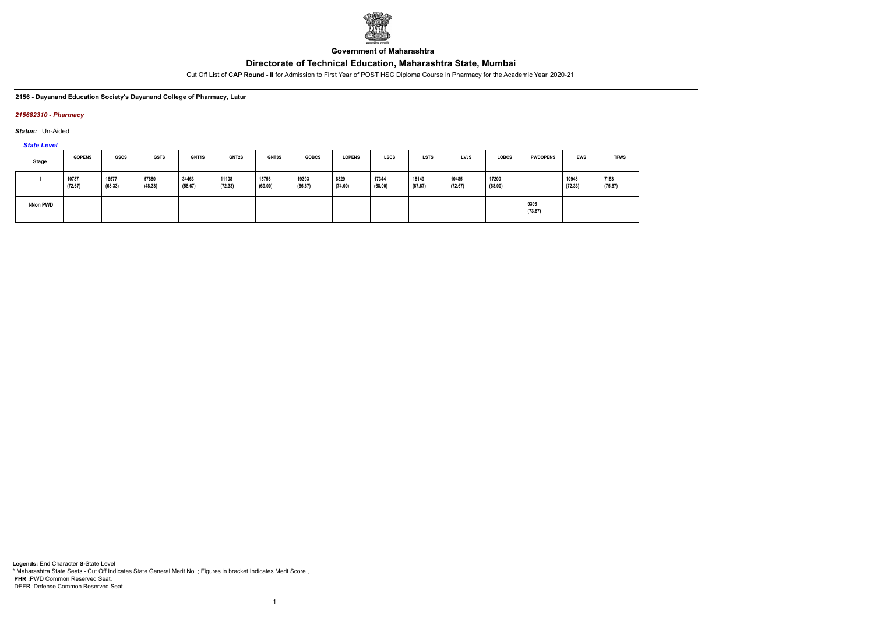

**Government of Maharashtra**

Cut Off List of **CAP Round - II** for Admission to First Year of POST HSC Diploma Course in Pharmacy for the Academic Year 2020-21

#### **2156 - Dayanand Education Society's Dayanand College of Pharmacy, Latur**

#### *215682310 - Pharmacy*

*Status:* Un-Aided

*State Level*

| <b>Stage</b>     | <b>GOPENS</b>    | <b>GSCS</b>      | <b>GSTS</b>      | GNT1S            | GNT2S            | GNT3S            | <b>GOBCS</b>     | <b>LOPENS</b>   | <b>LSCS</b>      | <b>LSTS</b>      | <b>LVJS</b>      | <b>LOBCS</b>     | <b>PWDOPENS</b> | <b>EWS</b>       | <b>TFWS</b>     |
|------------------|------------------|------------------|------------------|------------------|------------------|------------------|------------------|-----------------|------------------|------------------|------------------|------------------|-----------------|------------------|-----------------|
|                  | 10787<br>(72.67) | 16577<br>(68.33) | 57880<br>(48.33) | 34463<br>(58.67) | 11108<br>(72.33) | 15756<br>(69.00) | 19393<br>(66.67) | 8829<br>(74.00) | 17344<br>(68.00) | 18149<br>(67.67) | 10485<br>(72.67) | 17200<br>(68.00) |                 | 10948<br>(72.33) | 7153<br>(75.67) |
| <b>I-Non PWD</b> |                  |                  |                  |                  |                  |                  |                  |                 |                  |                  |                  |                  | 9396<br>(73.67) |                  |                 |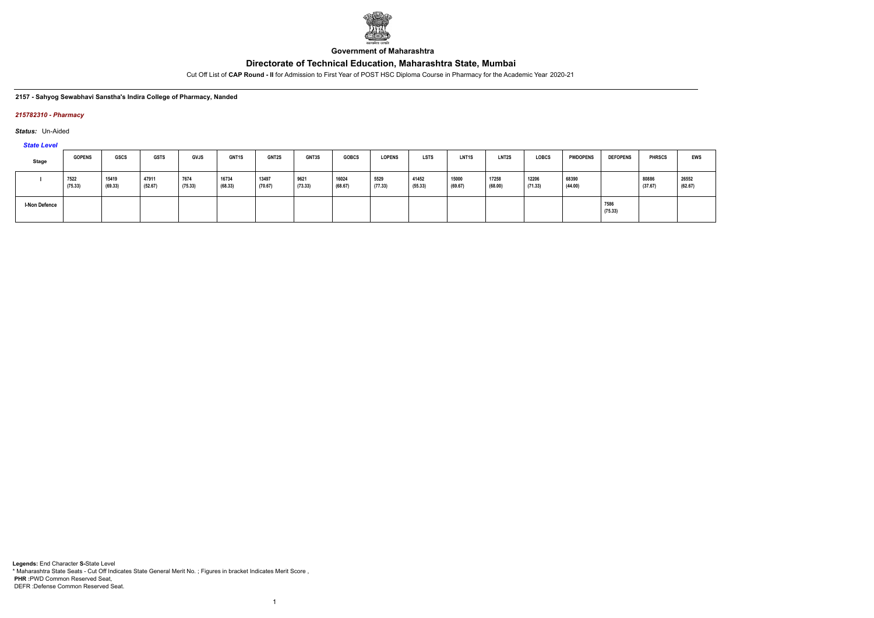

**Government of Maharashtra**

Cut Off List of **CAP Round - II** for Admission to First Year of POST HSC Diploma Course in Pharmacy for the Academic Year 2020-21

#### **2157 - Sahyog Sewabhavi Sanstha's Indira College of Pharmacy, Nanded**

#### *215782310 - Pharmacy*

*Status:* Un-Aided

*State Level*

| Stage                | <b>GOPENS</b>   | <b>GSCS</b>      | <b>GSTS</b>                          | <b>GVJS</b>     | <b>GNT1S</b>     | <b>GNT2S</b>     | <b>GNT3S</b>    | <b>GOBCS</b>     | <b>LOPENS</b>   | <b>LSTS</b>      | <b>LNT1S</b>     | <b>LNT2S</b>     | <b>LOBCS</b>     | <b>PWDOPENS</b>  | <b>DEFOPENS</b> | <b>PHRSCS</b>    | <b>EWS</b>       |
|----------------------|-----------------|------------------|--------------------------------------|-----------------|------------------|------------------|-----------------|------------------|-----------------|------------------|------------------|------------------|------------------|------------------|-----------------|------------------|------------------|
|                      | 7522<br>(75.33) | 15419<br>(69.33) | 47911<br>and the contract<br>(52.67) | 7674<br>(75.33) | 16734<br>(68.33) | 13497<br>(70.67) | 9621<br>(73.33) | 16024<br>(68.67) | 5529<br>(77.33) | 41452<br>(55.33) | 15000<br>(69.67) | 17258<br>(68.00) | 12206<br>(71.33) | 68390<br>(44.00) |                 | 80886<br>(37.67) | 26552<br>(62.67) |
| <b>I-Non Defence</b> |                 |                  |                                      |                 |                  |                  |                 |                  |                 |                  |                  |                  |                  |                  | 7586<br>(75.33) |                  |                  |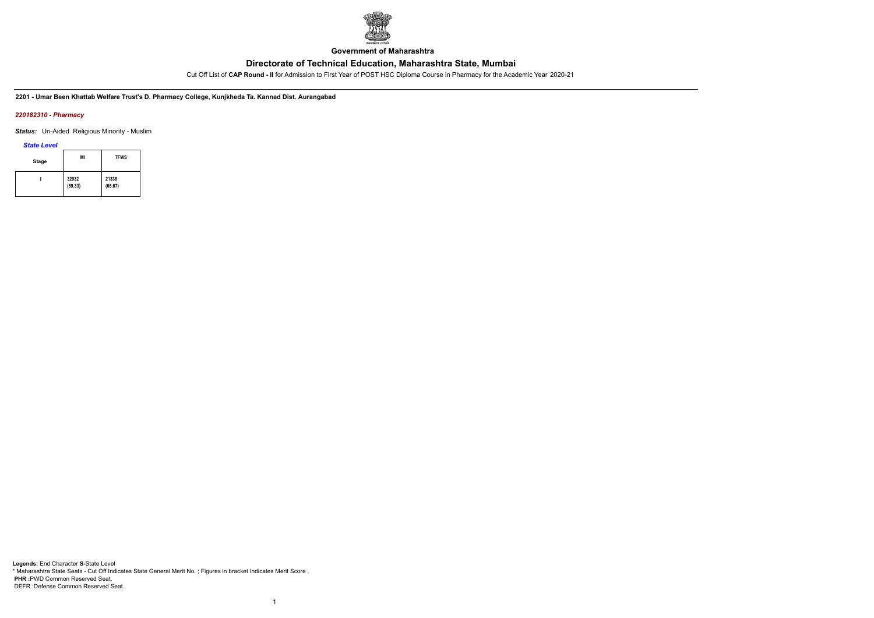

**Government of Maharashtra**

Cut Off List of **CAP Round - II** for Admission to First Year of POST HSC Diploma Course in Pharmacy for the Academic Year 2020-21

**2201 - Umar Been Khattab Welfare Trust's D. Pharmacy College, Kunjkheda Ta. Kannad Dist. Aurangabad**

#### *220182310 - Pharmacy*

*Status:* Un-Aided Religious Minority - Muslim

*State Level*

| <b>Stage</b> | ΜI               | <b>TFWS</b>      |
|--------------|------------------|------------------|
|              | 32932<br>(59.33) | 21338<br>(65.67) |

1

**Legends:** End Character **S-**State Level \* Maharashtra State Seats - Cut Off Indicates State General Merit No. ; Figures in bracket Indicates Merit Score , **PHR :**PWD Common Reserved Seat, DEFR :Defense Common Reserved Seat.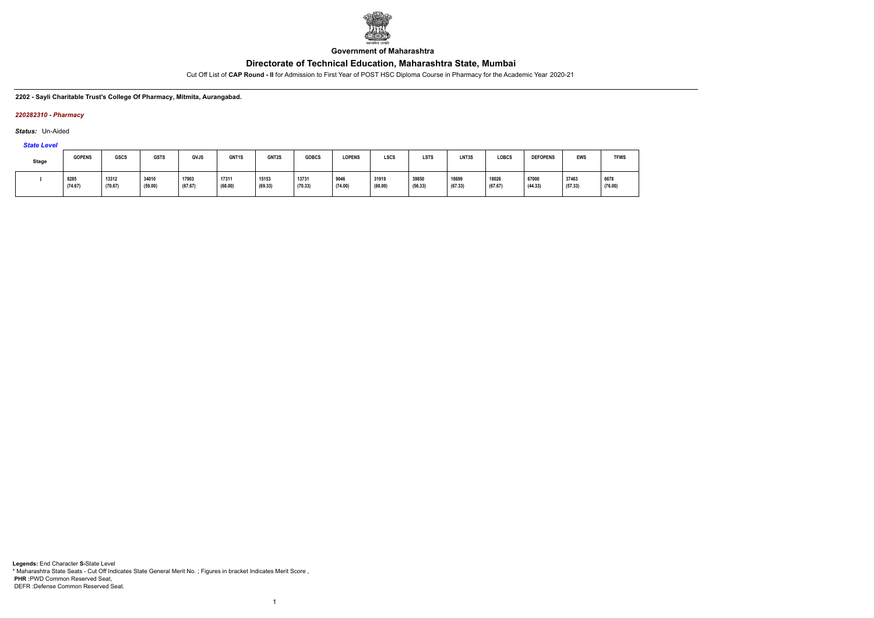

**Government of Maharashtra**

Cut Off List of **CAP Round - II** for Admission to First Year of POST HSC Diploma Course in Pharmacy for the Academic Year 2020-21

#### **2202 - Sayli Charitable Trust's College Of Pharmacy, Mitmita, Aurangabad.**

#### *220282310 - Pharmacy*

*Status:* Un-Aided

# *State Level*

| Stage | <b>GOPENS</b>   | GSCS                              | <b>GSTS</b>      | <b>GVJS</b>      | GNT1S            | GNT2S            | <b>GOBCS</b>     | <b>LOPENS</b>   | <b>LSCS</b>      | <b>LSTS</b>      | LNT3S            | <b>LOBCS</b>     | <b>DEFOPENS</b>       | <b>EWS</b>       | <b>TFWS</b>     |
|-------|-----------------|-----------------------------------|------------------|------------------|------------------|------------------|------------------|-----------------|------------------|------------------|------------------|------------------|-----------------------|------------------|-----------------|
|       | 8285<br>(74.67) | 13312<br>$\sim$ $\sim$<br>(70.67) | 34010<br>(59.00) | 17903<br>(67.67) | 17311<br>(68.00) | 15153<br>(69.33) | 13731<br>(70.33) | 9046<br>(74.00) | 31919<br>(60.00) | 39850<br>(56.33) | 18699<br>(67.33) | 18026<br>(67.67) | 67000<br>.<br>(44.33) | 37463<br>(57.33) | 6678<br>(76.00) |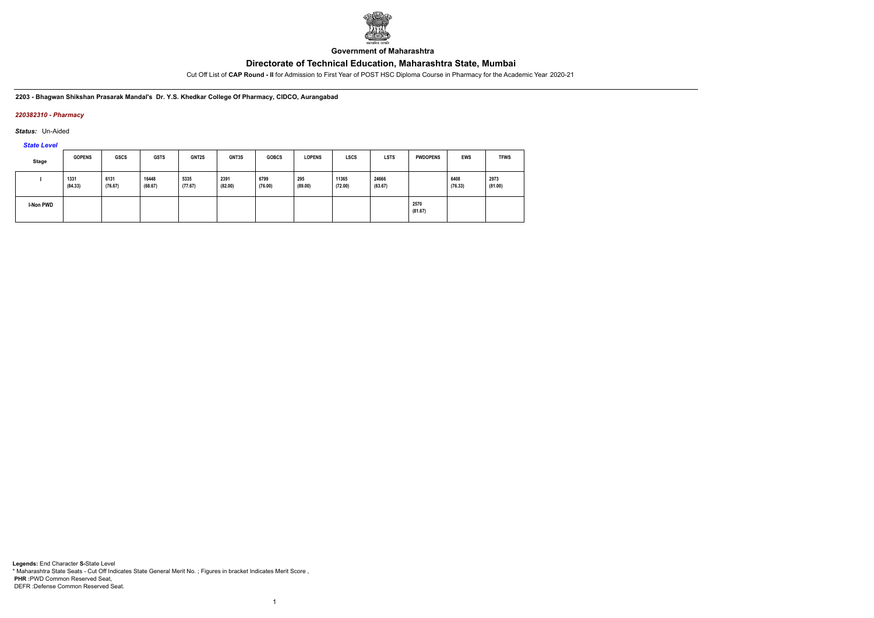

**Government of Maharashtra**

Cut Off List of **CAP Round - II** for Admission to First Year of POST HSC Diploma Course in Pharmacy for the Academic Year 2020-21

**2203 - Bhagwan Shikshan Prasarak Mandal's Dr. Y.S. Khedkar College Of Pharmacy, CIDCO, Aurangabad**

### *220382310 - Pharmacy*

*Status:* Un-Aided

*State Level*

| <b>Stage</b> | <b>GOPENS</b>   | <b>GSCS</b>     | <b>GSTS</b>      | GNT2S           | GNT3S           | <b>GOBCS</b>    | <b>LOPENS</b>  | <b>LSCS</b>      | <b>LSTS</b>      | <b>PWDOPENS</b> | EWS             | <b>TFWS</b>     |
|--------------|-----------------|-----------------|------------------|-----------------|-----------------|-----------------|----------------|------------------|------------------|-----------------|-----------------|-----------------|
|              | 1331<br>(84.33) | 6131<br>(76.67) | 16448<br>(68.67) | 5335<br>(77.67) | 2391<br>(82.00) | 6799<br>(76.00) | 295<br>(89.00) | 11365<br>(72.00) | 24666<br>(63.67) |                 | 6408<br>(76.33) | 2973<br>(81.00) |
| I-Non PWD    |                 |                 |                  |                 |                 |                 |                |                  |                  | 2570<br>(81.67) |                 |                 |

1

**Legends:** End Character **S-**State Level \* Maharashtra State Seats - Cut Off Indicates State General Merit No. ; Figures in bracket Indicates Merit Score , **PHR :**PWD Common Reserved Seat, DEFR :Defense Common Reserved Seat.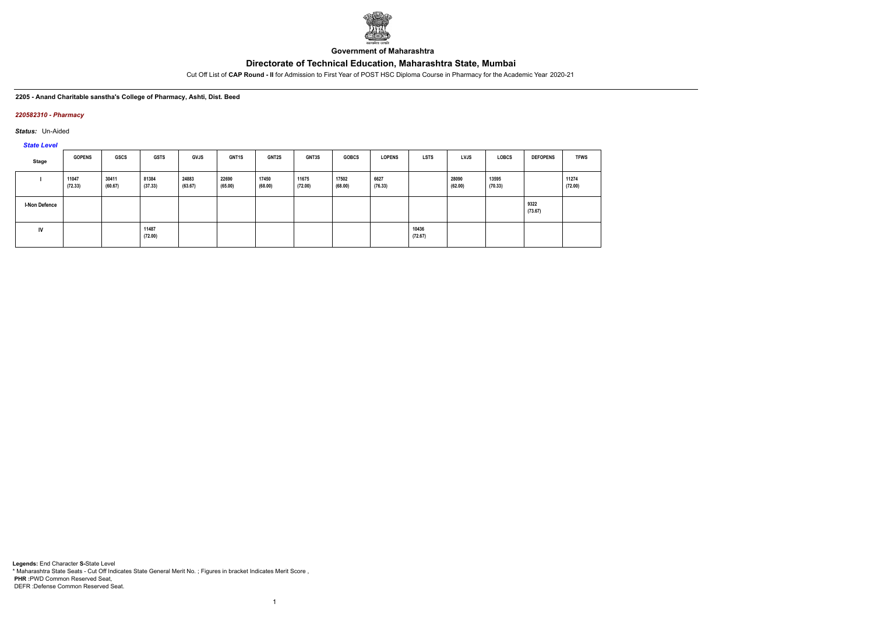

**Government of Maharashtra**

Cut Off List of **CAP Round - II** for Admission to First Year of POST HSC Diploma Course in Pharmacy for the Academic Year 2020-21

#### **2205 - Anand Charitable sanstha's College of Pharmacy, Ashti, Dist. Beed**

#### *220582310 - Pharmacy*

*Status:* Un-Aided

# *State Level*

| Stage                | <b>GOPENS</b>    | GSCS             | <b>GSTS</b>      | <b>GVJS</b>      | <b>GNT1S</b>     | <b>GNT2S</b>     | <b>GNT3S</b>     | <b>GOBCS</b>     | <b>LOPENS</b>   | <b>LSTS</b>      | <b>LVJS</b>      | <b>LOBCS</b>     | <b>DEFOPENS</b> | <b>TFWS</b>      |
|----------------------|------------------|------------------|------------------|------------------|------------------|------------------|------------------|------------------|-----------------|------------------|------------------|------------------|-----------------|------------------|
|                      | 11047<br>(72.33) | 30411<br>(60.67) | 81384<br>(37.33) | 24883<br>(63.67) | 22690<br>(65.00) | 17450<br>(68.00) | 11675<br>(72.00) | 17502<br>(68.00) | 6627<br>(76.33) |                  | 28090<br>(62.00) | 13595<br>(70.33) |                 | 11274<br>(72.00) |
| <b>I-Non Defence</b> |                  |                  |                  |                  |                  |                  |                  |                  |                 |                  |                  |                  | 9322<br>(73.67) |                  |
| IV                   |                  |                  | 11487<br>(72.00) |                  |                  |                  |                  |                  |                 | 10436<br>(72.67) |                  |                  |                 |                  |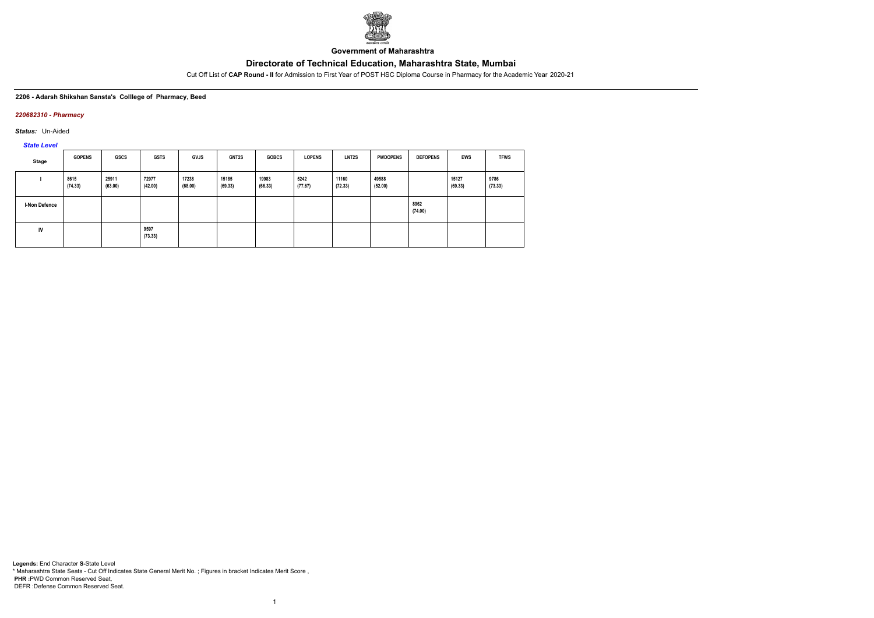

**Government of Maharashtra**

Cut Off List of **CAP Round - II** for Admission to First Year of POST HSC Diploma Course in Pharmacy for the Academic Year 2020-21

#### **2206 - Adarsh Shikshan Sansta's Colllege of Pharmacy, Beed**

#### *220682310 - Pharmacy*

*Status:* Un-Aided

*State Level*

| Stage         | <b>GOPENS</b>   | <b>GSCS</b>      | <b>GSTS</b>      | <b>GVJS</b>      | <b>GNT2S</b>     | <b>GOBCS</b>     | <b>LOPENS</b>   | <b>LNT2S</b>     | <b>PWDOPENS</b>  | <b>DEFOPENS</b> | <b>EWS</b>       | <b>TFWS</b>     |
|---------------|-----------------|------------------|------------------|------------------|------------------|------------------|-----------------|------------------|------------------|-----------------|------------------|-----------------|
|               | 8615<br>(74.33) | 25911<br>(63.00) | 72977<br>(42.00) | 17238<br>(68.00) | 15185<br>(69.33) | 19983<br>(66.33) | 5242<br>(77.67) | 11160<br>(72.33) | 49588<br>(52.00) |                 | 15127<br>(69.33) | 9786<br>(73.33) |
| I-Non Defence |                 |                  |                  |                  |                  |                  |                 |                  |                  | 8962<br>(74.00) |                  |                 |
| IV            |                 |                  | 9597<br>(73.33)  |                  |                  |                  |                 |                  |                  |                 |                  |                 |

1

**Legends:** End Character **S-**State Level \* Maharashtra State Seats - Cut Off Indicates State General Merit No. ; Figures in bracket Indicates Merit Score , **PHR :**PWD Common Reserved Seat, DEFR :Defense Common Reserved Seat.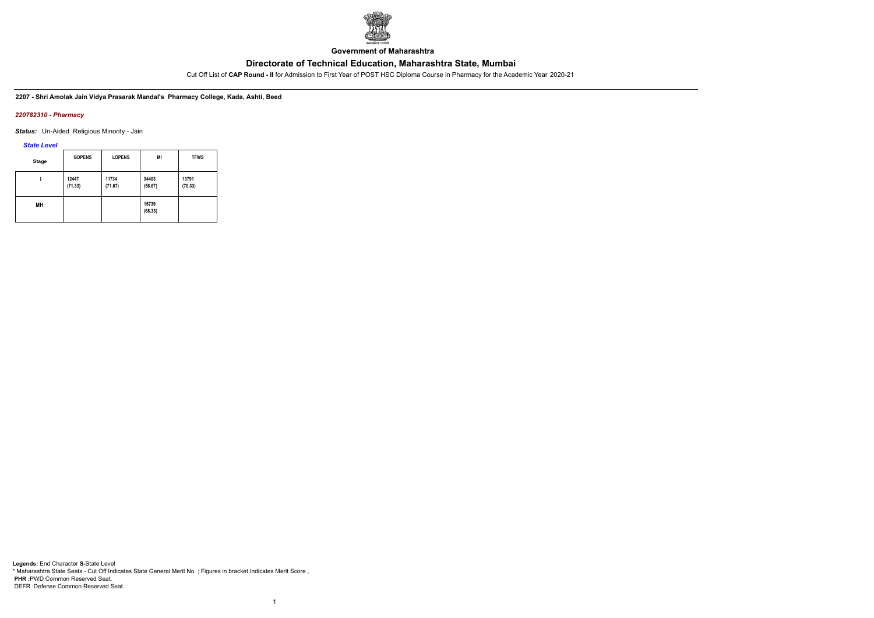

**Government of Maharashtra**

Cut Off List of **CAP Round - II** for Admission to First Year of POST HSC Diploma Course in Pharmacy for the Academic Year 2020-21

**2207 - Shri Amolak Jain Vidya Prasarak Mandal's Pharmacy College, Kada, Ashti, Beed**

#### *220782310 - Pharmacy*

*Status:* Un-Aided Religious Minority - Jain

*State Level*

| <b>Stage</b> | <b>GOPENS</b>    | <b>LOPENS</b>    | MI               | <b>TFWS</b>      |
|--------------|------------------|------------------|------------------|------------------|
|              | 12447<br>(71.33) | 11734<br>(71.67) | 34403<br>(58.67) | 13791<br>(70.33) |
| MН           |                  |                  | 16739<br>(68.33) |                  |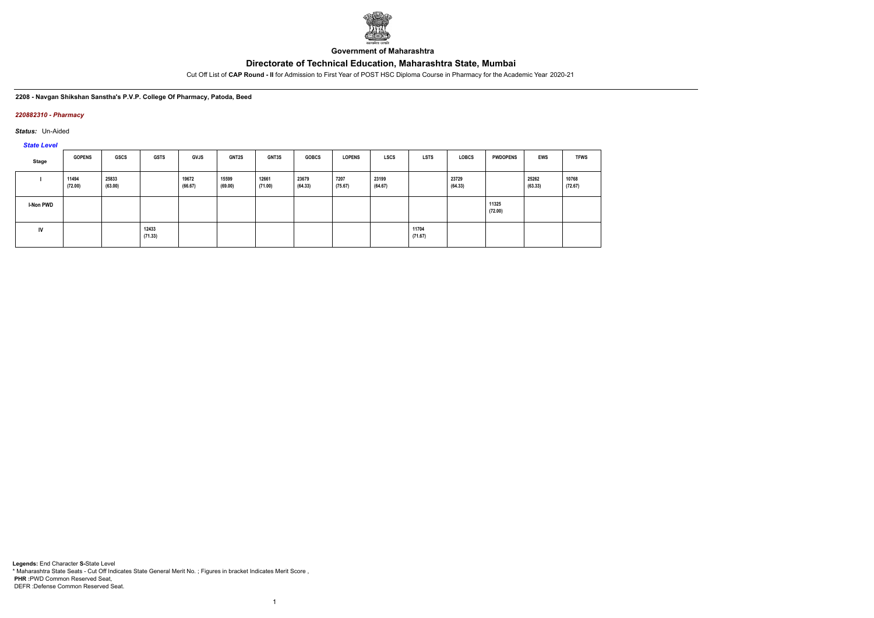

**Government of Maharashtra**

Cut Off List of **CAP Round - II** for Admission to First Year of POST HSC Diploma Course in Pharmacy for the Academic Year 2020-21

**2208 - Navgan Shikshan Sanstha's P.V.P. College Of Pharmacy, Patoda, Beed**

#### *220882310 - Pharmacy*

*Status:* Un-Aided

*State Level*

| Stage            | <b>GOPENS</b>    | GSCS             | <b>GSTS</b>      | <b>GVJS</b>      | <b>GNT2S</b>     | <b>GNT3S</b>     | <b>GOBCS</b>     | <b>LOPENS</b>   | LSCS             | <b>LSTS</b>      | <b>LOBCS</b>     | <b>PWDOPENS</b>  | <b>EWS</b>       | <b>TFWS</b>      |
|------------------|------------------|------------------|------------------|------------------|------------------|------------------|------------------|-----------------|------------------|------------------|------------------|------------------|------------------|------------------|
|                  | 11494<br>(72.00) | 25833<br>(63.00) |                  | 19672<br>(66.67) | 15599<br>(69.00) | 12661<br>(71.00) | 23679<br>(64.33) | 7207<br>(75.67) | 23199<br>(64.67) |                  | 23729<br>(64.33) |                  | 25262<br>(63.33) | 10768<br>(72.67) |
| <b>I-Non PWD</b> |                  |                  |                  |                  |                  |                  |                  |                 |                  |                  |                  | 11325<br>(72.00) |                  |                  |
| IV               |                  |                  | 12433<br>(71.33) |                  |                  |                  |                  |                 |                  | 11704<br>(71.67) |                  |                  |                  |                  |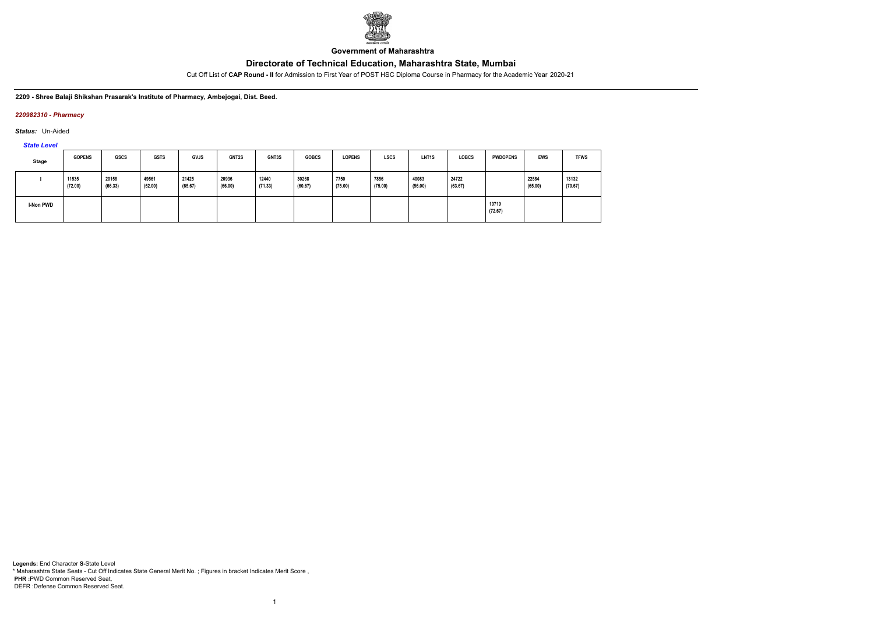

**Government of Maharashtra**

Cut Off List of **CAP Round - II** for Admission to First Year of POST HSC Diploma Course in Pharmacy for the Academic Year 2020-21

**2209 - Shree Balaji Shikshan Prasarak's Institute of Pharmacy, Ambejogai, Dist. Beed.**

### *220982310 - Pharmacy*

*Status:* Un-Aided

*State Level*

| Stage     | <b>GOPENS</b>    | <b>GSCS</b>      | <b>GSTS</b>      | <b>GVJS</b>      | <b>GNT2S</b>     | GNT3S            | <b>GOBCS</b>     | <b>LOPENS</b>   | <b>LSCS</b>     | LNT <sub>1</sub> S | <b>LOBCS</b>     | <b>PWDOPENS</b>  | <b>EWS</b>       | <b>TFWS</b>      |
|-----------|------------------|------------------|------------------|------------------|------------------|------------------|------------------|-----------------|-----------------|--------------------|------------------|------------------|------------------|------------------|
|           | 11535<br>(72.00) | 20158<br>(66.33) | 49561<br>(52.00) | 21425<br>(65.67) | 20936<br>(66.00) | 12440<br>(71.33) | 30268<br>(60.67) | 7750<br>(75.00) | 7856<br>(75.00) | 40083<br>(56.00)   | 24722<br>(63.67) |                  | 22584<br>(65.00) | 13132<br>(70.67) |
| I-Non PWD |                  |                  |                  |                  |                  |                  |                  |                 |                 |                    |                  | 10719<br>(72.67) |                  |                  |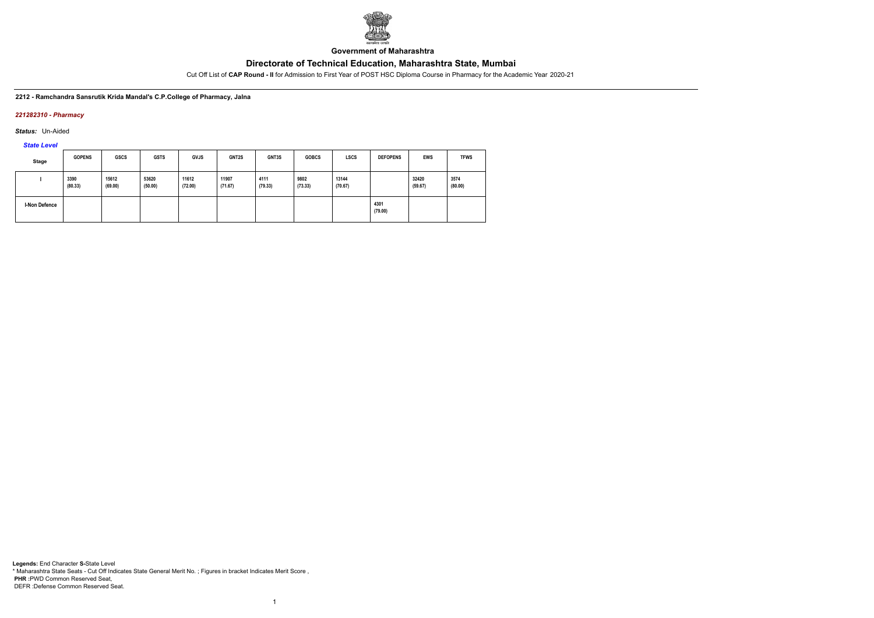

**Government of Maharashtra**

Cut Off List of **CAP Round - II** for Admission to First Year of POST HSC Diploma Course in Pharmacy for the Academic Year 2020-21

#### **2212 - Ramchandra Sansrutik Krida Mandal's C.P.College of Pharmacy, Jalna**

#### *221282310 - Pharmacy*

*Status:* Un-Aided

*State Level*

| <b>Stage</b>         | <b>GOPENS</b>   | <b>GSCS</b>      | <b>GSTS</b>      | <b>GVJS</b>      | GNT2S            | GNT3S           | <b>GOBCS</b>    | <b>LSCS</b>      | <b>DEFOPENS</b> | <b>EWS</b>       | <b>TFWS</b>     |
|----------------------|-----------------|------------------|------------------|------------------|------------------|-----------------|-----------------|------------------|-----------------|------------------|-----------------|
|                      | 3390<br>(80.33) | 15612<br>(69.00) | 53620<br>(50.00) | 11612<br>(72.00) | 11907<br>(71.67) | 4111<br>(79.33) | 9802<br>(73.33) | 13144<br>(70.67) |                 | 32420<br>(59.67) | 3574<br>(80.00) |
| <b>I-Non Defence</b> |                 |                  |                  |                  |                  |                 |                 |                  | 4301<br>(79.00) |                  |                 |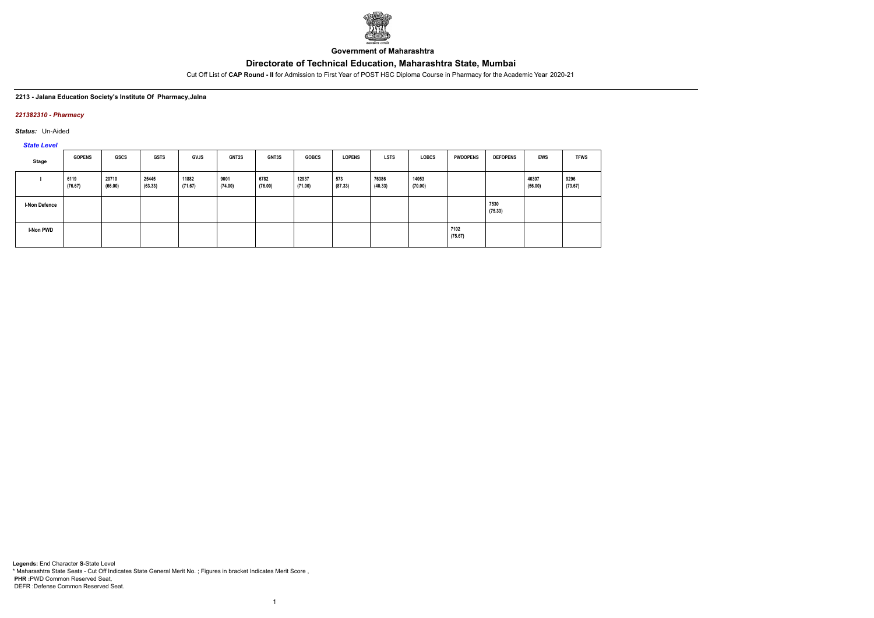

**Government of Maharashtra**

Cut Off List of **CAP Round - II** for Admission to First Year of POST HSC Diploma Course in Pharmacy for the Academic Year 2020-21

#### **2213 - Jalana Education Society's Institute Of Pharmacy,Jalna**

#### *221382310 - Pharmacy*

*Status:* Un-Aided

# *State Level*

| Stage            | <b>GOPENS</b>   | <b>GSCS</b>      | <b>GSTS</b>      | <b>GVJS</b>      | <b>GNT2S</b>    | GNT3S           | <b>GOBCS</b>     | <b>LOPENS</b>  | <b>LSTS</b>      | <b>LOBCS</b>     | <b>PWDOPENS</b> | <b>DEFOPENS</b> | <b>EWS</b>       | <b>TFWS</b>     |
|------------------|-----------------|------------------|------------------|------------------|-----------------|-----------------|------------------|----------------|------------------|------------------|-----------------|-----------------|------------------|-----------------|
|                  | 6119<br>(76.67) | 20710<br>(66.00) | 25445<br>(63.33) | 11882<br>(71.67) | 9001<br>(74.00) | 6782<br>(76.00) | 12937<br>(71.00) | 573<br>(87.33) | 76386<br>(40.33) | 14053<br>(70.00) |                 |                 | 40307<br>(56.00) | 9296<br>(73.67) |
| I-Non Defence    |                 |                  |                  |                  |                 |                 |                  |                |                  |                  |                 | 7530<br>(75.33) |                  |                 |
| <b>I-Non PWD</b> |                 |                  |                  |                  |                 |                 |                  |                |                  |                  | 7102<br>(75.67) |                 |                  |                 |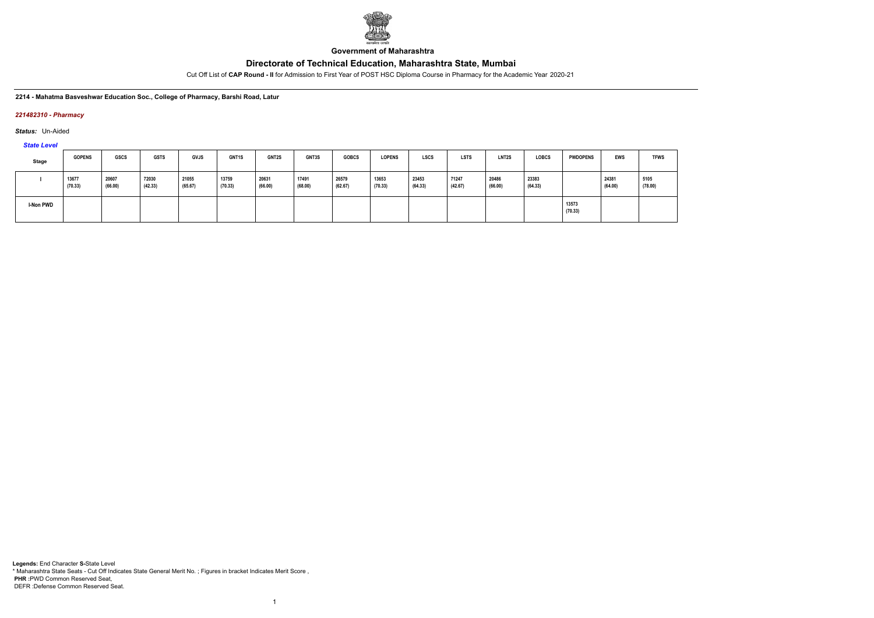

**Government of Maharashtra**

Cut Off List of **CAP Round - II** for Admission to First Year of POST HSC Diploma Course in Pharmacy for the Academic Year 2020-21

**2214 - Mahatma Basveshwar Education Soc., College of Pharmacy, Barshi Road, Latur**

### *221482310 - Pharmacy*

*Status:* Un-Aided

*State Level*

| Stage     | <b>GOPENS</b>    | <b>GSCS</b>      | <b>GSTS</b>      | <b>GVJS</b>      | <b>GNT1S</b>     | <b>GNT2S</b>     | GNT3S            | <b>GOBCS</b>     | <b>LOPENS</b>    | <b>LSCS</b>      | <b>LSTS</b>      | <b>LNT2S</b>     | <b>LOBCS</b>     | <b>PWDOPENS</b>  | EWS              | <b>TFWS</b>     |
|-----------|------------------|------------------|------------------|------------------|------------------|------------------|------------------|------------------|------------------|------------------|------------------|------------------|------------------|------------------|------------------|-----------------|
|           | 13677<br>(70.33) | 20607<br>(66.00) | 72030<br>(42.33) | 21055<br>(65.67) | 13759<br>(70.33) | 20631<br>(66.00) | 17491<br>(68.00) | 26579<br>(62.67) | 13653<br>(70.33) | 23453<br>(64.33) | 71247<br>(42.67) | 20486<br>(66.00) | 23383<br>(64.33) |                  | 24381<br>(64.00) | 5105<br>(78.00) |
| I-Non PWD |                  |                  |                  |                  |                  |                  |                  |                  |                  |                  |                  |                  |                  | 13573<br>(70.33) |                  |                 |

1



**Legends:** End Character **S-**State Level \* Maharashtra State Seats - Cut Off Indicates State General Merit No. ; Figures in bracket Indicates Merit Score , **PHR :**PWD Common Reserved Seat, DEFR :Defense Common Reserved Seat.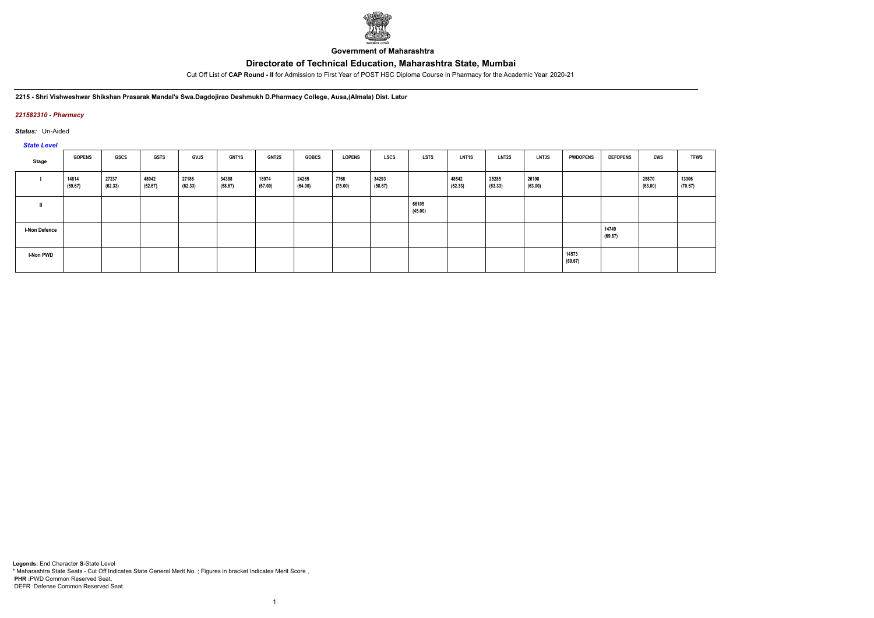

**Government of Maharashtra**

Cut Off List of **CAP Round - II** for Admission to First Year of POST HSC Diploma Course in Pharmacy for the Academic Year 2020-21

**2215 - Shri Vishweshwar Shikshan Prasarak Mandal's Swa.Dagdojirao Deshmukh D.Pharmacy College, Ausa,(Almala) Dist. Latur**

### *221582310 - Pharmacy*

*Status:* Un-Aided

### *State Level*

| <b>State Level</b>   |                  |                  |                  |                  |                  |                  |                  |                 |                  |                  |                  |                  |                  |                  |                  |                  |                  |
|----------------------|------------------|------------------|------------------|------------------|------------------|------------------|------------------|-----------------|------------------|------------------|------------------|------------------|------------------|------------------|------------------|------------------|------------------|
| Stage                | <b>GOPENS</b>    | <b>GSCS</b>      | <b>GSTS</b>      | <b>GVJS</b>      | <b>GNT1S</b>     | <b>GNT2S</b>     | <b>GOBCS</b>     | <b>LOPENS</b>   | <b>LSCS</b>      | <b>LSTS</b>      | <b>LNT1S</b>     | <b>LNT2S</b>     | LNT3S            | <b>PWDOPENS</b>  | <b>DEFOPENS</b>  | EWS              | <b>TFWS</b>      |
|                      | 14814<br>(69.67) | 27237<br>(62.33) | 48042<br>(52.67) | 27186<br>(62.33) | 34388<br>(58.67) | 18974<br>(67.00) | 24265<br>(64.00) | 7768<br>(75.00) | 34293<br>(58.67) |                  | 48542<br>(52.33) | 25285<br>(63.33) | 26198<br>(63.00) |                  |                  | 25870<br>(63.00) | 13306<br>(70.67) |
|                      |                  |                  |                  |                  |                  |                  |                  |                 |                  | 66105<br>(45.00) |                  |                  |                  |                  |                  |                  |                  |
| <b>I-Non Defence</b> |                  |                  |                  |                  |                  |                  |                  |                 |                  |                  |                  |                  |                  |                  | 14749<br>(69.67) |                  |                  |
| <b>I-Non PWD</b>     |                  |                  |                  |                  |                  |                  |                  |                 |                  |                  |                  |                  |                  | 14573<br>(69.67) |                  |                  |                  |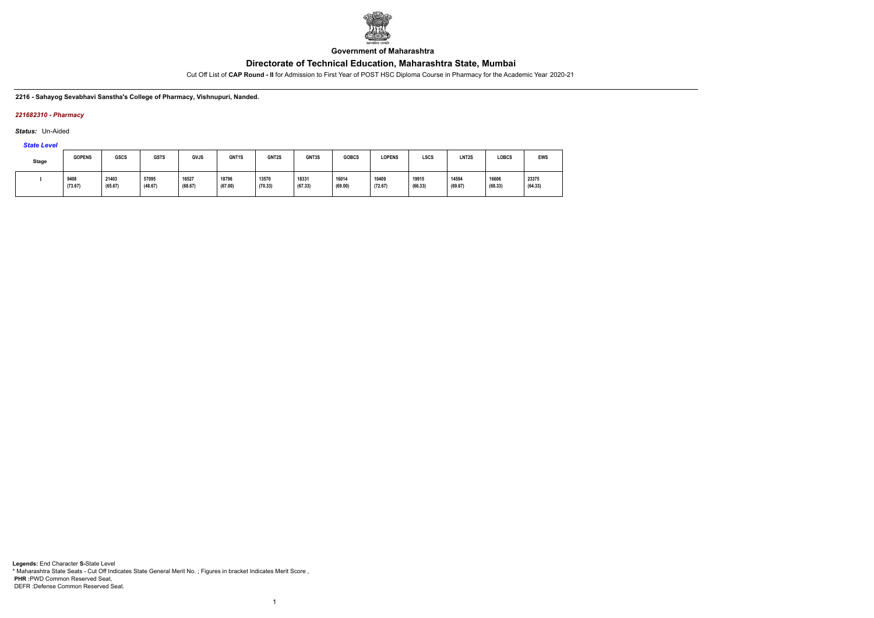

**Government of Maharashtra**

Cut Off List of **CAP Round - II** for Admission to First Year of POST HSC Diploma Course in Pharmacy for the Academic Year 2020-21

#### **2216 - Sahayog Sevabhavi Sanstha's College of Pharmacy, Vishnupuri, Nanded.**

### *221682310 - Pharmacy*

*Status:* Un-Aided

*State Level*

| <b>Stage</b> | <b>GOPENS</b> | <b>GSCS</b> | <b>GSTS</b> | <b>GVJS</b> | GNT1S   | GNT2S   | GNT3S   | <b>GOBCS</b> | <b>LOPENS</b> | LSCS    | <b>LNT2S</b> | <b>LOBCS</b> | <b>EWS</b> |
|--------------|---------------|-------------|-------------|-------------|---------|---------|---------|--------------|---------------|---------|--------------|--------------|------------|
|              | 9408          | 21403       | 57095       | 16527       | 18796   | 13570   | 18331   | 16014        | 10409         | 19915   | 14594        | 16606        | 23375      |
|              | (73.67)       | (65.67)     | (48.67)     | (68.67)     | (67.00) | (70.33) | (67.33) | (69.00)      | (72.67)       | (66.33) | (69.67)      | (68.33)      | (64.33)    |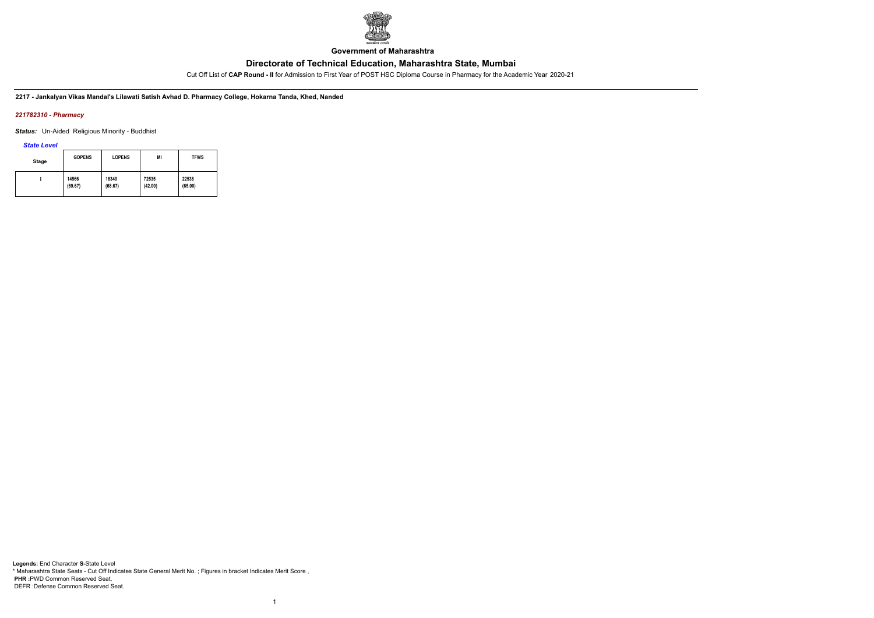

**Government of Maharashtra**

Cut Off List of **CAP Round - II** for Admission to First Year of POST HSC Diploma Course in Pharmacy for the Academic Year 2020-21

**2217 - Jankalyan Vikas Mandal's Lilawati Satish Avhad D. Pharmacy College, Hokarna Tanda, Khed, Nanded**

### *221782310 - Pharmacy*

*Status:* Un-Aided Religious Minority - Buddhist

*State Level*

| Stage | <b>GOPENS</b> | <b>LOPENS</b> | ΜI      | <b>TFWS</b> |
|-------|---------------|---------------|---------|-------------|
|       | 14566         | 16340         | 72535   | 22538       |
|       | (69.67)       | (68.67)       | (42.00) | (65.00)     |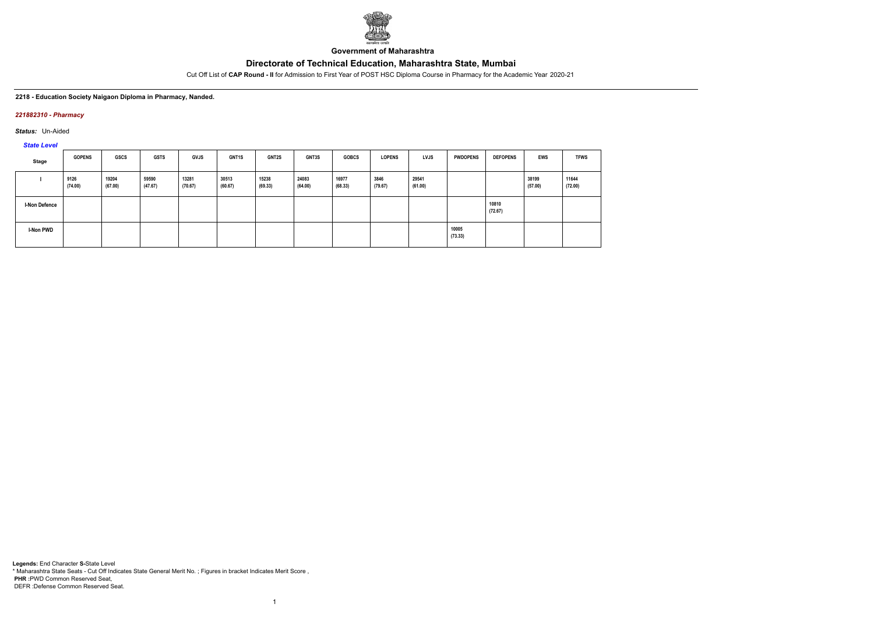

**Government of Maharashtra**

Cut Off List of **CAP Round - II** for Admission to First Year of POST HSC Diploma Course in Pharmacy for the Academic Year 2020-21

#### **2218 - Education Society Naigaon Diploma in Pharmacy, Nanded.**

#### *221882310 - Pharmacy*

*Status:* Un-Aided

*State Level*

| Stage                | <b>GOPENS</b>   | GSCS             | <b>GSTS</b>      | <b>GVJS</b>      | GNT1S            | GNT2S            | GNT3S            | <b>GOBCS</b>     | <b>LOPENS</b>   | <b>LVJS</b>      | <b>PWDOPENS</b>  | <b>DEFOPENS</b>  | <b>EWS</b>       | <b>TFWS</b>      |
|----------------------|-----------------|------------------|------------------|------------------|------------------|------------------|------------------|------------------|-----------------|------------------|------------------|------------------|------------------|------------------|
|                      | 9126<br>(74.00) | 19204<br>(67.00) | 59590<br>(47.67) | 13281<br>(70.67) | 30513<br>(60.67) | 15238<br>(69.33) | 24083<br>(64.00) | 16977<br>(68.33) | 3846<br>(79.67) | 29541<br>(61.00) |                  |                  | 38199<br>(57.00) | 11644<br>(72.00) |
| <b>I-Non Defence</b> |                 |                  |                  |                  |                  |                  |                  |                  |                 |                  |                  | 10810<br>(72.67) |                  |                  |
| I-Non PWD            |                 |                  |                  |                  |                  |                  |                  |                  |                 |                  | 10005<br>(73.33) |                  |                  |                  |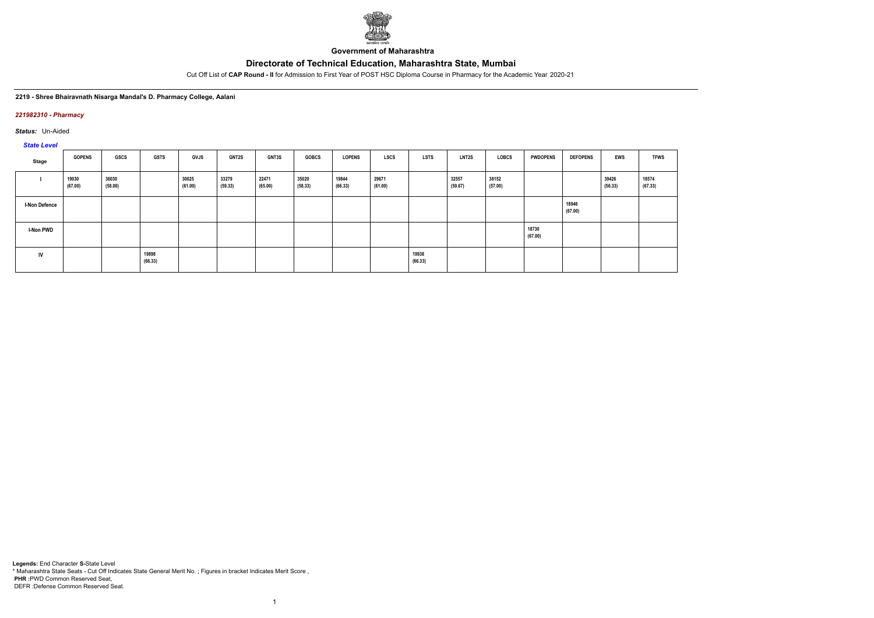

**Government of Maharashtra**

Cut Off List of **CAP Round - II** for Admission to First Year of POST HSC Diploma Course in Pharmacy for the Academic Year 2020-21

#### **2219 - Shree Bhairavnath Nisarga Mandal's D. Pharmacy College, Aalani**

#### *221982310 - Pharmacy*

*Status:* Un-Aided

# *State Level*

| Stage                | <b>GOPENS</b>    | GSCS             | <b>GSTS</b>      | <b>GVJS</b>      | <b>GNT2S</b>     | <b>GNT3S</b>     | <b>GOBCS</b>     | <b>LOPENS</b>    | <b>LSCS</b>      | <b>LSTS</b>      | <b>LNT2S</b>     | LOBCS            | <b>PWDOPENS</b>  | <b>DEFOPENS</b>  | <b>EWS</b>       | <b>TFWS</b>      |
|----------------------|------------------|------------------|------------------|------------------|------------------|------------------|------------------|------------------|------------------|------------------|------------------|------------------|------------------|------------------|------------------|------------------|
|                      | 19030<br>(67.00) | 36030<br>(58.00) |                  | 30025<br>(61.00) | 33279<br>(59.33) | 22471<br>(65.00) | 35020<br>(58.33) | 19844<br>(66.33) | 29671<br>(61.00) |                  | 32557<br>(59.67) | 38152<br>(57.00) |                  |                  | 39426<br>(56.33) | 18574<br>(67.33) |
| <b>I-Non Defence</b> |                  |                  |                  |                  |                  |                  |                  |                  |                  |                  |                  |                  |                  | 18946<br>(67.00) |                  |                  |
| <b>I-Non PWD</b>     |                  |                  |                  |                  |                  |                  |                  |                  |                  |                  |                  |                  | 18730<br>(67.00) |                  |                  |                  |
| IV                   |                  |                  | 19898<br>(66.33) |                  |                  |                  |                  |                  |                  | 19938<br>(66.33) |                  |                  |                  |                  |                  |                  |

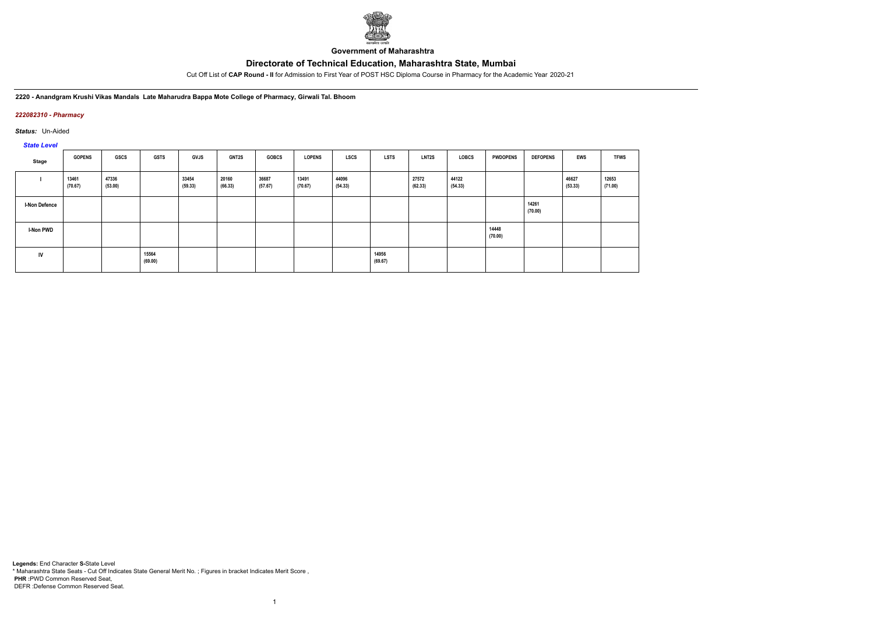

**Government of Maharashtra**

Cut Off List of **CAP Round - II** for Admission to First Year of POST HSC Diploma Course in Pharmacy for the Academic Year 2020-21

**2220 - Anandgram Krushi Vikas Mandals Late Maharudra Bappa Mote College of Pharmacy, Girwali Tal. Bhoom**

### *222082310 - Pharmacy*

*Status:* Un-Aided

*State Level*

| Stage                | <b>GOPENS</b>    | GSCS             | <b>GSTS</b>      | <b>GVJS</b>      | GNT2S            | <b>GOBCS</b>     | <b>LOPENS</b>    | LSCS             | <b>LSTS</b>      | LNT2S            | LOBCS            | <b>PWDOPENS</b>  | <b>DEFOPENS</b>  | <b>EWS</b>       | <b>TFWS</b>      |
|----------------------|------------------|------------------|------------------|------------------|------------------|------------------|------------------|------------------|------------------|------------------|------------------|------------------|------------------|------------------|------------------|
|                      | 13461<br>(70.67) | 47336<br>(53.00) |                  | 33454<br>(59.33) | 20160<br>(66.33) | 36687<br>(57.67) | 13491<br>(70.67) | 44096<br>(54.33) |                  | 27572<br>(62.33) | 44122<br>(54.33) |                  |                  | 46627<br>(53.33) | 12653<br>(71.00) |
| <b>I-Non Defence</b> |                  |                  |                  |                  |                  |                  |                  |                  |                  |                  |                  |                  | 14261<br>(70.00) |                  |                  |
| <b>I-Non PWD</b>     |                  |                  |                  |                  |                  |                  |                  |                  |                  |                  |                  | 14448<br>(70.00) |                  |                  |                  |
| IV                   |                  |                  | 15564<br>(69.00) |                  |                  |                  |                  |                  | 14956<br>(69.67) |                  |                  |                  |                  |                  |                  |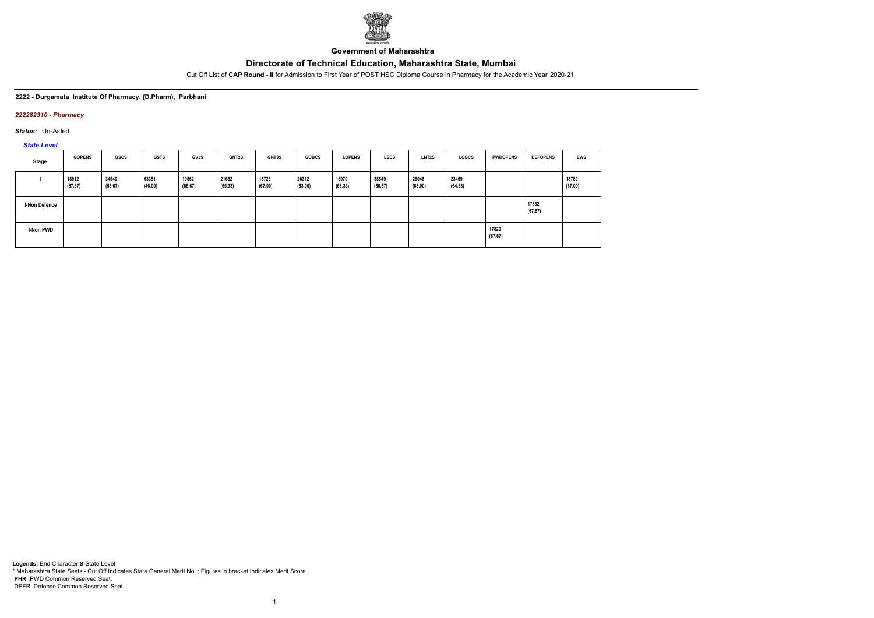

**Government of Maharashtra**

Cut Off List of **CAP Round - II** for Admission to First Year of POST HSC Diploma Course in Pharmacy for the Academic Year 2020-21

**2222 - Durgamata Institute Of Pharmacy, (D.Pharm), Parbhani**

### *222282310 - Pharmacy*

*Status:* Un-Aided

*State Level*

| Stage                | <b>GOPENS</b>    | GSCS             | <b>GSTS</b>      | <b>GVJS</b>      | <b>GNT2S</b>     | GNT3S            | <b>GOBCS</b>     | <b>LOPENS</b>    | LSCS             | LNT <sub>2</sub> S | <b>LOBCS</b>     | <b>PWDOPENS</b>  | <b>DEFOPENS</b>  | <b>EWS</b>       |
|----------------------|------------------|------------------|------------------|------------------|------------------|------------------|------------------|------------------|------------------|--------------------|------------------|------------------|------------------|------------------|
|                      | 18012<br>(67.67) | 34540<br>(58.67) | 63351<br>(46.00) | 19562<br>(66.67) | 21662<br>(65.33) | 18723<br>(67.00) | 26312<br>(63.00) | 16970<br>(68.33) | 38549<br>(56.67) | 26046<br>(63.00)   | 23459<br>(64.33) |                  |                  | 18789<br>(67.00) |
| <b>I-Non Defence</b> |                  |                  |                  |                  |                  |                  |                  |                  |                  |                    |                  |                  | 17882<br>(67.67) |                  |
| <b>I-Non PWD</b>     |                  |                  |                  |                  |                  |                  |                  |                  |                  |                    |                  | 17820<br>(67.67) |                  |                  |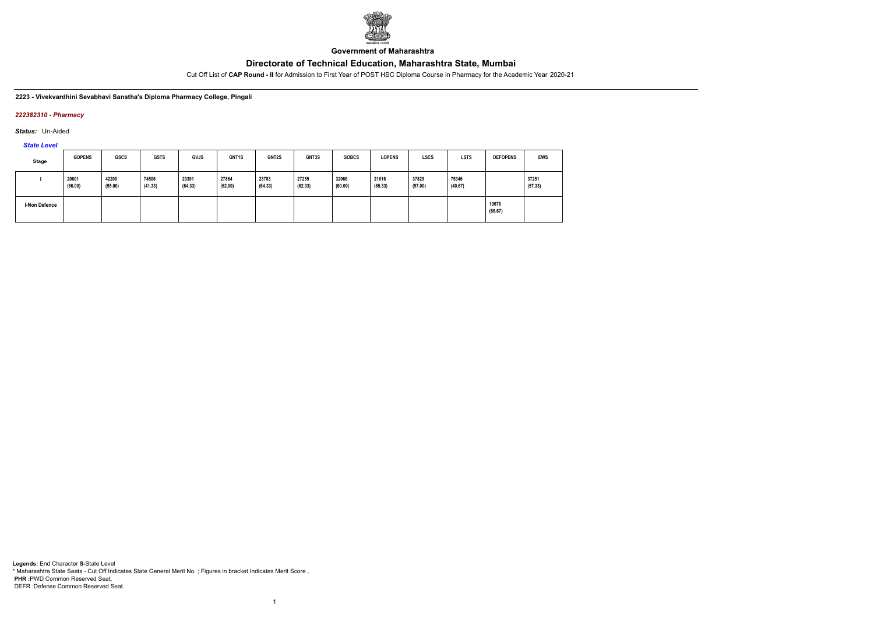

**Government of Maharashtra**

Cut Off List of **CAP Round - II** for Admission to First Year of POST HSC Diploma Course in Pharmacy for the Academic Year 2020-21

**2223 - Vivekvardhini Sevabhavi Sanstha's Diploma Pharmacy College, Pingali**

### *222382310 - Pharmacy*

*Status:* Un-Aided

*State Level*

| Stage                | <b>GOPENS</b>    | <b>GSCS</b>      | <b>GSTS</b>      | <b>GVJS</b>      | GNT1S            | <b>GNT2S</b>     | GNT3S            | <b>GOBCS</b>     | <b>LOPENS</b>    | <b>LSCS</b>      | <b>LSTS</b>      | <b>DEFOPENS</b>  | <b>EWS</b>       |
|----------------------|------------------|------------------|------------------|------------------|------------------|------------------|------------------|------------------|------------------|------------------|------------------|------------------|------------------|
|                      | 20601<br>(66.00) | 42200<br>(55.00) | 74506<br>(41.33) | 23391<br>(64.33) | 27864<br>(62.00) | 23783<br>(64.33) | 27255<br>(62.33) | 32066<br>(60.00) | 21616<br>(65.33) | 37829<br>(57.00) | 75346<br>(40.67) |                  | 37251<br>(57.33) |
| <b>I-Non Defence</b> |                  |                  |                  |                  |                  |                  |                  |                  |                  |                  |                  | 19678<br>(66.67) |                  |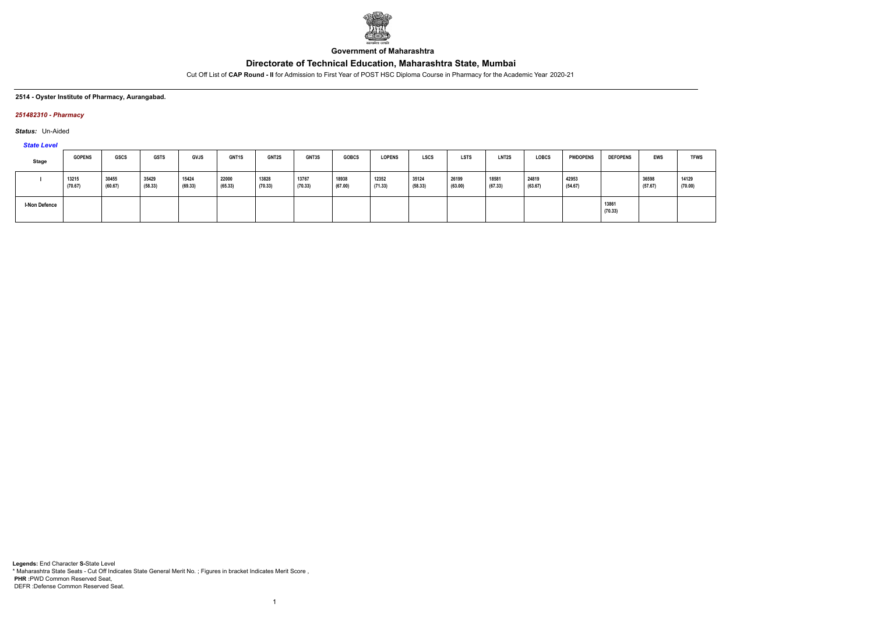

**Government of Maharashtra**

Cut Off List of **CAP Round - II** for Admission to First Year of POST HSC Diploma Course in Pharmacy for the Academic Year 2020-21

#### **2514 - Oyster Institute of Pharmacy, Aurangabad.**

### *251482310 - Pharmacy*

*Status:* Un-Aided

*State Level*

| <b>Stage</b>  | <b>GOPENS</b>    | <b>GSCS</b>      | <b>GSTS</b>      | <b>GVJS</b>      | GNT1S            | <b>GNT2S</b>     | <b>GNT3S</b>     | <b>GOBCS</b>     | <b>LOPENS</b>    | <b>LSCS</b>      | <b>LSTS</b>      | <b>LNT2S</b>     | <b>LOBCS</b>     | <b>PWDOPENS</b>  | <b>DEFOPENS</b>  | <b>EWS</b>       | <b>TFWS</b>      |
|---------------|------------------|------------------|------------------|------------------|------------------|------------------|------------------|------------------|------------------|------------------|------------------|------------------|------------------|------------------|------------------|------------------|------------------|
|               | 13215<br>(70.67) | 30455<br>(60.67) | 35429<br>(58.33) | 15424<br>(69.33) | 22000<br>(65.33) | 13828<br>(70.33) | 13767<br>(70.33) | 18938<br>(67.00) | 12352<br>(71.33) | 35124<br>(58.33) | 26199<br>(63.00) | 18581<br>(67.33) | 24819<br>(63.67) | 42953<br>(54.67) |                  | 36598<br>(57.67) | 14129<br>(70.00) |
| I-Non Defence |                  |                  |                  |                  |                  |                  |                  |                  |                  |                  |                  |                  |                  |                  | 13861<br>(70.33) |                  |                  |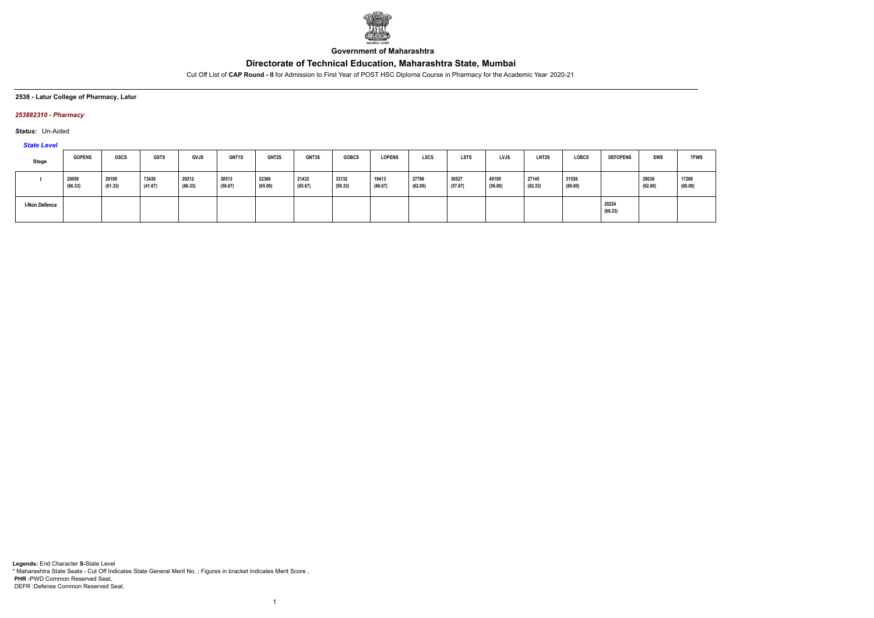

**Government of Maharashtra**

Cut Off List of **CAP Round - II** for Admission to First Year of POST HSC Diploma Course in Pharmacy for the Academic Year 2020-21

**2538 - Latur College of Pharmacy, Latur**

### *253882310 - Pharmacy*

*Status:* Un-Aided

*State Level*

| <b>Stage</b>  | <b>GOPENS</b>    | <b>GSCS</b>      | <b>GSTS</b>      | <b>GVJS</b>      | GNT1S            | <b>GNT2S</b>     | <b>GNT3S</b>     | <b>GOBCS</b>     | <b>LOPENS</b>    | <b>LSCS</b>      | <b>LSTS</b>      | <b>LVJS</b>      | LNT <sub>2</sub> S | <b>LOBCS</b>     | <b>DEFOPENS</b>  | <b>EWS</b>       | <b>TFWS</b>      |
|---------------|------------------|------------------|------------------|------------------|------------------|------------------|------------------|------------------|------------------|------------------|------------------|------------------|--------------------|------------------|------------------|------------------|------------------|
|               | 20050<br>(66.33) | 29100<br>(61.33) | 73430<br>(41.67) | 20212<br>(66.33) | 38513<br>(56.67) | 22366<br>(65.00) | 21432<br>(65.67) | 33132<br>(59.33) | 19413<br>(66.67) | 27786<br>(62.00) | 36527<br>(57.67) | 40100<br>(56.00) | 27145<br>(62.33)   | 31526<br>(60.00) |                  | 28036<br>(62.00) | 17268<br>(68.00) |
| I-Non Defence |                  |                  |                  |                  |                  |                  |                  |                  |                  |                  |                  |                  |                    |                  | 20224<br>(66.33) |                  |                  |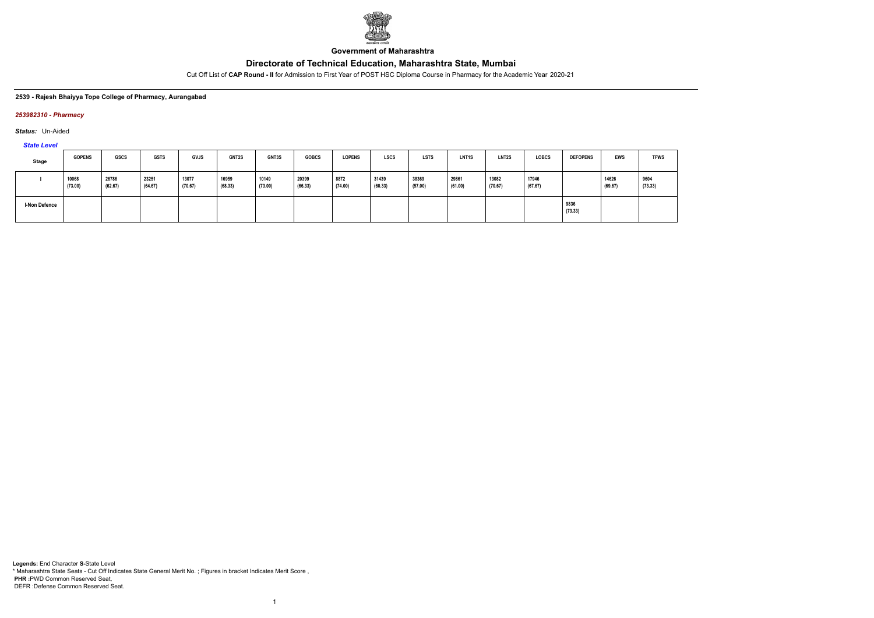

**Government of Maharashtra**

Cut Off List of **CAP Round - II** for Admission to First Year of POST HSC Diploma Course in Pharmacy for the Academic Year 2020-21

#### **2539 - Rajesh Bhaiyya Tope College of Pharmacy, Aurangabad**

#### *253982310 - Pharmacy*

*Status:* Un-Aided

*State Level*

| Stage                | <b>GOPENS</b>    | GSCS             | <b>GSTS</b>      | GVJS             | <b>GNT2S</b>     | GNT3S            | <b>GOBCS</b>     | <b>LOPENS</b>   | <b>LSCS</b>      | <b>LSTS</b>      | LNT <sub>1</sub> S | LNT2S            | <b>LOBCS</b>     | <b>DEFOPENS</b> | EWS              | <b>TFWS</b>     |
|----------------------|------------------|------------------|------------------|------------------|------------------|------------------|------------------|-----------------|------------------|------------------|--------------------|------------------|------------------|-----------------|------------------|-----------------|
|                      | 10068<br>(73.00) | 26786<br>(62.67) | 23251<br>(64.67) | 13077<br>(70.67) | 16959<br>(68.33) | 10149<br>(73.00) | 20399<br>(66.33) | 8872<br>(74.00) | 31439<br>(60.33) | 38369<br>(57.00) | 29861<br>(61.00)   | 13082<br>(70.67) | 17946<br>(67.67) |                 | 14626<br>(69.67) | 9604<br>(73.33) |
| <b>I-Non Defence</b> |                  |                  |                  |                  |                  |                  |                  |                 |                  |                  |                    |                  |                  | 9836<br>(73.33) |                  |                 |

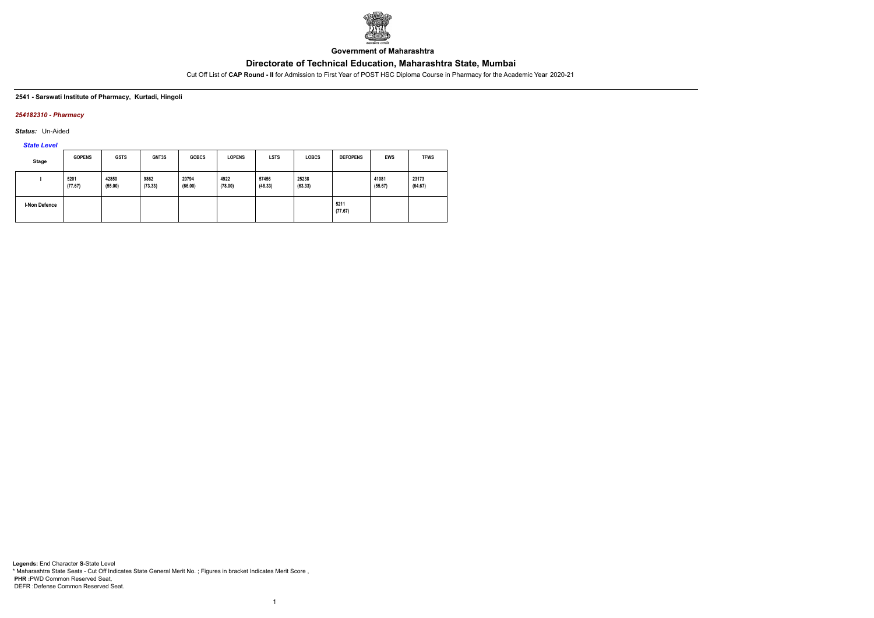

**Government of Maharashtra**

Cut Off List of **CAP Round - II** for Admission to First Year of POST HSC Diploma Course in Pharmacy for the Academic Year 2020-21

#### **2541 - Sarswati Institute of Pharmacy, Kurtadi, Hingoli**

### *254182310 - Pharmacy*

*Status:* Un-Aided

*State Level*

| <b>Stage</b>         | <b>GOPENS</b>   | <b>GSTS</b>      | GNT3S           | <b>GOBCS</b>     | <b>LOPENS</b>   | <b>LSTS</b>      | <b>LOBCS</b>     | <b>DEFOPENS</b> | <b>EWS</b>       | <b>TFWS</b>      |
|----------------------|-----------------|------------------|-----------------|------------------|-----------------|------------------|------------------|-----------------|------------------|------------------|
|                      | 5201<br>(77.67) | 42850<br>(55.00) | 9862<br>(73.33) | 20794<br>(66.00) | 4922<br>(78.00) | 57456<br>(48.33) | 25238<br>(63.33) |                 | 41081<br>(55.67) | 23173<br>(64.67) |
| <b>I-Non Defence</b> |                 |                  |                 |                  |                 |                  |                  | 5211<br>(77.67) |                  |                  |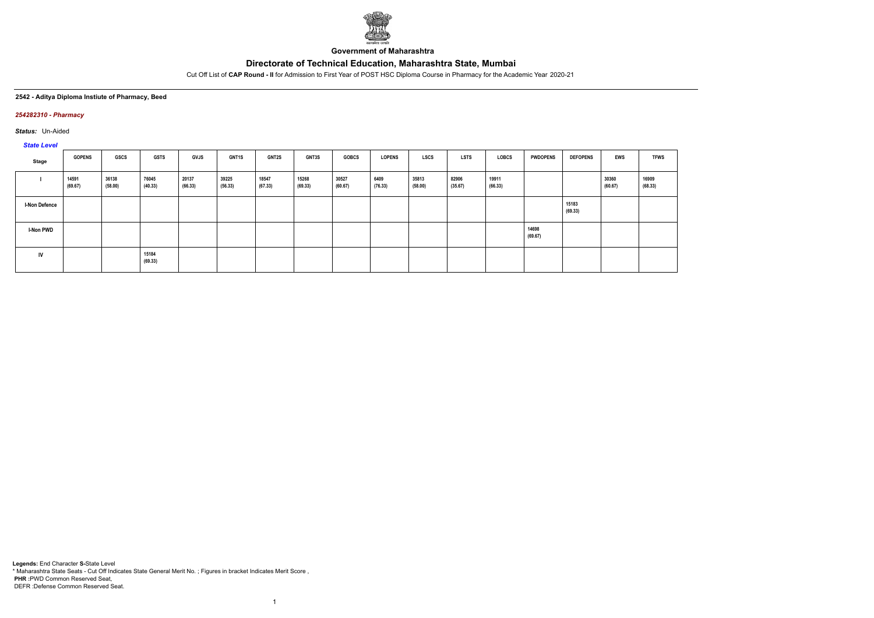

**Government of Maharashtra**

Cut Off List of **CAP Round - II** for Admission to First Year of POST HSC Diploma Course in Pharmacy for the Academic Year 2020-21

#### **2542 - Aditya Diploma Instiute of Pharmacy, Beed**

#### *254282310 - Pharmacy*

*Status:* Un-Aided

# *State Level*

| Stage                | <b>GOPENS</b>    | GSCS             | <b>GSTS</b>      | <b>GVJS</b>      | <b>GNT1S</b>     | <b>GNT2S</b>     | GNT3S            | <b>GOBCS</b>     | <b>LOPENS</b>   | <b>LSCS</b>      | <b>LSTS</b>      | LOBCS            | <b>PWDOPENS</b>  | <b>DEFOPENS</b>  | <b>EWS</b>       | <b>TFWS</b>      |
|----------------------|------------------|------------------|------------------|------------------|------------------|------------------|------------------|------------------|-----------------|------------------|------------------|------------------|------------------|------------------|------------------|------------------|
|                      | 14591<br>(69.67) | 36138<br>(58.00) | 76045<br>(40.33) | 20137<br>(66.33) | 39225<br>(56.33) | 18547<br>(67.33) | 15268<br>(69.33) | 30527<br>(60.67) | 6409<br>(76.33) | 35813<br>(58.00) | 82906<br>(35.67) | 19911<br>(66.33) |                  |                  | 30360<br>(60.67) | 16909<br>(68.33) |
| <b>I-Non Defence</b> |                  |                  |                  |                  |                  |                  |                  |                  |                 |                  |                  |                  |                  | 15183<br>(69.33) |                  |                  |
| <b>I-Non PWD</b>     |                  |                  |                  |                  |                  |                  |                  |                  |                 |                  |                  |                  | 14698<br>(69.67) |                  |                  |                  |
| <b>IV</b>            |                  |                  | 15184<br>(69.33) |                  |                  |                  |                  |                  |                 |                  |                  |                  |                  |                  |                  |                  |

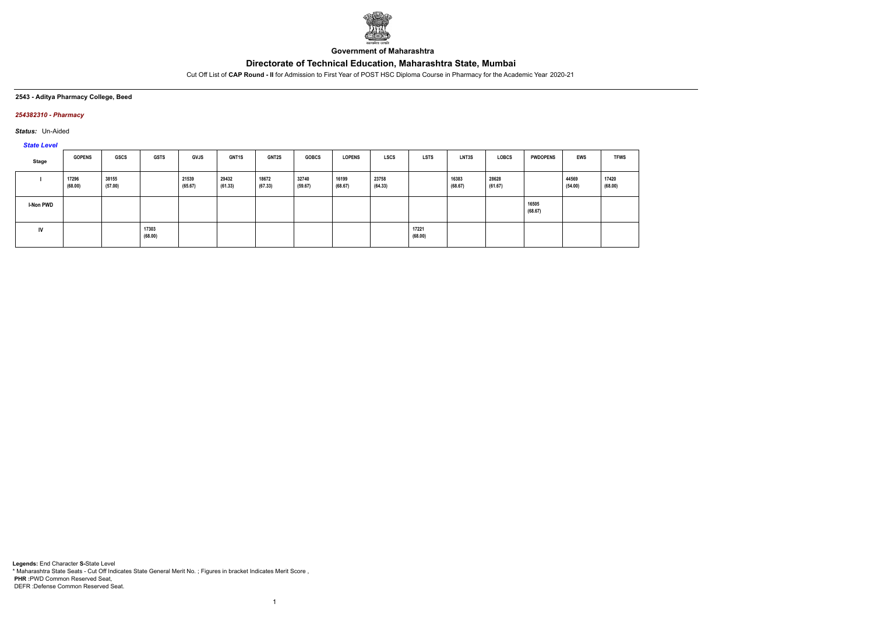

**Government of Maharashtra**

Cut Off List of **CAP Round - II** for Admission to First Year of POST HSC Diploma Course in Pharmacy for the Academic Year 2020-21

**2543 - Aditya Pharmacy College, Beed**

### *254382310 - Pharmacy*

*Status:* Un-Aided

*State Level*

| Stage            | <b>GOPENS</b>    | GSCS             | <b>GSTS</b>      | <b>GVJS</b>      | <b>GNT1S</b>     | <b>GNT2S</b>     | <b>GOBCS</b>     | <b>LOPENS</b>    | <b>LSCS</b>      | LSTS             | <b>LNT3S</b>     | <b>LOBCS</b>     | <b>PWDOPENS</b>  | <b>EWS</b>       | <b>TFWS</b>      |
|------------------|------------------|------------------|------------------|------------------|------------------|------------------|------------------|------------------|------------------|------------------|------------------|------------------|------------------|------------------|------------------|
|                  | 17296<br>(68.00) | 38155<br>(57.00) |                  | 21539<br>(65.67) | 29432<br>(61.33) | 18672<br>(67.33) | 32740<br>(59.67) | 16199<br>(68.67) | 23758<br>(64.33) |                  | 16383<br>(68.67) | 28628<br>(61.67) |                  | 44569<br>(54.00) | 17420<br>(68.00) |
| <b>I-Non PWD</b> |                  |                  |                  |                  |                  |                  |                  |                  |                  |                  |                  |                  | 16505<br>(68.67) |                  |                  |
| IV               |                  |                  | 17303<br>(68.00) |                  |                  |                  |                  |                  |                  | 17221<br>(68.00) |                  |                  |                  |                  |                  |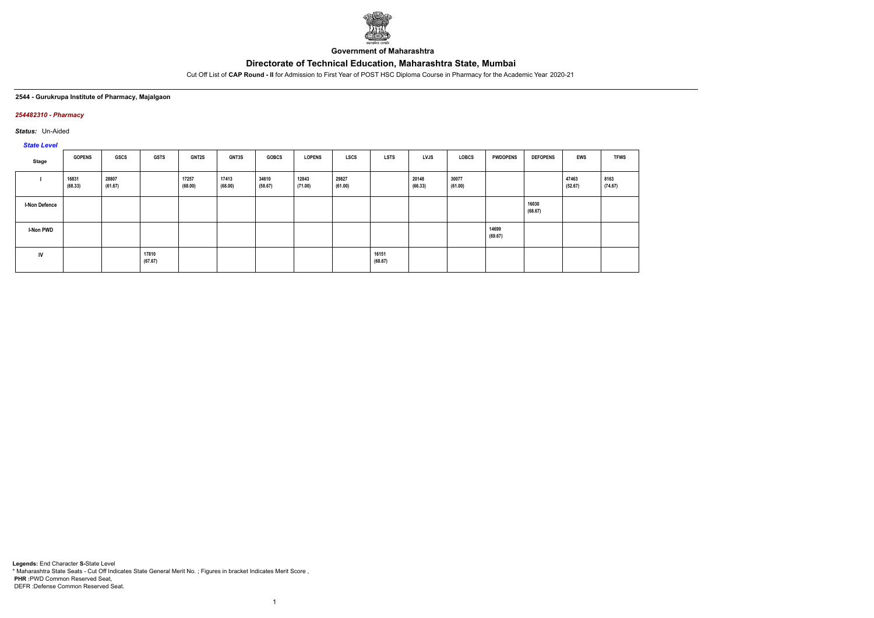

**Government of Maharashtra**

Cut Off List of **CAP Round - II** for Admission to First Year of POST HSC Diploma Course in Pharmacy for the Academic Year 2020-21

### **2544 - Gurukrupa Institute of Pharmacy, Majalgaon**

## *254482310 - Pharmacy*

*Status:* Un-Aided

# *State Level*

| Stage                | <b>GOPENS</b>    | GSCS             | <b>GSTS</b>      | <b>GNT2S</b>     | <b>GNT3S</b>     | <b>GOBCS</b>     | <b>LOPENS</b>    | LSCS             | <b>LSTS</b>      | LVJS             | LOBCS            | <b>PWDOPENS</b>  | <b>DEFOPENS</b>  | EWS              | <b>TFWS</b>     |
|----------------------|------------------|------------------|------------------|------------------|------------------|------------------|------------------|------------------|------------------|------------------|------------------|------------------|------------------|------------------|-----------------|
|                      | 16831<br>(68.33) | 28807<br>(61.67) |                  | 17257<br>(68.00) | 17413<br>(68.00) | 34610<br>(58.67) | 12843<br>(71.00) | 29827<br>(61.00) |                  | 20148<br>(66.33) | 30077<br>(61.00) |                  |                  | 47463<br>(52.67) | 8163<br>(74.67) |
| <b>I-Non Defence</b> |                  |                  |                  |                  |                  |                  |                  |                  |                  |                  |                  |                  | 16030<br>(68.67) |                  |                 |
| <b>I-Non PWD</b>     |                  |                  |                  |                  |                  |                  |                  |                  |                  |                  |                  | 14699<br>(69.67) |                  |                  |                 |
| IV                   |                  |                  | 17810<br>(67.67) |                  |                  |                  |                  |                  | 16151<br>(68.67) |                  |                  |                  |                  |                  |                 |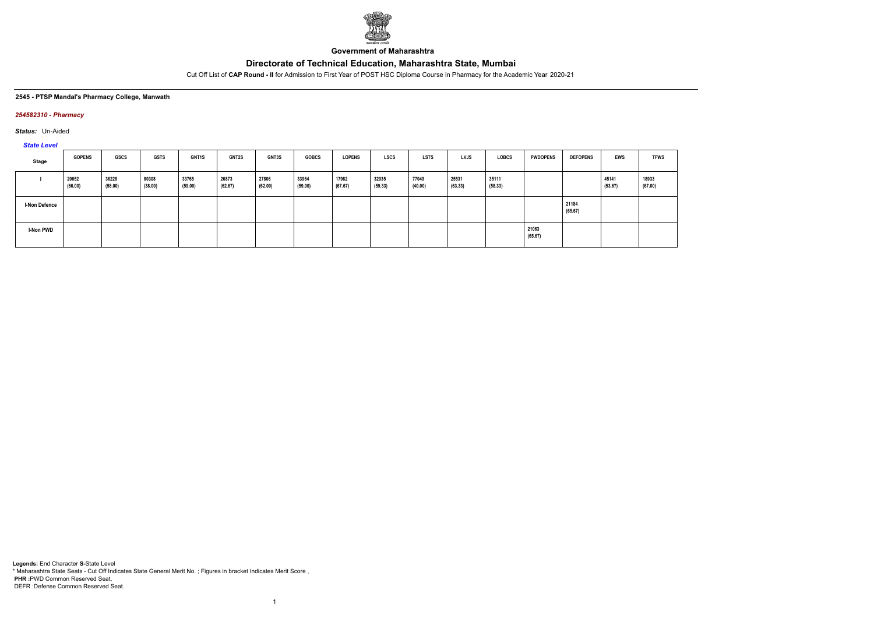

**Government of Maharashtra**

Cut Off List of **CAP Round - II** for Admission to First Year of POST HSC Diploma Course in Pharmacy for the Academic Year 2020-21

#### **2545 - PTSP Mandal's Pharmacy College, Manwath**

## *254582310 - Pharmacy*

*Status:* Un-Aided

*State Level*

| Stage                | <b>GOPENS</b>    | GSCS             | <b>GSTS</b>      | <b>GNT1S</b>     | <b>GNT2S</b>     | <b>GNT3S</b>     | <b>GOBCS</b>     | <b>LOPENS</b>    | <b>LSCS</b>      | <b>LSTS</b>      | LVJS             | <b>LOBCS</b>     | <b>PWDOPENS</b>  | <b>DEFOPENS</b>  | <b>EWS</b>       | <b>TFWS</b>      |
|----------------------|------------------|------------------|------------------|------------------|------------------|------------------|------------------|------------------|------------------|------------------|------------------|------------------|------------------|------------------|------------------|------------------|
|                      | 20652<br>(66.00) | 36228<br>(58.00) | 80308<br>(38.00) | 33765<br>(59.00) | 26873<br>(62.67) | 27806<br>(62.00) | 33964<br>(59.00) | 17982<br>(67.67) | 32935<br>(59.33) | 77049<br>(40.00) | 25531<br>(63.33) | 35111<br>(58.33) |                  |                  | 45141<br>(53.67) | 18933<br>(67.00) |
| <b>I-Non Defence</b> |                  |                  |                  |                  |                  |                  |                  |                  |                  |                  |                  |                  |                  | 21184<br>(65.67) |                  |                  |
| <b>I-Non PWD</b>     |                  |                  |                  |                  |                  |                  |                  |                  |                  |                  |                  |                  | 21063<br>(65.67) |                  |                  |                  |

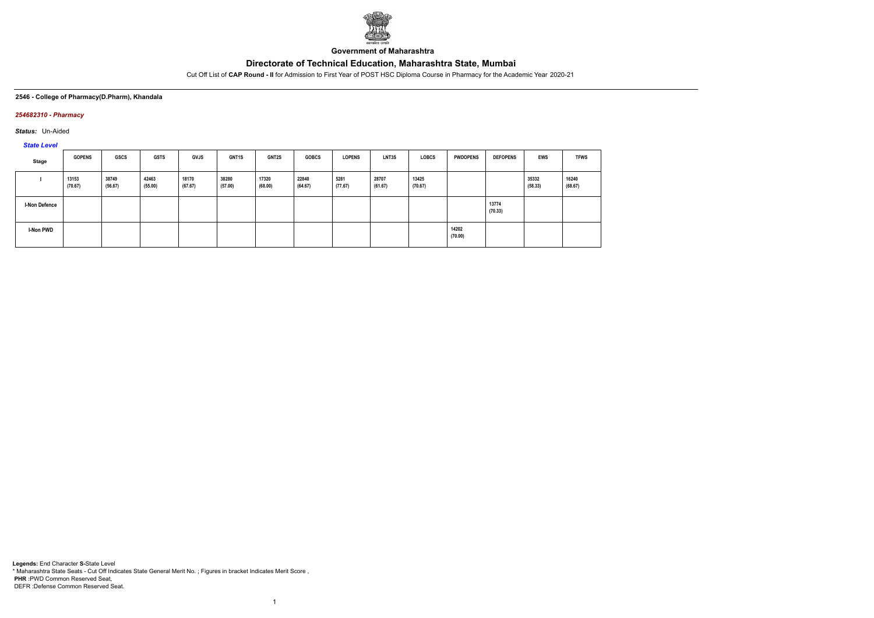

**Government of Maharashtra**

Cut Off List of **CAP Round - II** for Admission to First Year of POST HSC Diploma Course in Pharmacy for the Academic Year 2020-21

## **2546 - College of Pharmacy(D.Pharm), Khandala**

## *254682310 - Pharmacy*

*Status:* Un-Aided

*State Level*

| Stage                | <b>GOPENS</b>    | GSCS             | <b>GSTS</b>      | <b>GVJS</b>      | <b>GNT1S</b>     | <b>GNT2S</b>     | <b>GOBCS</b>     | <b>LOPENS</b>   | LNT3S            | <b>LOBCS</b>     | <b>PWDOPENS</b>  | <b>DEFOPENS</b>  | <b>EWS</b>       | <b>TFWS</b>      |
|----------------------|------------------|------------------|------------------|------------------|------------------|------------------|------------------|-----------------|------------------|------------------|------------------|------------------|------------------|------------------|
|                      | 13153<br>(70.67) | 38749<br>(56.67) | 42463<br>(55.00) | 18170<br>(67.67) | 38280<br>(57.00) | 17320<br>(68.00) | 22840<br>(64.67) | 5281<br>(77.67) | 28707<br>(61.67) | 13425<br>(70.67) |                  |                  | 35332<br>(58.33) | 16240<br>(68.67) |
| <b>I-Non Defence</b> |                  |                  |                  |                  |                  |                  |                  |                 |                  |                  |                  | 13774<br>(70.33) |                  |                  |
| I-Non PWD            |                  |                  |                  |                  |                  |                  |                  |                 |                  |                  | 14202<br>(70.00) |                  |                  |                  |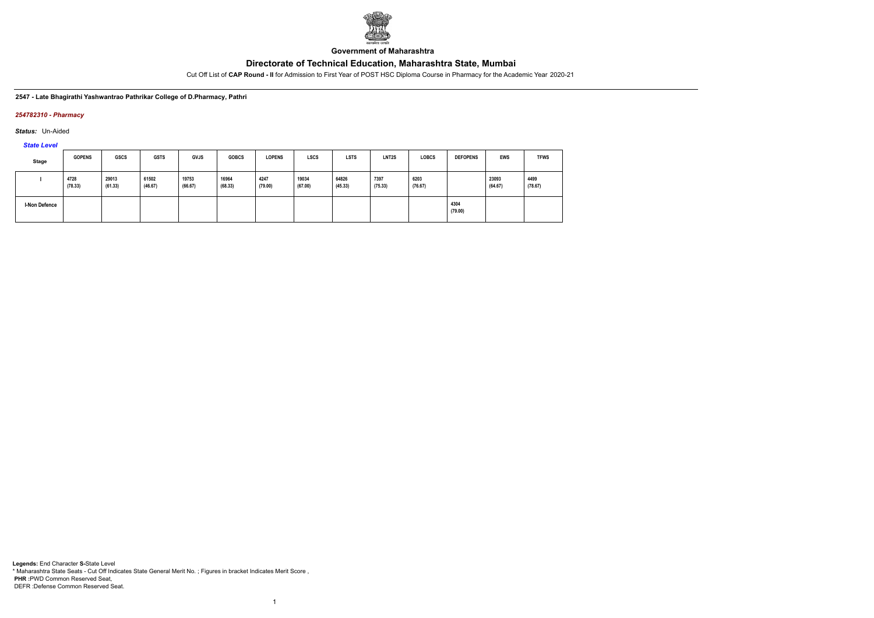

**Government of Maharashtra**

Cut Off List of **CAP Round - II** for Admission to First Year of POST HSC Diploma Course in Pharmacy for the Academic Year 2020-21

**2547 - Late Bhagirathi Yashwantrao Pathrikar College of D.Pharmacy, Pathri**

### *254782310 - Pharmacy*

*Status:* Un-Aided

*State Level*

| <b>Stage</b>         | <b>GOPENS</b>   | <b>GSCS</b>      | <b>GSTS</b>      | GVJS             | <b>GOBCS</b>     | <b>LOPENS</b>   | <b>LSCS</b>      | <b>LSTS</b>      | LNT <sub>2</sub> S | <b>LOBCS</b>    | <b>DEFOPENS</b> | <b>EWS</b>       | <b>TFWS</b>     |
|----------------------|-----------------|------------------|------------------|------------------|------------------|-----------------|------------------|------------------|--------------------|-----------------|-----------------|------------------|-----------------|
|                      | 4728<br>(78.33) | 29013<br>(61.33) | 61502<br>(46.67) | 19753<br>(66.67) | 16964<br>(68.33) | 4247<br>(79.00) | 19034<br>(67.00) | 64826<br>(45.33) | 7397<br>(75.33)    | 6203<br>(76.67) |                 | 23093<br>(64.67) | 4499<br>(78.67) |
| <b>I-Non Defence</b> |                 |                  |                  |                  |                  |                 |                  |                  |                    |                 | 4304<br>(79.00) |                  |                 |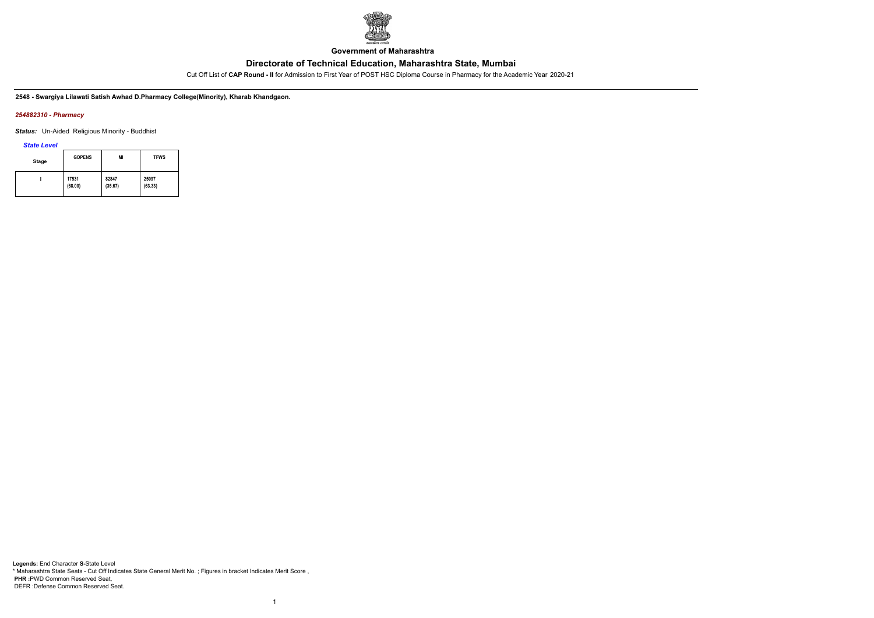

**Government of Maharashtra**

Cut Off List of **CAP Round - II** for Admission to First Year of POST HSC Diploma Course in Pharmacy for the Academic Year 2020-21

**2548 - Swargiya Lilawati Satish Awhad D.Pharmacy College(Minority), Kharab Khandgaon.**

## *254882310 - Pharmacy*

*Status:* Un-Aided Religious Minority - Buddhist

*State Level*

| <b>Stage</b> | <b>GOPENS</b> | MI      | <b>TFWS</b> |
|--------------|---------------|---------|-------------|
|              | 17531         | 82847   | 25097       |
|              | (68.00)       | (35.67) | (63.33)     |

1

**Legends:** End Character **S-**State Level \* Maharashtra State Seats - Cut Off Indicates State General Merit No. ; Figures in bracket Indicates Merit Score , **PHR :**PWD Common Reserved Seat, DEFR :Defense Common Reserved Seat.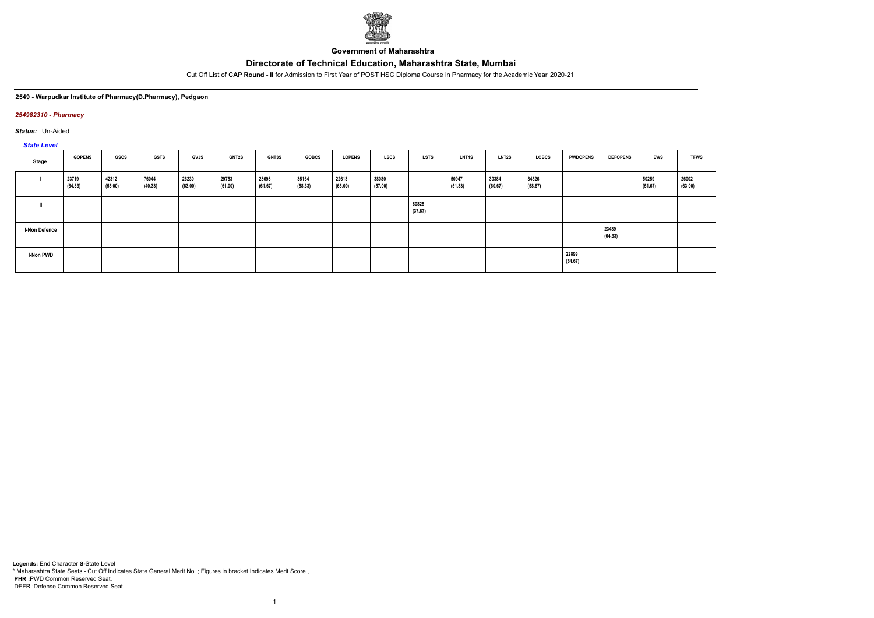

**Government of Maharashtra**

Cut Off List of **CAP Round - II** for Admission to First Year of POST HSC Diploma Course in Pharmacy for the Academic Year 2020-21

#### **2549 - Warpudkar Institute of Pharmacy(D.Pharmacy), Pedgaon**

### *254982310 - Pharmacy*

*Status:* Un-Aided

*State Level*

| $-$                  |                  |                  |                  |                  |                  |                  |                  |                  |                  |                  |                  |                  |                  |                  |                  |                  |                  |
|----------------------|------------------|------------------|------------------|------------------|------------------|------------------|------------------|------------------|------------------|------------------|------------------|------------------|------------------|------------------|------------------|------------------|------------------|
| Stage                | <b>GOPENS</b>    | GSCS             | <b>GSTS</b>      | GVJS             | <b>GNT2S</b>     | GNT3S            | <b>GOBCS</b>     | <b>LOPENS</b>    | <b>LSCS</b>      | LSTS             | <b>LNT1S</b>     | <b>LNT2S</b>     | LOBCS            | <b>PWDOPENS</b>  | <b>DEFOPENS</b>  | EWS              | <b>TFWS</b>      |
|                      | 23719<br>(64.33) | 42312<br>(55.00) | 76044<br>(40.33) | 26230<br>(63.00) | 29753<br>(61.00) | 28698<br>(61.67) | 35164<br>(58.33) | 22613<br>(65.00) | 38080<br>(57.00) |                  | 50947<br>(51.33) | 30384<br>(60.67) | 34526<br>(58.67) |                  |                  | 50259<br>(51.67) | 26002<br>(63.00) |
|                      |                  |                  |                  |                  |                  |                  |                  |                  |                  | 80825<br>(37.67) |                  |                  |                  |                  |                  |                  |                  |
| <b>I-Non Defence</b> |                  |                  |                  |                  |                  |                  |                  |                  |                  |                  |                  |                  |                  |                  | 23489<br>(64.33) |                  |                  |
| I-Non PWD            |                  |                  |                  |                  |                  |                  |                  |                  |                  |                  |                  |                  |                  | 22899<br>(64.67) |                  |                  |                  |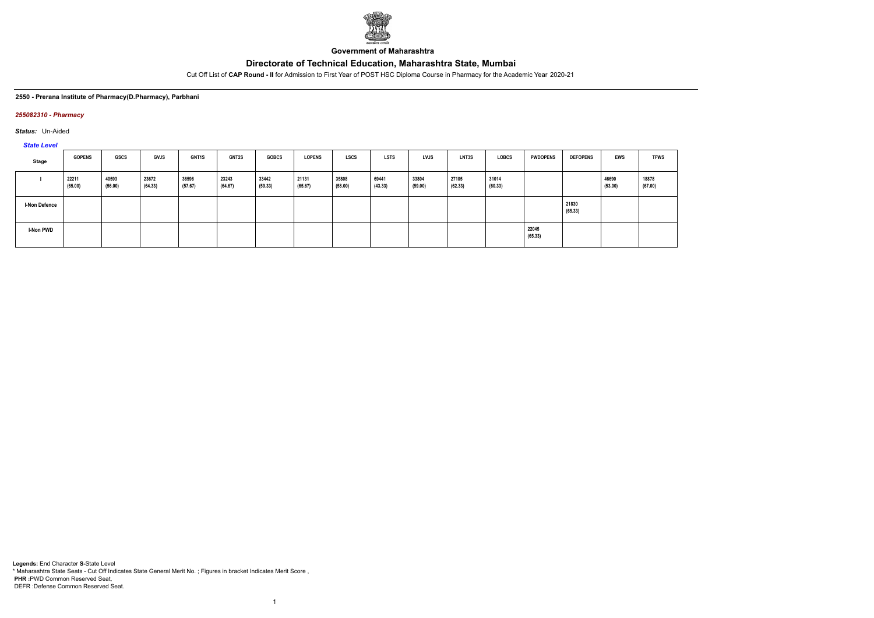

**Government of Maharashtra**

Cut Off List of **CAP Round - II** for Admission to First Year of POST HSC Diploma Course in Pharmacy for the Academic Year 2020-21

### **2550 - Prerana Institute of Pharmacy(D.Pharmacy), Parbhani**

### *255082310 - Pharmacy*

*Status:* Un-Aided

*State Level*

| Stage                | <b>GOPENS</b>    | GSCS             | <b>GVJS</b>      | <b>GNT1S</b>     | <b>GNT2S</b>     | <b>GOBCS</b>     | <b>LOPENS</b>    | <b>LSCS</b>      | <b>LSTS</b>      | <b>LVJS</b>      | <b>LNT3S</b>     | LOBCS            | <b>PWDOPENS</b>  | <b>DEFOPENS</b>  | <b>EWS</b>       | <b>TFWS</b>      |
|----------------------|------------------|------------------|------------------|------------------|------------------|------------------|------------------|------------------|------------------|------------------|------------------|------------------|------------------|------------------|------------------|------------------|
|                      | 22211<br>(65.00) | 40593<br>(56.00) | 23672<br>(64.33) | 36596<br>(57.67) | 23243<br>(64.67) | 33442<br>(59.33) | 21131<br>(65.67) | 35808<br>(58.00) | 69441<br>(43.33) | 33804<br>(59.00) | 27105<br>(62.33) | 31014<br>(60.33) |                  |                  | 46690<br>(53.00) | 18878<br>(67.00) |
| <b>I-Non Defence</b> |                  |                  |                  |                  |                  |                  |                  |                  |                  |                  |                  |                  |                  | 21830<br>(65.33) |                  |                  |
| <b>I-Non PWD</b>     |                  |                  |                  |                  |                  |                  |                  |                  |                  |                  |                  |                  | 22045<br>(65.33) |                  |                  |                  |

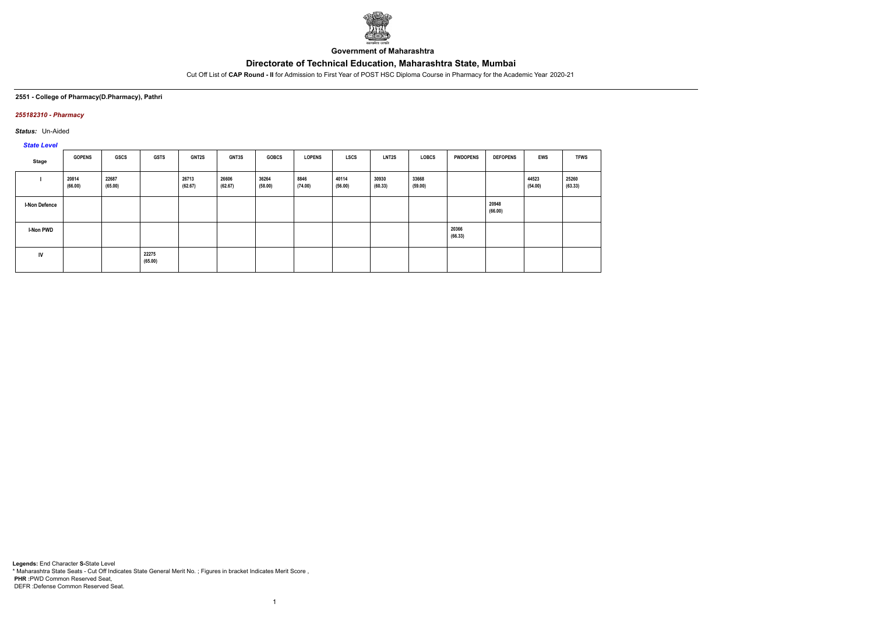

**Government of Maharashtra**

Cut Off List of **CAP Round - II** for Admission to First Year of POST HSC Diploma Course in Pharmacy for the Academic Year 2020-21

## **2551 - College of Pharmacy(D.Pharmacy), Pathri**

## *255182310 - Pharmacy*

*Status:* Un-Aided

# *State Level*

| Stage                | <b>GOPENS</b>    | <b>GSCS</b>      | <b>GSTS</b>      | <b>GNT2S</b>     | <b>GNT3S</b>     | <b>GOBCS</b>     | <b>LOPENS</b>   | LSCS             | <b>LNT2S</b>     | LOBCS            | <b>PWDOPENS</b>  | <b>DEFOPENS</b>  | <b>EWS</b>       | <b>TFWS</b>      |
|----------------------|------------------|------------------|------------------|------------------|------------------|------------------|-----------------|------------------|------------------|------------------|------------------|------------------|------------------|------------------|
|                      | 20814<br>(66.00) | 22687<br>(65.00) |                  | 26713<br>(62.67) | 26606<br>(62.67) | 36264<br>(58.00) | 8846<br>(74.00) | 40114<br>(56.00) | 30930<br>(60.33) | 33668<br>(59.00) |                  |                  | 44523<br>(54.00) | 25260<br>(63.33) |
| <b>I-Non Defence</b> |                  |                  |                  |                  |                  |                  |                 |                  |                  |                  |                  | 20948<br>(66.00) |                  |                  |
| <b>I-Non PWD</b>     |                  |                  |                  |                  |                  |                  |                 |                  |                  |                  | 20366<br>(66.33) |                  |                  |                  |
| <b>IV</b>            |                  |                  | 22275<br>(65.00) |                  |                  |                  |                 |                  |                  |                  |                  |                  |                  |                  |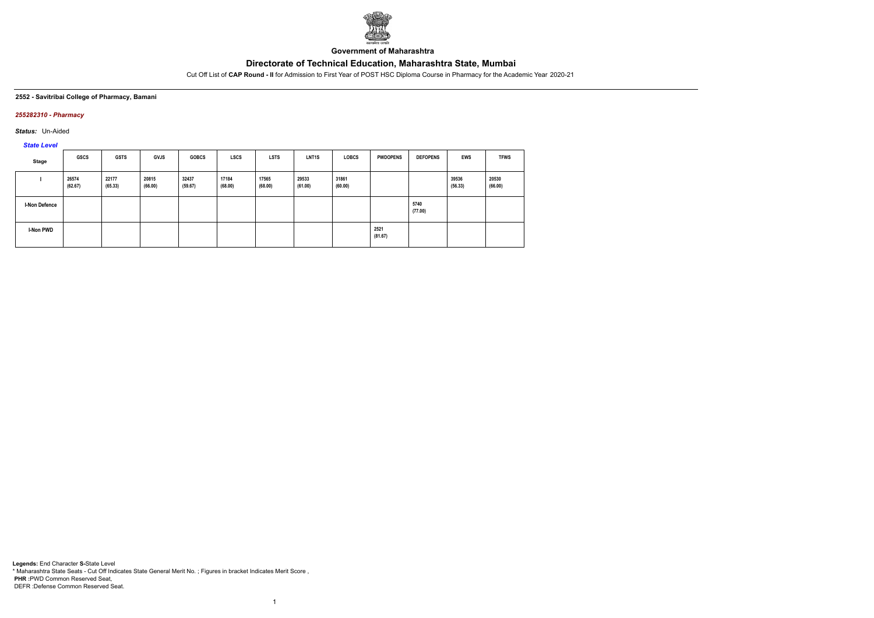

**Government of Maharashtra**

Cut Off List of **CAP Round - II** for Admission to First Year of POST HSC Diploma Course in Pharmacy for the Academic Year 2020-21

#### **2552 - Savitribai College of Pharmacy, Bamani**

## *255282310 - Pharmacy*

*Status:* Un-Aided

# *State Level*

| <b>Stage</b>  | GSCS             | <b>GSTS</b>      | <b>GVJS</b>      | <b>GOBCS</b>     | <b>LSCS</b>      | <b>LSTS</b>      | <b>LNT1S</b>     | <b>LOBCS</b>     | <b>PWDOPENS</b> | <b>DEFOPENS</b> | <b>EWS</b>       | <b>TFWS</b>      |
|---------------|------------------|------------------|------------------|------------------|------------------|------------------|------------------|------------------|-----------------|-----------------|------------------|------------------|
|               | 26574<br>(62.67) | 22177<br>(65.33) | 20815<br>(66.00) | 32437<br>(59.67) | 17184<br>(68.00) | 17565<br>(68.00) | 29533<br>(61.00) | 31861<br>(60.00) |                 |                 | 39536<br>(56.33) | 20530<br>(66.00) |
| I-Non Defence |                  |                  |                  |                  |                  |                  |                  |                  |                 | 5740<br>(77.00) |                  |                  |
| I-Non PWD     |                  |                  |                  |                  |                  |                  |                  |                  | 2521<br>(81.67) |                 |                  |                  |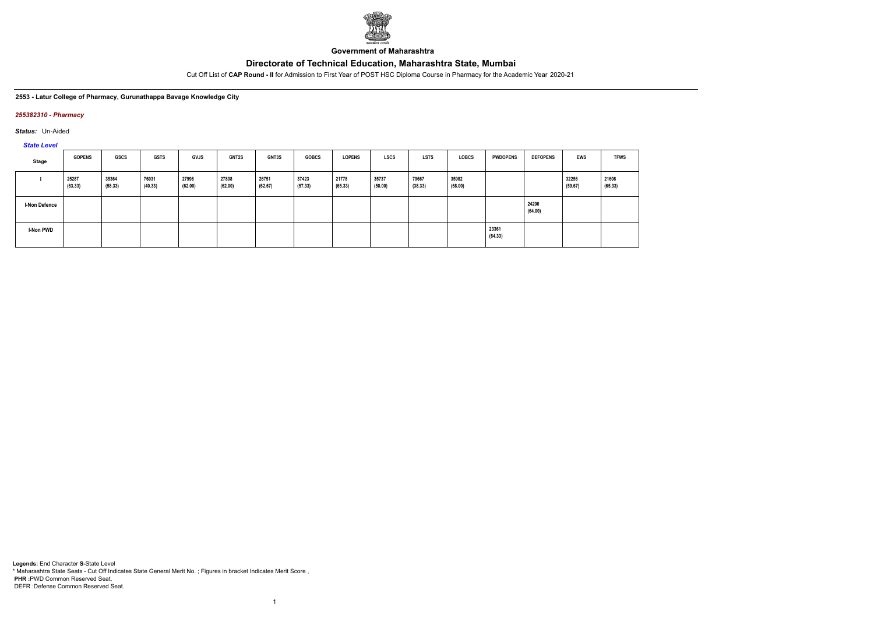

**Government of Maharashtra**

Cut Off List of **CAP Round - II** for Admission to First Year of POST HSC Diploma Course in Pharmacy for the Academic Year 2020-21

### **2553 - Latur College of Pharmacy, Gurunathappa Bavage Knowledge City**

### *255382310 - Pharmacy*

*Status:* Un-Aided

*State Level*

| Stage                | <b>GOPENS</b>    | <b>GSCS</b>      | <b>GSTS</b>      | GVJS             | <b>GNT2S</b>     | <b>GNT3S</b>     | <b>GOBCS</b>     | <b>LOPENS</b>    | <b>LSCS</b>      | <b>LSTS</b>      | <b>LOBCS</b>     | <b>PWDOPENS</b>  | <b>DEFOPENS</b>  | EWS              | <b>TFWS</b>      |
|----------------------|------------------|------------------|------------------|------------------|------------------|------------------|------------------|------------------|------------------|------------------|------------------|------------------|------------------|------------------|------------------|
|                      | 25287<br>(63.33) | 35364<br>(58.33) | 76031<br>(40.33) | 27998<br>(62.00) | 27808<br>(62.00) | 26751<br>(62.67) | 37423<br>(57.33) | 21778<br>(65.33) | 35737<br>(58.00) | 79667<br>(38.33) | 35982<br>(58.00) |                  |                  | 32256<br>(59.67) | 21608<br>(65.33) |
| <b>I-Non Defence</b> |                  |                  |                  |                  |                  |                  |                  |                  |                  |                  |                  |                  | 24200<br>(64.00) |                  |                  |
| I-Non PWD            |                  |                  |                  |                  |                  |                  |                  |                  |                  |                  |                  | 23361<br>(64.33) |                  |                  |                  |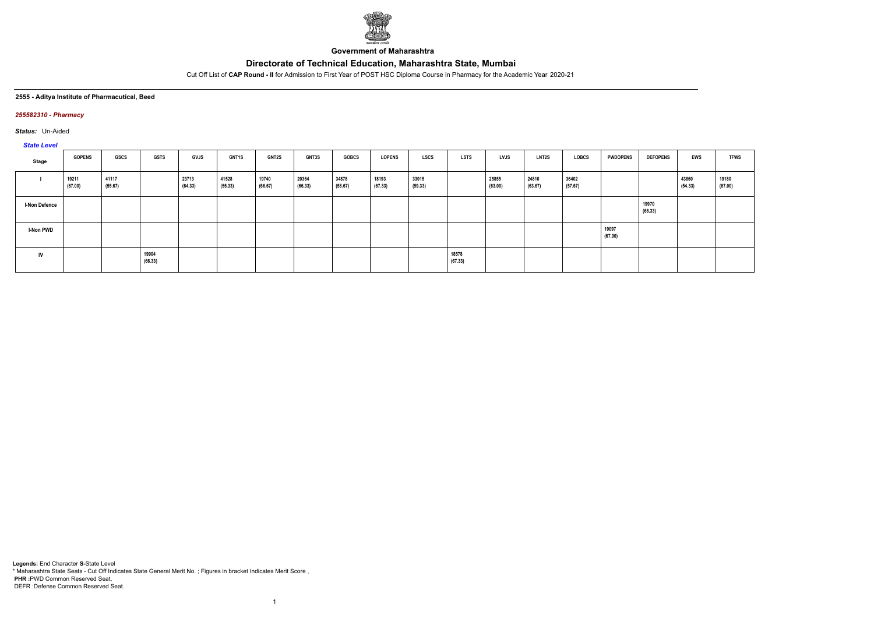

**Government of Maharashtra**

Cut Off List of **CAP Round - II** for Admission to First Year of POST HSC Diploma Course in Pharmacy for the Academic Year 2020-21

### **2555 - Aditya Institute of Pharmacutical, Beed**

## *255582310 - Pharmacy*

*Status:* Un-Aided

# *State Level*

| Stage                | <b>GOPENS</b>    | <b>GSCS</b>      | <b>GSTS</b>      | <b>GVJS</b>      | <b>GNT1S</b>     | <b>GNT2S</b>     | <b>GNT3S</b>     | <b>GOBCS</b>     | <b>LOPENS</b>    | <b>LSCS</b>      | <b>LSTS</b>      | LVJS             | <b>LNT2S</b>     | <b>LOBCS</b>     | <b>PWDOPENS</b>  | <b>DEFOPENS</b>  | <b>EWS</b>       | <b>TFWS</b>      |
|----------------------|------------------|------------------|------------------|------------------|------------------|------------------|------------------|------------------|------------------|------------------|------------------|------------------|------------------|------------------|------------------|------------------|------------------|------------------|
|                      | 19211<br>(67.00) | 41117<br>(55.67) |                  | 23713<br>(64.33) | 41528<br>(55.33) | 19740<br>(66.67) | 20364<br>(66.33) | 34878<br>(58.67) | 18193<br>(67.33) | 33015<br>(59.33) |                  | 25855<br>(63.00) | 24810<br>(63.67) | 36402<br>(57.67) |                  |                  | 43860<br>(54.33) | 19180<br>(67.00) |
| <b>I-Non Defence</b> |                  |                  |                  |                  |                  |                  |                  |                  |                  |                  |                  |                  |                  |                  |                  | 19970<br>(66.33) |                  |                  |
| <b>I-Non PWD</b>     |                  |                  |                  |                  |                  |                  |                  |                  |                  |                  |                  |                  |                  |                  | 19097<br>(67.00) |                  |                  |                  |
| <b>IV</b>            |                  |                  | 19904<br>(66.33) |                  |                  |                  |                  |                  |                  |                  | 18578<br>(67.33) |                  |                  |                  |                  |                  |                  |                  |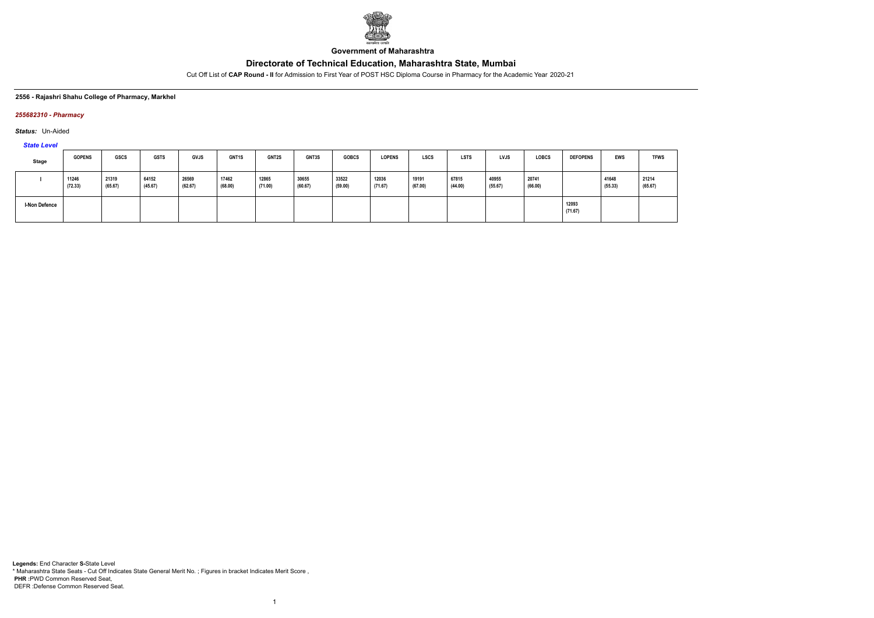

**Government of Maharashtra**

Cut Off List of **CAP Round - II** for Admission to First Year of POST HSC Diploma Course in Pharmacy for the Academic Year 2020-21

### **2556 - Rajashri Shahu College of Pharmacy, Markhel**

## *255682310 - Pharmacy*

*Status:* Un-Aided

# *State Level*

| Stage                | <b>GOPENS</b>    | <b>GSCS</b>      | <b>GSTS</b>      | <b>GVJS</b>      | <b>GNT1S</b>     | <b>GNT2S</b>     | <b>GNT3S</b>     | <b>GOBCS</b>     | <b>LOPENS</b>    | <b>LSCS</b>      | <b>LSTS</b>      | <b>LVJS</b>      | <b>LOBCS</b>     | <b>DEFOPENS</b>  | EWS              | <b>TFWS</b>      |
|----------------------|------------------|------------------|------------------|------------------|------------------|------------------|------------------|------------------|------------------|------------------|------------------|------------------|------------------|------------------|------------------|------------------|
|                      | 11246<br>(72.33) | 21319<br>(65.67) | 64152<br>(45.67) | 26569<br>(62.67) | 17462<br>(68.00) | 12865<br>(71.00) | 30655<br>(60.67) | 33522<br>(59.00) | 12036<br>(71.67) | 19191<br>(67.00) | 67815<br>(44.00) | 40955<br>(55.67) | 20741<br>(66.00) |                  | 41648<br>(55.33) | 21214<br>(65.67) |
| <b>I-Non Defence</b> |                  |                  |                  |                  |                  |                  |                  |                  |                  |                  |                  |                  |                  | 12093<br>(71.67) |                  |                  |

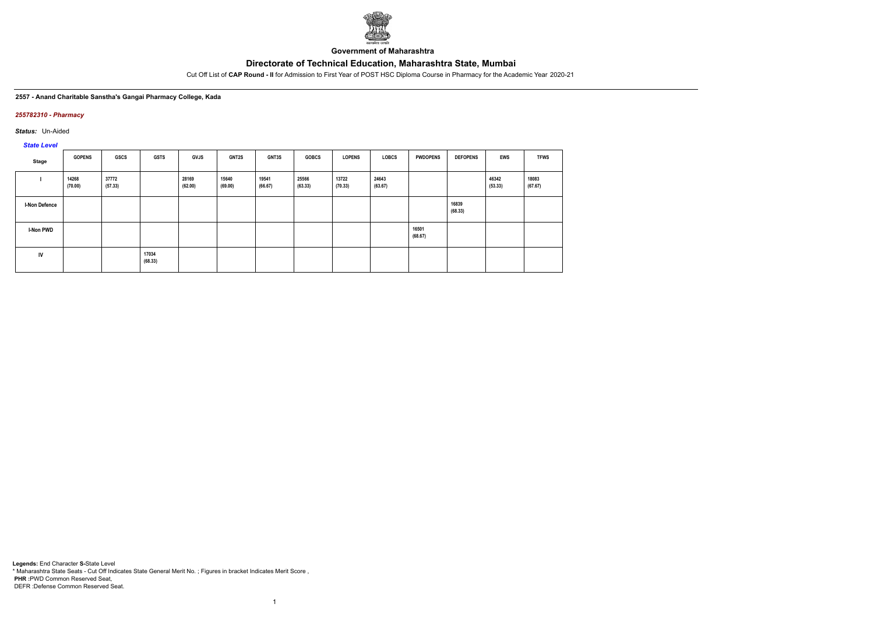

**Government of Maharashtra**

Cut Off List of **CAP Round - II** for Admission to First Year of POST HSC Diploma Course in Pharmacy for the Academic Year 2020-21

**2557 - Anand Charitable Sanstha's Gangai Pharmacy College, Kada**

## *255782310 - Pharmacy*

*Status:* Un-Aided

*State Level*

| Stage                | <b>GOPENS</b>    | <b>GSCS</b>      | <b>GSTS</b>      | <b>GVJS</b>      | <b>GNT2S</b>     | <b>GNT3S</b>     | <b>GOBCS</b>     | <b>LOPENS</b>    | <b>LOBCS</b>     | <b>PWDOPENS</b>  | <b>DEFOPENS</b>  | <b>EWS</b>       | <b>TFWS</b>      |
|----------------------|------------------|------------------|------------------|------------------|------------------|------------------|------------------|------------------|------------------|------------------|------------------|------------------|------------------|
|                      | 14268<br>(70.00) | 37772<br>(57.33) |                  | 28169<br>(62.00) | 15640<br>(69.00) | 19541<br>(66.67) | 25566<br>(63.33) | 13722<br>(70.33) | 24643<br>(63.67) |                  |                  | 46342<br>(53.33) | 18083<br>(67.67) |
| <b>I-Non Defence</b> |                  |                  |                  |                  |                  |                  |                  |                  |                  |                  | 16839<br>(68.33) |                  |                  |
| <b>I-Non PWD</b>     |                  |                  |                  |                  |                  |                  |                  |                  |                  | 16501<br>(68.67) |                  |                  |                  |
| IV                   |                  |                  | 17034<br>(68.33) |                  |                  |                  |                  |                  |                  |                  |                  |                  |                  |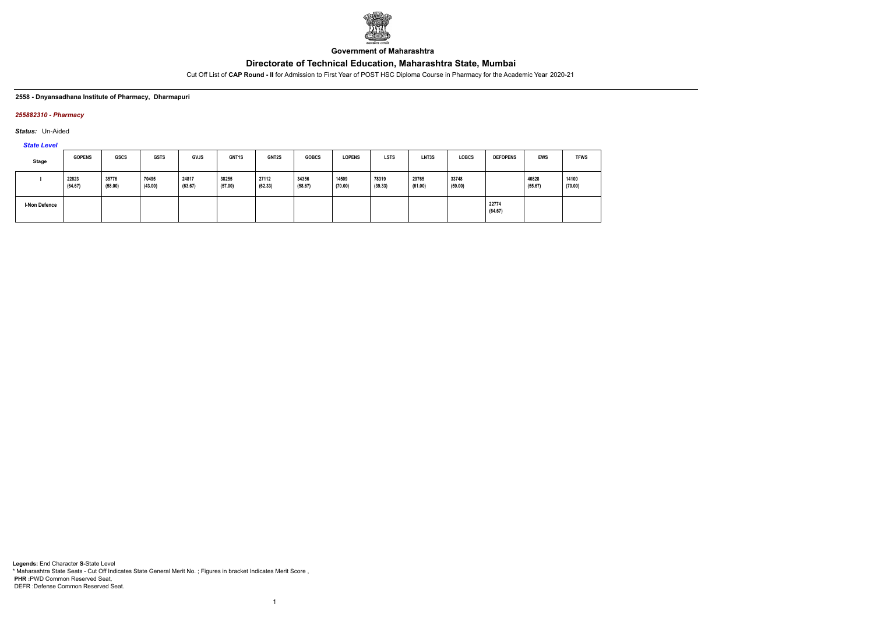

**Government of Maharashtra**

Cut Off List of **CAP Round - II** for Admission to First Year of POST HSC Diploma Course in Pharmacy for the Academic Year 2020-21

### **2558 - Dnyansadhana Institute of Pharmacy, Dharmapuri**

## *255882310 - Pharmacy*

*Status:* Un-Aided

*State Level*

| Stage                | <b>GOPENS</b>    | <b>GSCS</b>      | <b>GSTS</b>      | <b>GVJS</b>      | <b>GNT1S</b>     | GNT2S            | <b>GOBCS</b>     | <b>LOPENS</b>    | <b>LSTS</b>      | LNT3S            | <b>LOBCS</b>     | <b>DEFOPENS</b>  | EWS              | <b>TFWS</b>      |
|----------------------|------------------|------------------|------------------|------------------|------------------|------------------|------------------|------------------|------------------|------------------|------------------|------------------|------------------|------------------|
|                      | 22823<br>(64.67) | 35776<br>(58.00) | 70495<br>(43.00) | 24817<br>(63.67) | 38255<br>(57.00) | 27112<br>(62.33) | 34356<br>(58.67) | 14509<br>(70.00) | 78319<br>(39.33) | 29765<br>(61.00) | 33748<br>(59.00) |                  | 40828<br>(55.67) | 14100<br>(70.00) |
| <b>I-Non Defence</b> |                  |                  |                  |                  |                  |                  |                  |                  |                  |                  |                  | 22774<br>(64.67) |                  |                  |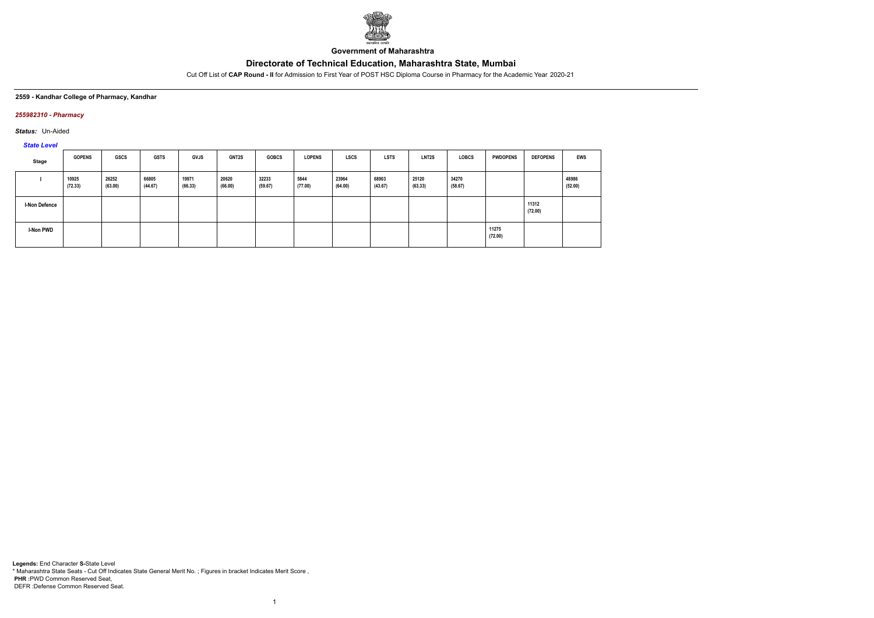

**Government of Maharashtra**

Cut Off List of **CAP Round - II** for Admission to First Year of POST HSC Diploma Course in Pharmacy for the Academic Year 2020-21

#### **2559 - Kandhar College of Pharmacy, Kandhar**

## *255982310 - Pharmacy*

*Status:* Un-Aided

# *State Level*

| Stage            | <b>GOPENS</b>    | <b>GSCS</b>      | <b>GSTS</b>      | <b>GVJS</b>      | <b>GNT2S</b>     | <b>GOBCS</b>     | <b>LOPENS</b>   | <b>LSCS</b>      | <b>LSTS</b>      | LNT2S            | <b>LOBCS</b>     | <b>PWDOPENS</b>  | <b>DEFOPENS</b>  | <b>EWS</b>       |
|------------------|------------------|------------------|------------------|------------------|------------------|------------------|-----------------|------------------|------------------|------------------|------------------|------------------|------------------|------------------|
|                  | 10925<br>(72.33) | 26252<br>(63.00) | 66805<br>(44.67) | 19971<br>(66.33) | 20620<br>(66.00) | 32233<br>(59.67) | 5844<br>(77.00) | 23964<br>(64.00) | 68903<br>(43.67) | 25120<br>(63.33) | 34270<br>(58.67) |                  |                  | 48986<br>(52.00) |
| I-Non Defence    |                  |                  |                  |                  |                  |                  |                 |                  |                  |                  |                  |                  | 11312<br>(72.00) |                  |
| <b>I-Non PWD</b> |                  |                  |                  |                  |                  |                  |                 |                  |                  |                  |                  | 11275<br>(72.00) |                  |                  |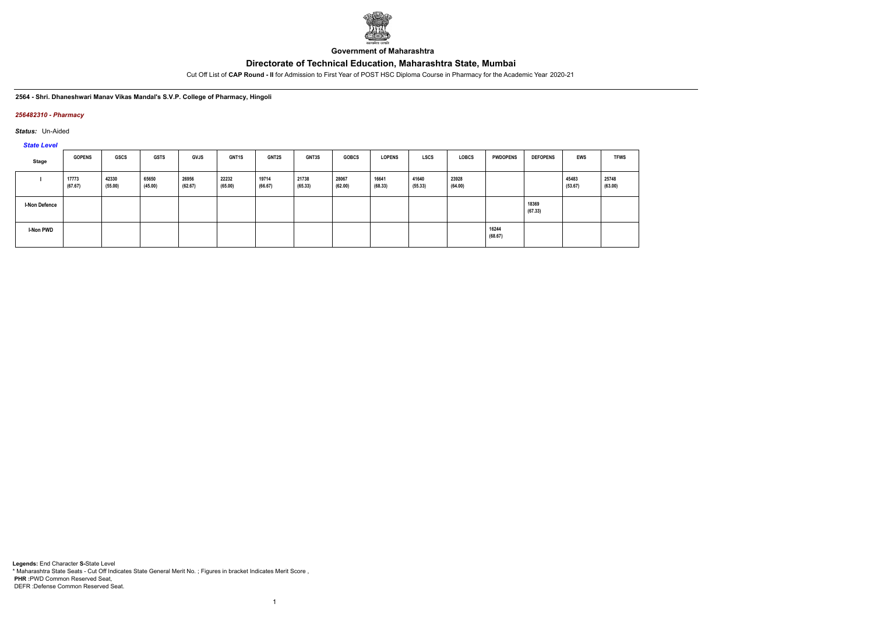

**Government of Maharashtra**

Cut Off List of **CAP Round - II** for Admission to First Year of POST HSC Diploma Course in Pharmacy for the Academic Year 2020-21

#### **2564 - Shri. Dhaneshwari Manav Vikas Mandal's S.V.P. College of Pharmacy, Hingoli**

## *256482310 - Pharmacy*

*Status:* Un-Aided

# *State Level*

| Stage                | <b>GOPENS</b>    | <b>GSCS</b>      | <b>GSTS</b>      | <b>GVJS</b>      | <b>GNT1S</b>     | <b>GNT2S</b>     | GNT3S            | <b>GOBCS</b>     | <b>LOPENS</b>    | LSCS             | <b>LOBCS</b>     | <b>PWDOPENS</b>  | <b>DEFOPENS</b>  | <b>EWS</b>       | <b>TFWS</b>      |
|----------------------|------------------|------------------|------------------|------------------|------------------|------------------|------------------|------------------|------------------|------------------|------------------|------------------|------------------|------------------|------------------|
|                      | 17773<br>(67.67) | 42330<br>(55.00) | 65650<br>(45.00) | 26956<br>(62.67) | 22232<br>(65.00) | 19714<br>(66.67) | 21738<br>(65.33) | 28067<br>(62.00) | 16641<br>(68.33) | 41640<br>(55.33) | 23928<br>(64.00) |                  |                  | 45483<br>(53.67) | 25748<br>(63.00) |
| <b>I-Non Defence</b> |                  |                  |                  |                  |                  |                  |                  |                  |                  |                  |                  |                  | 18369<br>(67.33) |                  |                  |
| <b>I-Non PWD</b>     |                  |                  |                  |                  |                  |                  |                  |                  |                  |                  |                  | 16244<br>(68.67) |                  |                  |                  |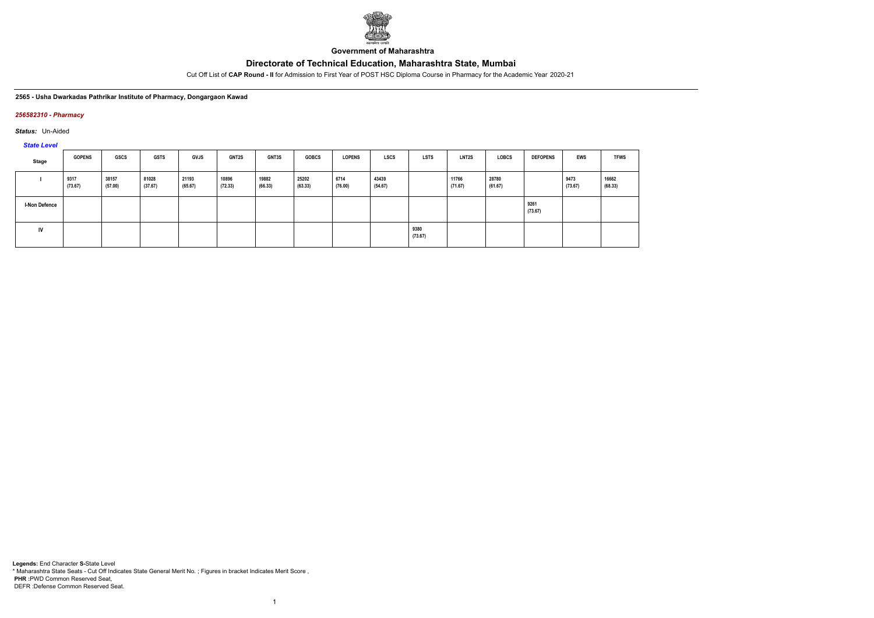

**Government of Maharashtra**

Cut Off List of **CAP Round - II** for Admission to First Year of POST HSC Diploma Course in Pharmacy for the Academic Year 2020-21

#### **2565 - Usha Dwarkadas Pathrikar Institute of Pharmacy, Dongargaon Kawad**

### *256582310 - Pharmacy*

*Status:* Un-Aided

*State Level*

| Stage                | <b>GOPENS</b>   | <b>GSCS</b>      | <b>GSTS</b>      | <b>GVJS</b>      | <b>GNT2S</b>     | <b>GNT3S</b>     | <b>GOBCS</b>     | <b>LOPENS</b>   | <b>LSCS</b>      | <b>LSTS</b>     | <b>LNT2S</b>     | <b>LOBCS</b>     | <b>DEFOPENS</b> | <b>EWS</b>      | <b>TFWS</b>      |
|----------------------|-----------------|------------------|------------------|------------------|------------------|------------------|------------------|-----------------|------------------|-----------------|------------------|------------------|-----------------|-----------------|------------------|
|                      | 9317<br>(73.67) | 38157<br>(57.00) | 81028<br>(37.67) | 21193<br>(65.67) | 10896<br>(72.33) | 19882<br>(66.33) | 25202<br>(63.33) | 6714<br>(76.00) | 43439<br>(54.67) |                 | 11766<br>(71.67) | 28780<br>(61.67) |                 | 9473<br>(73.67) | 16662<br>(68.33) |
| <b>I-Non Defence</b> |                 |                  |                  |                  |                  |                  |                  |                 |                  |                 |                  |                  | 9261<br>(73.67) |                 |                  |
| IV                   |                 |                  |                  |                  |                  |                  |                  |                 |                  | 9380<br>(73.67) |                  |                  |                 |                 |                  |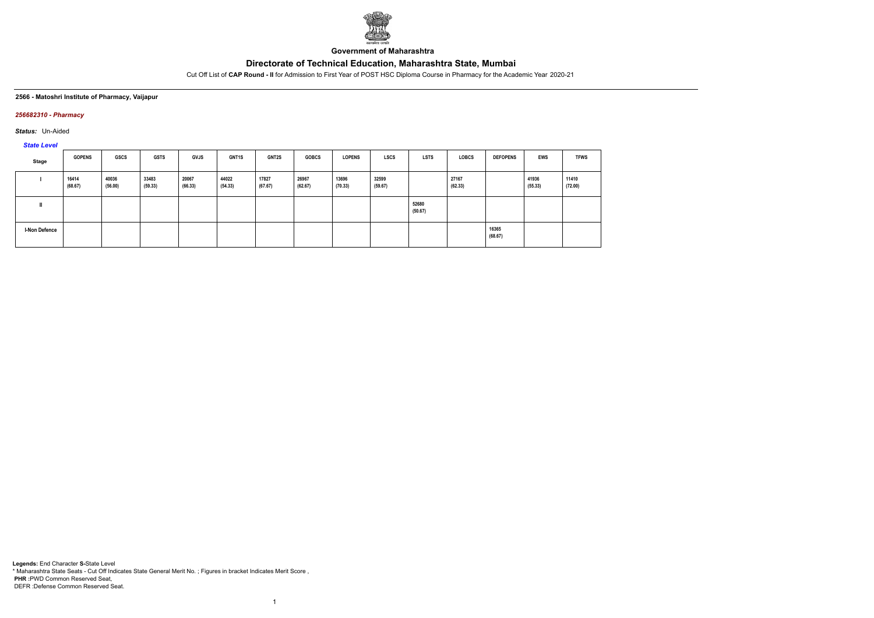

**Government of Maharashtra**

Cut Off List of **CAP Round - II** for Admission to First Year of POST HSC Diploma Course in Pharmacy for the Academic Year 2020-21

#### **2566 - Matoshri Institute of Pharmacy, Vaijapur**

## *256682310 - Pharmacy*

*Status:* Un-Aided

*State Level*

| Stage                | <b>GOPENS</b>    | GSCS             | <b>GSTS</b>      | GVJS             | <b>GNT1S</b>     | <b>GNT2S</b>     | <b>GOBCS</b>     | <b>LOPENS</b>    | <b>LSCS</b>      | <b>LSTS</b>      | <b>LOBCS</b>     | <b>DEFOPENS</b>  | EWS              | <b>TFWS</b>      |
|----------------------|------------------|------------------|------------------|------------------|------------------|------------------|------------------|------------------|------------------|------------------|------------------|------------------|------------------|------------------|
|                      | 16414<br>(68.67) | 40036<br>(56.00) | 33483<br>(59.33) | 20067<br>(66.33) | 44022<br>(54.33) | 17827<br>(67.67) | 26967<br>(62.67) | 13696<br>(70.33) | 32599<br>(59.67) |                  | 27167<br>(62.33) |                  | 41936<br>(55.33) | 11410<br>(72.00) |
|                      |                  |                  |                  |                  |                  |                  |                  |                  |                  | 52680<br>(50.67) |                  |                  |                  |                  |
| <b>I-Non Defence</b> |                  |                  |                  |                  |                  |                  |                  |                  |                  |                  |                  | 16365<br>(68.67) |                  |                  |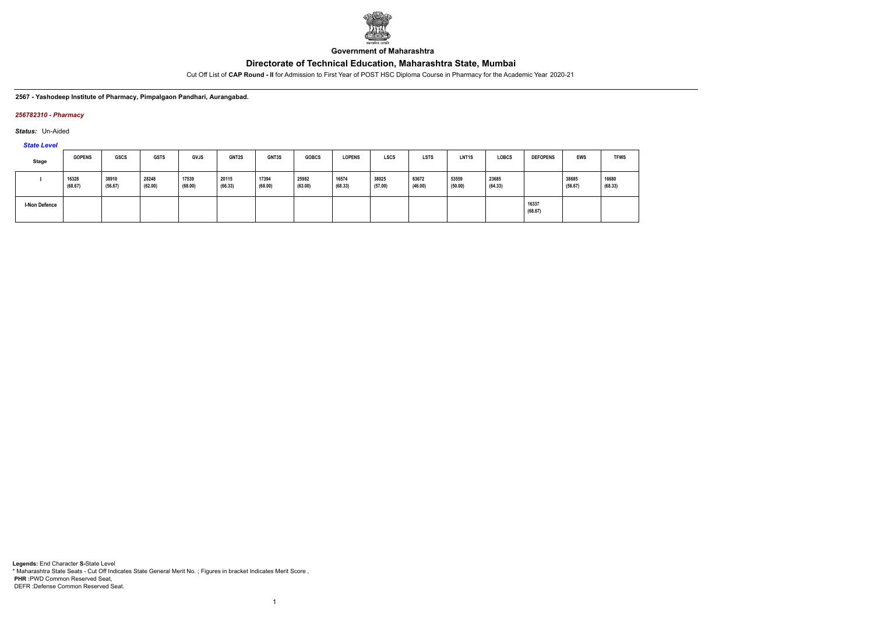

**Government of Maharashtra**

Cut Off List of **CAP Round - II** for Admission to First Year of POST HSC Diploma Course in Pharmacy for the Academic Year 2020-21

**2567 - Yashodeep Institute of Pharmacy, Pimpalgaon Pandhari, Aurangabad.**

## *256782310 - Pharmacy*

*Status:* Un-Aided

*State Level*

| Stage         | <b>GOPENS</b>    | GSCS             | <b>GSTS</b>      | <b>GVJS</b>      | GNT2S            | GNT3S            | <b>GOBCS</b>     | <b>LOPENS</b>    | <b>LSCS</b>      | <b>LSTS</b>      | LNT <sub>1</sub> S | <b>LOBCS</b>     | <b>DEFOPENS</b>  | <b>EWS</b>       | <b>TFWS</b>      |
|---------------|------------------|------------------|------------------|------------------|------------------|------------------|------------------|------------------|------------------|------------------|--------------------|------------------|------------------|------------------|------------------|
|               | 16328<br>(68.67) | 38910<br>(56.67) | 28248<br>(62.00) | 17539<br>(68.00) | 20115<br>(66.33) | 17394<br>(68.00) | 25982<br>(63.00) | 16574<br>(68.33) | 38025<br>(57.00) | 63672<br>(46.00) | 53559<br>(50.00)   | 23685<br>(64.33) |                  | 38685<br>(56.67) | 16680<br>(68.33) |
| I-Non Defence |                  |                  |                  |                  |                  |                  |                  |                  |                  |                  |                    |                  | 16337<br>(68.67) |                  |                  |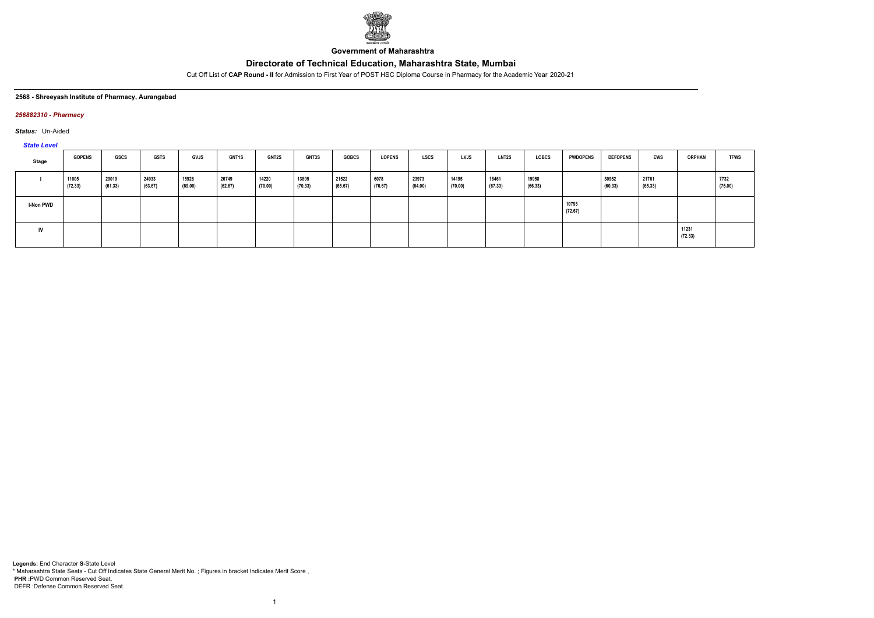

**Government of Maharashtra**

Cut Off List of **CAP Round - II** for Admission to First Year of POST HSC Diploma Course in Pharmacy for the Academic Year 2020-21

#### **2568 - Shreeyash Institute of Pharmacy, Aurangabad**

### *256882310 - Pharmacy*

*Status:* Un-Aided

*State Level*

| Stage     | <b>GOPENS</b>    | GSCS             | GSTS             | <b>GVJS</b>      | <b>GNT1S</b>     | <b>GNT2S</b>     | <b>GNT3S</b>     | <b>GOBCS</b>     | <b>LOPENS</b>   | LSCS             | LVJS             | <b>LNT2S</b>     | <b>LOBCS</b>     | <b>PWDOPENS</b>  | <b>DEFOPENS</b>  | EWS              | <b>ORPHAN</b>    | <b>TFWS</b>     |
|-----------|------------------|------------------|------------------|------------------|------------------|------------------|------------------|------------------|-----------------|------------------|------------------|------------------|------------------|------------------|------------------|------------------|------------------|-----------------|
|           | 11005<br>(72.33) | 29019<br>(61.33) | 24933<br>(63.67) | 15926<br>(69.00) | 26749<br>(62.67) | 14220<br>(70.00) | 13805<br>(70.33) | 21522<br>(65.67) | 6078<br>(76.67) | 23973<br>(64.00) | 14195<br>(70.00) | 18461<br>(67.33) | 19958<br>(66.33) |                  | 30952<br>(60.33) | 21761<br>(65.33) |                  | 7732<br>(75.00) |
| I-Non PWD |                  |                  |                  |                  |                  |                  |                  |                  |                 |                  |                  |                  |                  | 10793<br>(72.67) |                  |                  |                  |                 |
| <b>IV</b> |                  |                  |                  |                  |                  |                  |                  |                  |                 |                  |                  |                  |                  |                  |                  |                  | 11231<br>(72.33) |                 |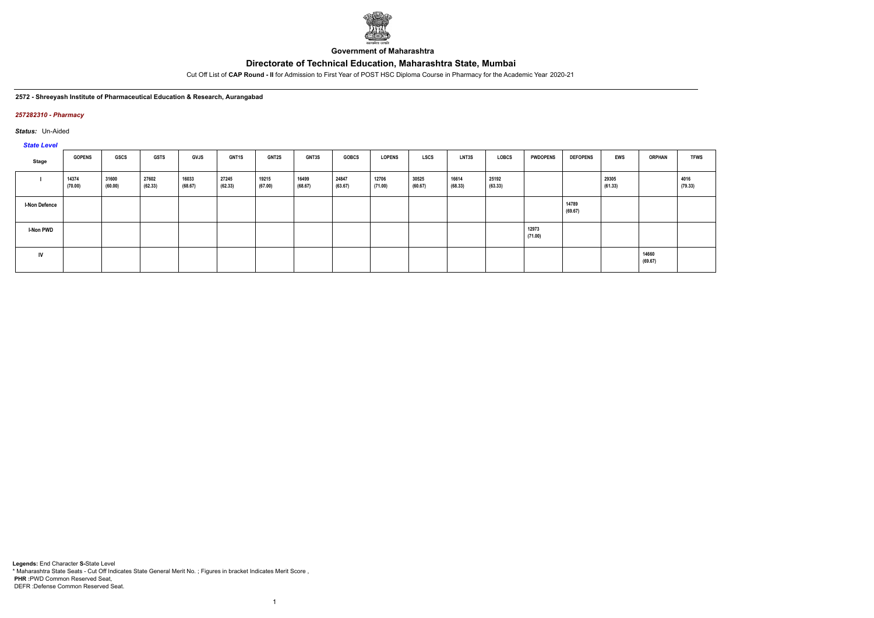

**Government of Maharashtra**

Cut Off List of **CAP Round - II** for Admission to First Year of POST HSC Diploma Course in Pharmacy for the Academic Year 2020-21

#### **2572 - Shreeyash Institute of Pharmaceutical Education & Research, Aurangabad**

### *257282310 - Pharmacy*

*Status:* Un-Aided

*State Level*

| $\frac{1}{2}$        |                  |                  |                  |                  |                  |                  |                  |                  |                  |                  |                  |                  |                  |                  |                  |                  |                 |
|----------------------|------------------|------------------|------------------|------------------|------------------|------------------|------------------|------------------|------------------|------------------|------------------|------------------|------------------|------------------|------------------|------------------|-----------------|
| Stage                | <b>GOPENS</b>    | <b>GSCS</b>      | <b>GSTS</b>      | <b>GVJS</b>      | <b>GNT1S</b>     | <b>GNT2S</b>     | <b>GNT3S</b>     | <b>GOBCS</b>     | <b>LOPENS</b>    | <b>LSCS</b>      | <b>LNT3S</b>     | LOBCS            | <b>PWDOPENS</b>  | <b>DEFOPENS</b>  | <b>EWS</b>       | <b>ORPHAN</b>    | <b>TFWS</b>     |
|                      | 14374<br>(70.00) | 31600<br>(60.00) | 27602<br>(62.33) | 16033<br>(68.67) | 27245<br>(62.33) | 19215<br>(67.00) | 16499<br>(68.67) | 24847<br>(63.67) | 12706<br>(71.00) | 30525<br>(60.67) | 16614<br>(68.33) | 25192<br>(63.33) |                  |                  | 29305<br>(61.33) |                  | 4016<br>(79.33) |
| <b>I-Non Defence</b> |                  |                  |                  |                  |                  |                  |                  |                  |                  |                  |                  |                  |                  | 14789<br>(69.67) |                  |                  |                 |
| <b>I-Non PWD</b>     |                  |                  |                  |                  |                  |                  |                  |                  |                  |                  |                  |                  | 12973<br>(71.00) |                  |                  |                  |                 |
| <b>IV</b>            |                  |                  |                  |                  |                  |                  |                  |                  |                  |                  |                  |                  |                  |                  |                  | 14660<br>(69.67) |                 |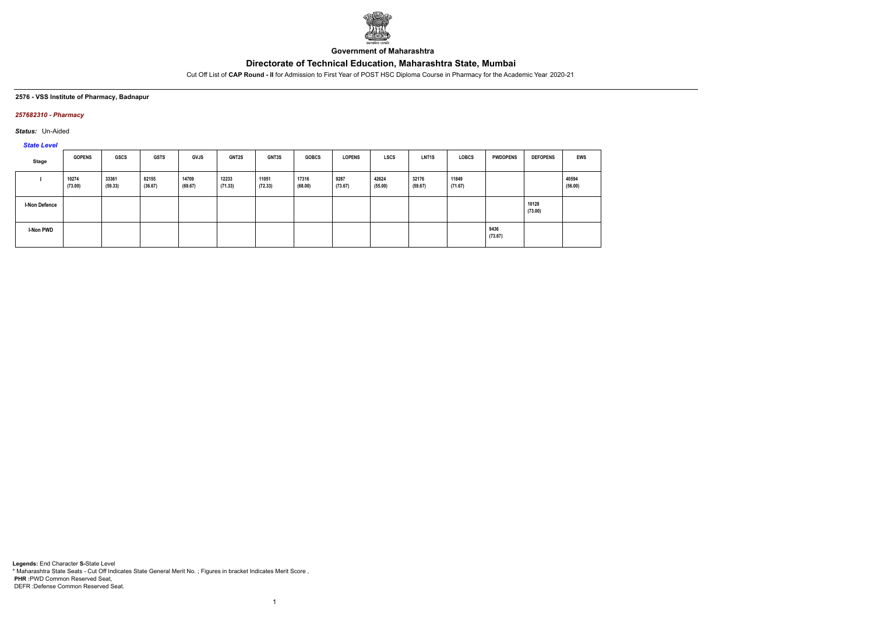

**Government of Maharashtra**

Cut Off List of **CAP Round - II** for Admission to First Year of POST HSC Diploma Course in Pharmacy for the Academic Year 2020-21

#### **2576 - VSS Institute of Pharmacy, Badnapur**

## *257682310 - Pharmacy*

*Status:* Un-Aided

# *State Level*

| Stage                | <b>GOPENS</b>    | GSCS             | <b>GSTS</b>      | <b>GVJS</b>      | <b>GNT2S</b>     | <b>GNT3S</b>     | <b>GOBCS</b>     | <b>LOPENS</b>   | <b>LSCS</b>      | LNT <sub>1</sub> S | <b>LOBCS</b>     | <b>PWDOPENS</b> | <b>DEFOPENS</b>  | EWS              |
|----------------------|------------------|------------------|------------------|------------------|------------------|------------------|------------------|-----------------|------------------|--------------------|------------------|-----------------|------------------|------------------|
|                      | 10274<br>(73.00) | 33361<br>(59.33) | 82155<br>(36.67) | 14709<br>(69.67) | 12233<br>(71.33) | 11051<br>(72.33) | 17316<br>(68.00) | 9287<br>(73.67) | 42624<br>(55.00) | 32176<br>(59.67)   | 11849<br>(71.67) |                 |                  | 40594<br>(56.00) |
| <b>I-Non Defence</b> |                  |                  |                  |                  |                  |                  |                  |                 |                  |                    |                  |                 | 10128<br>(73.00) |                  |
| <b>I-Non PWD</b>     |                  |                  |                  |                  |                  |                  |                  |                 |                  |                    |                  | 9436<br>(73.67) |                  |                  |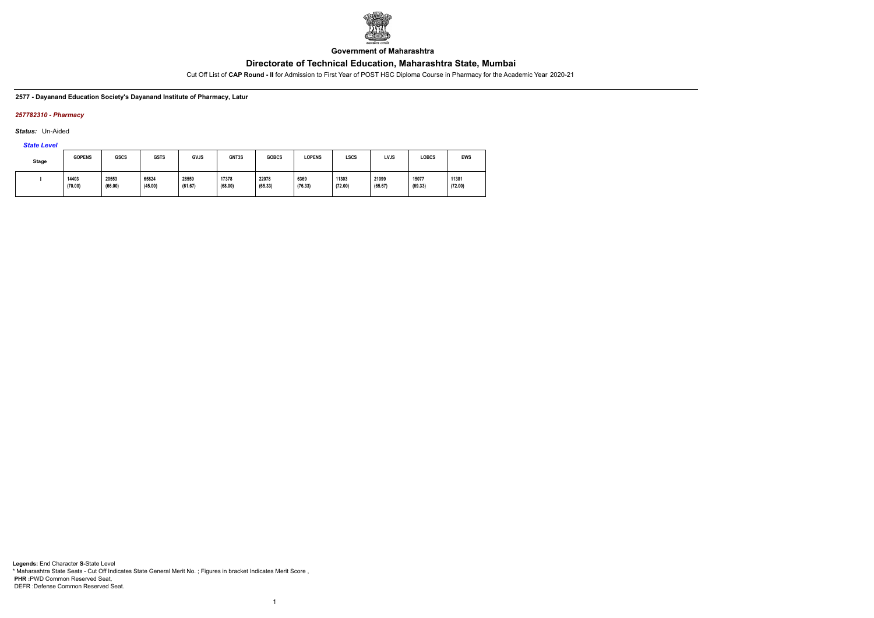

**Government of Maharashtra**

Cut Off List of **CAP Round - II** for Admission to First Year of POST HSC Diploma Course in Pharmacy for the Academic Year 2020-21

**2577 - Dayanand Education Society's Dayanand Institute of Pharmacy, Latur**

## *257782310 - Pharmacy*

*Status:* Un-Aided

*State Level*

| Stage | <b>GOPENS</b>    | <b>GSCS</b>      | <b>GSTS</b>      | <b>GVJS</b>      | GNT3S            | <b>GOBCS</b>     | <b>LOPENS</b>   | LSCS             | <b>LVJS</b>      | LOBCS            | EWS              |
|-------|------------------|------------------|------------------|------------------|------------------|------------------|-----------------|------------------|------------------|------------------|------------------|
|       | 14403<br>(70.00) | 20553<br>(66.00) | 65824<br>(45.00) | 28559<br>(61.67) | 17378<br>(68.00) | 22078<br>(65.33) | 6369<br>(76.33) | 11303<br>(72.00) | 21099<br>(65.67) | 15077<br>(69.33) | 11381<br>(72.00) |

1

**Legends:** End Character **S-**State Level \* Maharashtra State Seats - Cut Off Indicates State General Merit No. ; Figures in bracket Indicates Merit Score , **PHR :**PWD Common Reserved Seat, DEFR :Defense Common Reserved Seat.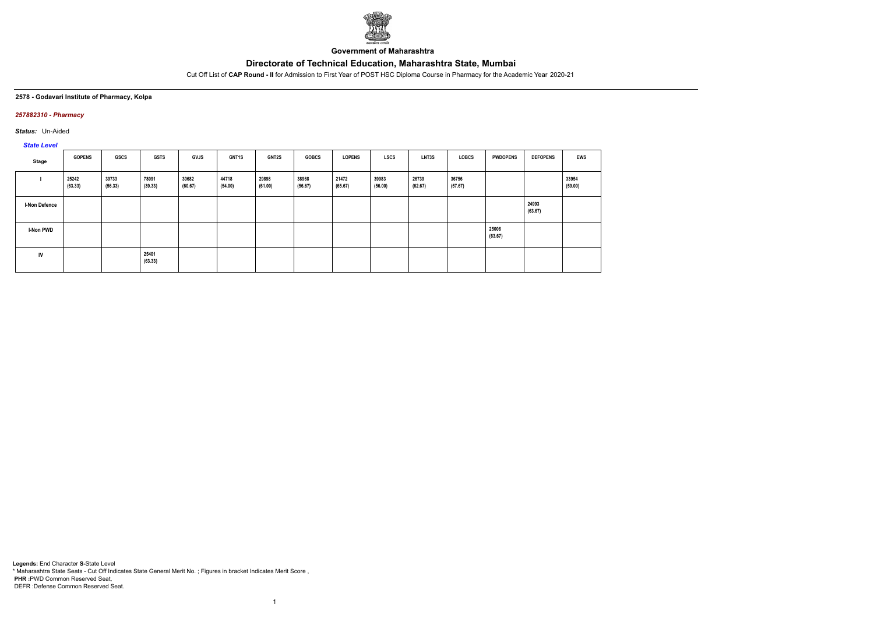

**Government of Maharashtra**

Cut Off List of **CAP Round - II** for Admission to First Year of POST HSC Diploma Course in Pharmacy for the Academic Year 2020-21

#### **2578 - Godavari Institute of Pharmacy, Kolpa**

## *257882310 - Pharmacy*

*Status:* Un-Aided

# *State Level*

| Stage                | <b>GOPENS</b>    | GSCS             | <b>GSTS</b>      | <b>GVJS</b>      | <b>GNT1S</b>     | <b>GNT2S</b>     | <b>GOBCS</b>     | <b>LOPENS</b>    | <b>LSCS</b>      | LNT3S            | LOBCS            | <b>PWDOPENS</b>  | <b>DEFOPENS</b>  | <b>EWS</b>       |
|----------------------|------------------|------------------|------------------|------------------|------------------|------------------|------------------|------------------|------------------|------------------|------------------|------------------|------------------|------------------|
|                      | 25242<br>(63.33) | 39733<br>(56.33) | 78091<br>(39.33) | 30682<br>(60.67) | 44718<br>(54.00) | 29898<br>(61.00) | 38968<br>(56.67) | 21472<br>(65.67) | 39983<br>(56.00) | 26739<br>(62.67) | 36756<br>(57.67) |                  |                  | 33954<br>(59.00) |
| <b>I-Non Defence</b> |                  |                  |                  |                  |                  |                  |                  |                  |                  |                  |                  |                  | 24993<br>(63.67) |                  |
| <b>I-Non PWD</b>     |                  |                  |                  |                  |                  |                  |                  |                  |                  |                  |                  | 25006<br>(63.67) |                  |                  |
| IV                   |                  |                  | 25401<br>(63.33) |                  |                  |                  |                  |                  |                  |                  |                  |                  |                  |                  |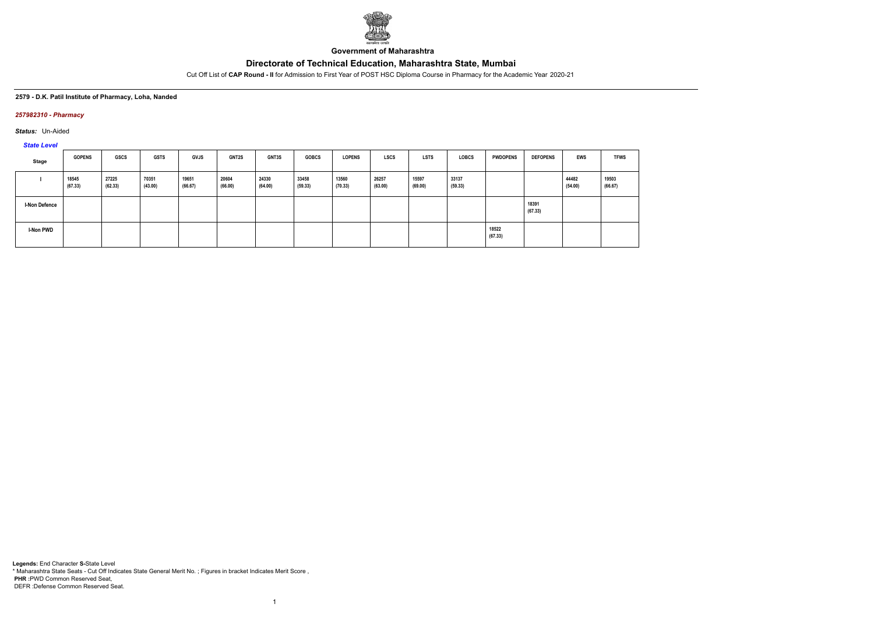

**Government of Maharashtra**

Cut Off List of **CAP Round - II** for Admission to First Year of POST HSC Diploma Course in Pharmacy for the Academic Year 2020-21

#### **2579 - D.K. Patil Institute of Pharmacy, Loha, Nanded**

## *257982310 - Pharmacy*

*Status:* Un-Aided

*State Level*

| Stage                | <b>GOPENS</b>    | <b>GSCS</b>      | <b>GSTS</b>      | GVJS             | <b>GNT2S</b>     | GNT3S            | <b>GOBCS</b>     | <b>LOPENS</b>    | <b>LSCS</b>      | <b>LSTS</b>      | <b>LOBCS</b>     | <b>PWDOPENS</b>  | <b>DEFOPENS</b>  | <b>EWS</b>       | <b>TFWS</b>      |
|----------------------|------------------|------------------|------------------|------------------|------------------|------------------|------------------|------------------|------------------|------------------|------------------|------------------|------------------|------------------|------------------|
|                      | 18545<br>(67.33) | 27225<br>(62.33) | 70351<br>(43.00) | 19651<br>(66.67) | 20604<br>(66.00) | 24330<br>(64.00) | 33458<br>(59.33) | 13560<br>(70.33) | 26257<br>(63.00) | 15597<br>(69.00) | 33137<br>(59.33) |                  |                  | 44482<br>(54.00) | 19503<br>(66.67) |
| <b>I-Non Defence</b> |                  |                  |                  |                  |                  |                  |                  |                  |                  |                  |                  |                  | 18391<br>(67.33) |                  |                  |
| I-Non PWD            |                  |                  |                  |                  |                  |                  |                  |                  |                  |                  |                  | 18522<br>(67.33) |                  |                  |                  |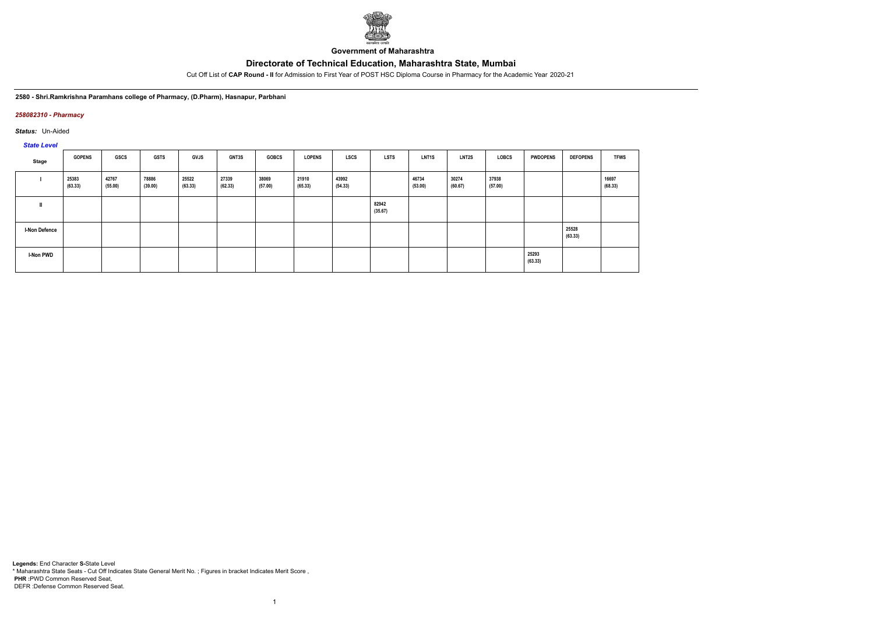

**Government of Maharashtra**

Cut Off List of **CAP Round - II** for Admission to First Year of POST HSC Diploma Course in Pharmacy for the Academic Year 2020-21

#### **2580 - Shri.Ramkrishna Paramhans college of Pharmacy, (D.Pharm), Hasnapur, Parbhani**

### *258082310 - Pharmacy*

*Status:* Un-Aided

# *State Level*

| Stage                | <b>GOPENS</b>    | GSCS             | <b>GSTS</b>      | GVJS             | <b>GNT3S</b>     | <b>GOBCS</b>     | <b>LOPENS</b>    | <b>LSCS</b>      | <b>LSTS</b>      | <b>LNT1S</b>     | <b>LNT2S</b>     | LOBCS            | <b>PWDOPENS</b>  | <b>DEFOPENS</b>  | <b>TFWS</b>      |
|----------------------|------------------|------------------|------------------|------------------|------------------|------------------|------------------|------------------|------------------|------------------|------------------|------------------|------------------|------------------|------------------|
|                      | 25383<br>(63.33) | 42767<br>(55.00) | 78886<br>(39.00) | 25522<br>(63.33) | 27339<br>(62.33) | 38069<br>(57.00) | 21910<br>(65.33) | 43992<br>(54.33) |                  | 46734<br>(53.00) | 30274<br>(60.67) | 37938<br>(57.00) |                  |                  | 16697<br>(68.33) |
|                      |                  |                  |                  |                  |                  |                  |                  |                  | 82942<br>(35.67) |                  |                  |                  |                  |                  |                  |
| <b>I-Non Defence</b> |                  |                  |                  |                  |                  |                  |                  |                  |                  |                  |                  |                  |                  | 25528<br>(63.33) |                  |
| <b>I-Non PWD</b>     |                  |                  |                  |                  |                  |                  |                  |                  |                  |                  |                  |                  | 25293<br>(63.33) |                  |                  |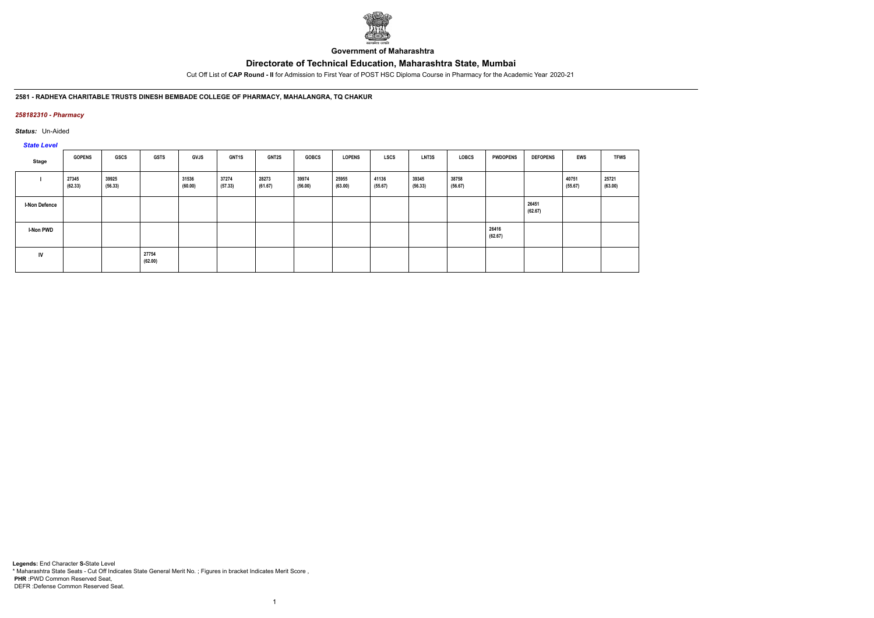

**Government of Maharashtra**

Cut Off List of **CAP Round - II** for Admission to First Year of POST HSC Diploma Course in Pharmacy for the Academic Year 2020-21

## **2581 - RADHEYA CHARITABLE TRUSTS DINESH BEMBADE COLLEGE OF PHARMACY, MAHALANGRA, TQ CHAKUR**

## *258182310 - Pharmacy*

*Status:* Un-Aided

# *State Level*

| Stage                | <b>GOPENS</b>    | GSCS             | <b>GSTS</b>      | <b>GVJS</b>      | <b>GNT1S</b>     | <b>GNT2S</b>     | <b>GOBCS</b>     | <b>LOPENS</b>    | LSCS             | <b>LNT3S</b>     | LOBCS            | <b>PWDOPENS</b>  | <b>DEFOPENS</b>  | <b>EWS</b>       | <b>TFWS</b>      |
|----------------------|------------------|------------------|------------------|------------------|------------------|------------------|------------------|------------------|------------------|------------------|------------------|------------------|------------------|------------------|------------------|
|                      | 27345<br>(62.33) | 39925<br>(56.33) |                  | 31536<br>(60.00) | 37274<br>(57.33) | 28273<br>(61.67) | 39974<br>(56.00) | 25955<br>(63.00) | 41136<br>(55.67) | 39345<br>(56.33) | 38758<br>(56.67) |                  |                  | 40751<br>(55.67) | 25721<br>(63.00) |
| <b>I-Non Defence</b> |                  |                  |                  |                  |                  |                  |                  |                  |                  |                  |                  |                  | 26451<br>(62.67) |                  |                  |
| <b>I-Non PWD</b>     |                  |                  |                  |                  |                  |                  |                  |                  |                  |                  |                  | 26416<br>(62.67) |                  |                  |                  |
| <b>IV</b>            |                  |                  | 27754<br>(62.00) |                  |                  |                  |                  |                  |                  |                  |                  |                  |                  |                  |                  |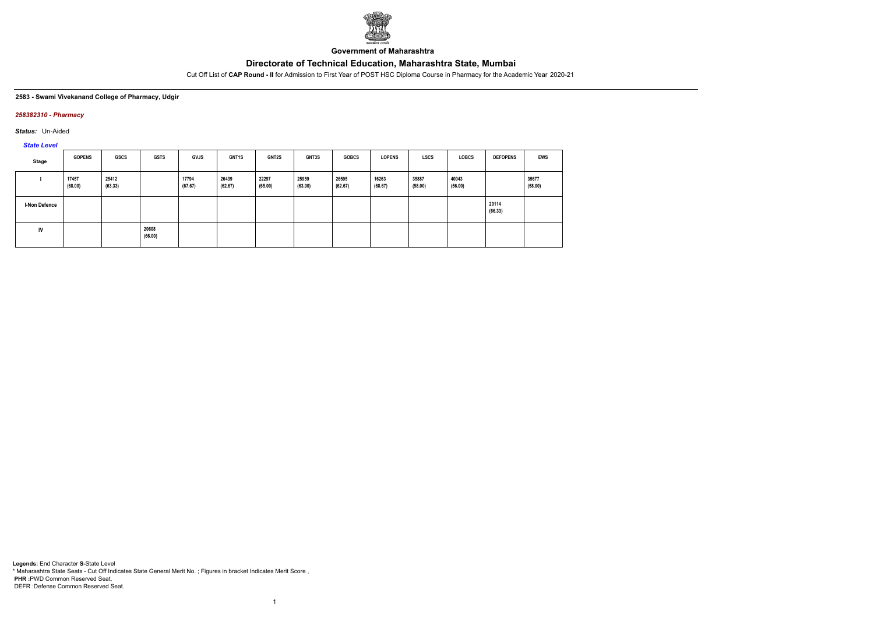

**Government of Maharashtra**

Cut Off List of **CAP Round - II** for Admission to First Year of POST HSC Diploma Course in Pharmacy for the Academic Year 2020-21

#### **2583 - Swami Vivekanand College of Pharmacy, Udgir**

## *258382310 - Pharmacy*

*Status:* Un-Aided

# *State Level*

| Stage                | <b>GOPENS</b>    | GSCS             | <b>GSTS</b>      | <b>GVJS</b>      | <b>GNT1S</b>     | <b>GNT2S</b>     | GNT3S            | <b>GOBCS</b>     | <b>LOPENS</b>    | <b>LSCS</b>      | <b>LOBCS</b>     | <b>DEFOPENS</b>  | EWS              |
|----------------------|------------------|------------------|------------------|------------------|------------------|------------------|------------------|------------------|------------------|------------------|------------------|------------------|------------------|
|                      | 17457<br>(68.00) | 25412<br>(63.33) |                  | 17794<br>(67.67) | 26439<br>(62.67) | 22297<br>(65.00) | 25959<br>(63.00) | 26595<br>(62.67) | 16263<br>(68.67) | 35887<br>(58.00) | 40043<br>(56.00) |                  | 35677<br>(58.00) |
| <b>I-Non Defence</b> |                  |                  |                  |                  |                  |                  |                  |                  |                  |                  |                  | 20114<br>(66.33) |                  |
| IV                   |                  |                  | 20608<br>(66.00) |                  |                  |                  |                  |                  |                  |                  |                  |                  |                  |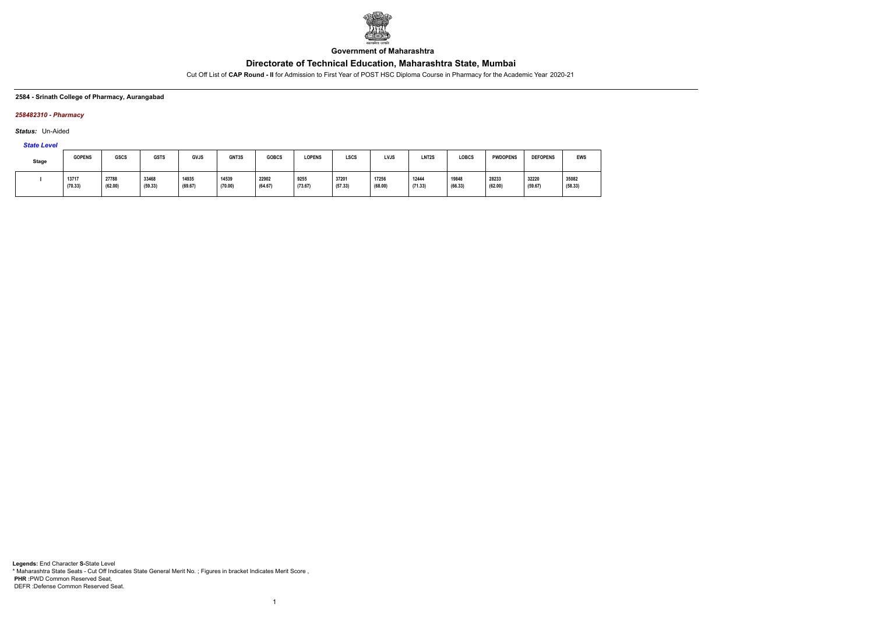

**Government of Maharashtra**

Cut Off List of **CAP Round - II** for Admission to First Year of POST HSC Diploma Course in Pharmacy for the Academic Year 2020-21

#### **2584 - Srinath College of Pharmacy, Aurangabad**

## *258482310 - Pharmacy*

*Status:* Un-Aided

# *State Level*

| Stage | <b>GOPENS</b>    | GSCS             | <b>GSTS</b>      | GVJS             | GNT3S            | <b>GOBCS</b>     | <b>LOPENS</b>   | LSCS             | <b>LVJS</b>      | LNT <sub>2</sub> S | <b>LOBCS</b>     | <b>PWDOPENS</b>                          | <b>DEFOPENS</b>  | <b>EWS</b>       |
|-------|------------------|------------------|------------------|------------------|------------------|------------------|-----------------|------------------|------------------|--------------------|------------------|------------------------------------------|------------------|------------------|
|       | 13717<br>(70.33) | 27788<br>(62.00) | 33468<br>(59.33) | 14935<br>(69.67) | 14539<br>(70.00) | 22902<br>(64.67) | 9255<br>(73.67) | 37201<br>(57.33) | 17256<br>(68.00) | 12444<br>(71.33)   | 19848<br>(66.33) | 28233<br>$\sim$ $\sim$ $\sim$<br>(62.00) | 32220<br>(59.67) | 35082<br>(58.33) |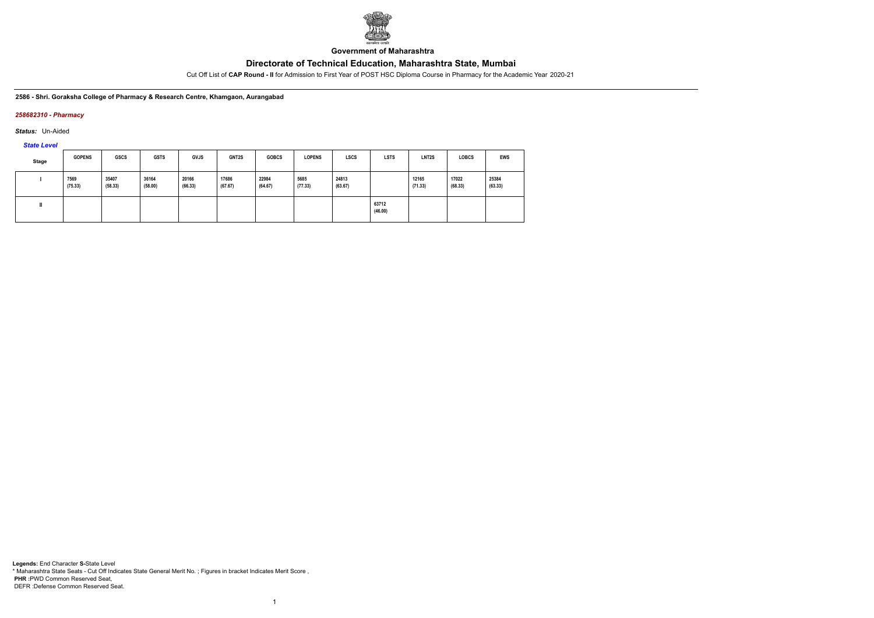

**Government of Maharashtra**

Cut Off List of **CAP Round - II** for Admission to First Year of POST HSC Diploma Course in Pharmacy for the Academic Year 2020-21

**2586 - Shri. Goraksha College of Pharmacy & Research Centre, Khamgaon, Aurangabad**

## *258682310 - Pharmacy*

*Status:* Un-Aided

*State Level*

| <b>Stage</b> | <b>GOPENS</b>   | <b>GSCS</b>      | <b>GSTS</b>      | <b>GVJS</b>      | <b>GNT2S</b>     | <b>GOBCS</b>     | <b>LOPENS</b>   | <b>LSCS</b>      | <b>LSTS</b>      | LNT2S            | <b>LOBCS</b>     | EWS              |
|--------------|-----------------|------------------|------------------|------------------|------------------|------------------|-----------------|------------------|------------------|------------------|------------------|------------------|
|              | 7569<br>(75.33) | 35407<br>(58.33) | 36164<br>(58.00) | 20166<br>(66.33) | 17686<br>(67.67) | 22984<br>(64.67) | 5685<br>(77.33) | 24813<br>(63.67) |                  | 12165<br>(71.33) | 17022<br>(68.33) | 25384<br>(63.33) |
|              |                 |                  |                  |                  |                  |                  |                 |                  | 63712<br>(46.00) |                  |                  |                  |

1

**Legends:** End Character **S-**State Level \* Maharashtra State Seats - Cut Off Indicates State General Merit No. ; Figures in bracket Indicates Merit Score , **PHR :**PWD Common Reserved Seat, DEFR :Defense Common Reserved Seat.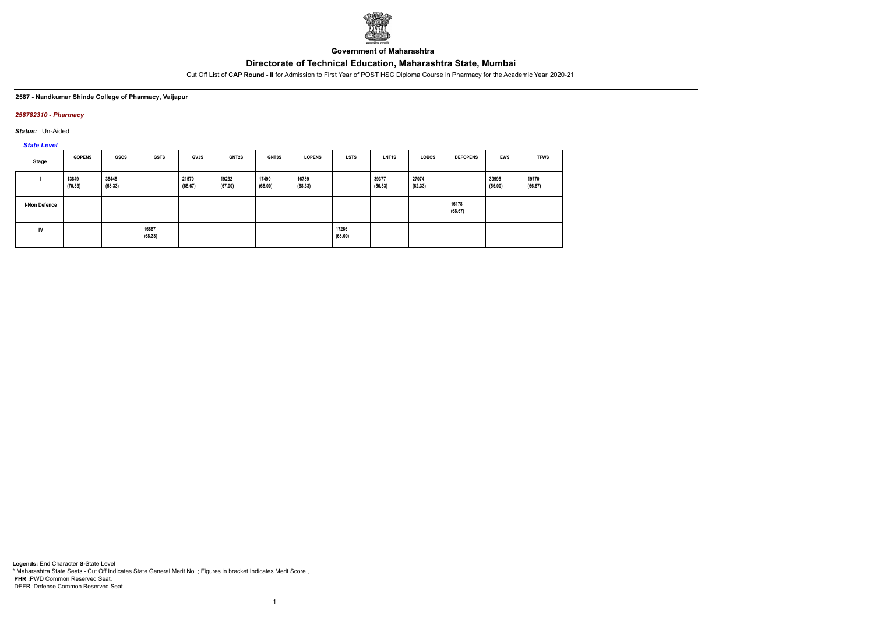

**Government of Maharashtra**

Cut Off List of **CAP Round - II** for Admission to First Year of POST HSC Diploma Course in Pharmacy for the Academic Year 2020-21

#### **2587 - Nandkumar Shinde College of Pharmacy, Vaijapur**

## *258782310 - Pharmacy*

*Status:* Un-Aided

*State Level*

| Stage                | <b>GOPENS</b>    | GSCS             | <b>GSTS</b>      | GVJS             | <b>GNT2S</b>     | <b>GNT3S</b>     | <b>LOPENS</b>    | <b>LSTS</b>      | <b>LNT1S</b>     | <b>LOBCS</b>     | <b>DEFOPENS</b>  | <b>EWS</b>       | <b>TFWS</b>      |
|----------------------|------------------|------------------|------------------|------------------|------------------|------------------|------------------|------------------|------------------|------------------|------------------|------------------|------------------|
|                      | 13849<br>(70.33) | 35445<br>(58.33) |                  | 21570<br>(65.67) | 19232<br>(67.00) | 17490<br>(68.00) | 16789<br>(68.33) |                  | 39377<br>(56.33) | 27074<br>(62.33) |                  | 39995<br>(56.00) | 19770<br>(66.67) |
| <b>I-Non Defence</b> |                  |                  |                  |                  |                  |                  |                  |                  |                  |                  | 16178<br>(68.67) |                  |                  |
| IV                   |                  |                  | 16867<br>(68.33) |                  |                  |                  |                  | 17266<br>(68.00) |                  |                  |                  |                  |                  |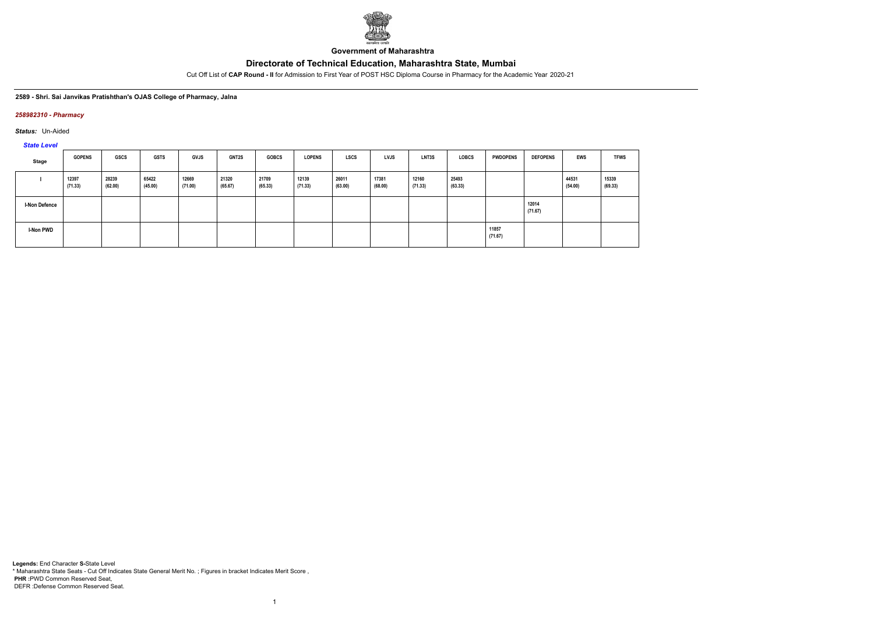

**Government of Maharashtra**

Cut Off List of **CAP Round - II** for Admission to First Year of POST HSC Diploma Course in Pharmacy for the Academic Year 2020-21

#### **2589 - Shri. Sai Janvikas Pratishthan's OJAS College of Pharmacy, Jalna**

## *258982310 - Pharmacy*

*Status:* Un-Aided

*State Level*

| Stage                | <b>GOPENS</b>    | <b>GSCS</b>      | <b>GSTS</b>      | <b>GVJS</b>      | <b>GNT2S</b>     | <b>GOBCS</b>     | <b>LOPENS</b>    | <b>LSCS</b>      | <b>LVJS</b>      | LNT3S            | <b>LOBCS</b>     | <b>PWDOPENS</b>  | <b>DEFOPENS</b>  | <b>EWS</b>       | <b>TFWS</b>      |
|----------------------|------------------|------------------|------------------|------------------|------------------|------------------|------------------|------------------|------------------|------------------|------------------|------------------|------------------|------------------|------------------|
|                      | 12397<br>(71.33) | 28239<br>(62.00) | 65422<br>(45.00) | 12669<br>(71.00) | 21320<br>(65.67) | 21709<br>(65.33) | 12139<br>(71.33) | 26011<br>(63.00) | 17381<br>(68.00) | 12160<br>(71.33) | 25493<br>(63.33) |                  |                  | 44531<br>(54.00) | 15339<br>(69.33) |
| <b>I-Non Defence</b> |                  |                  |                  |                  |                  |                  |                  |                  |                  |                  |                  |                  | 12014<br>(71.67) |                  |                  |
| I-Non PWD            |                  |                  |                  |                  |                  |                  |                  |                  |                  |                  |                  | 11857<br>(71.67) |                  |                  |                  |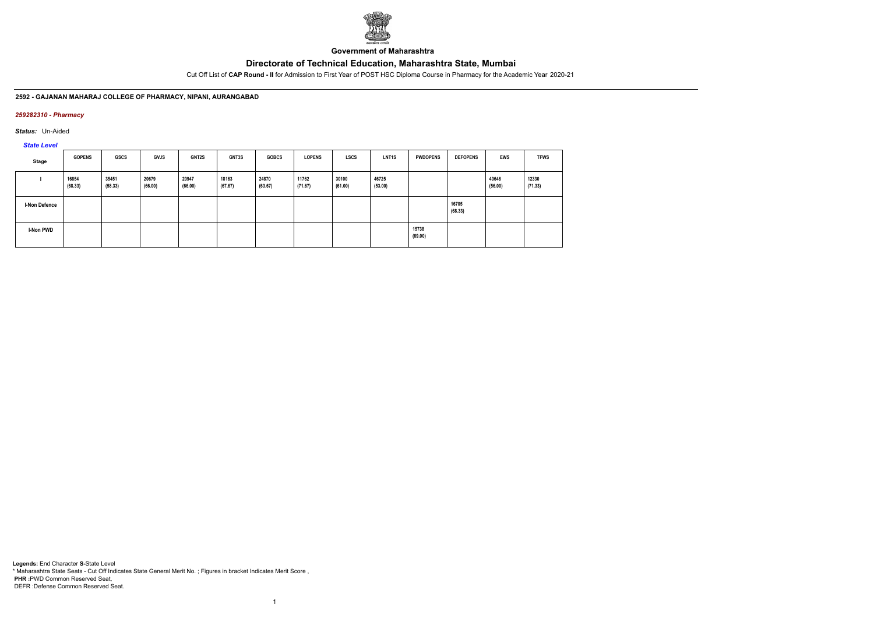

**Government of Maharashtra**

Cut Off List of **CAP Round - II** for Admission to First Year of POST HSC Diploma Course in Pharmacy for the Academic Year 2020-21

### **2592 - GAJANAN MAHARAJ COLLEGE OF PHARMACY, NIPANI, AURANGABAD**

## *259282310 - Pharmacy*

*Status:* Un-Aided

*State Level*

| Stage                | <b>GOPENS</b>    | <b>GSCS</b>      | <b>GVJS</b>      | GNT2S            | <b>GNT3S</b>     | <b>GOBCS</b>     | <b>LOPENS</b>    | LSCS             | LNT <sub>1</sub> S | <b>PWDOPENS</b>  | <b>DEFOPENS</b>  | <b>EWS</b>       | <b>TFWS</b>      |
|----------------------|------------------|------------------|------------------|------------------|------------------|------------------|------------------|------------------|--------------------|------------------|------------------|------------------|------------------|
|                      | 16854<br>(68.33) | 35451<br>(58.33) | 20679<br>(66.00) | 20947<br>(66.00) | 18163<br>(67.67) | 24870<br>(63.67) | 11762<br>(71.67) | 30100<br>(61.00) | 46725<br>(53.00)   |                  |                  | 40646<br>(56.00) | 12330<br>(71.33) |
| <b>I-Non Defence</b> |                  |                  |                  |                  |                  |                  |                  |                  |                    |                  | 16705<br>(68.33) |                  |                  |
| <b>I-Non PWD</b>     |                  |                  |                  |                  |                  |                  |                  |                  |                    | 15738<br>(69.00) |                  |                  |                  |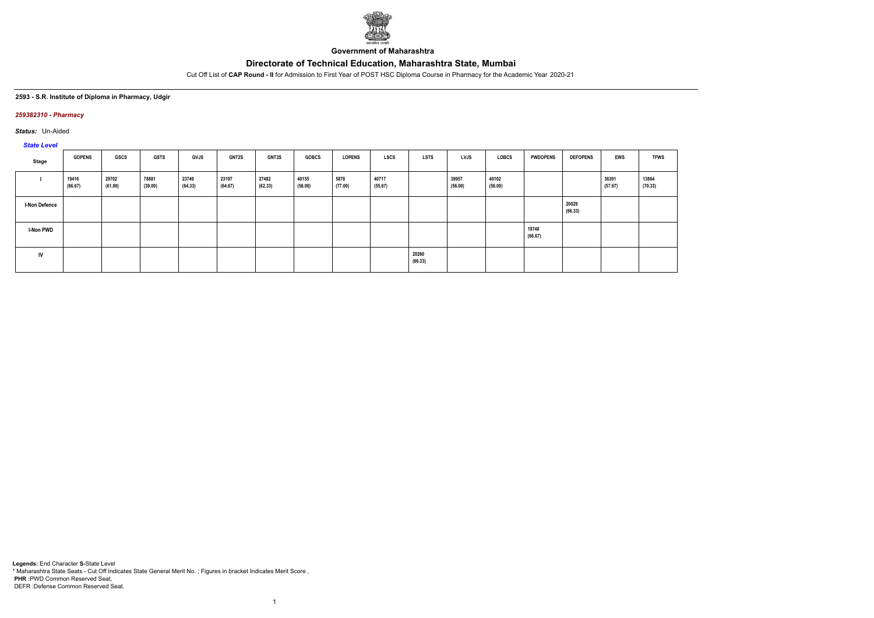

**Government of Maharashtra**

Cut Off List of **CAP Round - II** for Admission to First Year of POST HSC Diploma Course in Pharmacy for the Academic Year 2020-21

#### **2593 - S.R. Institute of Diploma in Pharmacy, Udgir**

## *259382310 - Pharmacy*

*Status:* Un-Aided

# *State Level*

| Stage                | <b>GOPENS</b>    | GSCS             | GSTS             | <b>GVJS</b>      | <b>GNT2S</b>     | <b>GNT3S</b>     | <b>GOBCS</b>     | <b>LOPENS</b>   | <b>LSCS</b>      | LSTS             | <b>LVJS</b>      | LOBCS            | <b>PWDOPENS</b>  | <b>DEFOPENS</b>  | <b>EWS</b>       | <b>TFWS</b>      |
|----------------------|------------------|------------------|------------------|------------------|------------------|------------------|------------------|-----------------|------------------|------------------|------------------|------------------|------------------|------------------|------------------|------------------|
|                      | 19416<br>(66.67) | 29702<br>(61.00) | 78881<br>(39.00) | 23749<br>(64.33) | 23197<br>(64.67) | 27482<br>(62.33) | 40155<br>(56.00) | 5878<br>(77.00) | 40717<br>(55.67) |                  | 39957<br>(56.00) | 40102<br>(56.00) |                  |                  | 36391<br>(57.67) | 13864<br>(70.33) |
| <b>I-Non Defence</b> |                  |                  |                  |                  |                  |                  |                  |                 |                  |                  |                  |                  |                  | 20029<br>(66.33) |                  |                  |
| <b>I-Non PWD</b>     |                  |                  |                  |                  |                  |                  |                  |                 |                  |                  |                  |                  | 19748<br>(66.67) |                  |                  |                  |
| <b>IV</b>            |                  |                  |                  |                  |                  |                  |                  |                 |                  | 20260<br>(66.33) |                  |                  |                  |                  |                  |                  |

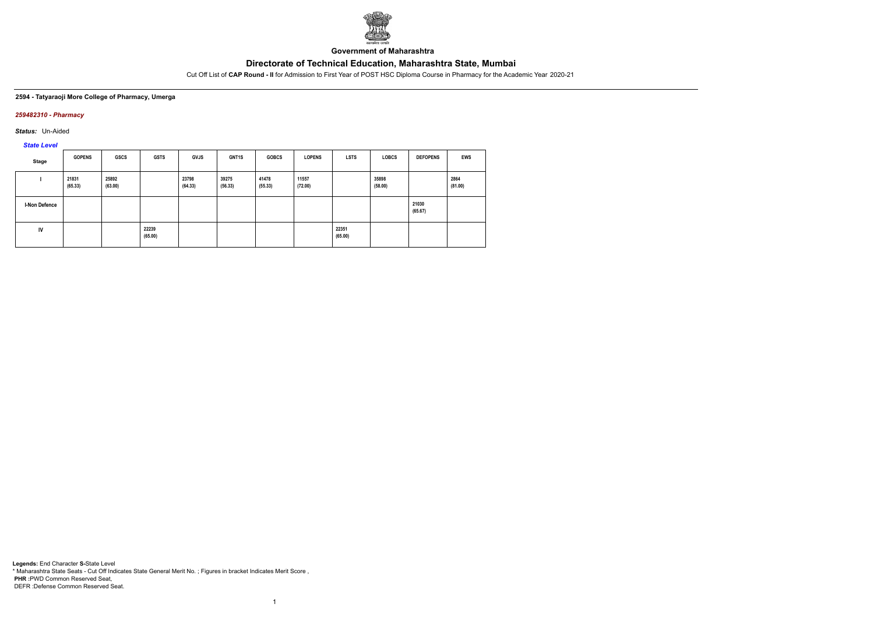

**Government of Maharashtra**

Cut Off List of **CAP Round - II** for Admission to First Year of POST HSC Diploma Course in Pharmacy for the Academic Year 2020-21

#### **2594 - Tatyaraoji More College of Pharmacy, Umerga**

## *259482310 - Pharmacy*

*Status:* Un-Aided

*State Level*

| Stage         | <b>GOPENS</b>    | <b>GSCS</b>      | <b>GSTS</b>      | <b>GVJS</b>      | GNT1S            | <b>GOBCS</b>     | <b>LOPENS</b>    | <b>LSTS</b>      | <b>LOBCS</b>     | <b>DEFOPENS</b>  | <b>EWS</b>      |
|---------------|------------------|------------------|------------------|------------------|------------------|------------------|------------------|------------------|------------------|------------------|-----------------|
|               | 21831<br>(65.33) | 25892<br>(63.00) |                  | 23798<br>(64.33) | 39275<br>(56.33) | 41478<br>(55.33) | 11557<br>(72.00) |                  | 35898<br>(58.00) |                  | 2864<br>(81.00) |
| I-Non Defence |                  |                  |                  |                  |                  |                  |                  |                  |                  | 21030<br>(65.67) |                 |
| IV            |                  |                  | 22239<br>(65.00) |                  |                  |                  |                  | 22351<br>(65.00) |                  |                  |                 |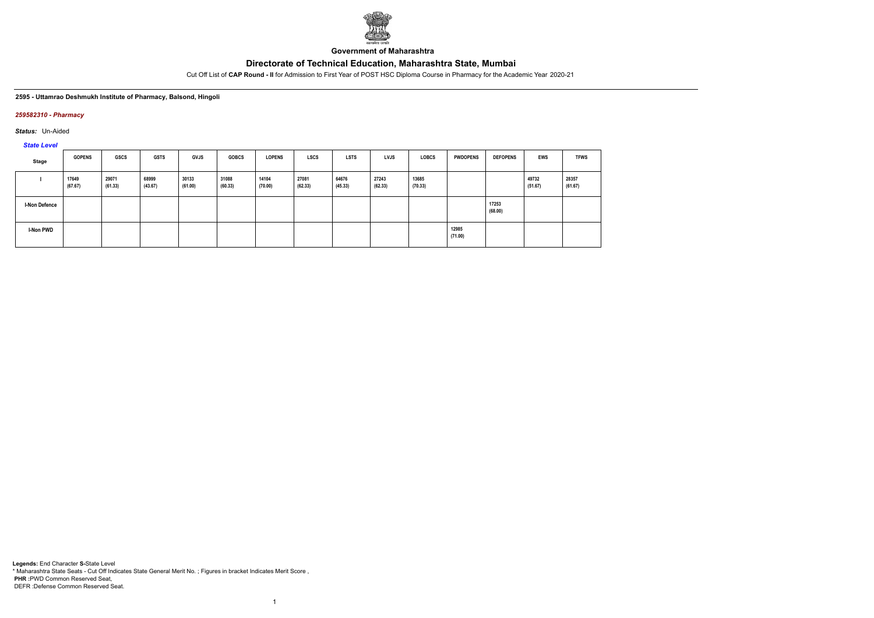

**Government of Maharashtra**

Cut Off List of **CAP Round - II** for Admission to First Year of POST HSC Diploma Course in Pharmacy for the Academic Year 2020-21

#### **2595 - Uttamrao Deshmukh Institute of Pharmacy, Balsond, Hingoli**

### *259582310 - Pharmacy*

*Status:* Un-Aided

*State Level*

| Stage                | <b>GOPENS</b>    | GSCS             | <b>GSTS</b>      | <b>GVJS</b>      | <b>GOBCS</b>     | <b>LOPENS</b>    | <b>LSCS</b>      | <b>LSTS</b>      | <b>LVJS</b>      | <b>LOBCS</b>     | <b>PWDOPENS</b>  | <b>DEFOPENS</b>  | <b>EWS</b>       | <b>TFWS</b>      |
|----------------------|------------------|------------------|------------------|------------------|------------------|------------------|------------------|------------------|------------------|------------------|------------------|------------------|------------------|------------------|
|                      | 17649<br>(67.67) | 29071<br>(61.33) | 68999<br>(43.67) | 30133<br>(61.00) | 31088<br>(60.33) | 14104<br>(70.00) | 27081<br>(62.33) | 64676<br>(45.33) | 27243<br>(62.33) | 13685<br>(70.33) |                  |                  | 49732<br>(51.67) | 28357<br>(61.67) |
| <b>I-Non Defence</b> |                  |                  |                  |                  |                  |                  |                  |                  |                  |                  |                  | 17253<br>(68.00) |                  |                  |
| I-Non PWD            |                  |                  |                  |                  |                  |                  |                  |                  |                  |                  | 12985<br>(71.00) |                  |                  |                  |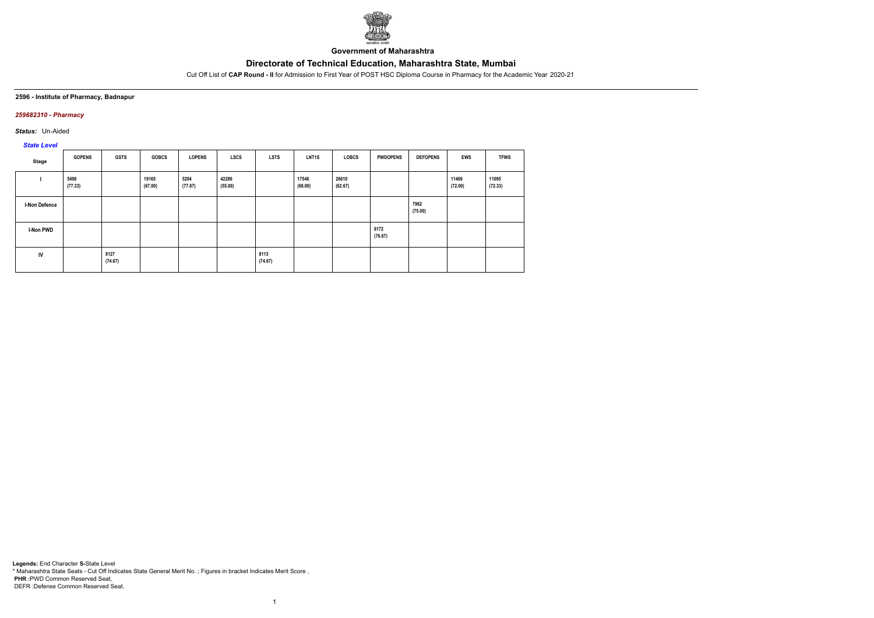

**Government of Maharashtra**

Cut Off List of **CAP Round - II** for Admission to First Year of POST HSC Diploma Course in Pharmacy for the Academic Year 2020-21

#### **2596 - Institute of Pharmacy, Badnapur**

### *259682310 - Pharmacy*

*Status:* Un-Aided

# *State Level*

| <b>Stage</b>     | <b>GOPENS</b>   | <b>GSTS</b>     | <b>GOBCS</b>     | <b>LOPENS</b>   | <b>LSCS</b>      | <b>LSTS</b>     | LNT <sub>1</sub> S | <b>LOBCS</b>     | <b>PWDOPENS</b> | <b>DEFOPENS</b> | <b>EWS</b>       | <b>TFWS</b>      |
|------------------|-----------------|-----------------|------------------|-----------------|------------------|-----------------|--------------------|------------------|-----------------|-----------------|------------------|------------------|
|                  | 5498<br>(77.33) |                 | 19165<br>(67.00) | 5294<br>(77.67) | 42286<br>(55.00) |                 | 17546<br>(68.00)   | 26610<br>(62.67) |                 |                 | 11469<br>(72.00) | 11095<br>(72.33) |
| I-Non Defence    |                 |                 |                  |                 |                  |                 |                    |                  |                 | 7962<br>(75.00) |                  |                  |
| <b>I-Non PWD</b> |                 |                 |                  |                 |                  |                 |                    |                  | 6172<br>(76.67) |                 |                  |                  |
| IV               |                 | 8127<br>(74.67) |                  |                 |                  | 8113<br>(74.67) |                    |                  |                 |                 |                  |                  |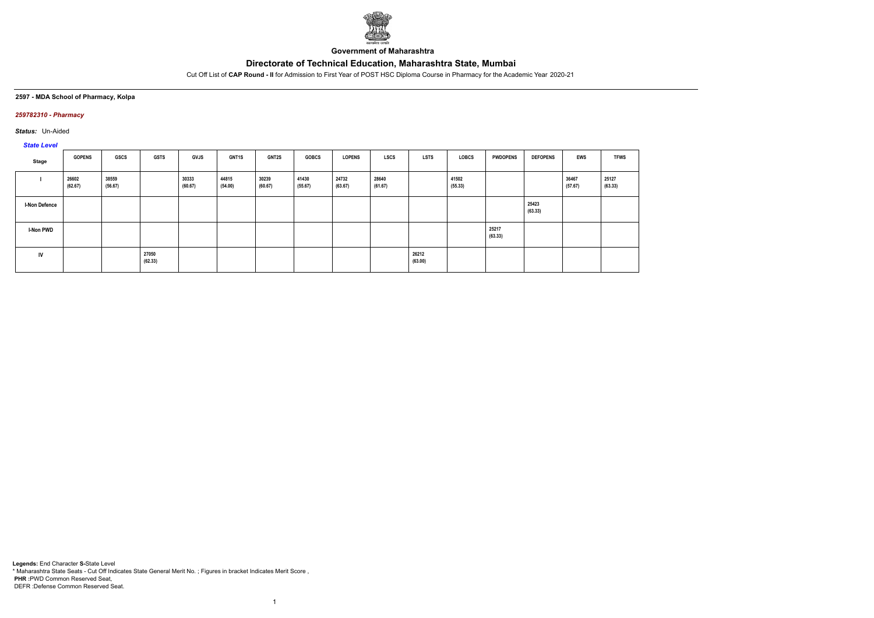

**Government of Maharashtra**

Cut Off List of **CAP Round - II** for Admission to First Year of POST HSC Diploma Course in Pharmacy for the Academic Year 2020-21

### **2597 - MDA School of Pharmacy, Kolpa**

### *259782310 - Pharmacy*

*Status:* Un-Aided

# *State Level*

| Stage                | <b>GOPENS</b>    | GSCS             | <b>GSTS</b>      | GVJS             | <b>GNT1S</b>     | <b>GNT2S</b>     | <b>GOBCS</b>     | <b>LOPENS</b>    | <b>LSCS</b>      | <b>LSTS</b>      | LOBCS            | <b>PWDOPENS</b>  | <b>DEFOPENS</b>  | <b>EWS</b>       | <b>TFWS</b>      |
|----------------------|------------------|------------------|------------------|------------------|------------------|------------------|------------------|------------------|------------------|------------------|------------------|------------------|------------------|------------------|------------------|
|                      | 26602<br>(62.67) | 38559<br>(56.67) |                  | 30333<br>(60.67) | 44815<br>(54.00) | 30239<br>(60.67) | 41430<br>(55.67) | 24732<br>(63.67) | 28640<br>(61.67) |                  | 41502<br>(55.33) |                  |                  | 36467<br>(57.67) | 25127<br>(63.33) |
| <b>I-Non Defence</b> |                  |                  |                  |                  |                  |                  |                  |                  |                  |                  |                  |                  | 25423<br>(63.33) |                  |                  |
| <b>I-Non PWD</b>     |                  |                  |                  |                  |                  |                  |                  |                  |                  |                  |                  | 25217<br>(63.33) |                  |                  |                  |
| IV                   |                  |                  | 27050<br>(62.33) |                  |                  |                  |                  |                  |                  | 26212<br>(63.00) |                  |                  |                  |                  |                  |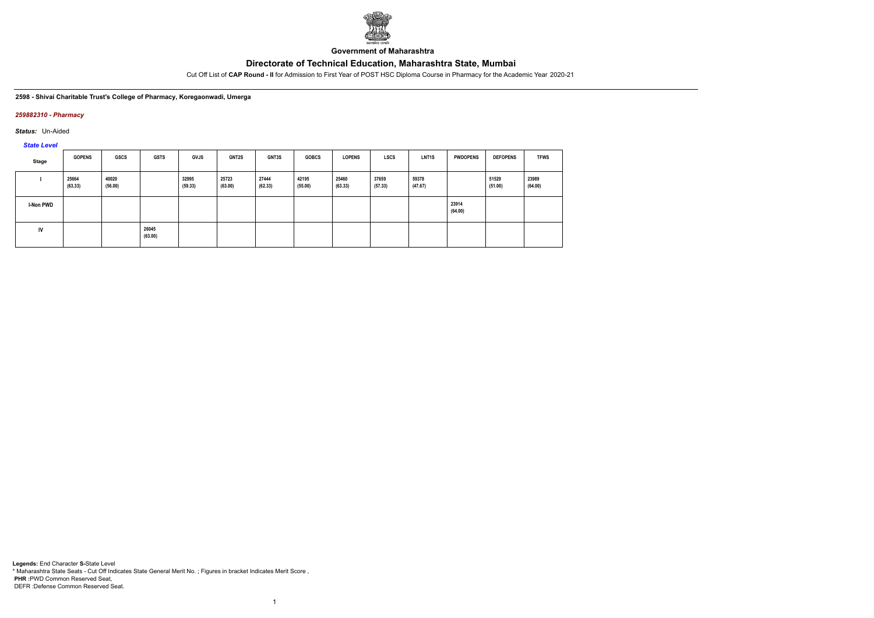

**Government of Maharashtra**

Cut Off List of **CAP Round - II** for Admission to First Year of POST HSC Diploma Course in Pharmacy for the Academic Year 2020-21

#### **2598 - Shivai Charitable Trust's College of Pharmacy, Koregaonwadi, Umerga**

### *259882310 - Pharmacy*

*Status:* Un-Aided

*State Level*

| Stage            | <b>GOPENS</b>    | GSCS             | <b>GSTS</b>      | <b>GVJS</b>      | <b>GNT2S</b>     | <b>GNT3S</b>     | <b>GOBCS</b>     | <b>LOPENS</b>    | <b>LSCS</b>      | <b>LNT1S</b>     | <b>PWDOPENS</b>  | <b>DEFOPENS</b>  | <b>TFWS</b>      |
|------------------|------------------|------------------|------------------|------------------|------------------|------------------|------------------|------------------|------------------|------------------|------------------|------------------|------------------|
|                  | 25664<br>(63.33) | 40020<br>(56.00) |                  | 32995<br>(59.33) | 25723<br>(63.00) | 27444<br>(62.33) | 42195<br>(55.00) | 25460<br>(63.33) | 37659<br>(57.33) | 59378<br>(47.67) |                  | 51529<br>(51.00) | 23989<br>(64.00) |
| <b>I-Non PWD</b> |                  |                  |                  |                  |                  |                  |                  |                  |                  |                  | 23914<br>(64.00) |                  |                  |
| IV               |                  |                  | 26045<br>(63.00) |                  |                  |                  |                  |                  |                  |                  |                  |                  |                  |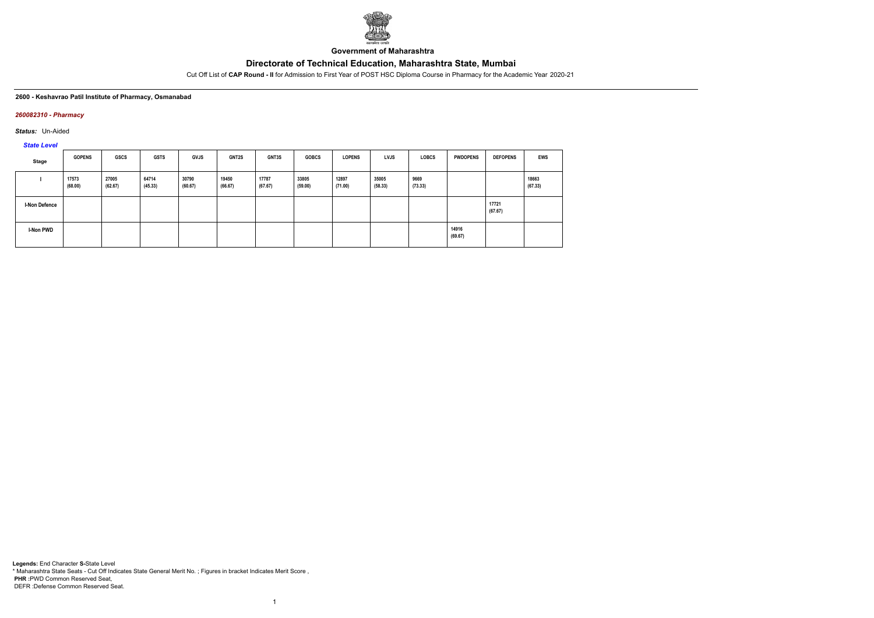

**Government of Maharashtra**

Cut Off List of **CAP Round - II** for Admission to First Year of POST HSC Diploma Course in Pharmacy for the Academic Year 2020-21

#### **2600 - Keshavrao Patil Institute of Pharmacy, Osmanabad**

#### *260082310 - Pharmacy*

*Status:* Un-Aided

*State Level*

| Stage                | <b>GOPENS</b>    | GSCS             | <b>GSTS</b>      | <b>GVJS</b>      | <b>GNT2S</b>     | GNT3S            | <b>GOBCS</b>     | <b>LOPENS</b>    | <b>LVJS</b>      | <b>LOBCS</b>    | <b>PWDOPENS</b>  | <b>DEFOPENS</b>  | EWS              |
|----------------------|------------------|------------------|------------------|------------------|------------------|------------------|------------------|------------------|------------------|-----------------|------------------|------------------|------------------|
|                      | 17573<br>(68.00) | 27005<br>(62.67) | 64714<br>(45.33) | 30790<br>(60.67) | 19450<br>(66.67) | 17787<br>(67.67) | 33805<br>(59.00) | 12897<br>(71.00) | 35005<br>(58.33) | 9669<br>(73.33) |                  |                  | 18663<br>(67.33) |
| <b>I-Non Defence</b> |                  |                  |                  |                  |                  |                  |                  |                  |                  |                 |                  | 17721<br>(67.67) |                  |
| I-Non PWD            |                  |                  |                  |                  |                  |                  |                  |                  |                  |                 | 14916<br>(69.67) |                  |                  |

1

**Legends:** End Character **S-**State Level \* Maharashtra State Seats - Cut Off Indicates State General Merit No. ; Figures in bracket Indicates Merit Score , **PHR :**PWD Common Reserved Seat, DEFR :Defense Common Reserved Seat.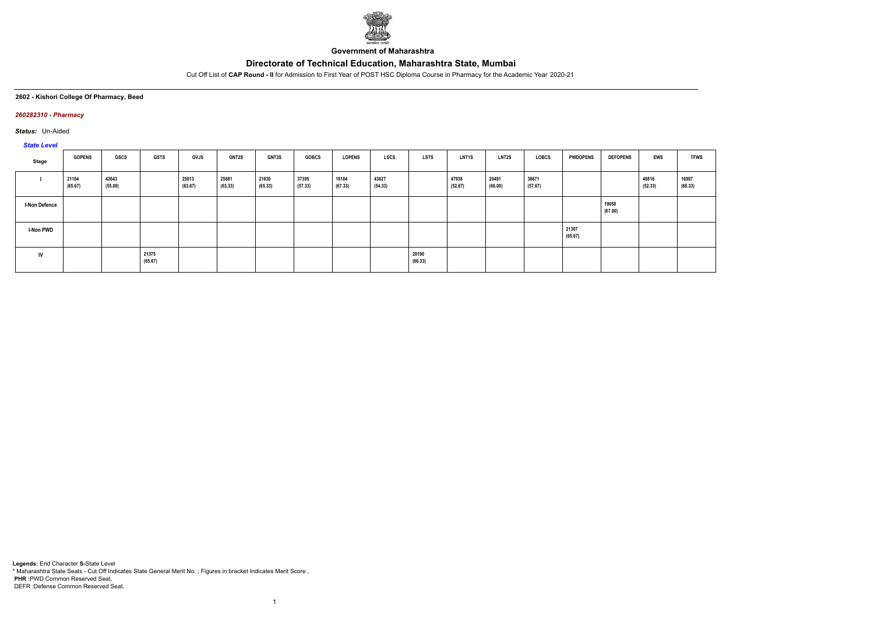

**Government of Maharashtra**

Cut Off List of **CAP Round - II** for Admission to First Year of POST HSC Diploma Course in Pharmacy for the Academic Year 2020-21

### **2602 - Kishori College Of Pharmacy, Beed**

### *260282310 - Pharmacy*

*Status:* Un-Aided

### *State Level*

| <b>PRICE</b>         |                  |                  |                  |                  |                  |                  |                  |                  |                  |                  |                  |                  |                  |                  |                  |                  |                  |
|----------------------|------------------|------------------|------------------|------------------|------------------|------------------|------------------|------------------|------------------|------------------|------------------|------------------|------------------|------------------|------------------|------------------|------------------|
| Stage                | <b>GOPENS</b>    | GSCS             | <b>GSTS</b>      | <b>GVJS</b>      | <b>GNT2S</b>     | GNT3S            | <b>GOBCS</b>     | <b>LOPENS</b>    | <b>LSCS</b>      | <b>LSTS</b>      | <b>LNT1S</b>     | <b>LNT2S</b>     | LOBCS            | <b>PWDOPENS</b>  | <b>DEFOPENS</b>  | EWS              | <b>TFWS</b>      |
|                      | 21104<br>(65.67) | 42643<br>(55.00) |                  | 25013<br>(63.67) | 25681<br>(63.33) | 21630<br>(65.33) | 37395<br>(57.33) | 18184<br>(67.33) | 43827<br>(54.33) |                  | 47938<br>(52.67) | 20491<br>(66.00) | 36671<br>(57.67) |                  |                  | 48816<br>(52.33) | 16997<br>(68.33) |
| <b>I-Non Defence</b> |                  |                  |                  |                  |                  |                  |                  |                  |                  |                  |                  |                  |                  |                  | 19058<br>(67.00) |                  |                  |
| <b>I-Non PWD</b>     |                  |                  |                  |                  |                  |                  |                  |                  |                  |                  |                  |                  |                  | 21307<br>(65.67) |                  |                  |                  |
| ${\sf IV}$           |                  |                  | 21375<br>(65.67) |                  |                  |                  |                  |                  |                  | 20190<br>(66.33) |                  |                  |                  |                  |                  |                  |                  |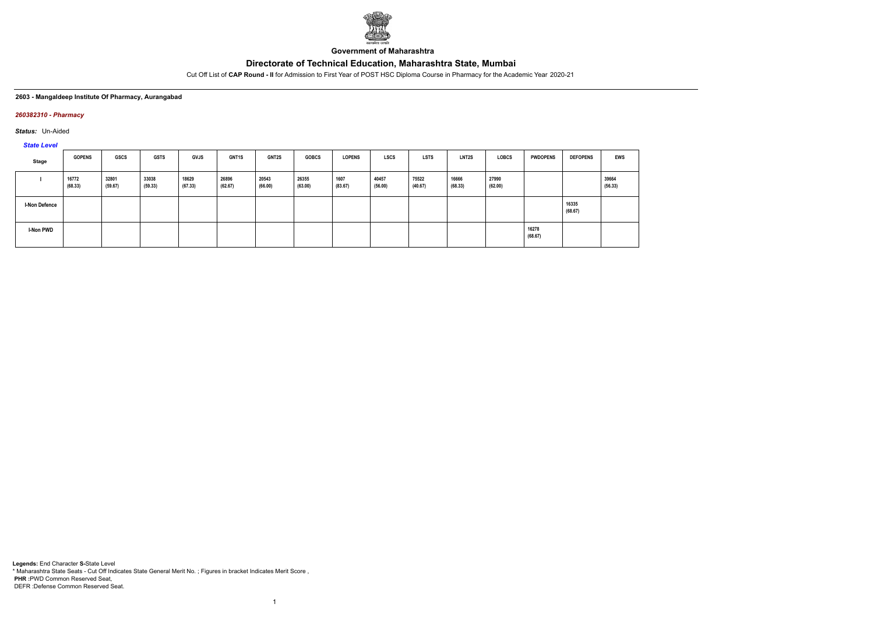

**Government of Maharashtra**

Cut Off List of **CAP Round - II** for Admission to First Year of POST HSC Diploma Course in Pharmacy for the Academic Year 2020-21

### **2603 - Mangaldeep Institute Of Pharmacy, Aurangabad**

### *260382310 - Pharmacy*

*Status:* Un-Aided

*State Level*

| Stage                | <b>GOPENS</b>    | <b>GSCS</b>      | <b>GSTS</b>      | <b>GVJS</b>      | <b>GNT1S</b>     | <b>GNT2S</b>     | <b>GOBCS</b>     | <b>LOPENS</b>   | <b>LSCS</b>      | <b>LSTS</b>      | LNT2S            | <b>LOBCS</b>     | <b>PWDOPENS</b>  | <b>DEFOPENS</b>  | <b>EWS</b>       |
|----------------------|------------------|------------------|------------------|------------------|------------------|------------------|------------------|-----------------|------------------|------------------|------------------|------------------|------------------|------------------|------------------|
|                      | 16772<br>(68.33) | 32801<br>(59.67) | 33038<br>(59.33) | 18629<br>(67.33) | 26896<br>(62.67) | 20543<br>(66.00) | 26355<br>(63.00) | 1607<br>(83.67) | 40457<br>(56.00) | 75522<br>(40.67) | 16666<br>(68.33) | 27990<br>(62.00) |                  |                  | 39664<br>(56.33) |
| <b>I-Non Defence</b> |                  |                  |                  |                  |                  |                  |                  |                 |                  |                  |                  |                  |                  | 16335<br>(68.67) |                  |
| I-Non PWD            |                  |                  |                  |                  |                  |                  |                  |                 |                  |                  |                  |                  | 16278<br>(68.67) |                  |                  |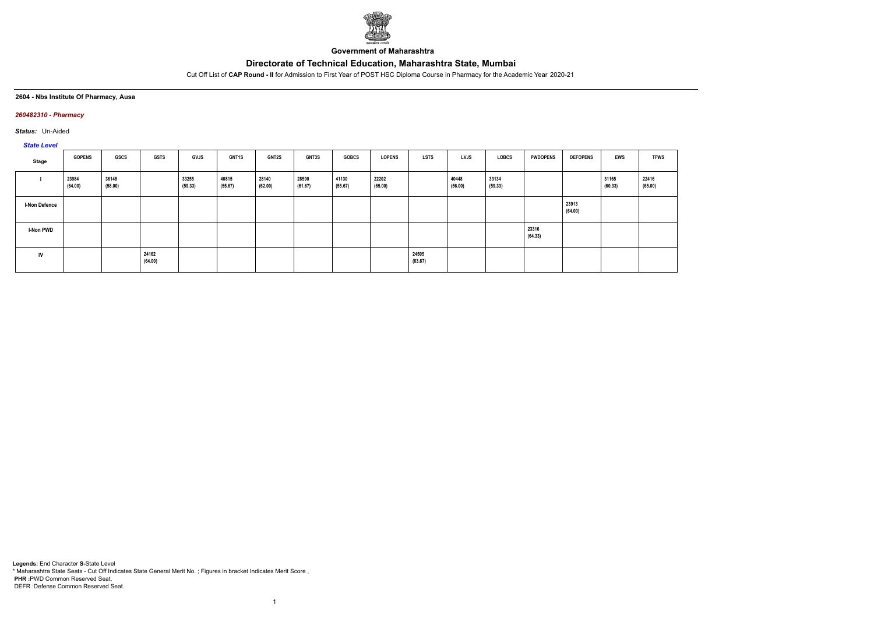

**Government of Maharashtra**

Cut Off List of **CAP Round - II** for Admission to First Year of POST HSC Diploma Course in Pharmacy for the Academic Year 2020-21

**2604 - Nbs Institute Of Pharmacy, Ausa**

### *260482310 - Pharmacy*

*Status:* Un-Aided

*State Level*

| Stage                | <b>GOPENS</b>    | GSCS             | <b>GSTS</b>      | <b>GVJS</b>      | <b>GNT1S</b>     | <b>GNT2S</b>     | <b>GNT3S</b>     | <b>GOBCS</b>     | <b>LOPENS</b>    | LSTS             | <b>LVJS</b>      | LOBCS            | <b>PWDOPENS</b>  | <b>DEFOPENS</b>  | <b>EWS</b>       | <b>TFWS</b>      |
|----------------------|------------------|------------------|------------------|------------------|------------------|------------------|------------------|------------------|------------------|------------------|------------------|------------------|------------------|------------------|------------------|------------------|
|                      | 23984<br>(64.00) | 36148<br>(58.00) |                  | 33255<br>(59.33) | 40815<br>(55.67) | 28140<br>(62.00) | 28590<br>(61.67) | 41130<br>(55.67) | 22202<br>(65.00) |                  | 40448<br>(56.00) | 33134<br>(59.33) |                  |                  | 31165<br>(60.33) | 22416<br>(65.00) |
| <b>I-Non Defence</b> |                  |                  |                  |                  |                  |                  |                  |                  |                  |                  |                  |                  |                  | 23913<br>(64.00) |                  |                  |
| <b>I-Non PWD</b>     |                  |                  |                  |                  |                  |                  |                  |                  |                  |                  |                  |                  | 23316<br>(64.33) |                  |                  |                  |
| IV                   |                  |                  | 24162<br>(64.00) |                  |                  |                  |                  |                  |                  | 24505<br>(63.67) |                  |                  |                  |                  |                  |                  |

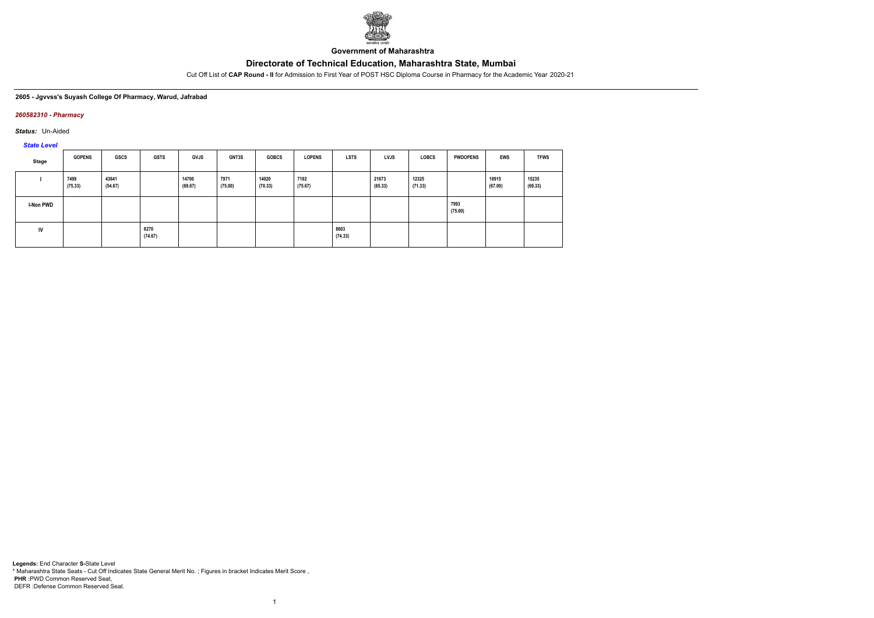

**Government of Maharashtra**

Cut Off List of **CAP Round - II** for Admission to First Year of POST HSC Diploma Course in Pharmacy for the Academic Year 2020-21

### **2605 - Jgvvss's Suyash College Of Pharmacy, Warud, Jafrabad**

### *260582310 - Pharmacy*

*Status:* Un-Aided

*State Level*

| Stage            | <b>GOPENS</b>   | <b>GSCS</b>      | <b>GSTS</b>     | <b>GVJS</b>      | <b>GNT3S</b>    | <b>GOBCS</b>     | <b>LOPENS</b>   | <b>LSTS</b>     | <b>LVJS</b>      | <b>LOBCS</b>     | <b>PWDOPENS</b> | <b>EWS</b>       | <b>TFWS</b>      |
|------------------|-----------------|------------------|-----------------|------------------|-----------------|------------------|-----------------|-----------------|------------------|------------------|-----------------|------------------|------------------|
|                  | 7499<br>(75.33) | 43641<br>(54.67) |                 | 14700<br>(69.67) | 7971<br>(75.00) | 14020<br>(70.33) | 7192<br>(75.67) |                 | 21673<br>(65.33) | 12325<br>(71.33) |                 | 18915<br>(67.00) | 15235<br>(69.33) |
| <b>I-Non PWD</b> |                 |                  |                 |                  |                 |                  |                 |                 |                  |                  | 7993<br>(75.00) |                  |                  |
| IV               |                 |                  | 8270<br>(74.67) |                  |                 |                  |                 | 8603<br>(74.33) |                  |                  |                 |                  |                  |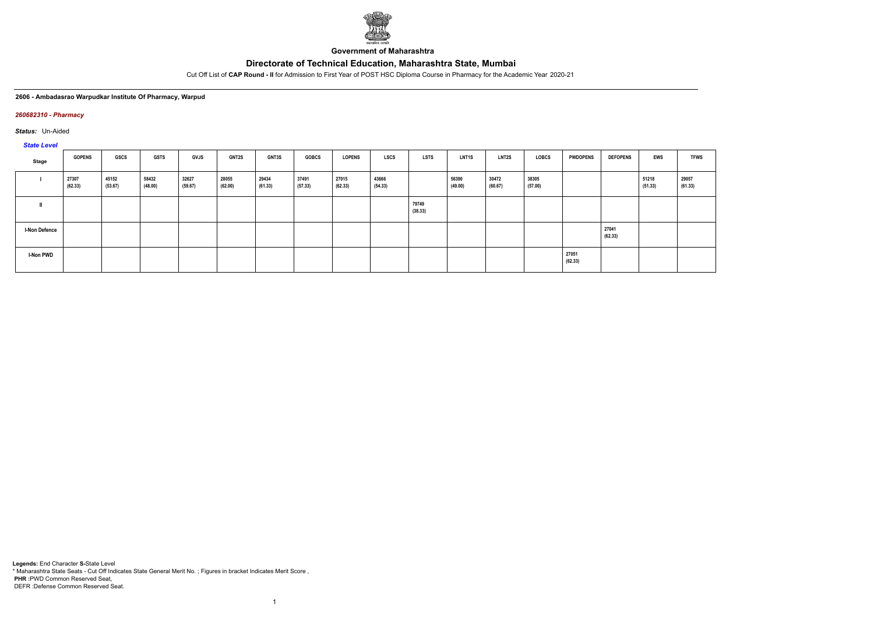

**Government of Maharashtra**

Cut Off List of **CAP Round - II** for Admission to First Year of POST HSC Diploma Course in Pharmacy for the Academic Year 2020-21

#### **2606 - Ambadasrao Warpudkar Institute Of Pharmacy, Warpud**

### *260682310 - Pharmacy*

*Status:* Un-Aided

*State Level*

| $-$                  |                  |                  |                  |                  |                  |                  |                  |                  |                  |                  |                  |                  |                  |                  |                  |                  |                  |
|----------------------|------------------|------------------|------------------|------------------|------------------|------------------|------------------|------------------|------------------|------------------|------------------|------------------|------------------|------------------|------------------|------------------|------------------|
| Stage                | <b>GOPENS</b>    | GSCS             | <b>GSTS</b>      | <b>GVJS</b>      | <b>GNT2S</b>     | <b>GNT3S</b>     | <b>GOBCS</b>     | <b>LOPENS</b>    | LSCS             | <b>LSTS</b>      | <b>LNT1S</b>     | <b>LNT2S</b>     | LOBCS            | <b>PWDOPENS</b>  | <b>DEFOPENS</b>  | <b>EWS</b>       | <b>TFWS</b>      |
|                      | 27307<br>(62.33) | 45152<br>(53.67) | 58432<br>(48.00) | 32627<br>(59.67) | 28055<br>(62.00) | 29434<br>(61.33) | 37491<br>(57.33) | 27015<br>(62.33) | 43666<br>(54.33) |                  | 56390<br>(49.00) | 30472<br>(60.67) | 38305<br>(57.00) |                  |                  | 51218<br>(51.33) | 29057<br>(61.33) |
|                      |                  |                  |                  |                  |                  |                  |                  |                  |                  | 79749<br>(38.33) |                  |                  |                  |                  |                  |                  |                  |
| <b>I-Non Defence</b> |                  |                  |                  |                  |                  |                  |                  |                  |                  |                  |                  |                  |                  |                  | 27041<br>(62.33) |                  |                  |
| I-Non PWD            |                  |                  |                  |                  |                  |                  |                  |                  |                  |                  |                  |                  |                  | 27051<br>(62.33) |                  |                  |                  |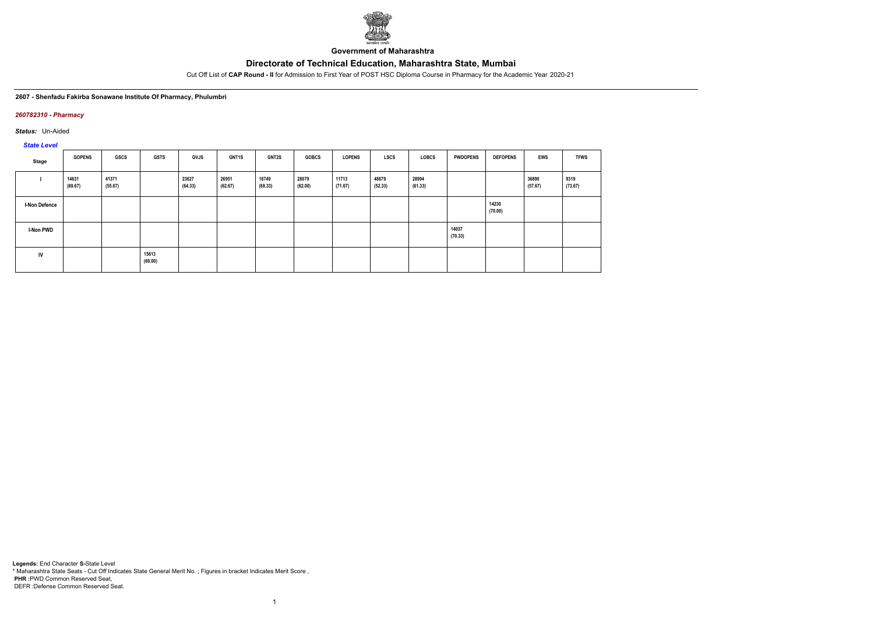

**Government of Maharashtra**

Cut Off List of **CAP Round - II** for Admission to First Year of POST HSC Diploma Course in Pharmacy for the Academic Year 2020-21

**2607 - Shenfadu Fakirba Sonawane Institute Of Pharmacy, Phulumbri**

### *260782310 - Pharmacy*

*Status:* Un-Aided

*State Level*

| Stage                | <b>GOPENS</b>    | GSCS             | <b>GSTS</b>      | <b>GVJS</b>      | GNT1S            | <b>GNT2S</b>     | <b>GOBCS</b>     | <b>LOPENS</b>    | LSCS             | <b>LOBCS</b>     | <b>PWDOPENS</b>  | <b>DEFOPENS</b>  | EWS              | <b>TFWS</b>     |
|----------------------|------------------|------------------|------------------|------------------|------------------|------------------|------------------|------------------|------------------|------------------|------------------|------------------|------------------|-----------------|
|                      | 14631<br>(69.67) | 41371<br>(55.67) |                  | 23627<br>(64.33) | 26951<br>(62.67) | 16749<br>(68.33) | 28079<br>(62.00) | 11713<br>(71.67) | 48679<br>(52.33) | 28994<br>(61.33) |                  |                  | 36890<br>(57.67) | 9319<br>(73.67) |
| <b>I-Non Defence</b> |                  |                  |                  |                  |                  |                  |                  |                  |                  |                  |                  | 14230<br>(70.00) |                  |                 |
| <b>I-Non PWD</b>     |                  |                  |                  |                  |                  |                  |                  |                  |                  |                  | 14037<br>(70.33) |                  |                  |                 |
| IV                   |                  |                  | 15613<br>(69.00) |                  |                  |                  |                  |                  |                  |                  |                  |                  |                  |                 |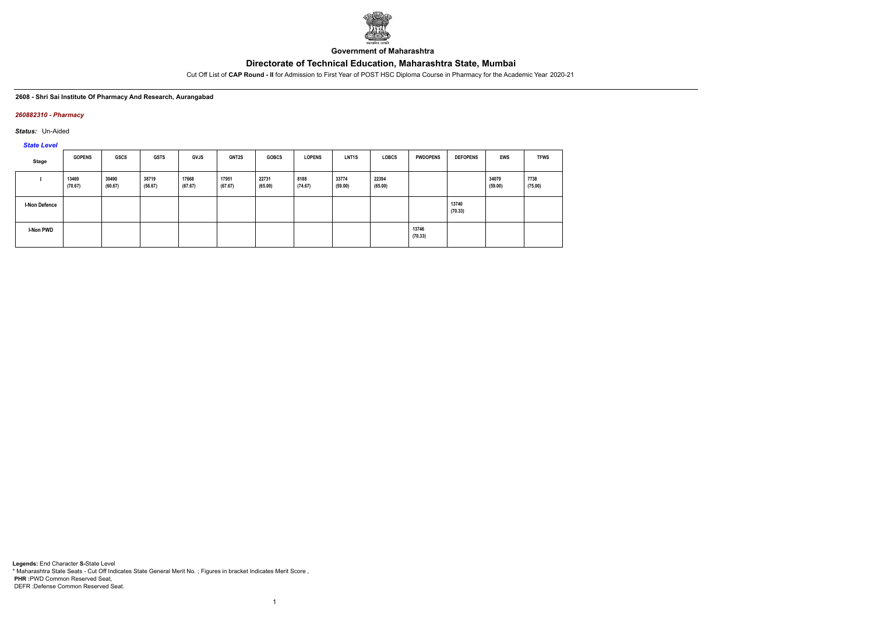

**Government of Maharashtra**

Cut Off List of **CAP Round - II** for Admission to First Year of POST HSC Diploma Course in Pharmacy for the Academic Year 2020-21

#### **2608 - Shri Sai Institute Of Pharmacy And Research, Aurangabad**

### *260882310 - Pharmacy*

*Status:* Un-Aided

*State Level*

| Stage                | <b>GOPENS</b>    | GSCS             | <b>GSTS</b>      | <b>GVJS</b>      | <b>GNT2S</b>     | <b>GOBCS</b>     | <b>LOPENS</b>   | LNT <sub>1</sub> S | <b>LOBCS</b>     | <b>PWDOPENS</b>  | <b>DEFOPENS</b>  | <b>EWS</b>       | <b>TFWS</b>     |
|----------------------|------------------|------------------|------------------|------------------|------------------|------------------|-----------------|--------------------|------------------|------------------|------------------|------------------|-----------------|
|                      | 13469<br>(70.67) | 30490<br>(60.67) | 38719<br>(56.67) | 17668<br>(67.67) | 17951<br>(67.67) | 22731<br>(65.00) | 8188<br>(74.67) | 33774<br>(59.00)   | 22394<br>(65.00) |                  |                  | 34079<br>(59.00) | 7738<br>(75.00) |
| <b>I-Non Defence</b> |                  |                  |                  |                  |                  |                  |                 |                    |                  |                  | 13740<br>(70.33) |                  |                 |
| <b>I-Non PWD</b>     |                  |                  |                  |                  |                  |                  |                 |                    |                  | 13746<br>(70.33) |                  |                  |                 |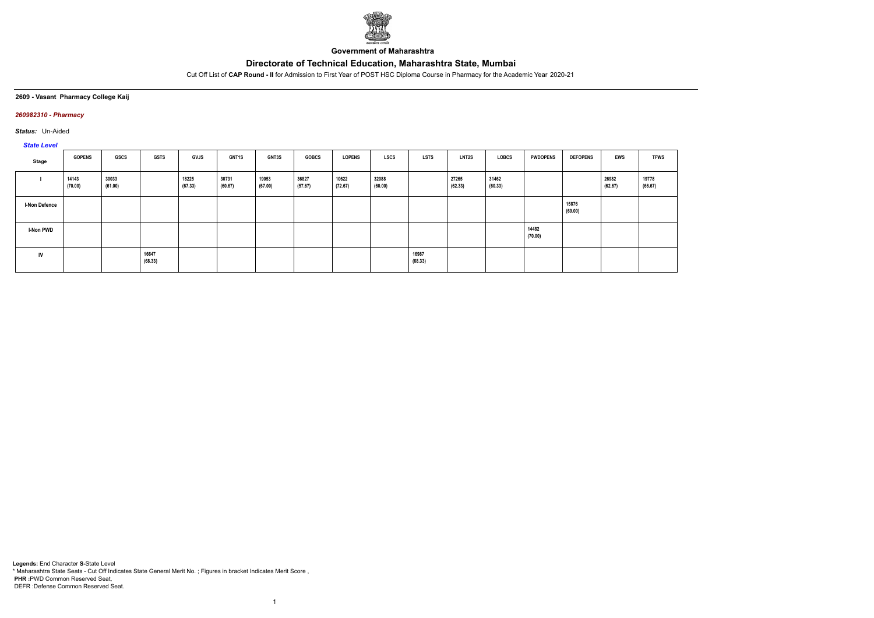

**Government of Maharashtra**

Cut Off List of **CAP Round - II** for Admission to First Year of POST HSC Diploma Course in Pharmacy for the Academic Year 2020-21

### **2609 - Vasant Pharmacy College Kaij**

### *260982310 - Pharmacy*

*Status:* Un-Aided

# *State Level*

| Stage                | <b>GOPENS</b>    | <b>GSCS</b>      | <b>GSTS</b>      | GVJS             | <b>GNT1S</b>     | <b>GNT3S</b>     | <b>GOBCS</b>     | <b>LOPENS</b>    | <b>LSCS</b>      | <b>LSTS</b>      | <b>LNT2S</b>     | LOBCS            | <b>PWDOPENS</b>  | <b>DEFOPENS</b>  | <b>EWS</b>       | <b>TFWS</b>      |
|----------------------|------------------|------------------|------------------|------------------|------------------|------------------|------------------|------------------|------------------|------------------|------------------|------------------|------------------|------------------|------------------|------------------|
|                      | 14143<br>(70.00) | 30033<br>(61.00) |                  | 18225<br>(67.33) | 30731<br>(60.67) | 19053<br>(67.00) | 36827<br>(57.67) | 10622<br>(72.67) | 32088<br>(60.00) |                  | 27265<br>(62.33) | 31462<br>(60.33) |                  |                  | 26982<br>(62.67) | 19778<br>(66.67) |
| <b>I-Non Defence</b> |                  |                  |                  |                  |                  |                  |                  |                  |                  |                  |                  |                  |                  | 15876<br>(69.00) |                  |                  |
| I-Non PWD            |                  |                  |                  |                  |                  |                  |                  |                  |                  |                  |                  |                  | 14482<br>(70.00) |                  |                  |                  |
| IV                   |                  |                  | 16647<br>(68.33) |                  |                  |                  |                  |                  |                  | 16987<br>(68.33) |                  |                  |                  |                  |                  |                  |

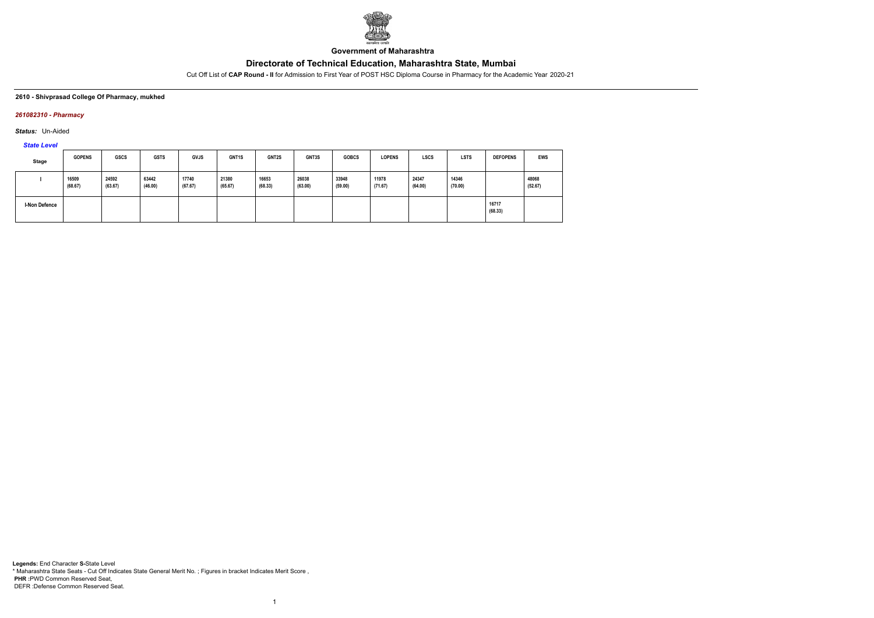

**Government of Maharashtra**

Cut Off List of **CAP Round - II** for Admission to First Year of POST HSC Diploma Course in Pharmacy for the Academic Year 2020-21

#### **2610 - Shivprasad College Of Pharmacy, mukhed**

### *261082310 - Pharmacy*

*Status:* Un-Aided

*State Level*

| Stage                | <b>GOPENS</b>    | <b>GSCS</b>      | <b>GSTS</b>      | <b>GVJS</b>      | GNT1S            | <b>GNT2S</b>     | GNT3S            | <b>GOBCS</b>     | <b>LOPENS</b>    | <b>LSCS</b>      | <b>LSTS</b>      | <b>DEFOPENS</b>  | <b>EWS</b>       |
|----------------------|------------------|------------------|------------------|------------------|------------------|------------------|------------------|------------------|------------------|------------------|------------------|------------------|------------------|
|                      | 16509<br>(68.67) | 24592<br>(63.67) | 63442<br>(46.00) | 17740<br>(67.67) | 21380<br>(65.67) | 16653<br>(68.33) | 26038<br>(63.00) | 33948<br>(59.00) | 11978<br>(71.67) | 24347<br>(64.00) | 14346<br>(70.00) |                  | 48068<br>(52.67) |
| <b>I-Non Defence</b> |                  |                  |                  |                  |                  |                  |                  |                  |                  |                  |                  | 16717<br>(68.33) |                  |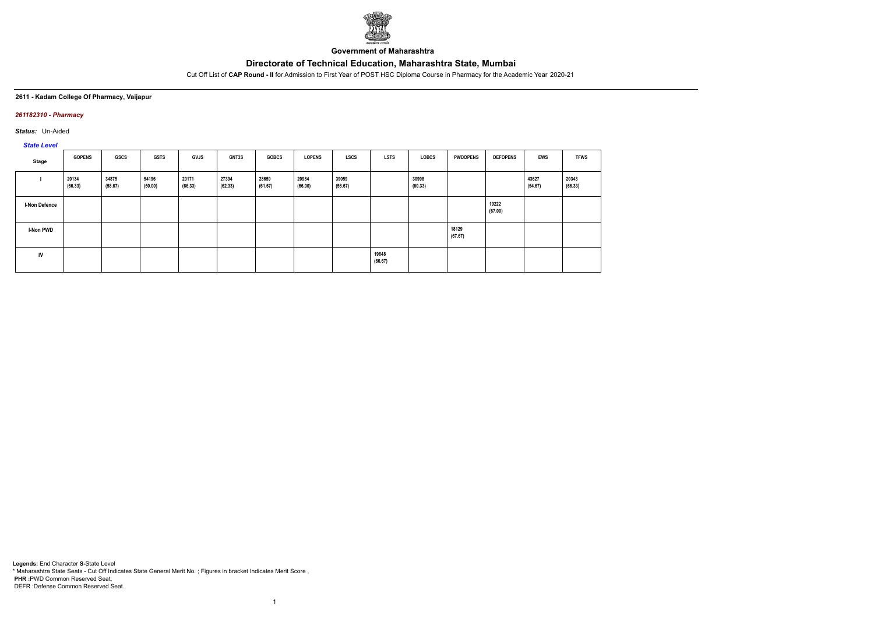

**Government of Maharashtra**

Cut Off List of **CAP Round - II** for Admission to First Year of POST HSC Diploma Course in Pharmacy for the Academic Year 2020-21

### **2611 - Kadam College Of Pharmacy, Vaijapur**

### *261182310 - Pharmacy*

*Status:* Un-Aided

# *State Level*

| Stage                | <b>GOPENS</b>    | GSCS             | <b>GSTS</b>      | <b>GVJS</b>      | <b>GNT3S</b>     | <b>GOBCS</b>     | <b>LOPENS</b>    | <b>LSCS</b>      | <b>LSTS</b>      | LOBCS            | <b>PWDOPENS</b>  | <b>DEFOPENS</b>  | EWS              | <b>TFWS</b>      |
|----------------------|------------------|------------------|------------------|------------------|------------------|------------------|------------------|------------------|------------------|------------------|------------------|------------------|------------------|------------------|
|                      | 20134<br>(66.33) | 34875<br>(58.67) | 54196<br>(50.00) | 20171<br>(66.33) | 27394<br>(62.33) | 28659<br>(61.67) | 20984<br>(66.00) | 39059<br>(56.67) |                  | 30998<br>(60.33) |                  |                  | 43627<br>(54.67) | 20343<br>(66.33) |
| <b>I-Non Defence</b> |                  |                  |                  |                  |                  |                  |                  |                  |                  |                  |                  | 19222<br>(67.00) |                  |                  |
| <b>I-Non PWD</b>     |                  |                  |                  |                  |                  |                  |                  |                  |                  |                  | 18129<br>(67.67) |                  |                  |                  |
| <b>IV</b>            |                  |                  |                  |                  |                  |                  |                  |                  | 19648<br>(66.67) |                  |                  |                  |                  |                  |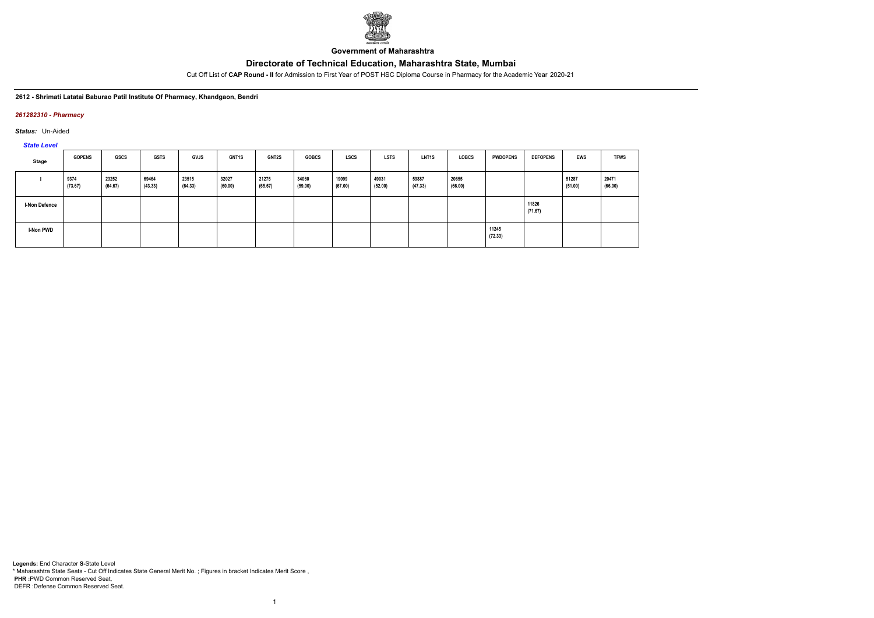

**Government of Maharashtra**

Cut Off List of **CAP Round - II** for Admission to First Year of POST HSC Diploma Course in Pharmacy for the Academic Year 2020-21

### **2612 - Shrimati Latatai Baburao Patil Institute Of Pharmacy, Khandgaon, Bendri**

### *261282310 - Pharmacy*

*Status:* Un-Aided

*State Level*

| Stage                | <b>GOPENS</b>   | <b>GSCS</b>      | <b>GSTS</b>      | GVJS             | <b>GNT1S</b>     | <b>GNT2S</b>     | <b>GOBCS</b>     | <b>LSCS</b>      | <b>LSTS</b>      | LNT <sub>1</sub> S | <b>LOBCS</b>     | <b>PWDOPENS</b>  | <b>DEFOPENS</b>  | EWS              | <b>TFWS</b>      |
|----------------------|-----------------|------------------|------------------|------------------|------------------|------------------|------------------|------------------|------------------|--------------------|------------------|------------------|------------------|------------------|------------------|
|                      | 9374<br>(73.67) | 23252<br>(64.67) | 69464<br>(43.33) | 23515<br>(64.33) | 32027<br>(60.00) | 21275<br>(65.67) | 34060<br>(59.00) | 19099<br>(67.00) | 49031<br>(52.00) | 59887<br>(47.33)   | 20655<br>(66.00) |                  |                  | 51287<br>(51.00) | 20471<br>(66.00) |
| <b>I-Non Defence</b> |                 |                  |                  |                  |                  |                  |                  |                  |                  |                    |                  |                  | 11826<br>(71.67) |                  |                  |
| I-Non PWD            |                 |                  |                  |                  |                  |                  |                  |                  |                  |                    |                  | 11245<br>(72.33) |                  |                  |                  |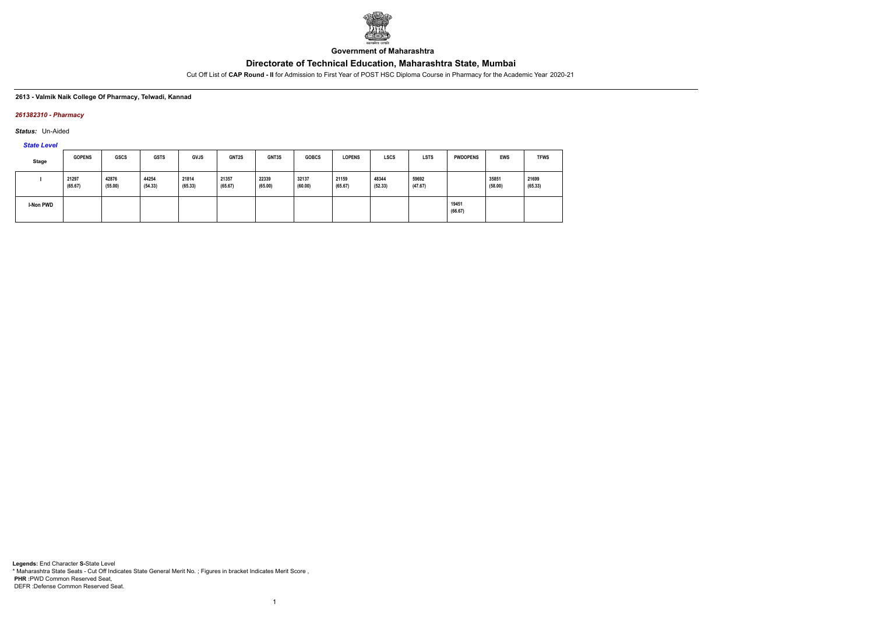

**Government of Maharashtra**

Cut Off List of **CAP Round - II** for Admission to First Year of POST HSC Diploma Course in Pharmacy for the Academic Year 2020-21

#### **2613 - Valmik Naik College Of Pharmacy, Telwadi, Kannad**

### *261382310 - Pharmacy*

*Status:* Un-Aided

*State Level*

| Stage     | <b>GOPENS</b>    | <b>GSCS</b>      | <b>GSTS</b>      | <b>GVJS</b>      | <b>GNT2S</b>     | GNT3S            | <b>GOBCS</b>     | <b>LOPENS</b>    | <b>LSCS</b>      | <b>LSTS</b>      | <b>PWDOPENS</b>  | <b>EWS</b>       | <b>TFWS</b>      |
|-----------|------------------|------------------|------------------|------------------|------------------|------------------|------------------|------------------|------------------|------------------|------------------|------------------|------------------|
|           | 21297<br>(65.67) | 42876<br>(55.00) | 44254<br>(54.33) | 21814<br>(65.33) | 21357<br>(65.67) | 22339<br>(65.00) | 32137<br>(60.00) | 21159<br>(65.67) | 48344<br>(52.33) | 59692<br>(47.67) |                  | 35851<br>(58.00) | 21699<br>(65.33) |
| I-Non PWD |                  |                  |                  |                  |                  |                  |                  |                  |                  |                  | 19451<br>(66.67) |                  |                  |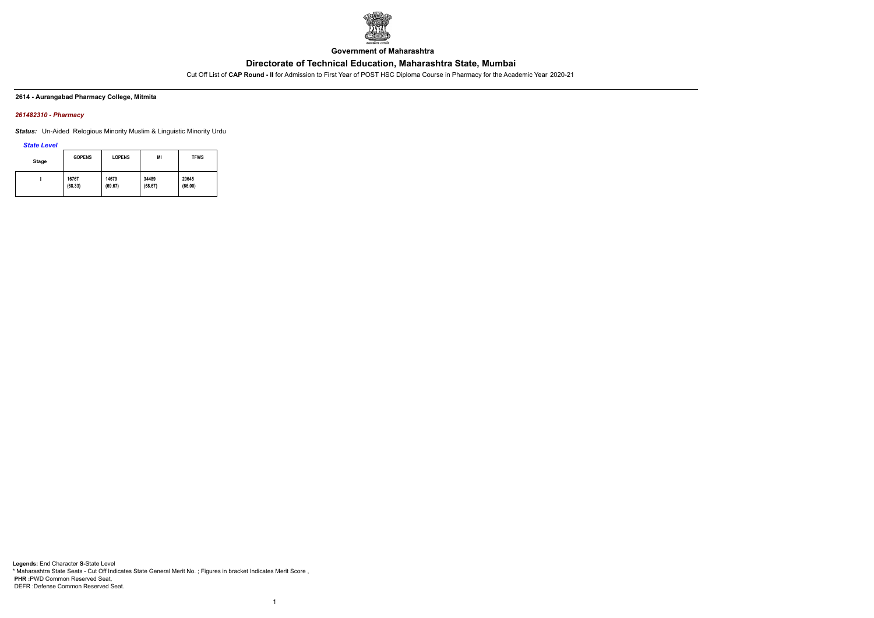

**Government of Maharashtra**

Cut Off List of **CAP Round - II** for Admission to First Year of POST HSC Diploma Course in Pharmacy for the Academic Year 2020-21

### **2614 - Aurangabad Pharmacy College, Mitmita**

### *261482310 - Pharmacy*

*Status:* Un-Aided Relogious Minority Muslim & Linguistic Minority Urdu

*State Level*

| <b>Stage</b> | <b>GOPENS</b> | <b>LOPENS</b> | MI      | <b>TFWS</b> |
|--------------|---------------|---------------|---------|-------------|
|              | 16767         | 14679         | 34489   | 20645       |
|              | (68.33)       | (69.67)       | (58.67) | (66.00)     |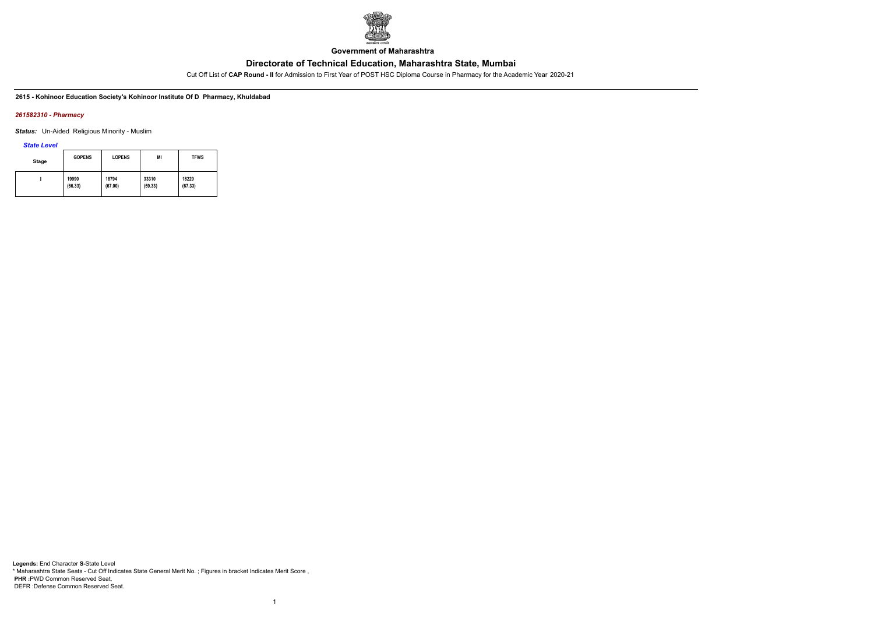

**Government of Maharashtra**

Cut Off List of **CAP Round - II** for Admission to First Year of POST HSC Diploma Course in Pharmacy for the Academic Year 2020-21

**2615 - Kohinoor Education Society's Kohinoor Institute Of D Pharmacy, Khuldabad**

#### *261582310 - Pharmacy*

*Status:* Un-Aided Religious Minority - Muslim

*State Level*

| Stage | <b>GOPENS</b> | <b>LOPENS</b> | MI      | <b>TFWS</b> |
|-------|---------------|---------------|---------|-------------|
|       | 19990         | 18794         | 33310   | 18229       |
|       | (66.33)       | (67.00)       | (59.33) | (67.33)     |

1

**Legends:** End Character **S-**State Level \* Maharashtra State Seats - Cut Off Indicates State General Merit No. ; Figures in bracket Indicates Merit Score , **PHR :**PWD Common Reserved Seat, DEFR :Defense Common Reserved Seat.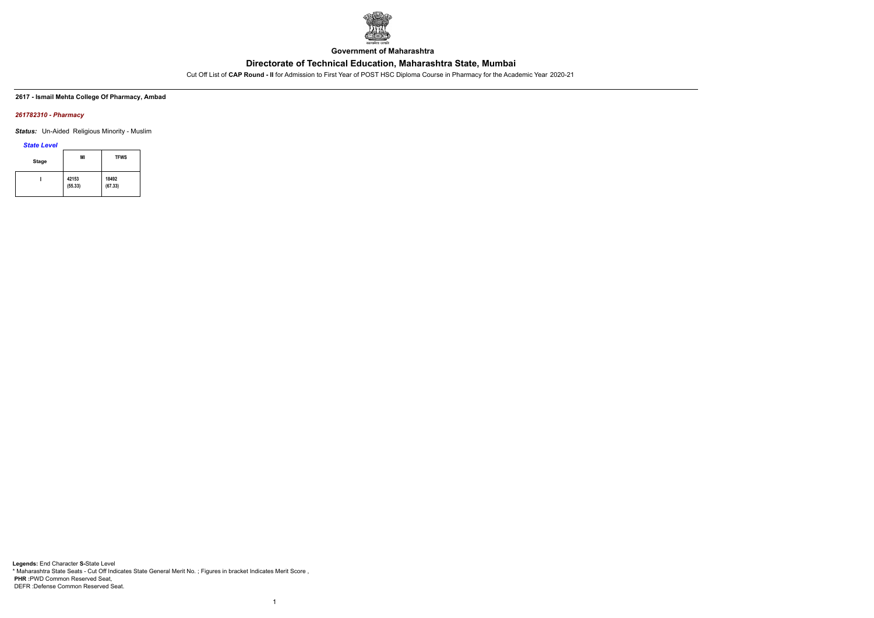

**Government of Maharashtra**

Cut Off List of **CAP Round - II** for Admission to First Year of POST HSC Diploma Course in Pharmacy for the Academic Year 2020-21

**2617 - Ismail Mehta College Of Pharmacy, Ambad**

### *261782310 - Pharmacy*

*Status:* Un-Aided Religious Minority - Muslim

*State Level*

| <b>Stage</b> | MI               | <b>TFWS</b>      |
|--------------|------------------|------------------|
|              | 42153<br>(55.33) | 18492<br>(67.33) |

1

**Legends:** End Character **S-**State Level \* Maharashtra State Seats - Cut Off Indicates State General Merit No. ; Figures in bracket Indicates Merit Score , **PHR :**PWD Common Reserved Seat, DEFR :Defense Common Reserved Seat.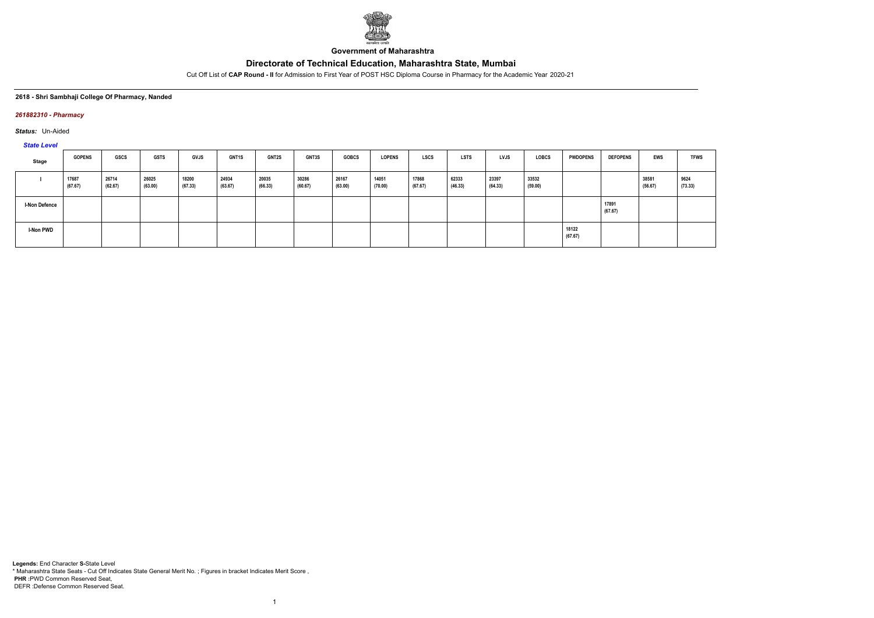

**Government of Maharashtra**

Cut Off List of **CAP Round - II** for Admission to First Year of POST HSC Diploma Course in Pharmacy for the Academic Year 2020-21

#### **2618 - Shri Sambhaji College Of Pharmacy, Nanded**

### *261882310 - Pharmacy*

*Status:* Un-Aided

*State Level*

| Stage                | <b>GOPENS</b>    | <b>GSCS</b>      | <b>GSTS</b>      | <b>GVJS</b>      | <b>GNT1S</b>     | <b>GNT2S</b>     | <b>GNT3S</b>     | <b>GOBCS</b>     | <b>LOPENS</b>    | <b>LSCS</b>      | <b>LSTS</b>      | <b>LVJS</b>      | <b>LOBCS</b>     | <b>PWDOPENS</b>  | <b>DEFOPENS</b>  | EWS              | <b>TFWS</b>     |
|----------------------|------------------|------------------|------------------|------------------|------------------|------------------|------------------|------------------|------------------|------------------|------------------|------------------|------------------|------------------|------------------|------------------|-----------------|
|                      | 17687<br>(67.67) | 26714<br>(62.67) | 26025<br>(63.00) | 18200<br>(67.33) | 24934<br>(63.67) | 20035<br>(66.33) | 30286<br>(60.67) | 26167<br>(63.00) | 14051<br>(70.00) | 17868<br>(67.67) | 62333<br>(46.33) | 23397<br>(64.33) | 33532<br>(59.00) |                  |                  | 38581<br>(56.67) | 9624<br>(73.33) |
| <b>I-Non Defence</b> |                  |                  |                  |                  |                  |                  |                  |                  |                  |                  |                  |                  |                  |                  | 17891<br>(67.67) |                  |                 |
| <b>I-Non PWD</b>     |                  |                  |                  |                  |                  |                  |                  |                  |                  |                  |                  |                  |                  | 18122<br>(67.67) |                  |                  |                 |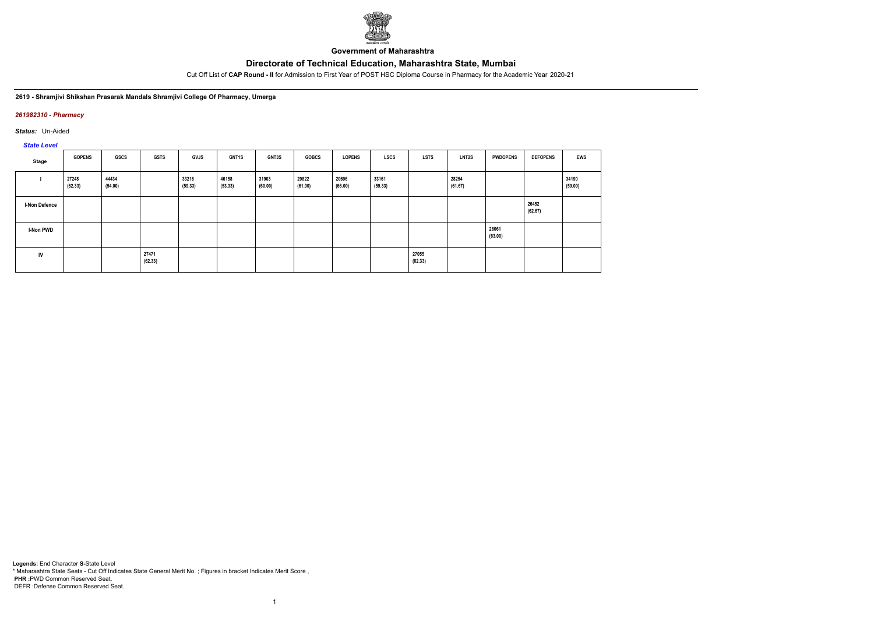

**Government of Maharashtra**

Cut Off List of **CAP Round - II** for Admission to First Year of POST HSC Diploma Course in Pharmacy for the Academic Year 2020-21

**2619 - Shramjivi Shikshan Prasarak Mandals Shramjivi College Of Pharmacy, Umerga**

### *261982310 - Pharmacy*

*Status:* Un-Aided

*State Level*

| Stage                | <b>GOPENS</b>    | GSCS             | <b>GSTS</b>      | GVJS             | <b>GNT1S</b>     | <b>GNT3S</b>     | <b>GOBCS</b>     | <b>LOPENS</b>    | <b>LSCS</b>      | <b>LSTS</b>      | <b>LNT2S</b>     | <b>PWDOPENS</b>  | <b>DEFOPENS</b>  | <b>EWS</b>       |
|----------------------|------------------|------------------|------------------|------------------|------------------|------------------|------------------|------------------|------------------|------------------|------------------|------------------|------------------|------------------|
|                      | 27248<br>(62.33) | 44434<br>(54.00) |                  | 33216<br>(59.33) | 46158<br>(53.33) | 31903<br>(60.00) | 29822<br>(61.00) | 20696<br>(66.00) | 33161<br>(59.33) |                  | 28254<br>(61.67) |                  |                  | 34190<br>(59.00) |
| <b>I-Non Defence</b> |                  |                  |                  |                  |                  |                  |                  |                  |                  |                  |                  |                  | 26452<br>(62.67) |                  |
| I-Non PWD            |                  |                  |                  |                  |                  |                  |                  |                  |                  |                  |                  | 26061<br>(63.00) |                  |                  |
| IV                   |                  |                  | 27471<br>(62.33) |                  |                  |                  |                  |                  |                  | 27055<br>(62.33) |                  |                  |                  |                  |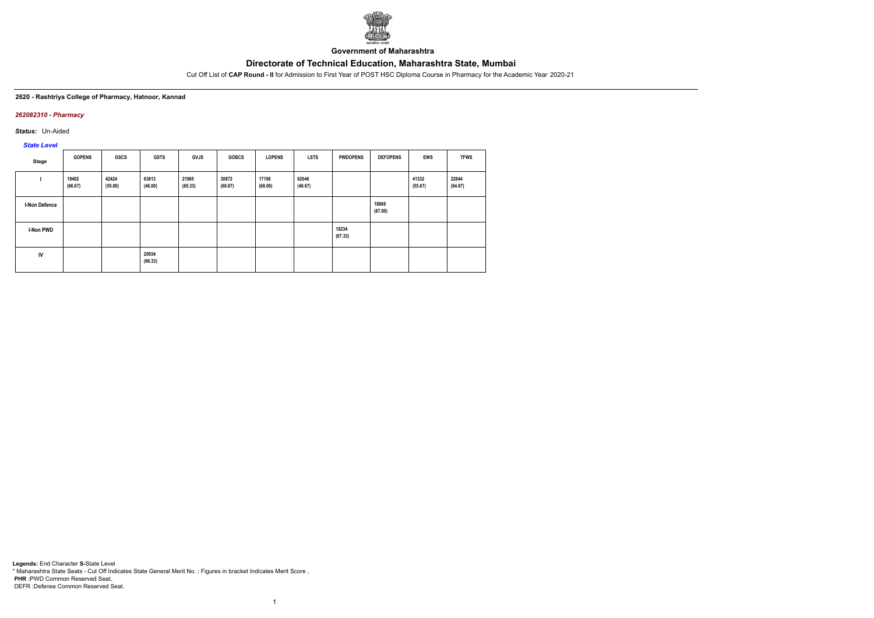

**Government of Maharashtra**

Cut Off List of **CAP Round - II** for Admission to First Year of POST HSC Diploma Course in Pharmacy for the Academic Year 2020-21

#### **2620 - Rashtriya College of Pharmacy, Hatnoor, Kannad**

### *262082310 - Pharmacy*

*Status:* Un-Aided

*State Level*

| Stage                | <b>GOPENS</b>    | <b>GSCS</b>      | <b>GSTS</b>      | <b>GVJS</b>      | <b>GOBCS</b>     | <b>LOPENS</b>    | <b>LSTS</b>      | <b>PWDOPENS</b>  | <b>DEFOPENS</b>  | <b>EWS</b>       | <b>TFWS</b>      |
|----------------------|------------------|------------------|------------------|------------------|------------------|------------------|------------------|------------------|------------------|------------------|------------------|
|                      | 19402<br>(66.67) | 42424<br>(55.00) | 63813<br>(46.00) | 21965<br>(65.33) | 30872<br>(60.67) | 17198<br>(68.00) | 62046<br>(46.67) |                  |                  | 41332<br>(55.67) | 22844<br>(64.67) |
| <b>I-Non Defence</b> |                  |                  |                  |                  |                  |                  |                  |                  | 18866<br>(67.00) |                  |                  |
| <b>I-Non PWD</b>     |                  |                  |                  |                  |                  |                  |                  | 18234<br>(67.33) |                  |                  |                  |
| IV                   |                  |                  | 20034<br>(66.33) |                  |                  |                  |                  |                  |                  |                  |                  |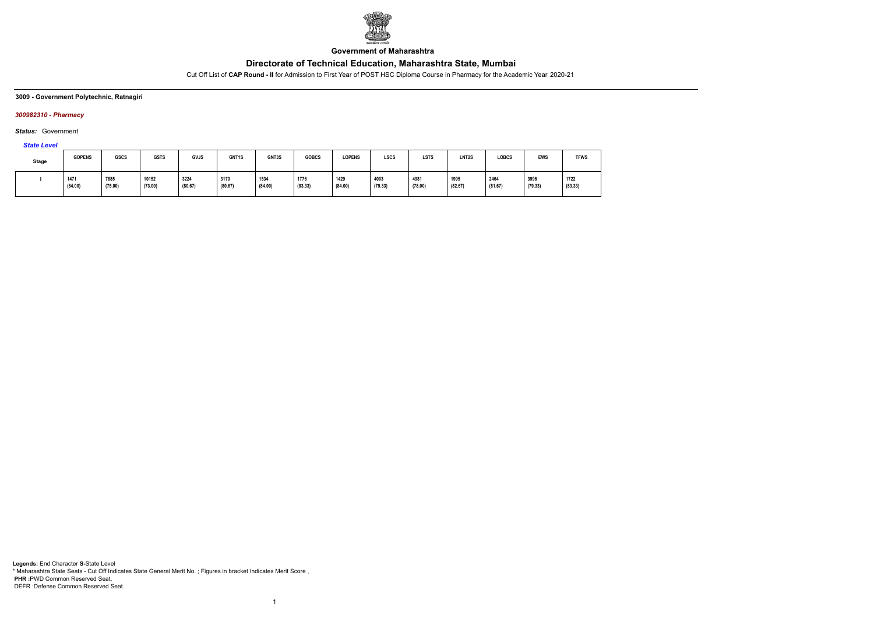

**Government of Maharashtra**

Cut Off List of **CAP Round - II** for Admission to First Year of POST HSC Diploma Course in Pharmacy for the Academic Year 2020-21

**3009 - Government Polytechnic, Ratnagiri**

### *300982310 - Pharmacy*

*Status:* Government

### *State Level*

| Stage | <b>GOPENS</b>   | GSCS            | <b>GSTS</b>      | <b>GVJS</b>     | GNT1S           | GNT3S           | <b>GOBCS</b>    | <b>LOPENS</b>   | <b>LSCS</b>     | <b>LSTS</b>     | LNT <sub>2</sub> S                      | <b>LOBCS</b>    | <b>EWS</b>      | <b>TFWS</b>     |
|-------|-----------------|-----------------|------------------|-----------------|-----------------|-----------------|-----------------|-----------------|-----------------|-----------------|-----------------------------------------|-----------------|-----------------|-----------------|
|       | 1471<br>(84.00) | 7885<br>(75.00) | 10152<br>(73.00) | 3224<br>(80.67) | 3170<br>(80.67) | 1534<br>(84.00) | 1776<br>(83.33) | 1429<br>(84.00) | 4003<br>(79.33) | 4981<br>(78.00) | 1995<br>$\sim$ $\sim$ $\sim$<br>(82.67) | 2464<br>(81.67) | 3996<br>(79.33) | 1722<br>(83.33) |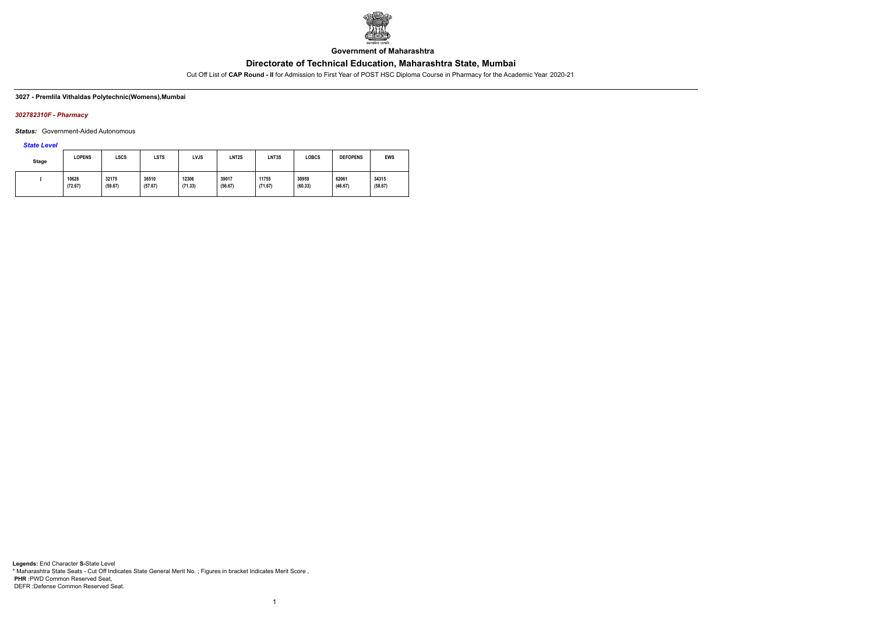

**Government of Maharashtra**

Cut Off List of **CAP Round - II** for Admission to First Year of POST HSC Diploma Course in Pharmacy for the Academic Year 2020-21

### **3027 - Premlila Vithaldas Polytechnic(Womens),Mumbai**

### *302782310F - Pharmacy*

*Status:* Government-Aided Autonomous

*State Level*

| <b>Stage</b> | <b>LOPENS</b>    | LSCS             | LSTS             | LVJS             | LNT <sub>2</sub> S | LNT3S            | <b>LOBCS</b>     | <b>DEFOPENS</b>  | <b>EWS</b>       |
|--------------|------------------|------------------|------------------|------------------|--------------------|------------------|------------------|------------------|------------------|
|              | 10628<br>(72.67) | 32175<br>(59.67) | 36510<br>(57.67) | 12306<br>(71.33) | 39017<br>(56.67)   | 11755<br>(71.67) | 30959<br>(60.33) | 62061<br>(46.67) | 34315<br>(58.67) |

1

**Legends:** End Character **S-**State Level \* Maharashtra State Seats - Cut Off Indicates State General Merit No. ; Figures in bracket Indicates Merit Score , **PHR :**PWD Common Reserved Seat, DEFR :Defense Common Reserved Seat.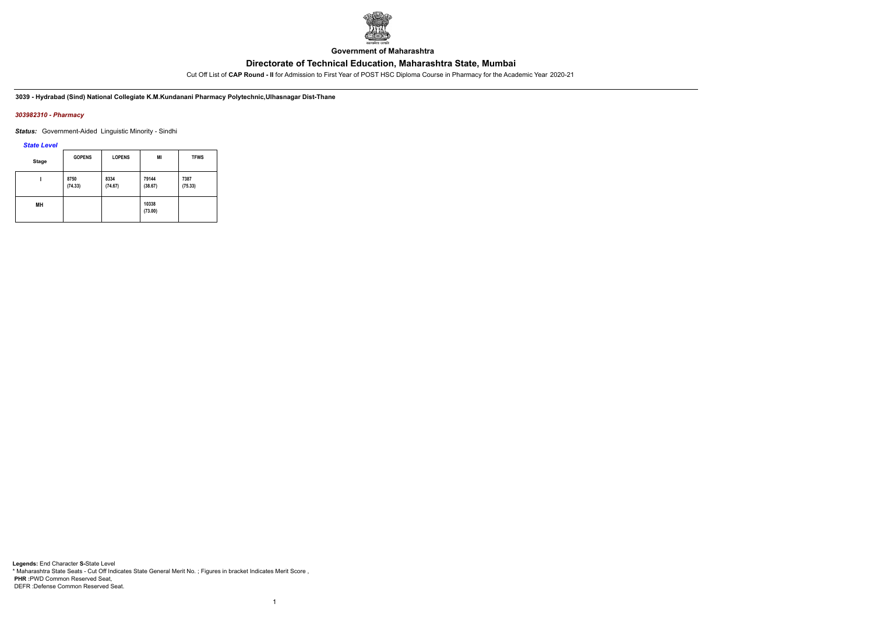

**Government of Maharashtra**

Cut Off List of **CAP Round - II** for Admission to First Year of POST HSC Diploma Course in Pharmacy for the Academic Year 2020-21

**3039 - Hydrabad (Sind) National Collegiate K.M.Kundanani Pharmacy Polytechnic,Ulhasnagar Dist-Thane**

### *303982310 - Pharmacy*

*Status:* Government-Aided Linguistic Minority - Sindhi

*State Level*

| <b>Stage</b> | <b>GOPENS</b>   | <b>LOPENS</b>   | MI               | <b>TFWS</b>     |
|--------------|-----------------|-----------------|------------------|-----------------|
|              | 8750<br>(74.33) | 8334<br>(74.67) | 79144<br>(38.67) | 7387<br>(75.33) |
| MН           |                 |                 | 10338<br>(73.00) |                 |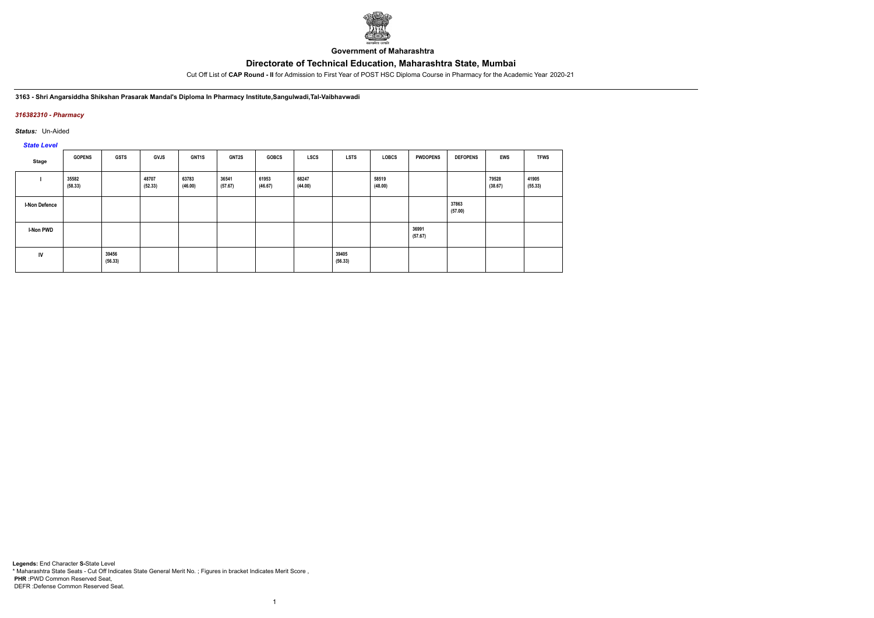

**Government of Maharashtra**

Cut Off List of **CAP Round - II** for Admission to First Year of POST HSC Diploma Course in Pharmacy for the Academic Year 2020-21

#### **3163 - Shri Angarsiddha Shikshan Prasarak Mandal's Diploma In Pharmacy Institute,Sangulwadi,Tal-Vaibhavwadi**

### *316382310 - Pharmacy*

*Status:* Un-Aided

# *State Level*

| Stage                | <b>GOPENS</b>    | <b>GSTS</b>      | <b>GVJS</b>      | GNT1S            | <b>GNT2S</b>     | <b>GOBCS</b>     | <b>LSCS</b>      | <b>LSTS</b>      | <b>LOBCS</b>     | <b>PWDOPENS</b>  | <b>DEFOPENS</b>  | <b>EWS</b>       | <b>TFWS</b>      |
|----------------------|------------------|------------------|------------------|------------------|------------------|------------------|------------------|------------------|------------------|------------------|------------------|------------------|------------------|
|                      | 35582<br>(58.33) |                  | 48707<br>(52.33) | 63783<br>(46.00) | 36541<br>(57.67) | 61953<br>(46.67) | 68247<br>(44.00) |                  | 58519<br>(48.00) |                  |                  | 79528<br>(38.67) | 41905<br>(55.33) |
| <b>I-Non Defence</b> |                  |                  |                  |                  |                  |                  |                  |                  |                  |                  | 37863<br>(57.00) |                  |                  |
| <b>I-Non PWD</b>     |                  |                  |                  |                  |                  |                  |                  |                  |                  | 36991<br>(57.67) |                  |                  |                  |
| IV                   |                  | 39456<br>(56.33) |                  |                  |                  |                  |                  | 39405<br>(56.33) |                  |                  |                  |                  |                  |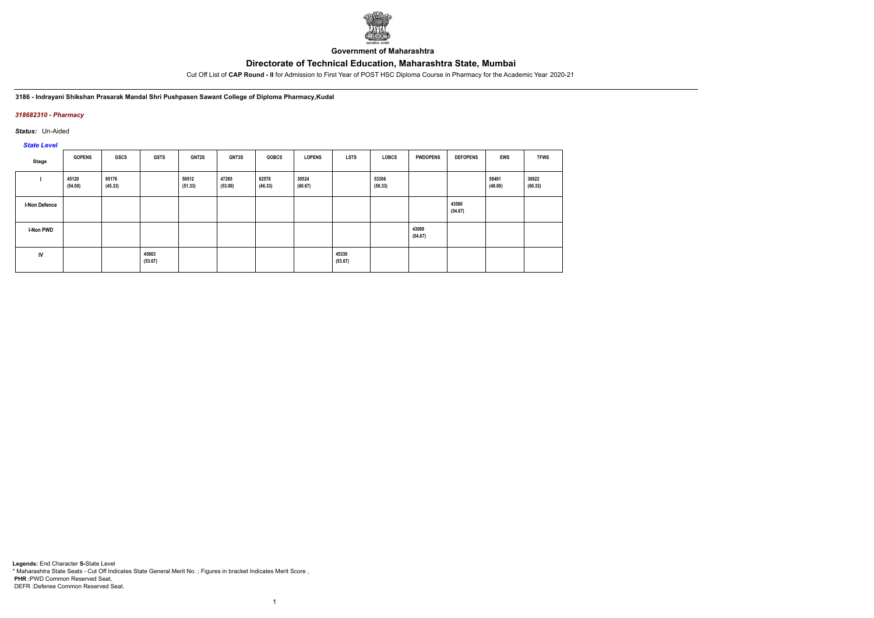

**Government of Maharashtra**

Cut Off List of **CAP Round - II** for Admission to First Year of POST HSC Diploma Course in Pharmacy for the Academic Year 2020-21

**3186 - Indrayani Shikshan Prasarak Mandal Shri Pushpasen Sawant College of Diploma Pharmacy,Kudal**

### *318682310 - Pharmacy*

*Status:* Un-Aided

*State Level*

| Stage                | <b>GOPENS</b>    | GSCS             | <b>GSTS</b>      | GNT2S            | <b>GNT3S</b>     | <b>GOBCS</b>     | <b>LOPENS</b>    | <b>LSTS</b>      | LOBCS            | <b>PWDOPENS</b>  | <b>DEFOPENS</b>  | <b>EWS</b>       | <b>TFWS</b>      |
|----------------------|------------------|------------------|------------------|------------------|------------------|------------------|------------------|------------------|------------------|------------------|------------------|------------------|------------------|
|                      | 45120<br>(54.00) | 65176<br>(45.33) |                  | 50512<br>(51.33) | 47265<br>(53.00) | 62578<br>(46.33) | 30524<br>(60.67) |                  | 53306<br>(50.33) |                  |                  | 58491<br>(48.00) | 30922<br>(60.33) |
| <b>I-Non Defence</b> |                  |                  |                  |                  |                  |                  |                  |                  |                  |                  | 43580<br>(54.67) |                  |                  |
| <b>I-Non PWD</b>     |                  |                  |                  |                  |                  |                  |                  |                  |                  | 43089<br>(54.67) |                  |                  |                  |
| IV                   |                  |                  | 45663<br>(53.67) |                  |                  |                  |                  | 45330<br>(53.67) |                  |                  |                  |                  |                  |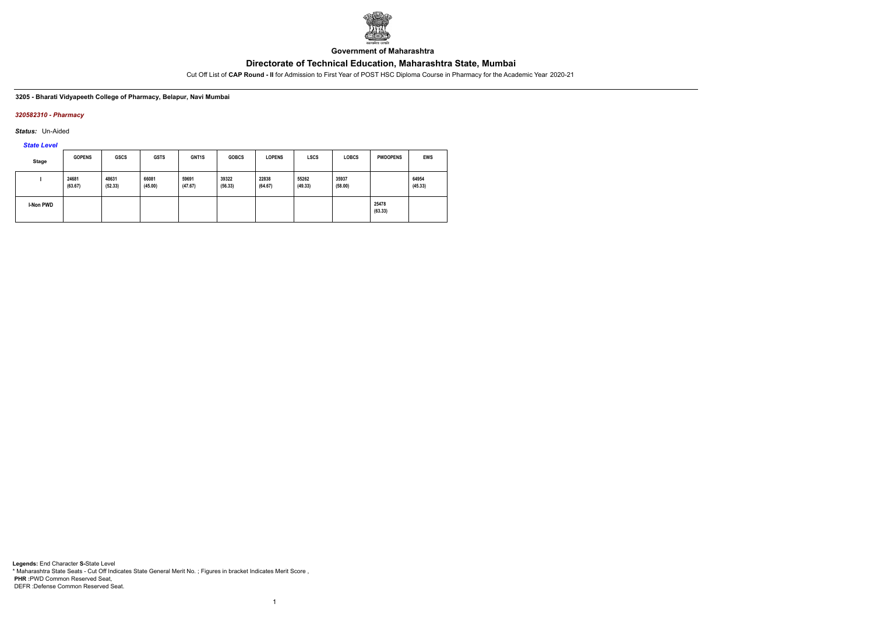

**Government of Maharashtra**

Cut Off List of **CAP Round - II** for Admission to First Year of POST HSC Diploma Course in Pharmacy for the Academic Year 2020-21

#### **3205 - Bharati Vidyapeeth College of Pharmacy, Belapur, Navi Mumbai**

### *320582310 - Pharmacy*

*Status:* Un-Aided

# *State Level*

| <b>Stage</b>     | <b>GOPENS</b>    | <b>GSCS</b>      | <b>GSTS</b>      | <b>GNT1S</b>     | <b>GOBCS</b>     | <b>LOPENS</b>    | <b>LSCS</b>      | <b>LOBCS</b>     | <b>PWDOPENS</b>  | <b>EWS</b>       |
|------------------|------------------|------------------|------------------|------------------|------------------|------------------|------------------|------------------|------------------|------------------|
|                  | 24681<br>(63.67) | 48631<br>(52.33) | 66081<br>(45.00) | 59691<br>(47.67) | 39322<br>(56.33) | 22838<br>(64.67) | 55262<br>(49.33) | 35937<br>(58.00) |                  | 64954<br>(45.33) |
| <b>I-Non PWD</b> |                  |                  |                  |                  |                  |                  |                  |                  | 25478<br>(63.33) |                  |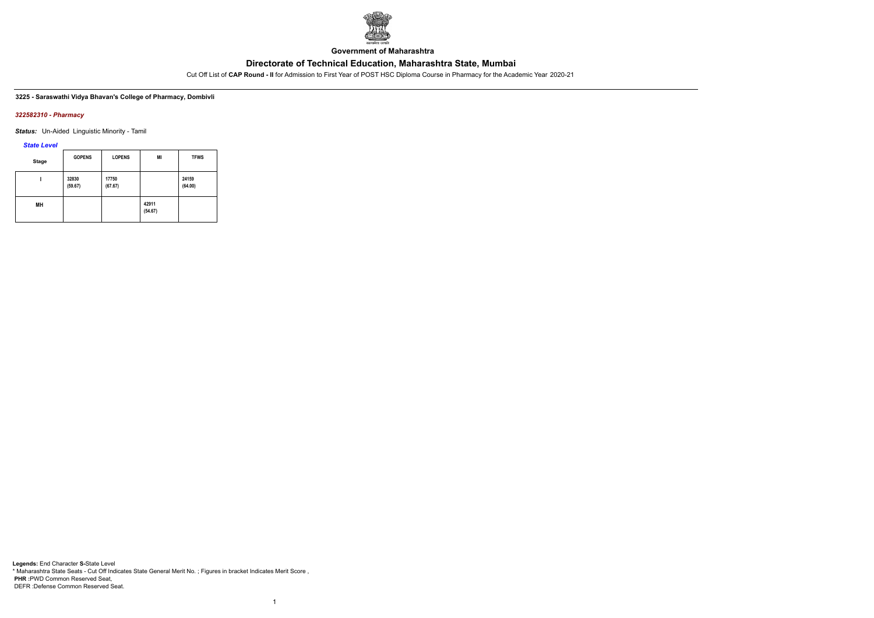

**Government of Maharashtra**

Cut Off List of **CAP Round - II** for Admission to First Year of POST HSC Diploma Course in Pharmacy for the Academic Year 2020-21

### **3225 - Saraswathi Vidya Bhavan's College of Pharmacy, Dombivli**

#### *322582310 - Pharmacy*

*Status:* Un-Aided Linguistic Minority - Tamil

### *State Level*

| <b>Stage</b> | <b>GOPENS</b>    | <b>LOPENS</b>    | MI               | <b>TFWS</b>      |
|--------------|------------------|------------------|------------------|------------------|
|              | 32830<br>(59.67) | 17750<br>(67.67) |                  | 24159<br>(64.00) |
| MН           |                  |                  | 42911<br>(54.67) |                  |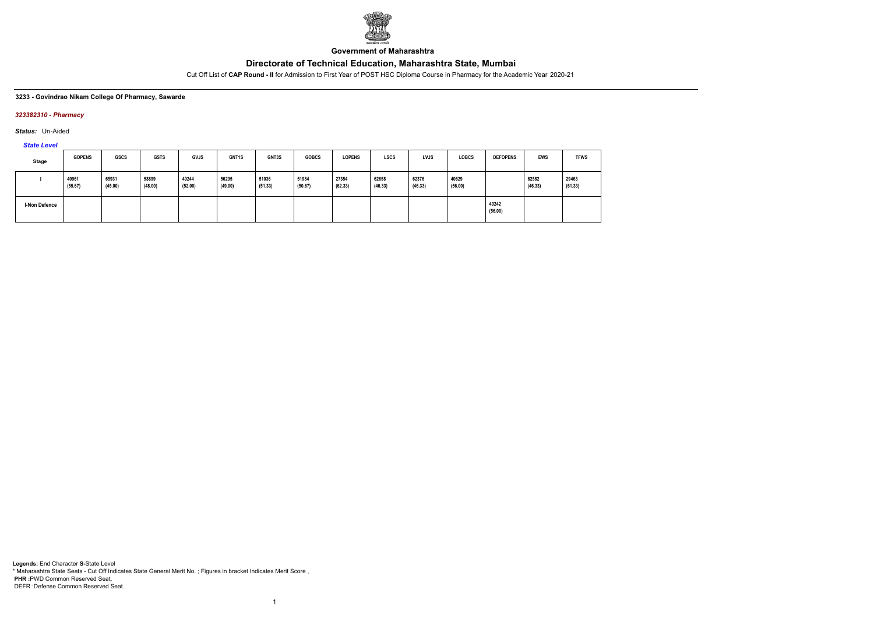

**Government of Maharashtra**

Cut Off List of **CAP Round - II** for Admission to First Year of POST HSC Diploma Course in Pharmacy for the Academic Year 2020-21

#### **3233 - Govindrao Nikam College Of Pharmacy, Sawarde**

### *323382310 - Pharmacy*

*Status:* Un-Aided

# *State Level*

| Stage                | <b>GOPENS</b>    | <b>GSCS</b>      | <b>GSTS</b>      | <b>GVJS</b>      | <b>GNT1S</b>     | GNT3S            | <b>GOBCS</b>     | <b>LOPENS</b>    | <b>LSCS</b>      | <b>LVJS</b>      | <b>LOBCS</b>     | <b>DEFOPENS</b>  | <b>EWS</b>       | <b>TFWS</b>      |
|----------------------|------------------|------------------|------------------|------------------|------------------|------------------|------------------|------------------|------------------|------------------|------------------|------------------|------------------|------------------|
|                      | 40961<br>(55.67) | 65931<br>(45.00) | 58899<br>(48.00) | 49244<br>(52.00) | 56295<br>(49.00) | 51036<br>(51.33) | 51984<br>(50.67) | 27354<br>(62.33) | 62658<br>(46.33) | 62376<br>(46.33) | 40629<br>(56.00) |                  | 62582<br>(46.33) | 29463<br>(61.33) |
| <b>I-Non Defence</b> |                  |                  |                  |                  |                  |                  |                  |                  |                  |                  |                  | 40242<br>(56.00) |                  |                  |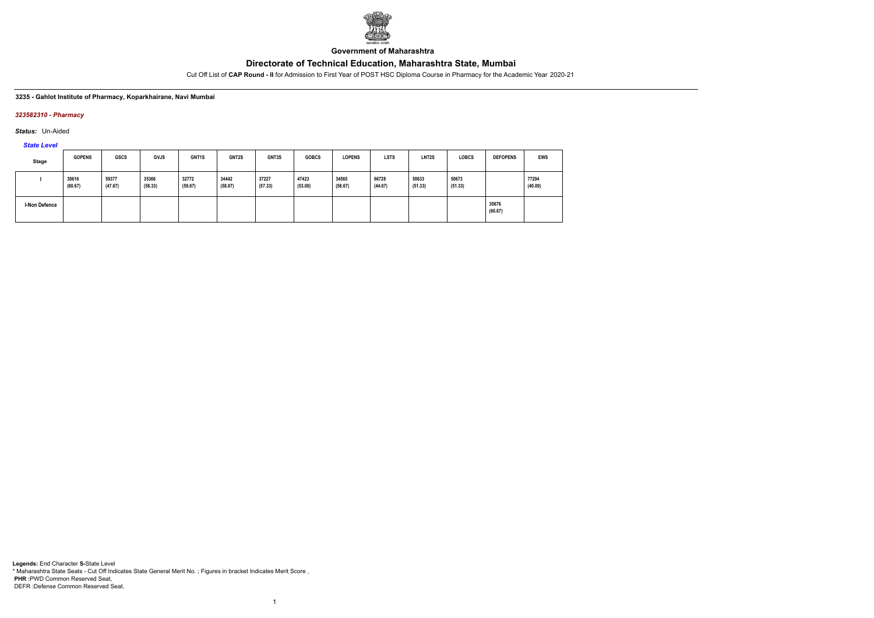

**Government of Maharashtra**

Cut Off List of **CAP Round - II** for Admission to First Year of POST HSC Diploma Course in Pharmacy for the Academic Year 2020-21

#### **3235 - Gahlot Institute of Pharmacy, Koparkhairane, Navi Mumbai**

### *323582310 - Pharmacy*

*Status:* Un-Aided

*State Level*

| Stage                | <b>GOPENS</b>    | <b>GSCS</b>      | <b>GVJS</b>      | GNT <sub>1</sub> S | <b>GNT2S</b>     | GNT3S            | <b>GOBCS</b>     | <b>LOPENS</b>    | <b>LSTS</b>      | LNT <sub>2</sub> S | <b>LOBCS</b>     | <b>DEFOPENS</b>  | <b>EWS</b>       |
|----------------------|------------------|------------------|------------------|--------------------|------------------|------------------|------------------|------------------|------------------|--------------------|------------------|------------------|------------------|
|                      | 30616<br>(60.67) | 59377<br>(47.67) | 35366<br>(58.33) | 32772<br>(59.67)   | 34442<br>(58.67) | 37227<br>(57.33) | 47423<br>(53.00) | 34565<br>(58.67) | 66728<br>(44.67) | 50633<br>(51.33)   | 50673<br>(51.33) |                  | 77294<br>(40.00) |
| <b>I-Non Defence</b> |                  |                  |                  |                    |                  |                  |                  |                  |                  |                    |                  | 30676<br>(60.67) |                  |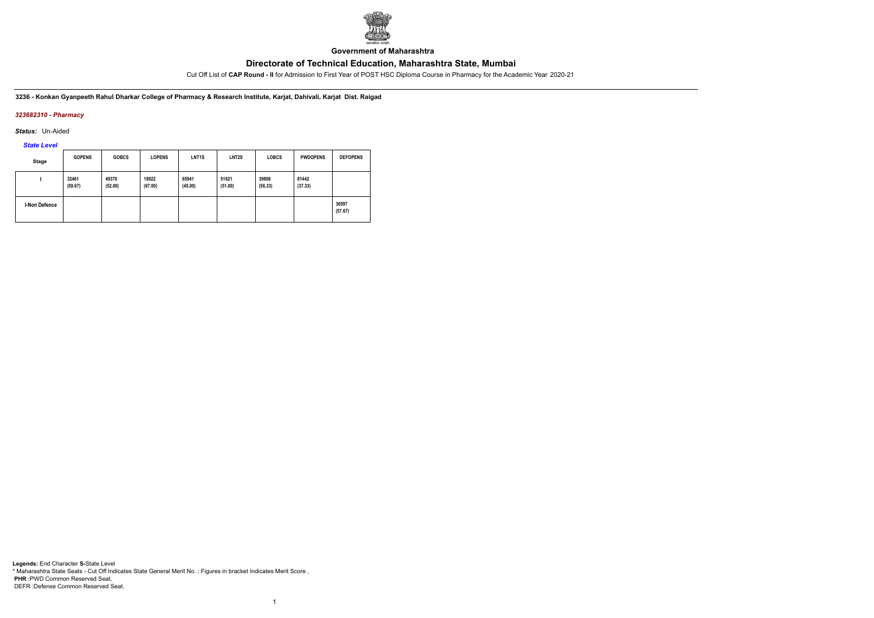

**Government of Maharashtra**

Cut Off List of **CAP Round - II** for Admission to First Year of POST HSC Diploma Course in Pharmacy for the Academic Year 2020-21

**3236 - Konkan Gyanpeeth Rahul Dharkar College of Pharmacy & Research Institute, Karjat, Dahivali, Karjat Dist. Raigad**

### *323682310 - Pharmacy*

*Status:* Un-Aided

# *State Level*

| Stage                | <b>GOPENS</b>    | <b>GOBCS</b>     | <b>LOPENS</b>    | LNT <sub>1</sub> S | LNT <sub>2</sub> S | <b>LOBCS</b>     | <b>PWDOPENS</b>  | <b>DEFOPENS</b>  |
|----------------------|------------------|------------------|------------------|--------------------|--------------------|------------------|------------------|------------------|
|                      | 32461<br>(59.67) | 49370<br>(52.00) | 18922<br>(67.00) | 65941<br>(45.00)   | 51621<br>(51.00)   | 39808<br>(56.33) | 81442<br>(37.33) |                  |
| <b>I-Non Defence</b> |                  |                  |                  |                    |                    |                  |                  | 36597<br>(57.67) |

1

**Legends:** End Character **S-**State Level \* Maharashtra State Seats - Cut Off Indicates State General Merit No. ; Figures in bracket Indicates Merit Score , **PHR :**PWD Common Reserved Seat, DEFR :Defense Common Reserved Seat.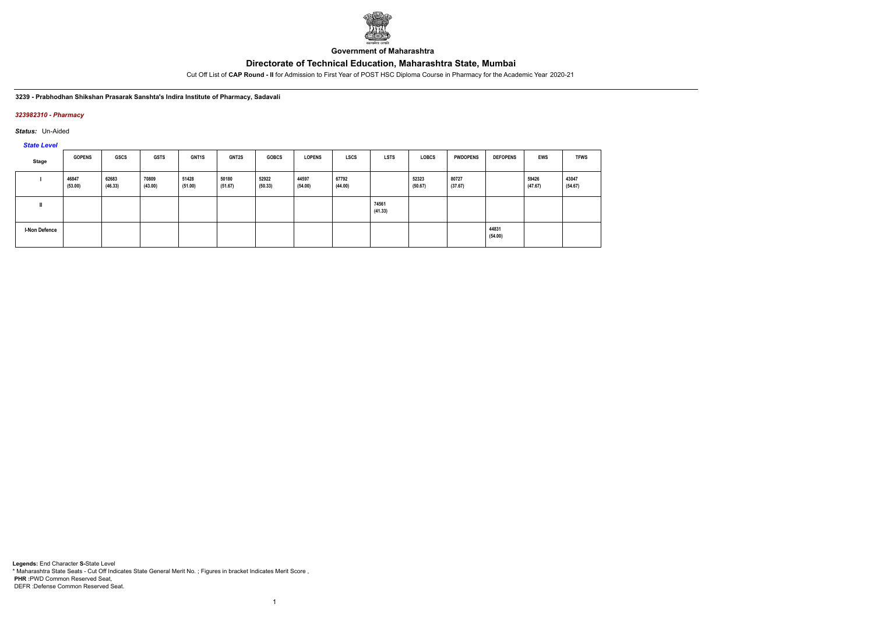

**Government of Maharashtra**

Cut Off List of **CAP Round - II** for Admission to First Year of POST HSC Diploma Course in Pharmacy for the Academic Year 2020-21

**3239 - Prabhodhan Shikshan Prasarak Sanshta's Indira Institute of Pharmacy, Sadavali**

### *323982310 - Pharmacy*

*Status:* Un-Aided

*State Level*

| Stage         | <b>GOPENS</b>    | <b>GSCS</b>      | <b>GSTS</b>      | <b>GNT1S</b>     | <b>GNT2S</b>     | <b>GOBCS</b>     | <b>LOPENS</b>    | <b>LSCS</b>      | <b>LSTS</b>      | <b>LOBCS</b>     | <b>PWDOPENS</b>  | <b>DEFOPENS</b>  | EWS              | <b>TFWS</b>      |
|---------------|------------------|------------------|------------------|------------------|------------------|------------------|------------------|------------------|------------------|------------------|------------------|------------------|------------------|------------------|
|               | 46847<br>(53.00) | 62683<br>(46.33) | 70809<br>(43.00) | 51428<br>(51.00) | 50180<br>(51.67) | 52922<br>(50.33) | 44597<br>(54.00) | 67792<br>(44.00) |                  | 52323<br>(50.67) | 80727<br>(37.67) |                  | 59426<br>(47.67) | 43047<br>(54.67) |
|               |                  |                  |                  |                  |                  |                  |                  |                  | 74561<br>(41.33) |                  |                  |                  |                  |                  |
| I-Non Defence |                  |                  |                  |                  |                  |                  |                  |                  |                  |                  |                  | 44831<br>(54.00) |                  |                  |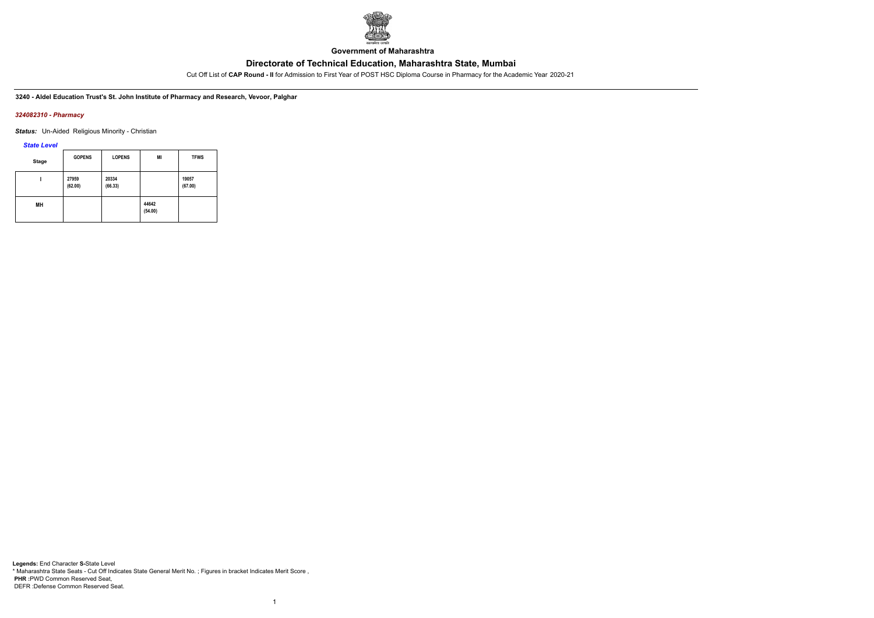

**Government of Maharashtra**

Cut Off List of **CAP Round - II** for Admission to First Year of POST HSC Diploma Course in Pharmacy for the Academic Year 2020-21

**3240 - Aldel Education Trust's St. John Institute of Pharmacy and Research, Vevoor, Palghar**

#### *324082310 - Pharmacy*

**Status:** Un-Aided Religious Minority - Christian

*State Level*

| <b>Stage</b> | <b>GOPENS</b>    | <b>LOPENS</b>    | MI               | <b>TFWS</b>      |
|--------------|------------------|------------------|------------------|------------------|
|              | 27959<br>(62.00) | 20334<br>(66.33) |                  | 19057<br>(67.00) |
| MН           |                  |                  | 44642<br>(54.00) |                  |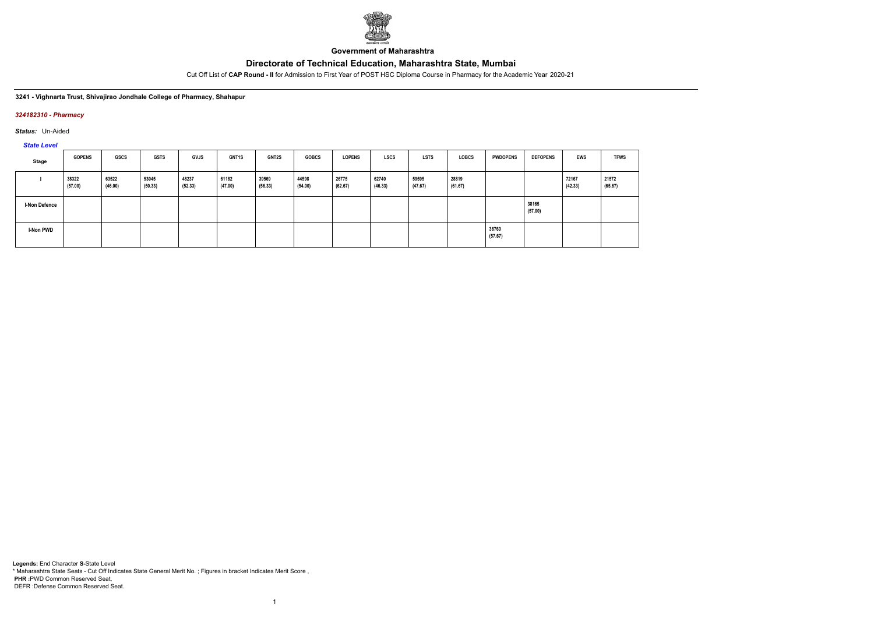

**Government of Maharashtra**

Cut Off List of **CAP Round - II** for Admission to First Year of POST HSC Diploma Course in Pharmacy for the Academic Year 2020-21

#### **3241 - Vighnarta Trust, Shivajirao Jondhale College of Pharmacy, Shahapur**

### *324182310 - Pharmacy*

*Status:* Un-Aided

*State Level*

| Stage                | <b>GOPENS</b>    | <b>GSCS</b>      | <b>GSTS</b>      | <b>GVJS</b>      | GNT1S            | <b>GNT2S</b>     | <b>GOBCS</b>     | <b>LOPENS</b>    | <b>LSCS</b>      | <b>LSTS</b>      | <b>LOBCS</b>     | <b>PWDOPENS</b>  | <b>DEFOPENS</b>  | <b>EWS</b>       | <b>TFWS</b>      |
|----------------------|------------------|------------------|------------------|------------------|------------------|------------------|------------------|------------------|------------------|------------------|------------------|------------------|------------------|------------------|------------------|
|                      | 38322<br>(57.00) | 63522<br>(46.00) | 53045<br>(50.33) | 48237<br>(52.33) | 61182<br>(47.00) | 39569<br>(56.33) | 44598<br>(54.00) | 26775<br>(62.67) | 62740<br>(46.33) | 59595<br>(47.67) | 28819<br>(61.67) |                  |                  | 72167<br>(42.33) | 21572<br>(65.67) |
| <b>I-Non Defence</b> |                  |                  |                  |                  |                  |                  |                  |                  |                  |                  |                  |                  | 38165<br>(57.00) |                  |                  |
| <b>I-Non PWD</b>     |                  |                  |                  |                  |                  |                  |                  |                  |                  |                  |                  | 36760<br>(57.67) |                  |                  |                  |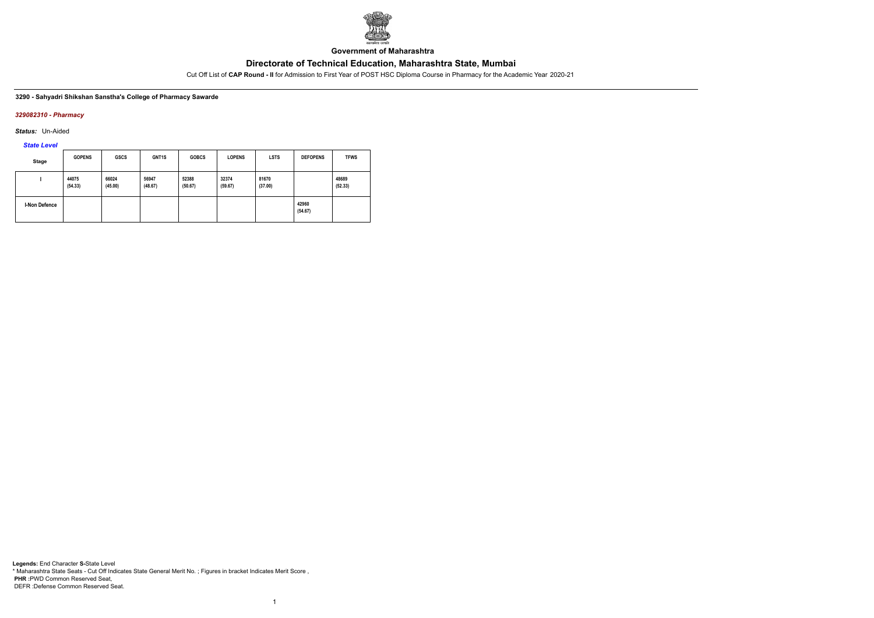

**Government of Maharashtra**

Cut Off List of **CAP Round - II** for Admission to First Year of POST HSC Diploma Course in Pharmacy for the Academic Year 2020-21

#### **3290 - Sahyadri Shikshan Sanstha's College of Pharmacy Sawarde**

### *329082310 - Pharmacy*

*Status:* Un-Aided

*State Level*

| <b>Stage</b>         | <b>GOPENS</b>    | <b>GSCS</b>      | GNT1S            | <b>GOBCS</b>     | <b>LOPENS</b>    | <b>LSTS</b>      | <b>DEFOPENS</b>  | <b>TFWS</b>      |
|----------------------|------------------|------------------|------------------|------------------|------------------|------------------|------------------|------------------|
|                      | 44075<br>(54.33) | 66024<br>(45.00) | 56947<br>(48.67) | 52388<br>(50.67) | 32374<br>(59.67) | 81670<br>(37.00) |                  | 48689<br>(52.33) |
| <b>I-Non Defence</b> |                  |                  |                  |                  |                  |                  | 42960<br>(54.67) |                  |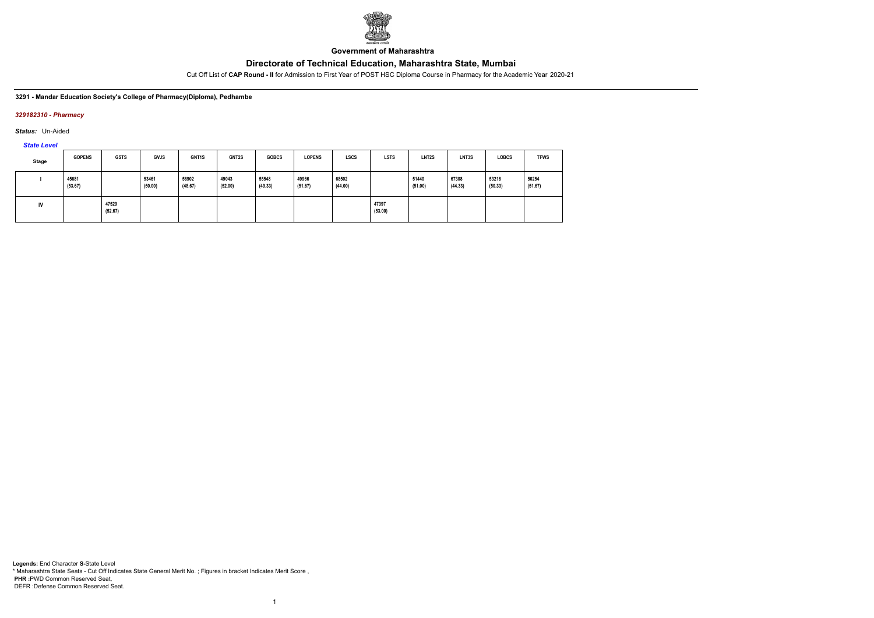

**Government of Maharashtra**

Cut Off List of **CAP Round - II** for Admission to First Year of POST HSC Diploma Course in Pharmacy for the Academic Year 2020-21

#### **3291 - Mandar Education Society's College of Pharmacy(Diploma), Pedhambe**

### *329182310 - Pharmacy*

*Status:* Un-Aided

*State Level*

| Stage | <b>GOPENS</b>    | <b>GSTS</b>      | <b>GVJS</b>      | GNT1S            | GNT2S            | <b>GOBCS</b>     | <b>LOPENS</b>    | <b>LSCS</b>      | <b>LSTS</b>      | LNT2S            | LNT3S            | <b>LOBCS</b>     | <b>TFWS</b>      |
|-------|------------------|------------------|------------------|------------------|------------------|------------------|------------------|------------------|------------------|------------------|------------------|------------------|------------------|
|       | 45681<br>(53.67) |                  | 53461<br>(50.00) | 56902<br>(48.67) | 49043<br>(52.00) | 55548<br>(49.33) | 49966<br>(51.67) | 68502<br>(44.00) |                  | 51440<br>(51.00) | 67308<br>(44.33) | 53216<br>(50.33) | 50254<br>(51.67) |
| IV    |                  | 47529<br>(52.67) |                  |                  |                  |                  |                  |                  | 47397<br>(53.00) |                  |                  |                  |                  |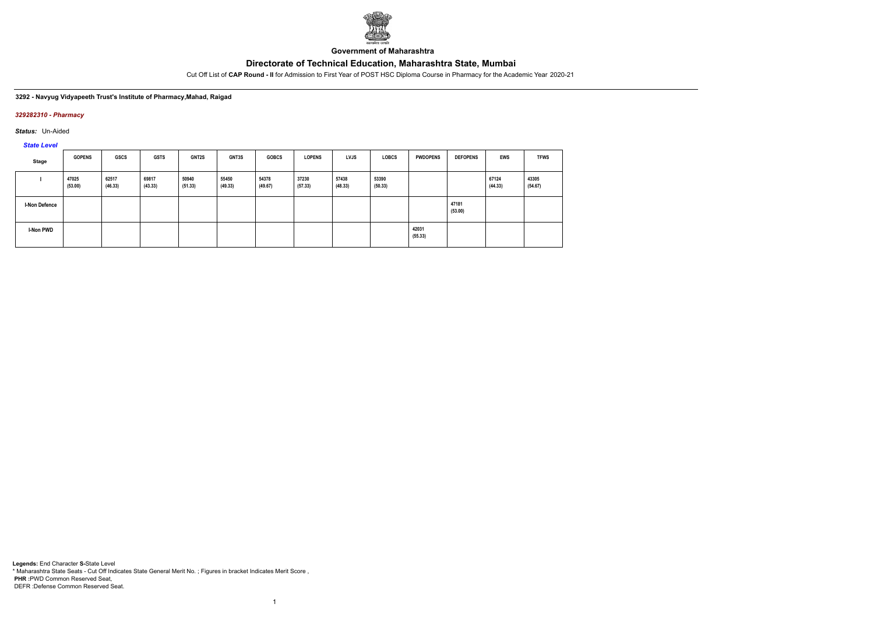

**Government of Maharashtra**

Cut Off List of **CAP Round - II** for Admission to First Year of POST HSC Diploma Course in Pharmacy for the Academic Year 2020-21

### **3292 - Navyug Vidyapeeth Trust's Institute of Pharmacy,Mahad, Raigad**

### *329282310 - Pharmacy*

*Status:* Un-Aided

*State Level*

| <b>Stage</b>         | <b>GOPENS</b>    | <b>GSCS</b>      | <b>GSTS</b>      | GNT2S            | <b>GNT3S</b>     | <b>GOBCS</b>     | <b>LOPENS</b>    | LVJS             | <b>LOBCS</b>     | <b>PWDOPENS</b>  | <b>DEFOPENS</b>  | <b>EWS</b>       | <b>TFWS</b>      |
|----------------------|------------------|------------------|------------------|------------------|------------------|------------------|------------------|------------------|------------------|------------------|------------------|------------------|------------------|
|                      | 47025<br>(53.00) | 62517<br>(46.33) | 69817<br>(43.33) | 50940<br>(51.33) | 55450<br>(49.33) | 54378<br>(49.67) | 37230<br>(57.33) | 57438<br>(48.33) | 53390<br>(50.33) |                  |                  | 67124<br>(44.33) | 43305<br>(54.67) |
| <b>I-Non Defence</b> |                  |                  |                  |                  |                  |                  |                  |                  |                  |                  | 47181<br>(53.00) |                  |                  |
| <b>I-Non PWD</b>     |                  |                  |                  |                  |                  |                  |                  |                  |                  | 42031<br>(55.33) |                  |                  |                  |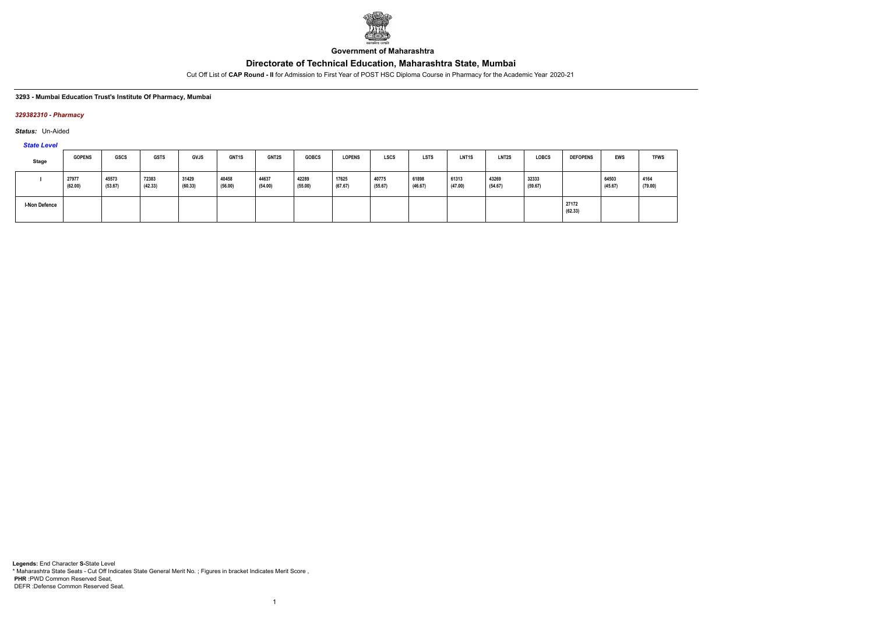

**Government of Maharashtra**

Cut Off List of **CAP Round - II** for Admission to First Year of POST HSC Diploma Course in Pharmacy for the Academic Year 2020-21

#### **3293 - Mumbai Education Trust's Institute Of Pharmacy, Mumbai**

### *329382310 - Pharmacy*

*Status:* Un-Aided

*State Level*

| <b>Stage</b>         | <b>GOPENS</b>    | GSCS             | <b>GSTS</b>      | <b>GVJS</b>      | GNT1S            | GNT2S            | <b>GOBCS</b>     | <b>LOPENS</b>    | <b>LSCS</b>      | <b>LSTS</b>      | LNT <sub>1</sub> S | LNT2S            | <b>LOBCS</b>     | <b>DEFOPENS</b>  | EWS              | <b>TFWS</b>     |
|----------------------|------------------|------------------|------------------|------------------|------------------|------------------|------------------|------------------|------------------|------------------|--------------------|------------------|------------------|------------------|------------------|-----------------|
|                      | 27977<br>(62.00) | 45573<br>(53.67) | 72383<br>(42.33) | 31429<br>(60.33) | 40458<br>(56.00) | 44637<br>(54.00) | 42289<br>(55.00) | 17625<br>(67.67) | 40775<br>(55.67) | 61898<br>(46.67) | 61313<br>(47.00)   | 43269<br>(54.67) | 32333<br>(59.67) |                  | 64503<br>(45.67) | 4164<br>(79.00) |
| <b>I-Non Defence</b> |                  |                  |                  |                  |                  |                  |                  |                  |                  |                  |                    |                  |                  | 27172<br>(62.33) |                  |                 |

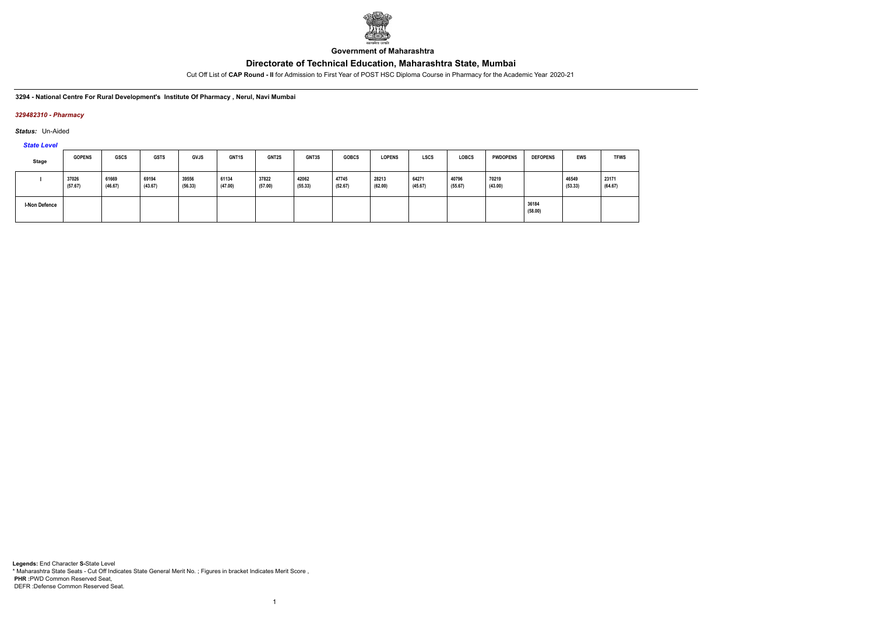

**Government of Maharashtra**

Cut Off List of **CAP Round - II** for Admission to First Year of POST HSC Diploma Course in Pharmacy for the Academic Year 2020-21

**3294 - National Centre For Rural Development's Institute Of Pharmacy , Nerul, Navi Mumbai**

### *329482310 - Pharmacy*

*Status:* Un-Aided

*State Level*

| <b>Stage</b>  | <b>GOPENS</b>    | GSCS             | <b>GSTS</b>      | <b>GVJS</b>      | GNT1S            | GNT2S            | GNT3S            | <b>GOBCS</b>     | <b>LOPENS</b>    | <b>LSCS</b>      | <b>LOBCS</b>     | <b>PWDOPENS</b>  | <b>DEFOPENS</b>  | <b>EWS</b>       | <b>TFWS</b>      |
|---------------|------------------|------------------|------------------|------------------|------------------|------------------|------------------|------------------|------------------|------------------|------------------|------------------|------------------|------------------|------------------|
|               | 37026<br>(57.67) | 61669<br>(46.67) | 69194<br>(43.67) | 39556<br>(56.33) | 61134<br>(47.00) | 37822<br>(57.00) | 42062<br>(55.33) | 47745<br>(52.67) | 28213<br>(62.00) | 64271<br>(45.67) | 40796<br>(55.67) | 70219<br>(43.00) |                  | 46549<br>(53.33) | 23171<br>(64.67) |
| I-Non Defence |                  |                  |                  |                  |                  |                  |                  |                  |                  |                  |                  |                  | 36184<br>(58.00) |                  |                  |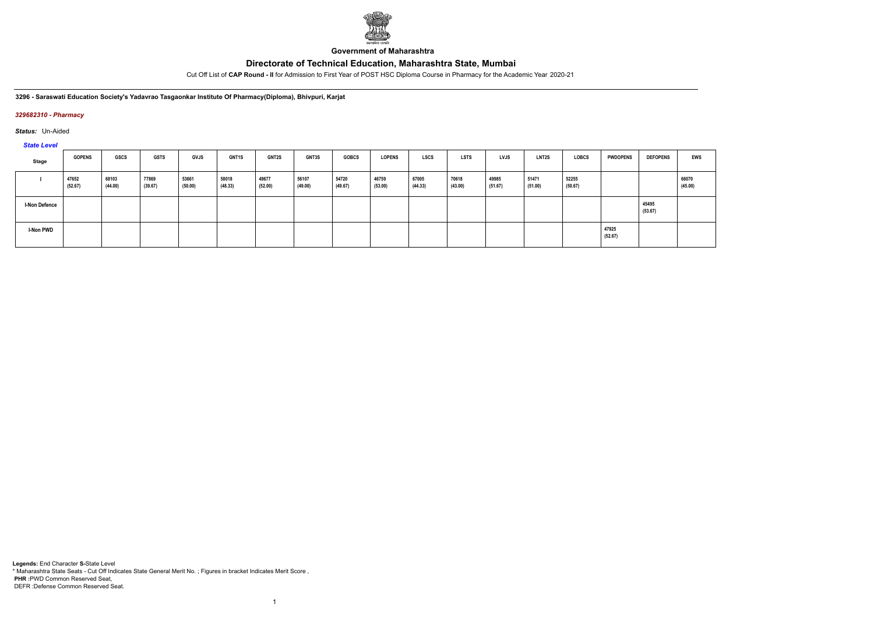

**Government of Maharashtra**

Cut Off List of **CAP Round - II** for Admission to First Year of POST HSC Diploma Course in Pharmacy for the Academic Year 2020-21

**3296 - Saraswati Education Society's Yadavrao Tasgaonkar Institute Of Pharmacy(Diploma), Bhivpuri, Karjat**

### *329682310 - Pharmacy*

*Status:* Un-Aided

*State Level*

| $-$                  |                  |                  |                  |                  |                  |                  |                  |                  |                  |                  |                  |                  |                  |                  |                  |                  |                  |
|----------------------|------------------|------------------|------------------|------------------|------------------|------------------|------------------|------------------|------------------|------------------|------------------|------------------|------------------|------------------|------------------|------------------|------------------|
| Stage                | <b>GOPENS</b>    | GSCS             | <b>GSTS</b>      | <b>GVJS</b>      | <b>GNT1S</b>     | <b>GNT2S</b>     | <b>GNT3S</b>     | <b>GOBCS</b>     | <b>LOPENS</b>    | <b>LSCS</b>      | <b>LSTS</b>      | <b>LVJS</b>      | <b>LNT2S</b>     | <b>LOBCS</b>     | <b>PWDOPENS</b>  | <b>DEFOPENS</b>  | <b>EWS</b>       |
|                      | 47652<br>(52.67) | 68103<br>(44.00) | 77869<br>(39.67) | 53661<br>(50.00) | 58018<br>(48.33) | 49677<br>(52.00) | 56107<br>(49.00) | 54720<br>(49.67) | 46759<br>(53.00) | 67005<br>(44.33) | 70618<br>(43.00) | 49985<br>(51.67) | 51471<br>(51.00) | 52255<br>(50.67) |                  |                  | 66070<br>(45.00) |
| <b>I-Non Defence</b> |                  |                  |                  |                  |                  |                  |                  |                  |                  |                  |                  |                  |                  |                  |                  | 45495<br>(53.67) |                  |
| <b>I-Non PWD</b>     |                  |                  |                  |                  |                  |                  |                  |                  |                  |                  |                  |                  |                  |                  | 47925<br>(52.67) |                  |                  |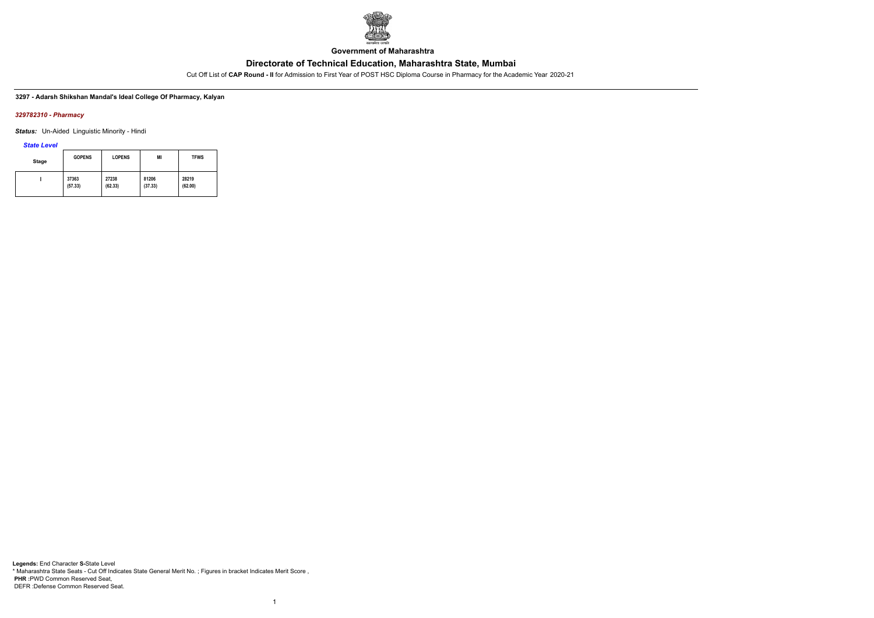

**Government of Maharashtra**

Cut Off List of **CAP Round - II** for Admission to First Year of POST HSC Diploma Course in Pharmacy for the Academic Year 2020-21

### **3297 - Adarsh Shikshan Mandal's Ideal College Of Pharmacy, Kalyan**

### *329782310 - Pharmacy*

*Status:* Un-Aided Linguistic Minority - Hindi

*State Level*

| Stage | <b>GOPENS</b> | <b>LOPENS</b> | MI      | <b>TFWS</b> |
|-------|---------------|---------------|---------|-------------|
|       | 37363         | 27238         | 81206   | 28219       |
|       | (57.33)       | (62.33)       | (37.33) | (62.00)     |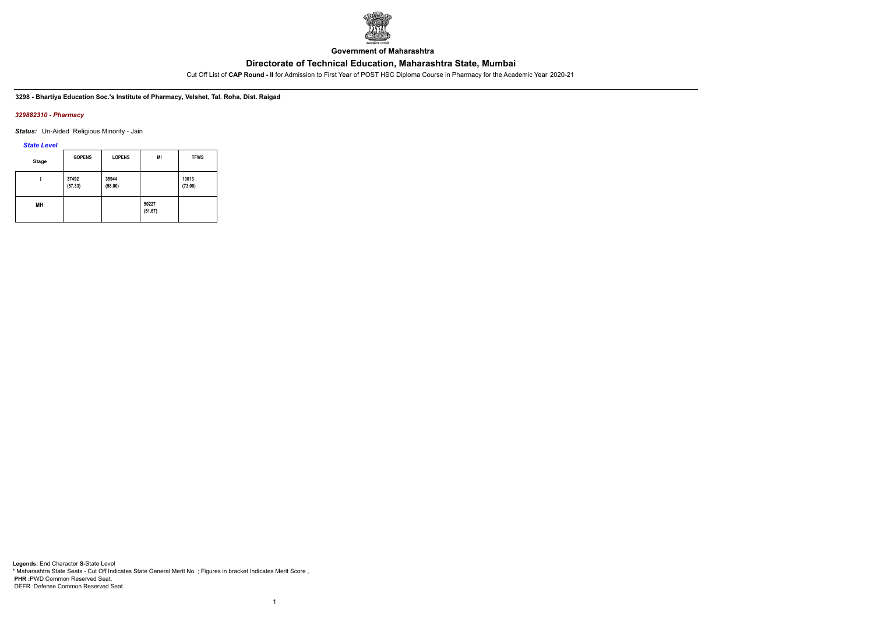

**Government of Maharashtra**

Cut Off List of **CAP Round - II** for Admission to First Year of POST HSC Diploma Course in Pharmacy for the Academic Year 2020-21

**3298 - Bhartiya Education Soc.'s Institute of Pharmacy, Velshet, Tal. Roha, Dist. Raigad**

### *329882310 - Pharmacy*

*Status:* Un-Aided Religious Minority - Jain

*State Level*

| Stage | <b>GOPENS</b>    | <b>LOPENS</b>    | MI               | <b>TFWS</b>      |  |
|-------|------------------|------------------|------------------|------------------|--|
|       | 37492<br>(57.33) | 35944<br>(58.00) |                  | 10013<br>(73.00) |  |
| MН    |                  |                  | 50227<br>(51.67) |                  |  |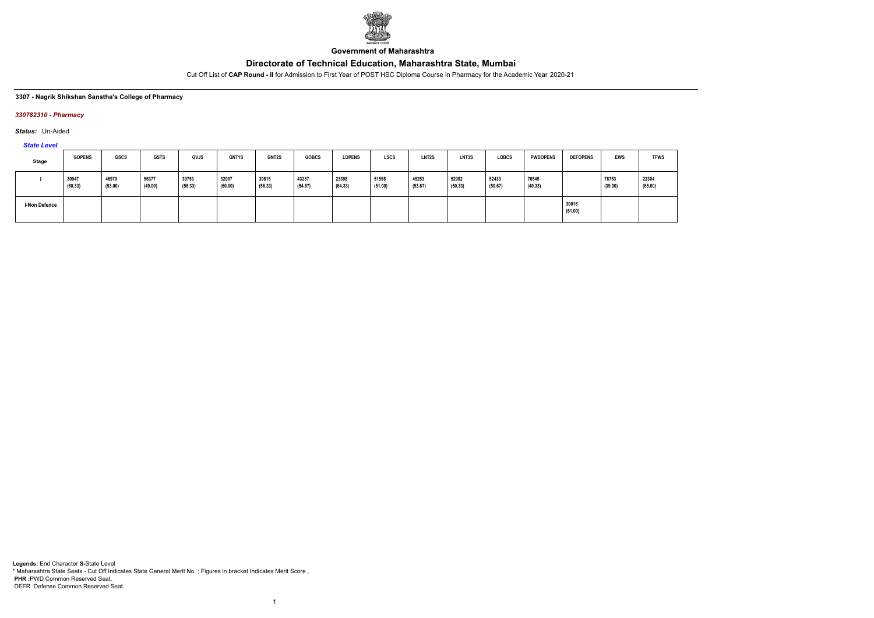

**Government of Maharashtra**

Cut Off List of **CAP Round - II** for Admission to First Year of POST HSC Diploma Course in Pharmacy for the Academic Year 2020-21

#### **3307 - Nagrik Shikshan Sanstha's College of Pharmacy**

### *330782310 - Pharmacy*

*Status:* Un-Aided

# *State Level*

| <b>Stage</b>  | <b>GOPENS</b>    | <b>GSCS</b>      | <b>GSTS</b>      | GVJS             | <b>GNT1S</b>     | GNT2S            | <b>GOBCS</b>     | <b>LOPENS</b>    | <b>LSCS</b>      | LNT <sub>2</sub> S | LNT3S            | <b>LOBCS</b>     | <b>PWDOPENS</b>  | <b>DEFOPENS</b>  | <b>EWS</b>       | <b>TFWS</b>      |
|---------------|------------------|------------------|------------------|------------------|------------------|------------------|------------------|------------------|------------------|--------------------|------------------|------------------|------------------|------------------|------------------|------------------|
|               | 30947<br>(60.33) | 46979<br>(53.00) | 56377<br>(49.00) | 39753<br>(56.33) | 32097<br>(60.00) | 39815<br>(56.33) | 43287<br>(54.67) | 23398<br>(64.33) | 51558<br>(51.00) | 45253<br>(53.67)   | 52982<br>(50.33) | 52433<br>(50.67) | 76545<br>(40.33) |                  | 78753<br>(39.00) | 22304<br>(65.00) |
| I-Non Defence |                  |                  |                  |                  |                  |                  |                  |                  |                  |                    |                  |                  |                  | 30016<br>(61.00) |                  |                  |

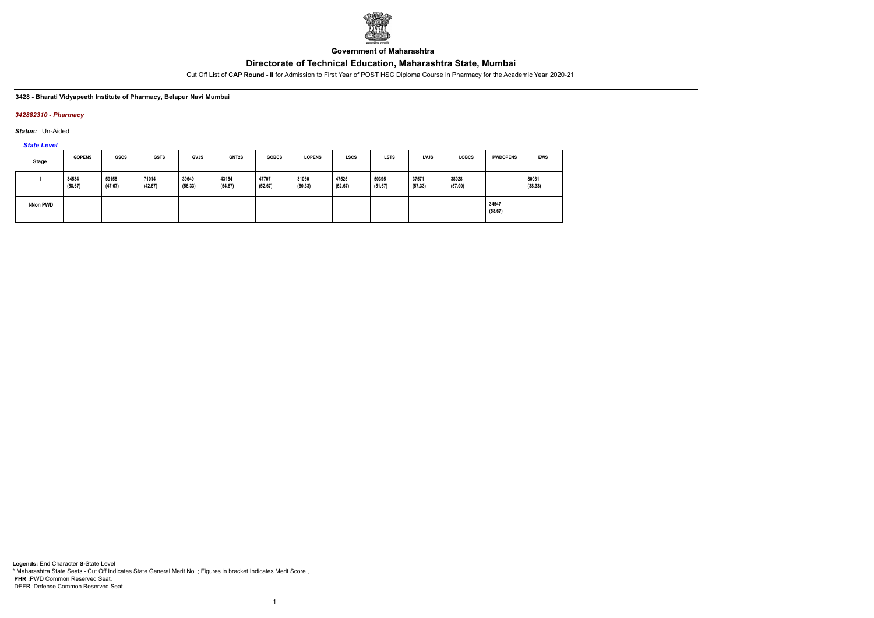

**Government of Maharashtra**

Cut Off List of **CAP Round - II** for Admission to First Year of POST HSC Diploma Course in Pharmacy for the Academic Year 2020-21

**3428 - Bharati Vidyapeeth Institute of Pharmacy, Belapur Navi Mumbai**

### *342882310 - Pharmacy*

*Status:* Un-Aided

*State Level*

| Stage            | <b>GOPENS</b>    | <b>GSCS</b>      | <b>GSTS</b>      | <b>GVJS</b>      | GNT2S            | <b>GOBCS</b>     | <b>LOPENS</b>    | <b>LSCS</b>      | <b>LSTS</b>      | <b>LVJS</b>      | <b>LOBCS</b>     | <b>PWDOPENS</b>  | <b>EWS</b>       |
|------------------|------------------|------------------|------------------|------------------|------------------|------------------|------------------|------------------|------------------|------------------|------------------|------------------|------------------|
|                  | 34534<br>(58.67) | 59158<br>(47.67) | 71014<br>(42.67) | 39649<br>(56.33) | 43154<br>(54.67) | 47707<br>(52.67) | 31060<br>(60.33) | 47525<br>(52.67) | 50395<br>(51.67) | 37571<br>(57.33) | 38028<br>(57.00) |                  | 80031<br>(38.33) |
| <b>I-Non PWD</b> |                  |                  |                  |                  |                  |                  |                  |                  |                  |                  |                  | 34547<br>(58.67) |                  |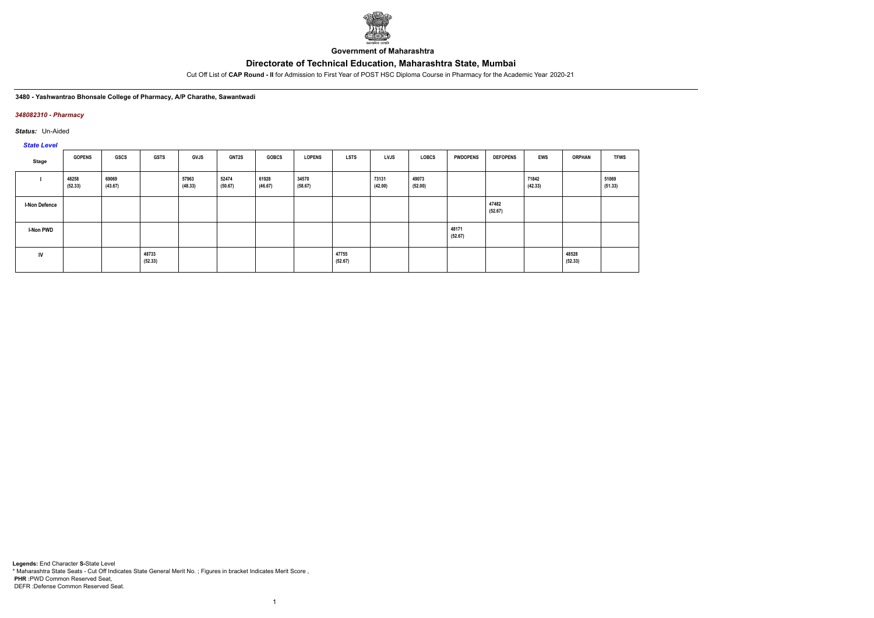

**Government of Maharashtra**

Cut Off List of **CAP Round - II** for Admission to First Year of POST HSC Diploma Course in Pharmacy for the Academic Year 2020-21

#### **3480 - Yashwantrao Bhonsale College of Pharmacy, A/P Charathe, Sawantwadi**

### *348082310 - Pharmacy*

*Status:* Un-Aided

# *State Level*

| Stage                | <b>GOPENS</b>    | GSCS             | <b>GSTS</b>      | <b>GVJS</b>      | <b>GNT2S</b>     | <b>GOBCS</b>     | <b>LOPENS</b>    | <b>LSTS</b>      | <b>LVJS</b>      | <b>LOBCS</b>     | <b>PWDOPENS</b>  | <b>DEFOPENS</b>  | <b>EWS</b>       | <b>ORPHAN</b>    | <b>TFWS</b>      |
|----------------------|------------------|------------------|------------------|------------------|------------------|------------------|------------------|------------------|------------------|------------------|------------------|------------------|------------------|------------------|------------------|
|                      | 48258<br>(52.33) | 69069<br>(43.67) |                  | 57963<br>(48.33) | 52474<br>(50.67) | 61928<br>(46.67) | 34570<br>(58.67) |                  | 73131<br>(42.00) | 49073<br>(52.00) |                  |                  | 71842<br>(42.33) |                  | 51069<br>(51.33) |
| <b>I-Non Defence</b> |                  |                  |                  |                  |                  |                  |                  |                  |                  |                  |                  | 47482<br>(52.67) |                  |                  |                  |
| I-Non PWD            |                  |                  |                  |                  |                  |                  |                  |                  |                  |                  | 48171<br>(52.67) |                  |                  |                  |                  |
| IV                   |                  |                  | 48733<br>(52.33) |                  |                  |                  |                  | 47755<br>(52.67) |                  |                  |                  |                  |                  | 48528<br>(52.33) |                  |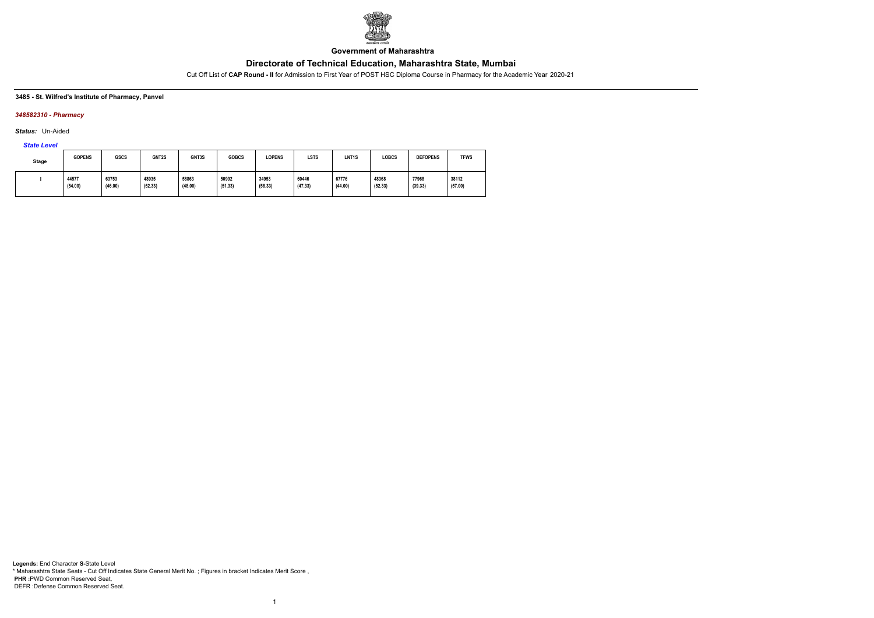

**Government of Maharashtra**

Cut Off List of **CAP Round - II** for Admission to First Year of POST HSC Diploma Course in Pharmacy for the Academic Year 2020-21

#### **3485 - St. Wilfred's Institute of Pharmacy, Panvel**

### *348582310 - Pharmacy*

*Status:* Un-Aided

# *State Level*

| Stage | <b>GOPENS</b>    | <b>GSCS</b>      | GNT2S            | GNT3S            | <b>GOBCS</b>     | <b>LOPENS</b>    | <b>LSTS</b>      | LNT <sub>1</sub> S | LOBCS            | <b>DEFOPENS</b>  | <b>TFWS</b>      |
|-------|------------------|------------------|------------------|------------------|------------------|------------------|------------------|--------------------|------------------|------------------|------------------|
|       | 44577<br>(54.00) | 63753<br>(46.00) | 48935<br>(52.33) | 58863<br>(48.00) | 50992<br>(51.33) | 34953<br>(58.33) | 60446<br>(47.33) | 67776<br>(44.00)   | 48368<br>(52.33) | 77968<br>(39.33) | 38112<br>(57.00) |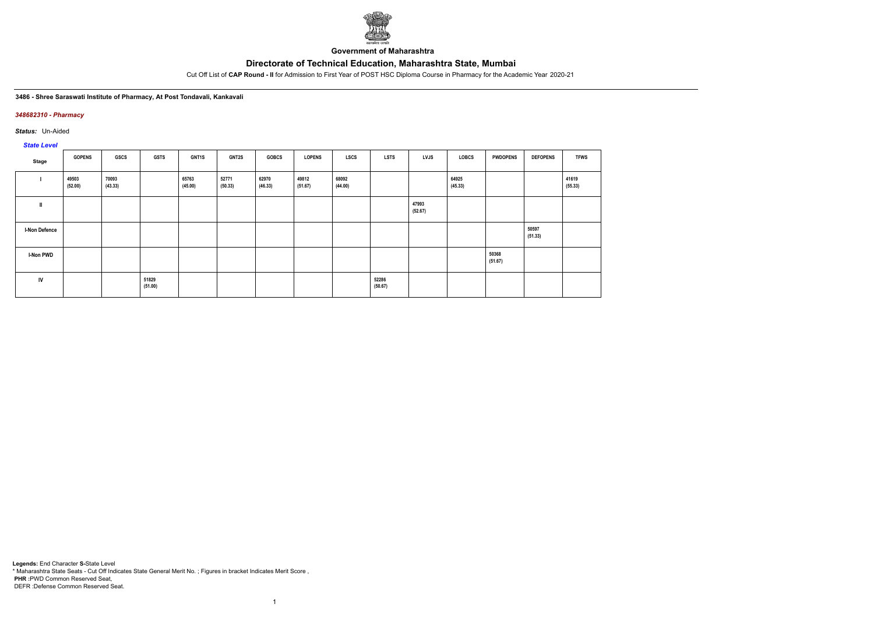

**Government of Maharashtra**

Cut Off List of **CAP Round - II** for Admission to First Year of POST HSC Diploma Course in Pharmacy for the Academic Year 2020-21

#### **3486 - Shree Saraswati Institute of Pharmacy, At Post Tondavali, Kankavali**

### *348682310 - Pharmacy*

*Status:* Un-Aided

*State Level*

| Stage                | <b>GOPENS</b>    | GSCS             | <b>GSTS</b>      | <b>GNT1S</b>     | <b>GNT2S</b>     | <b>GOBCS</b>     | <b>LOPENS</b>    | <b>LSCS</b>      | <b>LSTS</b>      | LVJS             | <b>LOBCS</b>     | <b>PWDOPENS</b>  | <b>DEFOPENS</b>  | <b>TFWS</b>      |
|----------------------|------------------|------------------|------------------|------------------|------------------|------------------|------------------|------------------|------------------|------------------|------------------|------------------|------------------|------------------|
|                      | 49503<br>(52.00) | 70093<br>(43.33) |                  | 65763<br>(45.00) | 52771<br>(50.33) | 62970<br>(46.33) | 49812<br>(51.67) | 68092<br>(44.00) |                  |                  | 64925<br>(45.33) |                  |                  | 41619<br>(55.33) |
| $\mathbf{I}$         |                  |                  |                  |                  |                  |                  |                  |                  |                  | 47993<br>(52.67) |                  |                  |                  |                  |
| <b>I-Non Defence</b> |                  |                  |                  |                  |                  |                  |                  |                  |                  |                  |                  |                  | 50597<br>(51.33) |                  |
| <b>I-Non PWD</b>     |                  |                  |                  |                  |                  |                  |                  |                  |                  |                  |                  | 50368<br>(51.67) |                  |                  |
| IV                   |                  |                  | 51829<br>(51.00) |                  |                  |                  |                  |                  | 52286<br>(50.67) |                  |                  |                  |                  |                  |

1

**Legends:** End Character **S-**State Level \* Maharashtra State Seats - Cut Off Indicates State General Merit No. ; Figures in bracket Indicates Merit Score , **PHR :**PWD Common Reserved Seat, DEFR :Defense Common Reserved Seat.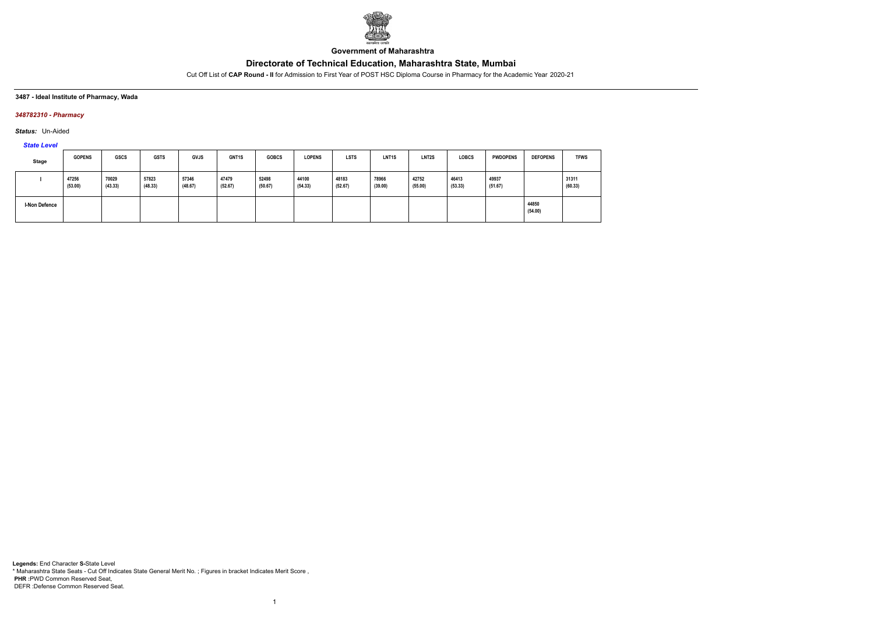

**Government of Maharashtra**

Cut Off List of **CAP Round - II** for Admission to First Year of POST HSC Diploma Course in Pharmacy for the Academic Year 2020-21

### **3487 - Ideal Institute of Pharmacy, Wada**

### *348782310 - Pharmacy*

*Status:* Un-Aided

# *State Level*

| Stage                | <b>GOPENS</b>    | <b>GSCS</b>      | <b>GSTS</b>      | <b>GVJS</b>      | <b>GNT1S</b>     | <b>GOBCS</b>     | <b>LOPENS</b>    | <b>LSTS</b>      | LNT <sub>1</sub> S | LNT <sub>2</sub> S | <b>LOBCS</b>     | <b>PWDOPENS</b>  | <b>DEFOPENS</b>  | <b>TFWS</b>      |
|----------------------|------------------|------------------|------------------|------------------|------------------|------------------|------------------|------------------|--------------------|--------------------|------------------|------------------|------------------|------------------|
|                      | 47256<br>(53.00) | 70029<br>(43.33) | 57823<br>(48.33) | 57346<br>(48.67) | 47479<br>(52.67) | 52498<br>(50.67) | 44100<br>(54.33) | 48183<br>(52.67) | 78966<br>(39.00)   | 42752<br>(55.00)   | 46413<br>(53.33) | 49937<br>(51.67) |                  | 31311<br>(60.33) |
| <b>I-Non Defence</b> |                  |                  |                  |                  |                  |                  |                  |                  |                    |                    |                  |                  | 44850<br>(54.00) |                  |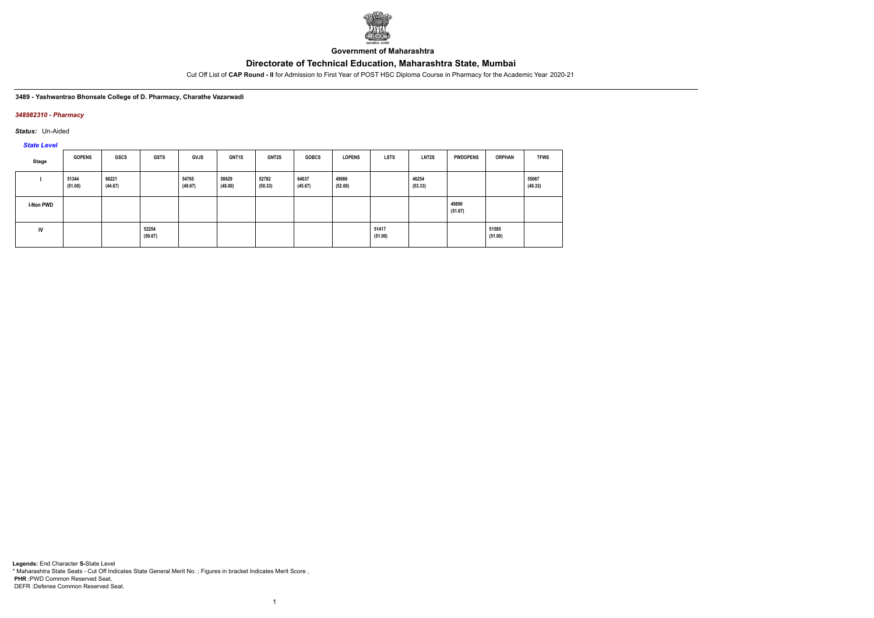

**Government of Maharashtra**

Cut Off List of **CAP Round - II** for Admission to First Year of POST HSC Diploma Course in Pharmacy for the Academic Year 2020-21

#### **3489 - Yashwantrao Bhonsale College of D. Pharmacy, Charathe Vazarwadi**

### *348982310 - Pharmacy*

*Status:* Un-Aided

*State Level*

| Stage            | <b>GOPENS</b>    | GSCS             | <b>GSTS</b>      | <b>GVJS</b>      | <b>GNT1S</b>     | <b>GNT2S</b>     | <b>GOBCS</b>     | <b>LOPENS</b>    | <b>LSTS</b>      | <b>LNT2S</b>     | <b>PWDOPENS</b>  | <b>ORPHAN</b>    | <b>TFWS</b>      |
|------------------|------------------|------------------|------------------|------------------|------------------|------------------|------------------|------------------|------------------|------------------|------------------|------------------|------------------|
|                  | 51344<br>(51.00) | 66221<br>(44.67) |                  | 54765<br>(49.67) | 58629<br>(48.00) | 52782<br>(50.33) | 64037<br>(45.67) | 49086<br>(52.00) |                  | 46254<br>(53.33) |                  |                  | 55067<br>(49.33) |
| <b>I-Non PWD</b> |                  |                  |                  |                  |                  |                  |                  |                  |                  |                  | 49890<br>(51.67) |                  |                  |
| <b>IV</b>        |                  |                  | 52254<br>(50.67) |                  |                  |                  |                  |                  | 51417<br>(51.00) |                  |                  | 51585<br>(51.00) |                  |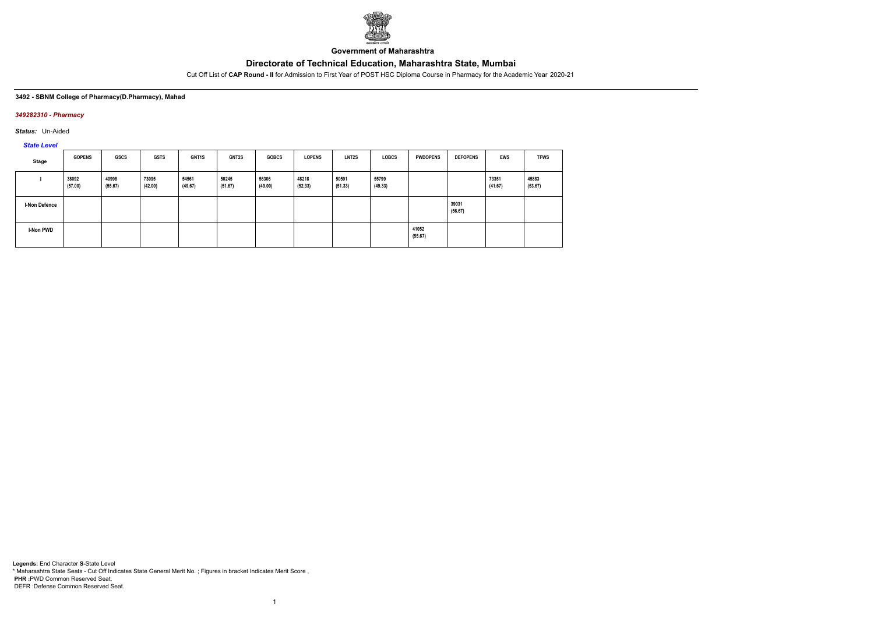

**Government of Maharashtra**

Cut Off List of **CAP Round - II** for Admission to First Year of POST HSC Diploma Course in Pharmacy for the Academic Year 2020-21

### **3492 - SBNM College of Pharmacy(D.Pharmacy), Mahad**

### *349282310 - Pharmacy*

*Status:* Un-Aided

*State Level*

| Stage                | <b>GOPENS</b>    | GSCS             | GSTS             | <b>GNT1S</b>     | <b>GNT2S</b>     | <b>GOBCS</b>     | <b>LOPENS</b>    | <b>LNT2S</b>     | <b>LOBCS</b>     | <b>PWDOPENS</b>  | <b>DEFOPENS</b>  | <b>EWS</b>       | <b>TFWS</b>      |
|----------------------|------------------|------------------|------------------|------------------|------------------|------------------|------------------|------------------|------------------|------------------|------------------|------------------|------------------|
|                      | 38092<br>(57.00) | 40998<br>(55.67) | 73095<br>(42.00) | 54561<br>(49.67) | 50245<br>(51.67) | 56306<br>(49.00) | 48218<br>(52.33) | 50591<br>(51.33) | 55799<br>(49.33) |                  |                  | 73351<br>(41.67) | 45883<br>(53.67) |
| <b>I-Non Defence</b> |                  |                  |                  |                  |                  |                  |                  |                  |                  |                  | 39031<br>(56.67) |                  |                  |
| I-Non PWD            |                  |                  |                  |                  |                  |                  |                  |                  |                  | 41052<br>(55.67) |                  |                  |                  |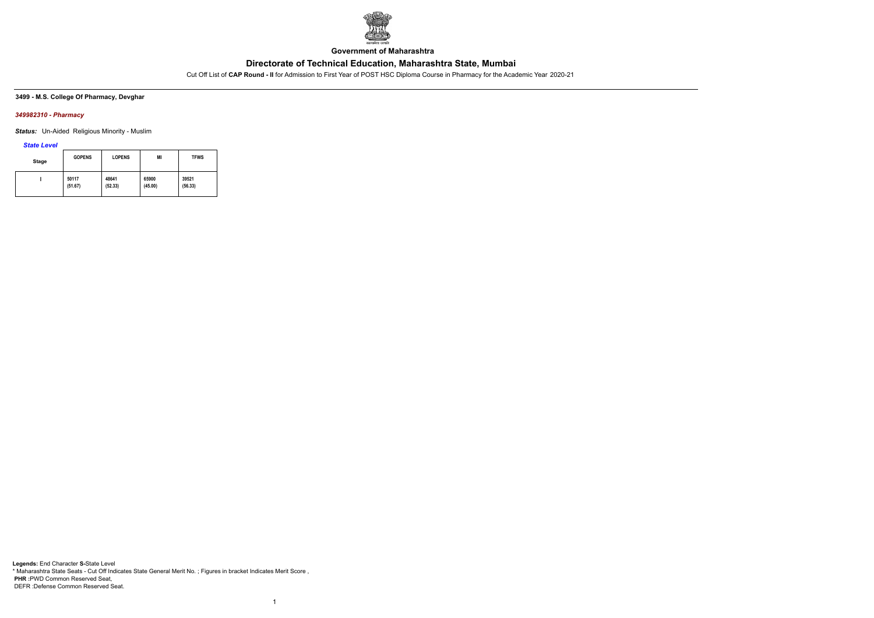

**Government of Maharashtra**

Cut Off List of **CAP Round - II** for Admission to First Year of POST HSC Diploma Course in Pharmacy for the Academic Year 2020-21

### **3499 - M.S. College Of Pharmacy, Devghar**

### *349982310 - Pharmacy*

*Status:* Un-Aided Religious Minority - Muslim

*State Level*

| Stage | <b>GOPENS</b> | <b>LOPENS</b> | MI      | <b>TFWS</b> |
|-------|---------------|---------------|---------|-------------|
|       | 50117         | 48641         | 65900   | 39521       |
|       | (51.67)       | (52.33)       | (45.00) | (56.33)     |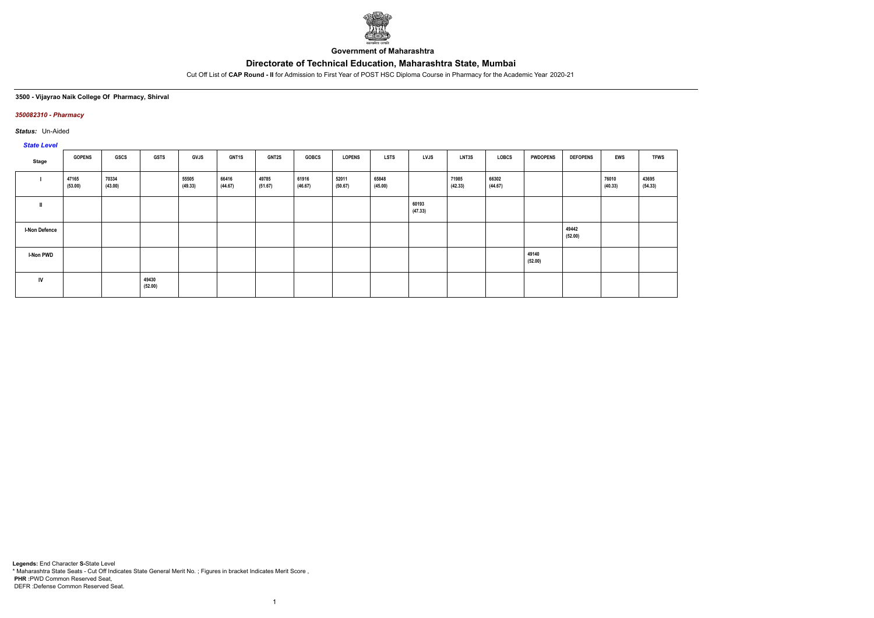

**Government of Maharashtra**

Cut Off List of **CAP Round - II** for Admission to First Year of POST HSC Diploma Course in Pharmacy for the Academic Year 2020-21

## **3500 - Vijayrao Naik College Of Pharmacy, Shirval**

### *350082310 - Pharmacy*

*Status:* Un-Aided

# *State Level*

| Stage                | <b>GOPENS</b>    | GSCS             | <b>GSTS</b>      | <b>GVJS</b>      | <b>GNT1S</b>     | <b>GNT2S</b>     | <b>GOBCS</b>     | <b>LOPENS</b>    | <b>LSTS</b>      | LVJS             | LNT3S            | LOBCS            | <b>PWDOPENS</b>  | <b>DEFOPENS</b>  | <b>EWS</b>       | <b>TFWS</b>      |
|----------------------|------------------|------------------|------------------|------------------|------------------|------------------|------------------|------------------|------------------|------------------|------------------|------------------|------------------|------------------|------------------|------------------|
|                      | 47165<br>(53.00) | 70334<br>(43.00) |                  | 55505<br>(49.33) | 66416<br>(44.67) | 49785<br>(51.67) | 61916<br>(46.67) | 52011<br>(50.67) | 65848<br>(45.00) |                  | 71985<br>(42.33) | 66302<br>(44.67) |                  |                  | 76010<br>(40.33) | 43695<br>(54.33) |
|                      |                  |                  |                  |                  |                  |                  |                  |                  |                  | 60193<br>(47.33) |                  |                  |                  |                  |                  |                  |
| <b>I-Non Defence</b> |                  |                  |                  |                  |                  |                  |                  |                  |                  |                  |                  |                  |                  | 49442<br>(52.00) |                  |                  |
| <b>I-Non PWD</b>     |                  |                  |                  |                  |                  |                  |                  |                  |                  |                  |                  |                  | 49140<br>(52.00) |                  |                  |                  |
| IV                   |                  |                  | 49430<br>(52.00) |                  |                  |                  |                  |                  |                  |                  |                  |                  |                  |                  |                  |                  |

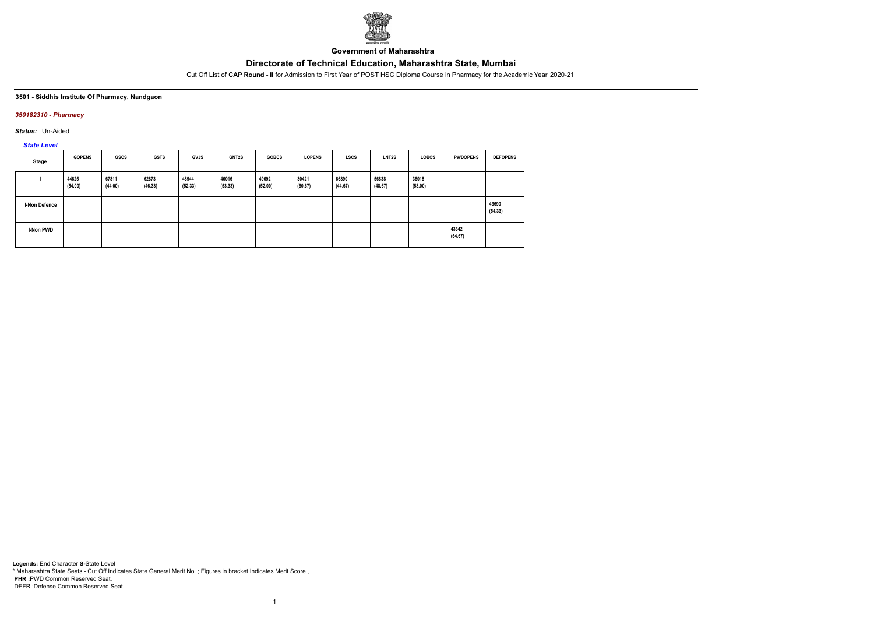

**Government of Maharashtra**

Cut Off List of **CAP Round - II** for Admission to First Year of POST HSC Diploma Course in Pharmacy for the Academic Year 2020-21

#### **3501 - Siddhis Institute Of Pharmacy, Nandgaon**

### *350182310 - Pharmacy*

*Status:* Un-Aided

*State Level*

| Stage         | <b>GOPENS</b>    | <b>GSCS</b>      | <b>GSTS</b>      | <b>GVJS</b>      | <b>GNT2S</b>     | <b>GOBCS</b>     | <b>LOPENS</b>    | <b>LSCS</b>      | LNT <sub>2</sub> S | <b>LOBCS</b>     | <b>PWDOPENS</b>  | <b>DEFOPENS</b>  |
|---------------|------------------|------------------|------------------|------------------|------------------|------------------|------------------|------------------|--------------------|------------------|------------------|------------------|
|               | 44625<br>(54.00) | 67811<br>(44.00) | 62873<br>(46.33) | 48944<br>(52.33) | 46016<br>(53.33) | 49692<br>(52.00) | 30421<br>(60.67) | 66890<br>(44.67) | 56838<br>(48.67)   | 36018<br>(58.00) |                  |                  |
| I-Non Defence |                  |                  |                  |                  |                  |                  |                  |                  |                    |                  |                  | 43690<br>(54.33) |
| I-Non PWD     |                  |                  |                  |                  |                  |                  |                  |                  |                    |                  | 43342<br>(54.67) |                  |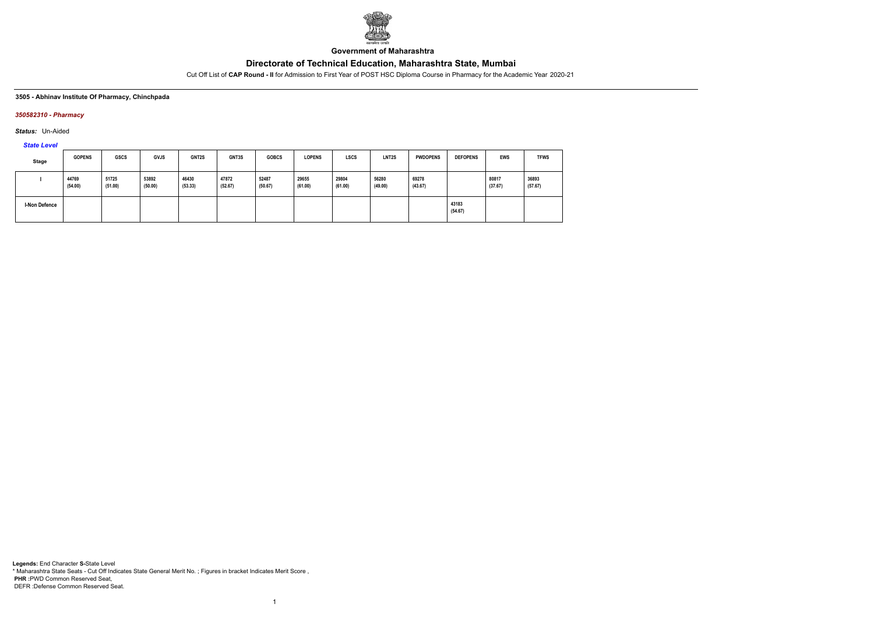

**Government of Maharashtra**

Cut Off List of **CAP Round - II** for Admission to First Year of POST HSC Diploma Course in Pharmacy for the Academic Year 2020-21

#### **3505 - Abhinav Institute Of Pharmacy, Chinchpada**

### *350582310 - Pharmacy*

*Status:* Un-Aided

*State Level*

| Stage                | <b>GOPENS</b>    | <b>GSCS</b>      | <b>GVJS</b>      | GNT2S            | GNT3S            | <b>GOBCS</b>     | <b>LOPENS</b>    | <b>LSCS</b>      | LNT <sub>2</sub> S | <b>PWDOPENS</b>  | <b>DEFOPENS</b>  | <b>EWS</b>       | <b>TFWS</b>      |
|----------------------|------------------|------------------|------------------|------------------|------------------|------------------|------------------|------------------|--------------------|------------------|------------------|------------------|------------------|
|                      | 44769<br>(54.00) | 51725<br>(51.00) | 53892<br>(50.00) | 46430<br>(53.33) | 47872<br>(52.67) | 52487<br>(50.67) | 29655<br>(61.00) | 29804<br>(61.00) | 56280<br>(49.00)   | 69278<br>(43.67) |                  | 80817<br>(37.67) | 36893<br>(57.67) |
| <b>I-Non Defence</b> |                  |                  |                  |                  |                  |                  |                  |                  |                    |                  | 43183<br>(54.67) |                  |                  |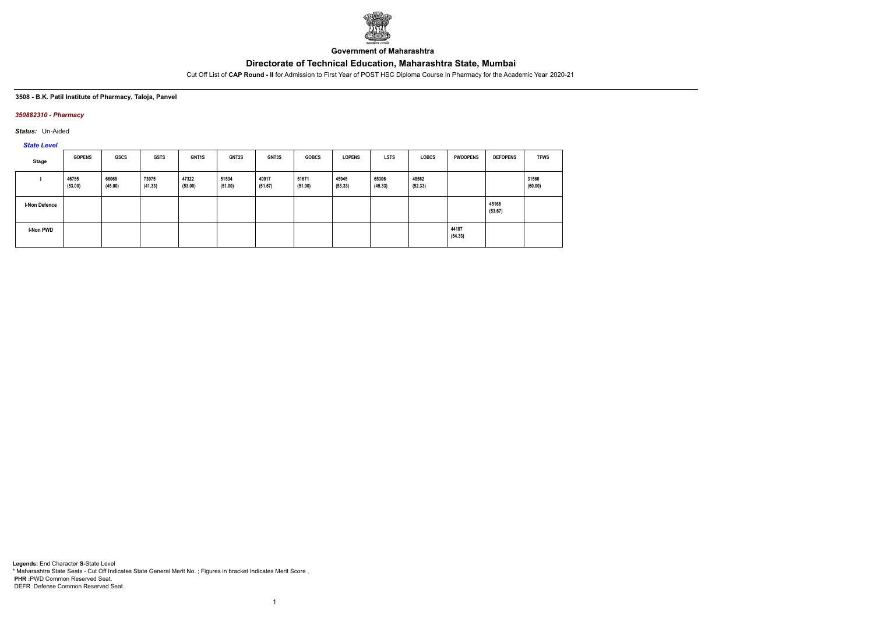

**Government of Maharashtra**

Cut Off List of **CAP Round - II** for Admission to First Year of POST HSC Diploma Course in Pharmacy for the Academic Year 2020-21

### **3508 - B.K. Patil Institute of Pharmacy, Taloja, Panvel**

### *350882310 - Pharmacy*

*Status:* Un-Aided

# *State Level*

| Stage                | <b>GOPENS</b>    | <b>GSCS</b>      | <b>GSTS</b>      | GNT <sub>1</sub> S | <b>GNT2S</b>     | <b>GNT3S</b>     | <b>GOBCS</b>     | <b>LOPENS</b>    | <b>LSTS</b>      | <b>LOBCS</b>     | <b>PWDOPENS</b>  | <b>DEFOPENS</b>  | <b>TFWS</b>      |
|----------------------|------------------|------------------|------------------|--------------------|------------------|------------------|------------------|------------------|------------------|------------------|------------------|------------------|------------------|
|                      | 46755<br>(53.00) | 66068<br>(45.00) | 73975<br>(41.33) | 47322<br>(53.00)   | 51534<br>(51.00) | 49917<br>(51.67) | 51671<br>(51.00) | 45945<br>(53.33) | 65306<br>(45.33) | 48562<br>(52.33) |                  |                  | 31560<br>(60.00) |
| <b>I-Non Defence</b> |                  |                  |                  |                    |                  |                  |                  |                  |                  |                  |                  | 45166<br>(53.67) |                  |
| I-Non PWD            |                  |                  |                  |                    |                  |                  |                  |                  |                  |                  | 44187<br>(54.33) |                  |                  |

1

**Legends:** End Character **S-**State Level \* Maharashtra State Seats - Cut Off Indicates State General Merit No. ; Figures in bracket Indicates Merit Score , **PHR :**PWD Common Reserved Seat, DEFR :Defense Common Reserved Seat.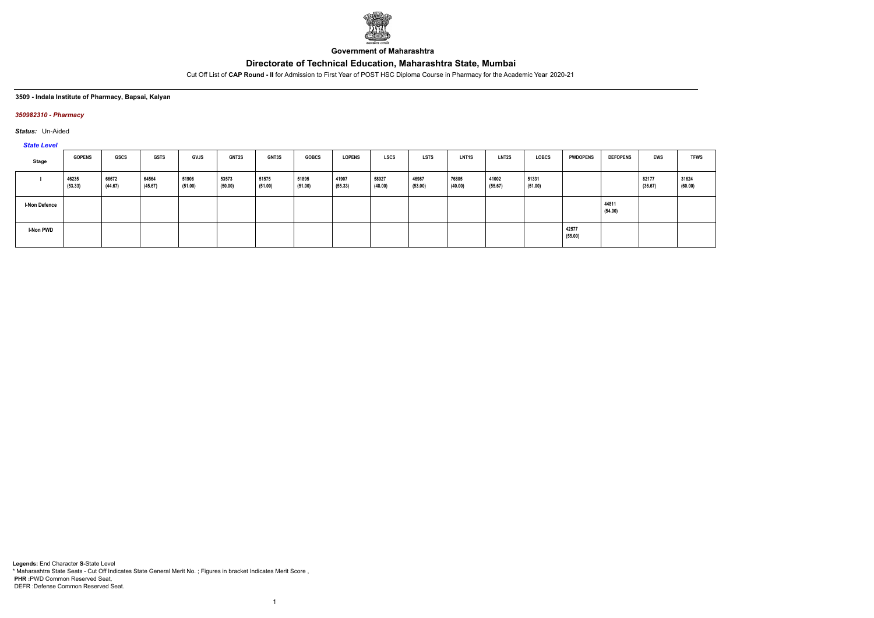

**Government of Maharashtra**

Cut Off List of **CAP Round - II** for Admission to First Year of POST HSC Diploma Course in Pharmacy for the Academic Year 2020-21

#### **3509 - Indala Institute of Pharmacy, Bapsai, Kalyan**

### *350982310 - Pharmacy*

*Status:* Un-Aided

## *State Level*

| $-$                  |                  |                  |                  |                  |                  |                  |                  |                  |                  |                  |                  |                  |                  |                  |                  |                  |                  |
|----------------------|------------------|------------------|------------------|------------------|------------------|------------------|------------------|------------------|------------------|------------------|------------------|------------------|------------------|------------------|------------------|------------------|------------------|
| Stage                | <b>GOPENS</b>    | <b>GSCS</b>      | <b>GSTS</b>      | <b>GVJS</b>      | <b>GNT2S</b>     | <b>GNT3S</b>     | <b>GOBCS</b>     | <b>LOPENS</b>    | <b>LSCS</b>      | <b>LSTS</b>      | <b>LNT1S</b>     | <b>LNT2S</b>     | <b>LOBCS</b>     | <b>PWDOPENS</b>  | <b>DEFOPENS</b>  | EWS              | <b>TFWS</b>      |
|                      | 46235<br>(53.33) | 66672<br>(44.67) | 64564<br>(45.67) | 51906<br>(51.00) | 53573<br>(50.00) | 51575<br>(51.00) | 51895<br>(51.00) | 41907<br>(55.33) | 58927<br>(48.00) | 46987<br>(53.00) | 76805<br>(40.00) | 41002<br>(55.67) | 51331<br>(51.00) |                  |                  | 82177<br>(36.67) | 31624<br>(60.00) |
| <b>I-Non Defence</b> |                  |                  |                  |                  |                  |                  |                  |                  |                  |                  |                  |                  |                  |                  | 44811<br>(54.00) |                  |                  |
| I-Non PWD            |                  |                  |                  |                  |                  |                  |                  |                  |                  |                  |                  |                  |                  | 42577<br>(55.00) |                  |                  |                  |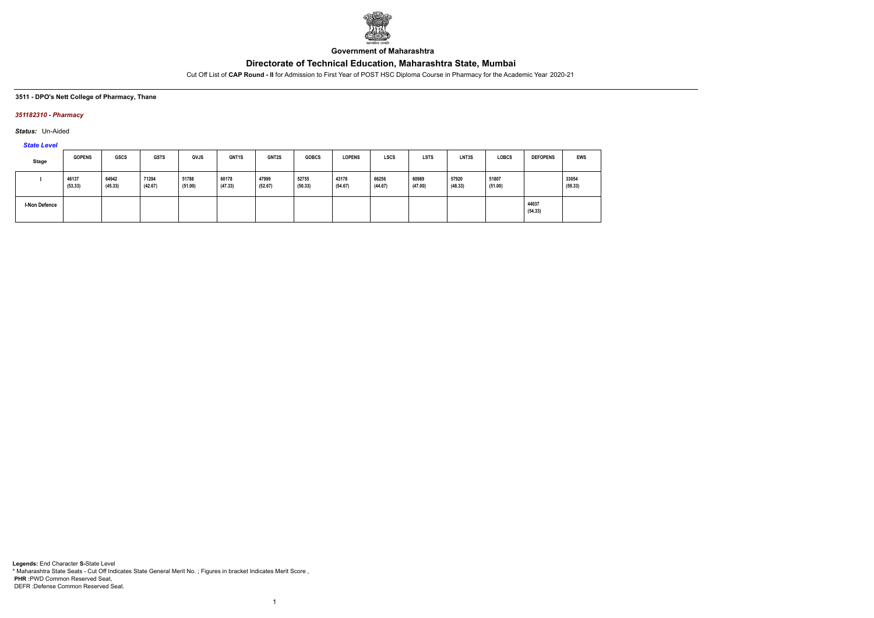

**Government of Maharashtra**

Cut Off List of **CAP Round - II** for Admission to First Year of POST HSC Diploma Course in Pharmacy for the Academic Year 2020-21

**3511 - DPO's Nett College of Pharmacy, Thane**

### *351182310 - Pharmacy*

*Status:* Un-Aided

*State Level*

| Stage                | <b>GOPENS</b>    | <b>GSCS</b>      | <b>GSTS</b>      | <b>GVJS</b>      | <b>GNT1S</b>     | GNT2S            | <b>GOBCS</b>     | <b>LOPENS</b>    | <b>LSCS</b>      | <b>LSTS</b>      | LNT3S            | <b>LOBCS</b>     | <b>DEFOPENS</b>  | <b>EWS</b>       |
|----------------------|------------------|------------------|------------------|------------------|------------------|------------------|------------------|------------------|------------------|------------------|------------------|------------------|------------------|------------------|
|                      | 46137<br>(53.33) | 64942<br>(45.33) | 71294<br>(42.67) | 51788<br>(51.00) | 60178<br>(47.33) | 47999<br>(52.67) | 52755<br>(50.33) | 43178<br>(54.67) | 66256<br>(44.67) | 60989<br>(47.00) | 57920<br>(48.33) | 51807<br>(51.00) |                  | 33054<br>(59.33) |
| <b>I-Non Defence</b> |                  |                  |                  |                  |                  |                  |                  |                  |                  |                  |                  |                  | 44037<br>(54.33) |                  |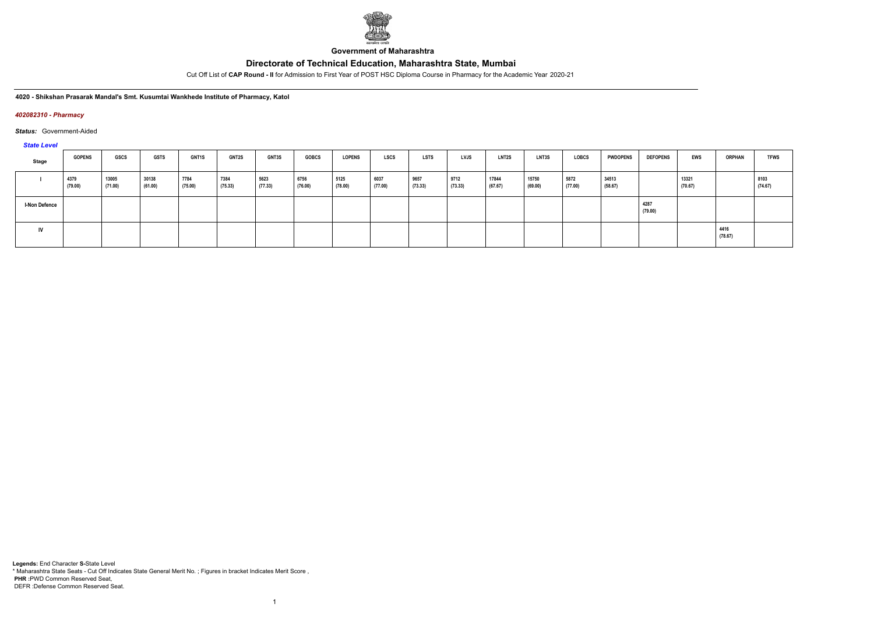

**Government of Maharashtra**

Cut Off List of **CAP Round - II** for Admission to First Year of POST HSC Diploma Course in Pharmacy for the Academic Year 2020-21

**4020 - Shikshan Prasarak Mandal's Smt. Kusumtai Wankhede Institute of Pharmacy, Katol**

### *402082310 - Pharmacy*

*Status:* Government-Aided

*State Level*

| Stage                | <b>GOPENS</b>   | GSCS             | <b>GSTS</b>      | <b>GNT1S</b>    | <b>GNT2S</b>    | <b>GNT3S</b>    | <b>GOBCS</b>    | <b>LOPENS</b>   | <b>LSCS</b>     | <b>LSTS</b>     | LVJS            | <b>LNT2S</b>     | <b>LNT3S</b>     | <b>LOBCS</b>    | <b>PWDOPENS</b>  | <b>DEFOPENS</b> | EWS              | <b>ORPHAN</b>   | <b>TFWS</b>     |
|----------------------|-----------------|------------------|------------------|-----------------|-----------------|-----------------|-----------------|-----------------|-----------------|-----------------|-----------------|------------------|------------------|-----------------|------------------|-----------------|------------------|-----------------|-----------------|
|                      | 4379<br>(79.00) | 13005<br>(71.00) | 30138<br>(61.00) | 7784<br>(75.00) | 7384<br>(75.33) | 5623<br>(77.33) | 6756<br>(76.00) | 5125<br>(78.00) | 6037<br>(77.00) | 9657<br>(73.33) | 9712<br>(73.33) | 17844<br>(67.67) | 15750<br>(69.00) | 5872<br>(77.00) | 34513<br>(58.67) |                 | 13321<br>(70.67) |                 | 8103<br>(74.67) |
| <b>I-Non Defence</b> |                 |                  |                  |                 |                 |                 |                 |                 |                 |                 |                 |                  |                  |                 |                  | 4287<br>(79.00) |                  |                 |                 |
| IV                   |                 |                  |                  |                 |                 |                 |                 |                 |                 |                 |                 |                  |                  |                 |                  |                 |                  | 4416<br>(78.67) |                 |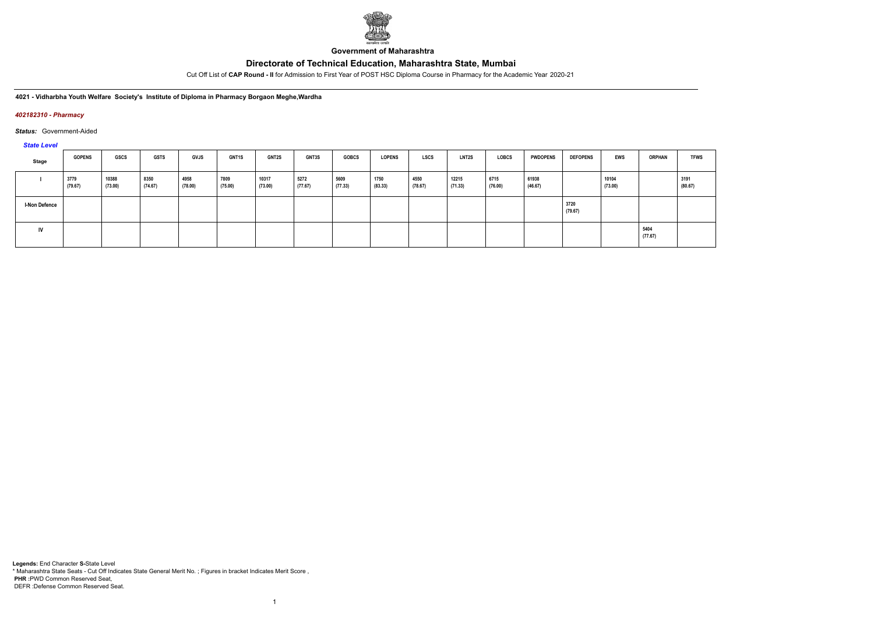

**Government of Maharashtra**

Cut Off List of **CAP Round - II** for Admission to First Year of POST HSC Diploma Course in Pharmacy for the Academic Year 2020-21

**4021 - Vidharbha Youth Welfare Society's Institute of Diploma in Pharmacy Borgaon Meghe,Wardha**

### *402182310 - Pharmacy*

### *Status:* Government-Aided

*State Level*

| Stage                | <b>GOPENS</b>   | GSCS             | <b>GSTS</b>     | <b>GVJS</b>     | <b>GNT1S</b>    | <b>GNT2S</b>     | <b>GNT3S</b>    | <b>GOBCS</b>    | <b>LOPENS</b>   | <b>LSCS</b>     | <b>LNT2S</b>     | <b>LOBCS</b>    | <b>PWDOPENS</b>  | <b>DEFOPENS</b> | <b>EWS</b>       | <b>ORPHAN</b>   | <b>TFWS</b>     |
|----------------------|-----------------|------------------|-----------------|-----------------|-----------------|------------------|-----------------|-----------------|-----------------|-----------------|------------------|-----------------|------------------|-----------------|------------------|-----------------|-----------------|
|                      | 3779<br>(79.67) | 10388<br>(73.00) | 8350<br>(74.67) | 4958<br>(78.00) | 7809<br>(75.00) | 10317<br>(73.00) | 5272<br>(77.67) | 5609<br>(77.33) | 1750<br>(83.33) | 4550<br>(78.67) | 12215<br>(71.33) | 6715<br>(76.00) | 61938<br>(46.67) |                 | 10104<br>(73.00) |                 | 3191<br>(80.67) |
| <b>I-Non Defence</b> |                 |                  |                 |                 |                 |                  |                 |                 |                 |                 |                  |                 |                  | 3720<br>(79.67) |                  |                 |                 |
| IV                   |                 |                  |                 |                 |                 |                  |                 |                 |                 |                 |                  |                 |                  |                 |                  | 5404<br>(77.67) |                 |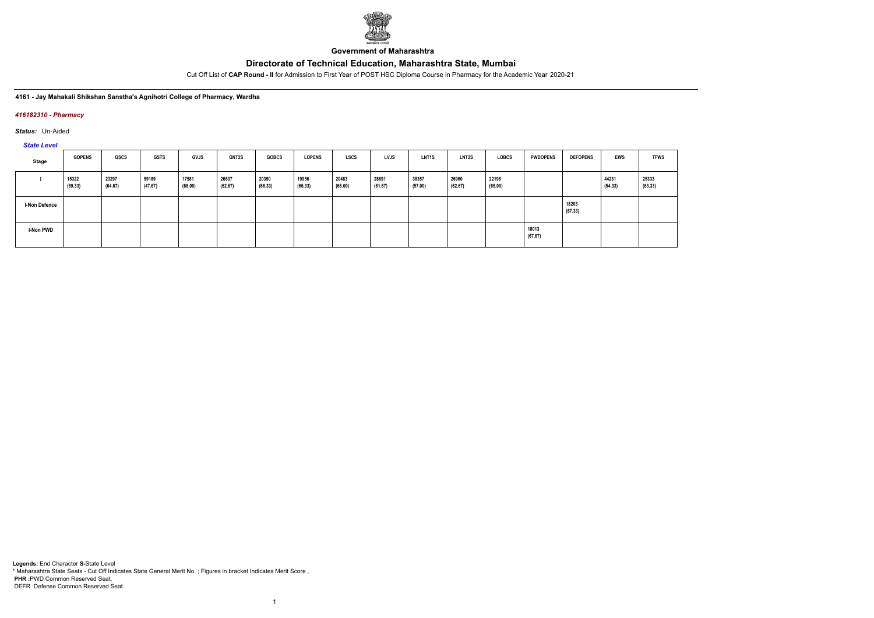

**Government of Maharashtra**

Cut Off List of **CAP Round - II** for Admission to First Year of POST HSC Diploma Course in Pharmacy for the Academic Year 2020-21

### **4161 - Jay Mahakali Shikshan Sanstha's Agnihotri College of Pharmacy, Wardha**

### *416182310 - Pharmacy*

*Status:* Un-Aided

*State Level*

| Stage                | <b>GOPENS</b>    | GSCS             | <b>GSTS</b>      | <b>GVJS</b>      | <b>GNT2S</b>     | <b>GOBCS</b>     | <b>LOPENS</b>    | <b>LSCS</b>      | LVJS             | LNT <sub>1</sub> S | <b>LNT2S</b>     | <b>LOBCS</b>     | <b>PWDOPENS</b>  | <b>DEFOPENS</b>  | <b>EWS</b>       | <b>TFWS</b>      |
|----------------------|------------------|------------------|------------------|------------------|------------------|------------------|------------------|------------------|------------------|--------------------|------------------|------------------|------------------|------------------|------------------|------------------|
|                      | 15322<br>(69.33) | 23297<br>(64.67) | 59189<br>(47.67) | 17581<br>(68.00) | 26637<br>(62.67) | 20350<br>(66.33) | 19956<br>(66.33) | 20483<br>(66.00) | 28691<br>(61.67) | 38357<br>(57.00)   | 26960<br>(62.67) | 22198<br>(65.00) |                  |                  | 44231<br>(54.33) | 25333<br>(63.33) |
| <b>I-Non Defence</b> |                  |                  |                  |                  |                  |                  |                  |                  |                  |                    |                  |                  |                  | 18203<br>(67.33) |                  |                  |
| <b>I-Non PWD</b>     |                  |                  |                  |                  |                  |                  |                  |                  |                  |                    |                  |                  | 18013<br>(67.67) |                  |                  |                  |

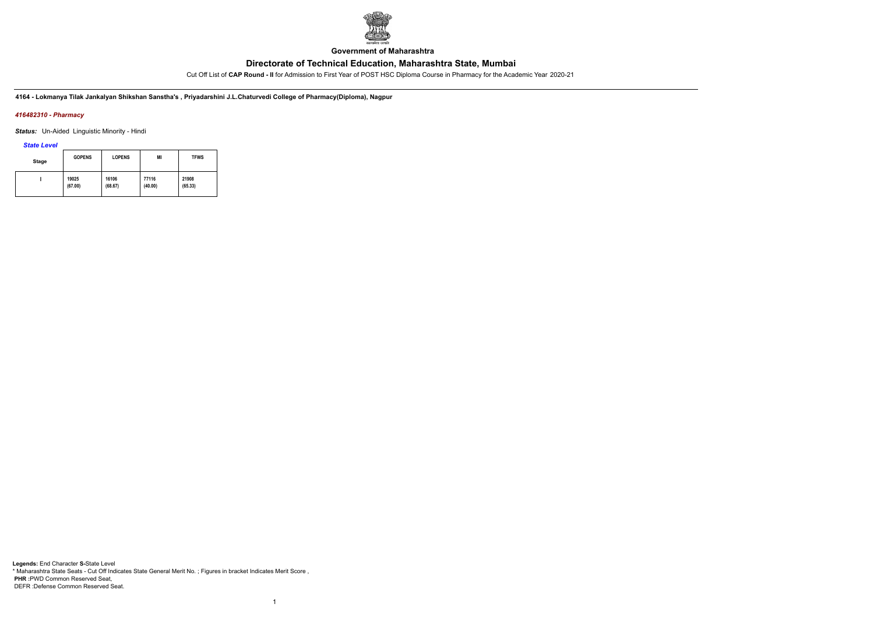

**Government of Maharashtra**

Cut Off List of **CAP Round - II** for Admission to First Year of POST HSC Diploma Course in Pharmacy for the Academic Year 2020-21

**4164 - Lokmanya Tilak Jankalyan Shikshan Sanstha's , Priyadarshini J.L.Chaturvedi College of Pharmacy(Diploma), Nagpur**

### *416482310 - Pharmacy*

*Status:* Un-Aided Linguistic Minority - Hindi

*State Level*

| <b>Stage</b> | <b>GOPENS</b> | <b>LOPENS</b> | MI      | <b>TFWS</b> |
|--------------|---------------|---------------|---------|-------------|
|              | 19025         | 16106         | 77116   | 21908       |
|              | (67.00)       | (68.67)       | (40.00) | (65.33)     |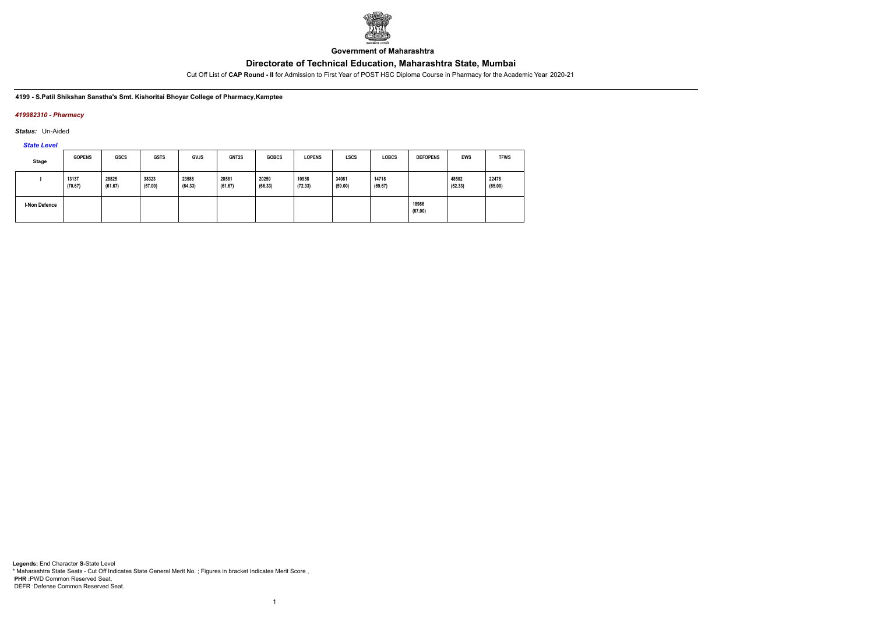

**Government of Maharashtra**

Cut Off List of **CAP Round - II** for Admission to First Year of POST HSC Diploma Course in Pharmacy for the Academic Year 2020-21

**4199 - S.Patil Shikshan Sanstha's Smt. Kishoritai Bhoyar College of Pharmacy,Kamptee**

### *419982310 - Pharmacy*

*Status:* Un-Aided

*State Level*

| <b>Stage</b>  | <b>GOPENS</b>    | <b>GSCS</b>      | <b>GSTS</b>      | <b>GVJS</b>      | GNT2S            | <b>GOBCS</b>     | <b>LOPENS</b>    | <b>LSCS</b>      | <b>LOBCS</b>     | <b>DEFOPENS</b>  | <b>EWS</b>       | <b>TFWS</b>      |
|---------------|------------------|------------------|------------------|------------------|------------------|------------------|------------------|------------------|------------------|------------------|------------------|------------------|
|               | 13137<br>(70.67) | 28825<br>(61.67) | 38323<br>(57.00) | 23588<br>(64.33) | 28581<br>(61.67) | 20259<br>(66.33) | 10958<br>(72.33) | 34081<br>(59.00) | 14718<br>(69.67) |                  | 48502<br>(52.33) | 22478<br>(65.00) |
| I-Non Defence |                  |                  |                  |                  |                  |                  |                  |                  |                  | 18986<br>(67.00) |                  |                  |

1

**Legends:** End Character **S-**State Level \* Maharashtra State Seats - Cut Off Indicates State General Merit No. ; Figures in bracket Indicates Merit Score , **PHR :**PWD Common Reserved Seat, DEFR :Defense Common Reserved Seat.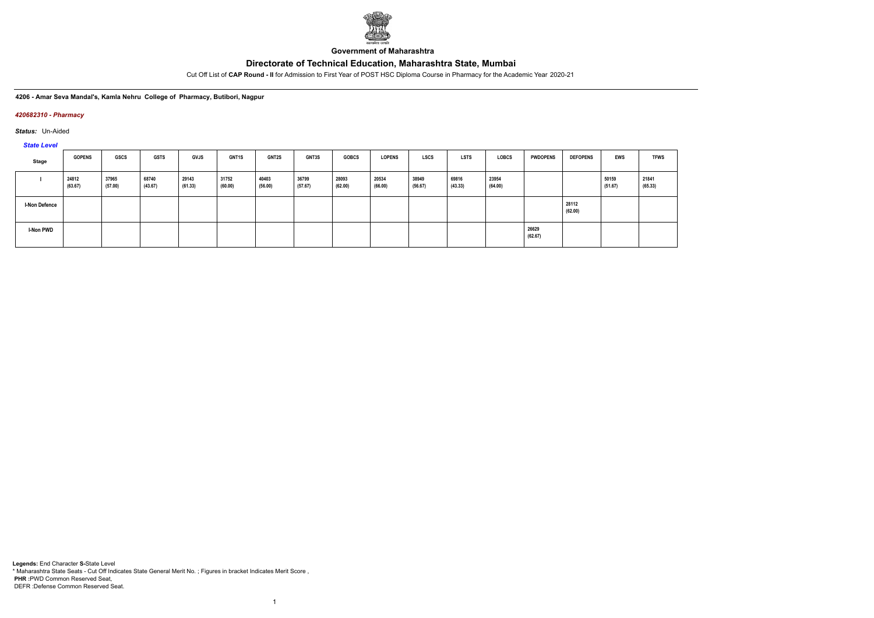

**Government of Maharashtra**

Cut Off List of **CAP Round - II** for Admission to First Year of POST HSC Diploma Course in Pharmacy for the Academic Year 2020-21

**4206 - Amar Seva Mandal's, Kamla Nehru College of Pharmacy, Butibori, Nagpur**

### *420682310 - Pharmacy*

*Status:* Un-Aided

*State Level*

| Stage                | <b>GOPENS</b>    | GSCS             | <b>GSTS</b>      | <b>GVJS</b>      | <b>GNT1S</b>     | <b>GNT2S</b>     | <b>GNT3S</b>     | <b>GOBCS</b>     | <b>LOPENS</b>    | LSCS             | <b>LSTS</b>      | LOBCS            | <b>PWDOPENS</b>  | <b>DEFOPENS</b>  | <b>EWS</b>       | <b>TFWS</b>      |
|----------------------|------------------|------------------|------------------|------------------|------------------|------------------|------------------|------------------|------------------|------------------|------------------|------------------|------------------|------------------|------------------|------------------|
|                      | 24812<br>(63.67) | 37965<br>(57.00) | 68740<br>(43.67) | 29143<br>(61.33) | 31752<br>(60.00) | 40403<br>(56.00) | 36799<br>(57.67) | 28093<br>(62.00) | 20534<br>(66.00) | 38949<br>(56.67) | 69816<br>(43.33) | 23954<br>(64.00) |                  |                  | 50159<br>(51.67) | 21841<br>(65.33) |
| <b>I-Non Defence</b> |                  |                  |                  |                  |                  |                  |                  |                  |                  |                  |                  |                  |                  | 28112<br>(62.00) |                  |                  |
| <b>I-Non PWD</b>     |                  |                  |                  |                  |                  |                  |                  |                  |                  |                  |                  |                  | 26629<br>(62.67) |                  |                  |                  |

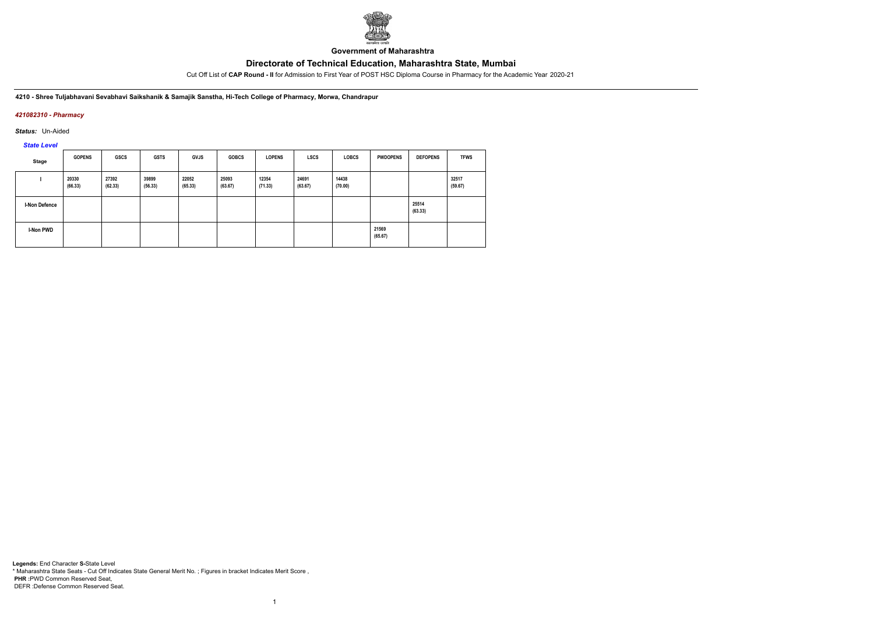

**Government of Maharashtra**

Cut Off List of **CAP Round - II** for Admission to First Year of POST HSC Diploma Course in Pharmacy for the Academic Year 2020-21

**4210 - Shree Tuljabhavani Sevabhavi Saikshanik & Samajik Sanstha, Hi-Tech College of Pharmacy, Morwa, Chandrapur**

### *421082310 - Pharmacy*

*Status:* Un-Aided

*State Level*

|               | <b>GOPENS</b>    | <b>GSCS</b>      | <b>GSTS</b>      | <b>GVJS</b>      | <b>GOBCS</b>     | <b>LOPENS</b>    | <b>LSCS</b>      | <b>LOBCS</b>     | <b>PWDOPENS</b>  | <b>DEFOPENS</b>  | <b>TFWS</b>      |
|---------------|------------------|------------------|------------------|------------------|------------------|------------------|------------------|------------------|------------------|------------------|------------------|
| Stage         |                  |                  |                  |                  |                  |                  |                  |                  |                  |                  |                  |
|               | 20330<br>(66.33) | 27392<br>(62.33) | 39899<br>(56.33) | 22052<br>(65.33) | 25093<br>(63.67) | 12354<br>(71.33) | 24691<br>(63.67) | 14438<br>(70.00) |                  |                  | 32517<br>(59.67) |
| I-Non Defence |                  |                  |                  |                  |                  |                  |                  |                  |                  | 25514<br>(63.33) |                  |
| I-Non PWD     |                  |                  |                  |                  |                  |                  |                  |                  | 21569<br>(65.67) |                  |                  |

1

**Legends:** End Character **S-**State Level \* Maharashtra State Seats - Cut Off Indicates State General Merit No. ; Figures in bracket Indicates Merit Score , **PHR :**PWD Common Reserved Seat, DEFR :Defense Common Reserved Seat.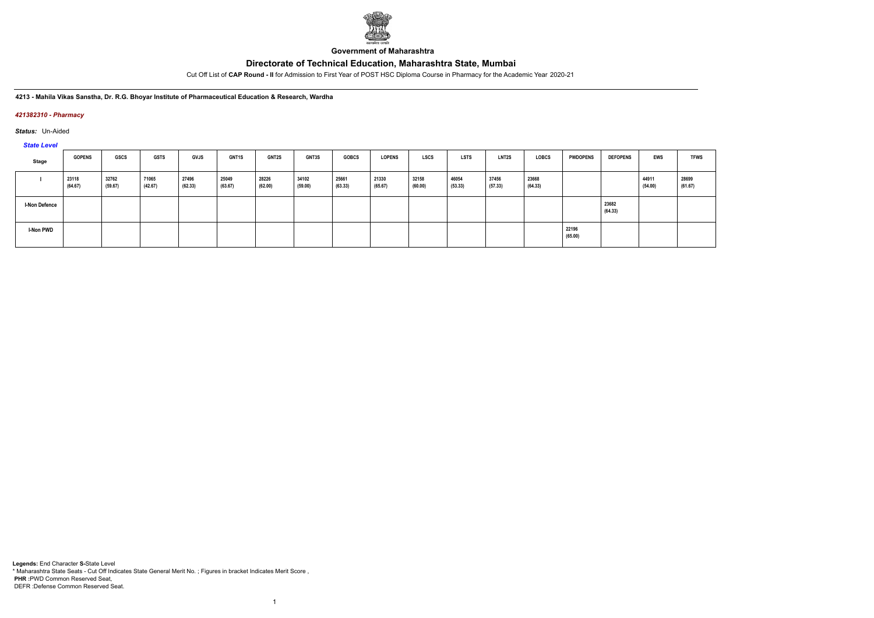

**Government of Maharashtra**

Cut Off List of **CAP Round - II** for Admission to First Year of POST HSC Diploma Course in Pharmacy for the Academic Year 2020-21

#### **4213 - Mahila Vikas Sanstha, Dr. R.G. Bhoyar Institute of Pharmaceutical Education & Research, Wardha**

### *421382310 - Pharmacy*

*Status:* Un-Aided

### *State Level*

| $-$                  |                  |                  |                  |                  |                  |                  |                  |                  |                  |                  |                  |                    |                  |                  |                  |                  |                  |
|----------------------|------------------|------------------|------------------|------------------|------------------|------------------|------------------|------------------|------------------|------------------|------------------|--------------------|------------------|------------------|------------------|------------------|------------------|
| Stage                | <b>GOPENS</b>    | <b>GSCS</b>      | <b>GSTS</b>      | <b>GVJS</b>      | <b>GNT1S</b>     | GNT2S            | <b>GNT3S</b>     | <b>GOBCS</b>     | <b>LOPENS</b>    | <b>LSCS</b>      | <b>LSTS</b>      | LNT <sub>2</sub> S | <b>LOBCS</b>     | <b>PWDOPENS</b>  | <b>DEFOPENS</b>  | EWS              | <b>TFWS</b>      |
|                      | 23118<br>(64.67) | 32762<br>(59.67) | 71065<br>(42.67) | 27496<br>(62.33) | 25049<br>(63.67) | 28226<br>(62.00) | 34102<br>(59.00) | 25661<br>(63.33) | 21330<br>(65.67) | 32158<br>(60.00) | 46054<br>(53.33) | 37456<br>(57.33)   | 23668<br>(64.33) |                  |                  | 44911<br>(54.00) | 28699<br>(61.67) |
| <b>I-Non Defence</b> |                  |                  |                  |                  |                  |                  |                  |                  |                  |                  |                  |                    |                  |                  | 23682<br>(64.33) |                  |                  |
| <b>I-Non PWD</b>     |                  |                  |                  |                  |                  |                  |                  |                  |                  |                  |                  |                    |                  | 22196<br>(65.00) |                  |                  |                  |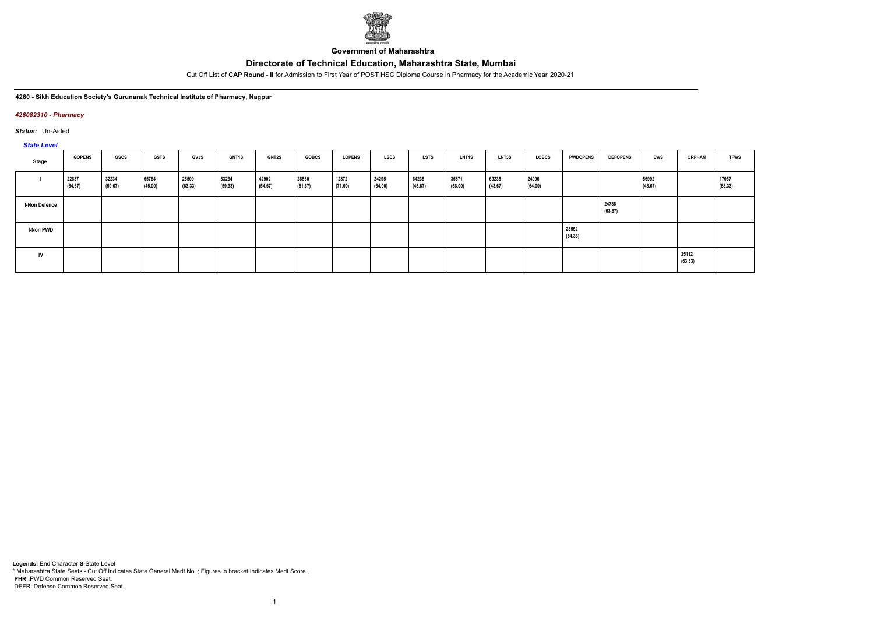

**Government of Maharashtra**

Cut Off List of **CAP Round - II** for Admission to First Year of POST HSC Diploma Course in Pharmacy for the Academic Year 2020-21

**4260 - Sikh Education Society's Gurunanak Technical Institute of Pharmacy, Nagpur**

### *426082310 - Pharmacy*

*Status:* Un-Aided

*State Level*

| Stage                | <b>GOPENS</b>    | <b>GSCS</b>      | <b>GSTS</b>      | <b>GVJS</b>      | <b>GNT1S</b>     | <b>GNT2S</b>     | <b>GOBCS</b>     | <b>LOPENS</b>    | <b>LSCS</b>      | <b>LSTS</b>      | <b>LNT1S</b>     | <b>LNT3S</b>     | <b>LOBCS</b>     | <b>PWDOPENS</b>  | <b>DEFOPENS</b>  | EWS              | <b>ORPHAN</b>    | <b>TFWS</b>      |
|----------------------|------------------|------------------|------------------|------------------|------------------|------------------|------------------|------------------|------------------|------------------|------------------|------------------|------------------|------------------|------------------|------------------|------------------|------------------|
|                      | 22837<br>(64.67) | 32234<br>(59.67) | 65764<br>(45.00) | 25509<br>(63.33) | 33234<br>(59.33) | 42902<br>(54.67) | 28560<br>(61.67) | 12872<br>(71.00) | 24295<br>(64.00) | 64235<br>(45.67) | 35871<br>(58.00) | 69235<br>(43.67) | 24096<br>(64.00) |                  |                  | 56992<br>(48.67) |                  | 17057<br>(68.33) |
| <b>I-Non Defence</b> |                  |                  |                  |                  |                  |                  |                  |                  |                  |                  |                  |                  |                  |                  | 24788<br>(63.67) |                  |                  |                  |
| <b>I-Non PWD</b>     |                  |                  |                  |                  |                  |                  |                  |                  |                  |                  |                  |                  |                  | 23552<br>(64.33) |                  |                  |                  |                  |
| IV                   |                  |                  |                  |                  |                  |                  |                  |                  |                  |                  |                  |                  |                  |                  |                  |                  | 25112<br>(63.33) |                  |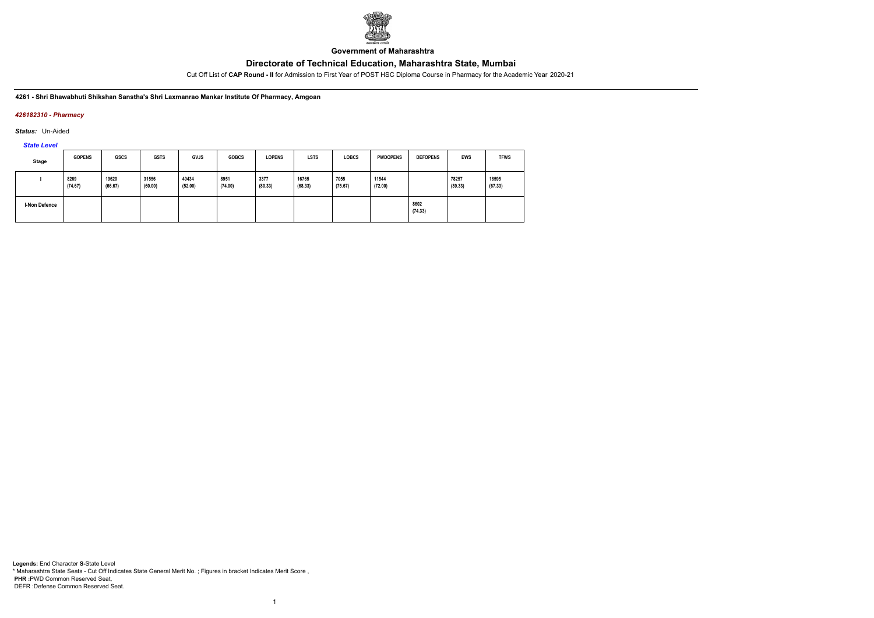

**Government of Maharashtra**

Cut Off List of **CAP Round - II** for Admission to First Year of POST HSC Diploma Course in Pharmacy for the Academic Year 2020-21

**4261 - Shri Bhawabhuti Shikshan Sanstha's Shri Laxmanrao Mankar Institute Of Pharmacy, Amgoan**

### *426182310 - Pharmacy*

*Status:* Un-Aided

*State Level*

| <b>Stage</b>  | <b>GOPENS</b>   | <b>GSCS</b>      | <b>GSTS</b>      | <b>GVJS</b>      | <b>GOBCS</b>    | <b>LOPENS</b>   | <b>LSTS</b>      | <b>LOBCS</b>    | <b>PWDOPENS</b>  | <b>DEFOPENS</b> | <b>EWS</b>       | <b>TFWS</b>      |
|---------------|-----------------|------------------|------------------|------------------|-----------------|-----------------|------------------|-----------------|------------------|-----------------|------------------|------------------|
|               | 8269<br>(74.67) | 19620<br>(66.67) | 31556<br>(60.00) | 49434<br>(52.00) | 8951<br>(74.00) | 3377<br>(80.33) | 16765<br>(68.33) | 7055<br>(75.67) | 11544<br>(72.00) |                 | 78257<br>(39.33) | 18595<br>(67.33) |
| I-Non Defence |                 |                  |                  |                  |                 |                 |                  |                 |                  | 8602<br>(74.33) |                  |                  |

1

**Legends:** End Character **S-**State Level \* Maharashtra State Seats - Cut Off Indicates State General Merit No. ; Figures in bracket Indicates Merit Score , **PHR :**PWD Common Reserved Seat, DEFR :Defense Common Reserved Seat.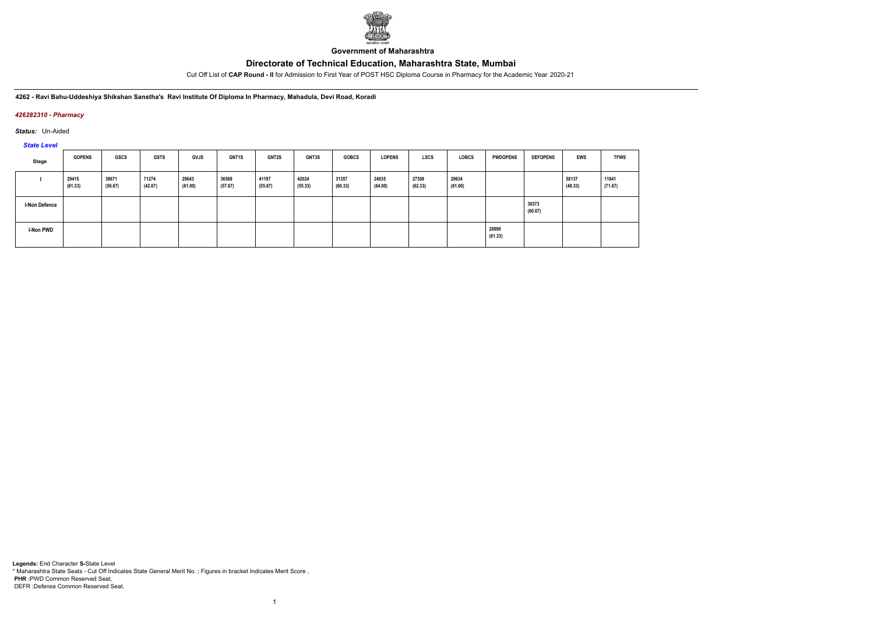

**Government of Maharashtra**

Cut Off List of **CAP Round - II** for Admission to First Year of POST HSC Diploma Course in Pharmacy for the Academic Year 2020-21

**4262 - Ravi Bahu-Uddeshiya Shikshan Sanstha's Ravi Institute Of Diploma In Pharmacy, Mahadula, Devi Road, Koradi**

### *426282310 - Pharmacy*

*Status:* Un-Aided

*State Level*

| Stage                | <b>GOPENS</b>    | <b>GSCS</b>      | <b>GSTS</b>      | <b>GVJS</b>      | <b>GNT1S</b>     | <b>GNT2S</b>     | <b>GNT3S</b>     | <b>GOBCS</b>     | <b>LOPENS</b>    | <b>LSCS</b>      | <b>LOBCS</b>     | <b>PWDOPENS</b>  | <b>DEFOPENS</b>  | EWS              | <b>TFWS</b>      |
|----------------------|------------------|------------------|------------------|------------------|------------------|------------------|------------------|------------------|------------------|------------------|------------------|------------------|------------------|------------------|------------------|
|                      | 29415<br>(61.33) | 38671<br>(56.67) | 71274<br>(42.67) | 29643<br>(61.00) | 36568<br>(57.67) | 41187<br>(55.67) | 42024<br>(55.33) | 31357<br>(60.33) | 24035<br>(64.00) | 27308<br>(62.33) | 29634<br>(61.00) |                  |                  | 58137<br>(48.33) | 11841<br>(71.67) |
| <b>I-Non Defence</b> |                  |                  |                  |                  |                  |                  |                  |                  |                  |                  |                  |                  | 30373<br>(60.67) |                  |                  |
| <b>I-Non PWD</b>     |                  |                  |                  |                  |                  |                  |                  |                  |                  |                  |                  | 28990<br>(61.33) |                  |                  |                  |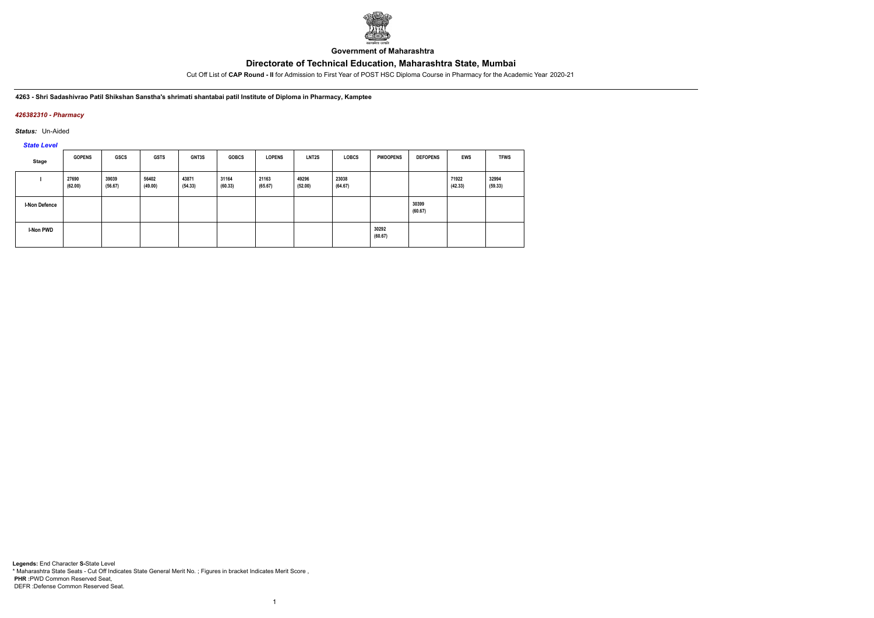

**Government of Maharashtra**

Cut Off List of **CAP Round - II** for Admission to First Year of POST HSC Diploma Course in Pharmacy for the Academic Year 2020-21

**4263 - Shri Sadashivrao Patil Shikshan Sanstha's shrimati shantabai patil Institute of Diploma in Pharmacy, Kamptee**

### *426382310 - Pharmacy*

*Status:* Un-Aided

*State Level*

| Stage                | <b>GOPENS</b>    | <b>GSCS</b>      | <b>GSTS</b>      | GNT3S            | <b>GOBCS</b>     | <b>LOPENS</b>    | <b>LNT2S</b>     | <b>LOBCS</b>     | <b>PWDOPENS</b>  | <b>DEFOPENS</b>  | EWS              | <b>TFWS</b>      |
|----------------------|------------------|------------------|------------------|------------------|------------------|------------------|------------------|------------------|------------------|------------------|------------------|------------------|
|                      | 27690<br>(62.00) | 39039<br>(56.67) | 56402<br>(49.00) | 43871<br>(54.33) | 31164<br>(60.33) | 21163<br>(65.67) | 49296<br>(52.00) | 23038<br>(64.67) |                  |                  | 71922<br>(42.33) | 32994<br>(59.33) |
| <b>I-Non Defence</b> |                  |                  |                  |                  |                  |                  |                  |                  |                  | 30399<br>(60.67) |                  |                  |
| I-Non PWD            |                  |                  |                  |                  |                  |                  |                  |                  | 30292<br>(60.67) |                  |                  |                  |

1

**Legends:** End Character **S-**State Level \* Maharashtra State Seats - Cut Off Indicates State General Merit No. ; Figures in bracket Indicates Merit Score , **PHR :**PWD Common Reserved Seat, DEFR :Defense Common Reserved Seat.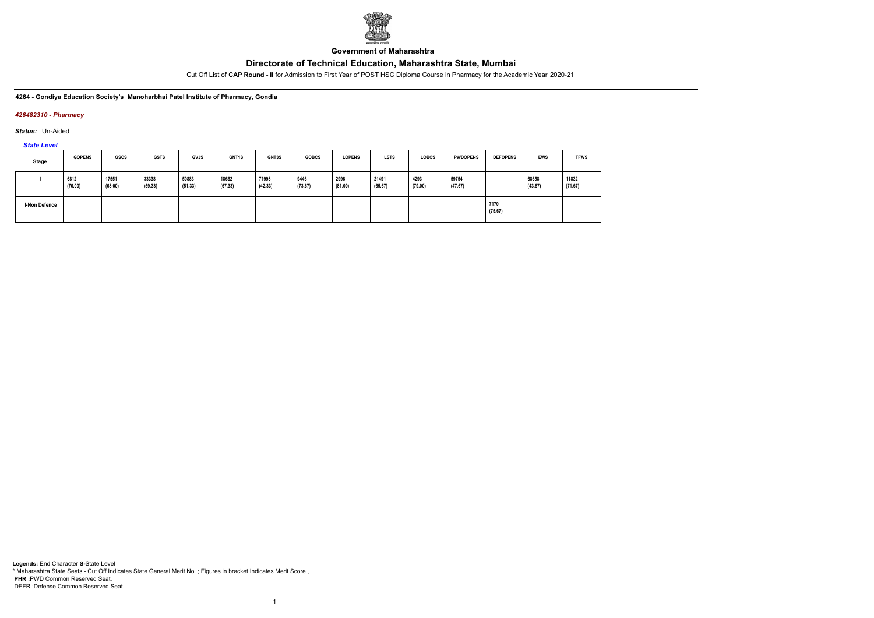

**Government of Maharashtra**

Cut Off List of **CAP Round - II** for Admission to First Year of POST HSC Diploma Course in Pharmacy for the Academic Year 2020-21

**4264 - Gondiya Education Society's Manoharbhai Patel Institute of Pharmacy, Gondia**

### *426482310 - Pharmacy*

*Status:* Un-Aided

*State Level*

| Stage                | <b>GOPENS</b>   | <b>GSCS</b>      | <b>GSTS</b>      | <b>GVJS</b>      | GNT1S            | GNT3S            | <b>GOBCS</b>    | <b>LOPENS</b>   | <b>LSTS</b>      | LOBCS           | <b>PWDOPENS</b>  | <b>DEFOPENS</b> | EWS              | <b>TFWS</b>      |
|----------------------|-----------------|------------------|------------------|------------------|------------------|------------------|-----------------|-----------------|------------------|-----------------|------------------|-----------------|------------------|------------------|
|                      | 6812<br>(76.00) | 17551<br>(68.00) | 33338<br>(59.33) | 50883<br>(51.33) | 18662<br>(67.33) | 71998<br>(42.33) | 9446<br>(73.67) | 2996<br>(81.00) | 21491<br>(65.67) | 4293<br>(79.00) | 59754<br>(47.67) |                 | 68658<br>(43.67) | 11832<br>(71.67) |
| <b>I-Non Defence</b> |                 |                  |                  |                  |                  |                  |                 |                 |                  |                 |                  | 7170<br>(75.67) |                  |                  |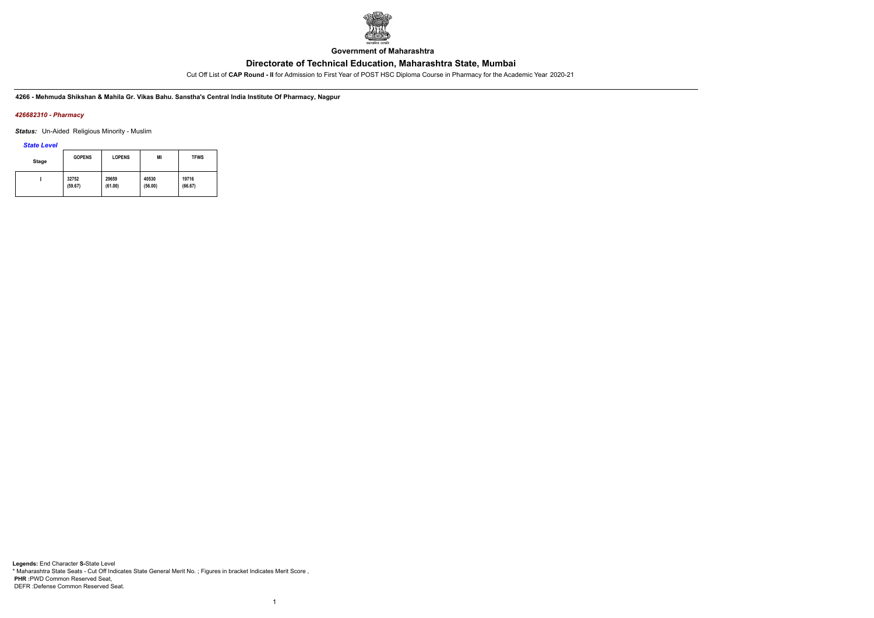

**Government of Maharashtra**

Cut Off List of **CAP Round - II** for Admission to First Year of POST HSC Diploma Course in Pharmacy for the Academic Year 2020-21

**4266 - Mehmuda Shikshan & Mahila Gr. Vikas Bahu. Sanstha's Central India Institute Of Pharmacy, Nagpur**

### *426682310 - Pharmacy*

*Status:* Un-Aided Religious Minority - Muslim

*State Level*

| Stage | <b>GOPENS</b> | <b>LOPENS</b> | ΜI      | <b>TFWS</b> |
|-------|---------------|---------------|---------|-------------|
|       | 32752         | 29659         | 40530   | 19716       |
|       | (59.67)       | (61.00)       | (56.00) | (66.67)     |

1

**Legends:** End Character **S-**State Level \* Maharashtra State Seats - Cut Off Indicates State General Merit No. ; Figures in bracket Indicates Merit Score , **PHR :**PWD Common Reserved Seat, DEFR :Defense Common Reserved Seat.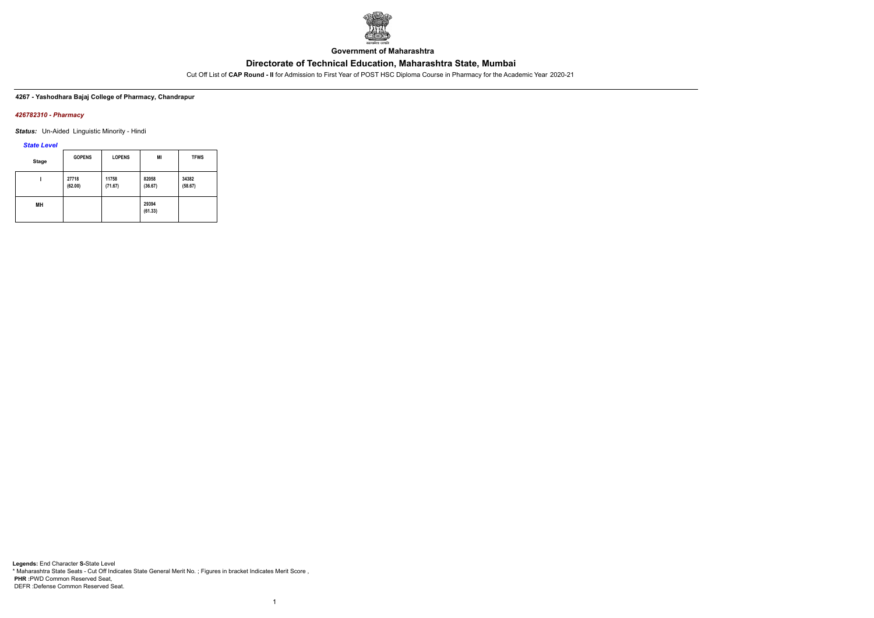

**Government of Maharashtra**

Cut Off List of **CAP Round - II** for Admission to First Year of POST HSC Diploma Course in Pharmacy for the Academic Year 2020-21

### **4267 - Yashodhara Bajaj College of Pharmacy, Chandrapur**

### *426782310 - Pharmacy*

*Status:* Un-Aided Linguistic Minority - Hindi

### *State Level*

| <b>Stage</b> | <b>GOPENS</b>    | <b>LOPENS</b>    | ΜI               | <b>TFWS</b>      |
|--------------|------------------|------------------|------------------|------------------|
|              | 27718<br>(62.00) | 11758<br>(71.67) | 82058<br>(36.67) | 34382<br>(58.67) |
| MН           |                  |                  | 29394<br>(61.33) |                  |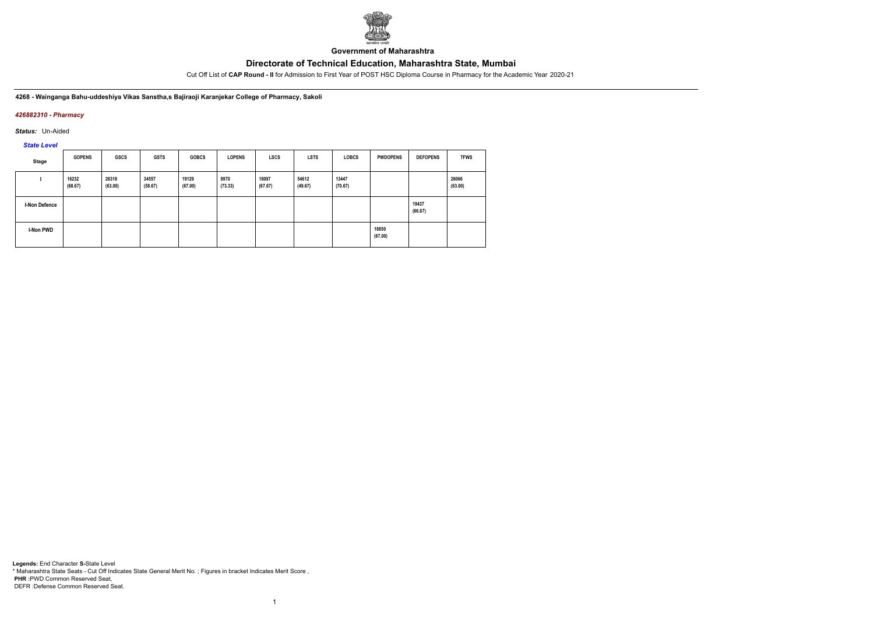

**Government of Maharashtra**

Cut Off List of **CAP Round - II** for Admission to First Year of POST HSC Diploma Course in Pharmacy for the Academic Year 2020-21

**4268 - Wainganga Bahu-uddeshiya Vikas Sanstha,s Bajiraoji Karanjekar College of Pharmacy, Sakoli**

## *426882310 - Pharmacy*

*Status:* Un-Aided

*State Level*

| Stage         | <b>GOPENS</b>    | <b>GSCS</b>      | <b>GSTS</b>      | <b>GOBCS</b>     | <b>LOPENS</b>   | <b>LSCS</b>      | <b>LSTS</b>      | <b>LOBCS</b>     | <b>PWDOPENS</b>  | <b>DEFOPENS</b>  | <b>TFWS</b>      |
|---------------|------------------|------------------|------------------|------------------|-----------------|------------------|------------------|------------------|------------------|------------------|------------------|
|               | 16232<br>(68.67) | 26318<br>(63.00) | 34557<br>(58.67) | 19129<br>(67.00) | 9970<br>(73.33) | 18097<br>(67.67) | 54612<br>(49.67) | 13447<br>(70.67) |                  |                  | 26066<br>(63.00) |
| I-Non Defence |                  |                  |                  |                  |                 |                  |                  |                  |                  | 19437<br>(66.67) |                  |
| I-Non PWD     |                  |                  |                  |                  |                 |                  |                  |                  | 18850<br>(67.00) |                  |                  |

1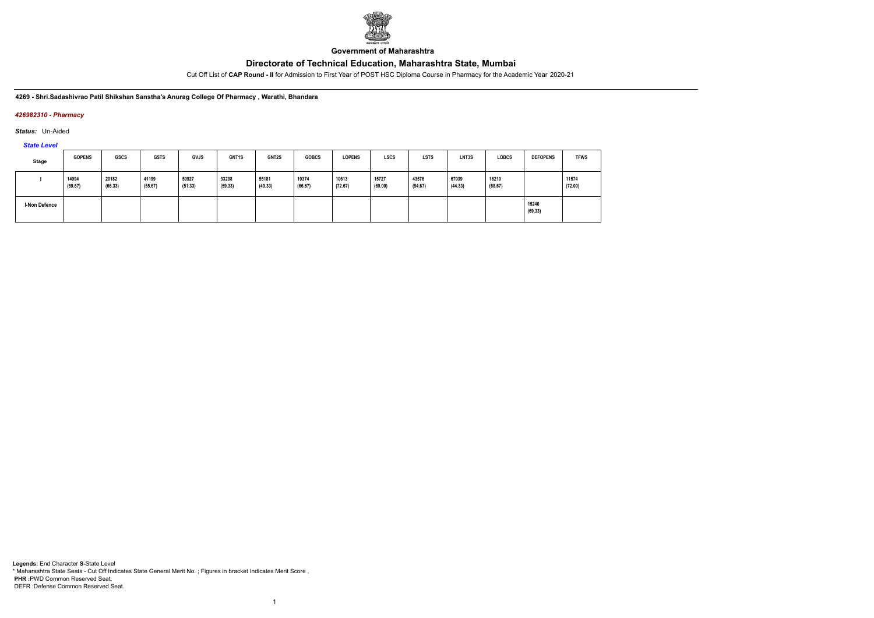

**Government of Maharashtra**

Cut Off List of **CAP Round - II** for Admission to First Year of POST HSC Diploma Course in Pharmacy for the Academic Year 2020-21

### **4269 - Shri.Sadashivrao Patil Shikshan Sanstha's Anurag College Of Pharmacy , Warathi, Bhandara**

### *426982310 - Pharmacy*

*Status:* Un-Aided

# *State Level*

| Stage                | <b>GOPENS</b>    | <b>GSCS</b>      | <b>GSTS</b>      | <b>GVJS</b>      | <b>GNT1S</b>     | GNT2S            | <b>GOBCS</b>     | <b>LOPENS</b>    | <b>LSCS</b>      | <b>LSTS</b>      | LNT3S            | <b>LOBCS</b>     | <b>DEFOPENS</b>  | <b>TFWS</b>      |
|----------------------|------------------|------------------|------------------|------------------|------------------|------------------|------------------|------------------|------------------|------------------|------------------|------------------|------------------|------------------|
|                      | 14994<br>(69.67) | 20182<br>(66.33) | 41199<br>(55.67) | 50927<br>(51.33) | 33208<br>(59.33) | 55181<br>(49.33) | 19374<br>(66.67) | 10613<br>(72.67) | 15727<br>(69.00) | 43576<br>(54.67) | 67039<br>(44.33) | 16210<br>(68.67) |                  | 11574<br>(72.00) |
| <b>I-Non Defence</b> |                  |                  |                  |                  |                  |                  |                  |                  |                  |                  |                  |                  | 15246<br>(69.33) |                  |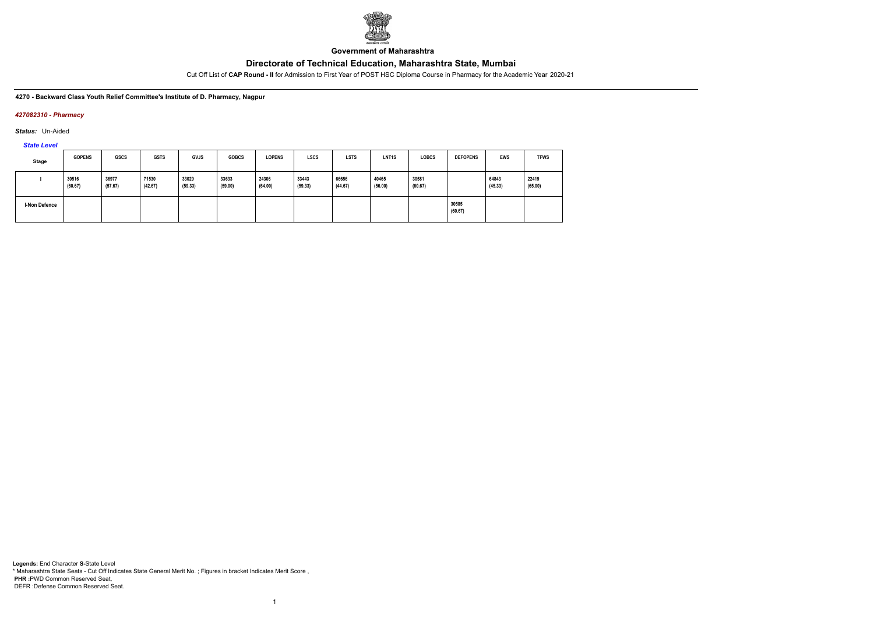

**Government of Maharashtra**

Cut Off List of **CAP Round - II** for Admission to First Year of POST HSC Diploma Course in Pharmacy for the Academic Year 2020-21

**4270 - Backward Class Youth Relief Committee's Institute of D. Pharmacy, Nagpur**

## *427082310 - Pharmacy*

*Status:* Un-Aided

*State Level*

| Stage                | <b>GOPENS</b>    | <b>GSCS</b>      | <b>GSTS</b>      | <b>GVJS</b>      | <b>GOBCS</b>     | <b>LOPENS</b>    | <b>LSCS</b>      | <b>LSTS</b>      | LNT <sub>1</sub> S | <b>LOBCS</b>     | <b>DEFOPENS</b>  | <b>EWS</b>       | <b>TFWS</b>      |
|----------------------|------------------|------------------|------------------|------------------|------------------|------------------|------------------|------------------|--------------------|------------------|------------------|------------------|------------------|
|                      | 30516<br>(60.67) | 36977<br>(57.67) | 71530<br>(42.67) | 33029<br>(59.33) | 33633<br>(59.00) | 24306<br>(64.00) | 33443<br>(59.33) | 66656<br>(44.67) | 40465<br>(56.00)   | 30581<br>(60.67) |                  | 64843<br>(45.33) | 22419<br>(65.00) |
| <b>I-Non Defence</b> |                  |                  |                  |                  |                  |                  |                  |                  |                    |                  | 30585<br>(60.67) |                  |                  |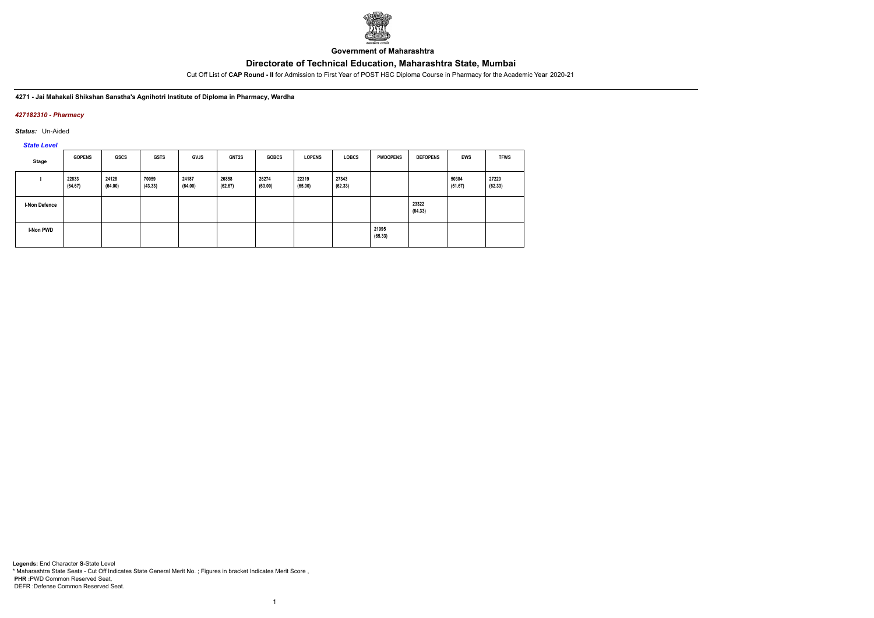

**Government of Maharashtra**

Cut Off List of **CAP Round - II** for Admission to First Year of POST HSC Diploma Course in Pharmacy for the Academic Year 2020-21

**4271 - Jai Mahakali Shikshan Sanstha's Agnihotri Institute of Diploma in Pharmacy, Wardha**

## *427182310 - Pharmacy*

*Status:* Un-Aided

*State Level*

| Stage         | <b>GOPENS</b>    | GSCS             | <b>GSTS</b>      | <b>GVJS</b>      | <b>GNT2S</b>     | <b>GOBCS</b>     | <b>LOPENS</b>    | <b>LOBCS</b>     | <b>PWDOPENS</b>  | <b>DEFOPENS</b>  | <b>EWS</b>       | <b>TFWS</b>      |
|---------------|------------------|------------------|------------------|------------------|------------------|------------------|------------------|------------------|------------------|------------------|------------------|------------------|
|               | 22833<br>(64.67) | 24128<br>(64.00) | 70059<br>(43.33) | 24187<br>(64.00) | 26858<br>(62.67) | 26274<br>(63.00) | 22319<br>(65.00) | 27343<br>(62.33) |                  |                  | 50384<br>(51.67) | 27220<br>(62.33) |
| I-Non Defence |                  |                  |                  |                  |                  |                  |                  |                  |                  | 23322<br>(64.33) |                  |                  |
| I-Non PWD     |                  |                  |                  |                  |                  |                  |                  |                  | 21995<br>(65.33) |                  |                  |                  |

1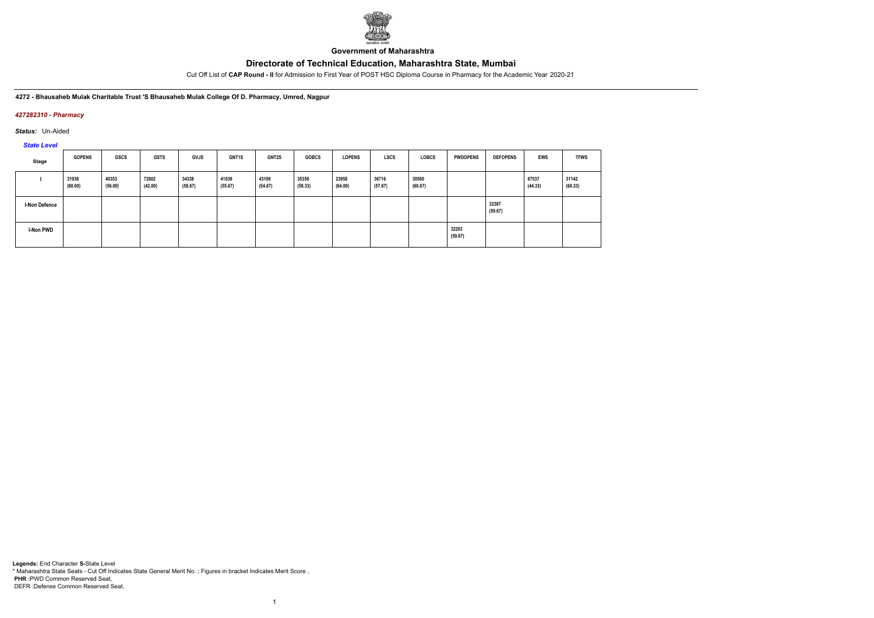

**Government of Maharashtra**

Cut Off List of **CAP Round - II** for Admission to First Year of POST HSC Diploma Course in Pharmacy for the Academic Year 2020-21

**4272 - Bhausaheb Mulak Charitable Trust 'S Bhausaheb Mulak College Of D. Pharmacy, Umred, Nagpur**

## *427282310 - Pharmacy*

*Status:* Un-Aided

*State Level*

| Stage                | <b>GOPENS</b>    | GSCS             | <b>GSTS</b>      | <b>GVJS</b>      | GNT1S            | <b>GNT2S</b>     | <b>GOBCS</b>     | <b>LOPENS</b>    | LSCS             | <b>LOBCS</b>     | <b>PWDOPENS</b>  | <b>DEFOPENS</b>  | <b>EWS</b>       | <b>TFWS</b>      |
|----------------------|------------------|------------------|------------------|------------------|------------------|------------------|------------------|------------------|------------------|------------------|------------------|------------------|------------------|------------------|
|                      | 31938<br>(60.00) | 40353<br>(56.00) | 72802<br>(42.00) | 34338<br>(58.67) | 41036<br>(55.67) | 43109<br>(54.67) | 35350<br>(58.33) | 23958<br>(64.00) | 36716<br>(57.67) | 30560<br>(60.67) |                  |                  | 67537<br>(44.33) | 31142<br>(60.33) |
| <b>I-Non Defence</b> |                  |                  |                  |                  |                  |                  |                  |                  |                  |                  |                  | 32387<br>(59.67) |                  |                  |
| <b>I-Non PWD</b>     |                  |                  |                  |                  |                  |                  |                  |                  |                  |                  | 32203<br>(59.67) |                  |                  |                  |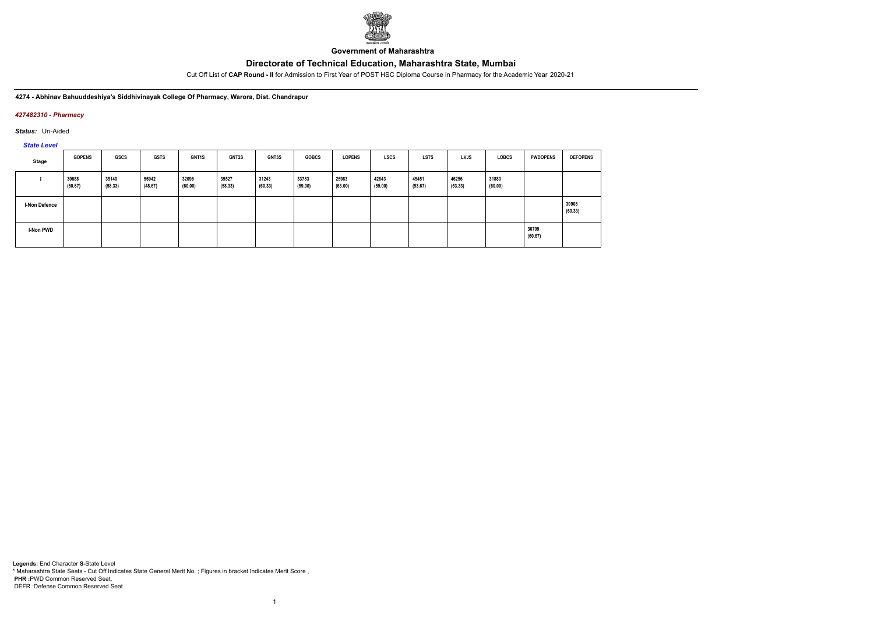

**Government of Maharashtra**

Cut Off List of **CAP Round - II** for Admission to First Year of POST HSC Diploma Course in Pharmacy for the Academic Year 2020-21

### **4274 - Abhinav Bahuuddeshiya's Siddhivinayak College Of Pharmacy, Warora, Dist. Chandrapur**

### *427482310 - Pharmacy*

*Status:* Un-Aided

# *State Level*

| Stage                | <b>GOPENS</b>    | GSCS             | <b>GSTS</b>      | <b>GNT1S</b>     | <b>GNT2S</b>     | GNT3S            | <b>GOBCS</b>     | <b>LOPENS</b>    | <b>LSCS</b>      | <b>LSTS</b>      | LVJS             | <b>LOBCS</b>     | <b>PWDOPENS</b>  | <b>DEFOPENS</b>  |
|----------------------|------------------|------------------|------------------|------------------|------------------|------------------|------------------|------------------|------------------|------------------|------------------|------------------|------------------|------------------|
|                      | 30688<br>(60.67) | 35140<br>(58.33) | 56942<br>(48.67) | 32096<br>(60.00) | 35527<br>(58.33) | 31243<br>(60.33) | 33783<br>(59.00) | 25983<br>(63.00) | 42843<br>(55.00) | 45451<br>(53.67) | 46256<br>(53.33) | 31880<br>(60.00) |                  |                  |
| <b>I-Non Defence</b> |                  |                  |                  |                  |                  |                  |                  |                  |                  |                  |                  |                  |                  | 30908<br>(60.33) |
| I-Non PWD            |                  |                  |                  |                  |                  |                  |                  |                  |                  |                  |                  |                  | 30709<br>(60.67) |                  |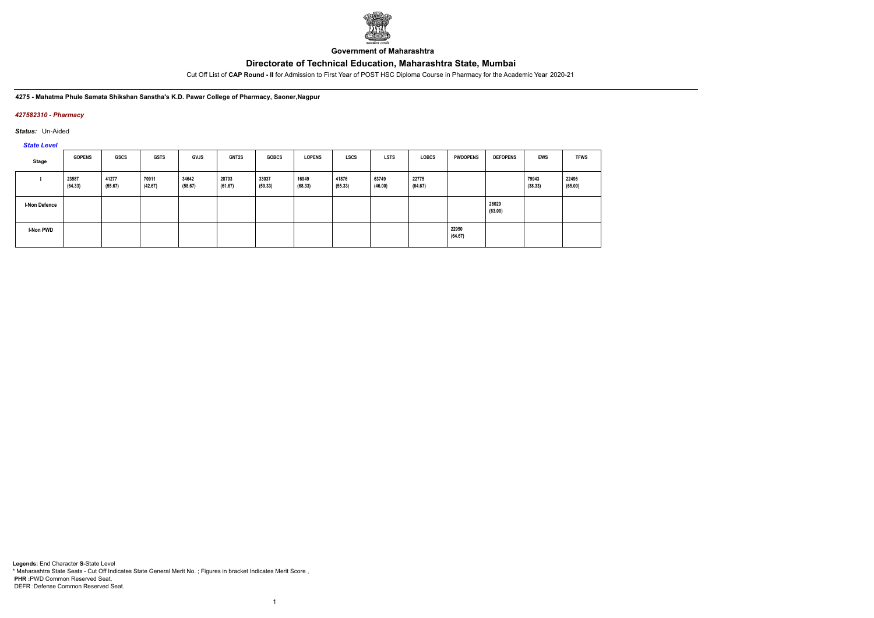

**Government of Maharashtra**

Cut Off List of **CAP Round - II** for Admission to First Year of POST HSC Diploma Course in Pharmacy for the Academic Year 2020-21

### **4275 - Mahatma Phule Samata Shikshan Sanstha's K.D. Pawar College of Pharmacy, Saoner,Nagpur**

### *427582310 - Pharmacy*

*Status:* Un-Aided

# *State Level*

| Stage                | <b>GOPENS</b>    | GSCS             | <b>GSTS</b>      | <b>GVJS</b>      | <b>GNT2S</b>     | <b>GOBCS</b>     | <b>LOPENS</b>    | <b>LSCS</b>      | <b>LSTS</b>      | <b>LOBCS</b>     | <b>PWDOPENS</b>  | <b>DEFOPENS</b>  | <b>EWS</b>       | <b>TFWS</b>      |
|----------------------|------------------|------------------|------------------|------------------|------------------|------------------|------------------|------------------|------------------|------------------|------------------|------------------|------------------|------------------|
|                      | 23587<br>(64.33) | 41277<br>(55.67) | 70911<br>(42.67) | 34642<br>(58.67) | 28703<br>(61.67) | 33037<br>(59.33) | 16949<br>(68.33) | 41876<br>(55.33) | 63749<br>(46.00) | 22775<br>(64.67) |                  |                  | 79943<br>(38.33) | 22496<br>(65.00) |
| <b>I-Non Defence</b> |                  |                  |                  |                  |                  |                  |                  |                  |                  |                  |                  | 26029<br>(63.00) |                  |                  |
| I-Non PWD            |                  |                  |                  |                  |                  |                  |                  |                  |                  |                  | 22950<br>(64.67) |                  |                  |                  |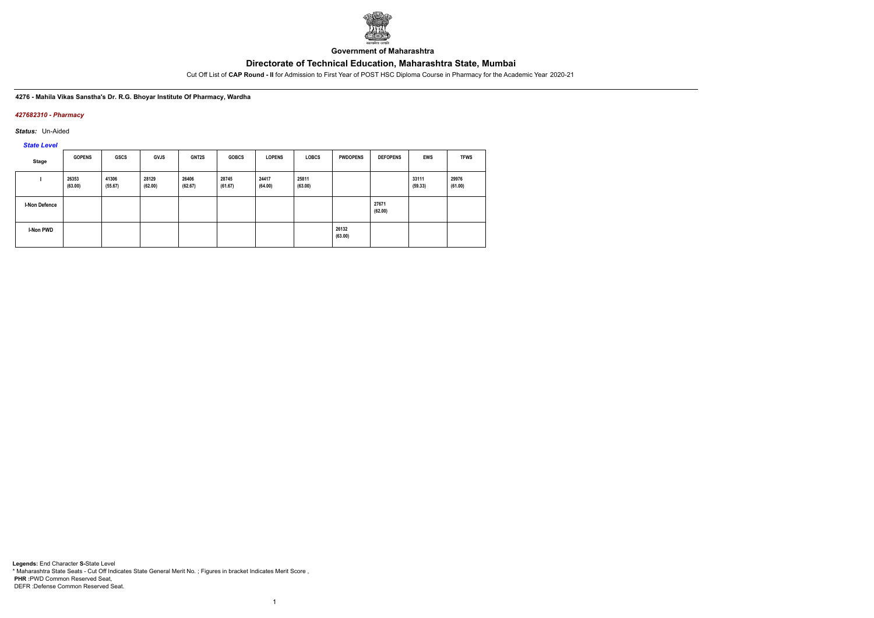

**Government of Maharashtra**

Cut Off List of **CAP Round - II** for Admission to First Year of POST HSC Diploma Course in Pharmacy for the Academic Year 2020-21

### **4276 - Mahila Vikas Sanstha's Dr. R.G. Bhoyar Institute Of Pharmacy, Wardha**

### *427682310 - Pharmacy*

*Status:* Un-Aided

*State Level*

| <b>Stage</b>         | <b>GOPENS</b>    | <b>GSCS</b>      | <b>GVJS</b>      | GNT2S            | <b>GOBCS</b>     | <b>LOPENS</b>    | <b>LOBCS</b>     | <b>PWDOPENS</b>  | <b>DEFOPENS</b>  | <b>EWS</b>       | <b>TFWS</b>      |
|----------------------|------------------|------------------|------------------|------------------|------------------|------------------|------------------|------------------|------------------|------------------|------------------|
|                      | 26353<br>(63.00) | 41306<br>(55.67) | 28129<br>(62.00) | 26406<br>(62.67) | 28745<br>(61.67) | 24417<br>(64.00) | 25811<br>(63.00) |                  |                  | 33111<br>(59.33) | 29976<br>(61.00) |
| <b>I-Non Defence</b> |                  |                  |                  |                  |                  |                  |                  |                  | 27671<br>(62.00) |                  |                  |
| I-Non PWD            |                  |                  |                  |                  |                  |                  |                  | 26132<br>(63.00) |                  |                  |                  |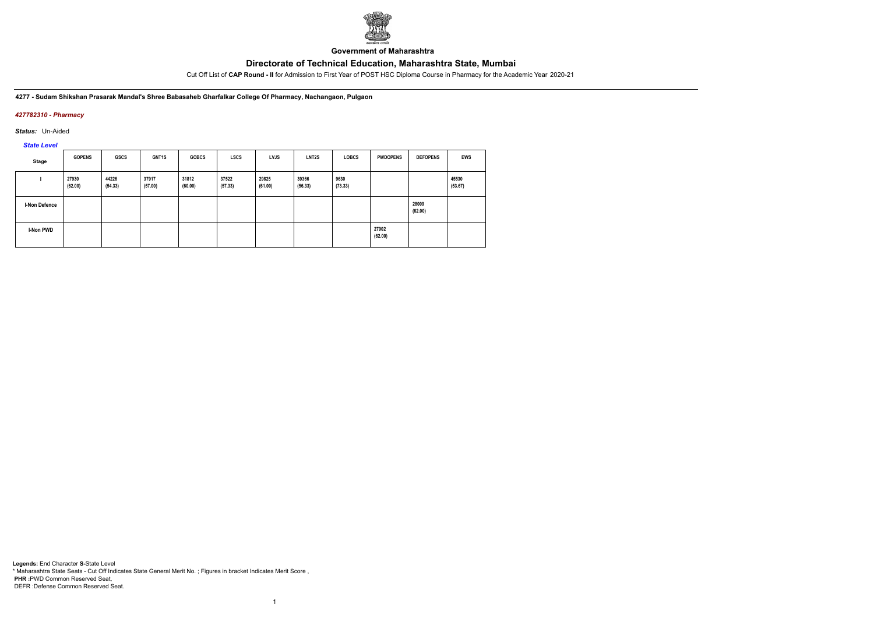

**Government of Maharashtra**

Cut Off List of **CAP Round - II** for Admission to First Year of POST HSC Diploma Course in Pharmacy for the Academic Year 2020-21

**4277 - Sudam Shikshan Prasarak Mandal's Shree Babasaheb Gharfalkar College Of Pharmacy, Nachangaon, Pulgaon**

## *427782310 - Pharmacy*

*Status:* Un-Aided

*State Level*

| <b>Stage</b>  | <b>GOPENS</b>    | <b>GSCS</b>      | <b>GNT1S</b>     | <b>GOBCS</b>     | <b>LSCS</b>      | <b>LVJS</b>      | LNT2S            | <b>LOBCS</b>    | <b>PWDOPENS</b>  | <b>DEFOPENS</b>  | <b>EWS</b>       |
|---------------|------------------|------------------|------------------|------------------|------------------|------------------|------------------|-----------------|------------------|------------------|------------------|
|               | 27930<br>(62.00) | 44226<br>(54.33) | 37917<br>(57.00) | 31812<br>(60.00) | 37522<br>(57.33) | 29825<br>(61.00) | 39366<br>(56.33) | 9630<br>(73.33) |                  |                  | 45530<br>(53.67) |
| I-Non Defence |                  |                  |                  |                  |                  |                  |                  |                 |                  | 28009<br>(62.00) |                  |
| I-Non PWD     |                  |                  |                  |                  |                  |                  |                  |                 | 27902<br>(62.00) |                  |                  |

1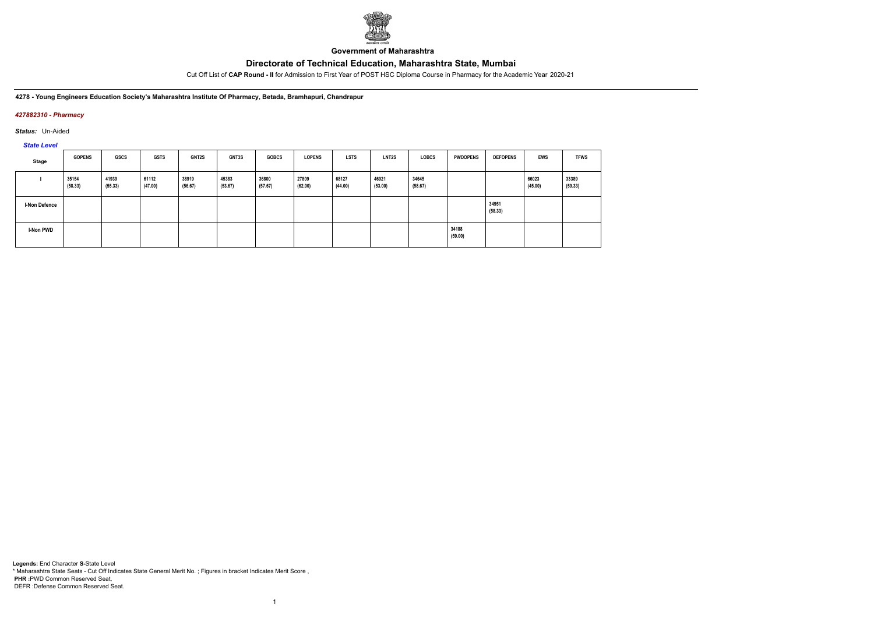

**Government of Maharashtra**

Cut Off List of **CAP Round - II** for Admission to First Year of POST HSC Diploma Course in Pharmacy for the Academic Year 2020-21

**4278 - Young Engineers Education Society's Maharashtra Institute Of Pharmacy, Betada, Bramhapuri, Chandrapur**

## *427882310 - Pharmacy*

*Status:* Un-Aided

*State Level*

| Stage                | <b>GOPENS</b>    | GSCS             | GSTS             | <b>GNT2S</b>     | <b>GNT3S</b>     | <b>GOBCS</b>     | <b>LOPENS</b>    | <b>LSTS</b>      | <b>LNT2S</b>     | <b>LOBCS</b>     | <b>PWDOPENS</b>  | <b>DEFOPENS</b>  | <b>EWS</b>       | <b>TFWS</b>      |
|----------------------|------------------|------------------|------------------|------------------|------------------|------------------|------------------|------------------|------------------|------------------|------------------|------------------|------------------|------------------|
|                      | 35154<br>(58.33) | 41939<br>(55.33) | 61112<br>(47.00) | 38919<br>(56.67) | 45383<br>(53.67) | 36800<br>(57.67) | 27809<br>(62.00) | 68127<br>(44.00) | 46921<br>(53.00) | 34645<br>(58.67) |                  |                  | 66023<br>(45.00) | 33389<br>(59.33) |
| <b>I-Non Defence</b> |                  |                  |                  |                  |                  |                  |                  |                  |                  |                  |                  | 34951<br>(58.33) |                  |                  |
| I-Non PWD            |                  |                  |                  |                  |                  |                  |                  |                  |                  |                  | 34188<br>(59.00) |                  |                  |                  |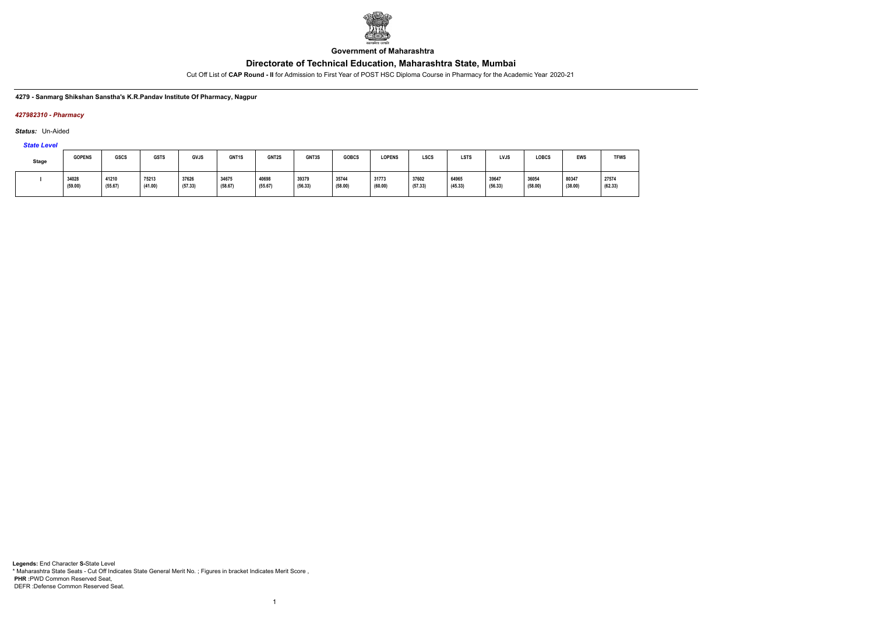

**Government of Maharashtra**

Cut Off List of **CAP Round - II** for Admission to First Year of POST HSC Diploma Course in Pharmacy for the Academic Year 2020-21

### **4279 - Sanmarg Shikshan Sanstha's K.R.Pandav Institute Of Pharmacy, Nagpur**

### *427982310 - Pharmacy*

*Status:* Un-Aided

*State Level*

| <b>Stage</b> | <b>GOPENS</b>    | <b>GSCS</b>      | <b>GSTS</b>      | <b>GVJS</b>      | GNT <sub>1</sub> S | GNT2S            | GNT3S            | <b>GOBCS</b>     | <b>LOPENS</b>    | <b>LSCS</b>      | <b>LSTS</b>      | LVJS             | <b>LOBCS</b>     | <b>EWS</b>       | <b>TFWS</b>      |
|--------------|------------------|------------------|------------------|------------------|--------------------|------------------|------------------|------------------|------------------|------------------|------------------|------------------|------------------|------------------|------------------|
|              | 34028<br>(59.00) | 41210<br>(55.67) | 75213<br>(41.00) | 37626<br>(57.33) | 34675<br>(58.67)   | 40698<br>(55.67) | 39379<br>(56.33) | 35744<br>(58.00) | 31773<br>(60.00) | 37602<br>(57.33) | 64965<br>(45.33) | 39647<br>(56.33) | 36054<br>(58.00) | 80347<br>(38.00) | 27574<br>(62.33) |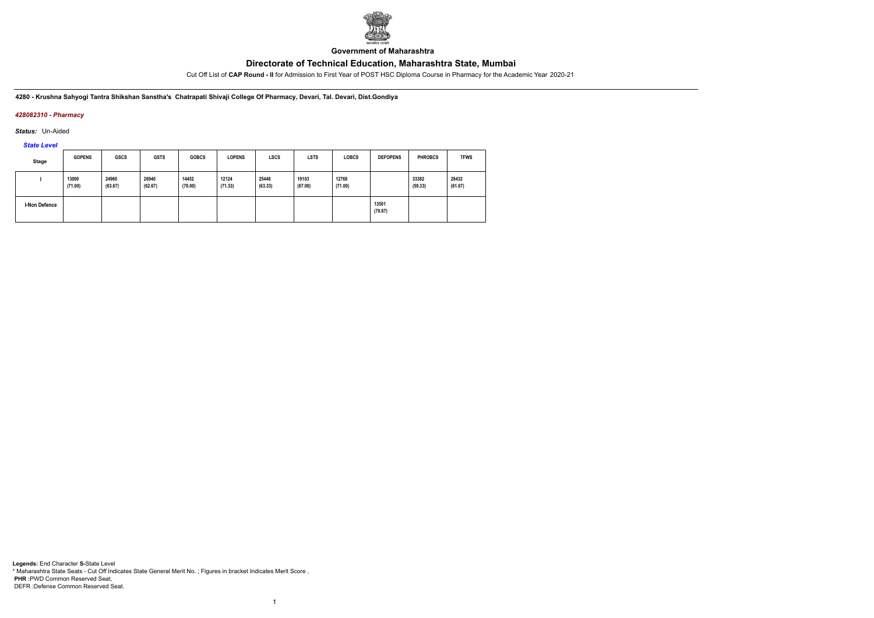

**Government of Maharashtra**

Cut Off List of **CAP Round - II** for Admission to First Year of POST HSC Diploma Course in Pharmacy for the Academic Year 2020-21

**4280 - Krushna Sahyogi Tantra Shikshan Sanstha's Chatrapati Shivaji College Of Pharmacy, Devari, Tal. Devari, Dist.Gondiya**

## *428082310 - Pharmacy*

*Status:* Un-Aided

*State Level*

| <b>Stage</b>         | <b>GOPENS</b>    | <b>GSCS</b>      | <b>GSTS</b>      | <b>GOBCS</b>     | <b>LOPENS</b>    | <b>LSCS</b>      | <b>LSTS</b>      | <b>LOBCS</b>     | <b>DEFOPENS</b>  | <b>PHROBCS</b>   | <b>TFWS</b>      |
|----------------------|------------------|------------------|------------------|------------------|------------------|------------------|------------------|------------------|------------------|------------------|------------------|
|                      | 13000<br>(71.00) | 24960<br>(63.67) | 26940<br>(62.67) | 14452<br>(70.00) | 12124<br>(71.33) | 25448<br>(63.33) | 19103<br>(67.00) | 12768<br>(71.00) |                  | 33382<br>(59.33) | 28432<br>(61.67) |
| <b>I-Non Defence</b> |                  |                  |                  |                  |                  |                  |                  |                  | 13501<br>(70.67) |                  |                  |

1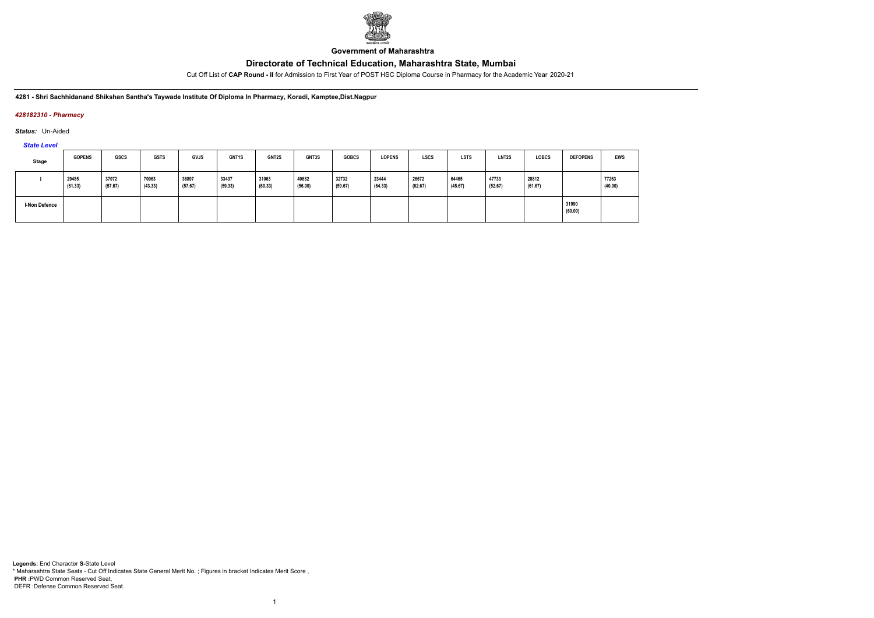

**Government of Maharashtra**

Cut Off List of **CAP Round - II** for Admission to First Year of POST HSC Diploma Course in Pharmacy for the Academic Year 2020-21

**4281 - Shri Sachhidanand Shikshan Santha's Taywade Institute Of Diploma In Pharmacy, Koradi, Kamptee,Dist.Nagpur**

### *428182310 - Pharmacy*

*Status:* Un-Aided

*State Level*

| <b>Stage</b>         | <b>GOPENS</b>    | GSCS             | <b>GSTS</b>      | GVJS             | GNT1S            | GNT2S            | GNT3S            | <b>GOBCS</b>     | <b>LOPENS</b>    | LSCS             | <b>LSTS</b>      | LNT <sub>2</sub> S | <b>LOBCS</b>     | <b>DEFOPENS</b>  | <b>EWS</b>       |
|----------------------|------------------|------------------|------------------|------------------|------------------|------------------|------------------|------------------|------------------|------------------|------------------|--------------------|------------------|------------------|------------------|
|                      | 29485<br>(61.33) | 37072<br>(57.67) | 70063<br>(43.33) | 36897<br>(57.67) | 33437<br>(59.33) | 31063<br>(60.33) | 40682<br>(56.00) | 32732<br>(59.67) | 23444<br>(64.33) | 26672<br>(62.67) | 64465<br>(45.67) | 47733<br>(52.67)   | 28812<br>(61.67) |                  | 77263<br>(40.00) |
| <b>I-Non Defence</b> |                  |                  |                  |                  |                  |                  |                  |                  |                  |                  |                  |                    |                  | 31990<br>(60.00) |                  |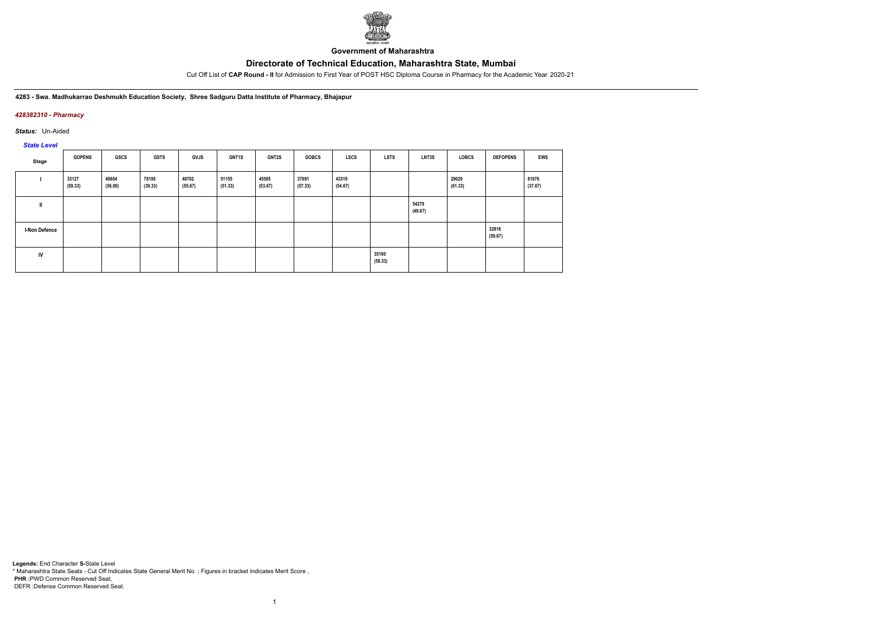

**Government of Maharashtra**

Cut Off List of **CAP Round - II** for Admission to First Year of POST HSC Diploma Course in Pharmacy for the Academic Year 2020-21

**4283 - Swa. Madhukarrao Deshmukh Education Society, Shree Sadguru Datta Institute of Pharmacy, Bhajapur**

### *428382310 - Pharmacy*

*Status:* Un-Aided

*State Level*

| Stage                | <b>GOPENS</b>    | GSCS             | <b>GSTS</b>      | <b>GVJS</b>      | GNT1S            | <b>GNT2S</b>     | <b>GOBCS</b>     | LSCS             | <b>LSTS</b>      | LNT3S            | LOBCS            | <b>DEFOPENS</b>  | <b>EWS</b>       |
|----------------------|------------------|------------------|------------------|------------------|------------------|------------------|------------------|------------------|------------------|------------------|------------------|------------------|------------------|
|                      | 33127<br>(59.33) | 40654<br>(56.00) | 78195<br>(39.33) | 40702<br>(55.67) | 51155<br>(51.33) | 45585<br>(53.67) | 37691<br>(57.33) | 43319<br>(54.67) |                  |                  | 29029<br>(61.33) |                  | 81076<br>(37.67) |
| $\mathbf{I}$         |                  |                  |                  |                  |                  |                  |                  |                  |                  | 54279<br>(49.67) |                  |                  |                  |
| <b>I-Non Defence</b> |                  |                  |                  |                  |                  |                  |                  |                  |                  |                  |                  | 32816<br>(59.67) |                  |
| IV                   |                  |                  |                  |                  |                  |                  |                  |                  | 35190<br>(58.33) |                  |                  |                  |                  |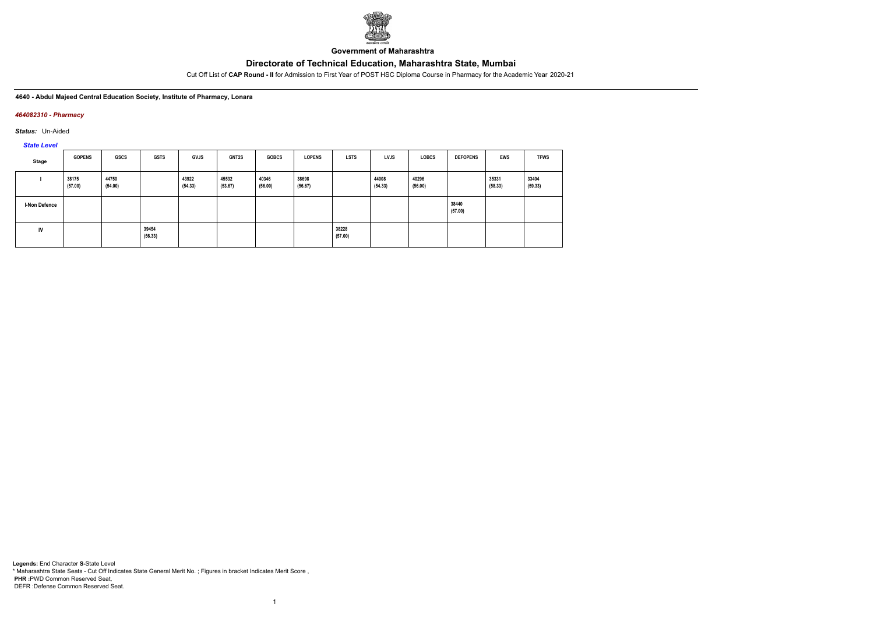

**Government of Maharashtra**

Cut Off List of **CAP Round - II** for Admission to First Year of POST HSC Diploma Course in Pharmacy for the Academic Year 2020-21

**4640 - Abdul Majeed Central Education Society, Institute of Pharmacy, Lonara**

### *464082310 - Pharmacy*

*Status:* Un-Aided

*State Level*

| Stage                | <b>GOPENS</b>    | GSCS             | <b>GSTS</b>      | <b>GVJS</b>      | <b>GNT2S</b>     | <b>GOBCS</b>     | <b>LOPENS</b>    | <b>LSTS</b>      | <b>LVJS</b>      | <b>LOBCS</b>     | <b>DEFOPENS</b>  | <b>EWS</b>       | <b>TFWS</b>      |
|----------------------|------------------|------------------|------------------|------------------|------------------|------------------|------------------|------------------|------------------|------------------|------------------|------------------|------------------|
|                      | 38175<br>(57.00) | 44750<br>(54.00) |                  | 43922<br>(54.33) | 45532<br>(53.67) | 40346<br>(56.00) | 38698<br>(56.67) |                  | 44008<br>(54.33) | 40296<br>(56.00) |                  | 35331<br>(58.33) | 33404<br>(59.33) |
| <b>I-Non Defence</b> |                  |                  |                  |                  |                  |                  |                  |                  |                  |                  | 38440<br>(57.00) |                  |                  |
| <b>IV</b>            |                  |                  | 39454<br>(56.33) |                  |                  |                  |                  | 38228<br>(57.00) |                  |                  |                  |                  |                  |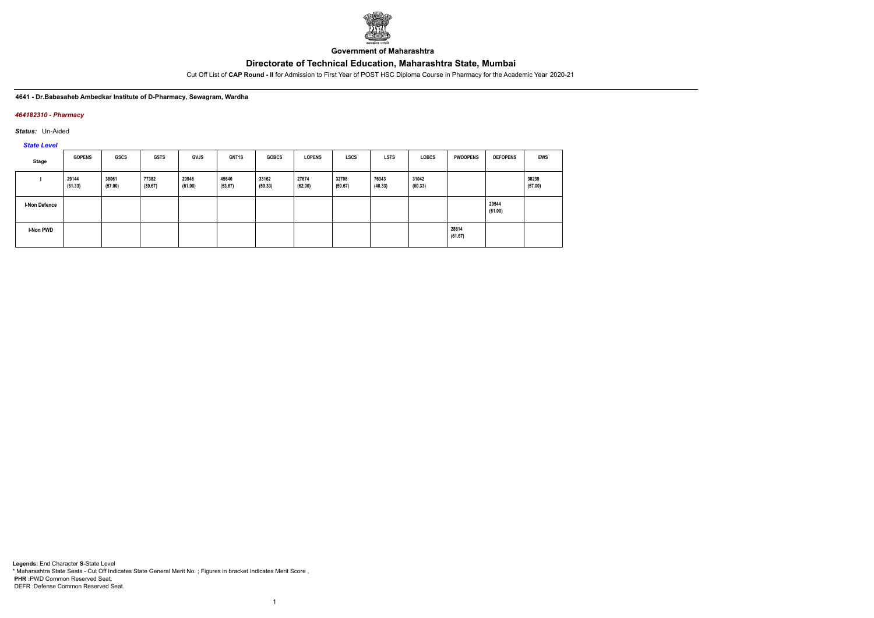

**Government of Maharashtra**

Cut Off List of **CAP Round - II** for Admission to First Year of POST HSC Diploma Course in Pharmacy for the Academic Year 2020-21

### **4641 - Dr.Babasaheb Ambedkar Institute of D-Pharmacy, Sewagram, Wardha**

### *464182310 - Pharmacy*

*Status:* Un-Aided

*State Level*

| Stage                | <b>GOPENS</b>    | GSCS             | <b>GSTS</b>      | <b>GVJS</b>      | <b>GNT1S</b>     | <b>GOBCS</b>     | <b>LOPENS</b>    | <b>LSCS</b>      | <b>LSTS</b>      | <b>LOBCS</b>     | <b>PWDOPENS</b>  | <b>DEFOPENS</b>  | EWS              |
|----------------------|------------------|------------------|------------------|------------------|------------------|------------------|------------------|------------------|------------------|------------------|------------------|------------------|------------------|
|                      | 29144<br>(61.33) | 38061<br>(57.00) | 77382<br>(39.67) | 29946<br>(61.00) | 45640<br>(53.67) | 33162<br>(59.33) | 27674<br>(62.00) | 32708<br>(59.67) | 76343<br>(40.33) | 31042<br>(60.33) |                  |                  | 38239<br>(57.00) |
| <b>I-Non Defence</b> |                  |                  |                  |                  |                  |                  |                  |                  |                  |                  |                  | 29544<br>(61.00) |                  |
| I-Non PWD            |                  |                  |                  |                  |                  |                  |                  |                  |                  |                  | 28614<br>(61.67) |                  |                  |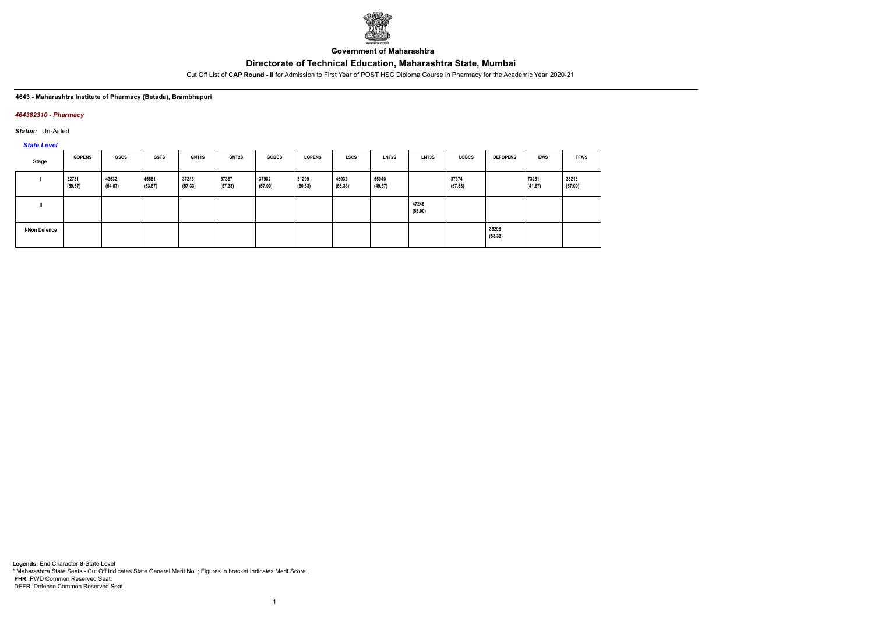

**Government of Maharashtra**

Cut Off List of **CAP Round - II** for Admission to First Year of POST HSC Diploma Course in Pharmacy for the Academic Year 2020-21

### **4643 - Maharashtra Institute of Pharmacy (Betada), Brambhapuri**

### *464382310 - Pharmacy*

*Status:* Un-Aided

*State Level*

| Stage                | <b>GOPENS</b>    | GSCS             | <b>GSTS</b>      | <b>GNT1S</b>     | <b>GNT2S</b>     | <b>GOBCS</b>     | <b>LOPENS</b>    | <b>LSCS</b>      | <b>LNT2S</b>     | LNT3S            | LOBCS            | <b>DEFOPENS</b>  | EWS              | <b>TFWS</b>      |
|----------------------|------------------|------------------|------------------|------------------|------------------|------------------|------------------|------------------|------------------|------------------|------------------|------------------|------------------|------------------|
|                      | 32731<br>(59.67) | 43632<br>(54.67) | 45661<br>(53.67) | 37213<br>(57.33) | 37367<br>(57.33) | 37982<br>(57.00) | 31299<br>(60.33) | 46032<br>(53.33) | 55040<br>(49.67) |                  | 37374<br>(57.33) |                  | 73251<br>(41.67) | 38213<br>(57.00) |
|                      |                  |                  |                  |                  |                  |                  |                  |                  |                  | 47246<br>(53.00) |                  |                  |                  |                  |
| <b>I-Non Defence</b> |                  |                  |                  |                  |                  |                  |                  |                  |                  |                  |                  | 35298<br>(58.33) |                  |                  |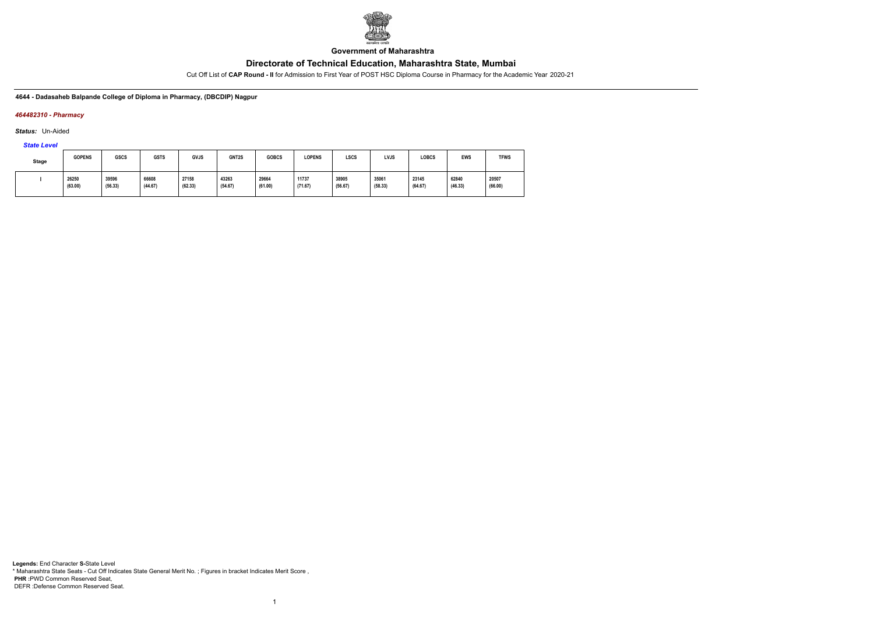

**Government of Maharashtra**

Cut Off List of **CAP Round - II** for Admission to First Year of POST HSC Diploma Course in Pharmacy for the Academic Year 2020-21

**4644 - Dadasaheb Balpande College of Diploma in Pharmacy, (DBCDIP) Nagpur**

### *464482310 - Pharmacy*

*Status:* Un-Aided

*State Level*

| <b>Stage</b> | <b>GOPENS</b>    | <b>GSCS</b>      | <b>GSTS</b>      | GVJS             | GNT2S            | <b>GOBCS</b>     | <b>LOPENS</b>    | LSCS             | LVJS             | LOBCS            | <b>EWS</b>       | <b>TFWS</b>      |
|--------------|------------------|------------------|------------------|------------------|------------------|------------------|------------------|------------------|------------------|------------------|------------------|------------------|
|              | 26250<br>(63.00) | 39596<br>(56.33) | 66608<br>(44.67) | 27158<br>(62.33) | 43263<br>(54.67) | 29664<br>(61.00) | 11737<br>(71.67) | 38905<br>(56.67) | 35061<br>(58.33) | 23145<br>(64.67) | 62840<br>(46.33) | 20507<br>(66.00) |

1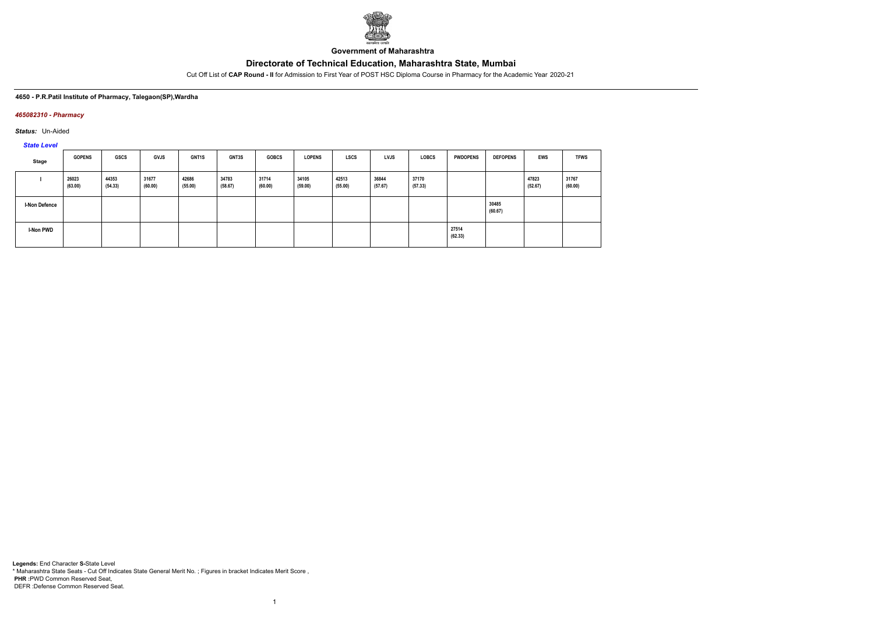

**Government of Maharashtra**

Cut Off List of **CAP Round - II** for Admission to First Year of POST HSC Diploma Course in Pharmacy for the Academic Year 2020-21

### **4650 - P.R.Patil Institute of Pharmacy, Talegaon(SP),Wardha**

### *465082310 - Pharmacy*

*Status:* Un-Aided

*State Level*

| Stage                | <b>GOPENS</b>    | GSCS             | <b>GVJS</b>      | <b>GNT1S</b>     | <b>GNT3S</b>     | <b>GOBCS</b>     | <b>LOPENS</b>    | <b>LSCS</b>      | <b>LVJS</b>      | <b>LOBCS</b>     | <b>PWDOPENS</b>  | <b>DEFOPENS</b>  | EWS              | <b>TFWS</b>      |
|----------------------|------------------|------------------|------------------|------------------|------------------|------------------|------------------|------------------|------------------|------------------|------------------|------------------|------------------|------------------|
|                      | 26023<br>(63.00) | 44353<br>(54.33) | 31677<br>(60.00) | 42686<br>(55.00) | 34783<br>(58.67) | 31714<br>(60.00) | 34105<br>(59.00) | 42513<br>(55.00) | 36844<br>(57.67) | 37170<br>(57.33) |                  |                  | 47823<br>(52.67) | 31767<br>(60.00) |
| <b>I-Non Defence</b> |                  |                  |                  |                  |                  |                  |                  |                  |                  |                  |                  | 30485<br>(60.67) |                  |                  |
| I-Non PWD            |                  |                  |                  |                  |                  |                  |                  |                  |                  |                  | 27514<br>(62.33) |                  |                  |                  |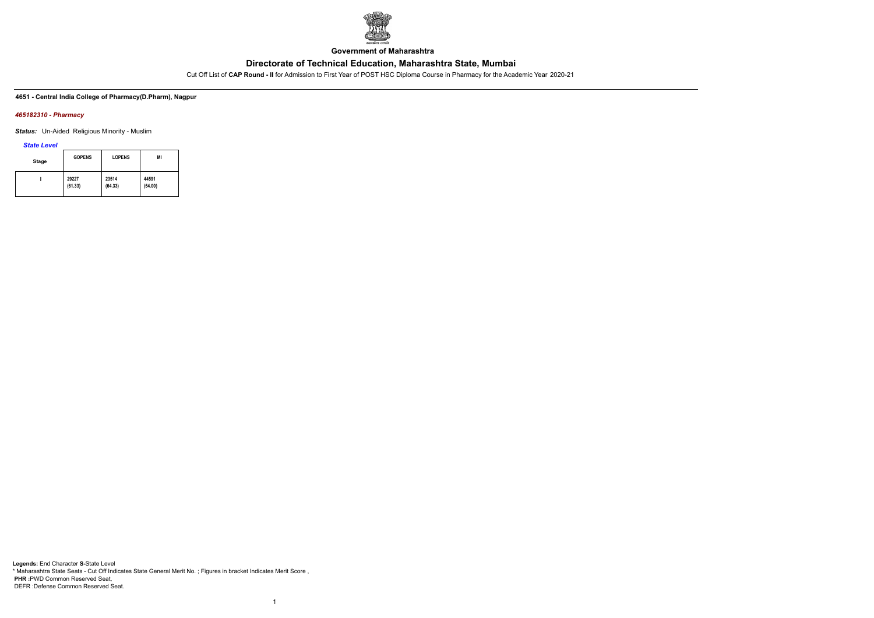

**Government of Maharashtra**

Cut Off List of **CAP Round - II** for Admission to First Year of POST HSC Diploma Course in Pharmacy for the Academic Year 2020-21

**4651 - Central India College of Pharmacy(D.Pharm), Nagpur**

### *465182310 - Pharmacy*

*Status:* Un-Aided Religious Minority - Muslim

*State Level*

| <b>Stage</b> | <b>GOPENS</b> | <b>LOPENS</b> | MI      |
|--------------|---------------|---------------|---------|
|              | 29227         | 23514         | 44591   |
|              | (61.33)       | (64.33)       | (54.00) |

1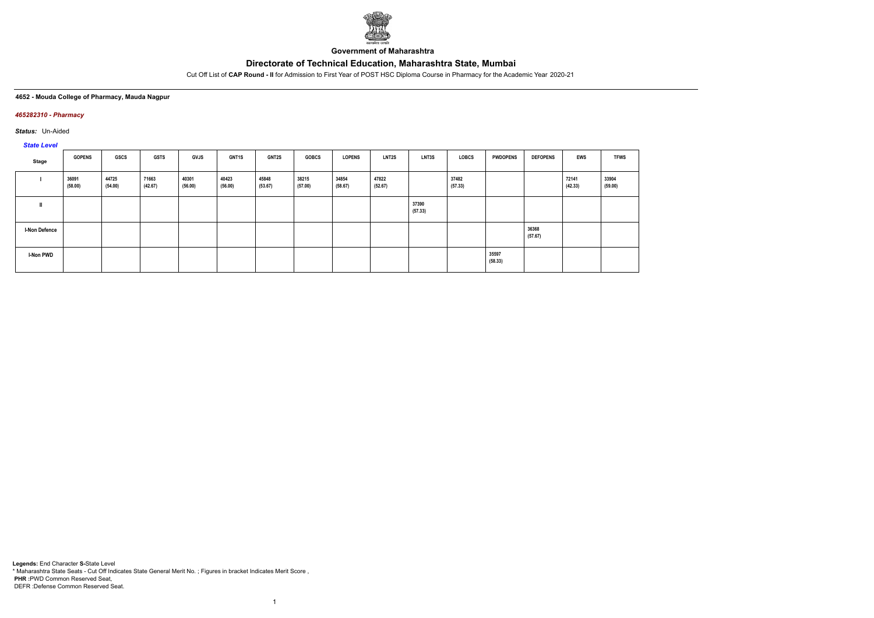

**Government of Maharashtra**

Cut Off List of **CAP Round - II** for Admission to First Year of POST HSC Diploma Course in Pharmacy for the Academic Year 2020-21

### **4652 - Mouda College of Pharmacy, Mauda Nagpur**

### *465282310 - Pharmacy*

*Status:* Un-Aided

# *State Level*

| Stage                | <b>GOPENS</b>    | GSCS             | <b>GSTS</b>      | <b>GVJS</b>      | GNT1S            | GNT2S            | <b>GOBCS</b>     | <b>LOPENS</b>    | <b>LNT2S</b>     | LNT3S            | LOBCS            | <b>PWDOPENS</b>  | <b>DEFOPENS</b>  | EWS              | <b>TFWS</b>      |
|----------------------|------------------|------------------|------------------|------------------|------------------|------------------|------------------|------------------|------------------|------------------|------------------|------------------|------------------|------------------|------------------|
|                      | 36091<br>(58.00) | 44725<br>(54.00) | 71663<br>(42.67) | 40301<br>(56.00) | 40423<br>(56.00) | 45848<br>(53.67) | 38215<br>(57.00) | 34854<br>(58.67) | 47822<br>(52.67) |                  | 37482<br>(57.33) |                  |                  | 72141<br>(42.33) | 33904<br>(59.00) |
| ш                    |                  |                  |                  |                  |                  |                  |                  |                  |                  | 37390<br>(57.33) |                  |                  |                  |                  |                  |
| <b>I-Non Defence</b> |                  |                  |                  |                  |                  |                  |                  |                  |                  |                  |                  |                  | 36368<br>(57.67) |                  |                  |
| <b>I-Non PWD</b>     |                  |                  |                  |                  |                  |                  |                  |                  |                  |                  |                  | 35597<br>(58.33) |                  |                  |                  |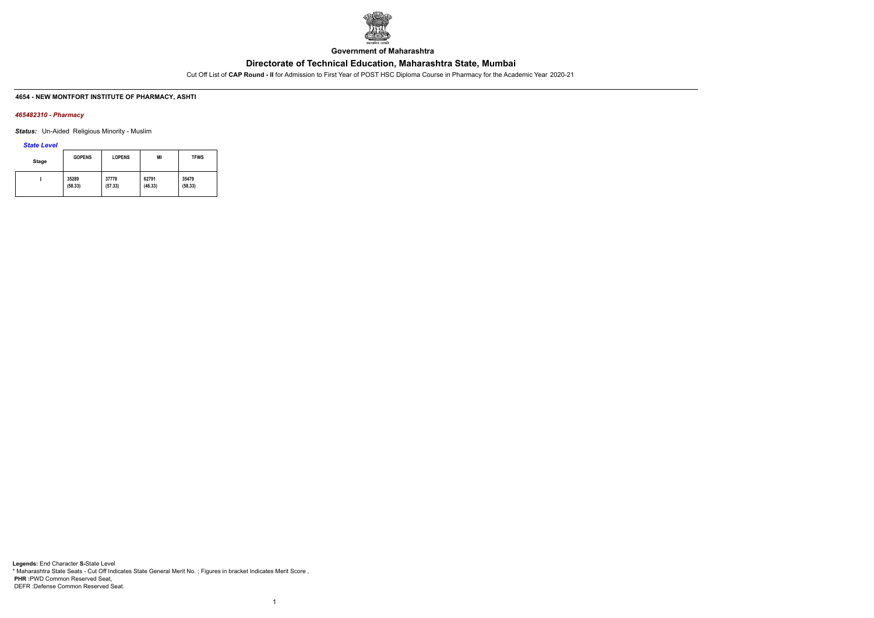

**Government of Maharashtra**

Cut Off List of **CAP Round - II** for Admission to First Year of POST HSC Diploma Course in Pharmacy for the Academic Year 2020-21

## **4654 - NEW MONTFORT INSTITUTE OF PHARMACY, ASHTI**

### *465482310 - Pharmacy*

*Status:* Un-Aided Religious Minority - Muslim

*State Level*

| Stage | <b>GOPENS</b> | <b>LOPENS</b> | MI      | <b>TFWS</b> |
|-------|---------------|---------------|---------|-------------|
|       | 35289         | 37778         | 62791   | 35479       |
|       | (58.33)       | (57.33)       | (46.33) | (58.33)     |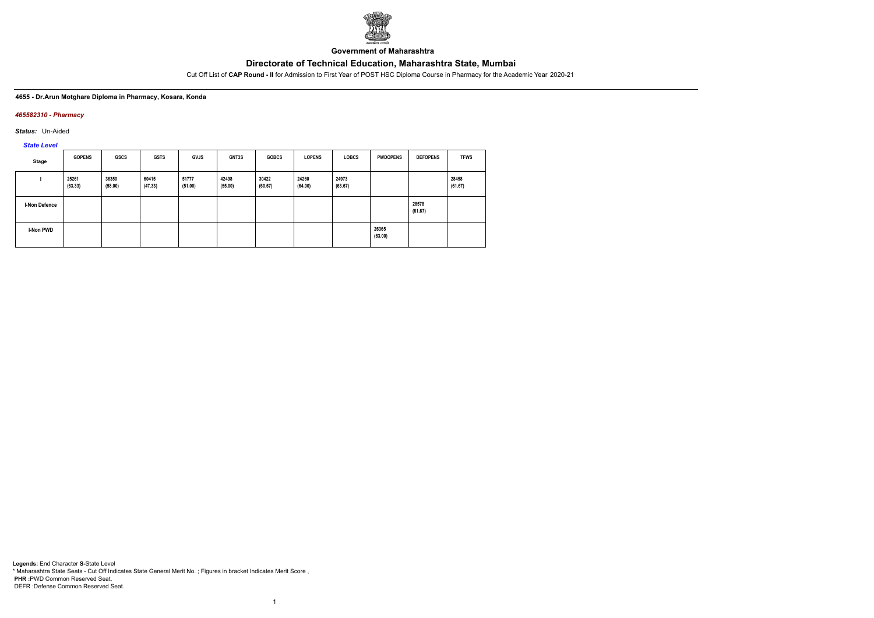

**Government of Maharashtra**

Cut Off List of **CAP Round - II** for Admission to First Year of POST HSC Diploma Course in Pharmacy for the Academic Year 2020-21

### **4655 - Dr.Arun Motghare Diploma in Pharmacy, Kosara, Konda**

### *465582310 - Pharmacy*

*Status:* Un-Aided

*State Level*

| Stage                | <b>GOPENS</b>    | <b>GSCS</b>      | <b>GSTS</b>      | <b>GVJS</b>      | GNT3S            | <b>GOBCS</b>     | <b>LOPENS</b>    | <b>LOBCS</b>     | <b>PWDOPENS</b>  | <b>DEFOPENS</b>  | <b>TFWS</b>      |
|----------------------|------------------|------------------|------------------|------------------|------------------|------------------|------------------|------------------|------------------|------------------|------------------|
|                      | 25261<br>(63.33) | 36350<br>(58.00) | 60415<br>(47.33) | 51777<br>(51.00) | 42498<br>(55.00) | 30422<br>(60.67) | 24260<br>(64.00) | 24973<br>(63.67) |                  |                  | 28458<br>(61.67) |
| <b>I-Non Defence</b> |                  |                  |                  |                  |                  |                  |                  |                  |                  | 28578<br>(61.67) |                  |
| I-Non PWD            |                  |                  |                  |                  |                  |                  |                  |                  | 26365<br>(63.00) |                  |                  |

1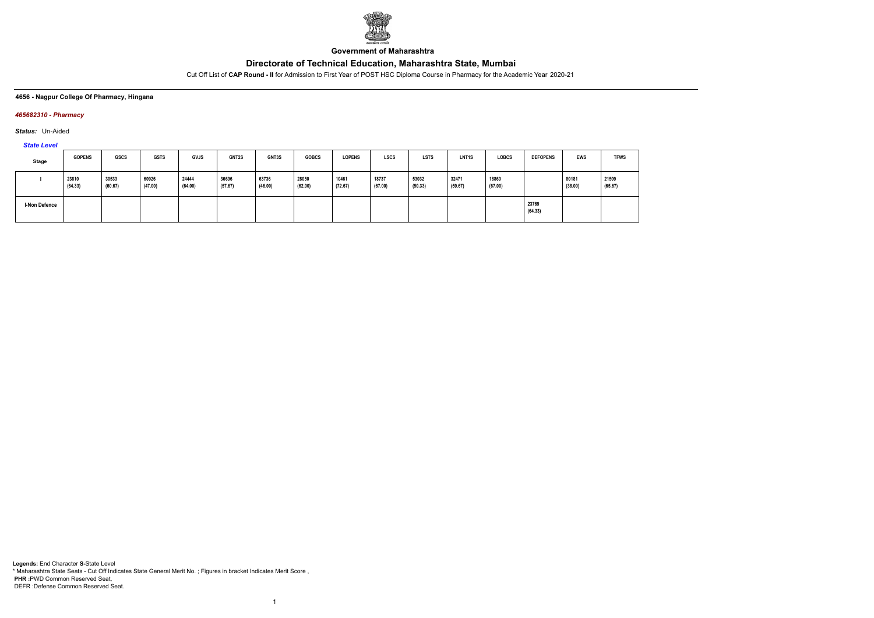

**Government of Maharashtra**

Cut Off List of **CAP Round - II** for Admission to First Year of POST HSC Diploma Course in Pharmacy for the Academic Year 2020-21

### **4656 - Nagpur College Of Pharmacy, Hingana**

## *465682310 - Pharmacy*

*Status:* Un-Aided

*State Level*

| <b>Stage</b>         | <b>GOPENS</b>    | GSCS             | <b>GSTS</b>      | <b>GVJS</b>      | GNT2S            | <b>GNT3S</b>     | <b>GOBCS</b>     | <b>LOPENS</b>    | <b>LSCS</b>      | <b>LSTS</b>      | LNT <sub>1</sub> S | <b>LOBCS</b>     | <b>DEFOPENS</b>  | <b>EWS</b>       | <b>TFWS</b>      |
|----------------------|------------------|------------------|------------------|------------------|------------------|------------------|------------------|------------------|------------------|------------------|--------------------|------------------|------------------|------------------|------------------|
|                      | 23810<br>(64.33) | 30533<br>(60.67) | 60926<br>(47.00) | 24444<br>(64.00) | 36696<br>(57.67) | 63736<br>(46.00) | 28050<br>(62.00) | 10461<br>(72.67) | 18737<br>(67.00) | 53032<br>(50.33) | 32471<br>(59.67)   | 18860<br>(67.00) |                  | 80181<br>(38.00) | 21509<br>(65.67) |
| <b>I-Non Defence</b> |                  |                  |                  |                  |                  |                  |                  |                  |                  |                  |                    |                  | 23769<br>(64.33) |                  |                  |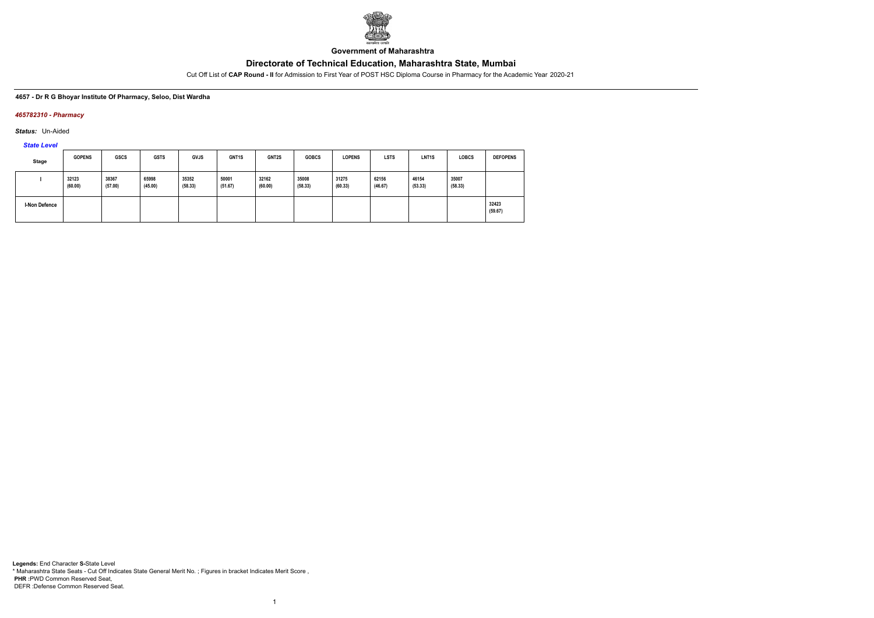

**Government of Maharashtra**

Cut Off List of **CAP Round - II** for Admission to First Year of POST HSC Diploma Course in Pharmacy for the Academic Year 2020-21

### **4657 - Dr R G Bhoyar Institute Of Pharmacy, Seloo, Dist Wardha**

### *465782310 - Pharmacy*

*Status:* Un-Aided

*State Level*

| Stage         | <b>GOPENS</b>    | <b>GSCS</b>      | <b>GSTS</b>      | <b>GVJS</b>      | GNT <sub>1</sub> S | GNT2S            | <b>GOBCS</b>     | <b>LOPENS</b>    | <b>LSTS</b>      | LNT <sub>1</sub> S | <b>LOBCS</b>     | <b>DEFOPENS</b>  |
|---------------|------------------|------------------|------------------|------------------|--------------------|------------------|------------------|------------------|------------------|--------------------|------------------|------------------|
|               | 32123<br>(60.00) | 38367<br>(57.00) | 65998<br>(45.00) | 35352<br>(58.33) | 50001<br>(51.67)   | 32162<br>(60.00) | 35008<br>(58.33) | 31275<br>(60.33) | 62156<br>(46.67) | 46154<br>(53.33)   | 35007<br>(58.33) |                  |
| I-Non Defence |                  |                  |                  |                  |                    |                  |                  |                  |                  |                    |                  | 32423<br>(59.67) |

1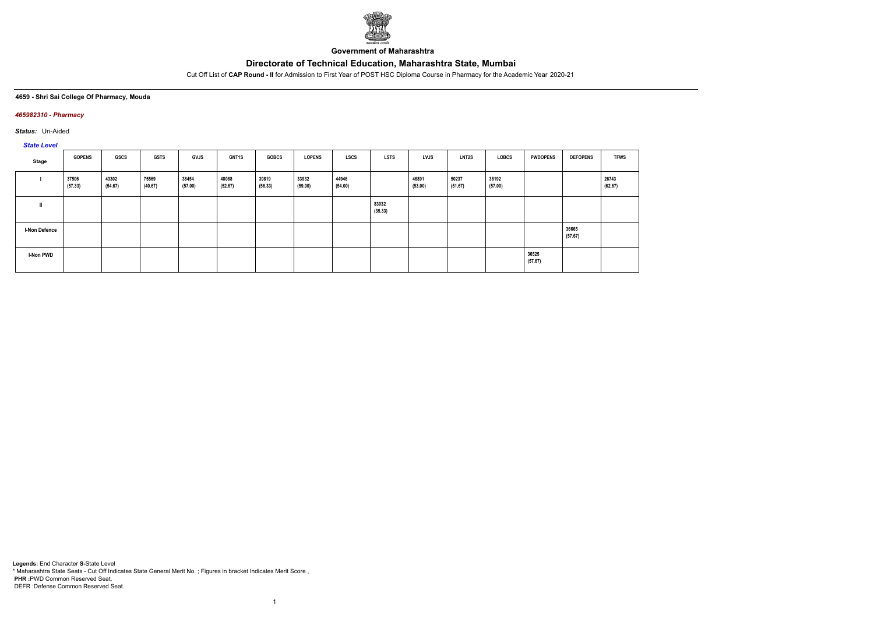

**Government of Maharashtra**

Cut Off List of **CAP Round - II** for Admission to First Year of POST HSC Diploma Course in Pharmacy for the Academic Year 2020-21

### **4659 - Shri Sai College Of Pharmacy, Mouda**

### *465982310 - Pharmacy*

*Status:* Un-Aided

# *State Level*

| Stage            | <b>GOPENS</b>    | GSCS             | <b>GSTS</b>      | GVJS             | GNT1S            | <b>GOBCS</b>     | <b>LOPENS</b>    | <b>LSCS</b>      | <b>LSTS</b>      | <b>LVJS</b>      | <b>LNT2S</b>     | <b>LOBCS</b>     | <b>PWDOPENS</b>  | <b>DEFOPENS</b>  | <b>TFWS</b>      |
|------------------|------------------|------------------|------------------|------------------|------------------|------------------|------------------|------------------|------------------|------------------|------------------|------------------|------------------|------------------|------------------|
|                  | 37506<br>(57.33) | 43302<br>(54.67) | 75569<br>(40.67) | 38454<br>(57.00) | 48088<br>(52.67) | 39819<br>(56.33) | 33932<br>(59.00) | 44946<br>(54.00) |                  | 46891<br>(53.00) | 50237<br>(51.67) | 38192<br>(57.00) |                  |                  | 26743<br>(62.67) |
|                  |                  |                  |                  |                  |                  |                  |                  |                  | 83032<br>(35.33) |                  |                  |                  |                  |                  |                  |
| I-Non Defence    |                  |                  |                  |                  |                  |                  |                  |                  |                  |                  |                  |                  |                  | 36665<br>(57.67) |                  |
| <b>I-Non PWD</b> |                  |                  |                  |                  |                  |                  |                  |                  |                  |                  |                  |                  | 36525<br>(57.67) |                  |                  |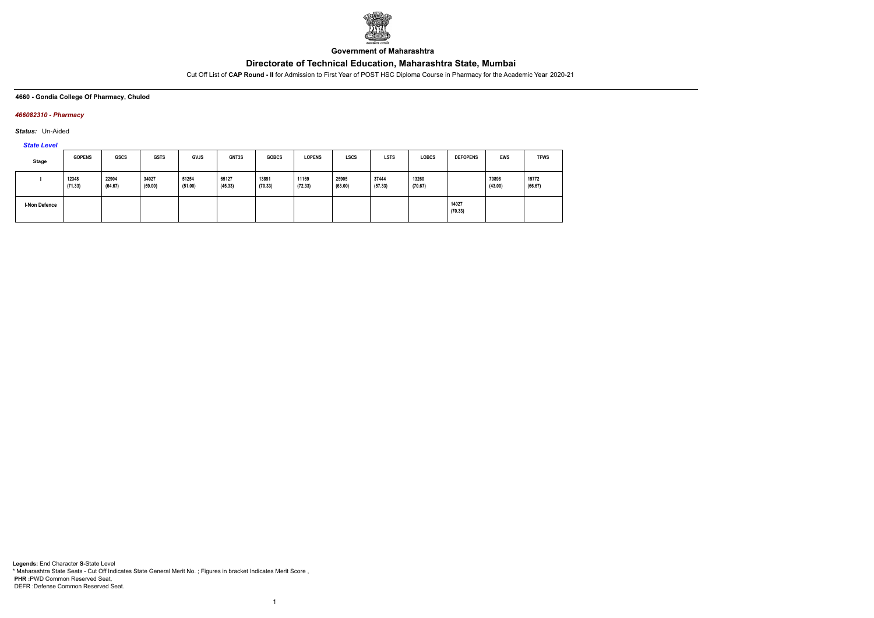

**Government of Maharashtra**

Cut Off List of **CAP Round - II** for Admission to First Year of POST HSC Diploma Course in Pharmacy for the Academic Year 2020-21

### **4660 - Gondia College Of Pharmacy, Chulod**

## *466082310 - Pharmacy*

*Status:* Un-Aided

*State Level*

| Stage                | <b>GOPENS</b>    | <b>GSCS</b>      | <b>GSTS</b>      | <b>GVJS</b>      | GNT3S            | <b>GOBCS</b>     | <b>LOPENS</b>    | <b>LSCS</b>      | <b>LSTS</b>      | <b>LOBCS</b>     | <b>DEFOPENS</b>  | <b>EWS</b>       | <b>TFWS</b>      |
|----------------------|------------------|------------------|------------------|------------------|------------------|------------------|------------------|------------------|------------------|------------------|------------------|------------------|------------------|
|                      | 12348<br>(71.33) | 22904<br>(64.67) | 34027<br>(59.00) | 51254<br>(51.00) | 65127<br>(45.33) | 13891<br>(70.33) | 11169<br>(72.33) | 25905<br>(63.00) | 37444<br>(57.33) | 13260<br>(70.67) |                  | 70898<br>(43.00) | 19772<br>(66.67) |
| <b>I-Non Defence</b> |                  |                  |                  |                  |                  |                  |                  |                  |                  |                  | 14027<br>(70.33) |                  |                  |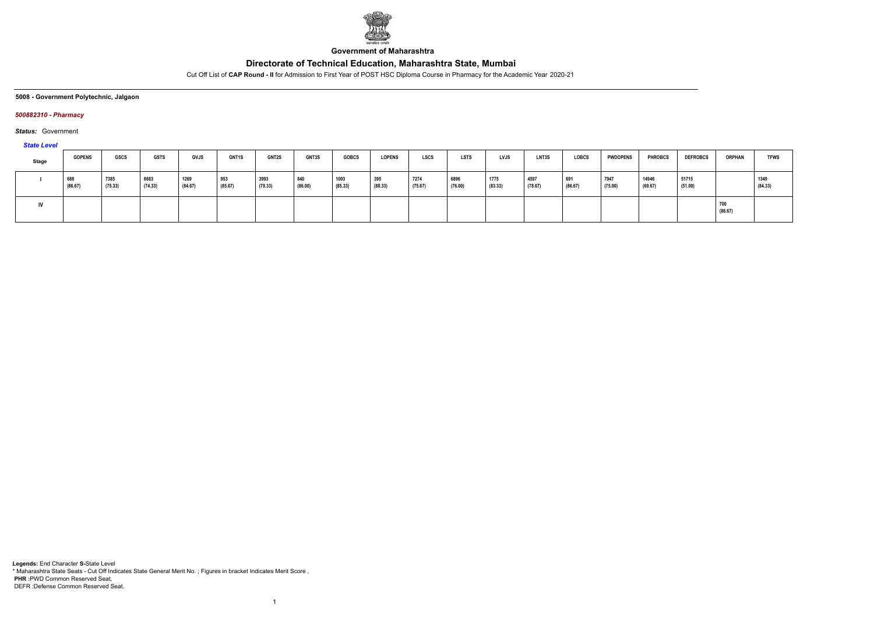

**Government of Maharashtra**

Cut Off List of **CAP Round - II** for Admission to First Year of POST HSC Diploma Course in Pharmacy for the Academic Year 2020-21

**5008 - Government Polytechnic, Jalgaon**

## *500882310 - Pharmacy*

*Status:* Government

### *State Level*

| <b>Stage</b> | <b>GOPENS</b>  | GSCS            | <b>GSTS</b>     | <b>GVJS</b>     | <b>GNT1S</b>   | <b>GNT2S</b>       | GNT3S          | <b>GOBCS</b>    | <b>LOPENS</b>  | <b>LSCS</b>     | <b>LSTS</b>     | <b>LVJS</b>     | LNT3S           | <b>LOBCS</b>   | <b>PWDOPENS</b> | <b>PHROBCS</b>   | <b>DEFROBCS</b>  | <b>ORPHAN</b>  | <b>TFWS</b>     |
|--------------|----------------|-----------------|-----------------|-----------------|----------------|--------------------|----------------|-----------------|----------------|-----------------|-----------------|-----------------|-----------------|----------------|-----------------|------------------|------------------|----------------|-----------------|
|              | 688<br>(86.67) | 7385<br>(75.33) | 8683<br>(74.33) | 1269<br>(84.67) | 953<br>(85.67) | $ 3993$<br>(79.33) | 840<br>(86.00) | 1003<br>(85.33) | 395<br>(88.33) | 7274<br>(75.67) | 6896<br>(76.00) | 1775<br>(83.33) | 4597<br>(78.67) | 691<br>(86.67) | 7947<br>(75.00) | 14946<br>(69.67) | 51715<br>(51.00) |                | 1349<br>(84.33) |
| IV           |                |                 |                 |                 |                |                    |                |                 |                |                 |                 |                 |                 |                |                 |                  |                  | 700<br>(86.67) |                 |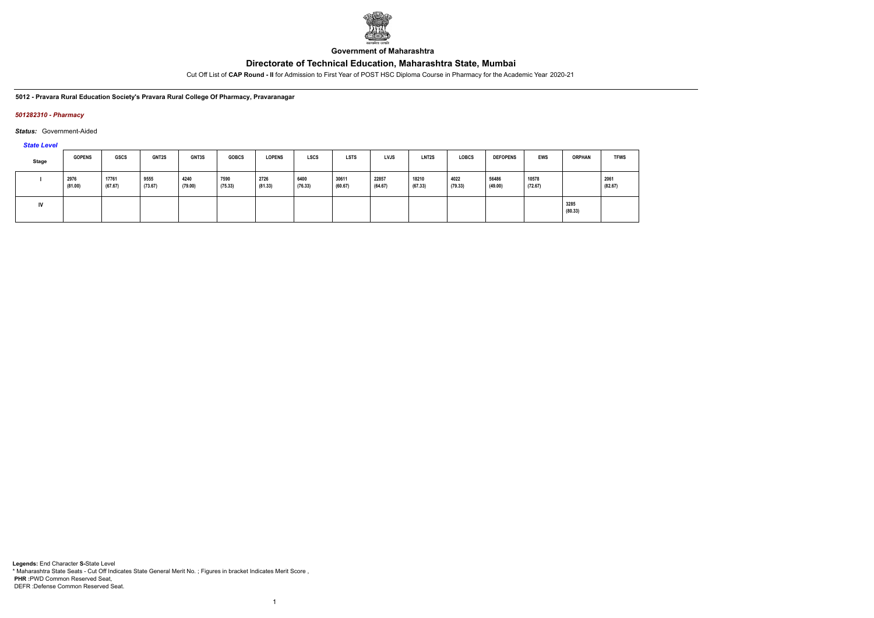

**Government of Maharashtra**

Cut Off List of **CAP Round - II** for Admission to First Year of POST HSC Diploma Course in Pharmacy for the Academic Year 2020-21

**5012 - Pravara Rural Education Society's Pravara Rural College Of Pharmacy, Pravaranagar**

### *501282310 - Pharmacy*

### *Status:* Government-Aided

### *State Level*

| Stage | <b>GOPENS</b>   | <b>GSCS</b>      | <b>GNT2S</b>    | GNT3S           | <b>GOBCS</b>    | <b>LOPENS</b>   | <b>LSCS</b>     | <b>LSTS</b>      | <b>LVJS</b>      | <b>LNT2S</b>     | <b>LOBCS</b>    | <b>DEFOPENS</b>  | <b>EWS</b>       | <b>ORPHAN</b>   | <b>TFWS</b>     |
|-------|-----------------|------------------|-----------------|-----------------|-----------------|-----------------|-----------------|------------------|------------------|------------------|-----------------|------------------|------------------|-----------------|-----------------|
|       | 2976<br>(81.00) | 17761<br>(67.67) | 9555<br>(73.67) | 4240<br>(79.00) | 7590<br>(75.33) | 2726<br>(81.33) | 6400<br>(76.33) | 30611<br>(60.67) | 22857<br>(64.67) | 18210<br>(67.33) | 4022<br>(79.33) | 56486<br>(49.00) | 10578<br>(72.67) |                 | 2061<br>(82.67) |
|       |                 |                  |                 |                 |                 |                 |                 |                  |                  |                  |                 |                  |                  | 3285<br>(80.33) |                 |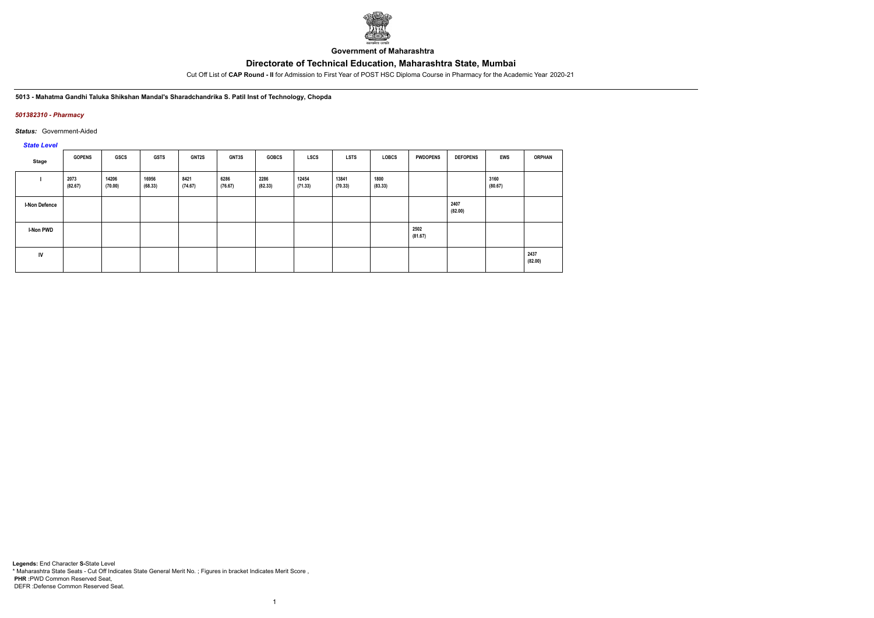

**Government of Maharashtra**

Cut Off List of **CAP Round - II** for Admission to First Year of POST HSC Diploma Course in Pharmacy for the Academic Year 2020-21

**5013 - Mahatma Gandhi Taluka Shikshan Mandal's Sharadchandrika S. Patil Inst of Technology, Chopda**

### *501382310 - Pharmacy*

*Status:* Government-Aided

### *State Level*

| Stage                | <b>GOPENS</b>   | <b>GSCS</b>      | <b>GSTS</b>      | GNT2S           | GNT3S           | <b>GOBCS</b>    | <b>LSCS</b>      | LSTS             | <b>LOBCS</b>    | <b>PWDOPENS</b> | <b>DEFOPENS</b> | <b>EWS</b>      | <b>ORPHAN</b>   |
|----------------------|-----------------|------------------|------------------|-----------------|-----------------|-----------------|------------------|------------------|-----------------|-----------------|-----------------|-----------------|-----------------|
|                      | 2073<br>(82.67) | 14206<br>(70.00) | 16956<br>(68.33) | 8421<br>(74.67) | 6286<br>(76.67) | 2286<br>(82.33) | 12454<br>(71.33) | 13841<br>(70.33) | 1800<br>(83.33) |                 |                 | 3160<br>(80.67) |                 |
| <b>I-Non Defence</b> |                 |                  |                  |                 |                 |                 |                  |                  |                 |                 | 2407<br>(82.00) |                 |                 |
| <b>I-Non PWD</b>     |                 |                  |                  |                 |                 |                 |                  |                  |                 | 2502<br>(81.67) |                 |                 |                 |
| IV                   |                 |                  |                  |                 |                 |                 |                  |                  |                 |                 |                 |                 | 2437<br>(82.00) |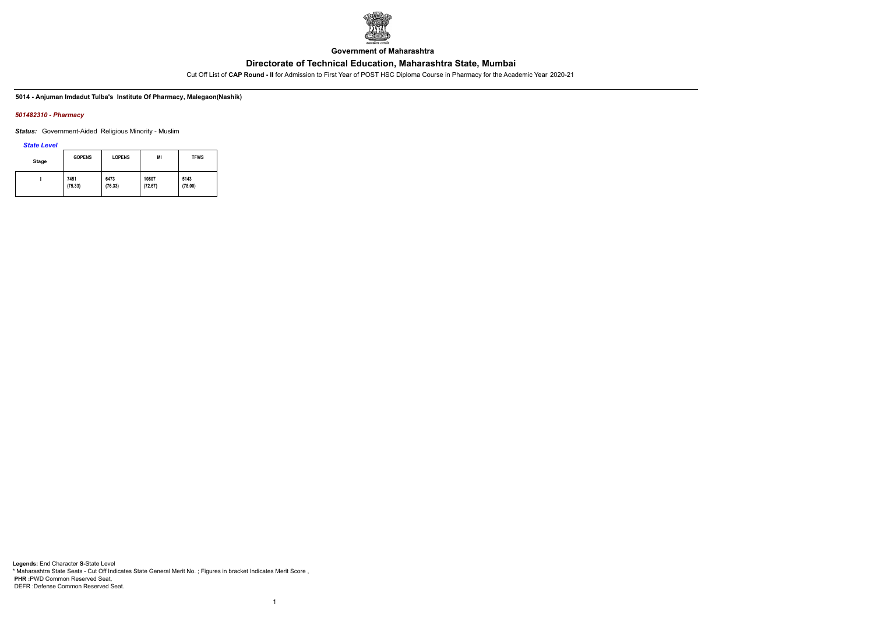

**Government of Maharashtra**

Cut Off List of **CAP Round - II** for Admission to First Year of POST HSC Diploma Course in Pharmacy for the Academic Year 2020-21

### **5014 - Anjuman Imdadut Tulba's Institute Of Pharmacy, Malegaon(Nashik)**

### *501482310 - Pharmacy*

*Status:* Government-Aided Religious Minority - Muslim

*State Level*

| Stage | <b>GOPENS</b> | <b>LOPENS</b> | MI      | <b>TFWS</b> |
|-------|---------------|---------------|---------|-------------|
|       | 7451          | 6473          | 10807   | 5143        |
|       | (75.33)       | (76.33)       | (72.67) | (78.00)     |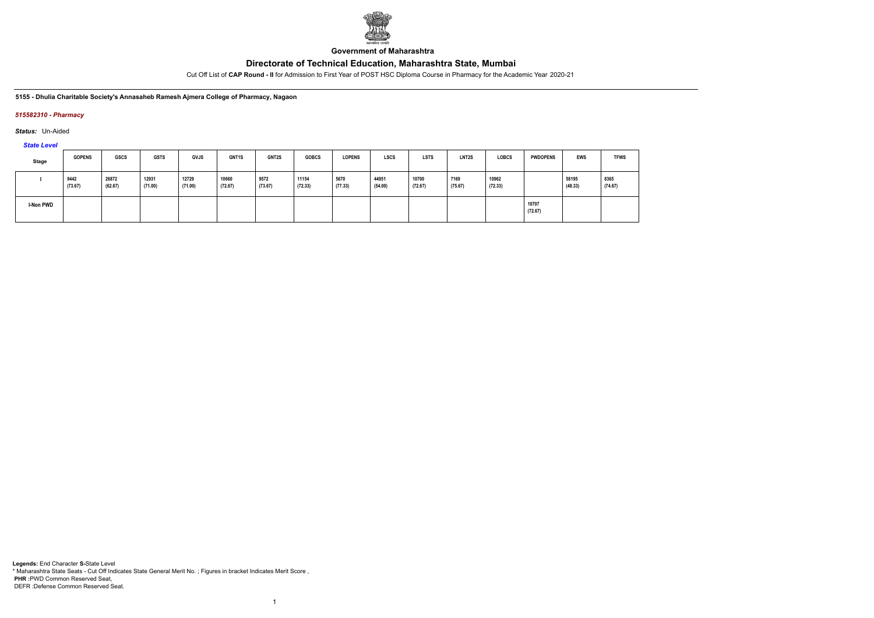

**Government of Maharashtra**

Cut Off List of **CAP Round - II** for Admission to First Year of POST HSC Diploma Course in Pharmacy for the Academic Year 2020-21

**5155 - Dhulia Charitable Society's Annasaheb Ramesh Ajmera College of Pharmacy, Nagaon**

### *515582310 - Pharmacy*

*Status:* Un-Aided

*State Level*

| <b>Stage</b> | <b>GOPENS</b>   | GSCS             | <b>GSTS</b>      | <b>GVJS</b>      | GNT1S            | <b>GNT2S</b>    | <b>GOBCS</b>     | <b>LOPENS</b>   | <b>LSCS</b>      | <b>LSTS</b>      | LNT2S           | <b>LOBCS</b>     | <b>PWDOPENS</b>  | <b>EWS</b>       | <b>TFWS</b>     |
|--------------|-----------------|------------------|------------------|------------------|------------------|-----------------|------------------|-----------------|------------------|------------------|-----------------|------------------|------------------|------------------|-----------------|
|              | 9442<br>(73.67) | 26872<br>(62.67) | 12931<br>(71.00) | 12729<br>(71.00) | 10660<br>(72.67) | 9572<br>(73.67) | 11154<br>(72.33) | 5670<br>(77.33) | 44951<br>(54.00) | 10700<br>(72.67) | 7169<br>(75.67) | 10962<br>(72.33) |                  | 58195<br>(48.33) | 8365<br>(74.67) |
| I-Non PWD    |                 |                  |                  |                  |                  |                 |                  |                 |                  |                  |                 |                  | 10707<br>(72.67) |                  |                 |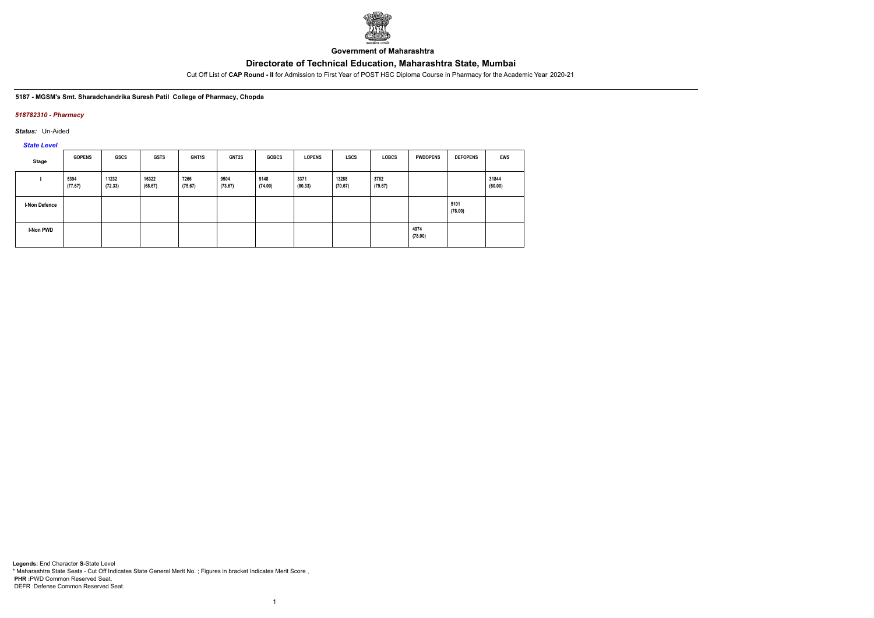

**Government of Maharashtra**

Cut Off List of **CAP Round - II** for Admission to First Year of POST HSC Diploma Course in Pharmacy for the Academic Year 2020-21

### **5187 - MGSM's Smt. Sharadchandrika Suresh Patil College of Pharmacy, Chopda**

### *518782310 - Pharmacy*

*Status:* Un-Aided

*State Level*

| Stage         | <b>GOPENS</b>   | GSCS             | <b>GSTS</b>      | GNT1S           | <b>GNT2S</b>    | <b>GOBCS</b>    | <b>LOPENS</b>   | <b>LSCS</b>      | <b>LOBCS</b>    | <b>PWDOPENS</b> | <b>DEFOPENS</b> | EWS              |
|---------------|-----------------|------------------|------------------|-----------------|-----------------|-----------------|-----------------|------------------|-----------------|-----------------|-----------------|------------------|
|               | 5394<br>(77.67) | 11232<br>(72.33) | 16322<br>(68.67) | 7266<br>(75.67) | 9504<br>(73.67) | 9148<br>(74.00) | 3371<br>(80.33) | 13288<br>(70.67) | 3782<br>(79.67) |                 |                 | 31844<br>(60.00) |
| I-Non Defence |                 |                  |                  |                 |                 |                 |                 |                  |                 |                 | 5101<br>(78.00) |                  |
| I-Non PWD     |                 |                  |                  |                 |                 |                 |                 |                  |                 | 4974<br>(78.00) |                 |                  |

1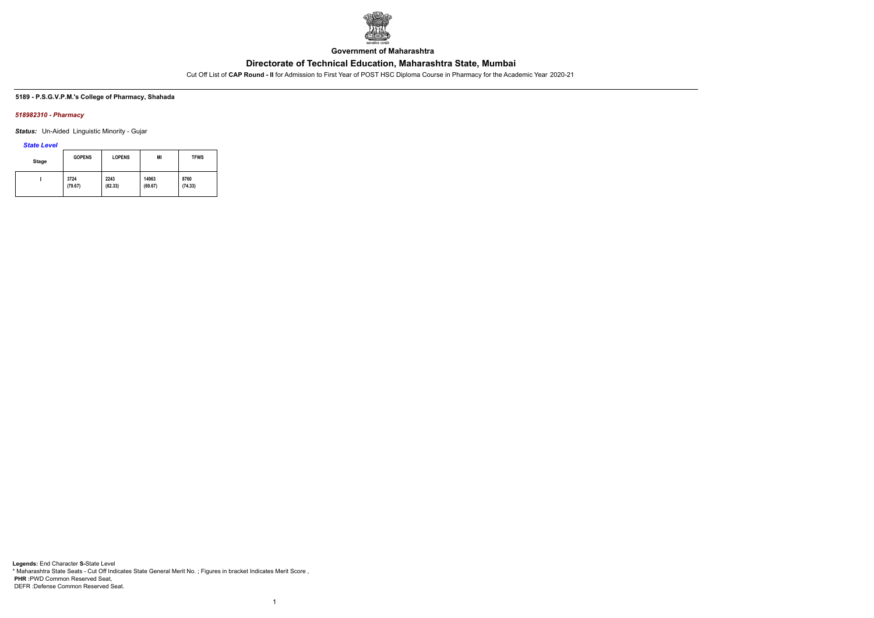

**Government of Maharashtra**

Cut Off List of **CAP Round - II** for Admission to First Year of POST HSC Diploma Course in Pharmacy for the Academic Year 2020-21

### **5189 - P.S.G.V.P.M.'s College of Pharmacy, Shahada**

### *518982310 - Pharmacy*

*Status:* Un-Aided Linguistic Minority - Gujar

### *State Level*

| <b>Stage</b> | <b>GOPENS</b> | <b>LOPENS</b> | MI      | <b>TFWS</b> |
|--------------|---------------|---------------|---------|-------------|
|              | 3724          | 2243          | 14963   | 8760        |
|              | (79.67)       | (82.33)       | (69.67) | (74.33)     |

1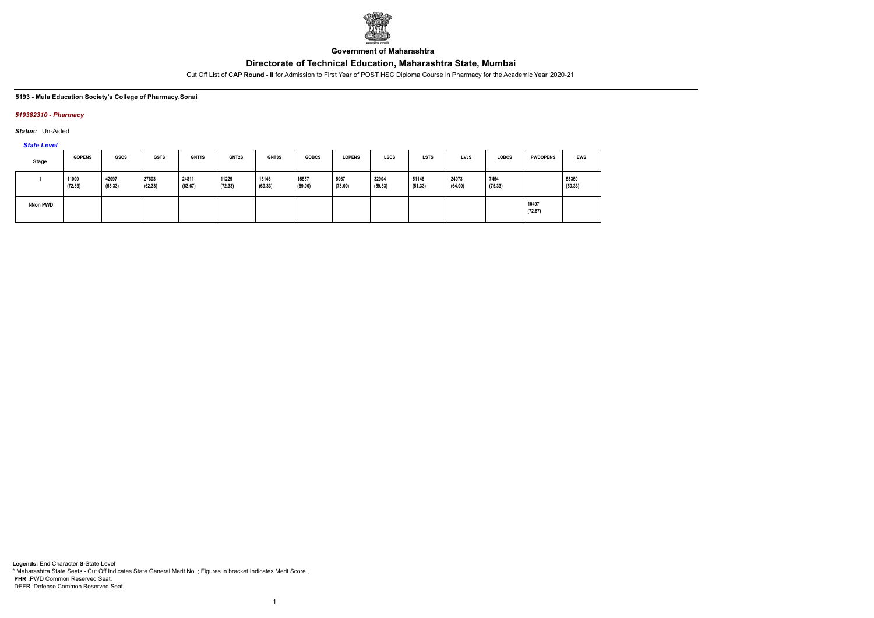

**Government of Maharashtra**

Cut Off List of **CAP Round - II** for Admission to First Year of POST HSC Diploma Course in Pharmacy for the Academic Year 2020-21

### **5193 - Mula Education Society's College of Pharmacy.Sonai**

### *519382310 - Pharmacy*

*Status:* Un-Aided

*State Level*

| Stage     | <b>GOPENS</b>    | <b>GSCS</b>      | <b>GSTS</b>      | GNT <sub>1</sub> S | <b>GNT2S</b>     | GNT3S            | <b>GOBCS</b>     | <b>LOPENS</b>   | <b>LSCS</b>      | <b>LSTS</b>      | <b>LVJS</b>      | <b>LOBCS</b>    | <b>PWDOPENS</b>  | <b>EWS</b>       |
|-----------|------------------|------------------|------------------|--------------------|------------------|------------------|------------------|-----------------|------------------|------------------|------------------|-----------------|------------------|------------------|
|           | 11000<br>(72.33) | 42097<br>(55.33) | 27603<br>(62.33) | 24811<br>(63.67)   | 11229<br>(72.33) | 15146<br>(69.33) | 15557<br>(69.00) | 5067<br>(78.00) | 32904<br>(59.33) | 51146<br>(51.33) | 24073<br>(64.00) | 7454<br>(75.33) |                  | 53350<br>(50.33) |
| I-Non PWD |                  |                  |                  |                    |                  |                  |                  |                 |                  |                  |                  |                 | 10497<br>(72.67) |                  |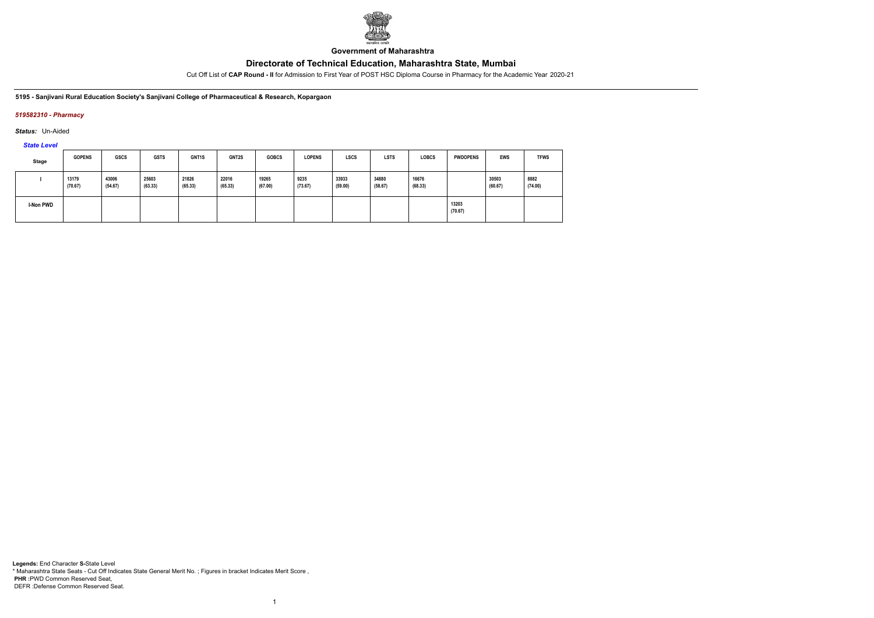

**Government of Maharashtra**

Cut Off List of **CAP Round - II** for Admission to First Year of POST HSC Diploma Course in Pharmacy for the Academic Year 2020-21

#### **5195 - Sanjivani Rural Education Society's Sanjivani College of Pharmaceutical & Research, Kopargaon**

### *519582310 - Pharmacy*

*Status:* Un-Aided

*State Level*

| Stage     | <b>GOPENS</b>    | <b>GSCS</b>      | <b>GSTS</b>      | GNT <sub>1</sub> S | <b>GNT2S</b>     | <b>GOBCS</b>     | <b>LOPENS</b>   | <b>LSCS</b>      | <b>LSTS</b>      | <b>LOBCS</b>     | <b>PWDOPENS</b>  | <b>EWS</b>       | <b>TFWS</b>     |
|-----------|------------------|------------------|------------------|--------------------|------------------|------------------|-----------------|------------------|------------------|------------------|------------------|------------------|-----------------|
|           | 13179<br>(70.67) | 43006<br>(54.67) | 25603<br>(63.33) | 21826<br>(65.33)   | 22016<br>(65.33) | 19265<br>(67.00) | 9235<br>(73.67) | 33933<br>(59.00) | 34880<br>(58.67) | 16676<br>(68.33) |                  | 30503<br>(60.67) | 8882<br>(74.00) |
| I-Non PWD |                  |                  |                  |                    |                  |                  |                 |                  |                  |                  | 13203<br>(70.67) |                  |                 |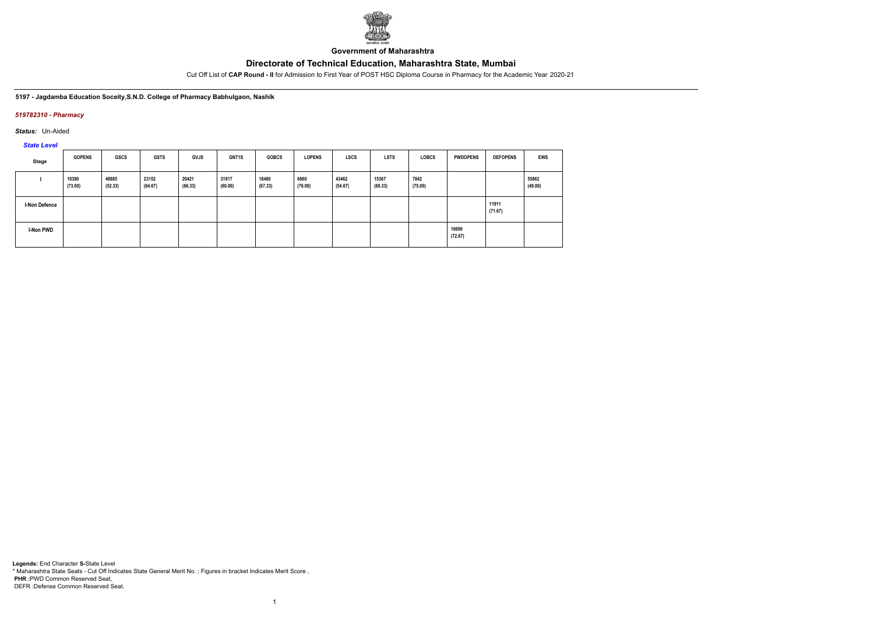

**Government of Maharashtra**

Cut Off List of **CAP Round - II** for Admission to First Year of POST HSC Diploma Course in Pharmacy for the Academic Year 2020-21

**5197 - Jagdamba Education Soceity,S.N.D. College of Pharmacy Babhulgaon, Nashik**

### *519782310 - Pharmacy*

*Status:* Un-Aided

*State Level*

| <b>Stage</b>         | <b>GOPENS</b>    | GSCS             | <b>GSTS</b>      | <b>GVJS</b>      | <b>GNT1S</b>     | <b>GOBCS</b>     | <b>LOPENS</b>   | <b>LSCS</b>      | <b>LSTS</b>      | <b>LOBCS</b>    | <b>PWDOPENS</b>  | <b>DEFOPENS</b>  | <b>EWS</b>       |
|----------------------|------------------|------------------|------------------|------------------|------------------|------------------|-----------------|------------------|------------------|-----------------|------------------|------------------|------------------|
|                      | 10390<br>(73.00) | 48885<br>(52.33) | 23152<br>(64.67) | 20421<br>(66.33) | 31817<br>(60.00) | 18480<br>(67.33) | 6860<br>(76.00) | 43462<br>(54.67) | 15367<br>(69.33) | 7842<br>(75.00) |                  |                  | 55862<br>(49.00) |
| <b>I-Non Defence</b> |                  |                  |                  |                  |                  |                  |                 |                  |                  |                 |                  | 11911<br>(71.67) |                  |
| I-Non PWD            |                  |                  |                  |                  |                  |                  |                 |                  |                  |                 | 10699<br>(72.67) |                  |                  |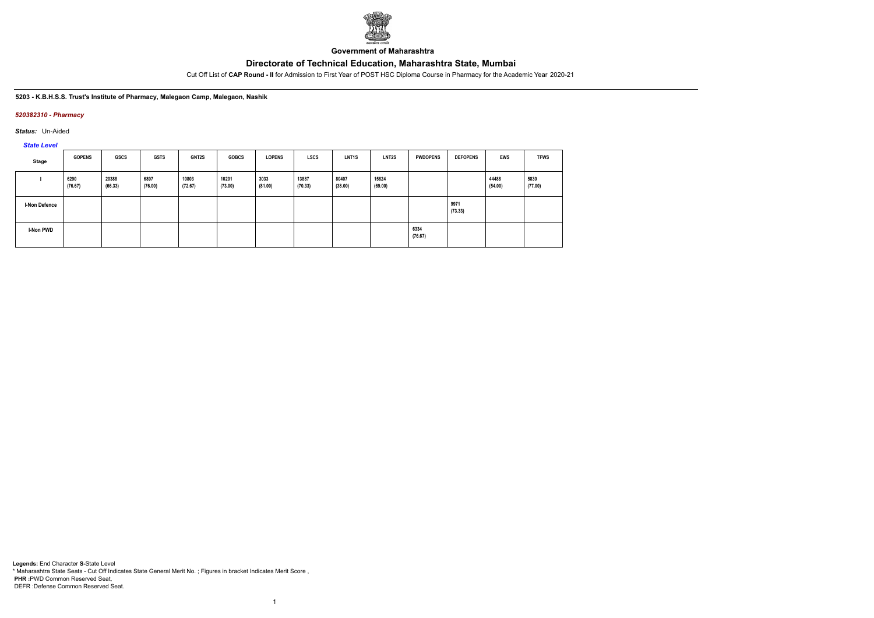

**Government of Maharashtra**

Cut Off List of **CAP Round - II** for Admission to First Year of POST HSC Diploma Course in Pharmacy for the Academic Year 2020-21

#### **5203 - K.B.H.S.S. Trust's Institute of Pharmacy, Malegaon Camp, Malegaon, Nashik**

#### *520382310 - Pharmacy*

*Status:* Un-Aided

*State Level*

| Stage                | <b>GOPENS</b>   | GSCS             | <b>GSTS</b>     | <b>GNT2S</b>     | <b>GOBCS</b>     | <b>LOPENS</b>   | <b>LSCS</b>      | <b>LNT1S</b>     | LNT2S            | <b>PWDOPENS</b> | <b>DEFOPENS</b> | <b>EWS</b>       | <b>TFWS</b>     |
|----------------------|-----------------|------------------|-----------------|------------------|------------------|-----------------|------------------|------------------|------------------|-----------------|-----------------|------------------|-----------------|
|                      | 6290<br>(76.67) | 20388<br>(66.33) | 6897<br>(76.00) | 10803<br>(72.67) | 10201<br>(73.00) | 3033<br>(81.00) | 13887<br>(70.33) | 80407<br>(38.00) | 15824<br>(69.00) |                 |                 | 44488<br>(54.00) | 5830<br>(77.00) |
| <b>I-Non Defence</b> |                 |                  |                 |                  |                  |                 |                  |                  |                  |                 | 9971<br>(73.33) |                  |                 |
| I-Non PWD            |                 |                  |                 |                  |                  |                 |                  |                  |                  | 6334<br>(76.67) |                 |                  |                 |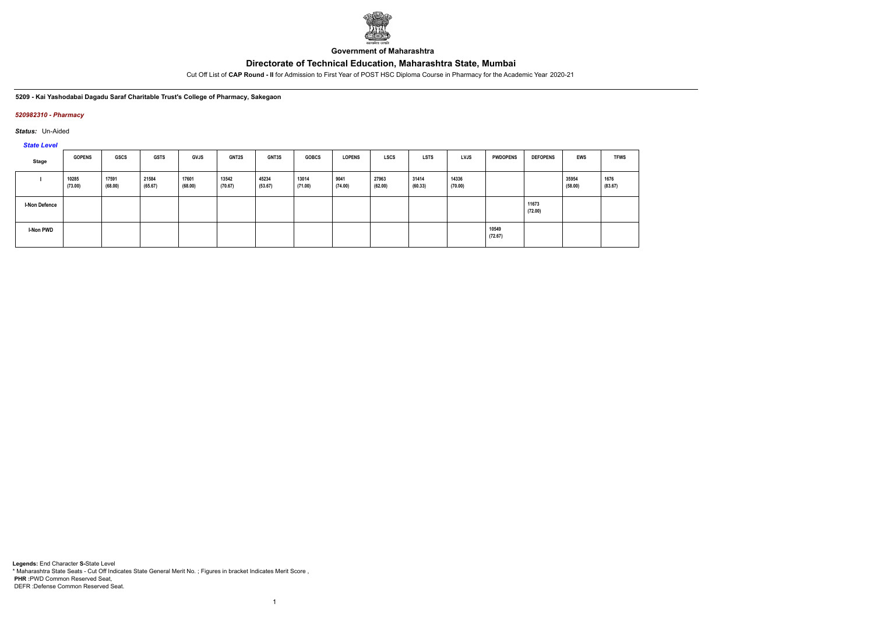

**Government of Maharashtra**

Cut Off List of **CAP Round - II** for Admission to First Year of POST HSC Diploma Course in Pharmacy for the Academic Year 2020-21

**5209 - Kai Yashodabai Dagadu Saraf Charitable Trust's College of Pharmacy, Sakegaon**

### *520982310 - Pharmacy*

*Status:* Un-Aided

*State Level*

| Stage                | <b>GOPENS</b>    | GSCS             | <b>GSTS</b>      | <b>GVJS</b>      | <b>GNT2S</b>     | GNT3S            | <b>GOBCS</b>     | <b>LOPENS</b>   | <b>LSCS</b>      | <b>LSTS</b>      | <b>LVJS</b>      | <b>PWDOPENS</b>  | <b>DEFOPENS</b>  | EWS              | <b>TFWS</b>     |
|----------------------|------------------|------------------|------------------|------------------|------------------|------------------|------------------|-----------------|------------------|------------------|------------------|------------------|------------------|------------------|-----------------|
|                      | 10285<br>(73.00) | 17591<br>(68.00) | 21584<br>(65.67) | 17601<br>(68.00) | 13542<br>(70.67) | 45234<br>(53.67) | 13014<br>(71.00) | 9041<br>(74.00) | 27963<br>(62.00) | 31414<br>(60.33) | 14336<br>(70.00) |                  |                  | 35954<br>(58.00) | 1676<br>(83.67) |
| <b>I-Non Defence</b> |                  |                  |                  |                  |                  |                  |                  |                 |                  |                  |                  |                  | 11673<br>(72.00) |                  |                 |
| I-Non PWD            |                  |                  |                  |                  |                  |                  |                  |                 |                  |                  |                  | 10549<br>(72.67) |                  |                  |                 |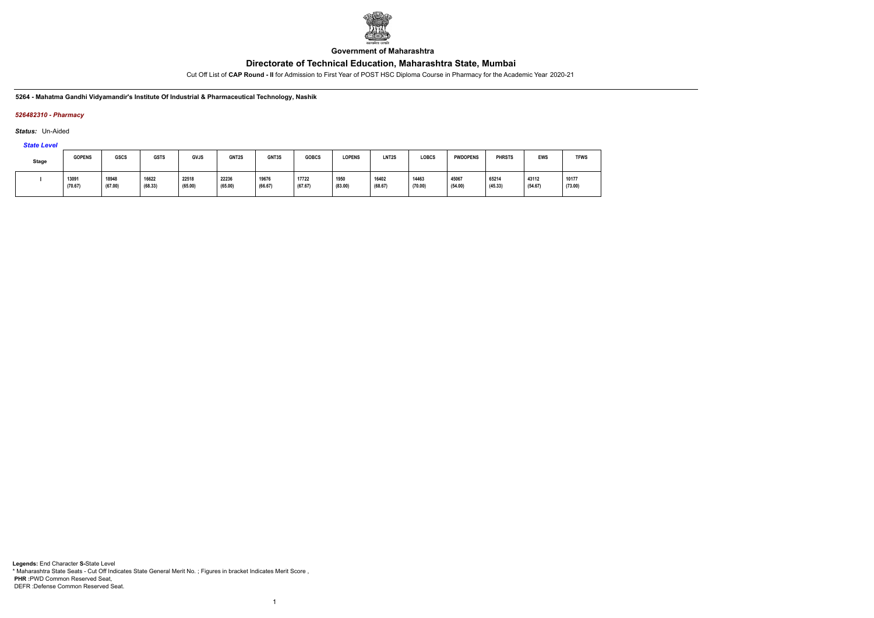

**Government of Maharashtra**

Cut Off List of **CAP Round - II** for Admission to First Year of POST HSC Diploma Course in Pharmacy for the Academic Year 2020-21

#### **5264 - Mahatma Gandhi Vidyamandir's Institute Of Industrial & Pharmaceutical Technology, Nashik**

### *526482310 - Pharmacy*

*Status:* Un-Aided

*State Level*

| <b>Stage</b> | <b>GOPENS</b>    | <b>GSCS</b>      | <b>GSTS</b>      | <b>GVJS</b>      | GNT2S            | GNT3S            | <b>GOBCS</b>     | <b>LOPENS</b>   | LNT <sub>2</sub> S | LOBCS            | <b>PWDOPENS</b>  | <b>PHRSTS</b>    | <b>EWS</b>       | <b>TFWS</b>      |
|--------------|------------------|------------------|------------------|------------------|------------------|------------------|------------------|-----------------|--------------------|------------------|------------------|------------------|------------------|------------------|
|              | 13091<br>(70.67) | 18948<br>(67.00) | 16622<br>(68.33) | 22518<br>(65.00) | 22236<br>(65.00) | 19676<br>(66.67) | 17722<br>(67.67) | 1950<br>(83.00) | 16402<br>(68.67)   | 14463<br>(70.00) | 45067<br>(54.00) | 65214<br>(45.33) | 43112<br>(54.67) | 10177<br>(73.00) |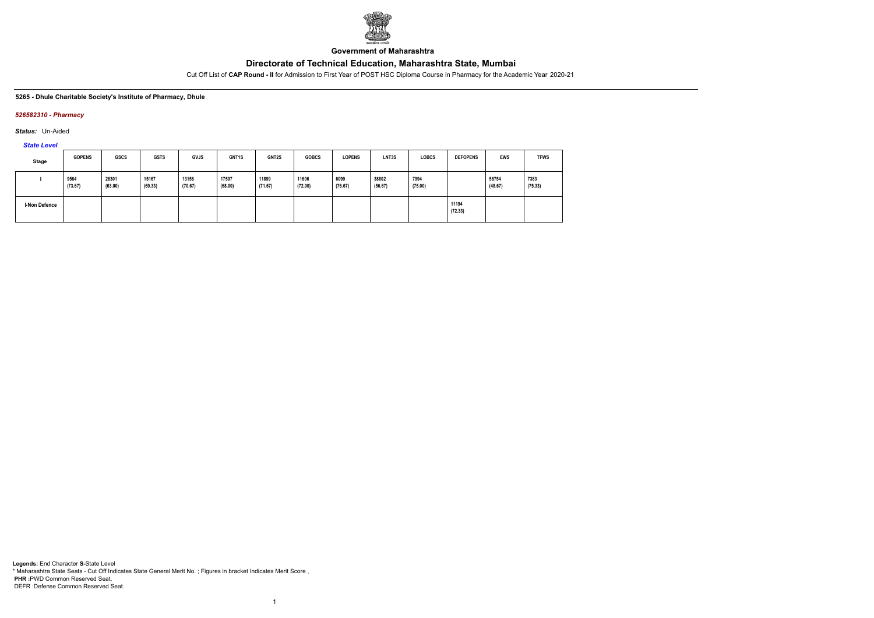

**Government of Maharashtra**

Cut Off List of **CAP Round - II** for Admission to First Year of POST HSC Diploma Course in Pharmacy for the Academic Year 2020-21

#### **5265 - Dhule Charitable Society's Institute of Pharmacy, Dhule**

#### *526582310 - Pharmacy*

*Status:* Un-Aided

# *State Level*

| Stage         | <b>GOPENS</b>   | <b>GSCS</b>      | <b>GSTS</b>      | <b>GVJS</b>      | GNT1S            | GNT2S            | <b>GOBCS</b>     | <b>LOPENS</b>   | LNT3S            | <b>LOBCS</b>    | <b>DEFOPENS</b>  | <b>EWS</b>       | <b>TFWS</b>     |
|---------------|-----------------|------------------|------------------|------------------|------------------|------------------|------------------|-----------------|------------------|-----------------|------------------|------------------|-----------------|
|               | 9564<br>(73.67) | 26301<br>(63.00) | 15167<br>(69.33) | 13156<br>(70.67) | 17597<br>(68.00) | 11899<br>(71.67) | 11606<br>(72.00) | 6099<br>(76.67) | 38802<br>(56.67) | 7994<br>(75.00) |                  | 56754<br>(48.67) | 7383<br>(75.33) |
| I-Non Defence |                 |                  |                  |                  |                  |                  |                  |                 |                  |                 | 11194<br>(72.33) |                  |                 |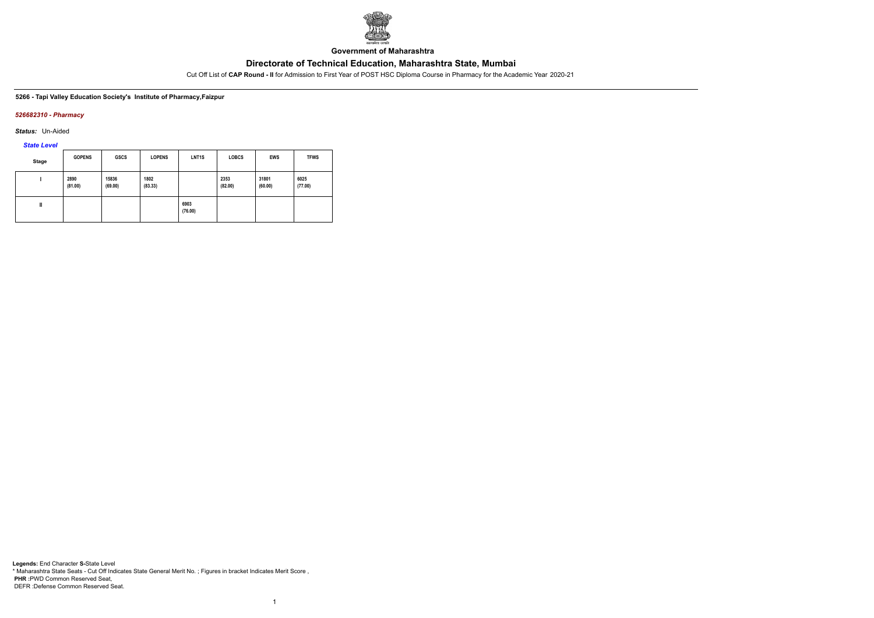

**Government of Maharashtra**

Cut Off List of **CAP Round - II** for Admission to First Year of POST HSC Diploma Course in Pharmacy for the Academic Year 2020-21

**5266 - Tapi Valley Education Society's Institute of Pharmacy,Faizpur**

### *526682310 - Pharmacy*

*Status:* Un-Aided

*State Level*

| Stage | <b>GOPENS</b>   | GSCS             | <b>LOPENS</b>   | LNT <sub>1</sub> S | <b>LOBCS</b>    | <b>EWS</b>       | <b>TFWS</b>     |
|-------|-----------------|------------------|-----------------|--------------------|-----------------|------------------|-----------------|
|       | 2890<br>(81.00) | 15836<br>(69.00) | 1802<br>(83.33) |                    | 2353<br>(82.00) | 31801<br>(60.00) | 6025<br>(77.00) |
| Ш     |                 |                  |                 | 6903<br>(76.00)    |                 |                  |                 |

1

**Legends:** End Character **S-**State Level \* Maharashtra State Seats - Cut Off Indicates State General Merit No. ; Figures in bracket Indicates Merit Score , **PHR :**PWD Common Reserved Seat, DEFR :Defense Common Reserved Seat.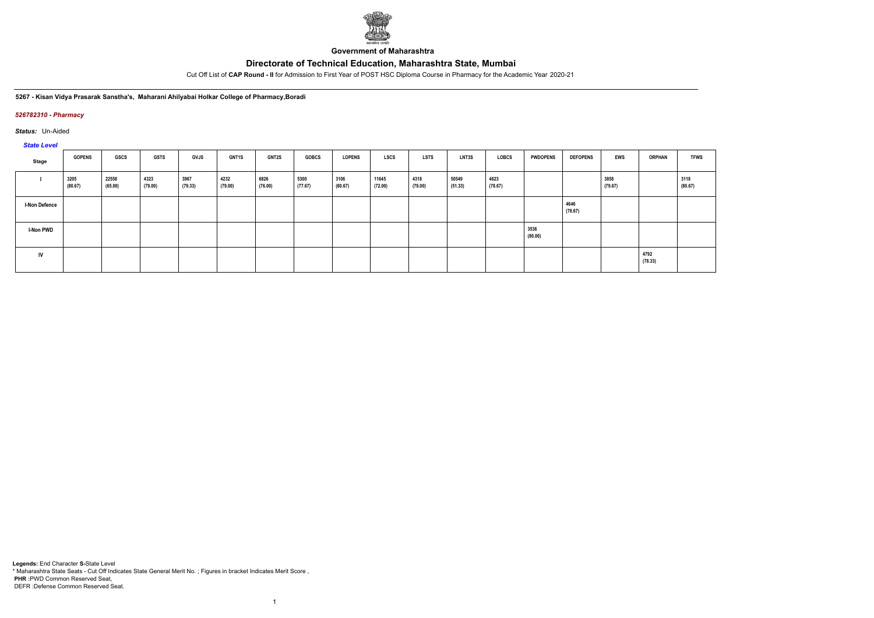

**Government of Maharashtra**

Cut Off List of **CAP Round - II** for Admission to First Year of POST HSC Diploma Course in Pharmacy for the Academic Year 2020-21

**5267 - Kisan Vidya Prasarak Sanstha's, Maharani Ahilyabai Holkar College of Pharmacy,Boradi**

### *526782310 - Pharmacy*

*Status:* Un-Aided

### *State Level*

| $\frac{1}{2}$        |                 |                  |                 |                 |                 |                 |                 |                 |                  |                 |                  |                 |                 |                 |                 |                 |                 |
|----------------------|-----------------|------------------|-----------------|-----------------|-----------------|-----------------|-----------------|-----------------|------------------|-----------------|------------------|-----------------|-----------------|-----------------|-----------------|-----------------|-----------------|
| Stage                | <b>GOPENS</b>   | <b>GSCS</b>      | <b>GSTS</b>     | <b>GVJS</b>     | GNT1S           | <b>GNT2S</b>    | <b>GOBCS</b>    | <b>LOPENS</b>   | <b>LSCS</b>      | LSTS            | LNT3S            | LOBCS           | <b>PWDOPENS</b> | <b>DEFOPENS</b> | <b>EWS</b>      | <b>ORPHAN</b>   | <b>TFWS</b>     |
|                      | 3205<br>(80.67) | 22558<br>(65.00) | 4323<br>(79.00) | 3967<br>(79.33) | 4232<br>(79.00) | 6826<br>(76.00) | 5300<br>(77.67) | 3106<br>(80.67) | 11645<br>(72.00) | 4318<br>(79.00) | 50549<br>(51.33) | 4623<br>(78.67) |                 |                 | 3858<br>(79.67) |                 | 3118<br>(80.67) |
| <b>I-Non Defence</b> |                 |                  |                 |                 |                 |                 |                 |                 |                  |                 |                  |                 |                 | 4646<br>(78.67) |                 |                 |                 |
| <b>I-Non PWD</b>     |                 |                  |                 |                 |                 |                 |                 |                 |                  |                 |                  |                 | 3536<br>(80.00) |                 |                 |                 |                 |
| IV                   |                 |                  |                 |                 |                 |                 |                 |                 |                  |                 |                  |                 |                 |                 |                 | 4792<br>(78.33) |                 |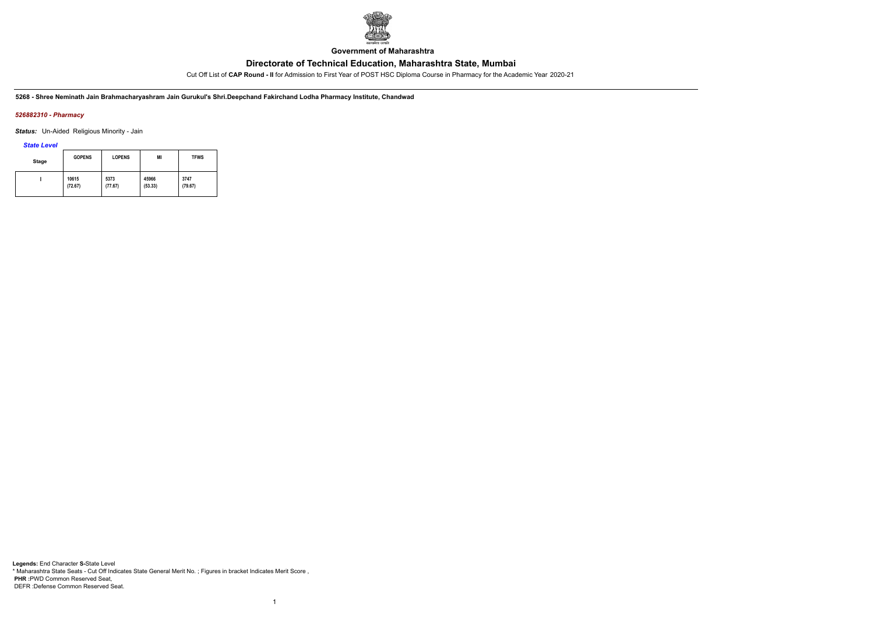

**Government of Maharashtra**

Cut Off List of **CAP Round - II** for Admission to First Year of POST HSC Diploma Course in Pharmacy for the Academic Year 2020-21

**5268 - Shree Neminath Jain Brahmacharyashram Jain Gurukul's Shri.Deepchand Fakirchand Lodha Pharmacy Institute, Chandwad**

### *526882310 - Pharmacy*

*Status:* Un-Aided Religious Minority - Jain

*State Level*

| Stage | <b>GOPENS</b> | <b>LOPENS</b> | MI      | <b>TFWS</b> |
|-------|---------------|---------------|---------|-------------|
|       | 10615         | 5373          | 45966   | 3747        |
|       | (72.67)       | (77.67)       | (53.33) | (79.67)     |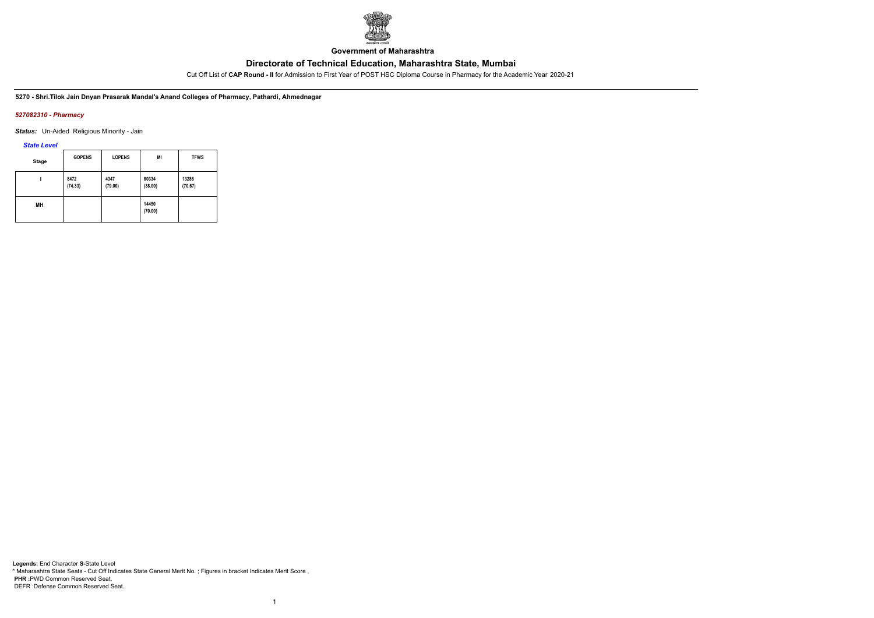

**Government of Maharashtra**

Cut Off List of **CAP Round - II** for Admission to First Year of POST HSC Diploma Course in Pharmacy for the Academic Year 2020-21

**5270 - Shri.Tilok Jain Dnyan Prasarak Mandal's Anand Colleges of Pharmacy, Pathardi, Ahmednagar**

### *527082310 - Pharmacy*

*Status:* Un-Aided Religious Minority - Jain

*State Level*

| <b>Stage</b> | <b>GOPENS</b>   | <b>LOPENS</b>   | MI               | <b>TFWS</b>      |
|--------------|-----------------|-----------------|------------------|------------------|
|              | 8472<br>(74.33) | 4347<br>(79.00) | 80334<br>(38.00) | 13286<br>(70.67) |
| MН           |                 |                 | 14450<br>(70.00) |                  |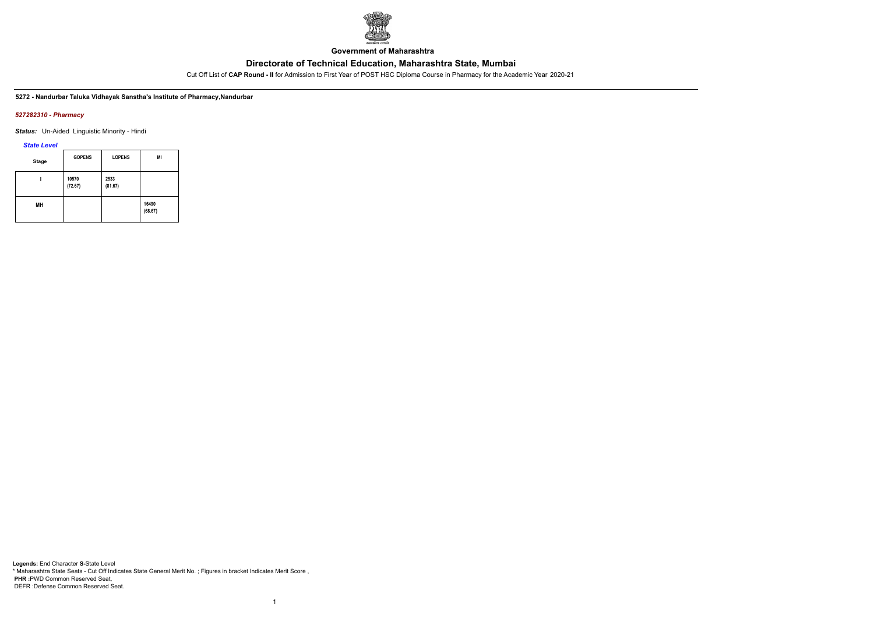

**Government of Maharashtra**

Cut Off List of **CAP Round - II** for Admission to First Year of POST HSC Diploma Course in Pharmacy for the Academic Year 2020-21

**5272 - Nandurbar Taluka Vidhayak Sanstha's Institute of Pharmacy,Nandurbar**

#### *527282310 - Pharmacy*

*Status:* Un-Aided Linguistic Minority - Hindi

*State Level*

| <b>Stage</b> | <b>GOPENS</b>    | <b>LOPENS</b>   | MI               |
|--------------|------------------|-----------------|------------------|
|              | 10570<br>(72.67) | 2533<br>(81.67) |                  |
| MН           |                  |                 | 16490<br>(68.67) |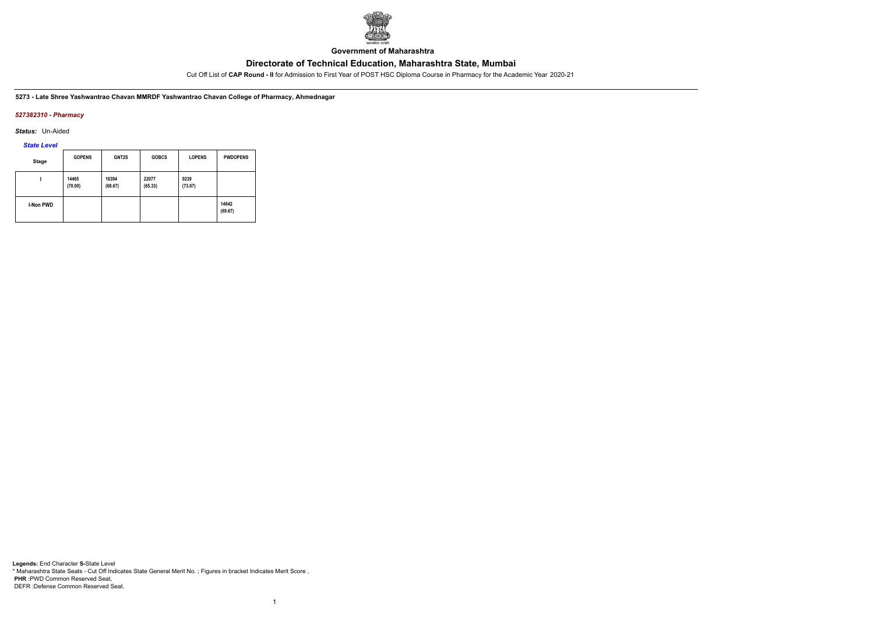

**Government of Maharashtra**

Cut Off List of **CAP Round - II** for Admission to First Year of POST HSC Diploma Course in Pharmacy for the Academic Year 2020-21

**5273 - Late Shree Yashwantrao Chavan MMRDF Yashwantrao Chavan College of Pharmacy, Ahmednagar**

### *527382310 - Pharmacy*

*Status:* Un-Aided

*State Level*

| Stage            | <b>GOPENS</b>    | GNT2S            | <b>GOBCS</b>     | <b>LOPENS</b>   | <b>PWDOPENS</b>  |
|------------------|------------------|------------------|------------------|-----------------|------------------|
|                  | 14465<br>(70.00) | 16394<br>(68.67) | 22077<br>(65.33) | 9239<br>(73.67) |                  |
| <b>I-Non PWD</b> |                  |                  |                  |                 | 14642<br>(69.67) |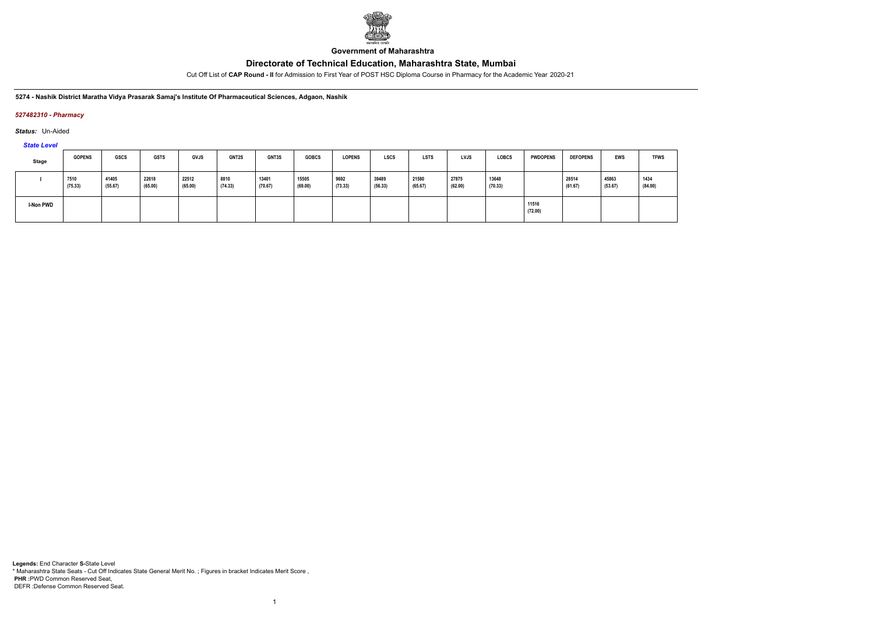

**Government of Maharashtra**

Cut Off List of **CAP Round - II** for Admission to First Year of POST HSC Diploma Course in Pharmacy for the Academic Year 2020-21

#### **5274 - Nashik District Maratha Vidya Prasarak Samaj's Institute Of Pharmaceutical Sciences, Adgaon, Nashik**

### *527482310 - Pharmacy*

*Status:* Un-Aided

# *State Level*

| Stage            | <b>GOPENS</b>   | GSCS             | <b>GSTS</b>      | <b>GVJS</b>      | <b>GNT2S</b>    | GNT3S            | <b>GOBCS</b>     | <b>LOPENS</b>   | <b>LSCS</b>      | <b>LSTS</b>      | <b>LVJS</b>      | <b>LOBCS</b>     | <b>PWDOPENS</b>  | <b>DEFOPENS</b>  | <b>EWS</b>       | <b>TFWS</b>     |
|------------------|-----------------|------------------|------------------|------------------|-----------------|------------------|------------------|-----------------|------------------|------------------|------------------|------------------|------------------|------------------|------------------|-----------------|
|                  | 7510<br>(75.33) | 41405<br>(55.67) | 22618<br>(65.00) | 22512<br>(65.00) | 8810<br>(74.33) | 13401<br>(70.67) | 15505<br>(69.00) | 9692<br>(73.33) | 39489<br>(56.33) | 21580<br>(65.67) | 27875<br>(62.00) | 13648<br>(70.33) |                  | 28514<br>(61.67) | 45863<br>(53.67) | 1434<br>(84.00) |
| <b>I-Non PWD</b> |                 |                  |                  |                  |                 |                  |                  |                 |                  |                  |                  |                  | 11516<br>(72.00) |                  |                  |                 |

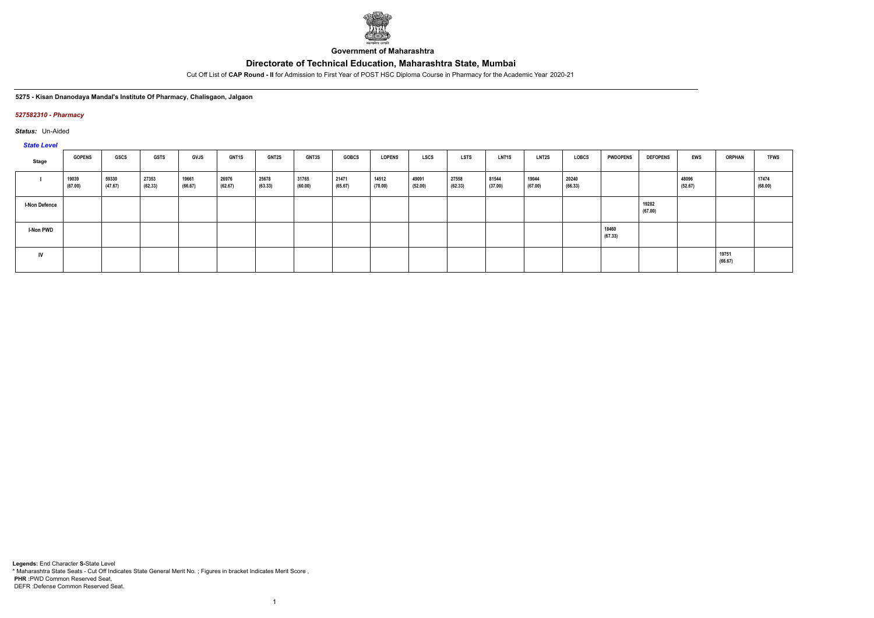

**Government of Maharashtra**

Cut Off List of **CAP Round - II** for Admission to First Year of POST HSC Diploma Course in Pharmacy for the Academic Year 2020-21

#### **5275 - Kisan Dnanodaya Mandal's Institute Of Pharmacy, Chalisgaon, Jalgaon**

#### *527582310 - Pharmacy*

*Status:* Un-Aided

*State Level*

| Stage                | <b>GOPENS</b>    | <b>GSCS</b>      | <b>GSTS</b>      | <b>GVJS</b>      | <b>GNT1S</b>     | <b>GNT2S</b>     | <b>GNT3S</b>     | <b>GOBCS</b>     | <b>LOPENS</b>    | <b>LSCS</b>      | <b>LSTS</b>      | LNT1S            | <b>LNT2S</b>     | <b>LOBCS</b>     | <b>PWDOPENS</b>  | <b>DEFOPENS</b>  | <b>EWS</b>       | <b>ORPHAN</b>    | <b>TFWS</b>      |
|----------------------|------------------|------------------|------------------|------------------|------------------|------------------|------------------|------------------|------------------|------------------|------------------|------------------|------------------|------------------|------------------|------------------|------------------|------------------|------------------|
|                      | 19039<br>(67.00) | 59330<br>(47.67) | 27353<br>(62.33) | 19661<br>(66.67) | 26976<br>(62.67) | 25678<br>(63.33) | 31765<br>(60.00) | 21471<br>(65.67) | 14512<br>(70.00) | 49091<br>(52.00) | 27558<br>(62.33) | 81544<br>(37.00) | 19044<br>(67.00) | 20240<br>(66.33) |                  |                  | 48096<br>(52.67) |                  | 17474<br>(68.00) |
| <b>I-Non Defence</b> |                  |                  |                  |                  |                  |                  |                  |                  |                  |                  |                  |                  |                  |                  |                  | 19282<br>(67.00) |                  |                  |                  |
| <b>I-Non PWD</b>     |                  |                  |                  |                  |                  |                  |                  |                  |                  |                  |                  |                  |                  |                  | 18460<br>(67.33) |                  |                  |                  |                  |
| IV                   |                  |                  |                  |                  |                  |                  |                  |                  |                  |                  |                  |                  |                  |                  |                  |                  |                  | 19751<br>(66.67) |                  |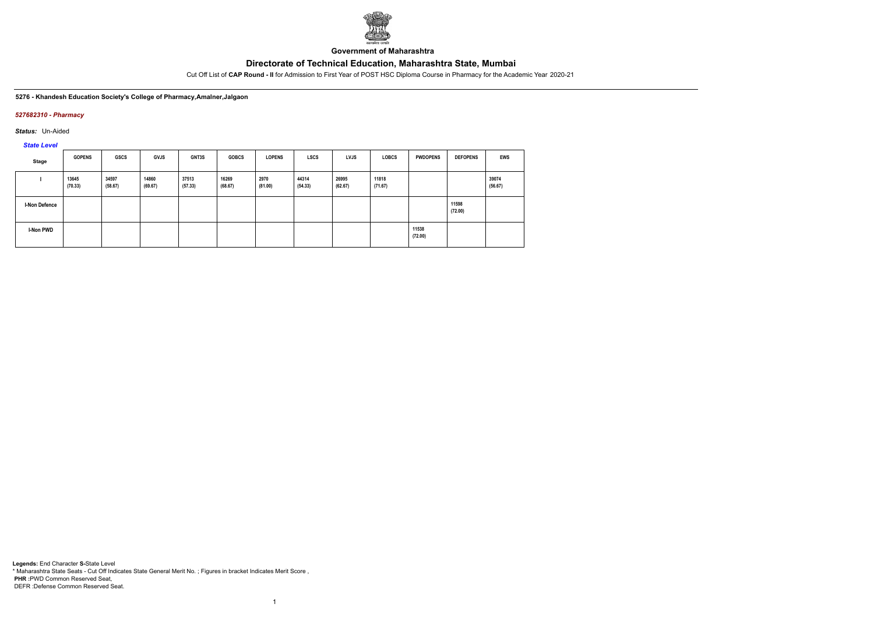

**Government of Maharashtra**

Cut Off List of **CAP Round - II** for Admission to First Year of POST HSC Diploma Course in Pharmacy for the Academic Year 2020-21

#### **5276 - Khandesh Education Society's College of Pharmacy,Amalner,Jalgaon**

### *527682310 - Pharmacy*

*Status:* Un-Aided

*State Level*

| Stage                | <b>GOPENS</b>    | GSCS             | GVJS             | <b>GNT3S</b>     | <b>GOBCS</b>     | <b>LOPENS</b>   | <b>LSCS</b>      | <b>LVJS</b>      | <b>LOBCS</b>     | <b>PWDOPENS</b>  | <b>DEFOPENS</b>  | EWS              |
|----------------------|------------------|------------------|------------------|------------------|------------------|-----------------|------------------|------------------|------------------|------------------|------------------|------------------|
|                      | 13645<br>(70.33) | 34597<br>(58.67) | 14860<br>(69.67) | 37513<br>(57.33) | 16269<br>(68.67) | 2970<br>(81.00) | 44314<br>(54.33) | 26995<br>(62.67) | 11818<br>(71.67) |                  |                  | 39074<br>(56.67) |
| <b>I-Non Defence</b> |                  |                  |                  |                  |                  |                 |                  |                  |                  |                  | 11598<br>(72.00) |                  |
| <b>I-Non PWD</b>     |                  |                  |                  |                  |                  |                 |                  |                  |                  | 11538<br>(72.00) |                  |                  |

1

**Legends:** End Character **S-**State Level \* Maharashtra State Seats - Cut Off Indicates State General Merit No. ; Figures in bracket Indicates Merit Score , **PHR :**PWD Common Reserved Seat, DEFR :Defense Common Reserved Seat.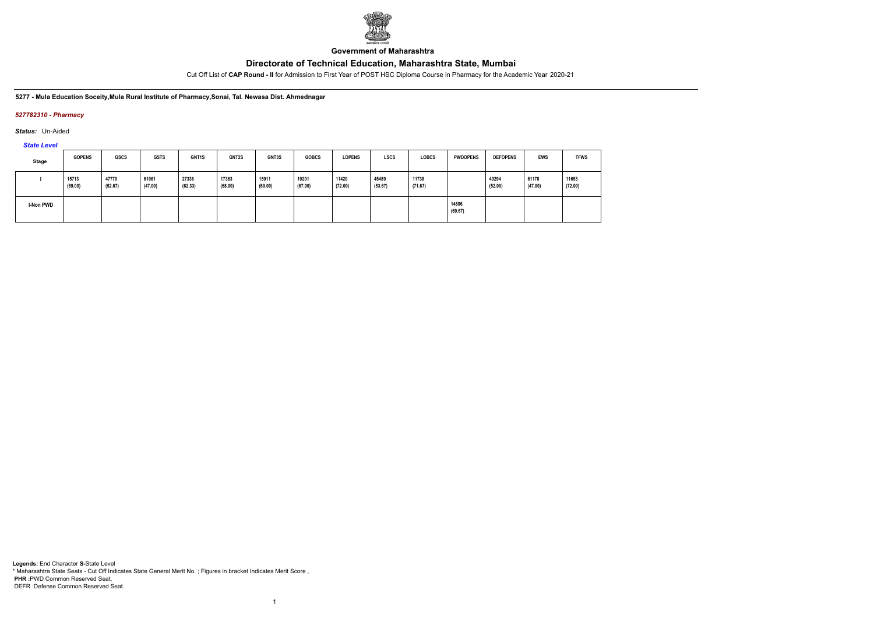

**Government of Maharashtra**

Cut Off List of **CAP Round - II** for Admission to First Year of POST HSC Diploma Course in Pharmacy for the Academic Year 2020-21

#### **5277 - Mula Education Soceity,Mula Rural Institute of Pharmacy,Sonai, Tal. Newasa Dist. Ahmednagar**

### *527782310 - Pharmacy*

*Status:* Un-Aided

# *State Level*

| Stage     | <b>GOPENS</b>    | <b>GSCS</b>      | <b>GSTS</b>      | <b>GNT1S</b>     | <b>GNT2S</b>     | GNT3S            | <b>GOBCS</b>     | <b>LOPENS</b>    | <b>LSCS</b>      | <b>LOBCS</b>     | <b>PWDOPENS</b>  | <b>DEFOPENS</b>  | <b>EWS</b>       | <b>TFWS</b>      |
|-----------|------------------|------------------|------------------|------------------|------------------|------------------|------------------|------------------|------------------|------------------|------------------|------------------|------------------|------------------|
|           | 15713<br>(69.00) | 47770<br>(52.67) | 61061<br>(47.00) | 27336<br>(62.33) | 17363<br>(68.00) | 15911<br>(69.00) | 19201<br>(67.00) | 11420<br>(72.00) | 45489<br>(53.67) | 11738<br>(71.67) |                  | 49294<br>(52.00) | 61178<br>(47.00) | 11653<br>(72.00) |
| I-Non PWD |                  |                  |                  |                  |                  |                  |                  |                  |                  |                  | 14886<br>(69.67) |                  |                  |                  |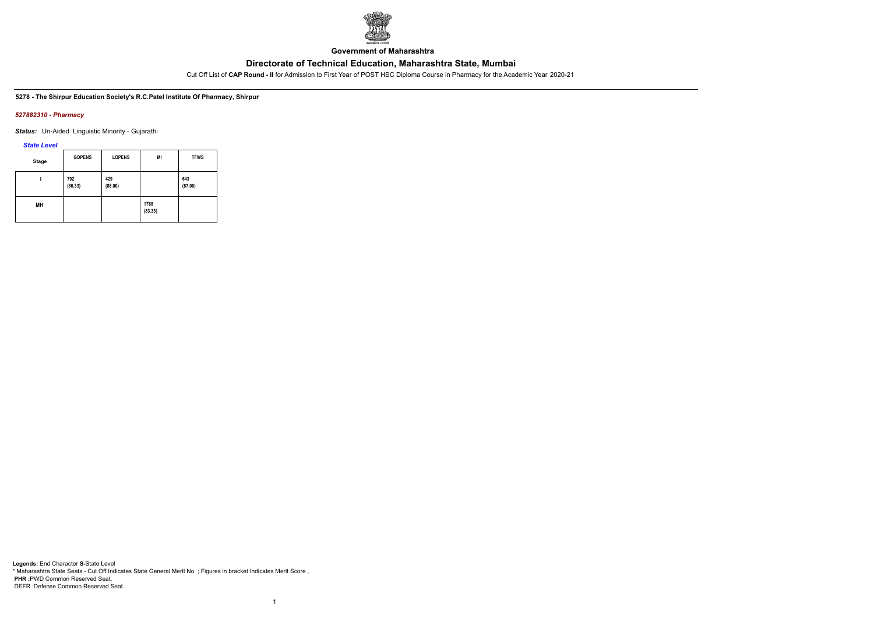

**Government of Maharashtra**

Cut Off List of **CAP Round - II** for Admission to First Year of POST HSC Diploma Course in Pharmacy for the Academic Year 2020-21

**5278 - The Shirpur Education Society's R.C.Patel Institute Of Pharmacy, Shirpur**

#### *527882310 - Pharmacy*

*Status:* Un-Aided Linguistic Minority - Gujarathi

*State Level*

| <b>Stage</b> | <b>GOPENS</b>  | <b>LOPENS</b>  | MI              | <b>TFWS</b>    |
|--------------|----------------|----------------|-----------------|----------------|
|              | 792<br>(86.33) | 429<br>(88.00) |                 | 643<br>(87.00) |
| MН           |                |                | 1788<br>(83.33) |                |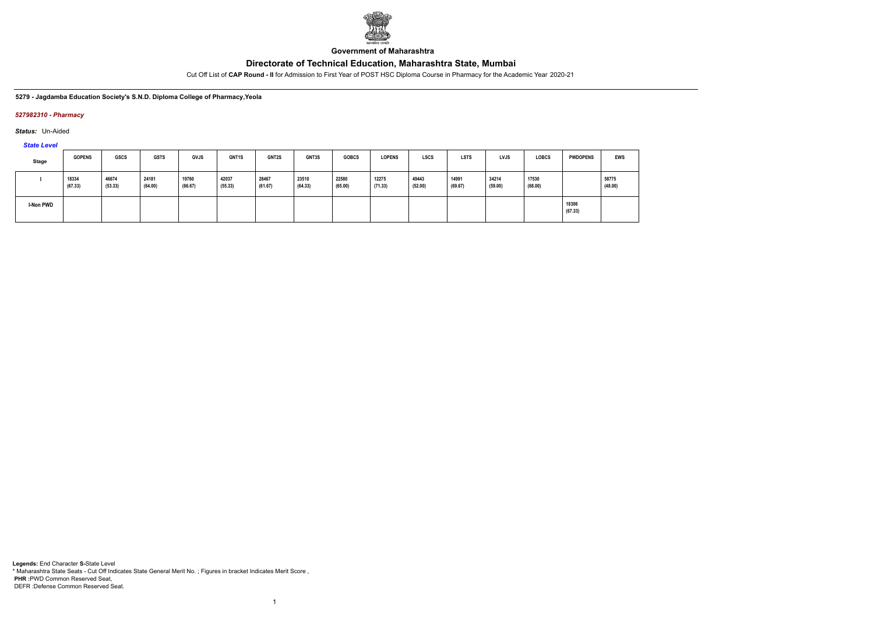

**Government of Maharashtra**

Cut Off List of **CAP Round - II** for Admission to First Year of POST HSC Diploma Course in Pharmacy for the Academic Year 2020-21

**5279 - Jagdamba Education Society's S.N.D. Diploma College of Pharmacy,Yeola**

#### *527982310 - Pharmacy*

*Status:* Un-Aided

*State Level*

| <b>Stage</b> | <b>GOPENS</b>    | GSCS             | <b>GSTS</b>      | <b>GVJS</b>      | <b>GNT1S</b>     | <b>GNT2S</b>     | <b>GNT3S</b>     | <b>GOBCS</b>     | <b>LOPENS</b>    | <b>LSCS</b>      | <b>LSTS</b>      | <b>LVJS</b>      | <b>LOBCS</b>     | <b>PWDOPENS</b>  | EWS              |
|--------------|------------------|------------------|------------------|------------------|------------------|------------------|------------------|------------------|------------------|------------------|------------------|------------------|------------------|------------------|------------------|
|              | 18334<br>(67.33) | 46674<br>(53.33) | 24181<br>(64.00) | 19760<br>(66.67) | 42037<br>(55.33) | 28467<br>(61.67) | 23510<br>(64.33) | 22580<br>(65.00) | 12275<br>(71.33) | 49443<br>(52.00) | 14991<br>(69.67) | 34214<br>(59.00) | 17530<br>(68.00) |                  | 58775<br>(48.00) |
| I-Non PWD    |                  |                  |                  |                  |                  |                  |                  |                  |                  |                  |                  |                  |                  | 18306<br>(67.33) |                  |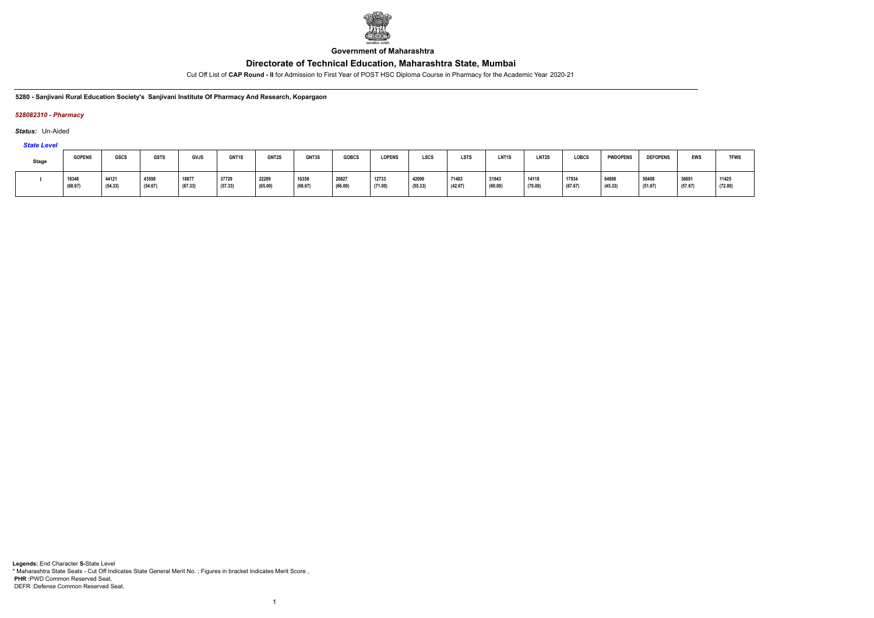

**Government of Maharashtra**

Cut Off List of **CAP Round - II** for Admission to First Year of POST HSC Diploma Course in Pharmacy for the Academic Year 2020-21

#### **5280 - Sanjivani Rural Education Society's Sanjivani Institute Of Pharmacy And Research, Kopargaon**

### *528082310 - Pharmacy*

*Status:* Un-Aided

# *State Level*

| <b>Stage</b> | <b>GOPENS</b>    | GSCS             | <b>GSTS</b>      | GVJS             | GNT1S            | GNT2S            | GNT3S            | <b>GOBCS</b>     | <b>LOPENS</b>    | LSCS             | <b>LSTS</b>      | LNT1S            | LNT <sub>2</sub> S | LOBCS            | <b>PWDOPENS</b>  | <b>DEFOPENS</b>  | <b>EWS</b>       | <b>TFWS</b>      |
|--------------|------------------|------------------|------------------|------------------|------------------|------------------|------------------|------------------|------------------|------------------|------------------|------------------|--------------------|------------------|------------------|------------------|------------------|------------------|
|              | 16348<br>(68.67) | 44121<br>(54.33) | 43598<br>(54.67) | 18677<br>(67.33) | 37729<br>(57.33) | 22289<br>(65.00) | 16358<br>(68.67) | 20827<br>(66.00) | 12733<br>(71.00) | 42096<br>(55.33) | 71483<br>(42.67) | 31943<br>(60.00) | 14118<br>(70.00)   | 17934<br>(67.67) | 64898<br>(45.33) | 50408<br>(51.67) | 36691<br>(57.67) | 11425<br>(72.00) |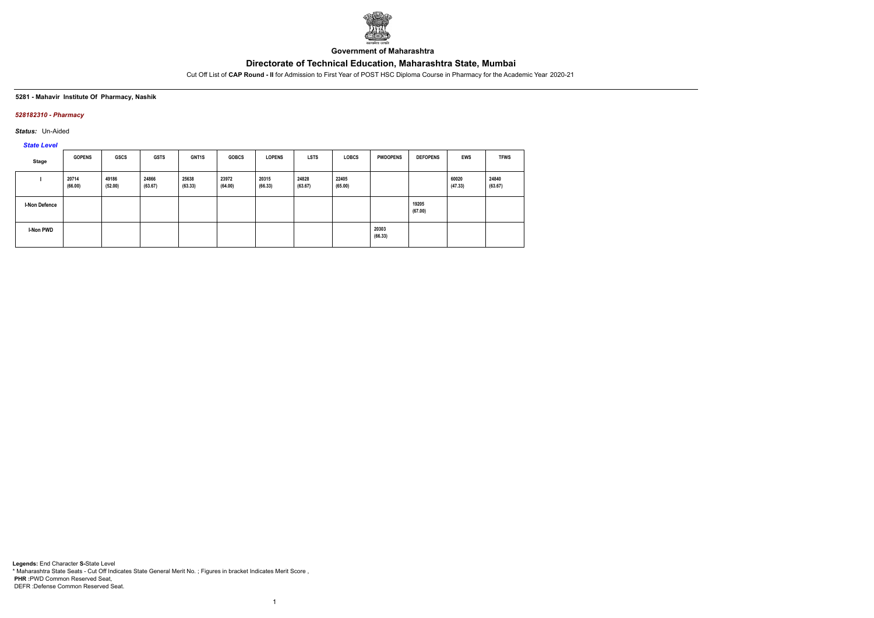

**Government of Maharashtra**

Cut Off List of **CAP Round - II** for Admission to First Year of POST HSC Diploma Course in Pharmacy for the Academic Year 2020-21

#### **5281 - Mahavir Institute Of Pharmacy, Nashik**

### *528182310 - Pharmacy*

*Status:* Un-Aided

# *State Level*

| <b>Stage</b>     | <b>GOPENS</b>    | <b>GSCS</b>      | <b>GSTS</b>      | <b>GNT1S</b>     | <b>GOBCS</b>     | <b>LOPENS</b>    | <b>LSTS</b>      | <b>LOBCS</b>     | <b>PWDOPENS</b>  | <b>DEFOPENS</b>  | EWS              | <b>TFWS</b>      |
|------------------|------------------|------------------|------------------|------------------|------------------|------------------|------------------|------------------|------------------|------------------|------------------|------------------|
|                  | 20714<br>(66.00) | 49186<br>(52.00) | 24866<br>(63.67) | 25638<br>(63.33) | 23972<br>(64.00) | 20315<br>(66.33) | 24828<br>(63.67) | 22405<br>(65.00) |                  |                  | 60020<br>(47.33) | 24840<br>(63.67) |
| I-Non Defence    |                  |                  |                  |                  |                  |                  |                  |                  |                  | 19205<br>(67.00) |                  |                  |
| <b>I-Non PWD</b> |                  |                  |                  |                  |                  |                  |                  |                  | 20303<br>(66.33) |                  |                  |                  |

1

**Legends:** End Character **S-**State Level \* Maharashtra State Seats - Cut Off Indicates State General Merit No. ; Figures in bracket Indicates Merit Score , **PHR :**PWD Common Reserved Seat, DEFR :Defense Common Reserved Seat.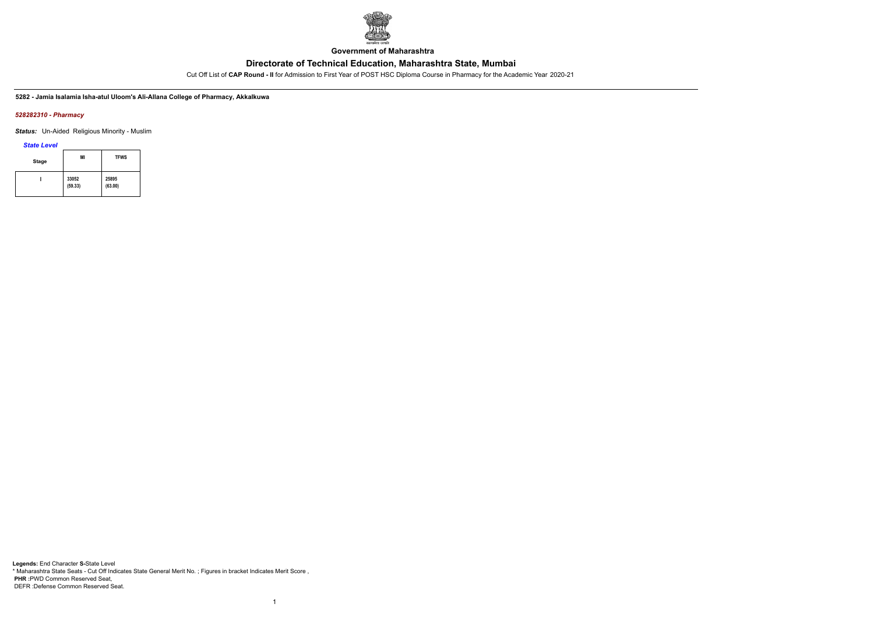

**Government of Maharashtra**

Cut Off List of **CAP Round - II** for Admission to First Year of POST HSC Diploma Course in Pharmacy for the Academic Year 2020-21

**5282 - Jamia Isalamia Isha-atul Uloom's Ali-Allana College of Pharmacy, Akkalkuwa**

#### *528282310 - Pharmacy*

*Status:* Un-Aided Religious Minority - Muslim

*State Level*

| <b>Stage</b> | ΜI               | <b>TFWS</b>      |
|--------------|------------------|------------------|
|              | 33052<br>(59.33) | 25895<br>(63.00) |

1

**Legends:** End Character **S-**State Level \* Maharashtra State Seats - Cut Off Indicates State General Merit No. ; Figures in bracket Indicates Merit Score , **PHR :**PWD Common Reserved Seat, DEFR :Defense Common Reserved Seat.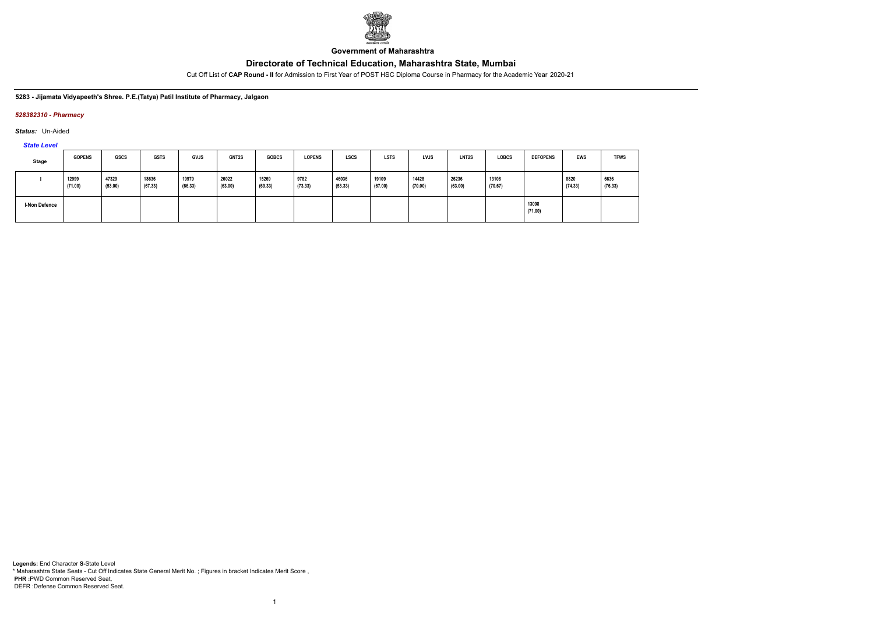

**Government of Maharashtra**

Cut Off List of **CAP Round - II** for Admission to First Year of POST HSC Diploma Course in Pharmacy for the Academic Year 2020-21

#### **5283 - Jijamata Vidyapeeth's Shree. P.E.(Tatya) Patil Institute of Pharmacy, Jalgaon**

### *528382310 - Pharmacy*

*Status:* Un-Aided

*State Level*

| Stage         | <b>GOPENS</b>    | GSCS             | <b>GSTS</b>      | <b>GVJS</b>      | <b>GNT2S</b>     | <b>GOBCS</b>     | <b>LOPENS</b>   | <b>LSCS</b>      | <b>LSTS</b>      | LVJS             | LNT2S            | <b>LOBCS</b>     | <b>DEFOPENS</b>  | <b>EWS</b>      | <b>TFWS</b>     |
|---------------|------------------|------------------|------------------|------------------|------------------|------------------|-----------------|------------------|------------------|------------------|------------------|------------------|------------------|-----------------|-----------------|
|               | 12999<br>(71.00) | 47329<br>(53.00) | 18636<br>(67.33) | 19979<br>(66.33) | 26022<br>(63.00) | 15269<br>(69.33) | 9782<br>(73.33) | 46036<br>(53.33) | 19109<br>(67.00) | 14428<br>(70.00) | 26236<br>(63.00) | 13108<br>(70.67) |                  | 8820<br>(74.33) | 6636<br>(76.33) |
| I-Non Defence |                  |                  |                  |                  |                  |                  |                 |                  |                  |                  |                  |                  | 13008<br>(71.00) |                 |                 |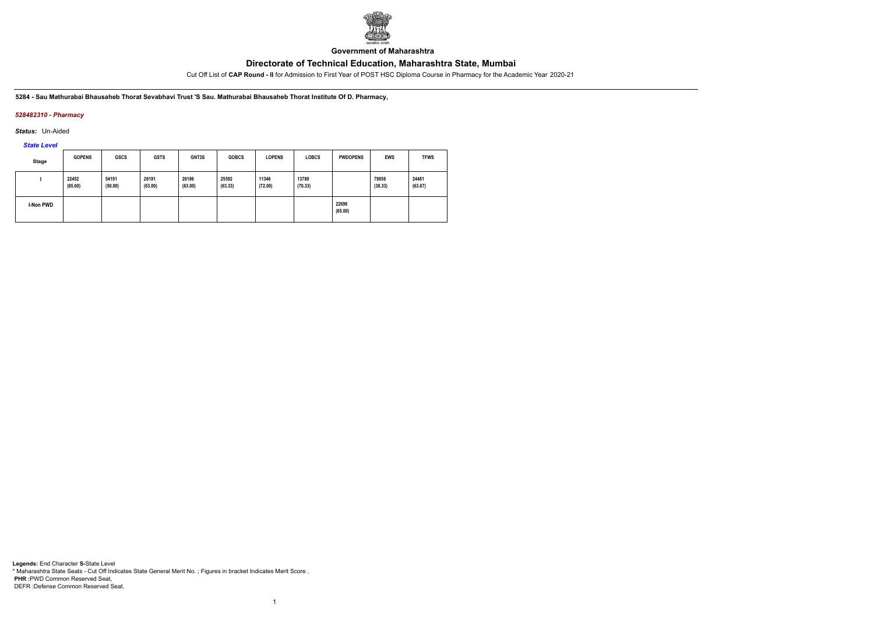

**Government of Maharashtra**

Cut Off List of **CAP Round - II** for Admission to First Year of POST HSC Diploma Course in Pharmacy for the Academic Year 2020-21

**5284 - Sau Mathurabai Bhausaheb Thorat Sevabhavi Trust 'S Sau. Mathurabai Bhausaheb Thorat Institute Of D. Pharmacy,**

### *528482310 - Pharmacy*

*Status:* Un-Aided

*State Level*

| Stage            | <b>GOPENS</b>    | <b>GSCS</b>      | <b>GSTS</b>      | GNT3S            | <b>GOBCS</b>     | <b>LOPENS</b>    | <b>LOBCS</b>     | <b>PWDOPENS</b>  | <b>EWS</b>       | <b>TFWS</b>      |
|------------------|------------------|------------------|------------------|------------------|------------------|------------------|------------------|------------------|------------------|------------------|
|                  | 22452<br>(65.00) | 54191<br>(50.00) | 26191<br>(63.00) | 26196<br>(63.00) | 25592<br>(63.33) | 11346<br>(72.00) | 13780<br>(70.33) |                  | 79856<br>(38.33) | 24481<br>(63.67) |
| <b>I-Non PWD</b> |                  |                  |                  |                  |                  |                  |                  | 22696<br>(65.00) |                  |                  |

1

**Legends:** End Character **S-**State Level \* Maharashtra State Seats - Cut Off Indicates State General Merit No. ; Figures in bracket Indicates Merit Score , **PHR :**PWD Common Reserved Seat, DEFR :Defense Common Reserved Seat.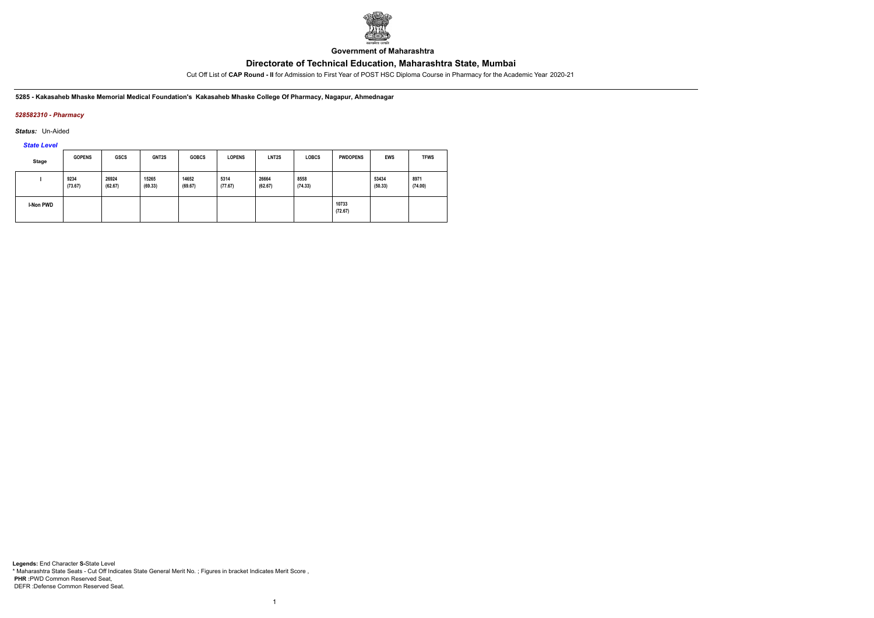

**Government of Maharashtra**

Cut Off List of **CAP Round - II** for Admission to First Year of POST HSC Diploma Course in Pharmacy for the Academic Year 2020-21

**5285 - Kakasaheb Mhaske Memorial Medical Foundation's Kakasaheb Mhaske College Of Pharmacy, Nagapur, Ahmednagar**

### *528582310 - Pharmacy*

*Status:* Un-Aided

*State Level*

| <b>Stage</b>     | <b>GOPENS</b>   | <b>GSCS</b>      | GNT2S            | <b>GOBCS</b>     | <b>LOPENS</b>   | LNT <sub>2</sub> S | <b>LOBCS</b>    | <b>PWDOPENS</b>  | <b>EWS</b>       | <b>TFWS</b>     |
|------------------|-----------------|------------------|------------------|------------------|-----------------|--------------------|-----------------|------------------|------------------|-----------------|
|                  | 9234<br>(73.67) | 26924<br>(62.67) | 15265<br>(69.33) | 14652<br>(69.67) | 5314<br>(77.67) | 26664<br>(62.67)   | 8558<br>(74.33) |                  | 53434<br>(50.33) | 8971<br>(74.00) |
| <b>I-Non PWD</b> |                 |                  |                  |                  |                 |                    |                 | 10733<br>(72.67) |                  |                 |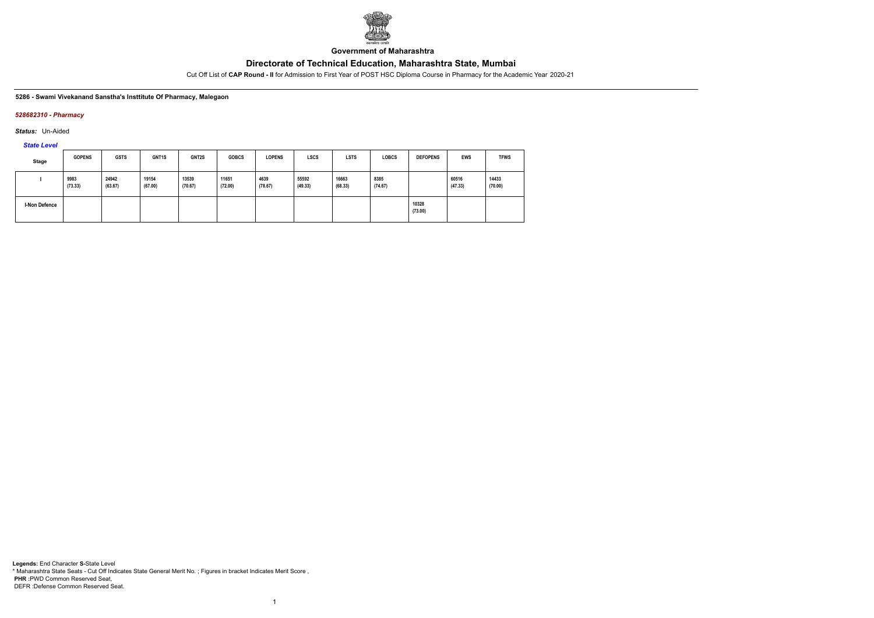

**Government of Maharashtra**

Cut Off List of **CAP Round - II** for Admission to First Year of POST HSC Diploma Course in Pharmacy for the Academic Year 2020-21

### **5286 - Swami Vivekanand Sanstha's Insttitute Of Pharmacy, Malegaon**

### *528682310 - Pharmacy*

*Status:* Un-Aided

*State Level*

| <b>Stage</b>  | <b>GOPENS</b>   | <b>GSTS</b>      | GNT <sub>1</sub> S | GNT2S            | <b>GOBCS</b>     | <b>LOPENS</b>   | <b>LSCS</b>      | <b>LSTS</b>      | <b>LOBCS</b>    | <b>DEFOPENS</b>  | <b>EWS</b>       | <b>TFWS</b>      |
|---------------|-----------------|------------------|--------------------|------------------|------------------|-----------------|------------------|------------------|-----------------|------------------|------------------|------------------|
|               | 9983<br>(73.33) | 24942<br>(63.67) | 19154<br>(67.00)   | 13539<br>(70.67) | 11651<br>(72.00) | 4639<br>(78.67) | 55592<br>(49.33) | 16663<br>(68.33) | 8385<br>(74.67) |                  | 60516<br>(47.33) | 14433<br>(70.00) |
| I-Non Defence |                 |                  |                    |                  |                  |                 |                  |                  |                 | 10328<br>(73.00) |                  |                  |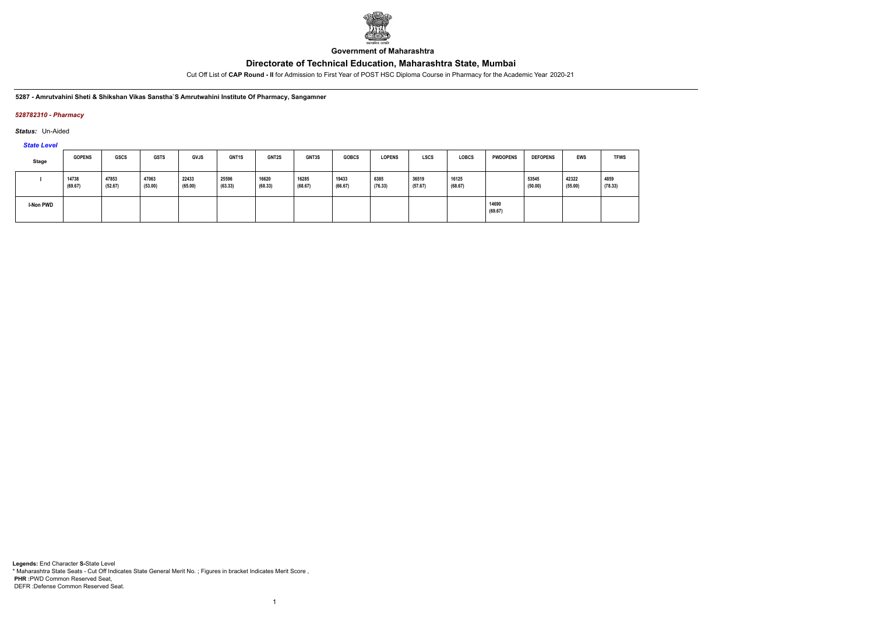

**Government of Maharashtra**

Cut Off List of **CAP Round - II** for Admission to First Year of POST HSC Diploma Course in Pharmacy for the Academic Year 2020-21

#### **5287 - Amrutvahini Sheti & Shikshan Vikas Sanstha`S Amrutwahini Institute Of Pharmacy, Sangamner**

### *528782310 - Pharmacy*

*Status:* Un-Aided

# *State Level*

| <b>Stage</b> | <b>GOPENS</b>    | <b>GSCS</b>      | <b>GSTS</b>      | GVJS             | GNT1S            | <b>GNT2S</b>     | GNT3S            | <b>GOBCS</b>     | <b>LOPENS</b>   | <b>LSCS</b>      | <b>LOBCS</b>     | <b>PWDOPENS</b>  | <b>DEFOPENS</b>  | <b>EWS</b>       | <b>TFWS</b>     |
|--------------|------------------|------------------|------------------|------------------|------------------|------------------|------------------|------------------|-----------------|------------------|------------------|------------------|------------------|------------------|-----------------|
|              | 14738<br>(69.67) | 47853<br>(52.67) | 47063<br>(53.00) | 22433<br>(65.00) | 25596<br>(63.33) | 16620<br>(68.33) | 16285<br>(68.67) | 19433<br>(66.67) | 6385<br>(76.33) | 36519<br>(57.67) | 16125<br>(68.67) |                  | 53545<br>(50.00) | 42322<br>(55.00) | 4859<br>(78.33) |
| I-Non PWD    |                  |                  |                  |                  |                  |                  |                  |                  |                 |                  |                  | 14690<br>(69.67) |                  |                  |                 |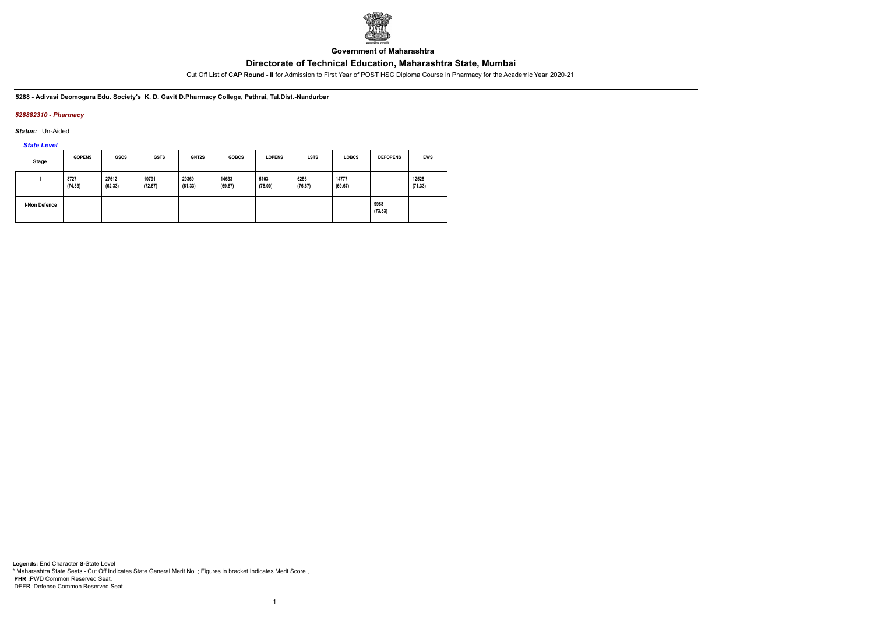

**Government of Maharashtra**

Cut Off List of **CAP Round - II** for Admission to First Year of POST HSC Diploma Course in Pharmacy for the Academic Year 2020-21

**5288 - Adivasi Deomogara Edu. Society's K. D. Gavit D.Pharmacy College, Pathrai, Tal.Dist.-Nandurbar**

### *528882310 - Pharmacy*

*Status:* Un-Aided

*State Level*

| Stage                | <b>GOPENS</b>   | <b>GSCS</b>      | <b>GSTS</b>      | GNT2S            | <b>GOBCS</b>     | <b>LOPENS</b>   | <b>LSTS</b>     | <b>LOBCS</b>     | <b>DEFOPENS</b> | <b>EWS</b>       |
|----------------------|-----------------|------------------|------------------|------------------|------------------|-----------------|-----------------|------------------|-----------------|------------------|
|                      | 8727<br>(74.33) | 27612<br>(62.33) | 10791<br>(72.67) | 29369<br>(61.33) | 14633<br>(69.67) | 5103<br>(78.00) | 6256<br>(76.67) | 14777<br>(69.67) |                 | 12525<br>(71.33) |
| <b>I-Non Defence</b> |                 |                  |                  |                  |                  |                 |                 |                  | 9988<br>(73.33) |                  |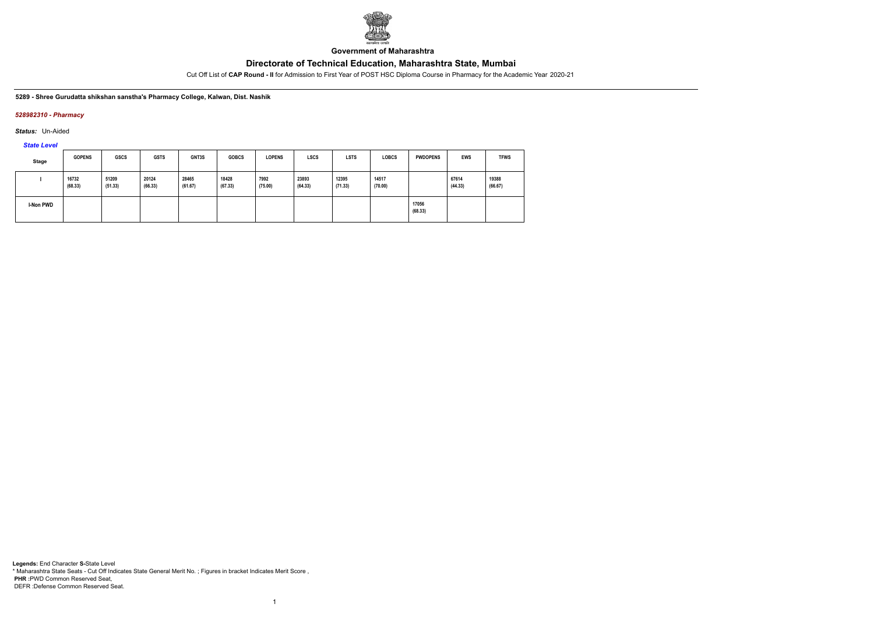

**Government of Maharashtra**

Cut Off List of **CAP Round - II** for Admission to First Year of POST HSC Diploma Course in Pharmacy for the Academic Year 2020-21

#### **5289 - Shree Gurudatta shikshan sanstha's Pharmacy College, Kalwan, Dist. Nashik**

#### *528982310 - Pharmacy*

*Status:* Un-Aided

*State Level*

| <b>Stage</b> | <b>GOPENS</b>    | <b>GSCS</b>      | <b>GSTS</b>      | GNT3S            | <b>GOBCS</b>     | <b>LOPENS</b>   | <b>LSCS</b>      | <b>LSTS</b>      | <b>LOBCS</b>     | <b>PWDOPENS</b>  | <b>EWS</b>       | <b>TFWS</b>      |
|--------------|------------------|------------------|------------------|------------------|------------------|-----------------|------------------|------------------|------------------|------------------|------------------|------------------|
|              | 16732<br>(68.33) | 51209<br>(51.33) | 20124<br>(66.33) | 28465<br>(61.67) | 18428<br>(67.33) | 7992<br>(75.00) | 23893<br>(64.33) | 12395<br>(71.33) | 14517<br>(70.00) |                  | 67614<br>(44.33) | 19388<br>(66.67) |
| I-Non PWD    |                  |                  |                  |                  |                  |                 |                  |                  |                  | 17056<br>(68.33) |                  |                  |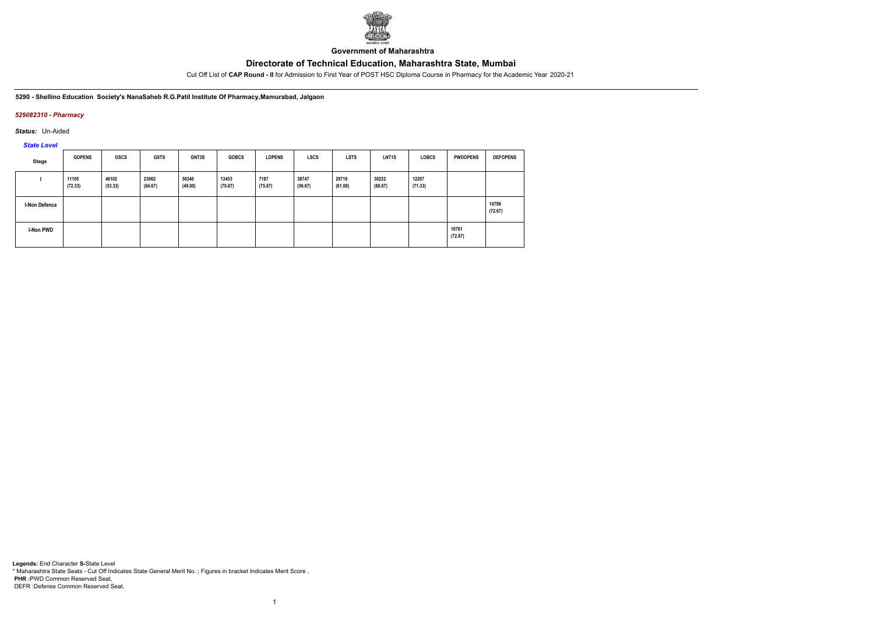

**Government of Maharashtra**

Cut Off List of **CAP Round - II** for Admission to First Year of POST HSC Diploma Course in Pharmacy for the Academic Year 2020-21

**5290 - Shellino Education Society's NanaSaheb R.G.Patil Institute Of Pharmacy,Mamurabad, Jalgaon**

### *529082310 - Pharmacy*

*Status:* Un-Aided

*State Level*

| Stage                | <b>GOPENS</b>    | <b>GSCS</b>      | <b>GSTS</b>      | GNT3S            | <b>GOBCS</b>     | <b>LOPENS</b>   | <b>LSCS</b>      | <b>LSTS</b>      | LNT <sub>1</sub> S | <b>LOBCS</b>     | <b>PWDOPENS</b>  | <b>DEFOPENS</b>  |
|----------------------|------------------|------------------|------------------|------------------|------------------|-----------------|------------------|------------------|--------------------|------------------|------------------|------------------|
|                      | 11105<br>(72.33) | 46102<br>(53.33) | 23062<br>(64.67) | 56340<br>(49.00) | 13453<br>(70.67) | 7187<br>(75.67) | 38747<br>(56.67) | 29719<br>(61.00) | 30232<br>(60.67)   | 12207<br>(71.33) |                  |                  |
| <b>I-Non Defence</b> |                  |                  |                  |                  |                  |                 |                  |                  |                    |                  |                  | 10798<br>(72.67) |
| I-Non PWD            |                  |                  |                  |                  |                  |                 |                  |                  |                    |                  | 10781<br>(72.67) |                  |

1

**Legends:** End Character **S-**State Level \* Maharashtra State Seats - Cut Off Indicates State General Merit No. ; Figures in bracket Indicates Merit Score , **PHR :**PWD Common Reserved Seat, DEFR :Defense Common Reserved Seat.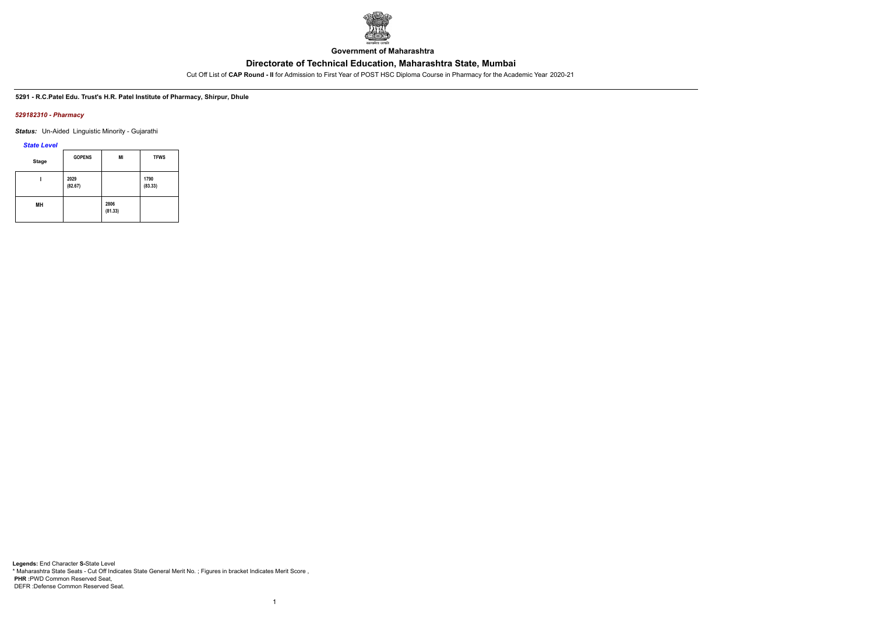

**Government of Maharashtra**

Cut Off List of **CAP Round - II** for Admission to First Year of POST HSC Diploma Course in Pharmacy for the Academic Year 2020-21

**5291 - R.C.Patel Edu. Trust's H.R. Patel Institute of Pharmacy, Shirpur, Dhule**

### *529182310 - Pharmacy*

*Status:* Un-Aided Linguistic Minority - Gujarathi

*State Level*

| <b>Stage</b> | <b>GOPENS</b>   | MI              | <b>TFWS</b>     |
|--------------|-----------------|-----------------|-----------------|
|              | 2029<br>(82.67) |                 | 1790<br>(83.33) |
| MН           |                 | 2806<br>(81.33) |                 |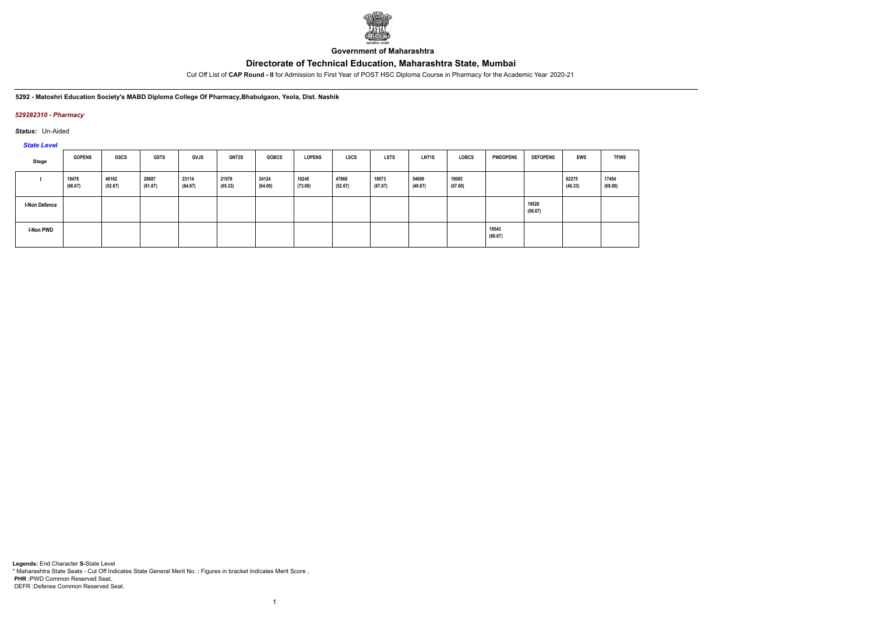

**Government of Maharashtra**

Cut Off List of **CAP Round - II** for Admission to First Year of POST HSC Diploma Course in Pharmacy for the Academic Year 2020-21

**5292 - Matoshri Education Society's MABD Diploma College Of Pharmacy,Bhabulgaon, Yeola, Dist. Nashik**

### *529282310 - Pharmacy*

*Status:* Un-Aided

*State Level*

| Stage                | <b>GOPENS</b>    | <b>GSCS</b>      | <b>GSTS</b>      | <b>GVJS</b>      | GNT3S            | <b>GOBCS</b>     | <b>LOPENS</b>    | <b>LSCS</b>      | <b>LSTS</b>      | LNT <sub>1</sub> S | <b>LOBCS</b>     | <b>PWDOPENS</b>  | <b>DEFOPENS</b>  | EWS              | <b>TFWS</b>      |
|----------------------|------------------|------------------|------------------|------------------|------------------|------------------|------------------|------------------|------------------|--------------------|------------------|------------------|------------------|------------------|------------------|
|                      | 19478<br>(66.67) | 48162<br>(52.67) | 28697<br>(61.67) | 23114<br>(64.67) | 21976<br>(65.33) | 24124<br>(64.00) | 10245<br>(73.00) | 47868<br>(52.67) | 18073<br>(67.67) | 54690<br>(49.67)   | 19085<br>(67.00) |                  |                  | 62275<br>(46.33) | 17454<br>(68.00) |
| <b>I-Non Defence</b> |                  |                  |                  |                  |                  |                  |                  |                  |                  |                    |                  |                  | 19528<br>(66.67) |                  |                  |
| I-Non PWD            |                  |                  |                  |                  |                  |                  |                  |                  |                  |                    |                  | 19543<br>(66.67) |                  |                  |                  |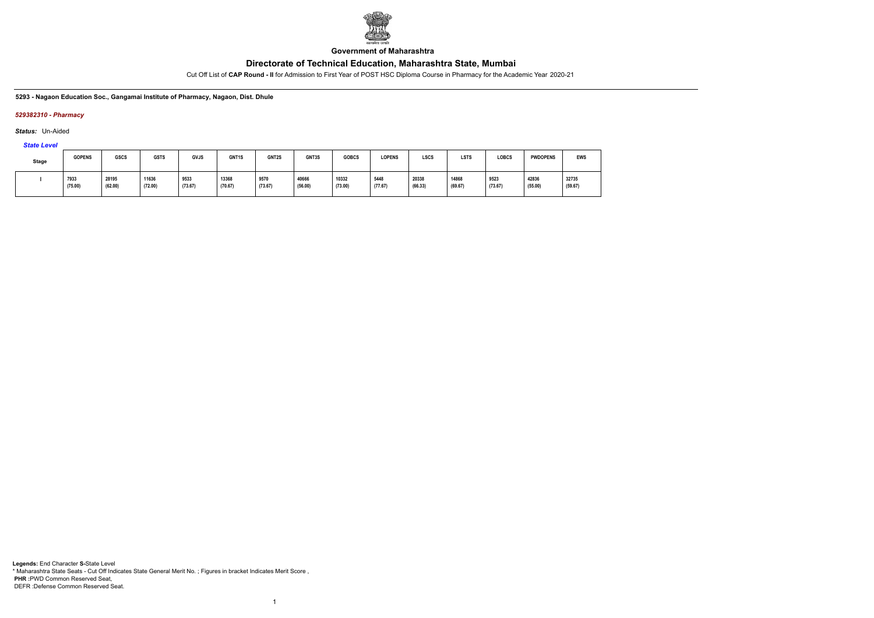

**Government of Maharashtra**

Cut Off List of **CAP Round - II** for Admission to First Year of POST HSC Diploma Course in Pharmacy for the Academic Year 2020-21

**5293 - Nagaon Education Soc., Gangamai Institute of Pharmacy, Nagaon, Dist. Dhule**

### *529382310 - Pharmacy*

*Status:* Un-Aided

*State Level*

| <b>Stage</b> | <b>GOPENS</b>   | <b>GSCS</b>      | <b>GSTS</b>      | <b>GVJS</b>     | GNT1S            | GNT2S           | GNT3S            | <b>GOBCS</b>     | LOPENS          | <b>LSCS</b>      | <b>LSTS</b>      | <b>LOBCS</b>    | <b>PWDOPENS</b>  | <b>EWS</b>       |
|--------------|-----------------|------------------|------------------|-----------------|------------------|-----------------|------------------|------------------|-----------------|------------------|------------------|-----------------|------------------|------------------|
|              | 7933<br>(75.00) | 28195<br>(62.00) | 11636<br>(72.00) | 9533<br>(73.67) | 13368<br>(70.67) | 9570<br>(73.67) | 40666<br>(56.00) | 10332<br>(73.00) | 5448<br>(77.67) | 20338<br>(66.33) | 14868<br>(69.67) | 9523<br>(73.67) | 42836<br>(55.00) | 32735<br>(59.67) |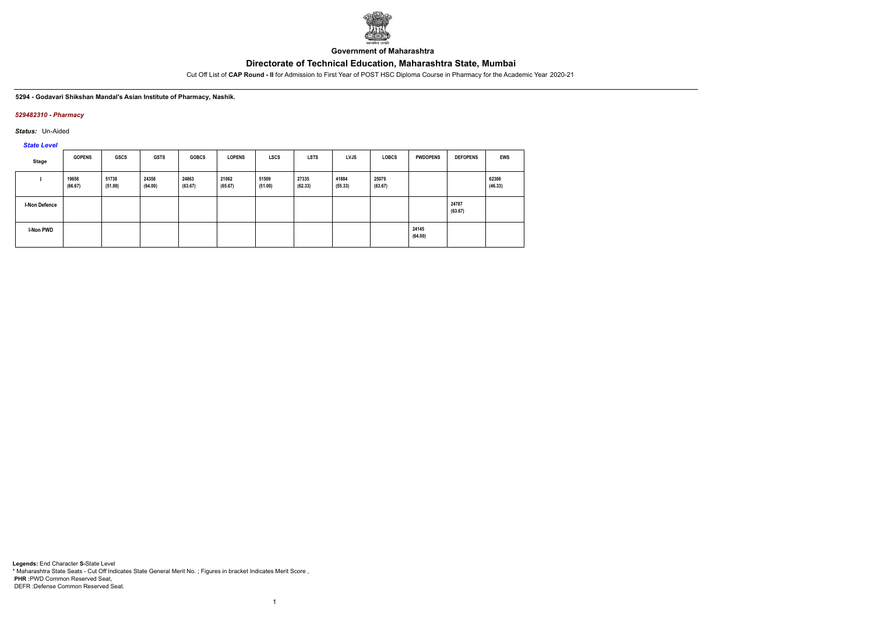

**Government of Maharashtra**

Cut Off List of **CAP Round - II** for Admission to First Year of POST HSC Diploma Course in Pharmacy for the Academic Year 2020-21

#### **5294 - Godavari Shikshan Mandal's Asian Institute of Pharmacy, Nashik.**

### *529482310 - Pharmacy*

*Status:* Un-Aided

*State Level*

| Stage         | <b>GOPENS</b>    | GSCS             | <b>GSTS</b>      | <b>GOBCS</b>     | <b>LOPENS</b>    | <b>LSCS</b>      | <b>LSTS</b>      | <b>LVJS</b>      | <b>LOBCS</b>     | <b>PWDOPENS</b>  | <b>DEFOPENS</b>  | <b>EWS</b>       |
|---------------|------------------|------------------|------------------|------------------|------------------|------------------|------------------|------------------|------------------|------------------|------------------|------------------|
|               | 19658<br>(66.67) | 51738<br>(51.00) | 24358<br>(64.00) | 24863<br>(63.67) | 21062<br>(65.67) | 51509<br>(51.00) | 27335<br>(62.33) | 41884<br>(55.33) | 25079<br>(63.67) |                  |                  | 62306<br>(46.33) |
| I-Non Defence |                  |                  |                  |                  |                  |                  |                  |                  |                  |                  | 24787<br>(63.67) |                  |
| I-Non PWD     |                  |                  |                  |                  |                  |                  |                  |                  |                  | 24145<br>(64.00) |                  |                  |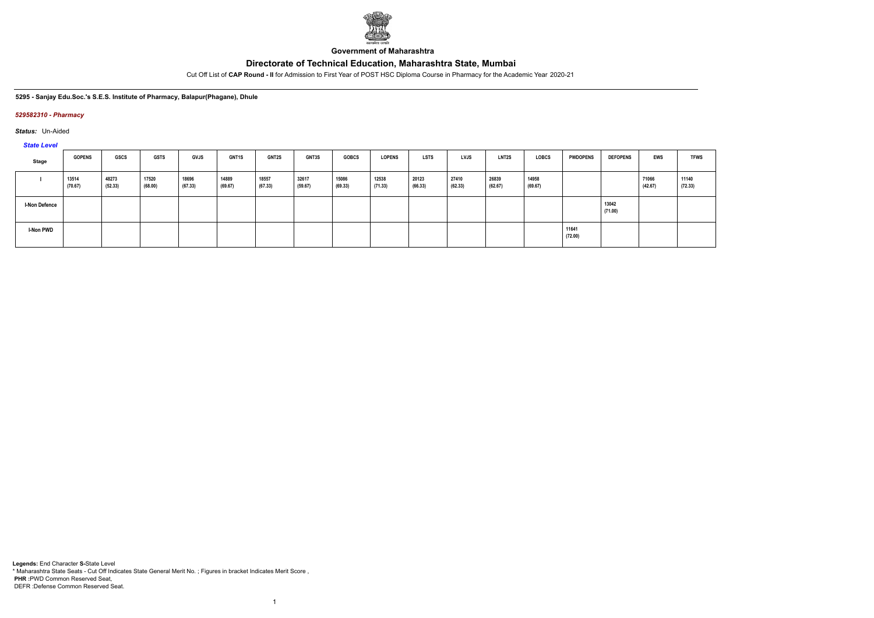

**Government of Maharashtra**

Cut Off List of **CAP Round - II** for Admission to First Year of POST HSC Diploma Course in Pharmacy for the Academic Year 2020-21

#### **5295 - Sanjay Edu.Soc.'s S.E.S. Institute of Pharmacy, Balapur(Phagane), Dhule**

#### *529582310 - Pharmacy*

*Status:* Un-Aided

*State Level*

| Stage                | <b>GOPENS</b>    | <b>GSCS</b>      | <b>GSTS</b>      | <b>GVJS</b>      | <b>GNT1S</b>     | <b>GNT2S</b>     | <b>GNT3S</b>     | <b>GOBCS</b>     | <b>LOPENS</b>    | <b>LSTS</b>      | LVJS             | LNT <sub>2</sub> S | <b>LOBCS</b>     | <b>PWDOPENS</b>  | <b>DEFOPENS</b>  | EWS              | <b>TFWS</b>      |
|----------------------|------------------|------------------|------------------|------------------|------------------|------------------|------------------|------------------|------------------|------------------|------------------|--------------------|------------------|------------------|------------------|------------------|------------------|
|                      | 13514<br>(70.67) | 48273<br>(52.33) | 17520<br>(68.00) | 18696<br>(67.33) | 14889<br>(69.67) | 18557<br>(67.33) | 32617<br>(59.67) | 15086<br>(69.33) | 12538<br>(71.33) | 20123<br>(66.33) | 27410<br>(62.33) | 26839<br>(62.67)   | 14958<br>(69.67) |                  |                  | 71066<br>(42.67) | 11140<br>(72.33) |
| <b>I-Non Defence</b> |                  |                  |                  |                  |                  |                  |                  |                  |                  |                  |                  |                    |                  |                  | 13042<br>(71.00) |                  |                  |
| I-Non PWD            |                  |                  |                  |                  |                  |                  |                  |                  |                  |                  |                  |                    |                  | 11641<br>(72.00) |                  |                  |                  |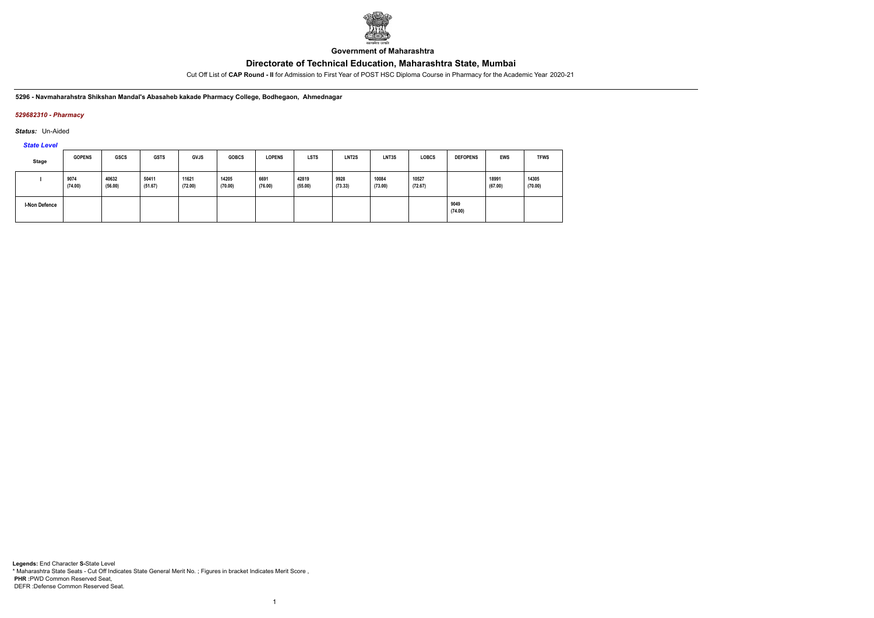

**Government of Maharashtra**

Cut Off List of **CAP Round - II** for Admission to First Year of POST HSC Diploma Course in Pharmacy for the Academic Year 2020-21

**5296 - Navmaharahstra Shikshan Mandal's Abasaheb kakade Pharmacy College, Bodhegaon, Ahmednagar**

### *529682310 - Pharmacy*

*Status:* Un-Aided

*State Level*

| Stage                | <b>GOPENS</b>   | <b>GSCS</b>      | <b>GSTS</b>      | <b>GVJS</b>      | <b>GOBCS</b>     | <b>LOPENS</b>   | <b>LSTS</b>      | LNT <sub>2</sub> S | LNT3S            | <b>LOBCS</b>     | <b>DEFOPENS</b> | <b>EWS</b>       | <b>TFWS</b>      |
|----------------------|-----------------|------------------|------------------|------------------|------------------|-----------------|------------------|--------------------|------------------|------------------|-----------------|------------------|------------------|
|                      | 9074<br>(74.00) | 40632<br>(56.00) | 50411<br>(51.67) | 11621<br>(72.00) | 14205<br>(70.00) | 6691<br>(76.00) | 42819<br>(55.00) | 9928<br>(73.33)    | 10084<br>(73.00) | 10527<br>(72.67) |                 | 18991<br>(67.00) | 14305<br>(70.00) |
| <b>I-Non Defence</b> |                 |                  |                  |                  |                  |                 |                  |                    |                  |                  | 9049<br>(74.00) |                  |                  |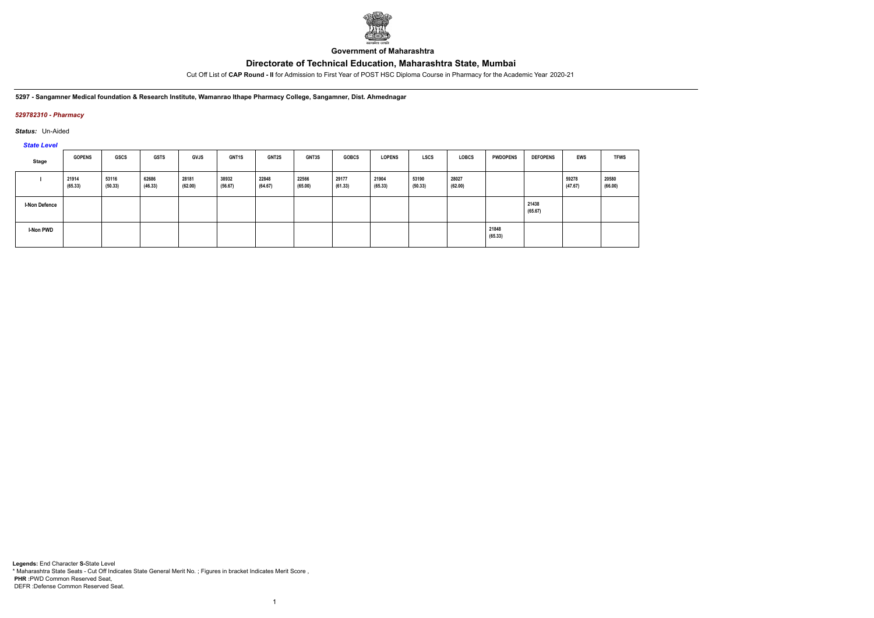

**Government of Maharashtra**

Cut Off List of **CAP Round - II** for Admission to First Year of POST HSC Diploma Course in Pharmacy for the Academic Year 2020-21

**5297 - Sangamner Medical foundation & Research Institute, Wamanrao Ithape Pharmacy College, Sangamner, Dist. Ahmednagar**

### *529782310 - Pharmacy*

*Status:* Un-Aided

# *State Level*

| Stage                | <b>GOPENS</b>    | <b>GSCS</b>      | <b>GSTS</b>      | <b>GVJS</b>      | GNT1S            | <b>GNT2S</b>     | GNT3S            | <b>GOBCS</b>     | <b>LOPENS</b>    | <b>LSCS</b>      | <b>LOBCS</b>     | <b>PWDOPENS</b>  | <b>DEFOPENS</b>  | <b>EWS</b>       | <b>TFWS</b>      |
|----------------------|------------------|------------------|------------------|------------------|------------------|------------------|------------------|------------------|------------------|------------------|------------------|------------------|------------------|------------------|------------------|
|                      | 21914<br>(65.33) | 53116<br>(50.33) | 62686<br>(46.33) | 28181<br>(62.00) | 38932<br>(56.67) | 22848<br>(64.67) | 22566<br>(65.00) | 29177<br>(61.33) | 21904<br>(65.33) | 53190<br>(50.33) | 28027<br>(62.00) |                  |                  | 59278<br>(47.67) | 20580<br>(66.00) |
| <b>I-Non Defence</b> |                  |                  |                  |                  |                  |                  |                  |                  |                  |                  |                  |                  | 21438<br>(65.67) |                  |                  |
| <b>I-Non PWD</b>     |                  |                  |                  |                  |                  |                  |                  |                  |                  |                  |                  | 21848<br>(65.33) |                  |                  |                  |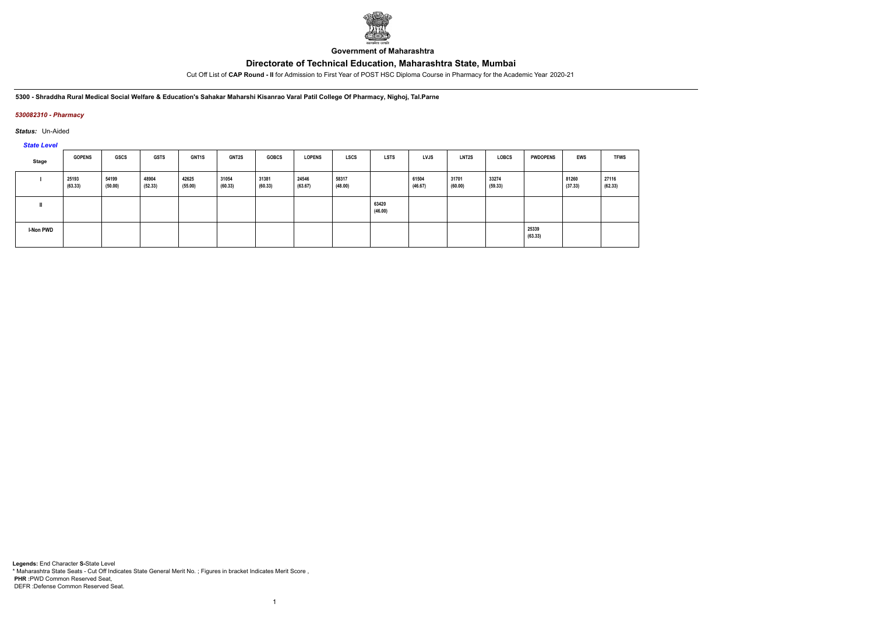

**Government of Maharashtra**

Cut Off List of **CAP Round - II** for Admission to First Year of POST HSC Diploma Course in Pharmacy for the Academic Year 2020-21

5300 - Shraddha Rural Medical Social Welfare & Education's Sahakar Maharshi Kisanrao Varal Patil College Of Pharmacy, Nighoj, Tal. Parne

### *530082310 - Pharmacy*

*Status:* Un-Aided

*State Level*

| Stage     | <b>GOPENS</b>    | GSCS             | <b>GSTS</b>      | <b>GNT1S</b>     | <b>GNT2S</b>     | <b>GOBCS</b>     | <b>LOPENS</b>    | <b>LSCS</b>      | <b>LSTS</b>      | <b>LVJS</b>      | <b>LNT2S</b>     | <b>LOBCS</b>     | <b>PWDOPENS</b>  | <b>EWS</b>       | <b>TFWS</b>      |
|-----------|------------------|------------------|------------------|------------------|------------------|------------------|------------------|------------------|------------------|------------------|------------------|------------------|------------------|------------------|------------------|
|           | 25193<br>(63.33) | 54199<br>(50.00) | 48904<br>(52.33) | 42625<br>(55.00) | 31054<br>(60.33) | 31381<br>(60.33) | 24546<br>(63.67) | 58317<br>(48.00) |                  | 61504<br>(46.67) | 31701<br>(60.00) | 33274<br>(59.33) |                  | 81260<br>(37.33) | 27116<br>(62.33) |
|           |                  |                  |                  |                  |                  |                  |                  |                  | 63420<br>(46.00) |                  |                  |                  |                  |                  |                  |
| I-Non PWD |                  |                  |                  |                  |                  |                  |                  |                  |                  |                  |                  |                  | 25339<br>(63.33) |                  |                  |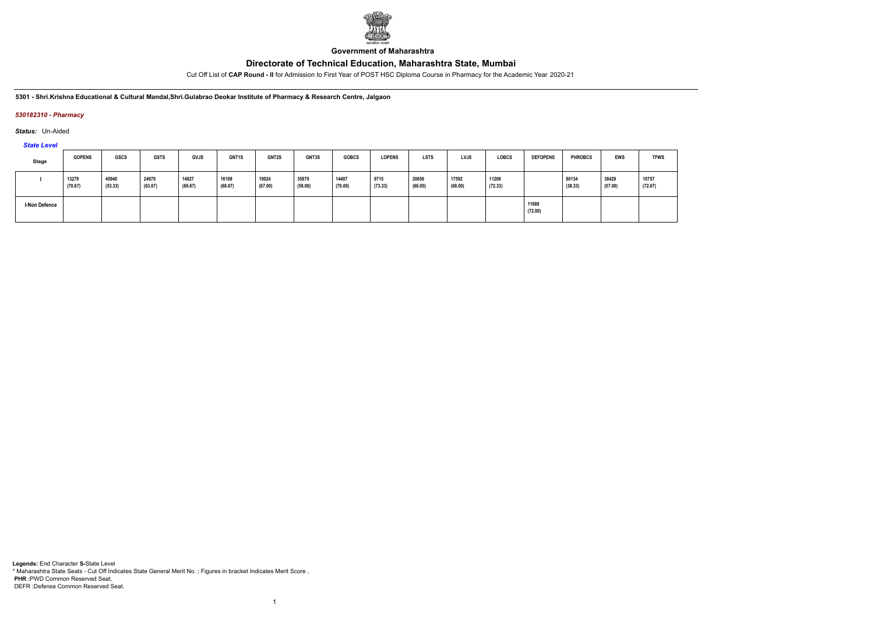

**Government of Maharashtra**

Cut Off List of **CAP Round - II** for Admission to First Year of POST HSC Diploma Course in Pharmacy for the Academic Year 2020-21

**5301 - Shri.Krishna Educational & Cultural Mandal,Shri.Gulabrao Deokar Institute of Pharmacy & Research Centre, Jalgaon**

### *530182310 - Pharmacy*

*Status:* Un-Aided

*State Level*

| Stage                | <b>GOPENS</b>    | <b>GSCS</b>      | <b>GSTS</b>      | <b>GVJS</b>      | <b>GNT1S</b>     | <b>GNT2S</b>     | <b>GNT3S</b>     | <b>GOBCS</b>     | <b>LOPENS</b>   | <b>LSTS</b>      | <b>LVJS</b>      | <b>LOBCS</b>     | <b>DEFOPENS</b>  | <b>PHROBCS</b>   | EWS              | <b>TFWS</b>      |
|----------------------|------------------|------------------|------------------|------------------|------------------|------------------|------------------|------------------|-----------------|------------------|------------------|------------------|------------------|------------------|------------------|------------------|
|                      | 13279<br>(70.67) | 45940<br>(53.33) | 24979<br>(63.67) | 14927<br>(69.67) | 16108<br>(68.67) | 19024<br>(67.00) | 35879<br>(58.00) | 14407<br>(70.00) | 9715<br>(73.33) | 20856<br>(66.00) | 17592<br>(68.00) | 11206<br>(72.33) |                  | 80134<br>(38.33) | 38429<br>(57.00) | 10757<br>(72.67) |
| <b>I-Non Defence</b> |                  |                  |                  |                  |                  |                  |                  |                  |                 |                  |                  |                  | 11688<br>(72.00) |                  |                  |                  |

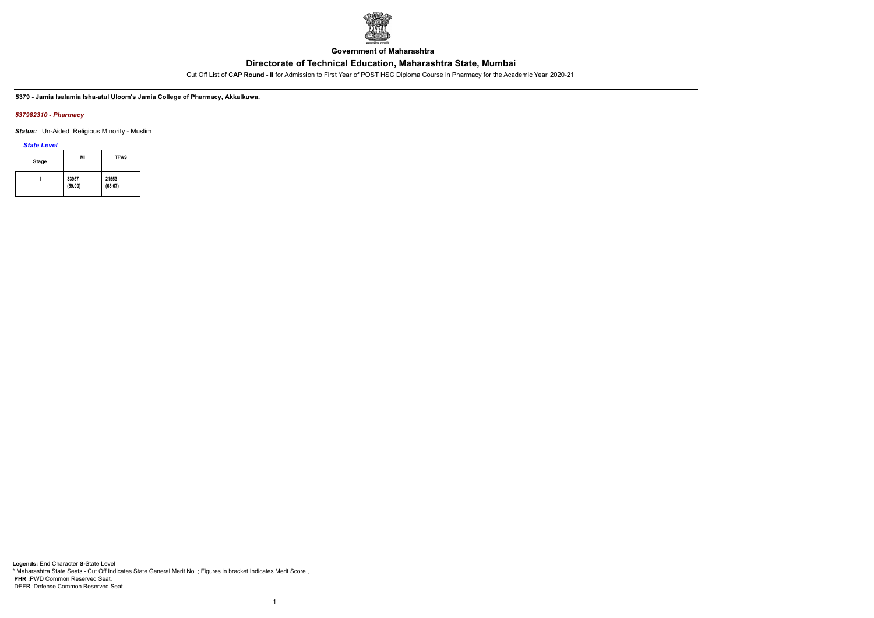

**Government of Maharashtra**

Cut Off List of **CAP Round - II** for Admission to First Year of POST HSC Diploma Course in Pharmacy for the Academic Year 2020-21

**5379 - Jamia Isalamia Isha-atul Uloom's Jamia College of Pharmacy, Akkalkuwa.**

#### *537982310 - Pharmacy*

*Status:* Un-Aided Religious Minority - Muslim

*State Level*

| <b>Stage</b> | MI               | <b>TFWS</b>      |
|--------------|------------------|------------------|
|              | 33957<br>(59.00) | 21553<br>(65.67) |

1

**Legends:** End Character **S-**State Level \* Maharashtra State Seats - Cut Off Indicates State General Merit No. ; Figures in bracket Indicates Merit Score , **PHR :**PWD Common Reserved Seat, DEFR :Defense Common Reserved Seat.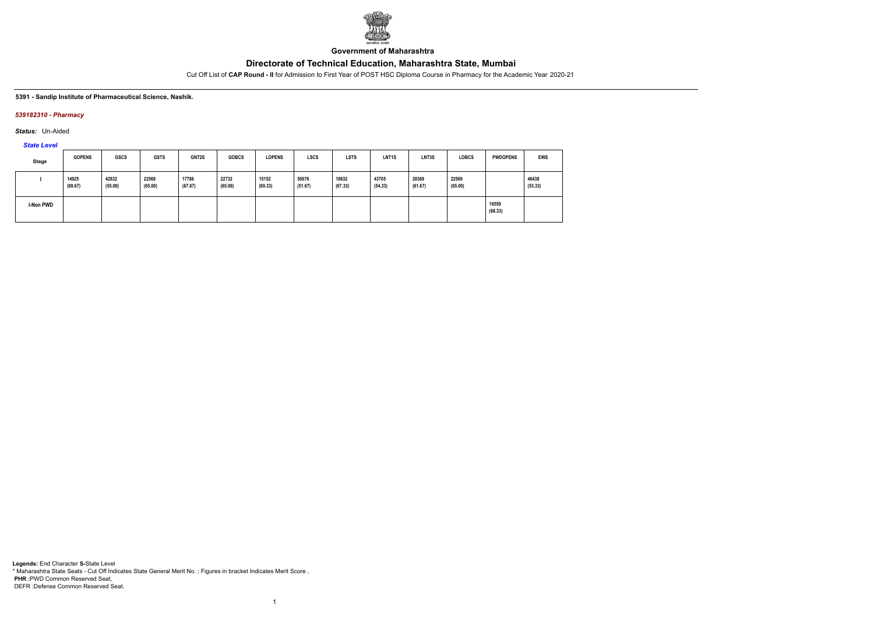

**Government of Maharashtra**

Cut Off List of **CAP Round - II** for Admission to First Year of POST HSC Diploma Course in Pharmacy for the Academic Year 2020-21

#### **5391 - Sandip Institute of Pharmaceutical Science, Nashik.**

### *539182310 - Pharmacy*

*Status:* Un-Aided

*State Level*

| Stage     | <b>GOPENS</b>    | <b>GSCS</b>      | <b>GSTS</b>      | GNT2S            | <b>GOBCS</b>     | <b>LOPENS</b>    | <b>LSCS</b>      | <b>LSTS</b>      | LNT <sub>1</sub> S | LNT3S            | <b>LOBCS</b>     | <b>PWDOPENS</b>  | <b>EWS</b>       |
|-----------|------------------|------------------|------------------|------------------|------------------|------------------|------------------|------------------|--------------------|------------------|------------------|------------------|------------------|
|           | 14925<br>(69.67) | 42832<br>(55.00) | 22568<br>(65.00) | 17786<br>(67.67) | 22732<br>(65.00) | 15152<br>(69.33) | 50076<br>(51.67) | 18632<br>(67.33) | 43705<br>(54.33)   | 28368<br>(61.67) | 22569<br>(65.00) |                  | 46438<br>(53.33) |
| I-Non PWD |                  |                  |                  |                  |                  |                  |                  |                  |                    |                  |                  | 16559<br>(68.33) |                  |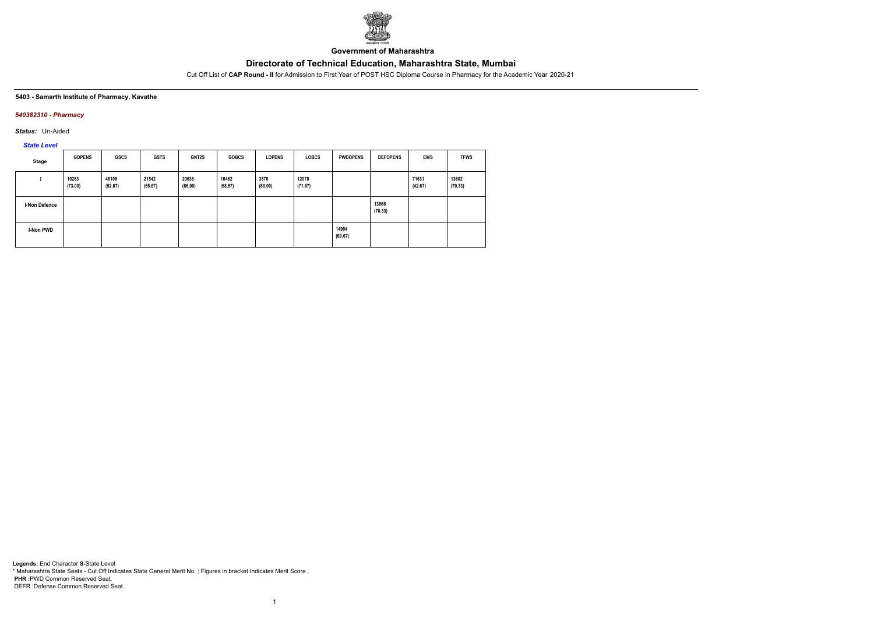

**Government of Maharashtra**

Cut Off List of **CAP Round - II** for Admission to First Year of POST HSC Diploma Course in Pharmacy for the Academic Year 2020-21

#### **5403 - Samarth Institute of Pharmacy, Kavathe**

### *540382310 - Pharmacy*

*Status:* Un-Aided

*State Level*

| <b>Stage</b>         | <b>GOPENS</b>    | <b>GSCS</b>      | <b>GSTS</b>      | GNT2S            | <b>GOBCS</b>     | <b>LOPENS</b>   | <b>LOBCS</b>     | <b>PWDOPENS</b>  | <b>DEFOPENS</b>  | <b>EWS</b>       | <b>TFWS</b>      |
|----------------------|------------------|------------------|------------------|------------------|------------------|-----------------|------------------|------------------|------------------|------------------|------------------|
|                      | 10283<br>(73.00) | 48106<br>(52.67) | 21542<br>(65.67) | 20638<br>(66.00) | 16462<br>(68.67) | 3570<br>(80.00) | 12070<br>(71.67) |                  |                  | 71631<br>(42.67) | 13602<br>(70.33) |
| <b>I-Non Defence</b> |                  |                  |                  |                  |                  |                 |                  |                  | 13866<br>(70.33) |                  |                  |
| I-Non PWD            |                  |                  |                  |                  |                  |                 |                  | 14904<br>(69.67) |                  |                  |                  |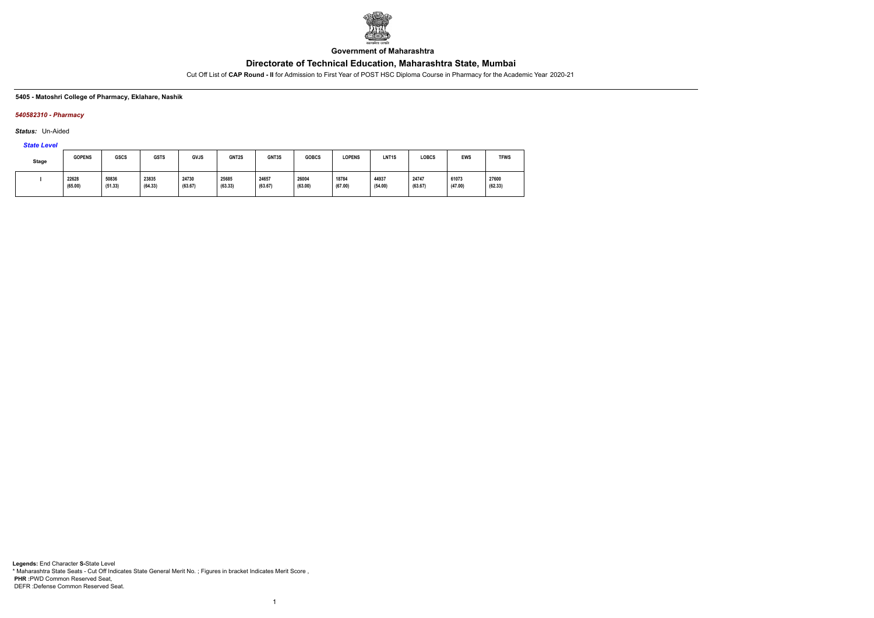

**Government of Maharashtra**

Cut Off List of **CAP Round - II** for Admission to First Year of POST HSC Diploma Course in Pharmacy for the Academic Year 2020-21

#### **5405 - Matoshri College of Pharmacy, Eklahare, Nashik**

### *540582310 - Pharmacy*

*Status:* Un-Aided

*State Level*

| Stage | <b>GOPENS</b>    | <b>GSCS</b>      | <b>GSTS</b>      | GVJS             | GNT2S            | GNT3S            | <b>GOBCS</b>     | <b>LOPENS</b>    | LNT <sub>1</sub> S | LOBCS            | <b>EWS</b>       | <b>TFWS</b>      |
|-------|------------------|------------------|------------------|------------------|------------------|------------------|------------------|------------------|--------------------|------------------|------------------|------------------|
|       | 22628<br>(65.00) | 50836<br>(51.33) | 23835<br>(64.33) | 24730<br>(63.67) | 25685<br>(63.33) | 24657<br>(63.67) | 26004<br>(63.00) | 18784<br>(67.00) | 44937<br>(54.00)   | 24747<br>(63.67) | 61073<br>(47.00) | 27600<br>(62.33) |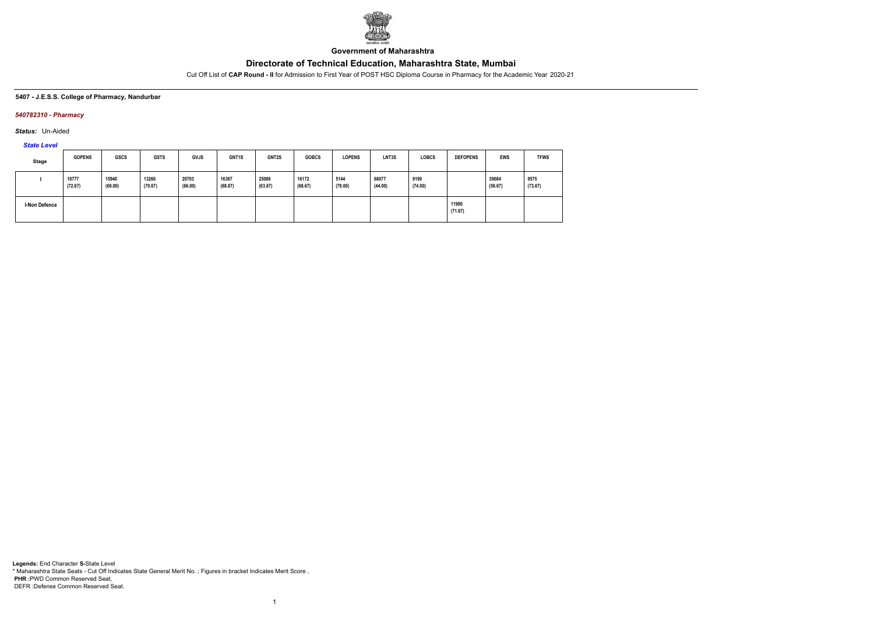

**Government of Maharashtra**

Cut Off List of **CAP Round - II** for Admission to First Year of POST HSC Diploma Course in Pharmacy for the Academic Year 2020-21

#### **5407 - J.E.S.S. College of Pharmacy, Nandurbar**

### *540782310 - Pharmacy*

*Status:* Un-Aided

# *State Level*

| Stage                | <b>GOPENS</b>    | <b>GSCS</b>      | <b>GSTS</b>      | <b>GVJS</b>      | GNT1S            | <b>GNT2S</b>     | <b>GOBCS</b>     | <b>LOPENS</b>   | LNT3S            | <b>LOBCS</b>    | <b>DEFOPENS</b>  | <b>EWS</b>       | <b>TFWS</b>     |
|----------------------|------------------|------------------|------------------|------------------|------------------|------------------|------------------|-----------------|------------------|-----------------|------------------|------------------|-----------------|
|                      | 10777<br>(72.67) | 15940<br>(69.00) | 13266<br>(70.67) | 20703<br>(66.00) | 16367<br>(68.67) | 25088<br>(63.67) | 16172<br>(68.67) | 5144<br>(78.00) | 68077<br>(44.00) | 9199<br>(74.00) |                  | 39084<br>(56.67) | 9575<br>(73.67) |
| <b>I-Non Defence</b> |                  |                  |                  |                  |                  |                  |                  |                 |                  |                 | 11980<br>(71.67) |                  |                 |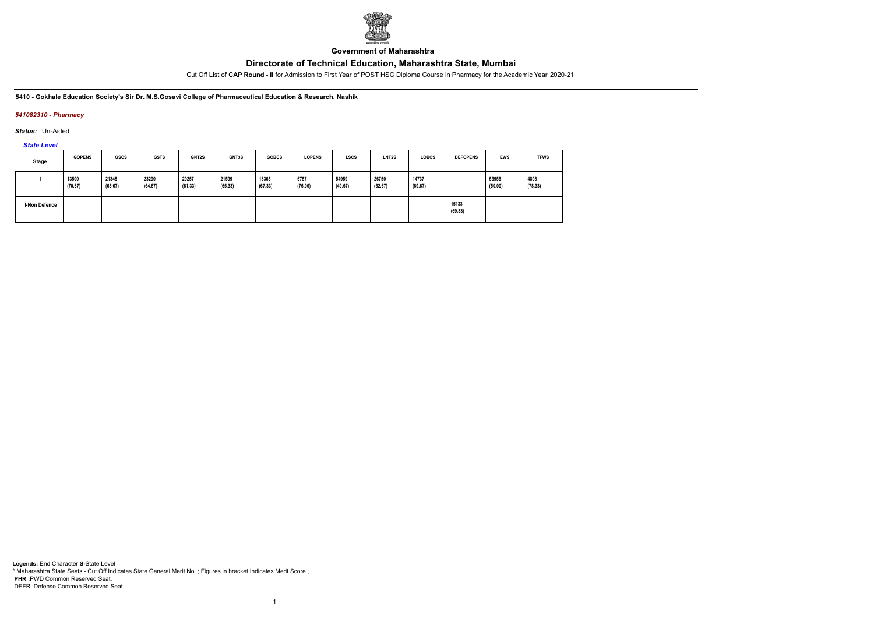

**Government of Maharashtra**

Cut Off List of **CAP Round - II** for Admission to First Year of POST HSC Diploma Course in Pharmacy for the Academic Year 2020-21

**5410 - Gokhale Education Society's Sir Dr. M.S.Gosavi College of Pharmaceutical Education & Research, Nashik**

### *541082310 - Pharmacy*

*Status:* Un-Aided

*State Level*

| Stage                | <b>GOPENS</b>    | <b>GSCS</b>      | <b>GSTS</b>      | GNT2S            | <b>GNT3S</b>     | <b>GOBCS</b>     | <b>LOPENS</b>   | <b>LSCS</b>      | LNT <sub>2</sub> S | <b>LOBCS</b>     | <b>DEFOPENS</b>  | <b>EWS</b>       | <b>TFWS</b>     |
|----------------------|------------------|------------------|------------------|------------------|------------------|------------------|-----------------|------------------|--------------------|------------------|------------------|------------------|-----------------|
|                      | 13500<br>(70.67) | 21348<br>(65.67) | 23290<br>(64.67) | 29257<br>(61.33) | 21599<br>(65.33) | 18365<br>(67.33) | 6757<br>(76.00) | 54959<br>(49.67) | 26750<br>(62.67)   | 14737<br>(69.67) |                  | 53956<br>(50.00) | 4898<br>(78.33) |
| <b>I-Non Defence</b> |                  |                  |                  |                  |                  |                  |                 |                  |                    |                  | 15133<br>(69.33) |                  |                 |

1

**Legends:** End Character **S-**State Level \* Maharashtra State Seats - Cut Off Indicates State General Merit No. ; Figures in bracket Indicates Merit Score , **PHR :**PWD Common Reserved Seat, DEFR :Defense Common Reserved Seat.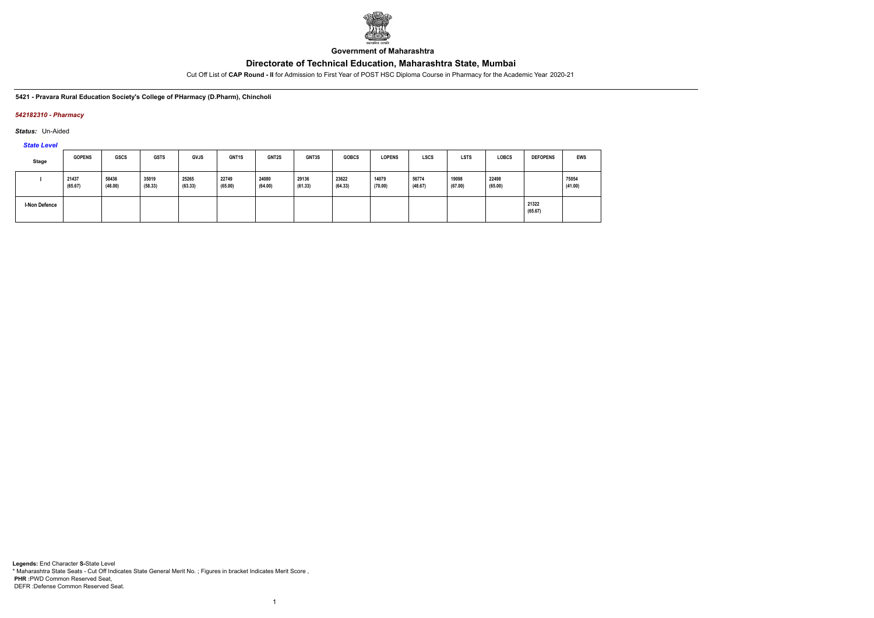

**Government of Maharashtra**

Cut Off List of **CAP Round - II** for Admission to First Year of POST HSC Diploma Course in Pharmacy for the Academic Year 2020-21

**5421 - Pravara Rural Education Society's College of PHarmacy (D.Pharm), Chincholi**

### *542182310 - Pharmacy*

*Status:* Un-Aided

*State Level*

| Stage                | <b>GOPENS</b>    | <b>GSCS</b>      | <b>GSTS</b>      | <b>GVJS</b>      | GNT1S            | GNT2S            | <b>GNT3S</b>     | <b>GOBCS</b>     | <b>LOPENS</b>    | <b>LSCS</b>      | <b>LSTS</b>      | LOBCS            | <b>DEFOPENS</b>  | <b>EWS</b>       |
|----------------------|------------------|------------------|------------------|------------------|------------------|------------------|------------------|------------------|------------------|------------------|------------------|------------------|------------------|------------------|
|                      | 21437<br>(65.67) | 58436<br>(48.00) | 35019<br>(58.33) | 25265<br>(63.33) | 22749<br>(65.00) | 24080<br>(64.00) | 29136<br>(61.33) | 23622<br>(64.33) | 14079<br>(70.00) | 56774<br>(48.67) | 19098<br>(67.00) | 22498<br>(65.00) |                  | 75054<br>(41.00) |
| <b>I-Non Defence</b> |                  |                  |                  |                  |                  |                  |                  |                  |                  |                  |                  |                  | 21322<br>(65.67) |                  |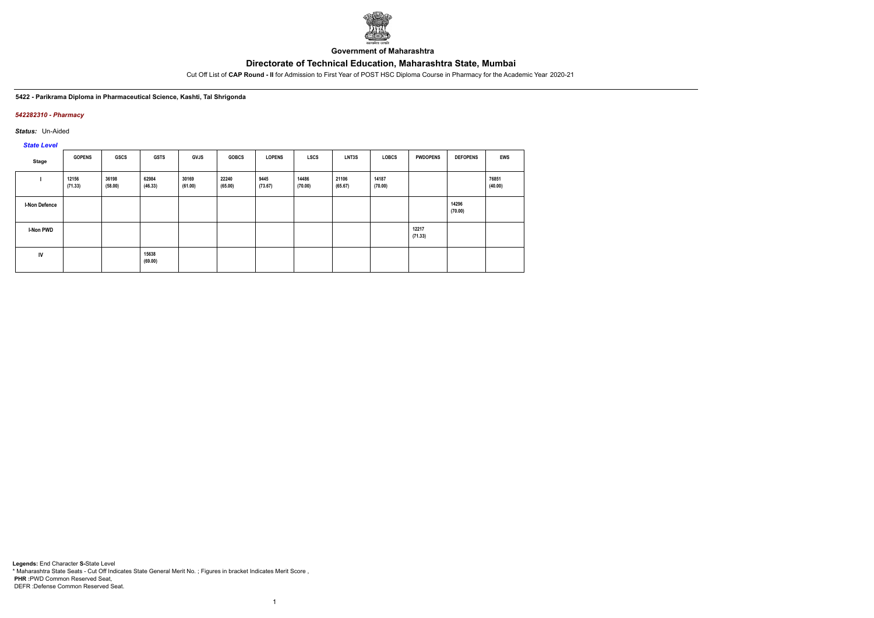

**Government of Maharashtra**

Cut Off List of **CAP Round - II** for Admission to First Year of POST HSC Diploma Course in Pharmacy for the Academic Year 2020-21

#### **5422 - Parikrama Diploma in Pharmaceutical Science, Kashti, Tal Shrigonda**

#### *542282310 - Pharmacy*

*Status:* Un-Aided

# *State Level*

| Stage                | <b>GOPENS</b>    | <b>GSCS</b>      | <b>GSTS</b>      | <b>GVJS</b>      | <b>GOBCS</b>     | <b>LOPENS</b>   | <b>LSCS</b>      | LNT3S            | <b>LOBCS</b>     | <b>PWDOPENS</b>  | <b>DEFOPENS</b>  | <b>EWS</b>       |
|----------------------|------------------|------------------|------------------|------------------|------------------|-----------------|------------------|------------------|------------------|------------------|------------------|------------------|
|                      | 12156<br>(71.33) | 36198<br>(58.00) | 62984<br>(46.33) | 30169<br>(61.00) | 22240<br>(65.00) | 9445<br>(73.67) | 14486<br>(70.00) | 21106<br>(65.67) | 14187<br>(70.00) |                  |                  | 76851<br>(40.00) |
| <b>I-Non Defence</b> |                  |                  |                  |                  |                  |                 |                  |                  |                  |                  | 14296<br>(70.00) |                  |
| <b>I-Non PWD</b>     |                  |                  |                  |                  |                  |                 |                  |                  |                  | 12217<br>(71.33) |                  |                  |
| IV                   |                  |                  | 15638<br>(69.00) |                  |                  |                 |                  |                  |                  |                  |                  |                  |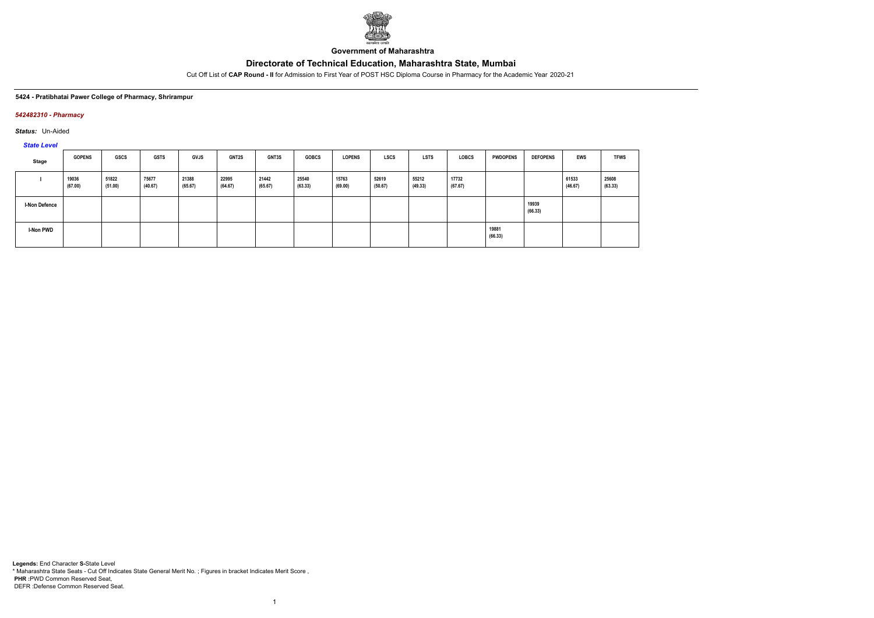

**Government of Maharashtra**

Cut Off List of **CAP Round - II** for Admission to First Year of POST HSC Diploma Course in Pharmacy for the Academic Year 2020-21

#### **5424 - Pratibhatai Pawer College of Pharmacy, Shrirampur**

### *542482310 - Pharmacy*

*Status:* Un-Aided

*State Level*

| Stage                | <b>GOPENS</b>    | <b>GSCS</b>      | <b>GSTS</b>      | <b>GVJS</b>      | <b>GNT2S</b>     | GNT3S            | <b>GOBCS</b>     | <b>LOPENS</b>    | <b>LSCS</b>      | <b>LSTS</b>      | <b>LOBCS</b>     | <b>PWDOPENS</b>  | <b>DEFOPENS</b>  | <b>EWS</b>       | <b>TFWS</b>      |
|----------------------|------------------|------------------|------------------|------------------|------------------|------------------|------------------|------------------|------------------|------------------|------------------|------------------|------------------|------------------|------------------|
|                      | 19036<br>(67.00) | 51822<br>(51.00) | 75677<br>(40.67) | 21388<br>(65.67) | 22995<br>(64.67) | 21442<br>(65.67) | 25540<br>(63.33) | 15763<br>(69.00) | 52619<br>(50.67) | 55212<br>(49.33) | 17732<br>(67.67) |                  |                  | 61533<br>(46.67) | 25608<br>(63.33) |
| <b>I-Non Defence</b> |                  |                  |                  |                  |                  |                  |                  |                  |                  |                  |                  |                  | 19939<br>(66.33) |                  |                  |
| I-Non PWD            |                  |                  |                  |                  |                  |                  |                  |                  |                  |                  |                  | 19881<br>(66.33) |                  |                  |                  |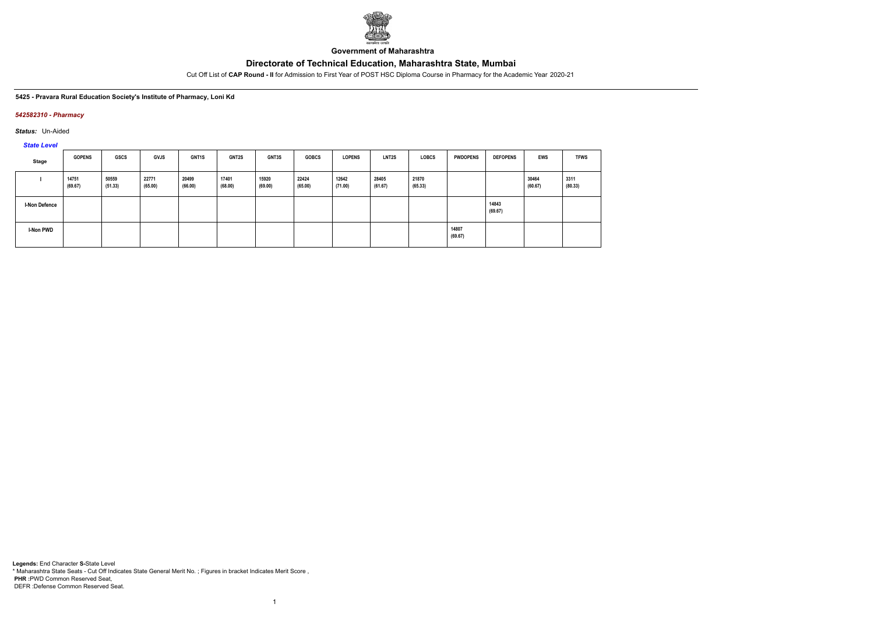

**Government of Maharashtra**

Cut Off List of **CAP Round - II** for Admission to First Year of POST HSC Diploma Course in Pharmacy for the Academic Year 2020-21

#### **5425 - Pravara Rural Education Society's Institute of Pharmacy, Loni Kd**

### *542582310 - Pharmacy*

*Status:* Un-Aided

*State Level*

| Stage                | <b>GOPENS</b>    | GSCS             | <b>GVJS</b>      | <b>GNT1S</b>     | <b>GNT2S</b>     | <b>GNT3S</b>     | <b>GOBCS</b>     | <b>LOPENS</b>    | <b>LNT2S</b>     | <b>LOBCS</b>     | <b>PWDOPENS</b>  | <b>DEFOPENS</b>  | <b>EWS</b>       | <b>TFWS</b>     |
|----------------------|------------------|------------------|------------------|------------------|------------------|------------------|------------------|------------------|------------------|------------------|------------------|------------------|------------------|-----------------|
|                      | 14751<br>(69.67) | 50559<br>(51.33) | 22771<br>(65.00) | 20499<br>(66.00) | 17401<br>(68.00) | 15920<br>(69.00) | 22424<br>(65.00) | 12642<br>(71.00) | 28405<br>(61.67) | 21870<br>(65.33) |                  |                  | 30464<br>(60.67) | 3311<br>(80.33) |
| <b>I-Non Defence</b> |                  |                  |                  |                  |                  |                  |                  |                  |                  |                  |                  | 14843<br>(69.67) |                  |                 |
| I-Non PWD            |                  |                  |                  |                  |                  |                  |                  |                  |                  |                  | 14807<br>(69.67) |                  |                  |                 |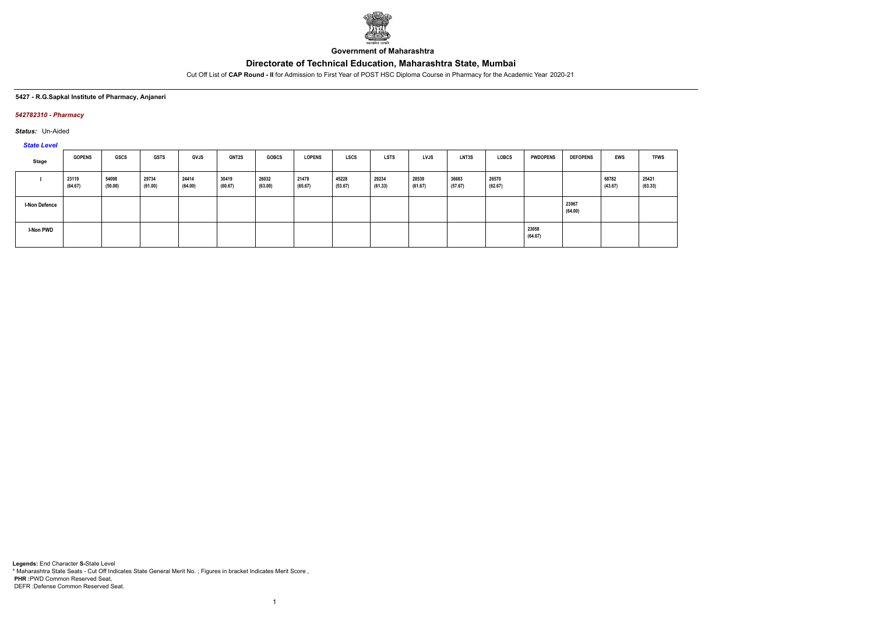

**Government of Maharashtra**

Cut Off List of **CAP Round - II** for Admission to First Year of POST HSC Diploma Course in Pharmacy for the Academic Year 2020-21

#### **5427 - R.G.Sapkal Institute of Pharmacy, Anjaneri**

### *542782310 - Pharmacy*

*Status:* Un-Aided

*State Level*

| Stage                | <b>GOPENS</b>    | GSCS             | <b>GSTS</b>      | <b>GVJS</b>      | <b>GNT2S</b>     | <b>GOBCS</b>     | <b>LOPENS</b>    | <b>LSCS</b>      | <b>LSTS</b>      | <b>LVJS</b>      | <b>LNT3S</b>     | LOBCS            | <b>PWDOPENS</b>  | <b>DEFOPENS</b>  | EWS              | <b>TFWS</b>      |
|----------------------|------------------|------------------|------------------|------------------|------------------|------------------|------------------|------------------|------------------|------------------|------------------|------------------|------------------|------------------|------------------|------------------|
|                      | 23119<br>(64.67) | 54098<br>(50.00) | 29734<br>(61.00) | 24414<br>(64.00) | 30419<br>(60.67) | 26032<br>(63.00) | 21478<br>(65.67) | 45228<br>(53.67) | 29234<br>(61.33) | 28539<br>(61.67) | 36683<br>(57.67) | 26570<br>(62.67) |                  |                  | 68782<br>(43.67) | 25421<br>(63.33) |
| <b>I-Non Defence</b> |                  |                  |                  |                  |                  |                  |                  |                  |                  |                  |                  |                  |                  | 23967<br>(64.00) |                  |                  |
| <b>I-Non PWD</b>     |                  |                  |                  |                  |                  |                  |                  |                  |                  |                  |                  |                  | 23058<br>(64.67) |                  |                  |                  |

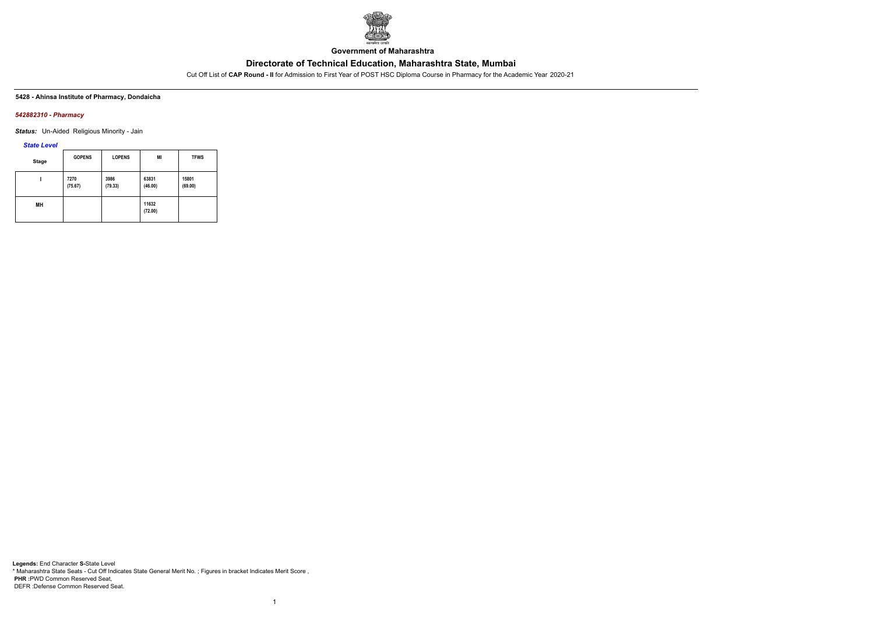

**Government of Maharashtra**

Cut Off List of **CAP Round - II** for Admission to First Year of POST HSC Diploma Course in Pharmacy for the Academic Year 2020-21

#### **5428 - Ahinsa Institute of Pharmacy, Dondaicha**

#### *542882310 - Pharmacy*

*Status:* Un-Aided Religious Minority - Jain

#### *State Level*

| <b>Stage</b> | <b>GOPENS</b>   | <b>LOPENS</b>   | MI               | <b>TFWS</b>      |
|--------------|-----------------|-----------------|------------------|------------------|
|              | 7270<br>(75.67) | 3986<br>(79.33) | 63831<br>(46.00) | 15801<br>(69.00) |
| MН           |                 |                 | 11632<br>(72.00) |                  |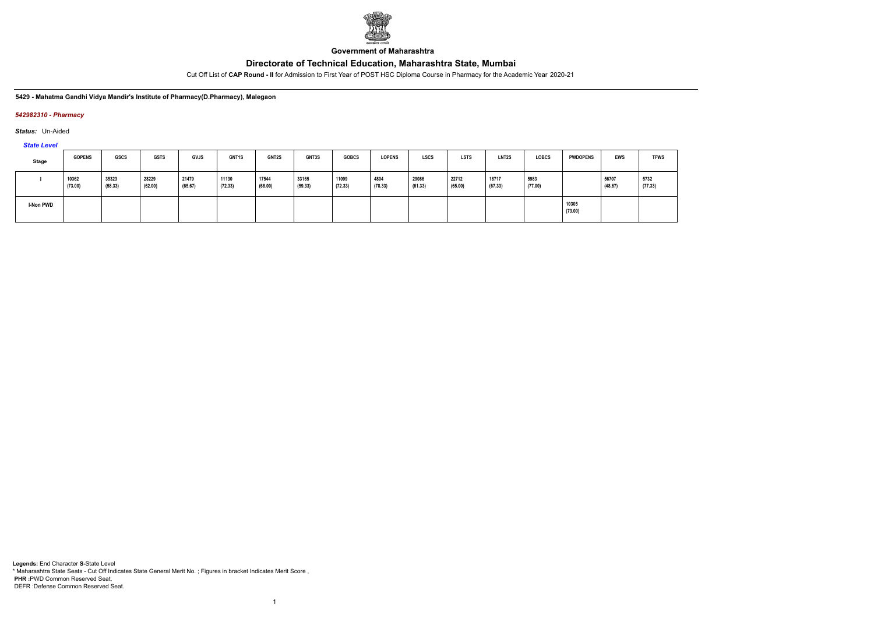

**Government of Maharashtra**

Cut Off List of **CAP Round - II** for Admission to First Year of POST HSC Diploma Course in Pharmacy for the Academic Year 2020-21

#### **5429 - Mahatma Gandhi Vidya Mandir's Institute of Pharmacy(D.Pharmacy), Malegaon**

#### *542982310 - Pharmacy*

*Status:* Un-Aided

*State Level*

| Stage     | <b>GOPENS</b>    | <b>GSCS</b>      | <b>GSTS</b>      | <b>GVJS</b>      | <b>GNT1S</b>     | <b>GNT2S</b>     | GNT3S            | <b>GOBCS</b>     | <b>LOPENS</b>   | <b>LSCS</b>      | <b>LSTS</b>      | <b>LNT2S</b>     | <b>LOBCS</b>    | <b>PWDOPENS</b>  | EWS              | <b>TFWS</b>     |
|-----------|------------------|------------------|------------------|------------------|------------------|------------------|------------------|------------------|-----------------|------------------|------------------|------------------|-----------------|------------------|------------------|-----------------|
|           | 10362<br>(73.00) | 35323<br>(58.33) | 28229<br>(62.00) | 21479<br>(65.67) | 11130<br>(72.33) | 17544<br>(68.00) | 33165<br>(59.33) | 11099<br>(72.33) | 4804<br>(78.33) | 29086<br>(61.33) | 22712<br>(65.00) | 18717<br>(67.33) | 5983<br>(77.00) |                  | 56707<br>(48.67) | 5732<br>(77.33) |
| I-Non PWD |                  |                  |                  |                  |                  |                  |                  |                  |                 |                  |                  |                  |                 | 10305<br>(73.00) |                  |                 |

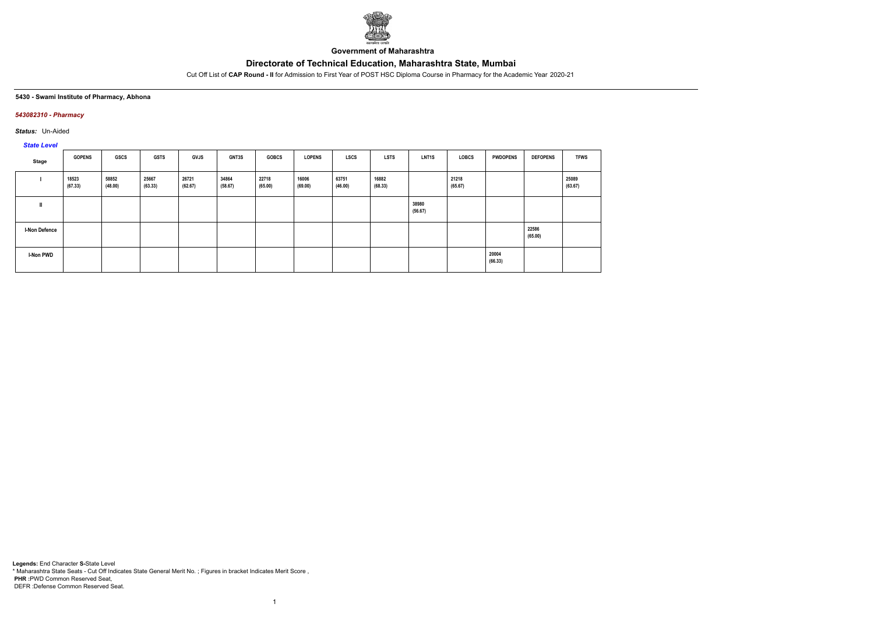

**Government of Maharashtra**

Cut Off List of **CAP Round - II** for Admission to First Year of POST HSC Diploma Course in Pharmacy for the Academic Year 2020-21

#### **5430 - Swami Institute of Pharmacy, Abhona**

### *543082310 - Pharmacy*

*Status:* Un-Aided

# *State Level*

| Stage                | <b>GOPENS</b>    | GSCS             | <b>GSTS</b>      | <b>GVJS</b>      | <b>GNT3S</b>     | <b>GOBCS</b>     | <b>LOPENS</b>    | <b>LSCS</b>      | <b>LSTS</b>      | <b>LNT1S</b>     | LOBCS            | <b>PWDOPENS</b>  | <b>DEFOPENS</b>  | <b>TFWS</b>      |
|----------------------|------------------|------------------|------------------|------------------|------------------|------------------|------------------|------------------|------------------|------------------|------------------|------------------|------------------|------------------|
|                      | 18523<br>(67.33) | 58852<br>(48.00) | 25667<br>(63.33) | 26721<br>(62.67) | 34864<br>(58.67) | 22718<br>(65.00) | 16006<br>(69.00) | 63751<br>(46.00) | 16882<br>(68.33) |                  | 21218<br>(65.67) |                  |                  | 25089<br>(63.67) |
| Ш                    |                  |                  |                  |                  |                  |                  |                  |                  |                  | 38980<br>(56.67) |                  |                  |                  |                  |
| <b>I-Non Defence</b> |                  |                  |                  |                  |                  |                  |                  |                  |                  |                  |                  |                  | 22586<br>(65.00) |                  |
| I-Non PWD            |                  |                  |                  |                  |                  |                  |                  |                  |                  |                  |                  | 20004<br>(66.33) |                  |                  |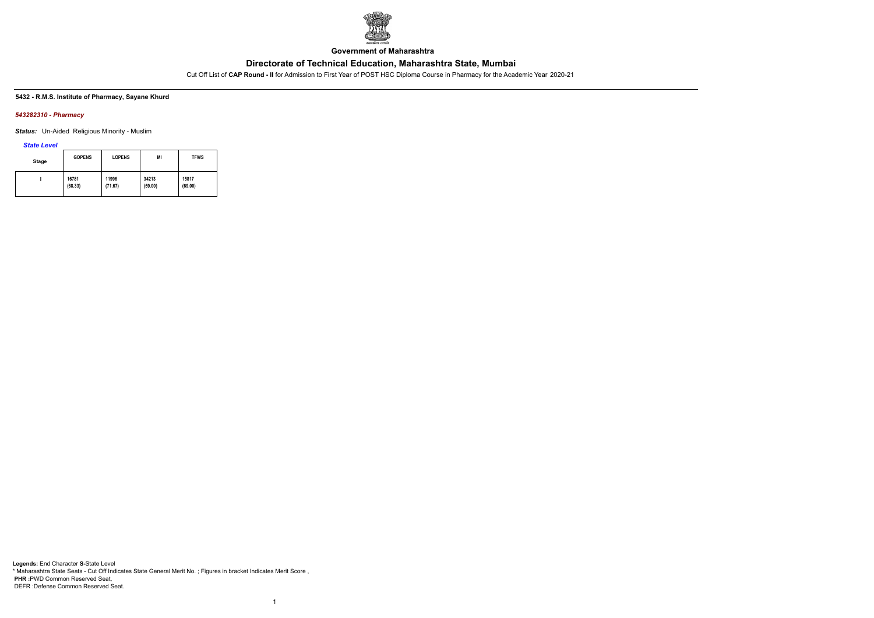

**Government of Maharashtra**

Cut Off List of **CAP Round - II** for Admission to First Year of POST HSC Diploma Course in Pharmacy for the Academic Year 2020-21

#### **5432 - R.M.S. Institute of Pharmacy, Sayane Khurd**

#### *543282310 - Pharmacy*

*Status:* Un-Aided Religious Minority - Muslim

*State Level*

| <b>Stage</b> | <b>GOPENS</b> | <b>LOPENS</b> | MI      | <b>TFWS</b> |
|--------------|---------------|---------------|---------|-------------|
|              | 16781         | 11996         | 34213   | 15817       |
|              | (68.33)       | (71.67)       | (59.00) | (69.00)     |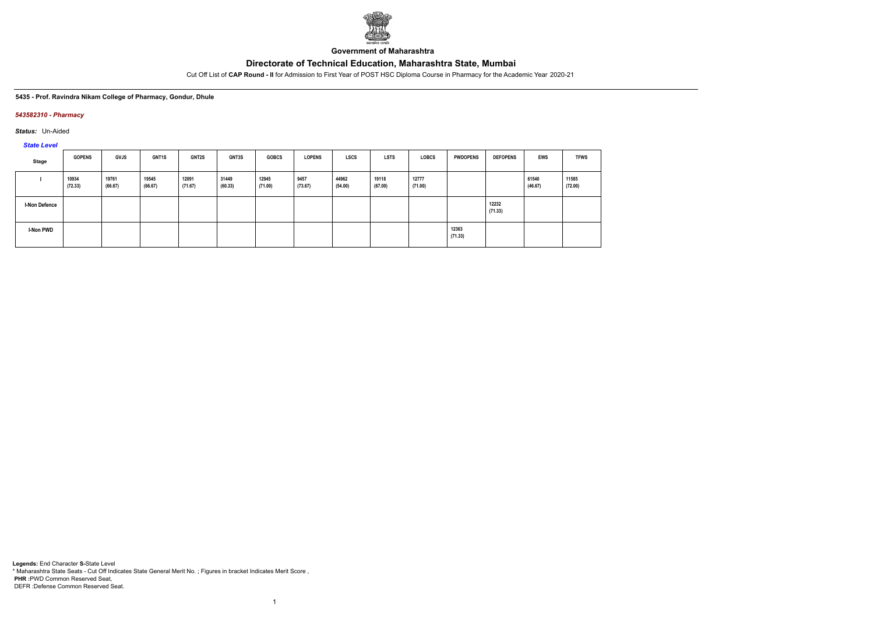

**Government of Maharashtra**

Cut Off List of **CAP Round - II** for Admission to First Year of POST HSC Diploma Course in Pharmacy for the Academic Year 2020-21

#### **5435 - Prof. Ravindra Nikam College of Pharmacy, Gondur, Dhule**

### *543582310 - Pharmacy*

*Status:* Un-Aided

*State Level*

| Stage                | <b>GOPENS</b>    | GVJS             | GNT <sub>1</sub> S | <b>GNT2S</b>     | <b>GNT3S</b>     | <b>GOBCS</b>     | <b>LOPENS</b>   | <b>LSCS</b>      | <b>LSTS</b>      | <b>LOBCS</b>     | <b>PWDOPENS</b>  | <b>DEFOPENS</b>  | <b>EWS</b>       | <b>TFWS</b>      |
|----------------------|------------------|------------------|--------------------|------------------|------------------|------------------|-----------------|------------------|------------------|------------------|------------------|------------------|------------------|------------------|
|                      | 10934<br>(72.33) | 19761<br>(66.67) | 19545<br>(66.67)   | 12091<br>(71.67) | 31449<br>(60.33) | 12945<br>(71.00) | 9457<br>(73.67) | 44962<br>(54.00) | 19118<br>(67.00) | 12777<br>(71.00) |                  |                  | 61540<br>(46.67) | 11585<br>(72.00) |
| <b>I-Non Defence</b> |                  |                  |                    |                  |                  |                  |                 |                  |                  |                  |                  | 12232<br>(71.33) |                  |                  |
| I-Non PWD            |                  |                  |                    |                  |                  |                  |                 |                  |                  |                  | 12363<br>(71.33) |                  |                  |                  |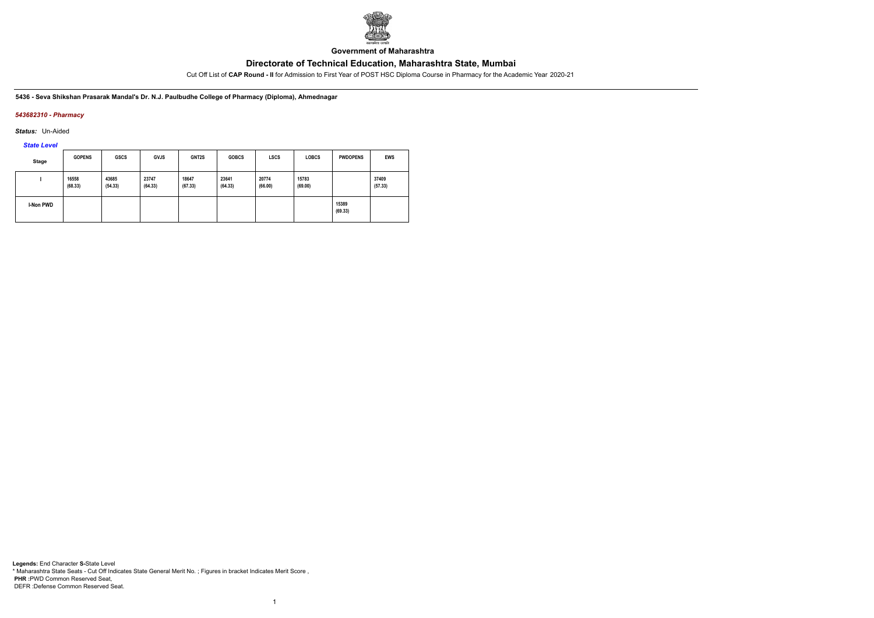

**Government of Maharashtra**

Cut Off List of **CAP Round - II** for Admission to First Year of POST HSC Diploma Course in Pharmacy for the Academic Year 2020-21

**5436 - Seva Shikshan Prasarak Mandal's Dr. N.J. Paulbudhe College of Pharmacy (Diploma), Ahmednagar**

### *543682310 - Pharmacy*

*Status:* Un-Aided

*State Level*

| <b>Stage</b>     | <b>GOPENS</b>    | <b>GSCS</b>      | <b>GVJS</b>      | GNT2S            | <b>GOBCS</b>     | LSCS             | <b>LOBCS</b>     | <b>PWDOPENS</b>  | <b>EWS</b>       |
|------------------|------------------|------------------|------------------|------------------|------------------|------------------|------------------|------------------|------------------|
|                  | 16558<br>(68.33) | 43685<br>(54.33) | 23747<br>(64.33) | 18647<br>(67.33) | 23641<br>(64.33) | 20774<br>(66.00) | 15783<br>(69.00) |                  | 37409<br>(57.33) |
| <b>I-Non PWD</b> |                  |                  |                  |                  |                  |                  |                  | 15389<br>(69.33) |                  |

1

**Legends:** End Character **S-**State Level \* Maharashtra State Seats - Cut Off Indicates State General Merit No. ; Figures in bracket Indicates Merit Score , **PHR :**PWD Common Reserved Seat, DEFR :Defense Common Reserved Seat.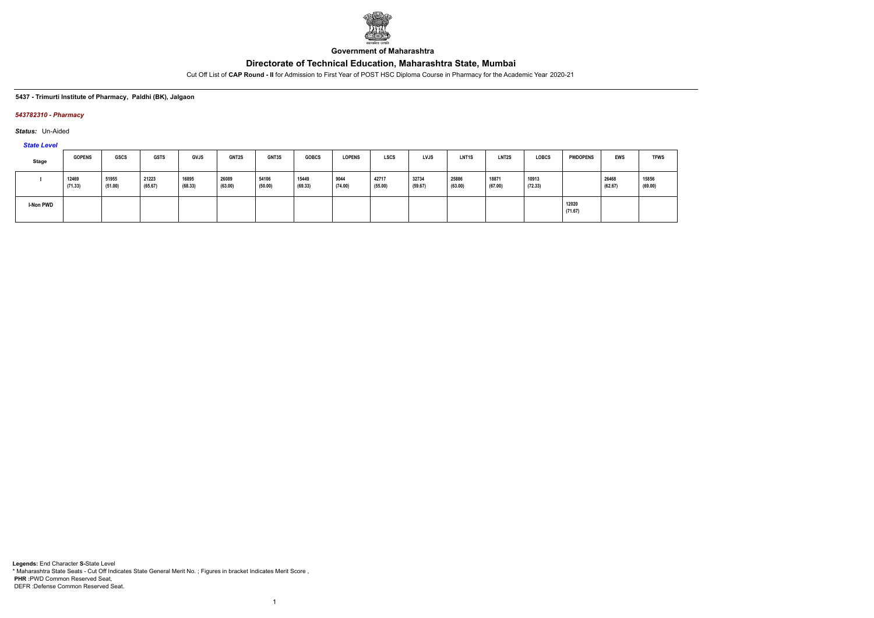

**Government of Maharashtra**

Cut Off List of **CAP Round - II** for Admission to First Year of POST HSC Diploma Course in Pharmacy for the Academic Year 2020-21

### **5437 - Trimurti Institute of Pharmacy, Paldhi (BK), Jalgaon**

### *543782310 - Pharmacy*

*Status:* Un-Aided

*State Level*

| <b>Stage</b> | <b>GOPENS</b>    | <b>GSCS</b>      | <b>GSTS</b>      | <b>GVJS</b>      | <b>GNT2S</b>     | GNT3S            | <b>GOBCS</b>     | <b>LOPENS</b>   | <b>LSCS</b>      | <b>LVJS</b>      | <b>LNT1S</b>     | <b>LNT2S</b>     | <b>LOBCS</b>     | <b>PWDOPENS</b>  | <b>EWS</b>       | <b>TFWS</b>      |
|--------------|------------------|------------------|------------------|------------------|------------------|------------------|------------------|-----------------|------------------|------------------|------------------|------------------|------------------|------------------|------------------|------------------|
|              | 12469<br>(71.33) | 51955<br>(51.00) | 21223<br>(65.67) | 16895<br>(68.33) | 26089<br>(63.00) | 54106<br>(50.00) | 15449<br>(69.33) | 9044<br>(74.00) | 42717<br>(55.00) | 32734<br>(59.67) | 25886<br>(63.00) | 18871<br>(67.00) | 10913<br>(72.33) |                  | 26468<br>(62.67) | 15856<br>(69.00) |
| I-Non PWD    |                  |                  |                  |                  |                  |                  |                  |                 |                  |                  |                  |                  |                  | 12020<br>(71.67) |                  |                  |

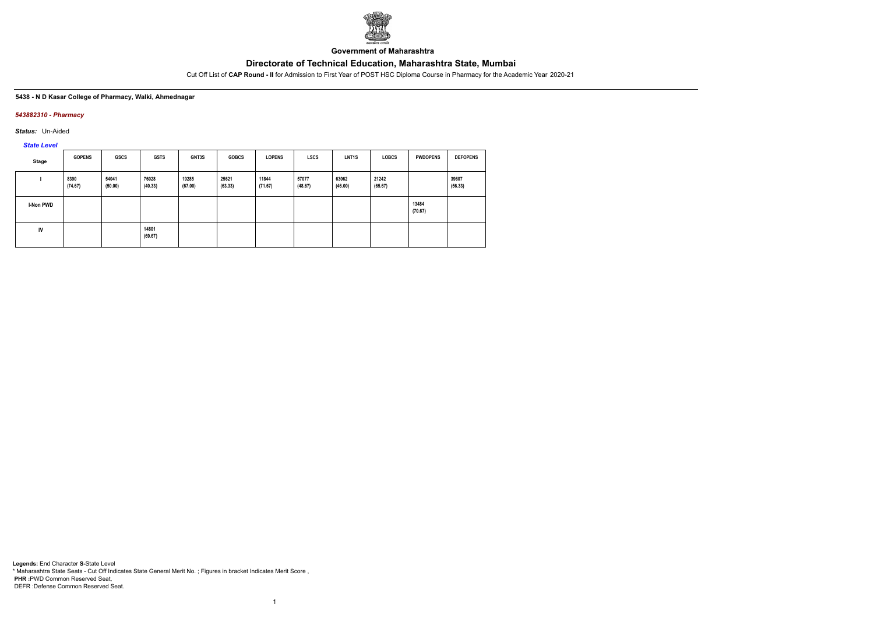

**Government of Maharashtra**

Cut Off List of **CAP Round - II** for Admission to First Year of POST HSC Diploma Course in Pharmacy for the Academic Year 2020-21

#### **5438 - N D Kasar College of Pharmacy, Walki, Ahmednagar**

#### *543882310 - Pharmacy*

*Status:* Un-Aided

*State Level*

| Stage     | <b>GOPENS</b>   | <b>GSCS</b>      | <b>GSTS</b>      | GNT3S            | <b>GOBCS</b>     | <b>LOPENS</b>    | <b>LSCS</b>      | <b>LNT1S</b>     | <b>LOBCS</b>     | <b>PWDOPENS</b>  | <b>DEFOPENS</b>  |
|-----------|-----------------|------------------|------------------|------------------|------------------|------------------|------------------|------------------|------------------|------------------|------------------|
|           | 8390<br>(74.67) | 54041<br>(50.00) | 76028<br>(40.33) | 19285<br>(67.00) | 25621<br>(63.33) | 11844<br>(71.67) | 57077<br>(48.67) | 63062<br>(46.00) | 21242<br>(65.67) |                  | 39607<br>(56.33) |
| I-Non PWD |                 |                  |                  |                  |                  |                  |                  |                  |                  | 13484<br>(70.67) |                  |
| IV        |                 |                  | 14801<br>(69.67) |                  |                  |                  |                  |                  |                  |                  |                  |

1

**Legends:** End Character **S-**State Level \* Maharashtra State Seats - Cut Off Indicates State General Merit No. ; Figures in bracket Indicates Merit Score , **PHR :**PWD Common Reserved Seat, DEFR :Defense Common Reserved Seat.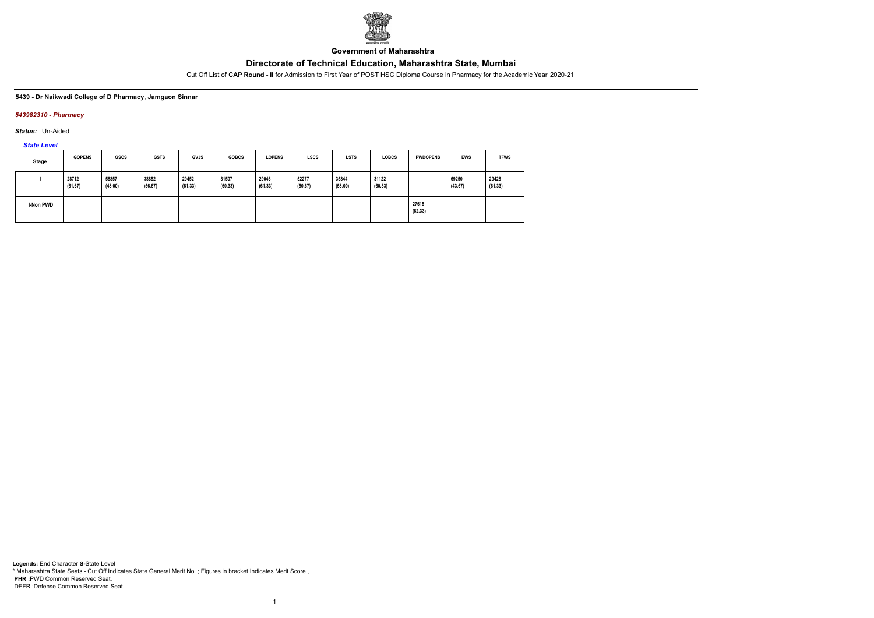

**Government of Maharashtra**

Cut Off List of **CAP Round - II** for Admission to First Year of POST HSC Diploma Course in Pharmacy for the Academic Year 2020-21

#### **5439 - Dr Naikwadi College of D Pharmacy, Jamgaon Sinnar**

#### *543982310 - Pharmacy*

*Status:* Un-Aided

*State Level*

| Stage     | <b>GOPENS</b>    | <b>GSCS</b>      | <b>GSTS</b>      | <b>GVJS</b>      | <b>GOBCS</b>     | <b>LOPENS</b>    | <b>LSCS</b>      | <b>LSTS</b>      | <b>LOBCS</b>     | <b>PWDOPENS</b>  | <b>EWS</b>       | <b>TFWS</b>      |
|-----------|------------------|------------------|------------------|------------------|------------------|------------------|------------------|------------------|------------------|------------------|------------------|------------------|
|           | 28712<br>(61.67) | 58857<br>(48.00) | 38852<br>(56.67) | 29452<br>(61.33) | 31507<br>(60.33) | 29046<br>(61.33) | 52277<br>(50.67) | 35844<br>(58.00) | 31122<br>(60.33) |                  | 69250<br>(43.67) | 29428<br>(61.33) |
| I-Non PWD |                  |                  |                  |                  |                  |                  |                  |                  |                  | 27615<br>(62.33) |                  |                  |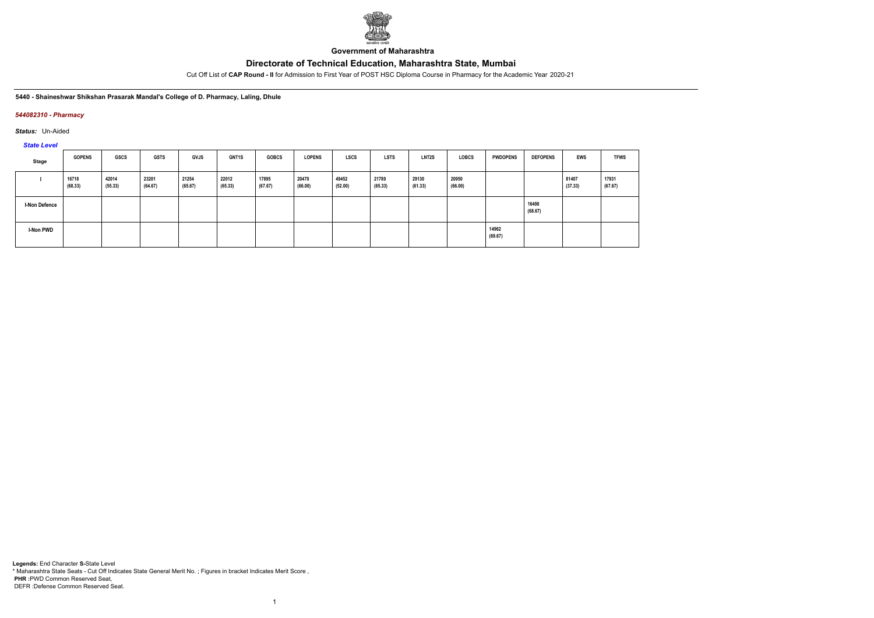

**Government of Maharashtra**

Cut Off List of **CAP Round - II** for Admission to First Year of POST HSC Diploma Course in Pharmacy for the Academic Year 2020-21

**5440 - Shaineshwar Shikshan Prasarak Mandal's College of D. Pharmacy, Laling, Dhule**

### *544082310 - Pharmacy*

*Status:* Un-Aided

*State Level*

| Stage                | <b>GOPENS</b>    | <b>GSCS</b>      | <b>GSTS</b>      | <b>GVJS</b>      | <b>GNT1S</b>     | <b>GOBCS</b>     | <b>LOPENS</b>    | <b>LSCS</b>      | <b>LSTS</b>      | <b>LNT2S</b>     | <b>LOBCS</b>     | <b>PWDOPENS</b>  | <b>DEFOPENS</b>  | <b>EWS</b>       | <b>TFWS</b>      |
|----------------------|------------------|------------------|------------------|------------------|------------------|------------------|------------------|------------------|------------------|------------------|------------------|------------------|------------------|------------------|------------------|
|                      | 16718<br>(68.33) | 42014<br>(55.33) | 23201<br>(64.67) | 21254<br>(65.67) | 22012<br>(65.33) | 17895<br>(67.67) | 20470<br>(66.00) | 49452<br>(52.00) | 21789<br>(65.33) | 29130<br>(61.33) | 20950<br>(66.00) |                  |                  | 81407<br>(37.33) | 17931<br>(67.67) |
| <b>I-Non Defence</b> |                  |                  |                  |                  |                  |                  |                  |                  |                  |                  |                  |                  | 16498<br>(68.67) |                  |                  |
| I-Non PWD            |                  |                  |                  |                  |                  |                  |                  |                  |                  |                  |                  | 14962<br>(69.67) |                  |                  |                  |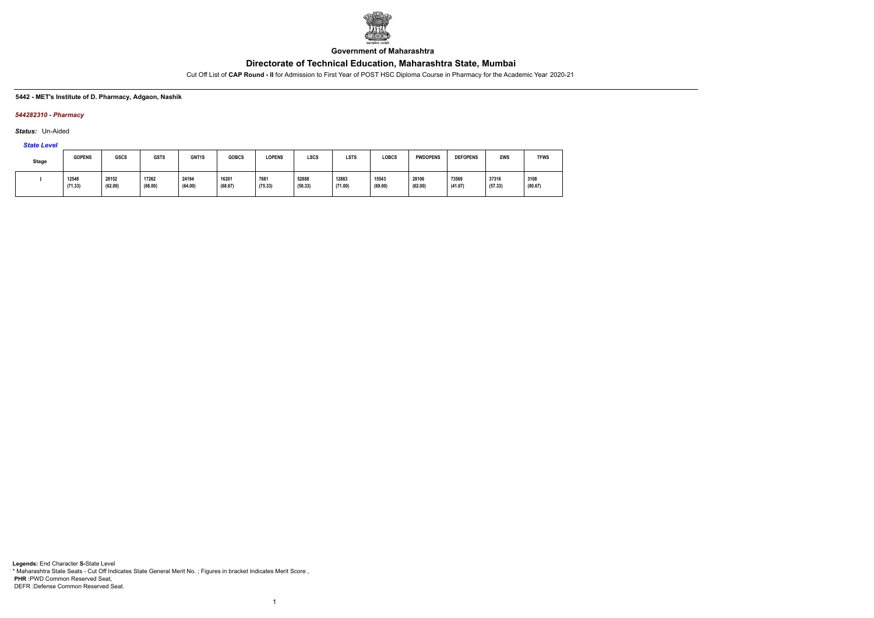

**Government of Maharashtra**

Cut Off List of **CAP Round - II** for Admission to First Year of POST HSC Diploma Course in Pharmacy for the Academic Year 2020-21

#### **5442 - MET's Institute of D. Pharmacy, Adgaon, Nashik**

### *544282310 - Pharmacy*

*Status:* Un-Aided

# *State Level*

| Stage | <b>GOPENS</b>    | <b>GSCS</b>                       | <b>GSTS</b>      | GNT1S            | <b>GOBCS</b>     | <b>LOPENS</b>   | LSCS             | LSTS             | <b>LOBCS</b>     | <b>PWDOPENS</b>  | <b>DEFOPENS</b>  | <b>EWS</b>       | <b>TFWS</b>     |
|-------|------------------|-----------------------------------|------------------|------------------|------------------|-----------------|------------------|------------------|------------------|------------------|------------------|------------------|-----------------|
|       | 12548<br>(71.33) | 28152<br>$\sim$ $\sim$<br>(62.00) | 17262<br>(68.00) | 24194<br>(64.00) | 16201<br>(68.67) | 7681<br>(75.33) | 52888<br>(50.33) | 12883<br>(71.00) | 15543<br>(69.00) | 28106<br>(62.00) | 73569<br>(41.67) | 37316<br>(57.33) | 3108<br>(80.67) |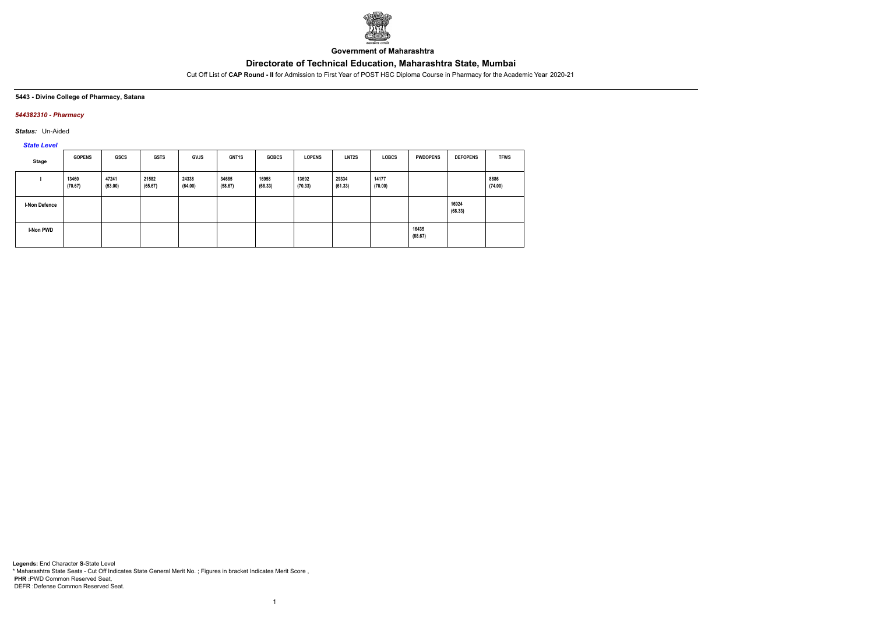

**Government of Maharashtra**

Cut Off List of **CAP Round - II** for Admission to First Year of POST HSC Diploma Course in Pharmacy for the Academic Year 2020-21

**5443 - Divine College of Pharmacy, Satana**

### *544382310 - Pharmacy*

*Status:* Un-Aided

*State Level*

| Stage         | <b>GOPENS</b>    | <b>GSCS</b>      | <b>GSTS</b>      | <b>GVJS</b>      | <b>GNT1S</b>     | <b>GOBCS</b>     | <b>LOPENS</b>    | LNT2S            | <b>LOBCS</b>     | <b>PWDOPENS</b>  | <b>DEFOPENS</b>  | <b>TFWS</b>     |
|---------------|------------------|------------------|------------------|------------------|------------------|------------------|------------------|------------------|------------------|------------------|------------------|-----------------|
|               | 13460<br>(70.67) | 47241<br>(53.00) | 21582<br>(65.67) | 24338<br>(64.00) | 34685<br>(58.67) | 16958<br>(68.33) | 13692<br>(70.33) | 29334<br>(61.33) | 14177<br>(70.00) |                  |                  | 8886<br>(74.00) |
| I-Non Defence |                  |                  |                  |                  |                  |                  |                  |                  |                  |                  | 16924<br>(68.33) |                 |
| I-Non PWD     |                  |                  |                  |                  |                  |                  |                  |                  |                  | 16435<br>(68.67) |                  |                 |

1

**Legends:** End Character **S-**State Level \* Maharashtra State Seats - Cut Off Indicates State General Merit No. ; Figures in bracket Indicates Merit Score , **PHR :**PWD Common Reserved Seat, DEFR :Defense Common Reserved Seat.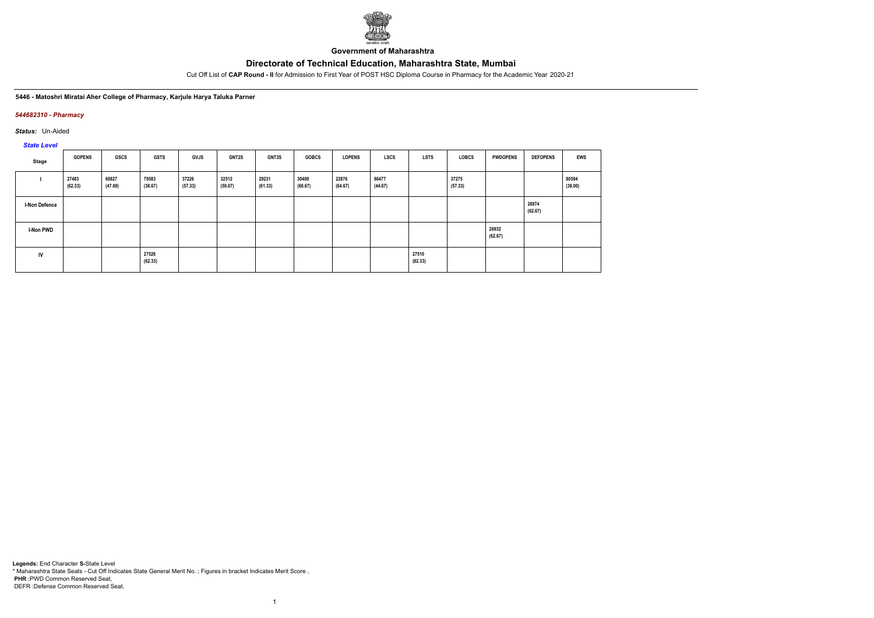

**Government of Maharashtra**

Cut Off List of **CAP Round - II** for Admission to First Year of POST HSC Diploma Course in Pharmacy for the Academic Year 2020-21

#### **5446 - Matoshri Miratai Aher College of Pharmacy, Karjule Harya Taluka Parner**

### *544682310 - Pharmacy*

*Status:* Un-Aided

*State Level*

| Stage                | <b>GOPENS</b>    | <b>GSCS</b>      | <b>GSTS</b>      | <b>GVJS</b>      | <b>GNT2S</b>     | <b>GNT3S</b>     | <b>GOBCS</b>     | <b>LOPENS</b>    | <b>LSCS</b>      | <b>LSTS</b>      | <b>LOBCS</b>     | <b>PWDOPENS</b>  | <b>DEFOPENS</b>  | <b>EWS</b>       |
|----------------------|------------------|------------------|------------------|------------------|------------------|------------------|------------------|------------------|------------------|------------------|------------------|------------------|------------------|------------------|
|                      | 27483<br>(62.33) | 60827<br>(47.00) | 79583<br>(38.67) | 37226<br>(57.33) | 32512<br>(59.67) | 29231<br>(61.33) | 30400<br>(60.67) | 22876<br>(64.67) | 66477<br>(44.67) |                  | 37275<br>(57.33) |                  |                  | 80594<br>(38.00) |
| <b>I-Non Defence</b> |                  |                  |                  |                  |                  |                  |                  |                  |                  |                  |                  |                  | 26974<br>(62.67) |                  |
| I-Non PWD            |                  |                  |                  |                  |                  |                  |                  |                  |                  |                  |                  | 26932<br>(62.67) |                  |                  |
| IV                   |                  |                  | 27526<br>(62.33) |                  |                  |                  |                  |                  |                  | 27510<br>(62.33) |                  |                  |                  |                  |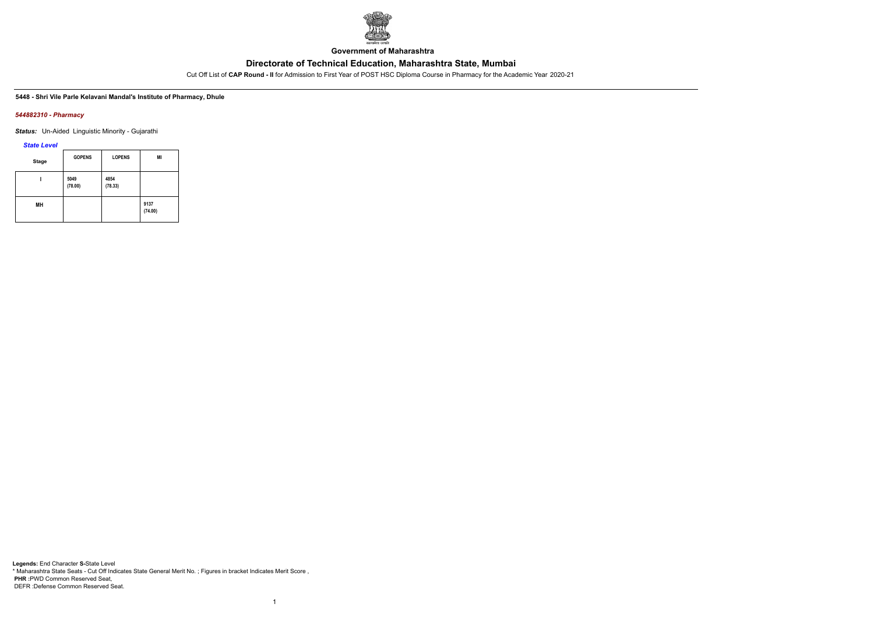

**Government of Maharashtra**

Cut Off List of **CAP Round - II** for Admission to First Year of POST HSC Diploma Course in Pharmacy for the Academic Year 2020-21

#### **5448 - Shri Vile Parle Kelavani Mandal's Institute of Pharmacy, Dhule**

#### *544882310 - Pharmacy*

*Status:* Un-Aided Linguistic Minority - Gujarathi

*State Level*

| <b>Stage</b> | <b>GOPENS</b>   | <b>LOPENS</b>   | MI              |
|--------------|-----------------|-----------------|-----------------|
|              | 5049<br>(78.00) | 4854<br>(78.33) |                 |
| MН           |                 |                 | 9137<br>(74.00) |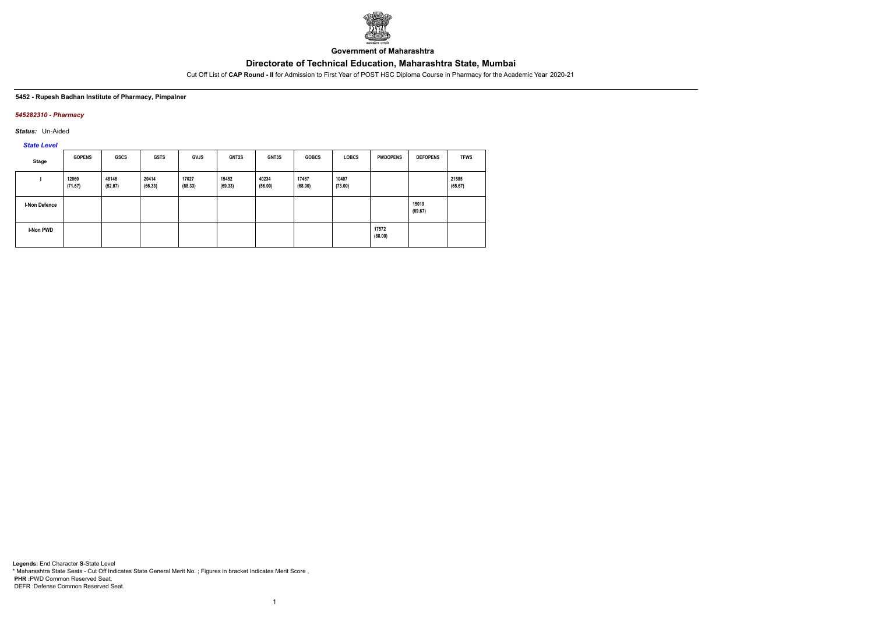

**Government of Maharashtra**

Cut Off List of **CAP Round - II** for Admission to First Year of POST HSC Diploma Course in Pharmacy for the Academic Year 2020-21

#### **5452 - Rupesh Badhan Institute of Pharmacy, Pimpalner**

### *545282310 - Pharmacy*

*Status:* Un-Aided

*State Level*

| Stage                | <b>GOPENS</b>    | <b>GSCS</b>      | <b>GSTS</b>      | <b>GVJS</b>      | GNT2S            | GNT3S            | <b>GOBCS</b>     | <b>LOBCS</b>     | <b>PWDOPENS</b>  | <b>DEFOPENS</b>  | <b>TFWS</b>      |
|----------------------|------------------|------------------|------------------|------------------|------------------|------------------|------------------|------------------|------------------|------------------|------------------|
|                      | 12060<br>(71.67) | 48146<br>(52.67) | 20414<br>(66.33) | 17027<br>(68.33) | 15452<br>(69.33) | 40234<br>(56.00) | 17467<br>(68.00) | 10407<br>(73.00) |                  |                  | 21585<br>(65.67) |
| <b>I-Non Defence</b> |                  |                  |                  |                  |                  |                  |                  |                  |                  | 15019<br>(69.67) |                  |
| I-Non PWD            |                  |                  |                  |                  |                  |                  |                  |                  | 17572<br>(68.00) |                  |                  |

1

**Legends:** End Character **S-**State Level \* Maharashtra State Seats - Cut Off Indicates State General Merit No. ; Figures in bracket Indicates Merit Score , **PHR :**PWD Common Reserved Seat, DEFR :Defense Common Reserved Seat.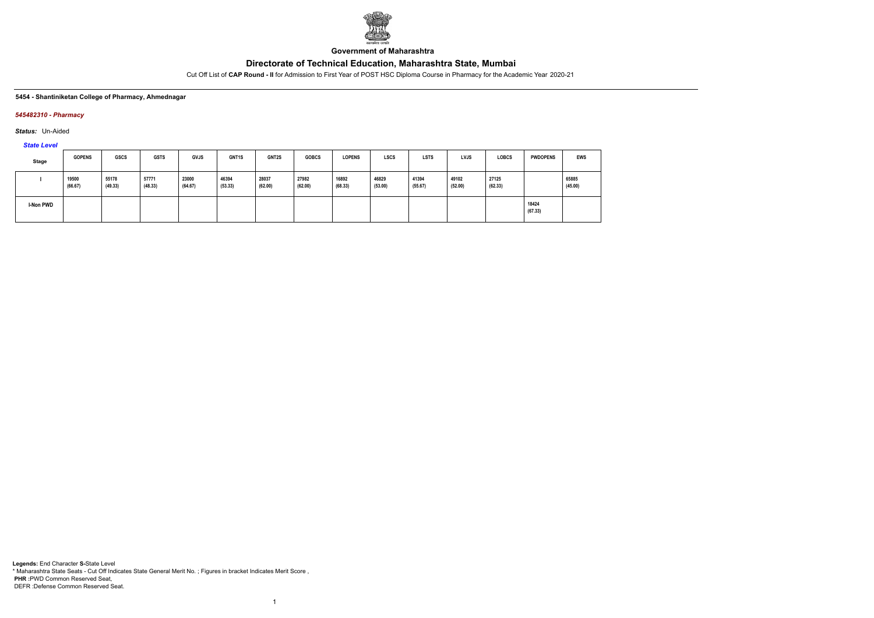

**Government of Maharashtra**

Cut Off List of **CAP Round - II** for Admission to First Year of POST HSC Diploma Course in Pharmacy for the Academic Year 2020-21

#### **5454 - Shantiniketan College of Pharmacy, Ahmednagar**

### *545482310 - Pharmacy*

*Status:* Un-Aided

*State Level*

| Stage     | <b>GOPENS</b>    | <b>GSCS</b>      | <b>GSTS</b>      | <b>GVJS</b>      | <b>GNT1S</b>     | <b>GNT2S</b>     | <b>GOBCS</b>     | <b>LOPENS</b>    | <b>LSCS</b>      | <b>LSTS</b>      | <b>LVJS</b>      | <b>LOBCS</b>     | <b>PWDOPENS</b>  | <b>EWS</b>       |
|-----------|------------------|------------------|------------------|------------------|------------------|------------------|------------------|------------------|------------------|------------------|------------------|------------------|------------------|------------------|
|           | 19500<br>(66.67) | 55178<br>(49.33) | 57771<br>(48.33) | 23000<br>(64.67) | 46394<br>(53.33) | 28037<br>(62.00) | 27982<br>(62.00) | 16892<br>(68.33) | 46829<br>(53.00) | 41394<br>(55.67) | 49102<br>(52.00) | 27125<br>(62.33) |                  | 65885<br>(45.00) |
| I-Non PWD |                  |                  |                  |                  |                  |                  |                  |                  |                  |                  |                  |                  | 18424<br>(67.33) |                  |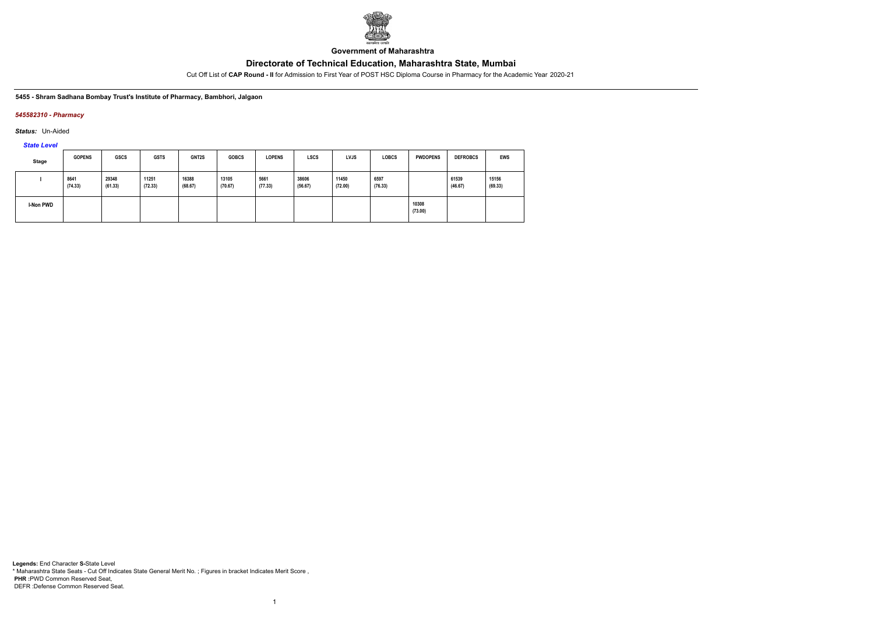

**Government of Maharashtra**

Cut Off List of **CAP Round - II** for Admission to First Year of POST HSC Diploma Course in Pharmacy for the Academic Year 2020-21

**5455 - Shram Sadhana Bombay Trust's Institute of Pharmacy, Bambhori, Jalgaon**

### *545582310 - Pharmacy*

*Status:* Un-Aided

*State Level*

| <b>Stage</b> | <b>GOPENS</b>   | <b>GSCS</b>      | <b>GSTS</b>      | GNT2S            | <b>GOBCS</b>     | <b>LOPENS</b>   | <b>LSCS</b>      | <b>LVJS</b>      | <b>LOBCS</b>    | <b>PWDOPENS</b>  | <b>DEFROBCS</b>  | <b>EWS</b>       |
|--------------|-----------------|------------------|------------------|------------------|------------------|-----------------|------------------|------------------|-----------------|------------------|------------------|------------------|
|              | 8641<br>(74.33) | 29348<br>(61.33) | 11251<br>(72.33) | 16388<br>(68.67) | 13105<br>(70.67) | 5661<br>(77.33) | 38606<br>(56.67) | 11450<br>(72.00) | 6597<br>(76.33) |                  | 61539<br>(46.67) | 15156<br>(69.33) |
| I-Non PWD    |                 |                  |                  |                  |                  |                 |                  |                  |                 | 10308<br>(73.00) |                  |                  |

1

**Legends:** End Character **S-**State Level \* Maharashtra State Seats - Cut Off Indicates State General Merit No. ; Figures in bracket Indicates Merit Score , **PHR :**PWD Common Reserved Seat, DEFR :Defense Common Reserved Seat.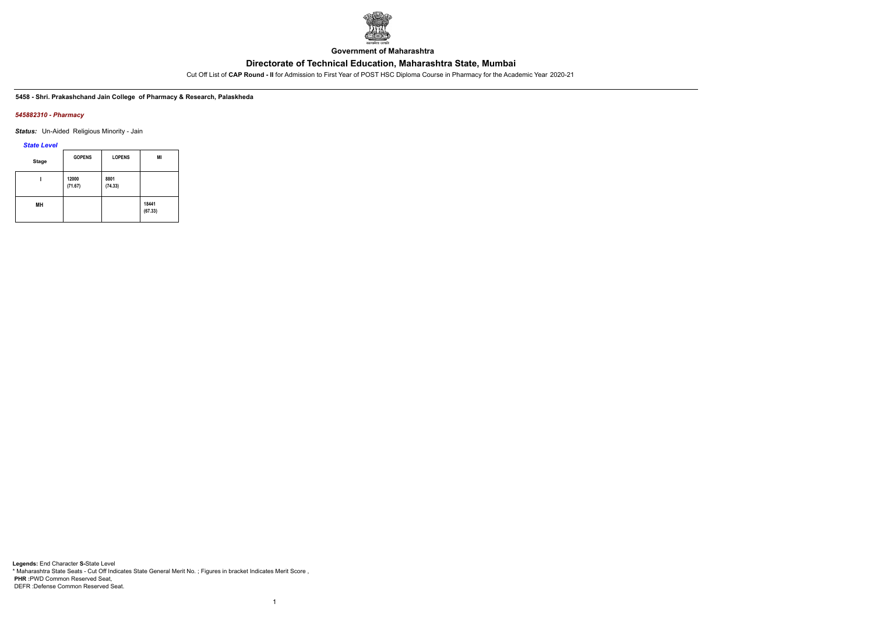

**Government of Maharashtra**

Cut Off List of **CAP Round - II** for Admission to First Year of POST HSC Diploma Course in Pharmacy for the Academic Year 2020-21

**5458 - Shri. Prakashchand Jain College of Pharmacy & Research, Palaskheda**

#### *545882310 - Pharmacy*

*Status:* Un-Aided Religious Minority - Jain

*State Level*

| <b>Stage</b> | <b>GOPENS</b>    | <b>LOPENS</b>   | MI               |
|--------------|------------------|-----------------|------------------|
|              | 12000<br>(71.67) | 8801<br>(74.33) |                  |
| MН           |                  |                 | 18441<br>(67.33) |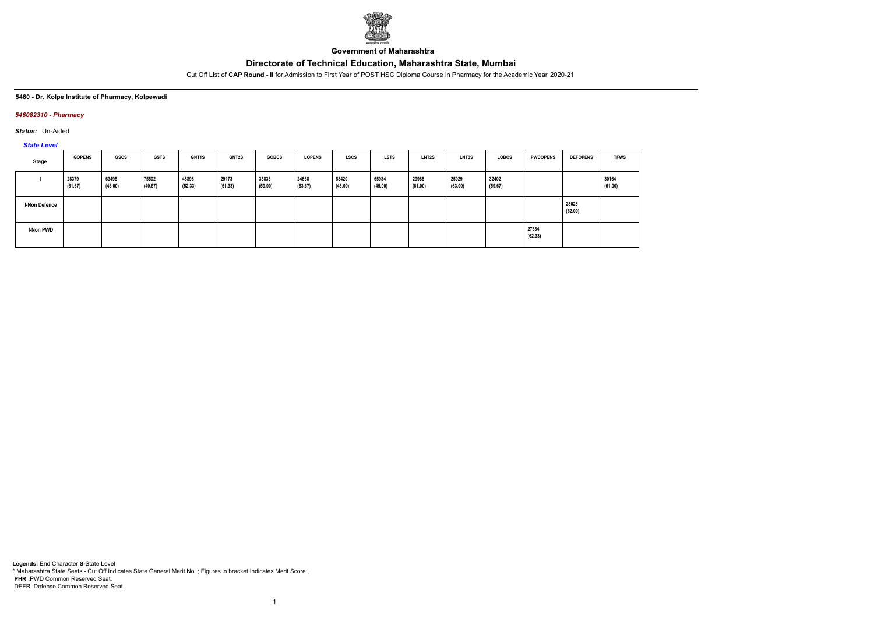

**Government of Maharashtra**

Cut Off List of **CAP Round - II** for Admission to First Year of POST HSC Diploma Course in Pharmacy for the Academic Year 2020-21

#### **5460 - Dr. Kolpe Institute of Pharmacy, Kolpewadi**

### *546082310 - Pharmacy*

*Status:* Un-Aided

*State Level*

| Stage                | <b>GOPENS</b>    | <b>GSCS</b>      | <b>GSTS</b>      | <b>GNT1S</b>     | <b>GNT2S</b>     | <b>GOBCS</b>     | <b>LOPENS</b>    | <b>LSCS</b>      | <b>LSTS</b>      | LNT <sub>2</sub> S | <b>LNT3S</b>     | <b>LOBCS</b>     | <b>PWDOPENS</b>  | <b>DEFOPENS</b>  | <b>TFWS</b>      |
|----------------------|------------------|------------------|------------------|------------------|------------------|------------------|------------------|------------------|------------------|--------------------|------------------|------------------|------------------|------------------|------------------|
|                      | 28379<br>(61.67) | 63495<br>(46.00) | 75502<br>(40.67) | 48898<br>(52.33) | 29173<br>(61.33) | 33833<br>(59.00) | 24668<br>(63.67) | 58420<br>(48.00) | 65984<br>(45.00) | 29986<br>(61.00)   | 25929<br>(63.00) | 32402<br>(59.67) |                  |                  | 30164<br>(61.00) |
| <b>I-Non Defence</b> |                  |                  |                  |                  |                  |                  |                  |                  |                  |                    |                  |                  |                  | 28028<br>(62.00) |                  |
| I-Non PWD            |                  |                  |                  |                  |                  |                  |                  |                  |                  |                    |                  |                  | 27534<br>(62.33) |                  |                  |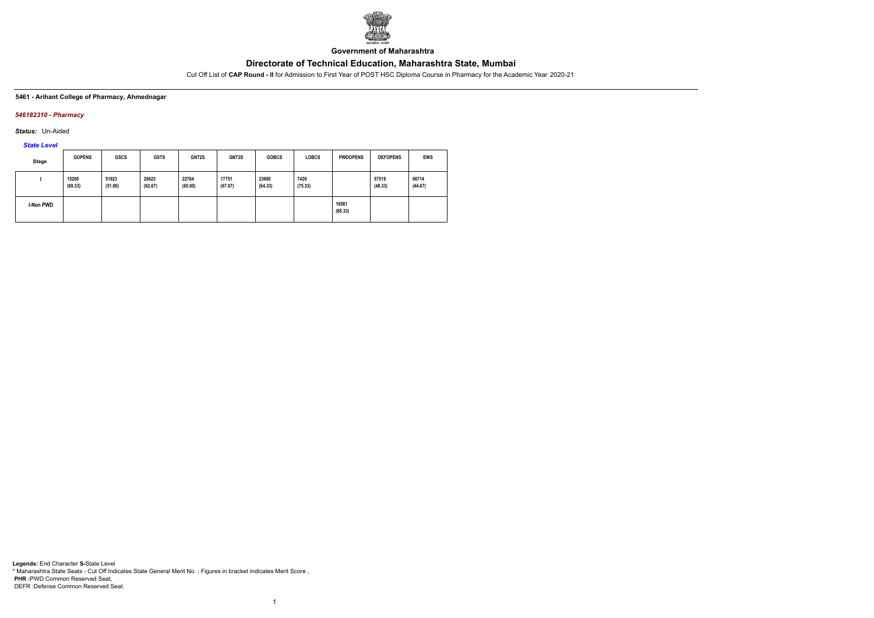

**Government of Maharashtra**

Cut Off List of **CAP Round - II** for Admission to First Year of POST HSC Diploma Course in Pharmacy for the Academic Year 2020-21

#### **5461 - Arihant College of Pharmacy, Ahmednagar**

### *546182310 - Pharmacy*

*Status:* Un-Aided

*State Level*

| <b>Stage</b>     | <b>GOPENS</b>    | <b>GSCS</b>      | <b>GSTS</b>      | GNT2S            | GNT3S            | <b>GOBCS</b>     | <b>LOBCS</b>    | <b>PWDOPENS</b>  | <b>DEFOPENS</b>  | EWS              |
|------------------|------------------|------------------|------------------|------------------|------------------|------------------|-----------------|------------------|------------------|------------------|
|                  | 15200<br>(69.33) | 51923<br>(51.00) | 26623<br>(62.67) | 22764<br>(65.00) | 17751<br>(67.67) | 23680<br>(64.33) | 7426<br>(75.33) |                  | 57519<br>(48.33) | 66714<br>(44.67) |
| <b>I-Non PWD</b> |                  |                  |                  |                  |                  |                  |                 | 16581<br>(68.33) |                  |                  |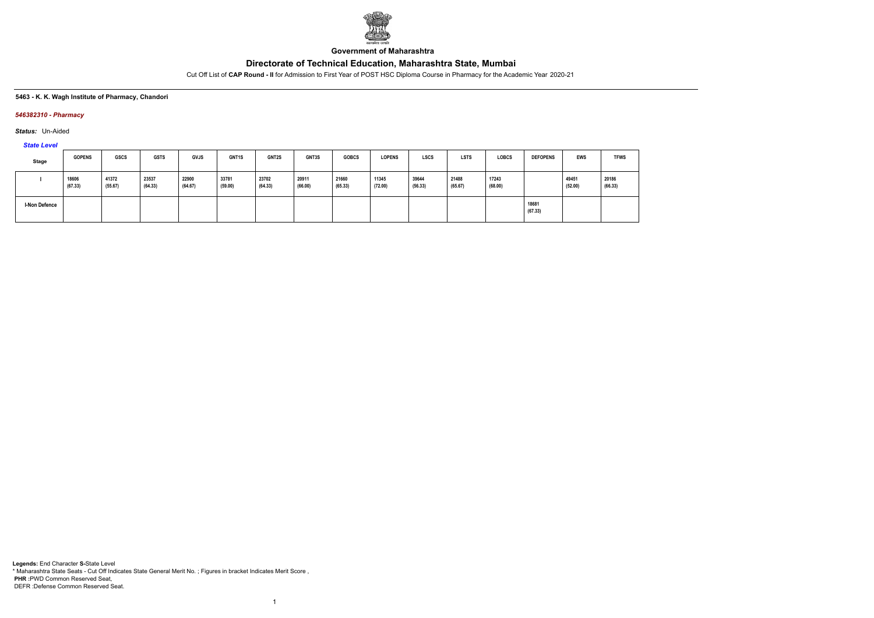

**Government of Maharashtra**

Cut Off List of **CAP Round - II** for Admission to First Year of POST HSC Diploma Course in Pharmacy for the Academic Year 2020-21

#### **5463 - K. K. Wagh Institute of Pharmacy, Chandori**

### *546382310 - Pharmacy*

*Status:* Un-Aided

*State Level*

| <b>Stage</b>  | <b>GOPENS</b>    | GSCS             | <b>GSTS</b>      | <b>GVJS</b>      | GNT1S            | GNT2S            | GNT3S            | <b>GOBCS</b>     | <b>LOPENS</b>    | <b>LSCS</b>      | <b>LSTS</b>      | <b>LOBCS</b>     | <b>DEFOPENS</b>  | <b>EWS</b>       | <b>TFWS</b>      |
|---------------|------------------|------------------|------------------|------------------|------------------|------------------|------------------|------------------|------------------|------------------|------------------|------------------|------------------|------------------|------------------|
|               | 18606<br>(67.33) | 41372<br>(55.67) | 23537<br>(64.33) | 22900<br>(64.67) | 33781<br>(59.00) | 23702<br>(64.33) | 20911<br>(66.00) | 21660<br>(65.33) | 11345<br>(72.00) | 39644<br>(56.33) | 21488<br>(65.67) | 17243<br>(68.00) |                  | 49451<br>(52.00) | 20186<br>(66.33) |
| I-Non Defence |                  |                  |                  |                  |                  |                  |                  |                  |                  |                  |                  |                  | 18681<br>(67.33) |                  |                  |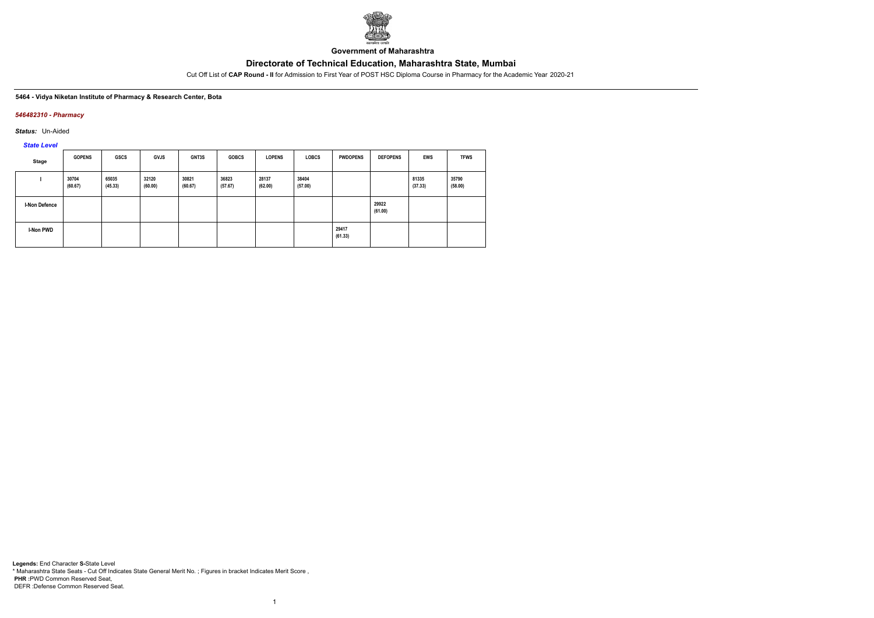

**Government of Maharashtra**

Cut Off List of **CAP Round - II** for Admission to First Year of POST HSC Diploma Course in Pharmacy for the Academic Year 2020-21

#### **5464 - Vidya Niketan Institute of Pharmacy & Research Center, Bota**

### *546482310 - Pharmacy*

*Status:* Un-Aided

*State Level*

| Stage                | <b>GOPENS</b>    | <b>GSCS</b>      | <b>GVJS</b>      | <b>GNT3S</b>     | <b>GOBCS</b>     | <b>LOPENS</b>    | <b>LOBCS</b>     | <b>PWDOPENS</b>  | <b>DEFOPENS</b>  | <b>EWS</b>       | <b>TFWS</b>      |
|----------------------|------------------|------------------|------------------|------------------|------------------|------------------|------------------|------------------|------------------|------------------|------------------|
|                      | 30704<br>(60.67) | 65035<br>(45.33) | 32120<br>(60.00) | 30821<br>(60.67) | 36823<br>(57.67) | 28137<br>(62.00) | 38404<br>(57.00) |                  |                  | 81335<br>(37.33) | 35790<br>(58.00) |
| <b>I-Non Defence</b> |                  |                  |                  |                  |                  |                  |                  |                  | 29922<br>(61.00) |                  |                  |
| I-Non PWD            |                  |                  |                  |                  |                  |                  |                  | 29417<br>(61.33) |                  |                  |                  |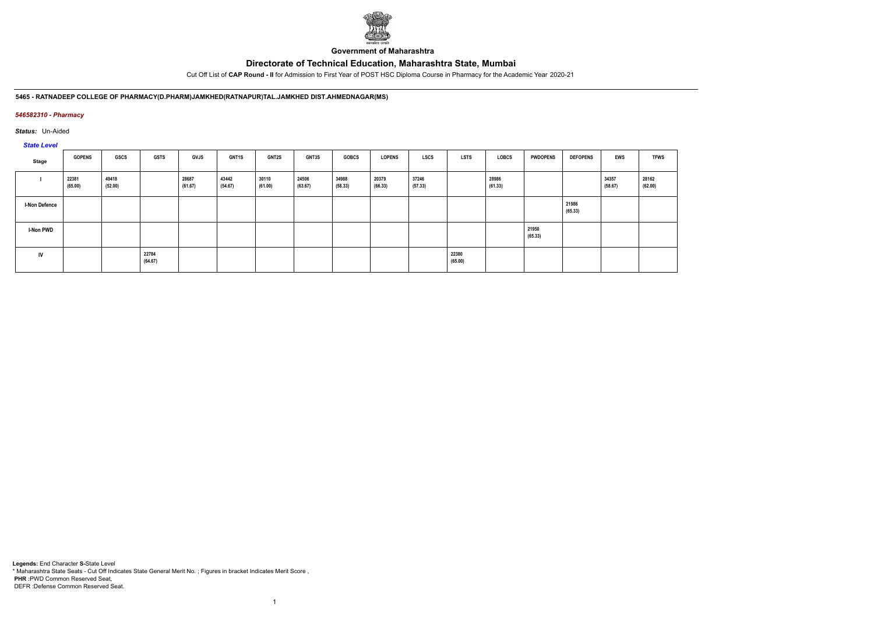

**Government of Maharashtra**

Cut Off List of **CAP Round - II** for Admission to First Year of POST HSC Diploma Course in Pharmacy for the Academic Year 2020-21

**5465 - RATNADEEP COLLEGE OF PHARMACY(D.PHARM)JAMKHED(RATNAPUR)TAL.JAMKHED DIST.AHMEDNAGAR(MS)**

### *546582310 - Pharmacy*

*Status:* Un-Aided

# *State Level*

| Stage                | <b>GOPENS</b>    | <b>GSCS</b>      | <b>GSTS</b>      | <b>GVJS</b>      | <b>GNT1S</b>     | GNT2S            | GNT3S            | <b>GOBCS</b>     | <b>LOPENS</b>    | <b>LSCS</b>      | <b>LSTS</b>      | LOBCS            | <b>PWDOPENS</b>  | <b>DEFOPENS</b>  | <b>EWS</b>       | <b>TFWS</b>      |
|----------------------|------------------|------------------|------------------|------------------|------------------|------------------|------------------|------------------|------------------|------------------|------------------|------------------|------------------|------------------|------------------|------------------|
|                      | 22381<br>(65.00) | 49418<br>(52.00) |                  | 28687<br>(61.67) | 43442<br>(54.67) | 30110<br>(61.00) | 24506<br>(63.67) | 34988<br>(58.33) | 20379<br>(66.33) | 37246<br>(57.33) |                  | 28986<br>(61.33) |                  |                  | 34357<br>(58.67) | 28162<br>(62.00) |
| <b>I-Non Defence</b> |                  |                  |                  |                  |                  |                  |                  |                  |                  |                  |                  |                  |                  | 21986<br>(65.33) |                  |                  |
| I-Non PWD            |                  |                  |                  |                  |                  |                  |                  |                  |                  |                  |                  |                  | 21950<br>(65.33) |                  |                  |                  |
| IV                   |                  |                  | 22784<br>(64.67) |                  |                  |                  |                  |                  |                  |                  | 22380<br>(65.00) |                  |                  |                  |                  |                  |

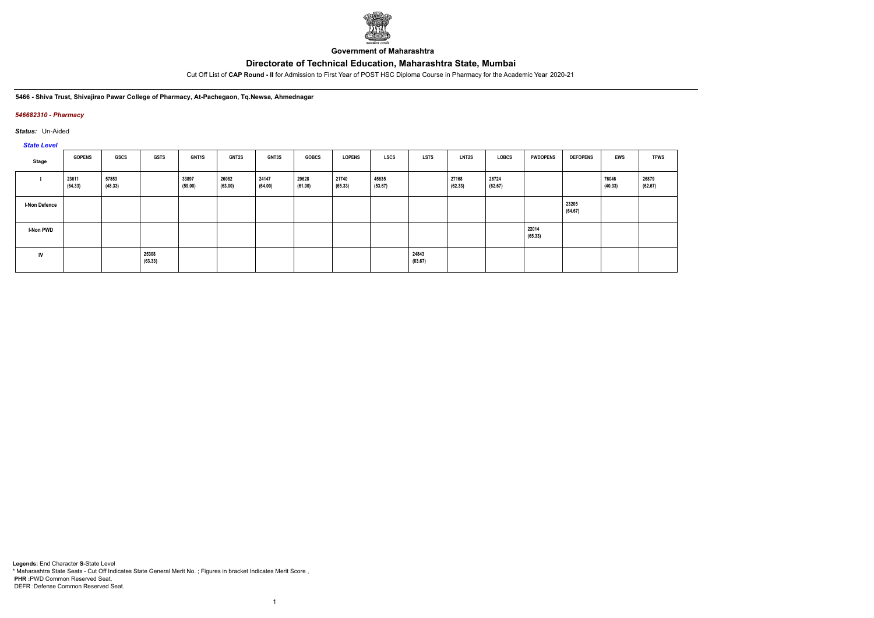

**Government of Maharashtra**

Cut Off List of **CAP Round - II** for Admission to First Year of POST HSC Diploma Course in Pharmacy for the Academic Year 2020-21

#### **5466 - Shiva Trust, Shivajirao Pawar College of Pharmacy, At-Pachegaon, Tq.Newsa, Ahmednagar**

### *546682310 - Pharmacy*

*Status:* Un-Aided

# *State Level*

| Stage                | <b>GOPENS</b>    | GSCS             | <b>GSTS</b>      | <b>GNT1S</b>     | <b>GNT2S</b>     | <b>GNT3S</b>     | <b>GOBCS</b>     | <b>LOPENS</b>    | <b>LSCS</b>      | <b>LSTS</b>      | <b>LNT2S</b>     | LOBCS            | <b>PWDOPENS</b>  | <b>DEFOPENS</b>  | <b>EWS</b>       | <b>TFWS</b>      |
|----------------------|------------------|------------------|------------------|------------------|------------------|------------------|------------------|------------------|------------------|------------------|------------------|------------------|------------------|------------------|------------------|------------------|
|                      | 23611<br>(64.33) | 57853<br>(48.33) |                  | 33897<br>(59.00) | 26082<br>(63.00) | 24147<br>(64.00) | 29628<br>(61.00) | 21740<br>(65.33) | 45635<br>(53.67) |                  | 27168<br>(62.33) | 26724<br>(62.67) |                  |                  | 76046<br>(40.33) | 26879<br>(62.67) |
| <b>I-Non Defence</b> |                  |                  |                  |                  |                  |                  |                  |                  |                  |                  |                  |                  |                  | 23205<br>(64.67) |                  |                  |
| I-Non PWD            |                  |                  |                  |                  |                  |                  |                  |                  |                  |                  |                  |                  | 22014<br>(65.33) |                  |                  |                  |
| <b>IV</b>            |                  |                  | 25308<br>(63.33) |                  |                  |                  |                  |                  |                  | 24843<br>(63.67) |                  |                  |                  |                  |                  |                  |

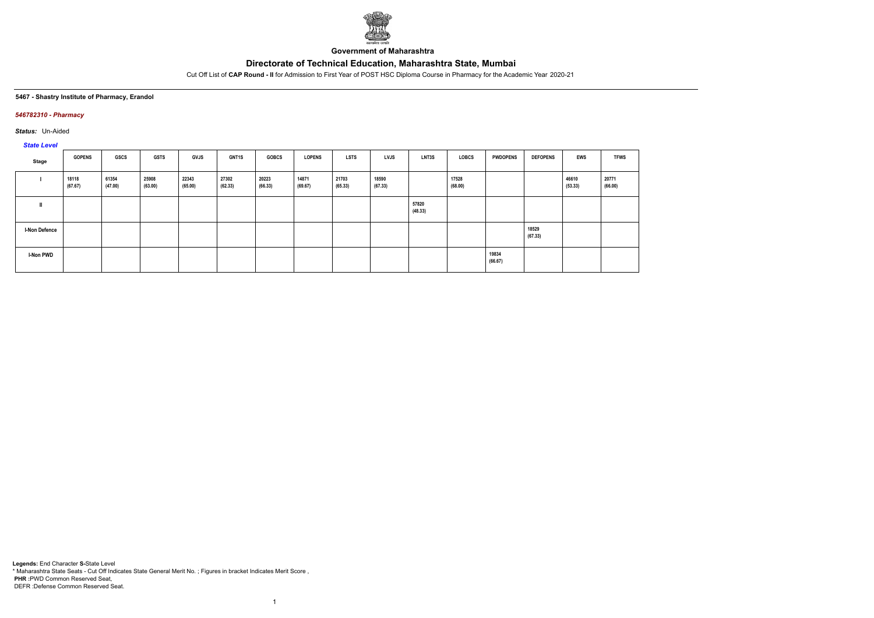

**Government of Maharashtra**

Cut Off List of **CAP Round - II** for Admission to First Year of POST HSC Diploma Course in Pharmacy for the Academic Year 2020-21

### **5467 - Shastry Institute of Pharmacy, Erandol**

### *546782310 - Pharmacy*

*Status:* Un-Aided

## *State Level*

| Stage                | <b>GOPENS</b>    | GSCS             | <b>GSTS</b>      | GVJS             | GNT1S            | <b>GOBCS</b>     | <b>LOPENS</b>    | <b>LSTS</b>      | <b>LVJS</b>      | LNT3S            | LOBCS            | <b>PWDOPENS</b>  | <b>DEFOPENS</b>  | EWS              | <b>TFWS</b>      |
|----------------------|------------------|------------------|------------------|------------------|------------------|------------------|------------------|------------------|------------------|------------------|------------------|------------------|------------------|------------------|------------------|
|                      | 18118<br>(67.67) | 61354<br>(47.00) | 25908<br>(63.00) | 22343<br>(65.00) | 27302<br>(62.33) | 20223<br>(66.33) | 14871<br>(69.67) | 21703<br>(65.33) | 18590<br>(67.33) |                  | 17528<br>(68.00) |                  |                  | 46610<br>(53.33) | 20771<br>(66.00) |
|                      |                  |                  |                  |                  |                  |                  |                  |                  |                  | 57820<br>(48.33) |                  |                  |                  |                  |                  |
| <b>I-Non Defence</b> |                  |                  |                  |                  |                  |                  |                  |                  |                  |                  |                  |                  | 18529<br>(67.33) |                  |                  |
| <b>I-Non PWD</b>     |                  |                  |                  |                  |                  |                  |                  |                  |                  |                  |                  | 19834<br>(66.67) |                  |                  |                  |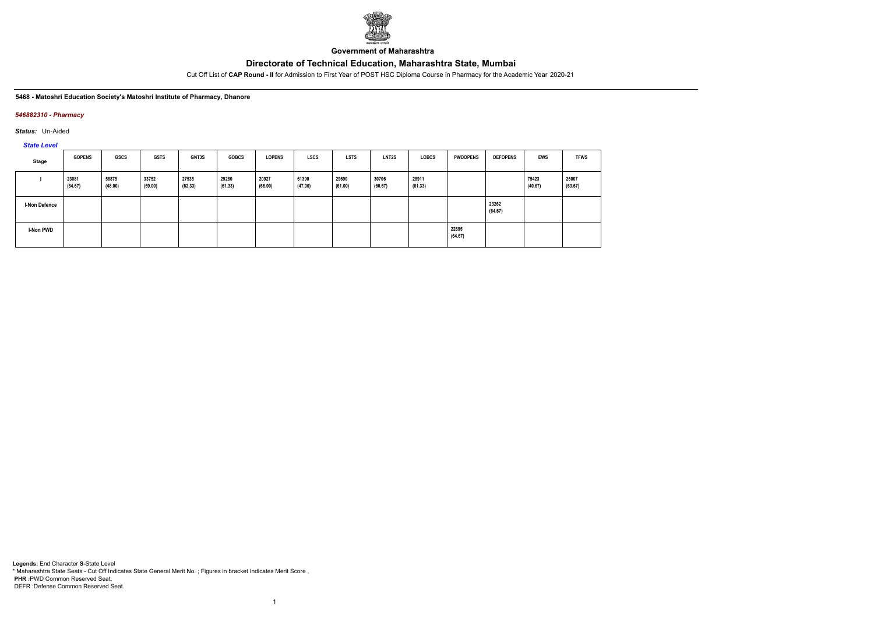

**Government of Maharashtra**

Cut Off List of **CAP Round - II** for Admission to First Year of POST HSC Diploma Course in Pharmacy for the Academic Year 2020-21

#### **5468 - Matoshri Education Society's Matoshri Institute of Pharmacy, Dhanore**

### *546882310 - Pharmacy*

*Status:* Un-Aided

*State Level*

| Stage                | <b>GOPENS</b>    | GSCS             | <b>GSTS</b>      | <b>GNT3S</b>     | <b>GOBCS</b>     | <b>LOPENS</b>    | <b>LSCS</b>      | <b>LSTS</b>      | <b>LNT2S</b>     | <b>LOBCS</b>     | <b>PWDOPENS</b>  | <b>DEFOPENS</b>  | EWS              | <b>TFWS</b>      |
|----------------------|------------------|------------------|------------------|------------------|------------------|------------------|------------------|------------------|------------------|------------------|------------------|------------------|------------------|------------------|
|                      | 23081<br>(64.67) | 58875<br>(48.00) | 33752<br>(59.00) | 27535<br>(62.33) | 29280<br>(61.33) | 20927<br>(66.00) | 61390<br>(47.00) | 29690<br>(61.00) | 30706<br>(60.67) | 28911<br>(61.33) |                  |                  | 75423<br>(40.67) | 25007<br>(63.67) |
| <b>I-Non Defence</b> |                  |                  |                  |                  |                  |                  |                  |                  |                  |                  |                  | 23262<br>(64.67) |                  |                  |
| I-Non PWD            |                  |                  |                  |                  |                  |                  |                  |                  |                  |                  | 22895<br>(64.67) |                  |                  |                  |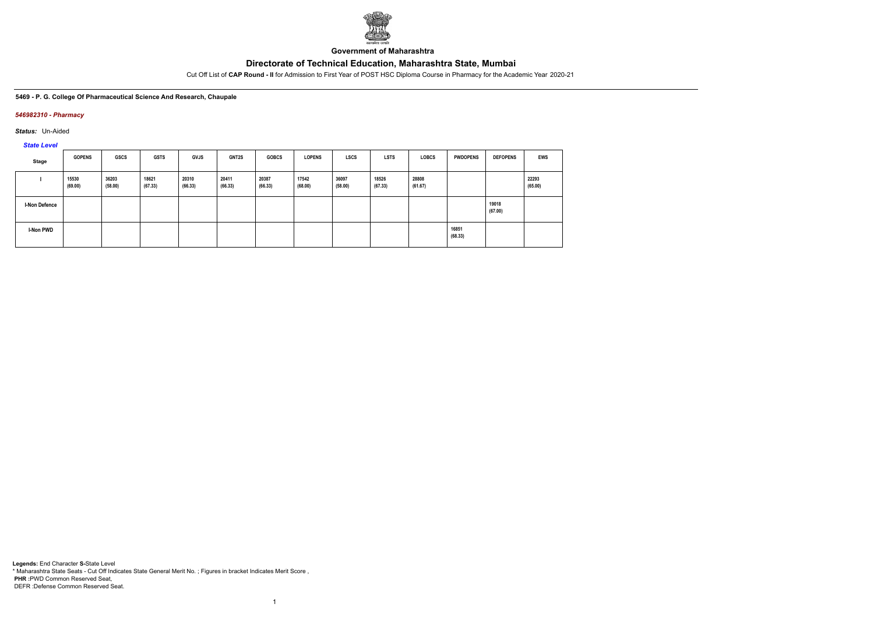

**Government of Maharashtra**

Cut Off List of **CAP Round - II** for Admission to First Year of POST HSC Diploma Course in Pharmacy for the Academic Year 2020-21

#### **5469 - P. G. College Of Pharmaceutical Science And Research, Chaupale**

### *546982310 - Pharmacy*

*Status:* Un-Aided

*State Level*

| <b>Stage</b>         | <b>GOPENS</b>    | <b>GSCS</b>      | <b>GSTS</b>      | <b>GVJS</b>      | <b>GNT2S</b>     | <b>GOBCS</b>     | <b>LOPENS</b>    | <b>LSCS</b>      | <b>LSTS</b>      | <b>LOBCS</b>     | <b>PWDOPENS</b>  | <b>DEFOPENS</b>  | EWS              |
|----------------------|------------------|------------------|------------------|------------------|------------------|------------------|------------------|------------------|------------------|------------------|------------------|------------------|------------------|
|                      | 15530<br>(69.00) | 36203<br>(58.00) | 18621<br>(67.33) | 20310<br>(66.33) | 20411<br>(66.33) | 20387<br>(66.33) | 17542<br>(68.00) | 36097<br>(58.00) | 18526<br>(67.33) | 28808<br>(61.67) |                  |                  | 22293<br>(65.00) |
| <b>I-Non Defence</b> |                  |                  |                  |                  |                  |                  |                  |                  |                  |                  |                  | 19018<br>(67.00) |                  |
| I-Non PWD            |                  |                  |                  |                  |                  |                  |                  |                  |                  |                  | 16851<br>(68.33) |                  |                  |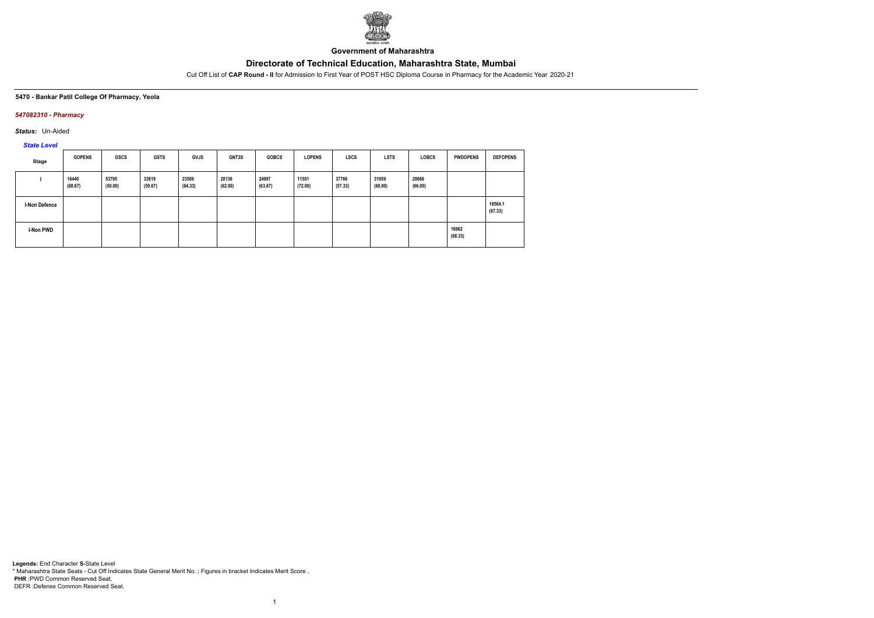

**Government of Maharashtra**

Cut Off List of **CAP Round - II** for Admission to First Year of POST HSC Diploma Course in Pharmacy for the Academic Year 2020-21

### **5470 - Bankar Patil College Of Pharmacy, Yeola**

### *547082310 - Pharmacy*

*Status:* Un-Aided

*State Level*

| Stage         | <b>GOPENS</b>    | <b>GSCS</b>      | <b>GSTS</b>      | <b>GVJS</b>      | <b>GNT3S</b>     | <b>GOBCS</b>     | <b>LOPENS</b>    | <b>LSCS</b>      | <b>LSTS</b>      | <b>LOBCS</b>     | <b>PWDOPENS</b>  | <b>DEFOPENS</b>    |
|---------------|------------------|------------------|------------------|------------------|------------------|------------------|------------------|------------------|------------------|------------------|------------------|--------------------|
|               | 16440<br>(68.67) | 53795<br>(50.00) | 32619<br>(59.67) | 23509<br>(64.33) | 28136<br>(62.00) | 24997<br>(63.67) | 11501<br>(72.00) | 37766<br>(57.33) | 31959<br>(60.00) | 20666<br>(66.00) |                  |                    |
| I-Non Defence |                  |                  |                  |                  |                  |                  |                  |                  |                  |                  |                  | 18564.1<br>(67.33) |
| I-Non PWD     |                  |                  |                  |                  |                  |                  |                  |                  |                  |                  | 16962<br>(68.33) |                    |

1

**Legends:** End Character **S-**State Level \* Maharashtra State Seats - Cut Off Indicates State General Merit No. ; Figures in bracket Indicates Merit Score , **PHR :**PWD Common Reserved Seat, DEFR :Defense Common Reserved Seat.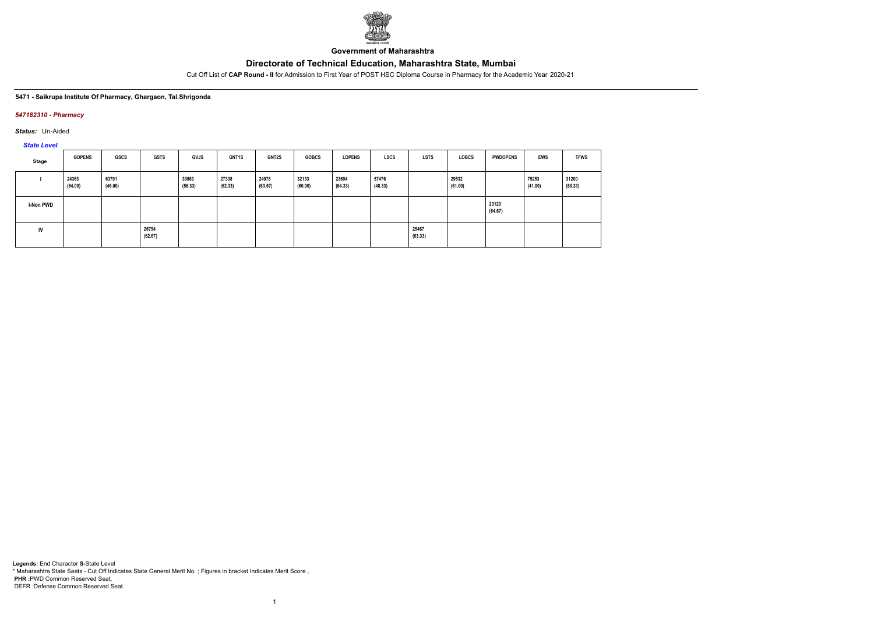

**Government of Maharashtra**

Cut Off List of **CAP Round - II** for Admission to First Year of POST HSC Diploma Course in Pharmacy for the Academic Year 2020-21

### **5471 - Saikrupa Institute Of Pharmacy, Ghargaon, Tal.Shrigonda**

### *547182310 - Pharmacy*

*Status:* Un-Aided

*State Level*

| Stage            | <b>GOPENS</b>    | GSCS             | <b>GSTS</b>      | <b>GVJS</b>      | <b>GNT1S</b>     | <b>GNT2S</b>     | <b>GOBCS</b>     | <b>LOPENS</b>    | <b>LSCS</b>      | <b>LSTS</b>      | <b>LOBCS</b>     | <b>PWDOPENS</b>  | EWS              | <b>TFWS</b>      |
|------------------|------------------|------------------|------------------|------------------|------------------|------------------|------------------|------------------|------------------|------------------|------------------|------------------|------------------|------------------|
|                  | 24363<br>(64.00) | 63791<br>(46.00) |                  | 39863<br>(56.33) | 27338<br>(62.33) | 24978<br>(63.67) | 32133<br>(60.00) | 23694<br>(64.33) | 57476<br>(48.33) |                  | 29532<br>(61.00) |                  | 75253<br>(41.00) | 31200<br>(60.33) |
| <b>I-Non PWD</b> |                  |                  |                  |                  |                  |                  |                  |                  |                  |                  |                  | 23120<br>(64.67) |                  |                  |
| IV               |                  |                  | 26754<br>(62.67) |                  |                  |                  |                  |                  |                  | 25467<br>(63.33) |                  |                  |                  |                  |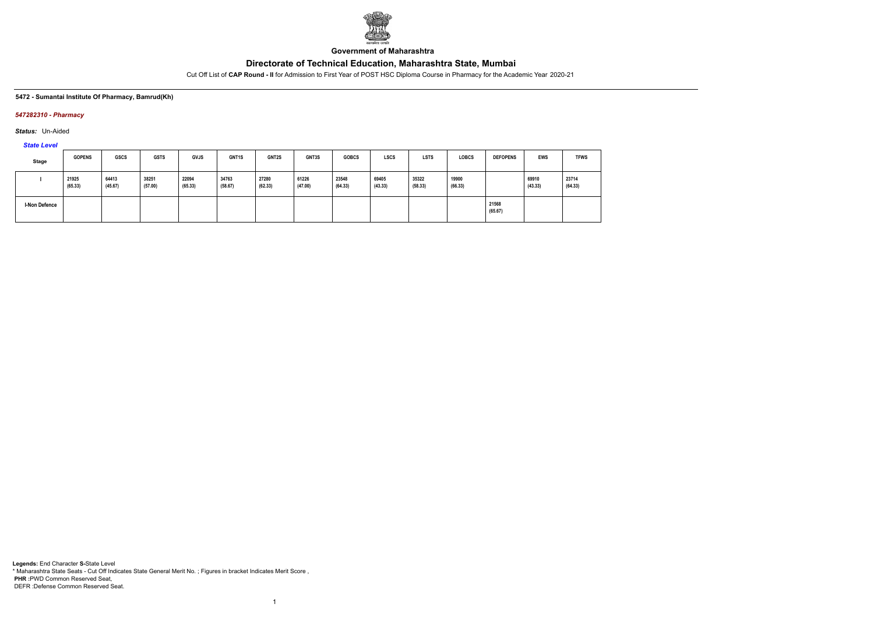

**Government of Maharashtra**

Cut Off List of **CAP Round - II** for Admission to First Year of POST HSC Diploma Course in Pharmacy for the Academic Year 2020-21

### **5472 - Sumantai Institute Of Pharmacy, Bamrud(Kh)**

### *547282310 - Pharmacy*

*Status:* Un-Aided

*State Level*

| Stage                | <b>GOPENS</b>    | <b>GSCS</b>      | <b>GSTS</b>      | <b>GVJS</b>      | GNT1S            | GNT2S            | GNT3S            | <b>GOBCS</b>     | <b>LSCS</b>      | <b>LSTS</b>      | <b>LOBCS</b>     | <b>DEFOPENS</b>  | <b>EWS</b>       | <b>TFWS</b>      |
|----------------------|------------------|------------------|------------------|------------------|------------------|------------------|------------------|------------------|------------------|------------------|------------------|------------------|------------------|------------------|
|                      | 21925<br>(65.33) | 64413<br>(45.67) | 38251<br>(57.00) | 22094<br>(65.33) | 34763<br>(58.67) | 27280<br>(62.33) | 61226<br>(47.00) | 23548<br>(64.33) | 69405<br>(43.33) | 35322<br>(58.33) | 19900<br>(66.33) |                  | 69910<br>(43.33) | 23714<br>(64.33) |
| <b>I-Non Defence</b> |                  |                  |                  |                  |                  |                  |                  |                  |                  |                  |                  | 21568<br>(65.67) |                  |                  |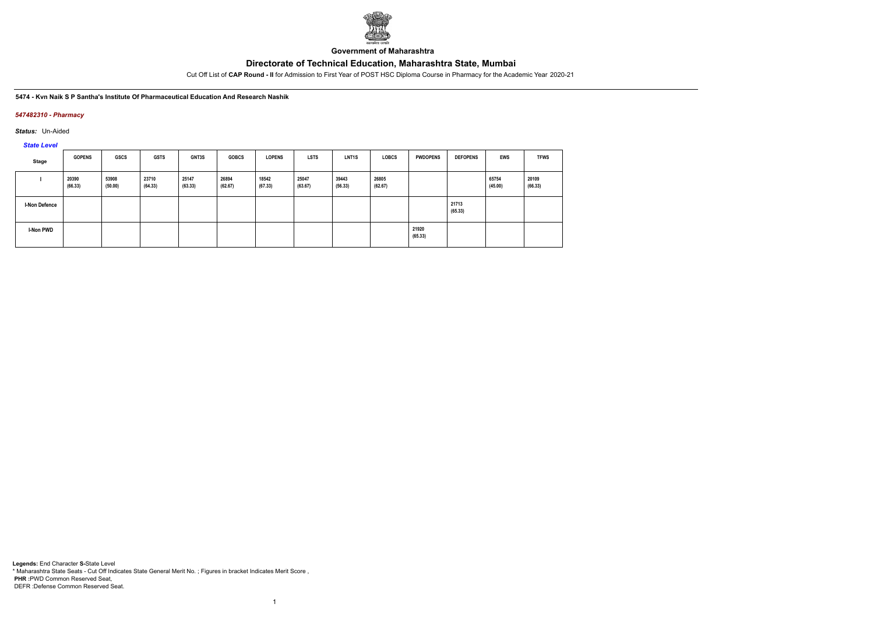

**Government of Maharashtra**

Cut Off List of **CAP Round - II** for Admission to First Year of POST HSC Diploma Course in Pharmacy for the Academic Year 2020-21

#### **5474 - Kvn Naik S P Santha's Institute Of Pharmaceutical Education And Research Nashik**

### *547482310 - Pharmacy*

*Status:* Un-Aided

# *State Level*

| Stage         | <b>GOPENS</b>    | GSCS             | <b>GSTS</b>      | <b>GNT3S</b>     | <b>GOBCS</b>     | <b>LOPENS</b>    | <b>LSTS</b>      | <b>LNT1S</b>     | <b>LOBCS</b>     | <b>PWDOPENS</b>  | <b>DEFOPENS</b>  | <b>EWS</b>       | <b>TFWS</b>      |
|---------------|------------------|------------------|------------------|------------------|------------------|------------------|------------------|------------------|------------------|------------------|------------------|------------------|------------------|
|               | 20390<br>(66.33) | 53908<br>(50.00) | 23710<br>(64.33) | 25147<br>(63.33) | 26894<br>(62.67) | 18542<br>(67.33) | 25047<br>(63.67) | 39443<br>(56.33) | 26805<br>(62.67) |                  |                  | 65754<br>(45.00) | 20109<br>(66.33) |
| I-Non Defence |                  |                  |                  |                  |                  |                  |                  |                  |                  |                  | 21713<br>(65.33) |                  |                  |
| I-Non PWD     |                  |                  |                  |                  |                  |                  |                  |                  |                  | 21920<br>(65.33) |                  |                  |                  |

1

**Legends:** End Character **S-**State Level \* Maharashtra State Seats - Cut Off Indicates State General Merit No. ; Figures in bracket Indicates Merit Score , **PHR :**PWD Common Reserved Seat, DEFR :Defense Common Reserved Seat.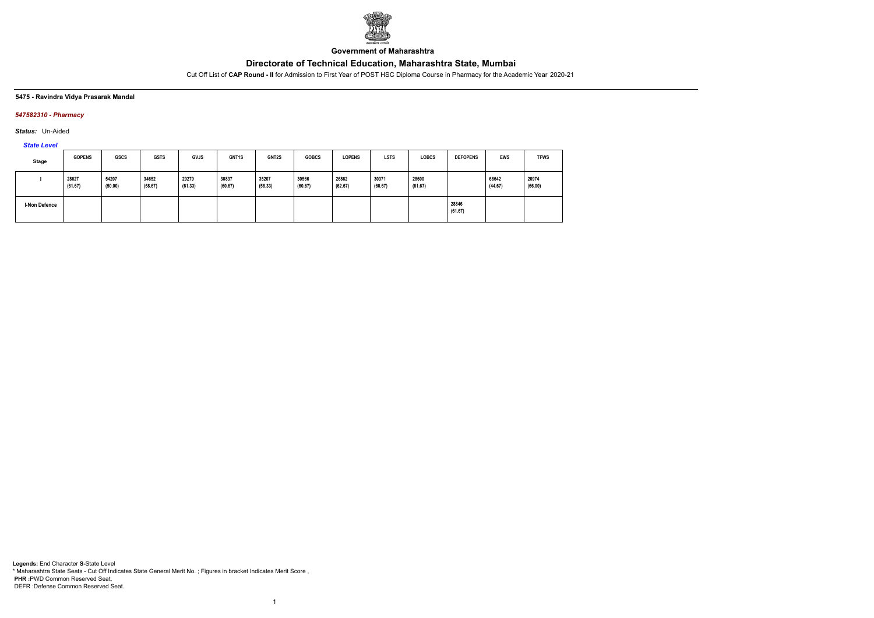

**Government of Maharashtra**

Cut Off List of **CAP Round - II** for Admission to First Year of POST HSC Diploma Course in Pharmacy for the Academic Year 2020-21

### **5475 - Ravindra Vidya Prasarak Mandal**

### *547582310 - Pharmacy*

*Status:* Un-Aided

# *State Level*

| Stage                | <b>GOPENS</b>    | <b>GSCS</b>      | <b>GSTS</b>      | <b>GVJS</b>      | GNT <sub>1</sub> S | <b>GNT2S</b>     | <b>GOBCS</b>     | <b>LOPENS</b>    | <b>LSTS</b>      | <b>LOBCS</b>     | <b>DEFOPENS</b>  | <b>EWS</b>       | <b>TFWS</b>      |
|----------------------|------------------|------------------|------------------|------------------|--------------------|------------------|------------------|------------------|------------------|------------------|------------------|------------------|------------------|
|                      | 28627<br>(61.67) | 54207<br>(50.00) | 34652<br>(58.67) | 29279<br>(61.33) | 30837<br>(60.67)   | 35207<br>(58.33) | 30566<br>(60.67) | 26862<br>(62.67) | 30371<br>(60.67) | 28600<br>(61.67) |                  | 66642<br>(44.67) | 20974<br>(66.00) |
| <b>I-Non Defence</b> |                  |                  |                  |                  |                    |                  |                  |                  |                  |                  | 28846<br>(61.67) |                  |                  |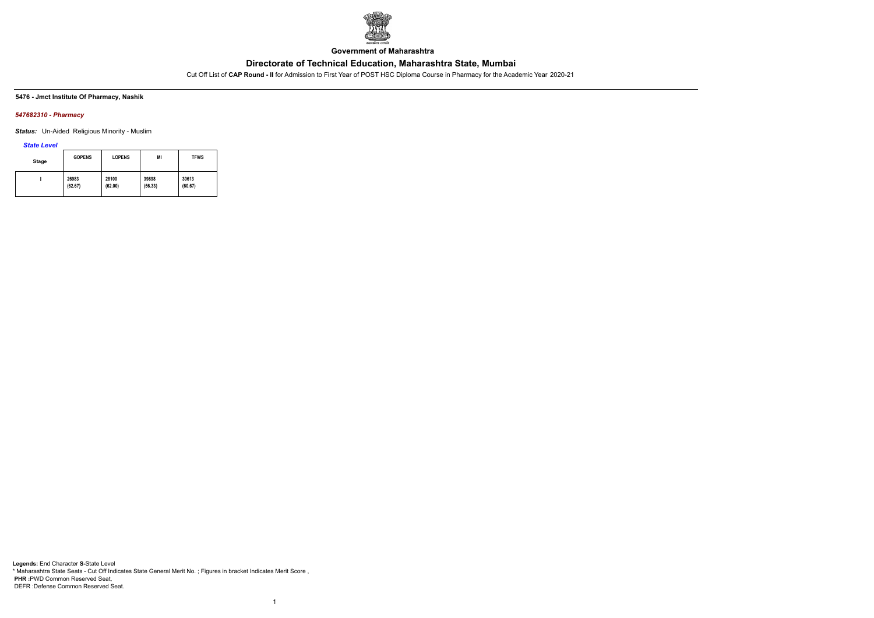

**Government of Maharashtra**

Cut Off List of **CAP Round - II** for Admission to First Year of POST HSC Diploma Course in Pharmacy for the Academic Year 2020-21

### **5476 - Jmct Institute Of Pharmacy, Nashik**

### *547682310 - Pharmacy*

*Status:* Un-Aided Religious Minority - Muslim

*State Level*

| <b>Stage</b> | <b>GOPENS</b> | <b>LOPENS</b> | MI      | <b>TFWS</b> |
|--------------|---------------|---------------|---------|-------------|
|              | 26983         | 28100         | 39898   | 30613       |
|              | (62.67)       | (62.00)       | (56.33) | (60.67)     |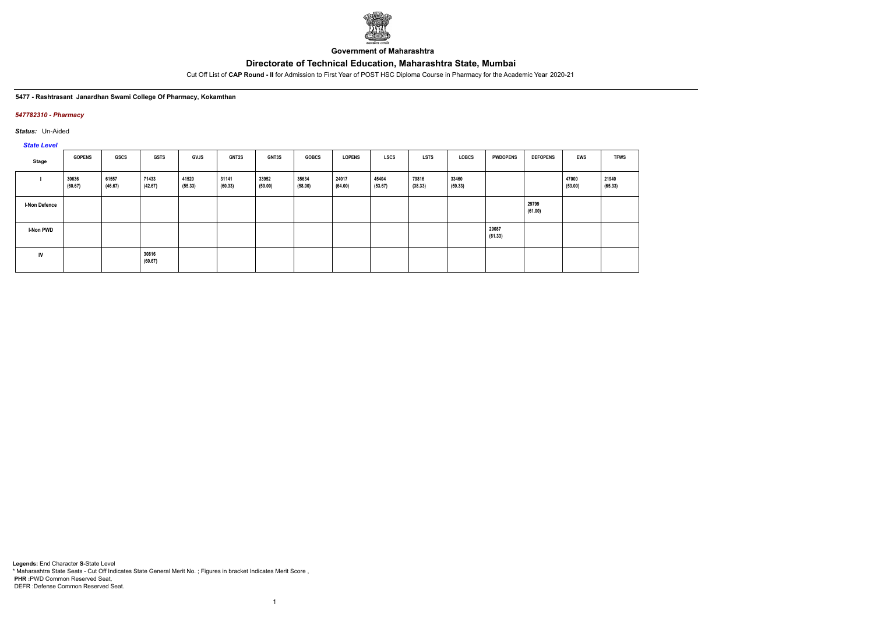

**Government of Maharashtra**

Cut Off List of **CAP Round - II** for Admission to First Year of POST HSC Diploma Course in Pharmacy for the Academic Year 2020-21

#### **5477 - Rashtrasant Janardhan Swami College Of Pharmacy, Kokamthan**

### *547782310 - Pharmacy*

*Status:* Un-Aided

# *State Level*

| Stage                | <b>GOPENS</b>    | GSCS             | <b>GSTS</b>      | GVJS             | <b>GNT2S</b>     | GNT3S            | <b>GOBCS</b>     | <b>LOPENS</b>    | <b>LSCS</b>      | <b>LSTS</b>      | LOBCS            | <b>PWDOPENS</b>  | <b>DEFOPENS</b>  | EWS              | <b>TFWS</b>      |
|----------------------|------------------|------------------|------------------|------------------|------------------|------------------|------------------|------------------|------------------|------------------|------------------|------------------|------------------|------------------|------------------|
|                      | 30636<br>(60.67) | 61557<br>(46.67) | 71433<br>(42.67) | 41520<br>(55.33) | 31141<br>(60.33) | 33952<br>(59.00) | 35634<br>(58.00) | 24017<br>(64.00) | 45404<br>(53.67) | 79816<br>(38.33) | 33460<br>(59.33) |                  |                  | 47000<br>(53.00) | 21940<br>(65.33) |
| <b>I-Non Defence</b> |                  |                  |                  |                  |                  |                  |                  |                  |                  |                  |                  |                  | 29799<br>(61.00) |                  |                  |
| I-Non PWD            |                  |                  |                  |                  |                  |                  |                  |                  |                  |                  |                  | 29087<br>(61.33) |                  |                  |                  |
| IV                   |                  |                  | 30816<br>(60.67) |                  |                  |                  |                  |                  |                  |                  |                  |                  |                  |                  |                  |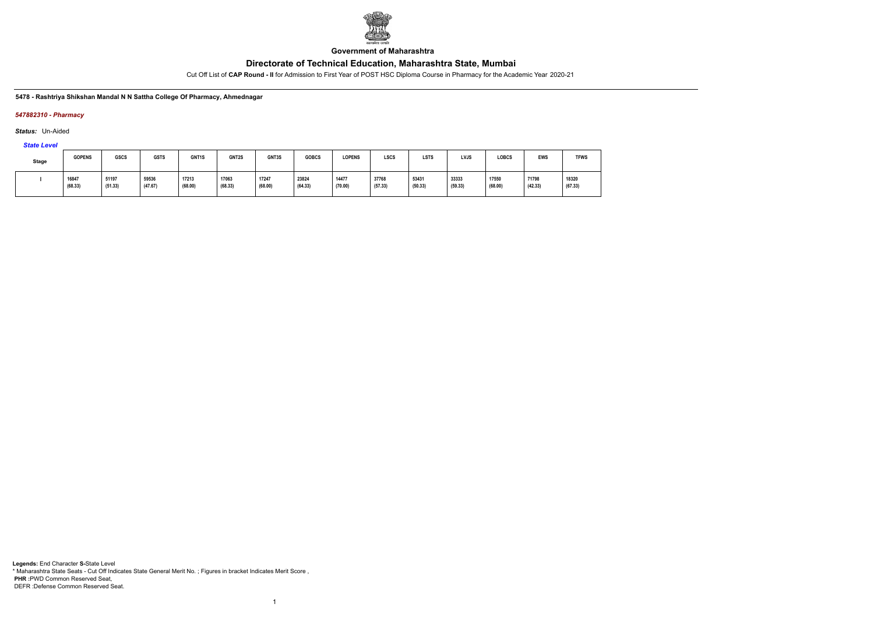

**Government of Maharashtra**

Cut Off List of **CAP Round - II** for Admission to First Year of POST HSC Diploma Course in Pharmacy for the Academic Year 2020-21

#### **5478 - Rashtriya Shikshan Mandal N N Sattha College Of Pharmacy, Ahmednagar**

### *547882310 - Pharmacy*

*Status:* Un-Aided

*State Level*

| <b>Stage</b> | <b>GOPENS</b>    | GSCS             | <b>GSTS</b>      | GNT1S            | GNT2S            | GNT3S            | <b>GOBCS</b>     | <b>LOPENS</b>    | LSCS             | <b>LSTS</b>      | <b>LVJS</b>      | <b>LOBCS</b>     | <b>EWS</b>       | <b>TFWS</b>      |
|--------------|------------------|------------------|------------------|------------------|------------------|------------------|------------------|------------------|------------------|------------------|------------------|------------------|------------------|------------------|
|              | 16847<br>(68.33) | 51197<br>(51.33) | 59536<br>(47.67) | 17213<br>(68.00) | 17063<br>(68.33) | 17247<br>(68.00) | 23824<br>(64.33) | 14477<br>(70.00) | 37768<br>(57.33) | 53431<br>(50.33) | 33333<br>(59.33) | 17550<br>(68.00) | 71798<br>(42.33) | 18320<br>(67.33) |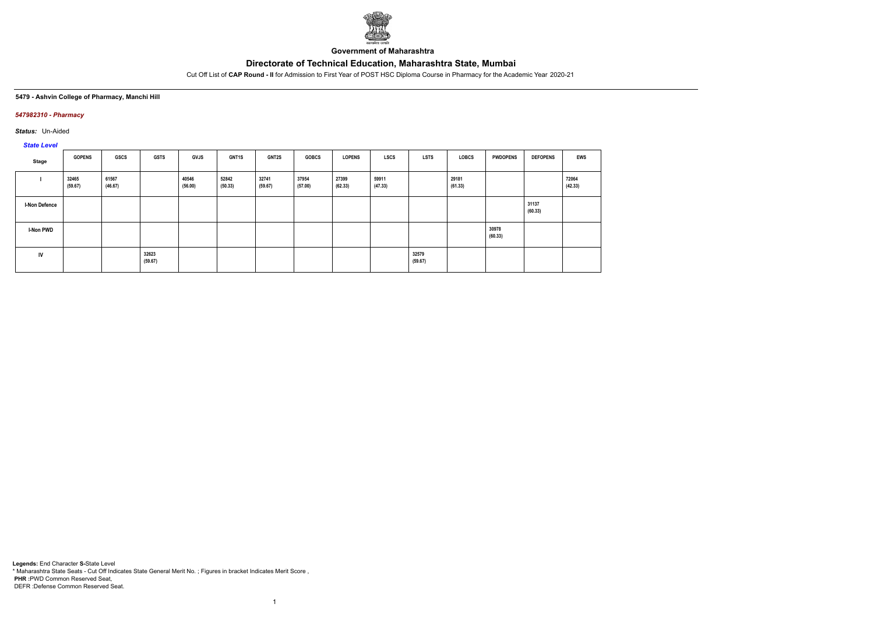

**Government of Maharashtra**

Cut Off List of **CAP Round - II** for Admission to First Year of POST HSC Diploma Course in Pharmacy for the Academic Year 2020-21

### **5479 - Ashvin College of Pharmacy, Manchi Hill**

### *547982310 - Pharmacy*

*Status:* Un-Aided

# *State Level*

| Stage                | <b>GOPENS</b>    | GSCS             | <b>GSTS</b>      | <b>GVJS</b>      | <b>GNT1S</b>     | <b>GNT2S</b>     | <b>GOBCS</b>     | <b>LOPENS</b>    | LSCS             | <b>LSTS</b>      | LOBCS            | <b>PWDOPENS</b>  | <b>DEFOPENS</b>  | <b>EWS</b>       |
|----------------------|------------------|------------------|------------------|------------------|------------------|------------------|------------------|------------------|------------------|------------------|------------------|------------------|------------------|------------------|
|                      | 32465<br>(59.67) | 61567<br>(46.67) |                  | 40546<br>(56.00) | 52842<br>(50.33) | 32741<br>(59.67) | 37954<br>(57.00) | 27399<br>(62.33) | 59911<br>(47.33) |                  | 29181<br>(61.33) |                  |                  | 72064<br>(42.33) |
| <b>I-Non Defence</b> |                  |                  |                  |                  |                  |                  |                  |                  |                  |                  |                  |                  | 31137<br>(60.33) |                  |
| I-Non PWD            |                  |                  |                  |                  |                  |                  |                  |                  |                  |                  |                  | 30978<br>(60.33) |                  |                  |
| IV                   |                  |                  | 32623<br>(59.67) |                  |                  |                  |                  |                  |                  | 32579<br>(59.67) |                  |                  |                  |                  |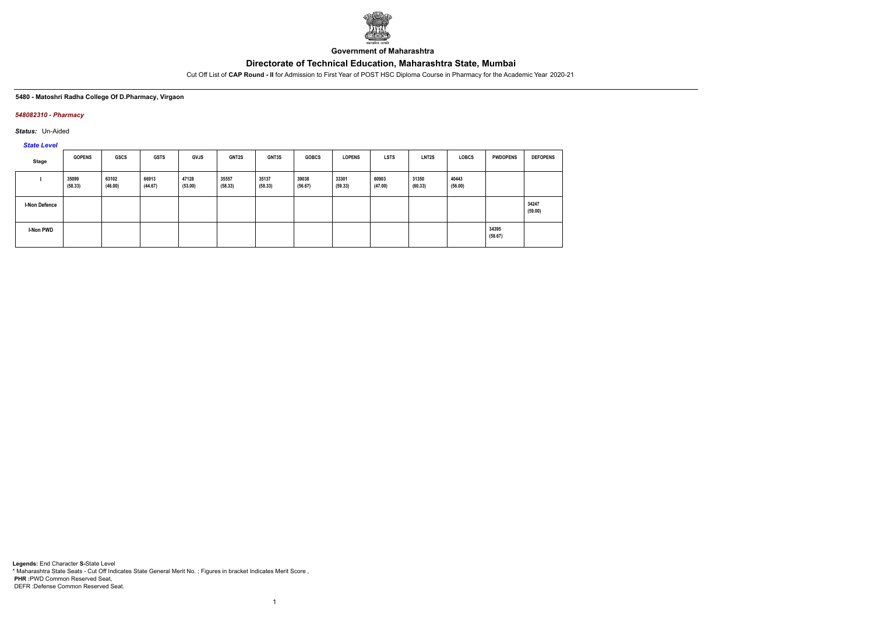

**Government of Maharashtra**

Cut Off List of **CAP Round - II** for Admission to First Year of POST HSC Diploma Course in Pharmacy for the Academic Year 2020-21

#### **5480 - Matoshri Radha College Of D.Pharmacy, Virgaon**

### *548082310 - Pharmacy*

*Status:* Un-Aided

*State Level*

| Stage                | <b>GOPENS</b>    | <b>GSCS</b>      | <b>GSTS</b>      | <b>GVJS</b>      | <b>GNT2S</b>     | GNT3S            | <b>GOBCS</b>     | <b>LOPENS</b>    | <b>LSTS</b>      | LNT <sub>2</sub> S | <b>LOBCS</b>     | <b>PWDOPENS</b>  | <b>DEFOPENS</b>  |
|----------------------|------------------|------------------|------------------|------------------|------------------|------------------|------------------|------------------|------------------|--------------------|------------------|------------------|------------------|
|                      | 35099<br>(58.33) | 63102<br>(46.00) | 66913<br>(44.67) | 47128<br>(53.00) | 35557<br>(58.33) | 35137<br>(58.33) | 39038<br>(56.67) | 33301<br>(59.33) | 60903<br>(47.00) | 31350<br>(60.33)   | 40443<br>(56.00) |                  |                  |
| <b>I-Non Defence</b> |                  |                  |                  |                  |                  |                  |                  |                  |                  |                    |                  |                  | 34247<br>(59.00) |
| I-Non PWD            |                  |                  |                  |                  |                  |                  |                  |                  |                  |                    |                  | 34395<br>(58.67) |                  |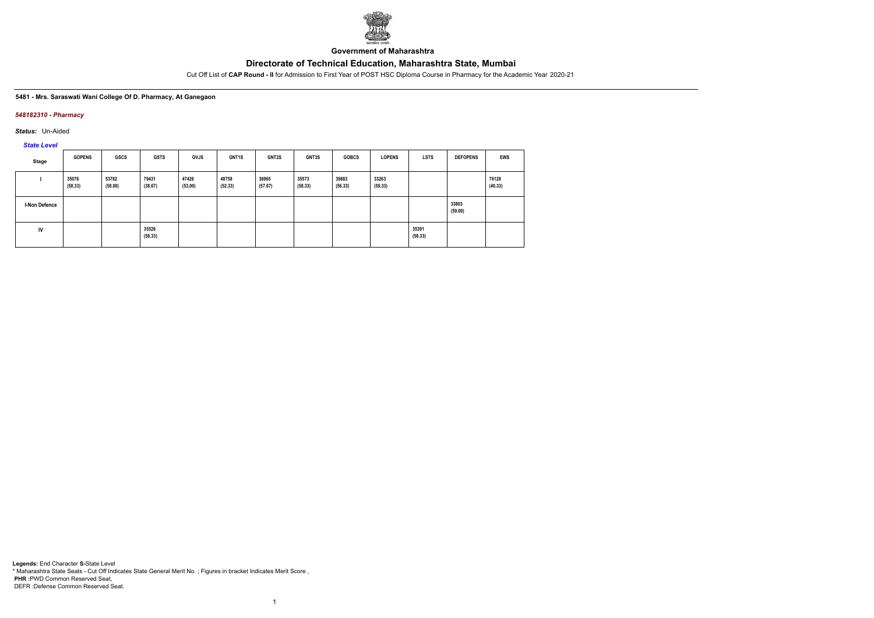

**Government of Maharashtra**

Cut Off List of **CAP Round - II** for Admission to First Year of POST HSC Diploma Course in Pharmacy for the Academic Year 2020-21

### **5481 - Mrs. Saraswati Wani College Of D. Pharmacy, At Ganegaon**

### *548182310 - Pharmacy*

*Status:* Un-Aided

*State Level*

| Stage         | <b>GOPENS</b>    | GSCS             | <b>GSTS</b>      | <b>GVJS</b>      | <b>GNT1S</b>     | <b>GNT2S</b>     | GNT3S            | <b>GOBCS</b>     | <b>LOPENS</b>    | <b>LSTS</b>      | <b>DEFOPENS</b>  | EWS              |
|---------------|------------------|------------------|------------------|------------------|------------------|------------------|------------------|------------------|------------------|------------------|------------------|------------------|
|               | 35076<br>(58.33) | 53782<br>(50.00) | 79431<br>(38.67) | 47426<br>(53.00) | 48758<br>(52.33) | 36965<br>(57.67) | 35573<br>(58.33) | 39883<br>(56.33) | 33263<br>(59.33) |                  |                  | 76128<br>(40.33) |
| I-Non Defence |                  |                  |                  |                  |                  |                  |                  |                  |                  |                  | 33803<br>(59.00) |                  |
| IV            |                  |                  | 35526<br>(58.33) |                  |                  |                  |                  |                  |                  | 35391<br>(58.33) |                  |                  |

1

**Legends:** End Character **S-**State Level \* Maharashtra State Seats - Cut Off Indicates State General Merit No. ; Figures in bracket Indicates Merit Score , **PHR :**PWD Common Reserved Seat, DEFR :Defense Common Reserved Seat.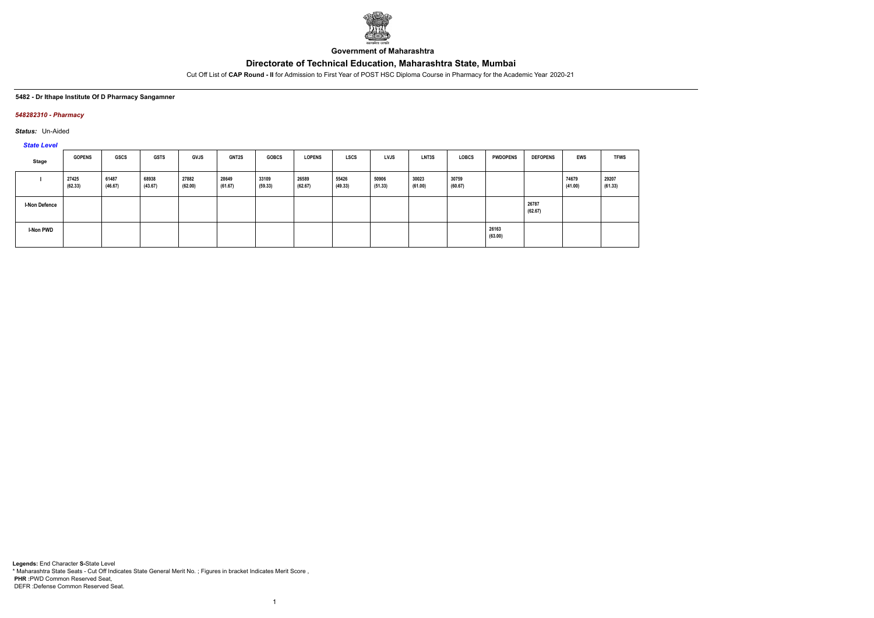

**Government of Maharashtra**

Cut Off List of **CAP Round - II** for Admission to First Year of POST HSC Diploma Course in Pharmacy for the Academic Year 2020-21

### **5482 - Dr Ithape Institute Of D Pharmacy Sangamner**

### *548282310 - Pharmacy*

*Status:* Un-Aided

*State Level*

| Stage                | <b>GOPENS</b>    | <b>GSCS</b>      | <b>GSTS</b>      | <b>GVJS</b>      | GNT2S            | <b>GOBCS</b>     | <b>LOPENS</b>    | <b>LSCS</b>      | <b>LVJS</b>      | LNT3S            | <b>LOBCS</b>     | <b>PWDOPENS</b>  | <b>DEFOPENS</b>  | <b>EWS</b>       | <b>TFWS</b>      |
|----------------------|------------------|------------------|------------------|------------------|------------------|------------------|------------------|------------------|------------------|------------------|------------------|------------------|------------------|------------------|------------------|
|                      | 27425<br>(62.33) | 61487<br>(46.67) | 68938<br>(43.67) | 27882<br>(62.00) | 28649<br>(61.67) | 33109<br>(59.33) | 26589<br>(62.67) | 55426<br>(49.33) | 50906<br>(51.33) | 30023<br>(61.00) | 30759<br>(60.67) |                  |                  | 74679<br>(41.00) | 29207<br>(61.33) |
| <b>I-Non Defence</b> |                  |                  |                  |                  |                  |                  |                  |                  |                  |                  |                  |                  | 26787<br>(62.67) |                  |                  |
| I-Non PWD            |                  |                  |                  |                  |                  |                  |                  |                  |                  |                  |                  | 26163<br>(63.00) |                  |                  |                  |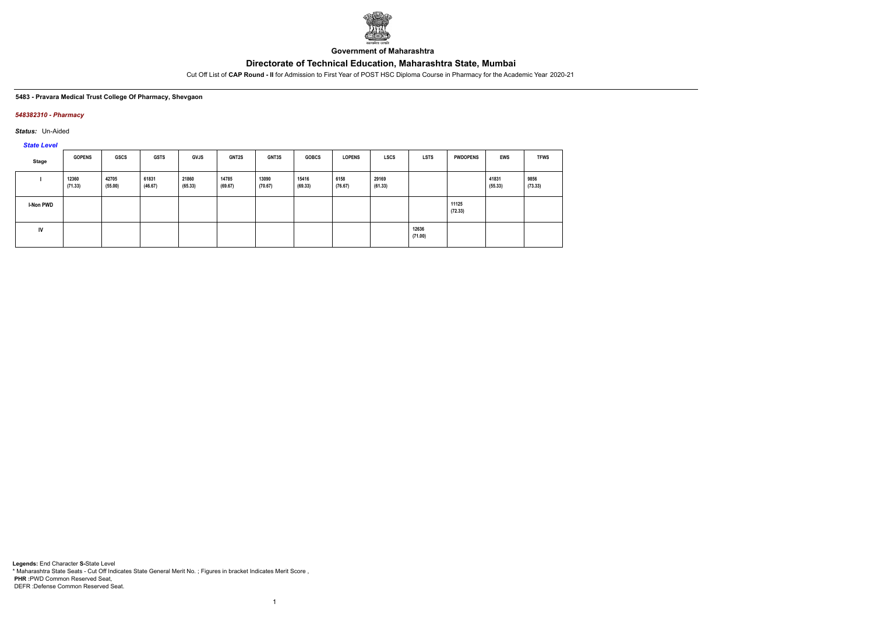

**Government of Maharashtra**

Cut Off List of **CAP Round - II** for Admission to First Year of POST HSC Diploma Course in Pharmacy for the Academic Year 2020-21

#### **5483 - Pravara Medical Trust College Of Pharmacy, Shevgaon**

### *548382310 - Pharmacy*

*Status:* Un-Aided

*State Level*

| Stage            | <b>GOPENS</b>    | <b>GSCS</b>      | <b>GSTS</b>      | <b>GVJS</b>      | <b>GNT2S</b>     | <b>GNT3S</b>     | <b>GOBCS</b>     | <b>LOPENS</b>   | <b>LSCS</b>      | <b>LSTS</b>      | <b>PWDOPENS</b>  | <b>EWS</b>       | <b>TFWS</b>     |
|------------------|------------------|------------------|------------------|------------------|------------------|------------------|------------------|-----------------|------------------|------------------|------------------|------------------|-----------------|
|                  | 12360<br>(71.33) | 42705<br>(55.00) | 61831<br>(46.67) | 21860<br>(65.33) | 14785<br>(69.67) | 13090<br>(70.67) | 15416<br>(69.33) | 6158<br>(76.67) | 29169<br>(61.33) |                  |                  | 41831<br>(55.33) | 9856<br>(73.33) |
| <b>I-Non PWD</b> |                  |                  |                  |                  |                  |                  |                  |                 |                  |                  | 11125<br>(72.33) |                  |                 |
| IV               |                  |                  |                  |                  |                  |                  |                  |                 |                  | 12636<br>(71.00) |                  |                  |                 |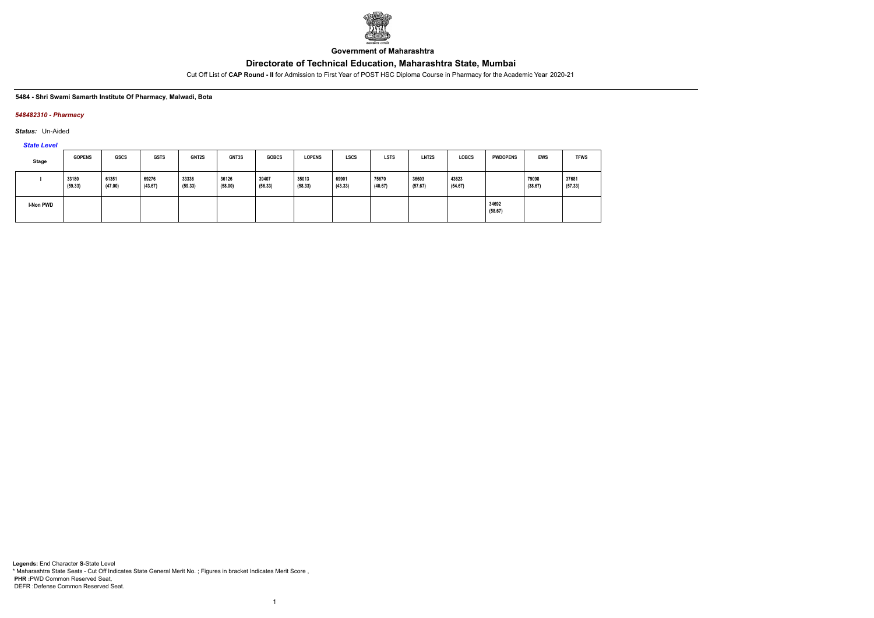

**Government of Maharashtra**

Cut Off List of **CAP Round - II** for Admission to First Year of POST HSC Diploma Course in Pharmacy for the Academic Year 2020-21

### **5484 - Shri Swami Samarth Institute Of Pharmacy, Malwadi, Bota**

### *548482310 - Pharmacy*

*Status:* Un-Aided

*State Level*

| Stage     | <b>GOPENS</b>    | <b>GSCS</b>      | <b>GSTS</b>      | GNT2S            | <b>GNT3S</b>     | <b>GOBCS</b>     | <b>LOPENS</b>    | <b>LSCS</b>      | <b>LSTS</b>      | LNT <sub>2</sub> S | <b>LOBCS</b>     | <b>PWDOPENS</b>  | EWS              | <b>TFWS</b>      |
|-----------|------------------|------------------|------------------|------------------|------------------|------------------|------------------|------------------|------------------|--------------------|------------------|------------------|------------------|------------------|
|           | 33180<br>(59.33) | 61351<br>(47.00) | 69276<br>(43.67) | 33336<br>(59.33) | 36126<br>(58.00) | 39407<br>(56.33) | 35013<br>(58.33) | 69901<br>(43.33) | 75670<br>(40.67) | 36603<br>(57.67)   | 43623<br>(54.67) |                  | 79098<br>(38.67) | 37681<br>(57.33) |
| I-Non PWD |                  |                  |                  |                  |                  |                  |                  |                  |                  |                    |                  | 34692<br>(58.67) |                  |                  |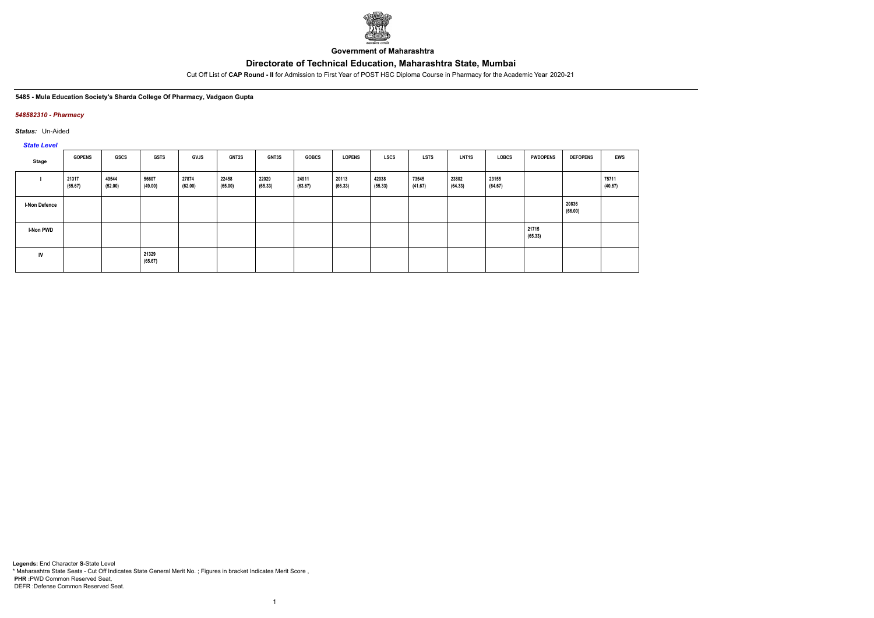

**Government of Maharashtra**

Cut Off List of **CAP Round - II** for Admission to First Year of POST HSC Diploma Course in Pharmacy for the Academic Year 2020-21

### **5485 - Mula Education Society's Sharda College Of Pharmacy, Vadgaon Gupta**

### *548582310 - Pharmacy*

*Status:* Un-Aided

*State Level*

| Stage                | <b>GOPENS</b>    | GSCS             | <b>GSTS</b>      | <b>GVJS</b>      | <b>GNT2S</b>     | GNT3S            | <b>GOBCS</b>     | LOPENS           | <b>LSCS</b>      | <b>LSTS</b>      | <b>LNT1S</b>     | <b>LOBCS</b>     | <b>PWDOPENS</b>  | <b>DEFOPENS</b>  | <b>EWS</b>       |
|----------------------|------------------|------------------|------------------|------------------|------------------|------------------|------------------|------------------|------------------|------------------|------------------|------------------|------------------|------------------|------------------|
|                      | 21317<br>(65.67) | 49544<br>(52.00) | 56607<br>(49.00) | 27874<br>(62.00) | 22458<br>(65.00) | 22029<br>(65.33) | 24911<br>(63.67) | 20113<br>(66.33) | 42038<br>(55.33) | 73545<br>(41.67) | 23802<br>(64.33) | 23155<br>(64.67) |                  |                  | 75711<br>(40.67) |
| <b>I-Non Defence</b> |                  |                  |                  |                  |                  |                  |                  |                  |                  |                  |                  |                  |                  | 20836<br>(66.00) |                  |
| <b>I-Non PWD</b>     |                  |                  |                  |                  |                  |                  |                  |                  |                  |                  |                  |                  | 21715<br>(65.33) |                  |                  |
| IV                   |                  |                  | 21329<br>(65.67) |                  |                  |                  |                  |                  |                  |                  |                  |                  |                  |                  |                  |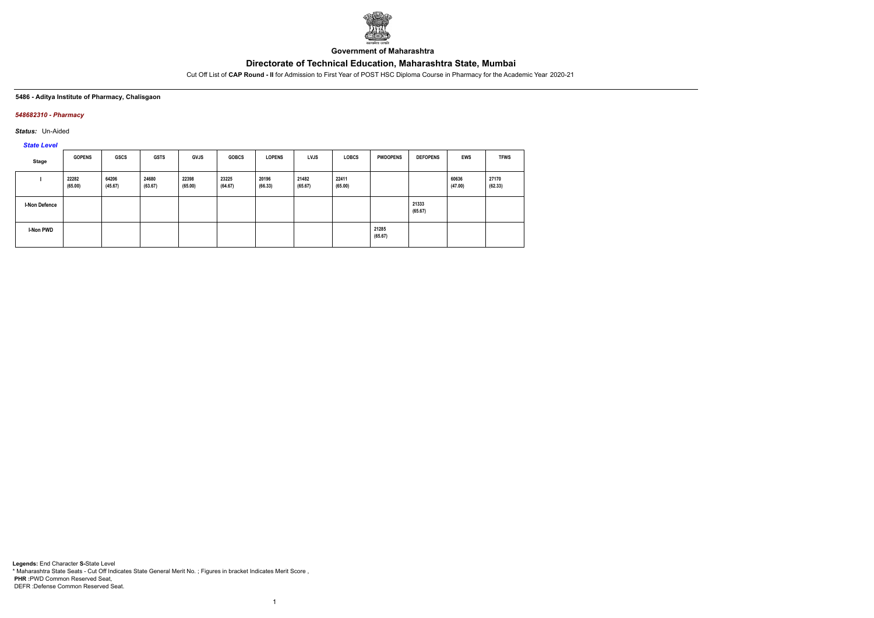

**Government of Maharashtra**

Cut Off List of **CAP Round - II** for Admission to First Year of POST HSC Diploma Course in Pharmacy for the Academic Year 2020-21

### **5486 - Aditya Institute of Pharmacy, Chalisgaon**

### *548682310 - Pharmacy*

*Status:* Un-Aided

*State Level*

| Stage         | <b>GOPENS</b>    | GSCS             | <b>GSTS</b>      | <b>GVJS</b>      | <b>GOBCS</b>     | <b>LOPENS</b>    | <b>LVJS</b>      | <b>LOBCS</b>     | <b>PWDOPENS</b>  | <b>DEFOPENS</b>  | <b>EWS</b>       | <b>TFWS</b>      |
|---------------|------------------|------------------|------------------|------------------|------------------|------------------|------------------|------------------|------------------|------------------|------------------|------------------|
|               | 22282<br>(65.00) | 64206<br>(45.67) | 24680<br>(63.67) | 22398<br>(65.00) | 23225<br>(64.67) | 20196<br>(66.33) | 21482<br>(65.67) | 22411<br>(65.00) |                  |                  | 60636<br>(47.00) | 27170<br>(62.33) |
| I-Non Defence |                  |                  |                  |                  |                  |                  |                  |                  |                  | 21333<br>(65.67) |                  |                  |
| I-Non PWD     |                  |                  |                  |                  |                  |                  |                  |                  | 21285<br>(65.67) |                  |                  |                  |

1

**Legends:** End Character **S-**State Level \* Maharashtra State Seats - Cut Off Indicates State General Merit No. ; Figures in bracket Indicates Merit Score , **PHR :**PWD Common Reserved Seat, DEFR :Defense Common Reserved Seat.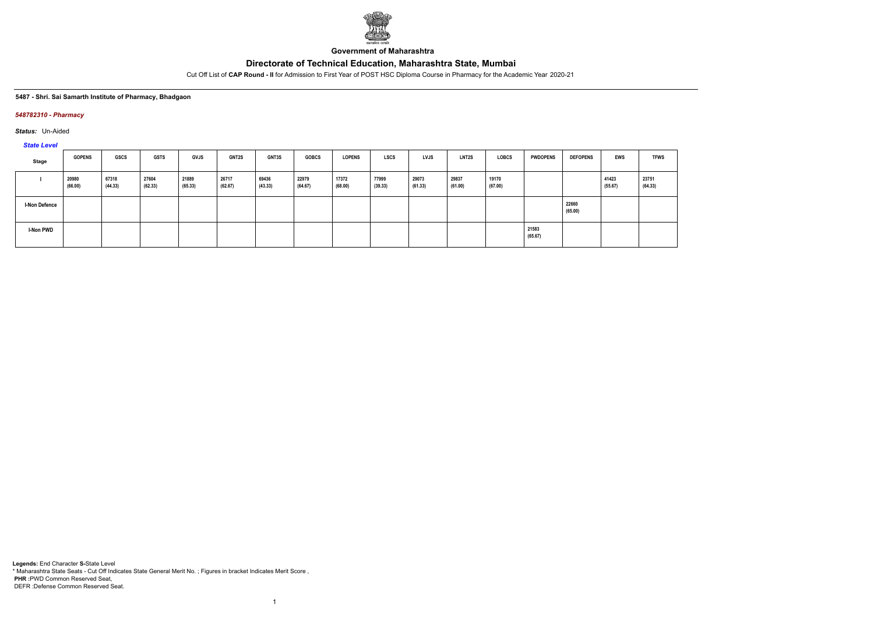

**Government of Maharashtra**

Cut Off List of **CAP Round - II** for Admission to First Year of POST HSC Diploma Course in Pharmacy for the Academic Year 2020-21

### **5487 - Shri. Sai Samarth Institute of Pharmacy, Bhadgaon**

### *548782310 - Pharmacy*

*Status:* Un-Aided

*State Level*

| Stage                | <b>GOPENS</b>    | GSCS             | <b>GSTS</b>      | <b>GVJS</b>      | <b>GNT2S</b>     | GNT3S            | <b>GOBCS</b>     | <b>LOPENS</b>    | <b>LSCS</b>      | LVJS             | <b>LNT2S</b>     | LOBCS            | <b>PWDOPENS</b>  | <b>DEFOPENS</b>  | EWS              | <b>TFWS</b>      |
|----------------------|------------------|------------------|------------------|------------------|------------------|------------------|------------------|------------------|------------------|------------------|------------------|------------------|------------------|------------------|------------------|------------------|
|                      | 20980<br>(66.00) | 67318<br>(44.33) | 27604<br>(62.33) | 21889<br>(65.33) | 26717<br>(62.67) | 69436<br>(43.33) | 22979<br>(64.67) | 17372<br>(68.00) | 77999<br>(39.33) | 29073<br>(61.33) | 29837<br>(61.00) | 19170<br>(67.00) |                  |                  | 41423<br>(55.67) | 23751<br>(64.33) |
| <b>I-Non Defence</b> |                  |                  |                  |                  |                  |                  |                  |                  |                  |                  |                  |                  |                  | 22660<br>(65.00) |                  |                  |
| <b>I-Non PWD</b>     |                  |                  |                  |                  |                  |                  |                  |                  |                  |                  |                  |                  | 21583<br>(65.67) |                  |                  |                  |

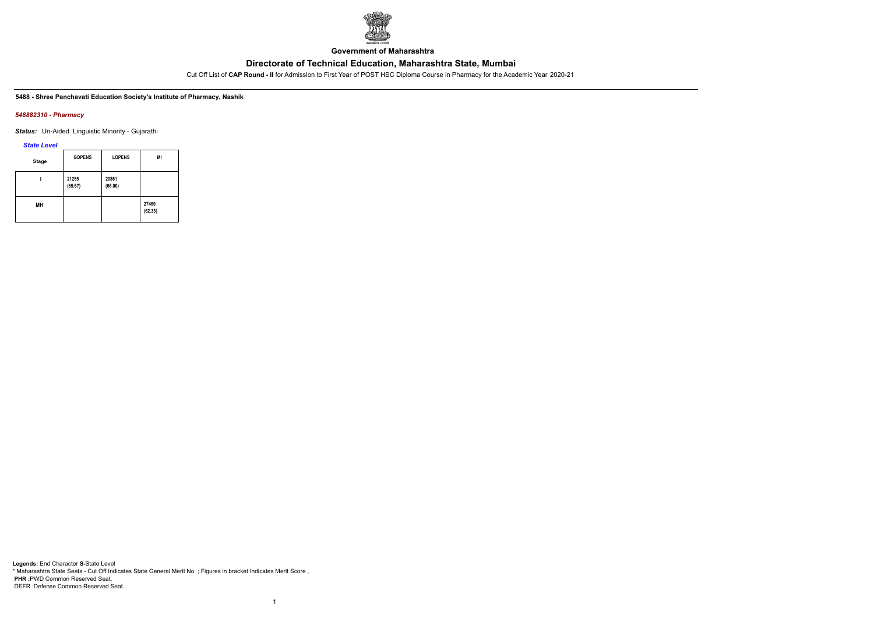

**Government of Maharashtra**

Cut Off List of **CAP Round - II** for Admission to First Year of POST HSC Diploma Course in Pharmacy for the Academic Year 2020-21

#### **5488 - Shree Panchavati Education Society's Institute of Pharmacy, Nashik**

### *548882310 - Pharmacy*

*Status:* Un-Aided Linguistic Minority - Gujarathi

*State Level*

| <b>Stage</b> | <b>GOPENS</b>    | <b>LOPENS</b>    | MI               |
|--------------|------------------|------------------|------------------|
|              | 21255<br>(65.67) | 20861<br>(66.00) |                  |
| MН           |                  |                  | 27460<br>(62.33) |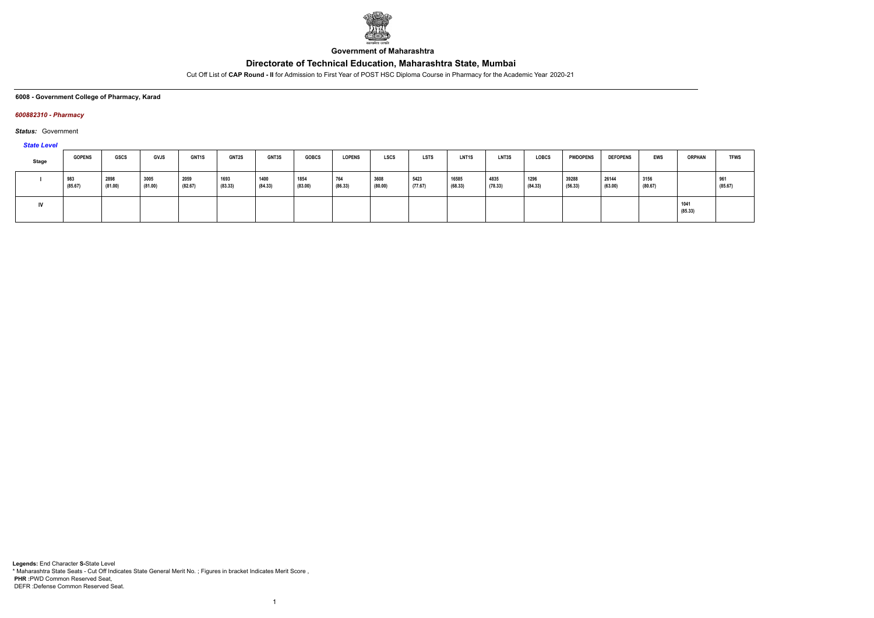

**Government of Maharashtra**

Cut Off List of **CAP Round - II** for Admission to First Year of POST HSC Diploma Course in Pharmacy for the Academic Year 2020-21

#### **6008 - Government College of Pharmacy, Karad**

### *600882310 - Pharmacy*

*Status:* Government

### *State Level*

| Stage | <b>GOPENS</b>  | <b>GSCS</b>     | <b>GVJS</b>     | <b>GNT1S</b>    | <b>GNT2S</b>    | <b>GNT3S</b>    | <b>GOBCS</b>    | <b>LOPENS</b>  | <b>LSCS</b>     | <b>LSTS</b>     | <b>LNT1S</b>     | LNT3S           | LOBCS           | <b>PWDOPENS</b>  | <b>DEFOPENS</b>  | EWS             | <b>ORPHAN</b>   | <b>TFWS</b>    |
|-------|----------------|-----------------|-----------------|-----------------|-----------------|-----------------|-----------------|----------------|-----------------|-----------------|------------------|-----------------|-----------------|------------------|------------------|-----------------|-----------------|----------------|
|       | 983<br>(85.67) | 2898<br>(81.00) | 3005<br>(81.00) | 2059<br>(82.67) | 1693<br>(83.33) | 1400<br>(84.33) | 1854<br>(83.00) | 764<br>(86.33) | 3608<br>(80.00) | 5423<br>(77.67) | 16585<br>(68.33) | 4835<br>(78.33) | 1296<br>(84.33) | 39288<br>(56.33) | 26144<br>(63.00) | 3156<br>(80.67) |                 | 961<br>(85.67) |
| IV    |                |                 |                 |                 |                 |                 |                 |                |                 |                 |                  |                 |                 |                  |                  |                 | 1041<br>(85.33) |                |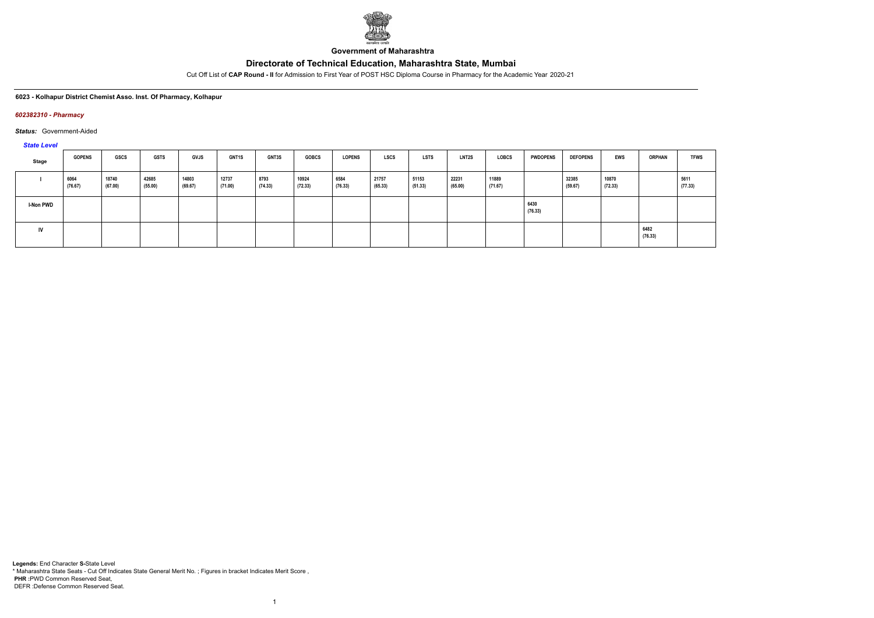

**Government of Maharashtra**

Cut Off List of **CAP Round - II** for Admission to First Year of POST HSC Diploma Course in Pharmacy for the Academic Year 2020-21

#### **6023 - Kolhapur District Chemist Asso. Inst. Of Pharmacy, Kolhapur**

#### *602382310 - Pharmacy*

*Status:* Government-Aided

### *State Level*

| $-$       |                 |                  |                  |                  |                  |                 |                  |                 |                  |                  |                  |                  |                 |                  |                  |                 |                 |
|-----------|-----------------|------------------|------------------|------------------|------------------|-----------------|------------------|-----------------|------------------|------------------|------------------|------------------|-----------------|------------------|------------------|-----------------|-----------------|
| Stage     | <b>GOPENS</b>   | <b>GSCS</b>      | <b>GSTS</b>      | <b>GVJS</b>      | <b>GNT1S</b>     | <b>GNT3S</b>    | <b>GOBCS</b>     | <b>LOPENS</b>   | <b>LSCS</b>      | <b>LSTS</b>      | <b>LNT2S</b>     | LOBCS            | <b>PWDOPENS</b> | <b>DEFOPENS</b>  | EWS              | <b>ORPHAN</b>   | <b>TFWS</b>     |
|           | 6064<br>(76.67) | 18740<br>(67.00) | 42685<br>(55.00) | 14803<br>(69.67) | 12737<br>(71.00) | 8793<br>(74.33) | 10924<br>(72.33) | 6584<br>(76.33) | 21757<br>(65.33) | 51153<br>(51.33) | 22231<br>(65.00) | 11889<br>(71.67) |                 | 32385<br>(59.67) | 10870<br>(72.33) |                 | 5611<br>(77.33) |
| I-Non PWD |                 |                  |                  |                  |                  |                 |                  |                 |                  |                  |                  |                  | 6430<br>(76.33) |                  |                  |                 |                 |
| IV        |                 |                  |                  |                  |                  |                 |                  |                 |                  |                  |                  |                  |                 |                  |                  | 6482<br>(76.33) |                 |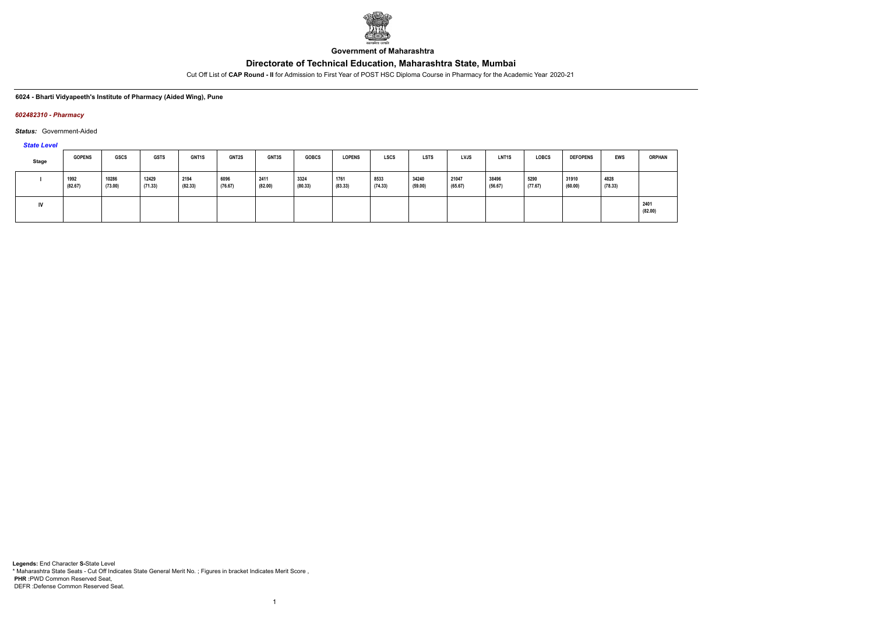

**Government of Maharashtra**

Cut Off List of **CAP Round - II** for Admission to First Year of POST HSC Diploma Course in Pharmacy for the Academic Year 2020-21

### **6024 - Bharti Vidyapeeth's Institute of Pharmacy (Aided Wing), Pune**

#### *602482310 - Pharmacy*

*Status:* Government-Aided

*State Level*

| Stage | <b>GOPENS</b>   | GSCS             | <b>GSTS</b>      | <b>GNT1S</b>    | <b>GNT2S</b>    | <b>GNT3S</b>    | <b>GOBCS</b>    | LOPENS          | <b>LSCS</b>     | <b>LSTS</b>      | <b>LVJS</b>      | LNT <sub>1</sub> S | <b>LOBCS</b>    | <b>DEFOPENS</b>  | <b>EWS</b>      | <b>ORPHAN</b>   |
|-------|-----------------|------------------|------------------|-----------------|-----------------|-----------------|-----------------|-----------------|-----------------|------------------|------------------|--------------------|-----------------|------------------|-----------------|-----------------|
|       | 1992<br>(82.67) | 10286<br>(73.00) | 12429<br>(71.33) | 2194<br>(82.33) | 6096<br>(76.67) | 2411<br>(82.00) | 3324<br>(80.33) | 1761<br>(83.33) | 8533<br>(74.33) | 34240<br>(59.00) | 21047<br>(65.67) | 38496<br>(56.67)   | 5290<br>(77.67) | 31910<br>(60.00) | 4828<br>(78.33) |                 |
| IV    |                 |                  |                  |                 |                 |                 |                 |                 |                 |                  |                  |                    |                 |                  |                 | 2401<br>(82.00) |

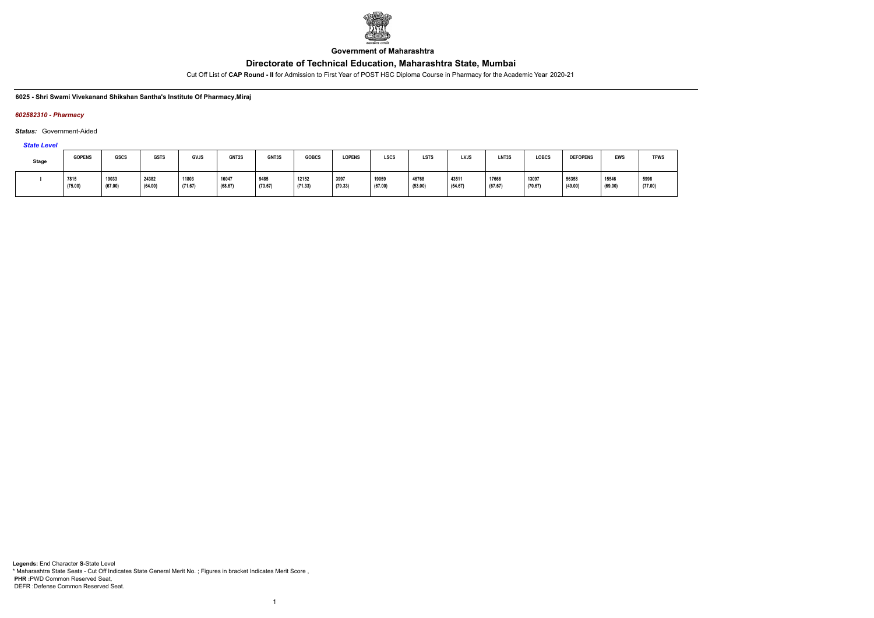

**Government of Maharashtra**

Cut Off List of **CAP Round - II** for Admission to First Year of POST HSC Diploma Course in Pharmacy for the Academic Year 2020-21

#### **6025 - Shri Swami Vivekanand Shikshan Santha's Institute Of Pharmacy,Miraj**

#### *602582310 - Pharmacy*

### *Status:* Government-Aided

*State Level*

| <b>Stage</b> | <b>GOPENS</b>   | GSCS             | <b>GSTS</b>      | GVJS             | GNT2S            | GNT3S           | <b>GOBCS</b>     | <b>LOPENS</b>   | <b>LSCS</b>      | <b>LSTS</b>      | <b>LVJS</b>      | LNT3S            | <b>LOBCS</b>     | <b>DEFOPENS</b>  | <b>EWS</b>       | <b>TFWS</b>     |
|--------------|-----------------|------------------|------------------|------------------|------------------|-----------------|------------------|-----------------|------------------|------------------|------------------|------------------|------------------|------------------|------------------|-----------------|
|              | 7815<br>(75.00) | 19033<br>(67.00) | 24382<br>(64.00) | 11803<br>(71.67) | 16047<br>(68.67) | 9485<br>(73.67) | 12152<br>(71.33) | 3997<br>(79.33) | 19059<br>(67.00) | 46768<br>(53.00) | 43511<br>(54.67) | 17666<br>(67.67) | 13097<br>(70.67) | 56358<br>(49.00) | 15546<br>(69.00) | 5998<br>(77.00) |

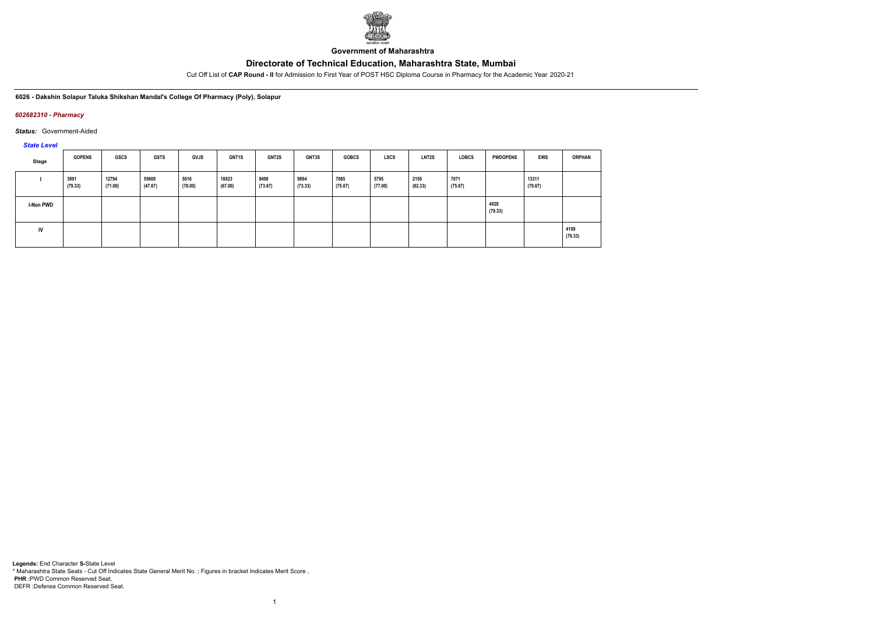

**Government of Maharashtra**

Cut Off List of **CAP Round - II** for Admission to First Year of POST HSC Diploma Course in Pharmacy for the Academic Year 2020-21

**6026 - Dakshin Solapur Taluka Shikshan Mandal's College Of Pharmacy (Poly), Solapur**

### *602682310 - Pharmacy*

*Status:* Government-Aided

*State Level*

| Stage     | <b>GOPENS</b>   | GSCS             | GSTS             | <b>GVJS</b>     | <b>GNT1S</b>     | <b>GNT2S</b>    | <b>GNT3S</b>    | <b>GOBCS</b>    | LSCS            | LNT2S           | <b>LOBCS</b>    | <b>PWDOPENS</b> | <b>EWS</b>       | <b>ORPHAN</b>   |
|-----------|-----------------|------------------|------------------|-----------------|------------------|-----------------|-----------------|-----------------|-----------------|-----------------|-----------------|-----------------|------------------|-----------------|
|           | 3991<br>(79.33) | 12794<br>(71.00) | 59809<br>(47.67) | 5016<br>(78.00) | 18823<br>(67.00) | 9498<br>(73.67) | 9894<br>(73.33) | 7085<br>(75.67) | 5795<br>(77.00) | 2150<br>(82.33) | 7071<br>(75.67) |                 | 13311<br>(70.67) |                 |
| I-Non PWD |                 |                  |                  |                 |                  |                 |                 |                 |                 |                 |                 | 4028<br>(79.33) |                  |                 |
| IV        |                 |                  |                  |                 |                  |                 |                 |                 |                 |                 |                 |                 |                  | 4109<br>(79.33) |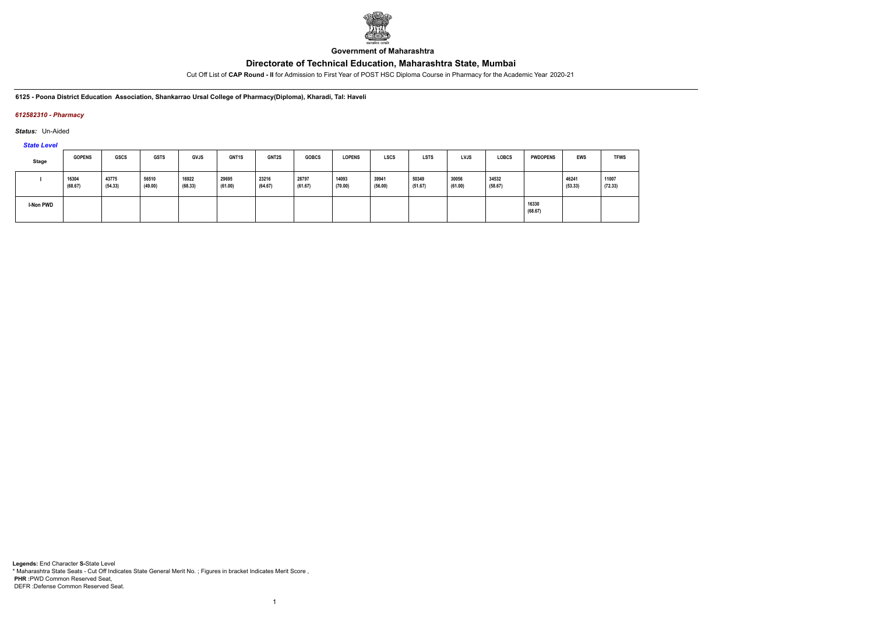

**Government of Maharashtra**

Cut Off List of **CAP Round - II** for Admission to First Year of POST HSC Diploma Course in Pharmacy for the Academic Year 2020-21

**6125 - Poona District Education Association, Shankarrao Ursal College of Pharmacy(Diploma), Kharadi, Tal: Haveli**

### *612582310 - Pharmacy*

*Status:* Un-Aided

*State Level*

| <b>Stage</b> | <b>GOPENS</b>    | GSCS             | <b>GSTS</b>      | <b>GVJS</b>      | GNT1S            | <b>GNT2S</b>     | <b>GOBCS</b>     | <b>LOPENS</b>    | <b>LSCS</b>      | <b>LSTS</b>      | <b>LVJS</b>      | <b>LOBCS</b>     | <b>PWDOPENS</b>  | <b>EWS</b>       | <b>TFWS</b>      |
|--------------|------------------|------------------|------------------|------------------|------------------|------------------|------------------|------------------|------------------|------------------|------------------|------------------|------------------|------------------|------------------|
|              | 16304<br>(68.67) | 43775<br>(54.33) | 56510<br>(49.00) | 16922<br>(68.33) | 29695<br>(61.00) | 23216<br>(64.67) | 28797<br>(61.67) | 14093<br>(70.00) | 39941<br>(56.00) | 50349<br>(51.67) | 30056<br>(61.00) | 34532<br>(58.67) |                  | 46241<br>(53.33) | 11007<br>(72.33) |
| I-Non PWD    |                  |                  |                  |                  |                  |                  |                  |                  |                  |                  |                  |                  | 16330<br>(68.67) |                  |                  |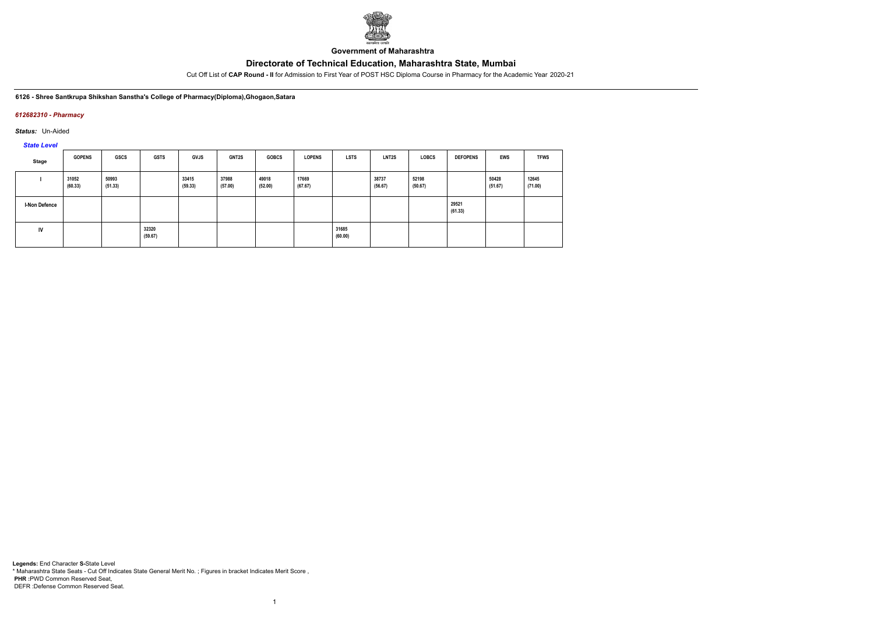

**Government of Maharashtra**

Cut Off List of **CAP Round - II** for Admission to First Year of POST HSC Diploma Course in Pharmacy for the Academic Year 2020-21

#### **6126 - Shree Santkrupa Shikshan Sanstha's College of Pharmacy(Diploma),Ghogaon,Satara**

### *612682310 - Pharmacy*

*Status:* Un-Aided

*State Level*

| Stage                | <b>GOPENS</b>    | GSCS             | <b>GSTS</b>      | <b>GVJS</b>      | <b>GNT2S</b>     | <b>GOBCS</b>     | <b>LOPENS</b>    | <b>LSTS</b>      | <b>LNT2S</b>     | <b>LOBCS</b>     | <b>DEFOPENS</b>  | <b>EWS</b>       | <b>TFWS</b>      |
|----------------------|------------------|------------------|------------------|------------------|------------------|------------------|------------------|------------------|------------------|------------------|------------------|------------------|------------------|
|                      | 31052<br>(60.33) | 50993<br>(51.33) |                  | 33415<br>(59.33) | 37988<br>(57.00) | 49018<br>(52.00) | 17669<br>(67.67) |                  | 38737<br>(56.67) | 52198<br>(50.67) |                  | 50428<br>(51.67) | 12645<br>(71.00) |
| <b>I-Non Defence</b> |                  |                  |                  |                  |                  |                  |                  |                  |                  |                  | 29521<br>(61.33) |                  |                  |
| <b>IV</b>            |                  |                  | 32320<br>(59.67) |                  |                  |                  |                  | 31685<br>(60.00) |                  |                  |                  |                  |                  |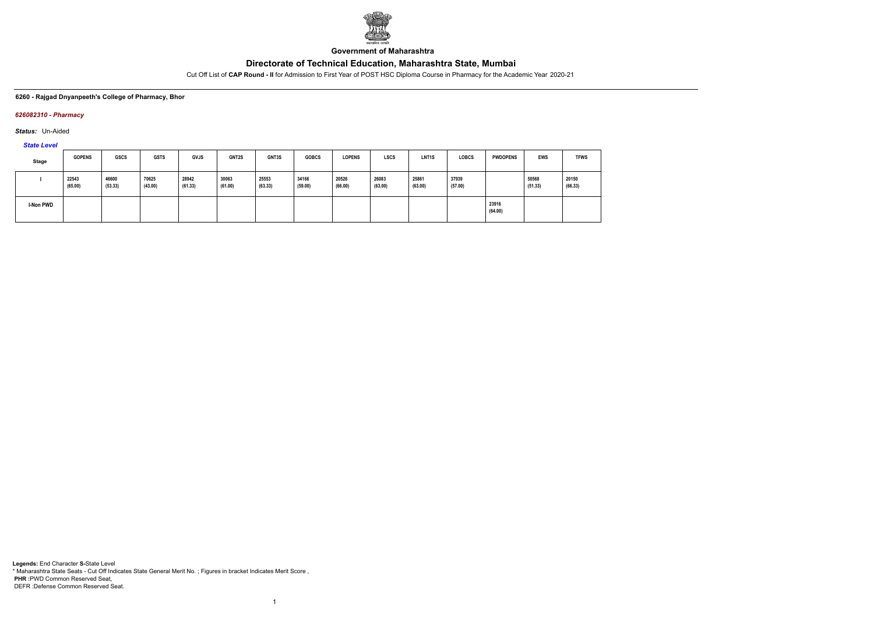

**Government of Maharashtra**

Cut Off List of **CAP Round - II** for Admission to First Year of POST HSC Diploma Course in Pharmacy for the Academic Year 2020-21

### **6260 - Rajgad Dnyanpeeth's College of Pharmacy, Bhor**

### *626082310 - Pharmacy*

*Status:* Un-Aided

*State Level*

| Stage     | <b>GOPENS</b>    | <b>GSCS</b>      | <b>GSTS</b>      | <b>GVJS</b>      | <b>GNT2S</b>     | GNT3S            | <b>GOBCS</b>     | <b>LOPENS</b>    | <b>LSCS</b>      | LNT <sub>1</sub> S | <b>LOBCS</b>     | <b>PWDOPENS</b>  | <b>EWS</b>       | <b>TFWS</b>      |
|-----------|------------------|------------------|------------------|------------------|------------------|------------------|------------------|------------------|------------------|--------------------|------------------|------------------|------------------|------------------|
|           | 22543<br>(65.00) | 46600<br>(53.33) | 70625<br>(43.00) | 28942<br>(61.33) | 30063<br>(61.00) | 25553<br>(63.33) | 34166<br>(59.00) | 20526<br>(66.00) | 26083<br>(63.00) | 25861<br>(63.00)   | 37939<br>(57.00) |                  | 50568<br>(51.33) | 20150<br>(66.33) |
| I-Non PWD |                  |                  |                  |                  |                  |                  |                  |                  |                  |                    |                  | 23916<br>(64.00) |                  |                  |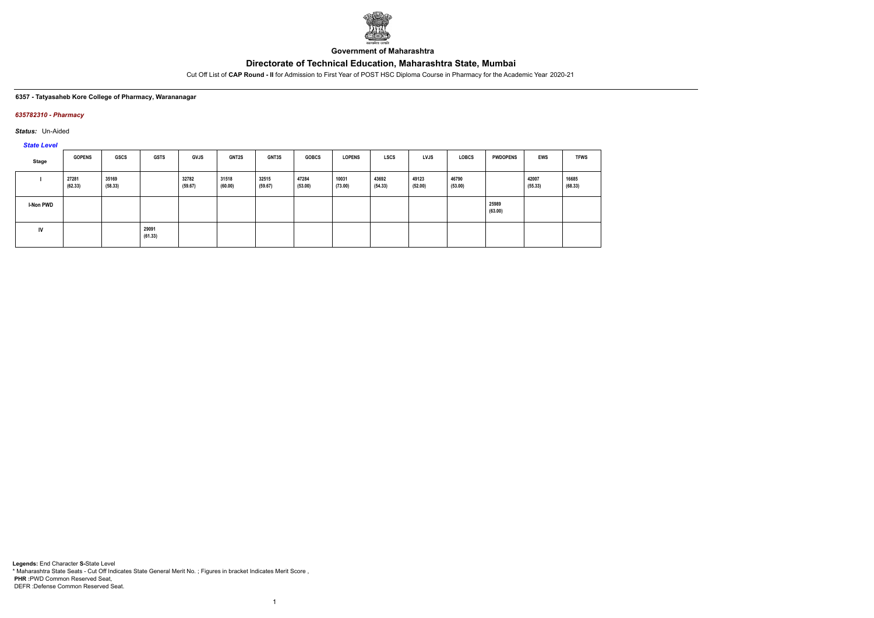

**Government of Maharashtra**

Cut Off List of **CAP Round - II** for Admission to First Year of POST HSC Diploma Course in Pharmacy for the Academic Year 2020-21

#### **6357 - Tatyasaheb Kore College of Pharmacy, Warananagar**

### *635782310 - Pharmacy*

*Status:* Un-Aided

*State Level*

| Stage            | <b>GOPENS</b>    | GSCS             | <b>GSTS</b>      | <b>GVJS</b>      | <b>GNT2S</b>     | <b>GNT3S</b>     | <b>GOBCS</b>     | <b>LOPENS</b>    | <b>LSCS</b>      | <b>LVJS</b>      | <b>LOBCS</b>     | <b>PWDOPENS</b>  | EWS              | <b>TFWS</b>      |
|------------------|------------------|------------------|------------------|------------------|------------------|------------------|------------------|------------------|------------------|------------------|------------------|------------------|------------------|------------------|
|                  | 27281<br>(62.33) | 35169<br>(58.33) |                  | 32782<br>(59.67) | 31518<br>(60.00) | 32515<br>(59.67) | 47284<br>(53.00) | 10031<br>(73.00) | 43692<br>(54.33) | 49123<br>(52.00) | 46790<br>(53.00) |                  | 42007<br>(55.33) | 16685<br>(68.33) |
| <b>I-Non PWD</b> |                  |                  |                  |                  |                  |                  |                  |                  |                  |                  |                  | 25989<br>(63.00) |                  |                  |
| <b>IV</b>        |                  |                  | 29091<br>(61.33) |                  |                  |                  |                  |                  |                  |                  |                  |                  |                  |                  |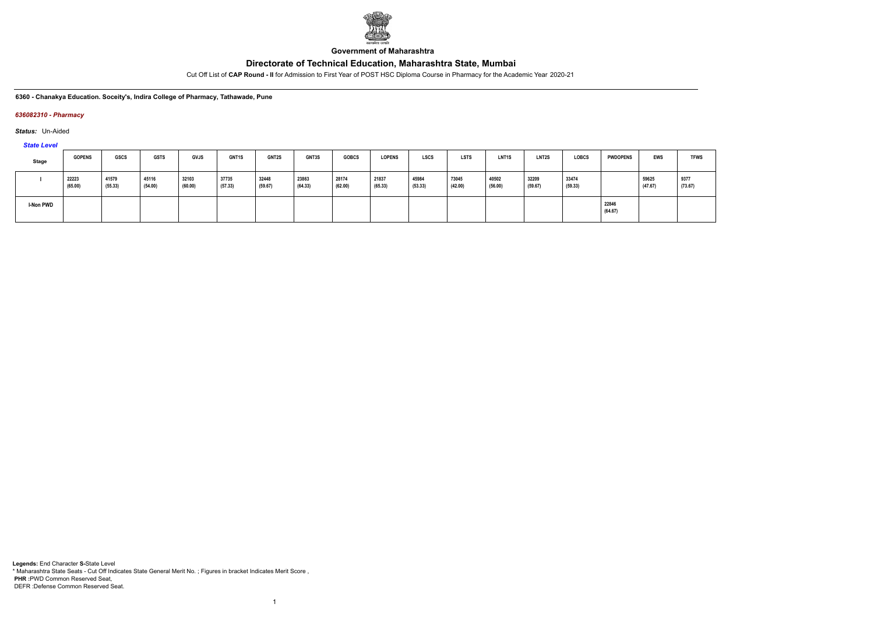

**Government of Maharashtra**

Cut Off List of **CAP Round - II** for Admission to First Year of POST HSC Diploma Course in Pharmacy for the Academic Year 2020-21

**6360 - Chanakya Education. Soceity's, Indira College of Pharmacy, Tathawade, Pune**

### *636082310 - Pharmacy*

*Status:* Un-Aided

*State Level*

| <b>Stage</b>     | <b>GOPENS</b>    | <b>GSCS</b>      | <b>GSTS</b>      | <b>GVJS</b>      | <b>GNT1S</b>     | <b>GNT2S</b>     | <b>GNT3S</b>     | <b>GOBCS</b>     | <b>LOPENS</b>    | <b>LSCS</b>      | <b>LSTS</b>      | <b>LNT1S</b>     | LNT2S            | <b>LOBCS</b>     | <b>PWDOPENS</b>  | <b>EWS</b>       | <b>TFWS</b>     |
|------------------|------------------|------------------|------------------|------------------|------------------|------------------|------------------|------------------|------------------|------------------|------------------|------------------|------------------|------------------|------------------|------------------|-----------------|
|                  | 22223<br>(65.00) | 41579<br>(55.33) | 45116<br>(54.00) | 32103<br>(60.00) | 37735<br>(57.33) | 32448<br>(59.67) | 23863<br>(64.33) | 28174<br>(62.00) | 21837<br>(65.33) | 45984<br>(53.33) | 73045<br>(42.00) | 40502<br>(56.00) | 32209<br>(59.67) | 33474<br>(59.33) |                  | 59625<br>(47.67) | 9377<br>(73.67) |
| <b>I-Non PWD</b> |                  |                  |                  |                  |                  |                  |                  |                  |                  |                  |                  |                  |                  |                  | 22846<br>(64.67) |                  |                 |

1

**Legends:** End Character **S-**State Level \* Maharashtra State Seats - Cut Off Indicates State General Merit No. ; Figures in bracket Indicates Merit Score , **PHR :**PWD Common Reserved Seat, DEFR :Defense Common Reserved Seat.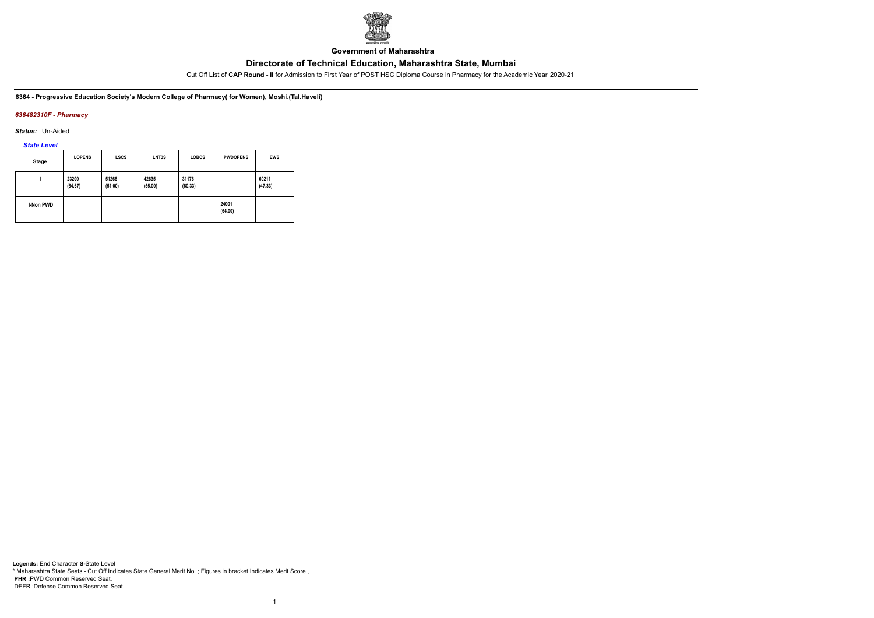

**Government of Maharashtra**

Cut Off List of **CAP Round - II** for Admission to First Year of POST HSC Diploma Course in Pharmacy for the Academic Year 2020-21

**6364 - Progressive Education Society's Modern College of Pharmacy( for Women), Moshi.(Tal.Haveli)**

### *636482310F - Pharmacy*

*Status:* Un-Aided

*State Level*

| <b>Stage</b>     | <b>LOPENS</b>    | <b>LSCS</b>      | LNT3S            | <b>LOBCS</b>     | <b>PWDOPENS</b>  | <b>EWS</b>       |
|------------------|------------------|------------------|------------------|------------------|------------------|------------------|
|                  | 23200<br>(64.67) | 51266<br>(51.00) | 42635<br>(55.00) | 31176<br>(60.33) |                  | 60211<br>(47.33) |
| <b>I-Non PWD</b> |                  |                  |                  |                  | 24001<br>(64.00) |                  |

1

**Legends:** End Character **S-**State Level \* Maharashtra State Seats - Cut Off Indicates State General Merit No. ; Figures in bracket Indicates Merit Score , **PHR :**PWD Common Reserved Seat, DEFR :Defense Common Reserved Seat.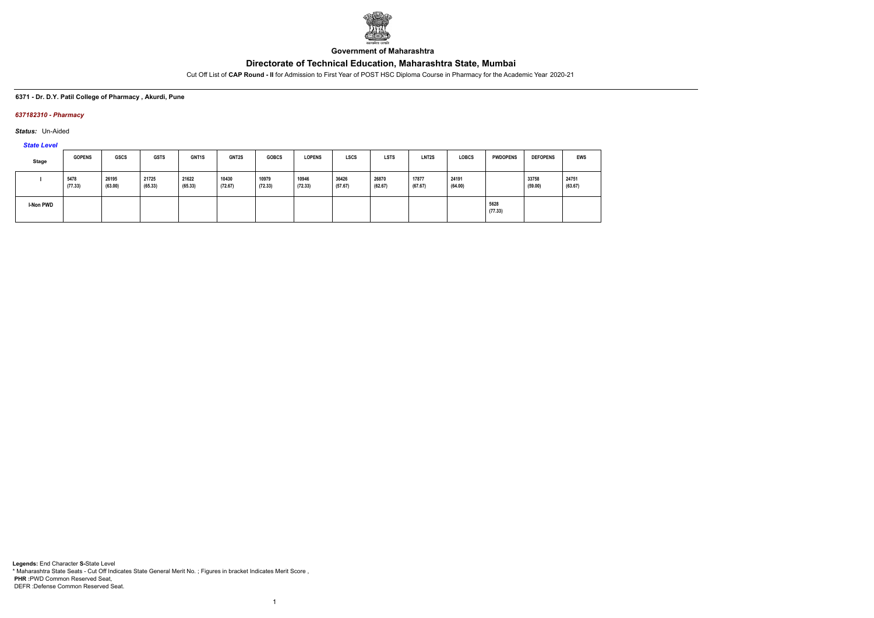

**Government of Maharashtra**

Cut Off List of **CAP Round - II** for Admission to First Year of POST HSC Diploma Course in Pharmacy for the Academic Year 2020-21

### **6371 - Dr. D.Y. Patil College of Pharmacy , Akurdi, Pune**

### *637182310 - Pharmacy*

*Status:* Un-Aided

*State Level*

| Stage            | <b>GOPENS</b>   | <b>GSCS</b>      | <b>GSTS</b>      | GNT1S            | <b>GNT2S</b>     | <b>GOBCS</b>     | <b>LOPENS</b>    | <b>LSCS</b>      | <b>LSTS</b>      | LNT <sub>2</sub> S | <b>LOBCS</b>     | <b>PWDOPENS</b> | <b>DEFOPENS</b>  | <b>EWS</b>       |
|------------------|-----------------|------------------|------------------|------------------|------------------|------------------|------------------|------------------|------------------|--------------------|------------------|-----------------|------------------|------------------|
|                  | 5478<br>(77.33) | 26195<br>(63.00) | 21725<br>(65.33) | 21622<br>(65.33) | 10430<br>(72.67) | 10979<br>(72.33) | 10946<br>(72.33) | 36426<br>(57.67) | 26870<br>(62.67) | 17877<br>(67.67)   | 24191<br>(64.00) |                 | 33758<br>(59.00) | 24751<br>(63.67) |
| <b>I-Non PWD</b> |                 |                  |                  |                  |                  |                  |                  |                  |                  |                    |                  | 5628<br>(77.33) |                  |                  |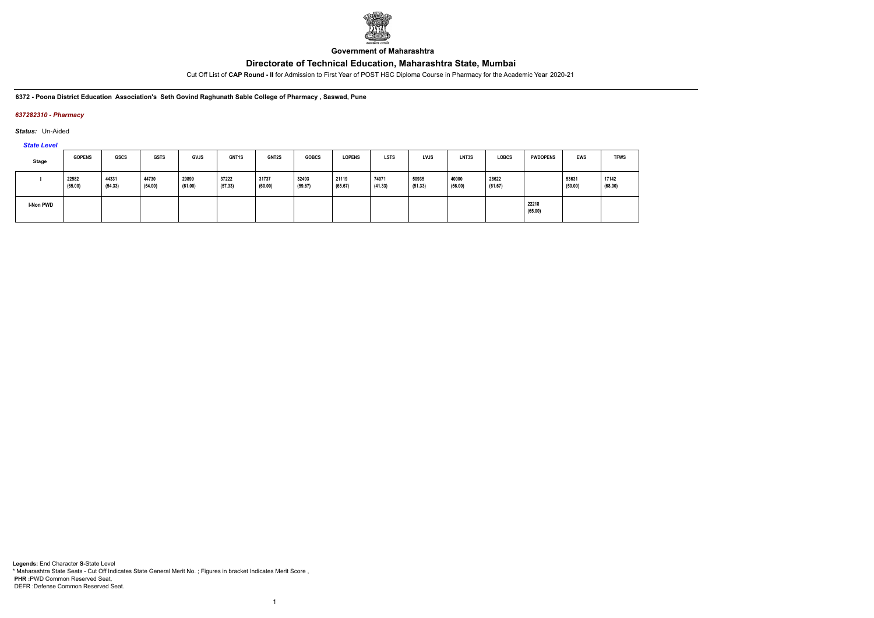

**Government of Maharashtra**

Cut Off List of **CAP Round - II** for Admission to First Year of POST HSC Diploma Course in Pharmacy for the Academic Year 2020-21

**6372 - Poona District Education Association's Seth Govind Raghunath Sable College of Pharmacy , Saswad, Pune**

### *637282310 - Pharmacy*

*Status:* Un-Aided

*State Level*

| <b>Stage</b> | <b>GOPENS</b>    | GSCS             | <b>GSTS</b>      | <b>GVJS</b>      | GNT1S            | <b>GNT2S</b>     | <b>GOBCS</b>     | <b>LOPENS</b>    | <b>LSTS</b>      | <b>LVJS</b>      | LNT3S            | <b>LOBCS</b>     | <b>PWDOPENS</b>  | <b>EWS</b>       | <b>TFWS</b>      |
|--------------|------------------|------------------|------------------|------------------|------------------|------------------|------------------|------------------|------------------|------------------|------------------|------------------|------------------|------------------|------------------|
|              | 22582<br>(65.00) | 44331<br>(54.33) | 44730<br>(54.00) | 29899<br>(61.00) | 37222<br>(57.33) | 31737<br>(60.00) | 32493<br>(59.67) | 21119<br>(65.67) | 74071<br>(41.33) | 50935<br>(51.33) | 40000<br>(56.00) | 28622<br>(61.67) |                  | 53631<br>(50.00) | 17142<br>(68.00) |
| I-Non PWD    |                  |                  |                  |                  |                  |                  |                  |                  |                  |                  |                  |                  | 22218<br>(65.00) |                  |                  |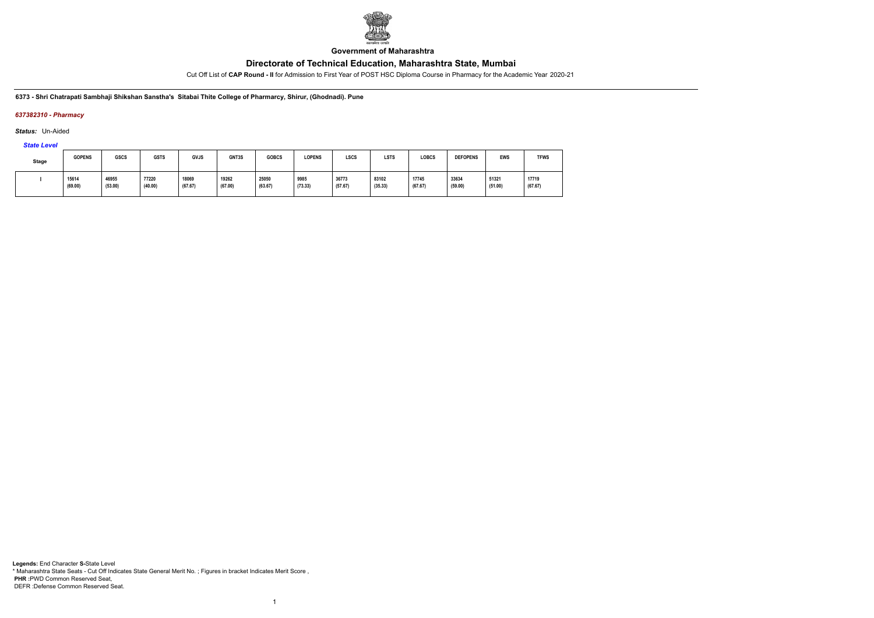

**Government of Maharashtra**

Cut Off List of **CAP Round - II** for Admission to First Year of POST HSC Diploma Course in Pharmacy for the Academic Year 2020-21

**6373 - Shri Chatrapati Sambhaji Shikshan Sanstha's Sitabai Thite College of Pharmarcy, Shirur, (Ghodnadi). Pune**

### *637382310 - Pharmacy*

*Status:* Un-Aided

*State Level*

| Stage | <b>GOPENS</b>    | <b>GSCS</b>      | <b>GSTS</b>      | <b>GVJS</b>      | GNT3S            | <b>GOBCS</b>     | <b>LOPENS</b>   | LSCS             | <b>LSTS</b>      | <b>LOBCS</b>     | <b>DEFOPENS</b>  | EWS              | <b>TFWS</b>      |
|-------|------------------|------------------|------------------|------------------|------------------|------------------|-----------------|------------------|------------------|------------------|------------------|------------------|------------------|
|       | 15614<br>(69.00) | 46955<br>(53.00) | 77220<br>(40.00) | 18069<br>(67.67) | 19262<br>(67.00) | 25050<br>(63.67) | 9985<br>(73.33) | 36773<br>(57.67) | 83102<br>(35.33) | 17745<br>(67.67) | 33634<br>(59.00) | 51321<br>(51.00) | 17719<br>(67.67) |

1

**Legends:** End Character **S-**State Level \* Maharashtra State Seats - Cut Off Indicates State General Merit No. ; Figures in bracket Indicates Merit Score , **PHR :**PWD Common Reserved Seat, DEFR :Defense Common Reserved Seat.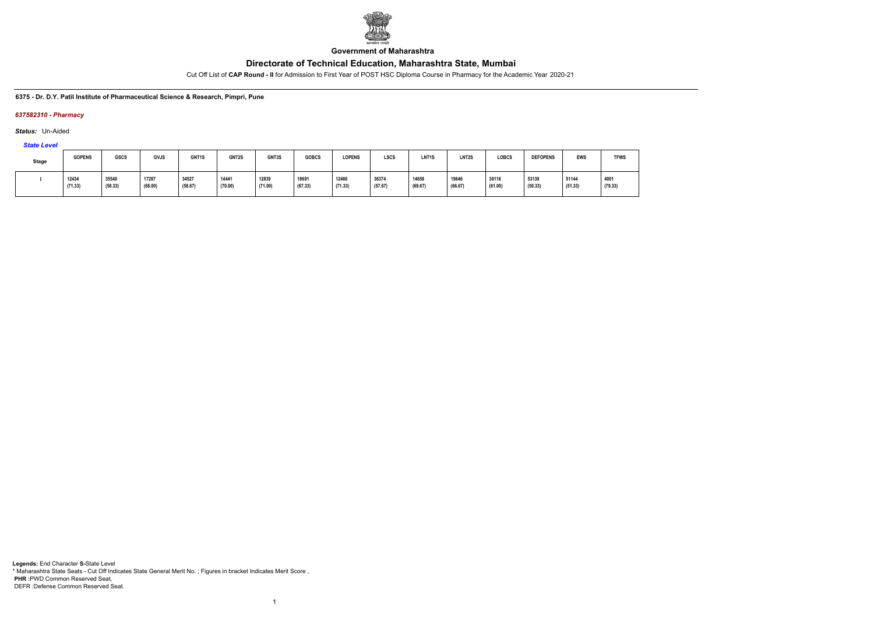

**Government of Maharashtra**

Cut Off List of **CAP Round - II** for Admission to First Year of POST HSC Diploma Course in Pharmacy for the Academic Year 2020-21

#### **6375 - Dr. D.Y. Patil Institute of Pharmaceutical Science & Research, Pimpri, Pune**

#### *637582310 - Pharmacy*

*Status:* Un-Aided

*State Level*

| <b>Stage</b> | <b>GOPENS</b>    | <b>GSCS</b>      | <b>GVJS</b>      | GNT <sub>1</sub> S | <b>GNT2S</b>     | GNT3S            | <b>GOBCS</b>     | <b>LOPENS</b>    | <b>LSCS</b>      | LNT <sub>1</sub> S | <b>LNT2S</b>     | <b>LOBCS</b>     | <b>DEFOPENS</b>  | <b>EWS</b>       | <b>TFWS</b>     |
|--------------|------------------|------------------|------------------|--------------------|------------------|------------------|------------------|------------------|------------------|--------------------|------------------|------------------|------------------|------------------|-----------------|
|              | 12434<br>(71.33) | 35540<br>(58.33) | 17287<br>(68.00) | 34527<br>(58.67)   | 14441<br>(70.00) | 12839<br>(71.00) | 18691<br>(67.33) | 12460<br>(71.33) | 36374<br>(57.67) | 14658<br>(69.67)   | 19646<br>(66.67) | 30116<br>(61.00) | 53139<br>(50.33) | 51144<br>(51.33) | 4001<br>(79.33) |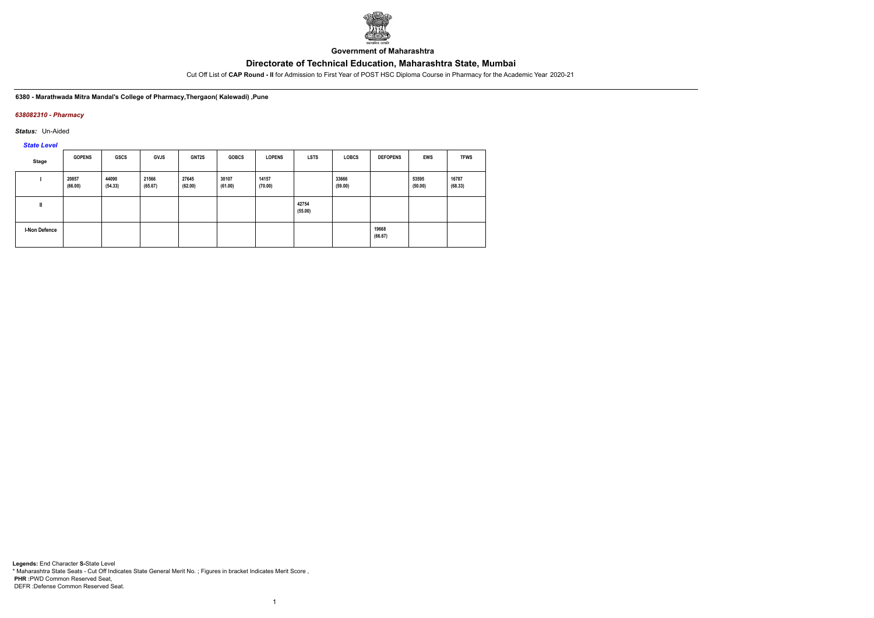

**Government of Maharashtra**

Cut Off List of **CAP Round - II** for Admission to First Year of POST HSC Diploma Course in Pharmacy for the Academic Year 2020-21

#### **6380 - Marathwada Mitra Mandal's College of Pharmacy,Thergaon( Kalewadi) ,Pune**

#### *638082310 - Pharmacy*

*Status:* Un-Aided

*State Level*

| Stage                | <b>GOPENS</b>    | <b>GSCS</b>      | <b>GVJS</b>      | GNT2S            | <b>GOBCS</b>     | <b>LOPENS</b>    | <b>LSTS</b>      | <b>LOBCS</b>     | <b>DEFOPENS</b>  | EWS              | <b>TFWS</b>      |
|----------------------|------------------|------------------|------------------|------------------|------------------|------------------|------------------|------------------|------------------|------------------|------------------|
|                      | 20857<br>(66.00) | 44090<br>(54.33) | 21566<br>(65.67) | 27645<br>(62.00) | 30107<br>(61.00) | 14157<br>(70.00) |                  | 33666<br>(59.00) |                  | 53595<br>(50.00) | 16787<br>(68.33) |
| I                    |                  |                  |                  |                  |                  |                  | 42754<br>(55.00) |                  |                  |                  |                  |
| <b>I-Non Defence</b> |                  |                  |                  |                  |                  |                  |                  |                  | 19668<br>(66.67) |                  |                  |

1

**Legends:** End Character **S-**State Level \* Maharashtra State Seats - Cut Off Indicates State General Merit No. ; Figures in bracket Indicates Merit Score , **PHR :**PWD Common Reserved Seat, DEFR :Defense Common Reserved Seat.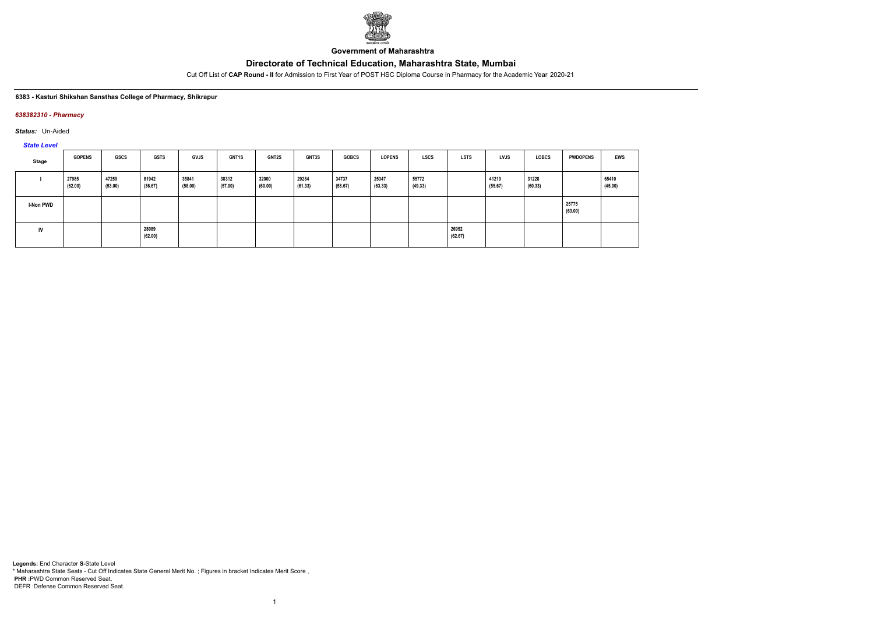

**Government of Maharashtra**

Cut Off List of **CAP Round - II** for Admission to First Year of POST HSC Diploma Course in Pharmacy for the Academic Year 2020-21

#### **6383 - Kasturi Shikshan Sansthas College of Pharmacy, Shikrapur**

### *638382310 - Pharmacy*

*Status:* Un-Aided

*State Level*

| Stage     | <b>GOPENS</b>    | <b>GSCS</b>      | <b>GSTS</b>      | <b>GVJS</b>      | GNT1S            | <b>GNT2S</b>     | GNT3S            | <b>GOBCS</b>     | <b>LOPENS</b>    | <b>LSCS</b>      | <b>LSTS</b>      | <b>LVJS</b>      | <b>LOBCS</b>     | <b>PWDOPENS</b>  | <b>EWS</b>       |
|-----------|------------------|------------------|------------------|------------------|------------------|------------------|------------------|------------------|------------------|------------------|------------------|------------------|------------------|------------------|------------------|
|           | 27985<br>(62.00) | 47259<br>(53.00) | 81942<br>(36.67) | 35841<br>(58.00) | 38312<br>(57.00) | 32000<br>(60.00) | 29284<br>(61.33) | 34737<br>(58.67) | 25347<br>(63.33) | 55772<br>(49.33) |                  | 41219<br>(55.67) | 31228<br>(60.33) |                  | 65410<br>(45.00) |
| I-Non PWD |                  |                  |                  |                  |                  |                  |                  |                  |                  |                  |                  |                  |                  | 25775<br>(63.00) |                  |
| IV        |                  |                  | 28089<br>(62.00) |                  |                  |                  |                  |                  |                  |                  | 26952<br>(62.67) |                  |                  |                  |                  |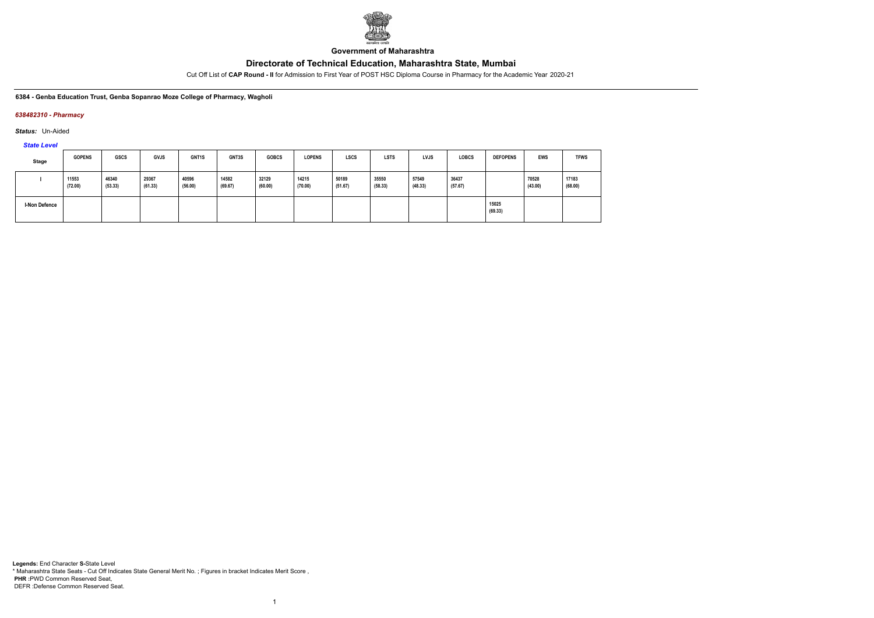

**Government of Maharashtra**

Cut Off List of **CAP Round - II** for Admission to First Year of POST HSC Diploma Course in Pharmacy for the Academic Year 2020-21

**6384 - Genba Education Trust, Genba Sopanrao Moze College of Pharmacy, Wagholi**

### *638482310 - Pharmacy*

*Status:* Un-Aided

*State Level*

| Stage         | <b>GOPENS</b>    | <b>GSCS</b>      | GVJS             | <b>GNT1S</b>     | GNT3S            | <b>GOBCS</b>     | <b>LOPENS</b>    | <b>LSCS</b>      | <b>LSTS</b>      | LVJS             | <b>LOBCS</b>     | <b>DEFOPENS</b>  | <b>EWS</b>       | <b>TFWS</b>      |
|---------------|------------------|------------------|------------------|------------------|------------------|------------------|------------------|------------------|------------------|------------------|------------------|------------------|------------------|------------------|
|               | 11553<br>(72.00) | 46340<br>(53.33) | 29367<br>(61.33) | 40596<br>(56.00) | 14582<br>(69.67) | 32129<br>(60.00) | 14215<br>(70.00) | 50189<br>(51.67) | 35550<br>(58.33) | 57549<br>(48.33) | 36437<br>(57.67) |                  | 70528<br>(43.00) | 17183<br>(68.00) |
| I-Non Defence |                  |                  |                  |                  |                  |                  |                  |                  |                  |                  |                  | 15025<br>(69.33) |                  |                  |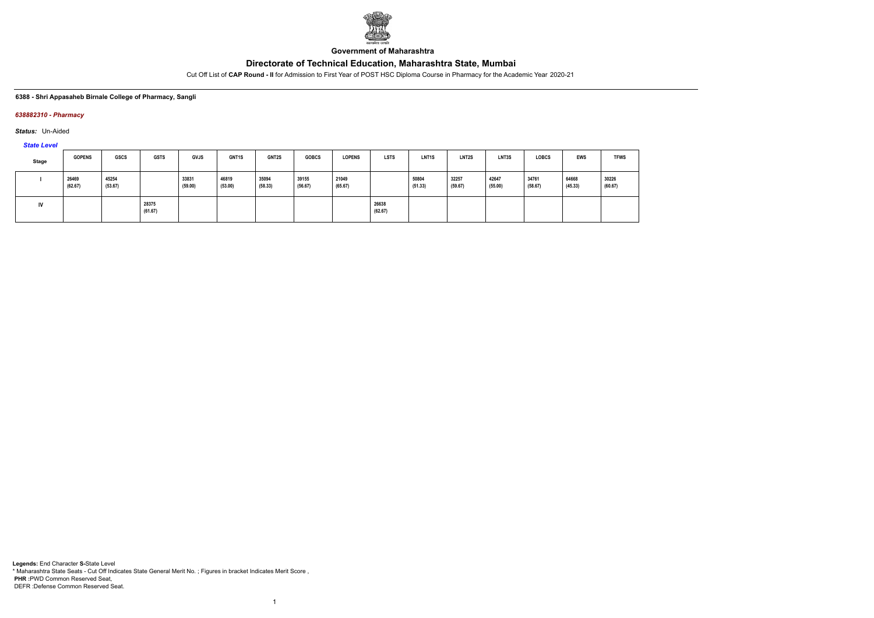

**Government of Maharashtra**

Cut Off List of **CAP Round - II** for Admission to First Year of POST HSC Diploma Course in Pharmacy for the Academic Year 2020-21

#### **6388 - Shri Appasaheb Birnale College of Pharmacy, Sangli**

#### *638882310 - Pharmacy*

*Status:* Un-Aided

*State Level*

| Stage | <b>GOPENS</b>    | <b>GSCS</b>      | <b>GSTS</b>      | <b>GVJS</b>      | GNT1S            | <b>GNT2S</b>     | <b>GOBCS</b>     | <b>LOPENS</b>    | <b>LSTS</b>      | LNT <sub>1</sub> S | LNT <sub>2</sub> S | LNT3S            | <b>LOBCS</b>     | <b>EWS</b>       | <b>TFWS</b>      |
|-------|------------------|------------------|------------------|------------------|------------------|------------------|------------------|------------------|------------------|--------------------|--------------------|------------------|------------------|------------------|------------------|
|       | 26469<br>(62.67) | 45254<br>(53.67) |                  | 33831<br>(59.00) | 46819<br>(53.00) | 35094<br>(58.33) | 39155<br>(56.67) | 21049<br>(65.67) |                  | 50804<br>(51.33)   | 32257<br>(59.67)   | 42647<br>(55.00) | 34761<br>(58.67) | 64668<br>(45.33) | 30226<br>(60.67) |
|       |                  |                  | 28375<br>(61.67) |                  |                  |                  |                  |                  | 26638<br>(62.67) |                    |                    |                  |                  |                  |                  |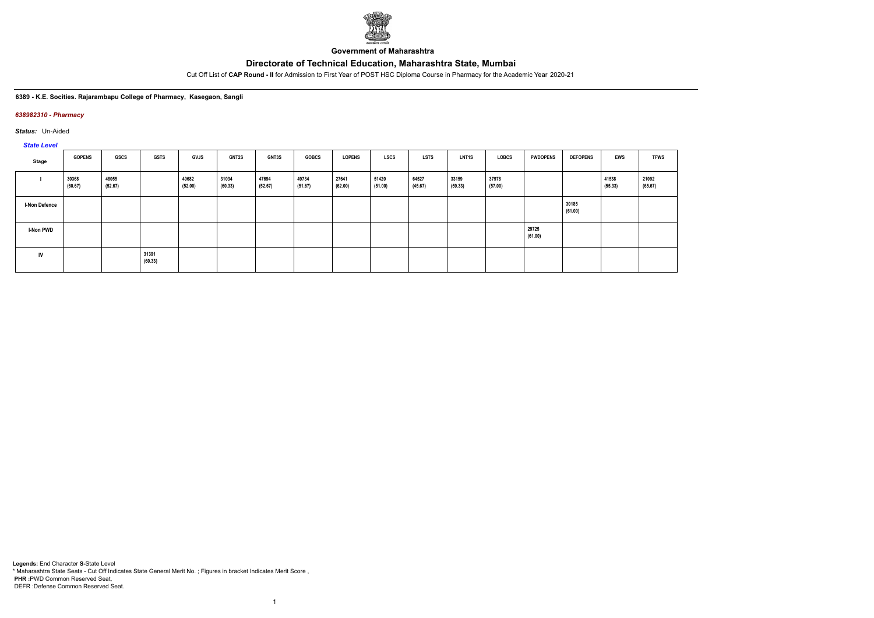

**Government of Maharashtra**

Cut Off List of **CAP Round - II** for Admission to First Year of POST HSC Diploma Course in Pharmacy for the Academic Year 2020-21

#### **6389 - K.E. Socities. Rajarambapu College of Pharmacy, Kasegaon, Sangli**

#### *638982310 - Pharmacy*

*Status:* Un-Aided

*State Level*

| Stage                | <b>GOPENS</b>    | GSCS             | <b>GSTS</b>      | <b>GVJS</b>      | <b>GNT2S</b>     | <b>GNT3S</b>     | <b>GOBCS</b>     | <b>LOPENS</b>    | <b>LSCS</b>      | <b>LSTS</b>      | <b>LNT1S</b>     | <b>LOBCS</b>     | <b>PWDOPENS</b>  | <b>DEFOPENS</b>  | <b>EWS</b>       | <b>TFWS</b>      |
|----------------------|------------------|------------------|------------------|------------------|------------------|------------------|------------------|------------------|------------------|------------------|------------------|------------------|------------------|------------------|------------------|------------------|
|                      | 30368<br>(60.67) | 48055<br>(52.67) |                  | 49682<br>(52.00) | 31034<br>(60.33) | 47694<br>(52.67) | 49734<br>(51.67) | 27641<br>(62.00) | 51420<br>(51.00) | 64527<br>(45.67) | 33159<br>(59.33) | 37978<br>(57.00) |                  |                  | 41538<br>(55.33) | 21092<br>(65.67) |
| <b>I-Non Defence</b> |                  |                  |                  |                  |                  |                  |                  |                  |                  |                  |                  |                  |                  | 30185<br>(61.00) |                  |                  |
| <b>I-Non PWD</b>     |                  |                  |                  |                  |                  |                  |                  |                  |                  |                  |                  |                  | 29725<br>(61.00) |                  |                  |                  |
| IV                   |                  |                  | 31391<br>(60.33) |                  |                  |                  |                  |                  |                  |                  |                  |                  |                  |                  |                  |                  |

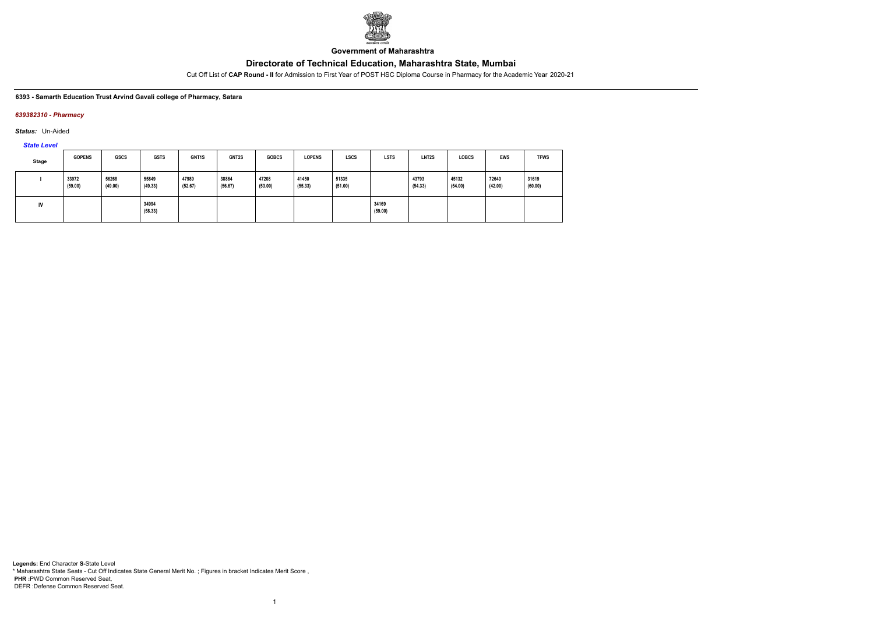

**Government of Maharashtra**

Cut Off List of **CAP Round - II** for Admission to First Year of POST HSC Diploma Course in Pharmacy for the Academic Year 2020-21

#### **6393 - Samarth Education Trust Arvind Gavali college of Pharmacy, Satara**

#### *639382310 - Pharmacy*

*Status:* Un-Aided

*State Level*

| Stage | <b>GOPENS</b>    | <b>GSCS</b>      | <b>GSTS</b>      | <b>GNT1S</b>     | <b>GNT2S</b>     | <b>GOBCS</b>     | <b>LOPENS</b>    | <b>LSCS</b>      | <b>LSTS</b>      | LNT <sub>2</sub> S | <b>LOBCS</b>     | <b>EWS</b>       | <b>TFWS</b>      |
|-------|------------------|------------------|------------------|------------------|------------------|------------------|------------------|------------------|------------------|--------------------|------------------|------------------|------------------|
|       | 33972<br>(59.00) | 56268<br>(49.00) | 55849<br>(49.33) | 47989<br>(52.67) | 38864<br>(56.67) | 47208<br>(53.00) | 41450<br>(55.33) | 51335<br>(51.00) |                  | 43793<br>(54.33)   | 45132<br>(54.00) | 72640<br>(42.00) | 31619<br>(60.00) |
| IV    |                  |                  | 34994<br>(58.33) |                  |                  |                  |                  |                  | 34169<br>(59.00) |                    |                  |                  |                  |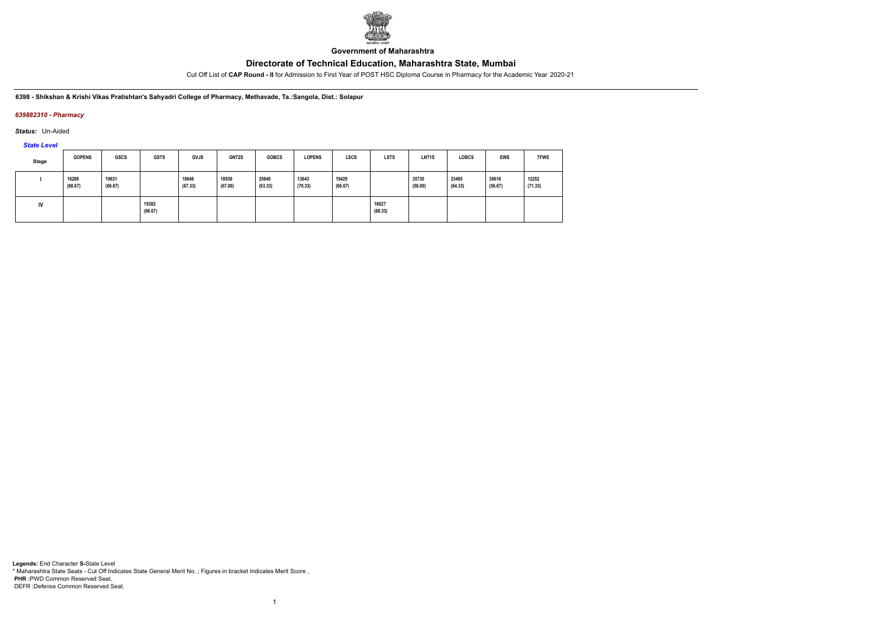

**Government of Maharashtra**

Cut Off List of **CAP Round - II** for Admission to First Year of POST HSC Diploma Course in Pharmacy for the Academic Year 2020-21

**6398 - Shikshan & Krishi Vikas Pratishtan's Sahyadri College of Pharmacy, Methavade, Ta.:Sangola, Dist.: Solapur**

### *639882310 - Pharmacy*

*Status:* Un-Aided

*State Level*

| Stage | <b>GOPENS</b>    | <b>GSCS</b>      | <b>GSTS</b>      | <b>GVJS</b>      | <b>GNT2S</b>     | <b>GOBCS</b>     | <b>LOPENS</b>    | <b>LSCS</b>      | <b>LSTS</b>      | LNT <sub>1</sub> S | <b>LOBCS</b>     | <b>EWS</b>       | <b>TFWS</b>      |
|-------|------------------|------------------|------------------|------------------|------------------|------------------|------------------|------------------|------------------|--------------------|------------------|------------------|------------------|
|       | 16288<br>(68.67) | 19631<br>(66.67) |                  | 18646<br>(67.33) | 18936<br>(67.00) | 25640<br>(63.33) | 13643<br>(70.33) | 19429<br>(66.67) |                  | 35730<br>(58.00)   | 23485<br>(64.33) | 38616<br>(56.67) | 12252<br>(71.33) |
| IV    |                  |                  | 19382<br>(66.67) |                  |                  |                  |                  |                  | 16627<br>(68.33) |                    |                  |                  |                  |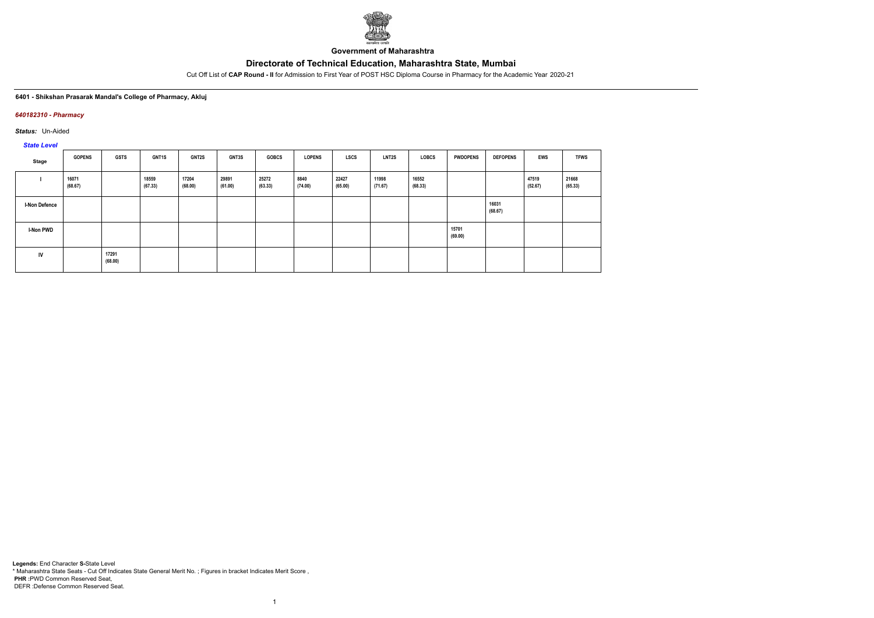

**Government of Maharashtra**

Cut Off List of **CAP Round - II** for Admission to First Year of POST HSC Diploma Course in Pharmacy for the Academic Year 2020-21

#### **6401 - Shikshan Prasarak Mandal's College of Pharmacy, Akluj**

#### *640182310 - Pharmacy*

*Status:* Un-Aided

*State Level*

| Stage                | <b>GOPENS</b>    | <b>GSTS</b>      | GNT1S            | <b>GNT2S</b>     | <b>GNT3S</b>     | <b>GOBCS</b>     | <b>LOPENS</b>   | <b>LSCS</b>      | <b>LNT2S</b>     | <b>LOBCS</b>     | <b>PWDOPENS</b>  | <b>DEFOPENS</b>  | <b>EWS</b>       | <b>TFWS</b>      |
|----------------------|------------------|------------------|------------------|------------------|------------------|------------------|-----------------|------------------|------------------|------------------|------------------|------------------|------------------|------------------|
|                      | 16071<br>(68.67) |                  | 18559<br>(67.33) | 17204<br>(68.00) | 29891<br>(61.00) | 25272<br>(63.33) | 8840<br>(74.00) | 22427<br>(65.00) | 11998<br>(71.67) | 16552<br>(68.33) |                  |                  | 47519<br>(52.67) | 21668<br>(65.33) |
| <b>I-Non Defence</b> |                  |                  |                  |                  |                  |                  |                 |                  |                  |                  |                  | 16031<br>(68.67) |                  |                  |
| I-Non PWD            |                  |                  |                  |                  |                  |                  |                 |                  |                  |                  | 15701<br>(69.00) |                  |                  |                  |
| IV                   |                  | 17291<br>(68.00) |                  |                  |                  |                  |                 |                  |                  |                  |                  |                  |                  |                  |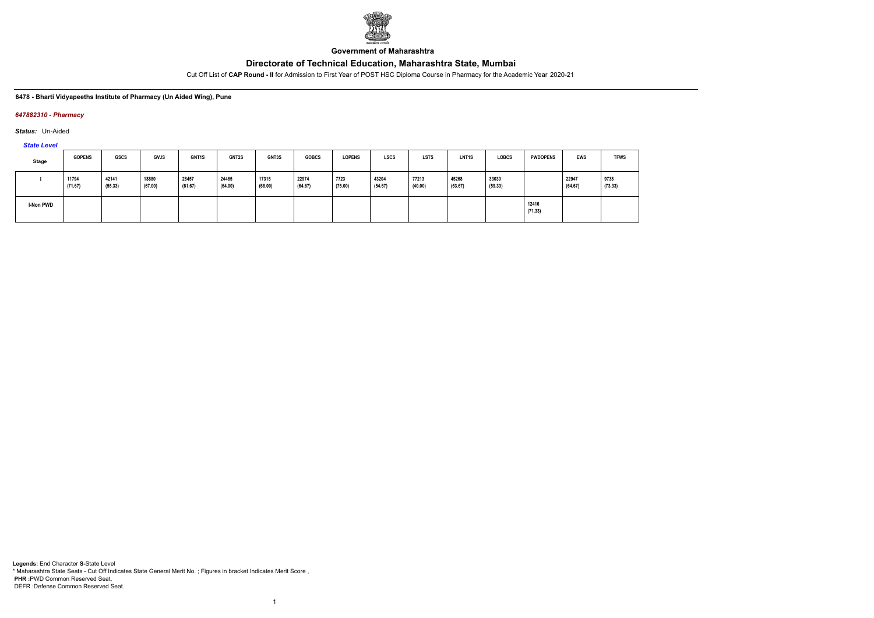

**Government of Maharashtra**

Cut Off List of **CAP Round - II** for Admission to First Year of POST HSC Diploma Course in Pharmacy for the Academic Year 2020-21

#### **6478 - Bharti Vidyapeeths Institute of Pharmacy (Un Aided Wing), Pune**

#### *647882310 - Pharmacy*

*Status:* Un-Aided

*State Level*

| <b>Stage</b>     | <b>GOPENS</b>    | GSCS             | <b>GVJS</b>      | GNT1S            | <b>GNT2S</b>     | GNT3S            | <b>GOBCS</b>     | <b>LOPENS</b>   | <b>LSCS</b>      | <b>LSTS</b>      | LNT <sub>1</sub> S | <b>LOBCS</b>     | <b>PWDOPENS</b>  | <b>EWS</b>       | <b>TFWS</b>     |
|------------------|------------------|------------------|------------------|------------------|------------------|------------------|------------------|-----------------|------------------|------------------|--------------------|------------------|------------------|------------------|-----------------|
|                  | 11794<br>(71.67) | 42141<br>(55.33) | 18880<br>(67.00) | 28457<br>(61.67) | 24465<br>(64.00) | 17315<br>(68.00) | 22974<br>(64.67) | 7723<br>(75.00) | 43204<br>(54.67) | 77213<br>(40.00) | 45268<br>(53.67)   | 33030<br>(59.33) |                  | 22947<br>(64.67) | 9738<br>(73.33) |
| <b>I-Non PWD</b> |                  |                  |                  |                  |                  |                  |                  |                 |                  |                  |                    |                  | 12416<br>(71.33) |                  |                 |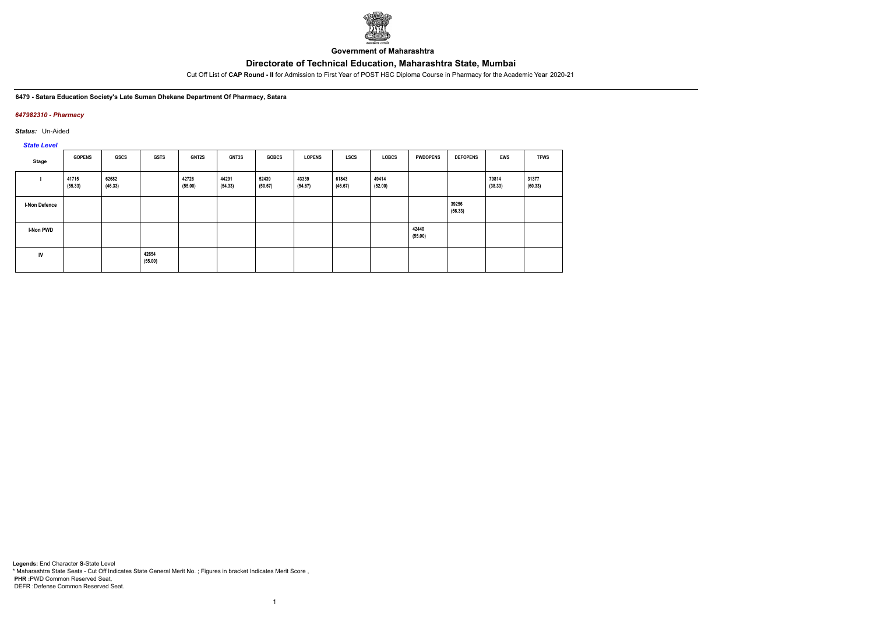

**Government of Maharashtra**

Cut Off List of **CAP Round - II** for Admission to First Year of POST HSC Diploma Course in Pharmacy for the Academic Year 2020-21

**6479 - Satara Education Society's Late Suman Dhekane Department Of Pharmacy, Satara**

### *647982310 - Pharmacy*

*Status:* Un-Aided

*State Level*

| Stage                | <b>GOPENS</b>    | <b>GSCS</b>      | <b>GSTS</b>      | GNT2S            | <b>GNT3S</b>     | <b>GOBCS</b>     | <b>LOPENS</b>    | LSCS             | LOBCS            | <b>PWDOPENS</b>  | <b>DEFOPENS</b>  | <b>EWS</b>       | <b>TFWS</b>      |
|----------------------|------------------|------------------|------------------|------------------|------------------|------------------|------------------|------------------|------------------|------------------|------------------|------------------|------------------|
|                      | 41715<br>(55.33) | 62682<br>(46.33) |                  | 42726<br>(55.00) | 44291<br>(54.33) | 52439<br>(50.67) | 43339<br>(54.67) | 61843<br>(46.67) | 49414<br>(52.00) |                  |                  | 79814<br>(38.33) | 31377<br>(60.33) |
| <b>I-Non Defence</b> |                  |                  |                  |                  |                  |                  |                  |                  |                  |                  | 39256<br>(56.33) |                  |                  |
| <b>I-Non PWD</b>     |                  |                  |                  |                  |                  |                  |                  |                  |                  | 42440<br>(55.00) |                  |                  |                  |
| IV                   |                  |                  | 42654<br>(55.00) |                  |                  |                  |                  |                  |                  |                  |                  |                  |                  |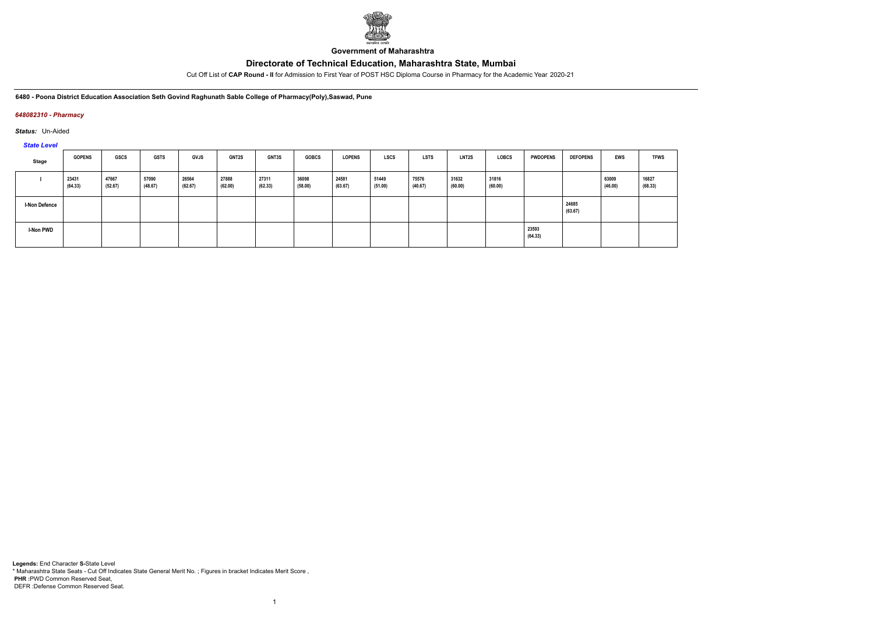

**Government of Maharashtra**

Cut Off List of **CAP Round - II** for Admission to First Year of POST HSC Diploma Course in Pharmacy for the Academic Year 2020-21

**6480 - Poona District Education Association Seth Govind Raghunath Sable College of Pharmacy(Poly),Saswad, Pune**

### *648082310 - Pharmacy*

*Status:* Un-Aided

*State Level*

| Stage                | <b>GOPENS</b>    | <b>GSCS</b>      | <b>GSTS</b>      | <b>GVJS</b>      | <b>GNT2S</b>     | <b>GNT3S</b>     | <b>GOBCS</b>     | <b>LOPENS</b>    | <b>LSCS</b>      | LSTS             | <b>LNT2S</b>     | <b>LOBCS</b>     | <b>PWDOPENS</b>  | <b>DEFOPENS</b>  | EWS              | <b>TFWS</b>      |
|----------------------|------------------|------------------|------------------|------------------|------------------|------------------|------------------|------------------|------------------|------------------|------------------|------------------|------------------|------------------|------------------|------------------|
|                      | 23431<br>(64.33) | 47667<br>(52.67) | 57090<br>(48.67) | 26564<br>(62.67) | 27888<br>(62.00) | 27311<br>(62.33) | 36098<br>(58.00) | 24581<br>(63.67) | 51449<br>(51.00) | 75576<br>(40.67) | 31632<br>(60.00) | 31816<br>(60.00) |                  |                  | 63009<br>(46.00) | 16827<br>(68.33) |
| <b>I-Non Defence</b> |                  |                  |                  |                  |                  |                  |                  |                  |                  |                  |                  |                  |                  | 24685<br>(63.67) |                  |                  |
| I-Non PWD            |                  |                  |                  |                  |                  |                  |                  |                  |                  |                  |                  |                  | 23593<br>(64.33) |                  |                  |                  |

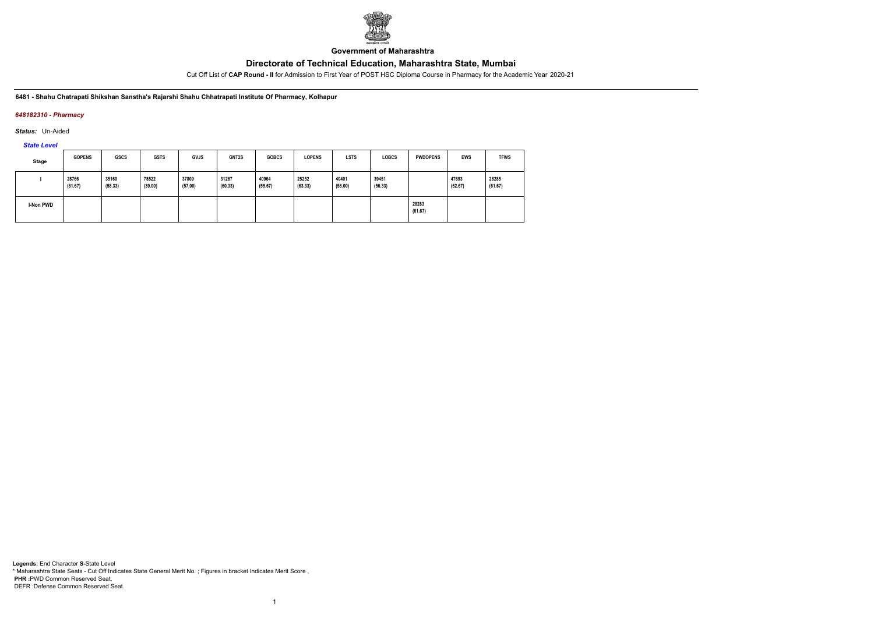

**Government of Maharashtra**

Cut Off List of **CAP Round - II** for Admission to First Year of POST HSC Diploma Course in Pharmacy for the Academic Year 2020-21

**6481 - Shahu Chatrapati Shikshan Sanstha's Rajarshi Shahu Chhatrapati Institute Of Pharmacy, Kolhapur**

### *648182310 - Pharmacy*

*Status:* Un-Aided

*State Level*

| <b>Stage</b> | <b>GOPENS</b>    | <b>GSCS</b>      | <b>GSTS</b>      | <b>GVJS</b>      | GNT2S            | <b>GOBCS</b>     | <b>LOPENS</b>    | <b>LSTS</b>      | <b>LOBCS</b>     | <b>PWDOPENS</b>  | <b>EWS</b>       | <b>TFWS</b>      |
|--------------|------------------|------------------|------------------|------------------|------------------|------------------|------------------|------------------|------------------|------------------|------------------|------------------|
|              | 28766<br>(61.67) | 35160<br>(58.33) | 78522<br>(39.00) | 37809<br>(57.00) | 31267<br>(60.33) | 40964<br>(55.67) | 25252<br>(63.33) | 40401<br>(56.00) | 39451<br>(56.33) |                  | 47693<br>(52.67) | 28285<br>(61.67) |
| I-Non PWD    |                  |                  |                  |                  |                  |                  |                  |                  |                  | 28283<br>(61.67) |                  |                  |

1

**Legends:** End Character **S-**State Level \* Maharashtra State Seats - Cut Off Indicates State General Merit No. ; Figures in bracket Indicates Merit Score , **PHR :**PWD Common Reserved Seat, DEFR :Defense Common Reserved Seat.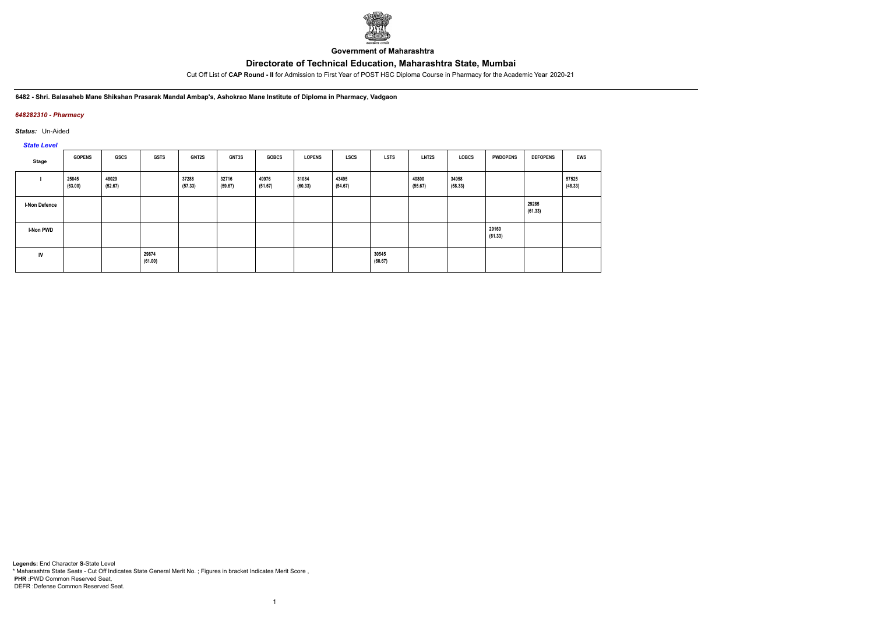

**Government of Maharashtra**

Cut Off List of **CAP Round - II** for Admission to First Year of POST HSC Diploma Course in Pharmacy for the Academic Year 2020-21

**6482 - Shri. Balasaheb Mane Shikshan Prasarak Mandal Ambap's, Ashokrao Mane Institute of Diploma in Pharmacy, Vadgaon**

### *648282310 - Pharmacy*

*Status:* Un-Aided

# *State Level*

| Stage                | <b>GOPENS</b>    | <b>GSCS</b>      | <b>GSTS</b>      | GNT2S            | <b>GNT3S</b>     | <b>GOBCS</b>     | <b>LOPENS</b>    | <b>LSCS</b>      | <b>LSTS</b>      | LNT2S            | LOBCS            | <b>PWDOPENS</b>  | <b>DEFOPENS</b>  | <b>EWS</b>       |
|----------------------|------------------|------------------|------------------|------------------|------------------|------------------|------------------|------------------|------------------|------------------|------------------|------------------|------------------|------------------|
|                      | 25845<br>(63.00) | 48029<br>(52.67) |                  | 37288<br>(57.33) | 32716<br>(59.67) | 49976<br>(51.67) | 31084<br>(60.33) | 43495<br>(54.67) |                  | 40800<br>(55.67) | 34958<br>(58.33) |                  |                  | 57525<br>(48.33) |
| <b>I-Non Defence</b> |                  |                  |                  |                  |                  |                  |                  |                  |                  |                  |                  |                  | 29285<br>(61.33) |                  |
| <b>I-Non PWD</b>     |                  |                  |                  |                  |                  |                  |                  |                  |                  |                  |                  | 29160<br>(61.33) |                  |                  |
| IV                   |                  |                  | 29874<br>(61.00) |                  |                  |                  |                  |                  | 30545<br>(60.67) |                  |                  |                  |                  |                  |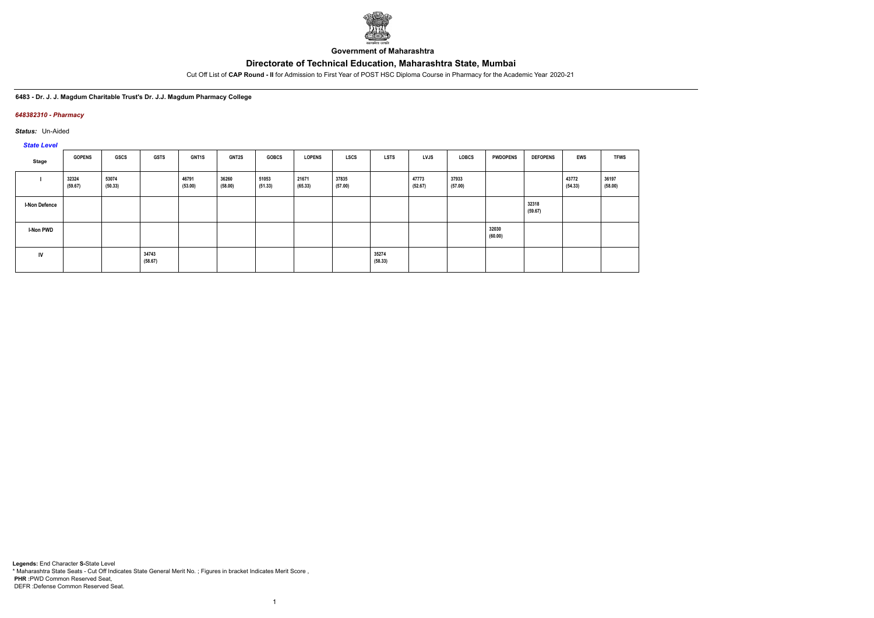

**Government of Maharashtra**

Cut Off List of **CAP Round - II** for Admission to First Year of POST HSC Diploma Course in Pharmacy for the Academic Year 2020-21

**6483 - Dr. J. J. Magdum Charitable Trust's Dr. J.J. Magdum Pharmacy College**

### *648382310 - Pharmacy*

*Status:* Un-Aided

*State Level*

| Stage                | <b>GOPENS</b>    | GSCS             | <b>GSTS</b>      | <b>GNT1S</b>     | <b>GNT2S</b>     | <b>GOBCS</b>     | <b>LOPENS</b>    | LSCS             | <b>LSTS</b>      | LVJS             | LOBCS            | <b>PWDOPENS</b>  | <b>DEFOPENS</b>  | EWS              | <b>TFWS</b>      |
|----------------------|------------------|------------------|------------------|------------------|------------------|------------------|------------------|------------------|------------------|------------------|------------------|------------------|------------------|------------------|------------------|
|                      | 32324<br>(59.67) | 53074<br>(50.33) |                  | 46791<br>(53.00) | 36260<br>(58.00) | 51053<br>(51.33) | 21671<br>(65.33) | 37835<br>(57.00) |                  | 47773<br>(52.67) | 37933<br>(57.00) |                  |                  | 43772<br>(54.33) | 36197<br>(58.00) |
| <b>I-Non Defence</b> |                  |                  |                  |                  |                  |                  |                  |                  |                  |                  |                  |                  | 32318<br>(59.67) |                  |                  |
| <b>I-Non PWD</b>     |                  |                  |                  |                  |                  |                  |                  |                  |                  |                  |                  | 32030<br>(60.00) |                  |                  |                  |
| IV                   |                  |                  | 34743<br>(58.67) |                  |                  |                  |                  |                  | 35274<br>(58.33) |                  |                  |                  |                  |                  |                  |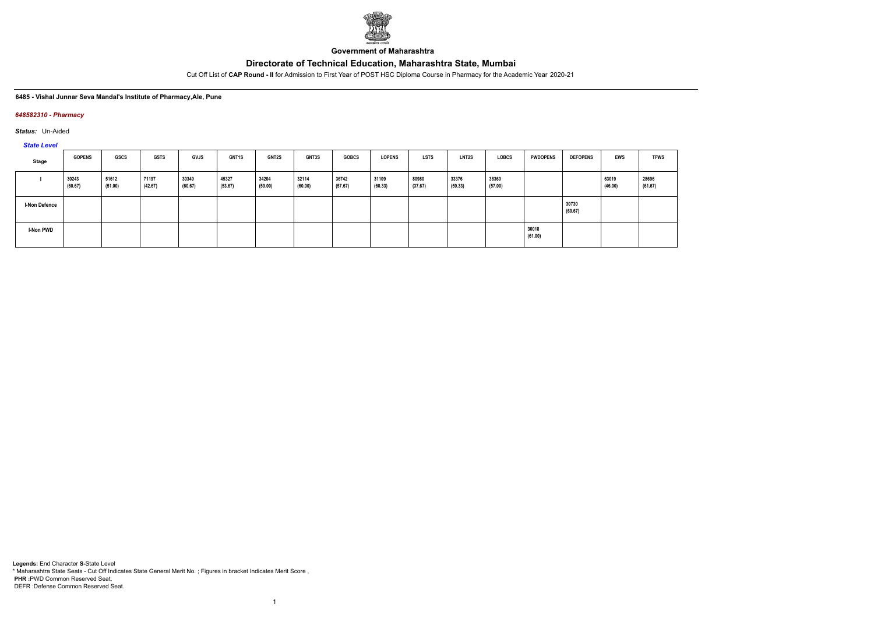

**Government of Maharashtra**

Cut Off List of **CAP Round - II** for Admission to First Year of POST HSC Diploma Course in Pharmacy for the Academic Year 2020-21

#### **6485 - Vishal Junnar Seva Mandal's Institute of Pharmacy,Ale, Pune**

#### *648582310 - Pharmacy*

*Status:* Un-Aided

*State Level*

| <b>Stage</b>         | <b>GOPENS</b>    | GSCS             | <b>GSTS</b>      | <b>GVJS</b>      | <b>GNT1S</b>     | <b>GNT2S</b>     | <b>GNT3S</b>     | <b>GOBCS</b>     | <b>LOPENS</b>    | LSTS             | LNT2S            | LOBCS            | <b>PWDOPENS</b>  | <b>DEFOPENS</b>  | <b>EWS</b>       | <b>TFWS</b>      |
|----------------------|------------------|------------------|------------------|------------------|------------------|------------------|------------------|------------------|------------------|------------------|------------------|------------------|------------------|------------------|------------------|------------------|
|                      | 30243<br>(60.67) | 51612<br>(51.00) | 71197<br>(42.67) | 30349<br>(60.67) | 45327<br>(53.67) | 34204<br>(59.00) | 32114<br>(60.00) | 36742<br>(57.67) | 31109<br>(60.33) | 80980<br>(37.67) | 33376<br>(59.33) | 38360<br>(57.00) |                  |                  | 63019<br>(46.00) | 28696<br>(61.67) |
| <b>I-Non Defence</b> |                  |                  |                  |                  |                  |                  |                  |                  |                  |                  |                  |                  |                  | 30730<br>(60.67) |                  |                  |
| <b>I-Non PWD</b>     |                  |                  |                  |                  |                  |                  |                  |                  |                  |                  |                  |                  | 30018<br>(61.00) |                  |                  |                  |

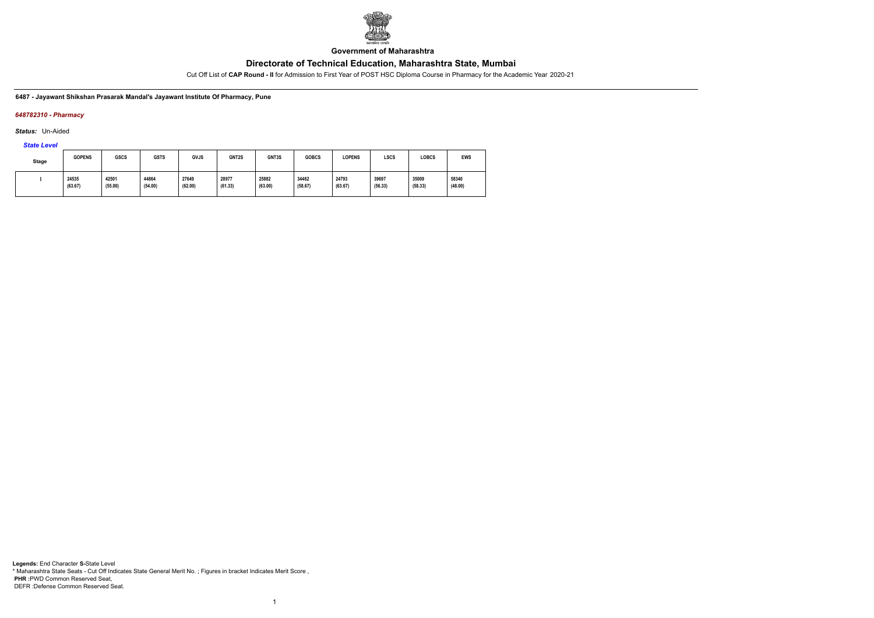

**Government of Maharashtra**

Cut Off List of **CAP Round - II** for Admission to First Year of POST HSC Diploma Course in Pharmacy for the Academic Year 2020-21

**6487 - Jayawant Shikshan Prasarak Mandal's Jayawant Institute Of Pharmacy, Pune**

### *648782310 - Pharmacy*

*Status:* Un-Aided

*State Level*

| Stage | <b>GOPENS</b>    | GSCS             | <b>GSTS</b>      | <b>GVJS</b>      | GNT2S            | GNT3S            | <b>GOBCS</b>     | <b>LOPENS</b>    | <b>LSCS</b>      | LOBCS            | EWS              |
|-------|------------------|------------------|------------------|------------------|------------------|------------------|------------------|------------------|------------------|------------------|------------------|
|       | 24535<br>(63.67) | 42501<br>(55.00) | 44864<br>(54.00) | 27649<br>(62.00) | 28977<br>(61.33) | 25882<br>(63.00) | 34462<br>(58.67) | 24793<br>(63.67) | 39697<br>(56.33) | 35009<br>(58.33) | 58340<br>(48.00) |

1

**Legends:** End Character **S-**State Level \* Maharashtra State Seats - Cut Off Indicates State General Merit No. ; Figures in bracket Indicates Merit Score , **PHR :**PWD Common Reserved Seat, DEFR :Defense Common Reserved Seat.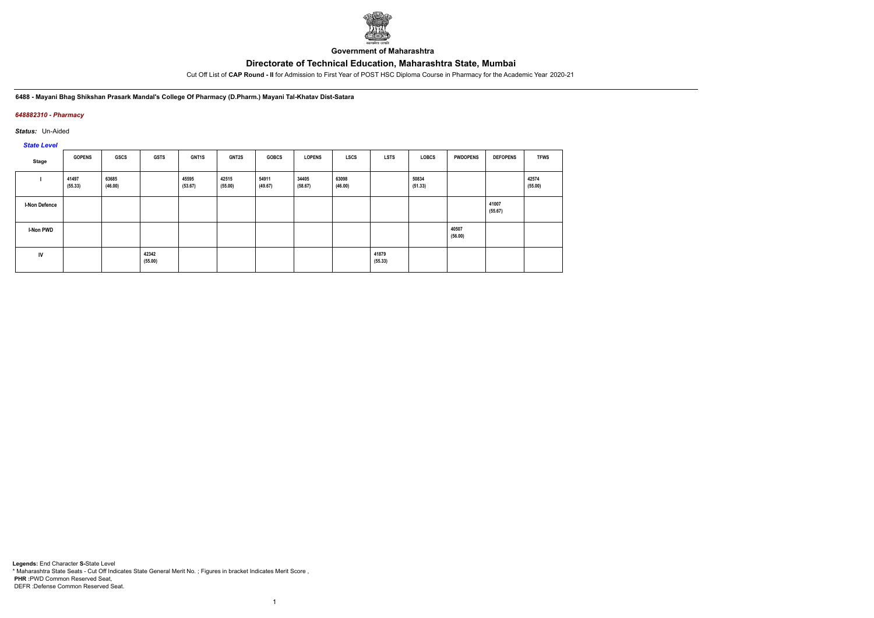

**Government of Maharashtra**

Cut Off List of **CAP Round - II** for Admission to First Year of POST HSC Diploma Course in Pharmacy for the Academic Year 2020-21

**6488 - Mayani Bhag Shikshan Prasark Mandal's College Of Pharmacy (D.Pharm.) Mayani Tal-Khatav Dist-Satara**

### *648882310 - Pharmacy*

*Status:* Un-Aided

*State Level*

| Stage                | <b>GOPENS</b>    | GSCS             | <b>GSTS</b>      | GNT1S            | <b>GNT2S</b>     | <b>GOBCS</b>     | <b>LOPENS</b>    | LSCS             | <b>LSTS</b>      | LOBCS            | <b>PWDOPENS</b>  | <b>DEFOPENS</b>  | <b>TFWS</b>      |
|----------------------|------------------|------------------|------------------|------------------|------------------|------------------|------------------|------------------|------------------|------------------|------------------|------------------|------------------|
|                      | 41497<br>(55.33) | 63685<br>(46.00) |                  | 45595<br>(53.67) | 42515<br>(55.00) | 54911<br>(49.67) | 34405<br>(58.67) | 63098<br>(46.00) |                  | 50834<br>(51.33) |                  |                  | 42574<br>(55.00) |
| <b>I-Non Defence</b> |                  |                  |                  |                  |                  |                  |                  |                  |                  |                  |                  | 41007<br>(55.67) |                  |
| <b>I-Non PWD</b>     |                  |                  |                  |                  |                  |                  |                  |                  |                  |                  | 40507<br>(56.00) |                  |                  |
| IV                   |                  |                  | 42342<br>(55.00) |                  |                  |                  |                  |                  | 41879<br>(55.33) |                  |                  |                  |                  |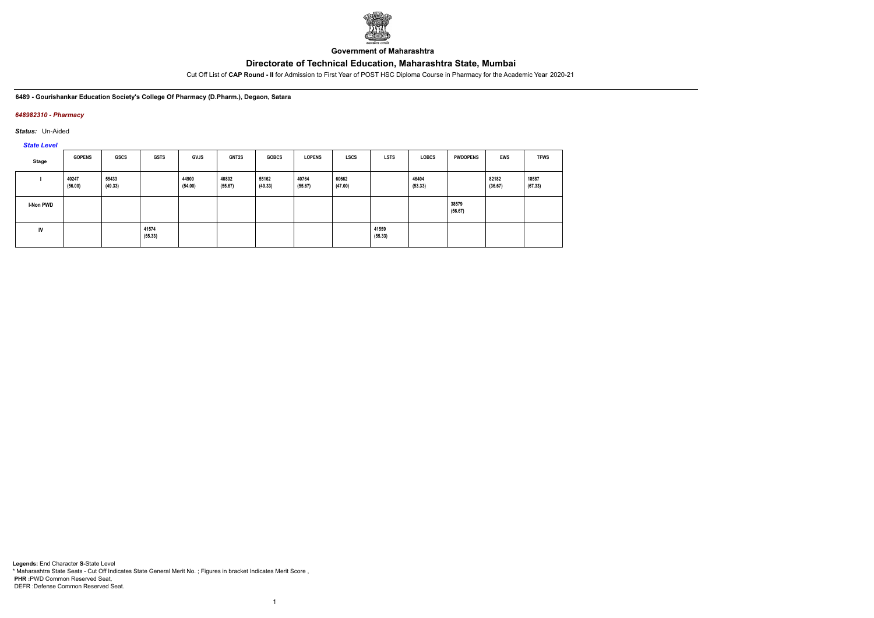

**Government of Maharashtra**

Cut Off List of **CAP Round - II** for Admission to First Year of POST HSC Diploma Course in Pharmacy for the Academic Year 2020-21

**6489 - Gourishankar Education Society's College Of Pharmacy (D.Pharm.), Degaon, Satara**

### *648982310 - Pharmacy*

*Status:* Un-Aided

*State Level*

| Stage            | <b>GOPENS</b>    | GSCS             | <b>GSTS</b>      | <b>GVJS</b>      | <b>GNT2S</b>     | <b>GOBCS</b>     | <b>LOPENS</b>    | <b>LSCS</b>      | <b>LSTS</b>      | <b>LOBCS</b>     | <b>PWDOPENS</b>  | <b>EWS</b>       | <b>TFWS</b>      |
|------------------|------------------|------------------|------------------|------------------|------------------|------------------|------------------|------------------|------------------|------------------|------------------|------------------|------------------|
|                  | 40247<br>(56.00) | 55433<br>(49.33) |                  | 44900<br>(54.00) | 40802<br>(55.67) | 55162<br>(49.33) | 40764<br>(55.67) | 60662<br>(47.00) |                  | 46404<br>(53.33) |                  | 82182<br>(36.67) | 18587<br>(67.33) |
| <b>I-Non PWD</b> |                  |                  |                  |                  |                  |                  |                  |                  |                  |                  | 38579<br>(56.67) |                  |                  |
| <b>IV</b>        |                  |                  | 41574<br>(55.33) |                  |                  |                  |                  |                  | 41559<br>(55.33) |                  |                  |                  |                  |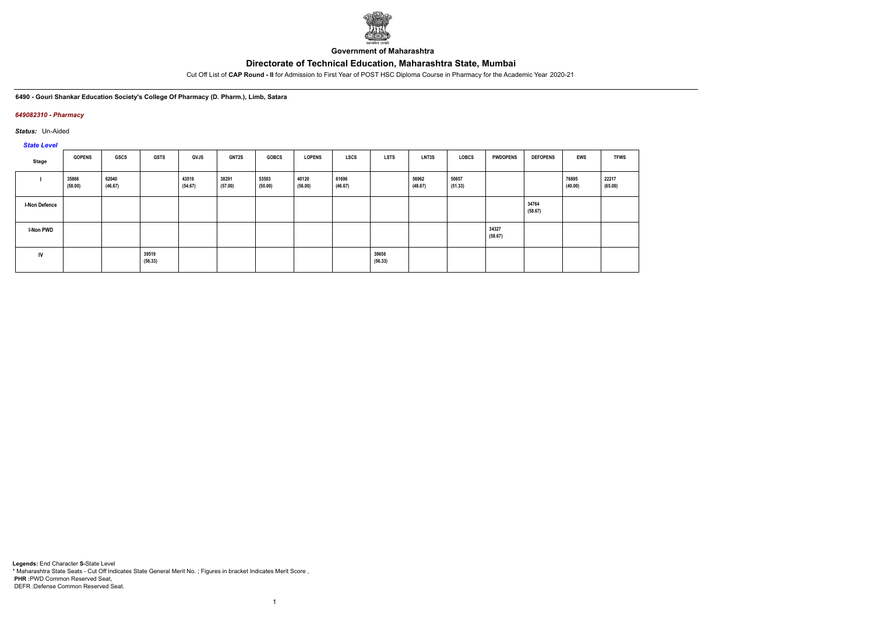

**Government of Maharashtra**

Cut Off List of **CAP Round - II** for Admission to First Year of POST HSC Diploma Course in Pharmacy for the Academic Year 2020-21

**6490 - Gouri Shankar Education Society's College Of Pharmacy (D. Pharm.), Limb, Satara**

### *649082310 - Pharmacy*

*Status:* Un-Aided

*State Level*

| Stage                | <b>GOPENS</b>    | <b>GSCS</b>      | <b>GSTS</b>      | <b>GVJS</b>      | GNT2S            | <b>GOBCS</b>     | <b>LOPENS</b>    | LSCS             | <b>LSTS</b>      | LNT3S            | LOBCS            | <b>PWDOPENS</b>  | <b>DEFOPENS</b>  | <b>EWS</b>       | <b>TFWS</b>      |
|----------------------|------------------|------------------|------------------|------------------|------------------|------------------|------------------|------------------|------------------|------------------|------------------|------------------|------------------|------------------|------------------|
|                      | 35866<br>(58.00) | 62040<br>(46.67) |                  | 43519<br>(54.67) | 38291<br>(57.00) | 53503<br>(50.00) | 40120<br>(56.00) | 61696<br>(46.67) |                  | 56962<br>(48.67) | 50657<br>(51.33) |                  |                  | 76895<br>(40.00) | 22217<br>(65.00) |
| <b>I-Non Defence</b> |                  |                  |                  |                  |                  |                  |                  |                  |                  |                  |                  |                  | 34764<br>(58.67) |                  |                  |
| <b>I-Non PWD</b>     |                  |                  |                  |                  |                  |                  |                  |                  |                  |                  |                  | 34327<br>(58.67) |                  |                  |                  |
| IV                   |                  |                  | 39519<br>(56.33) |                  |                  |                  |                  |                  | 39656<br>(56.33) |                  |                  |                  |                  |                  |                  |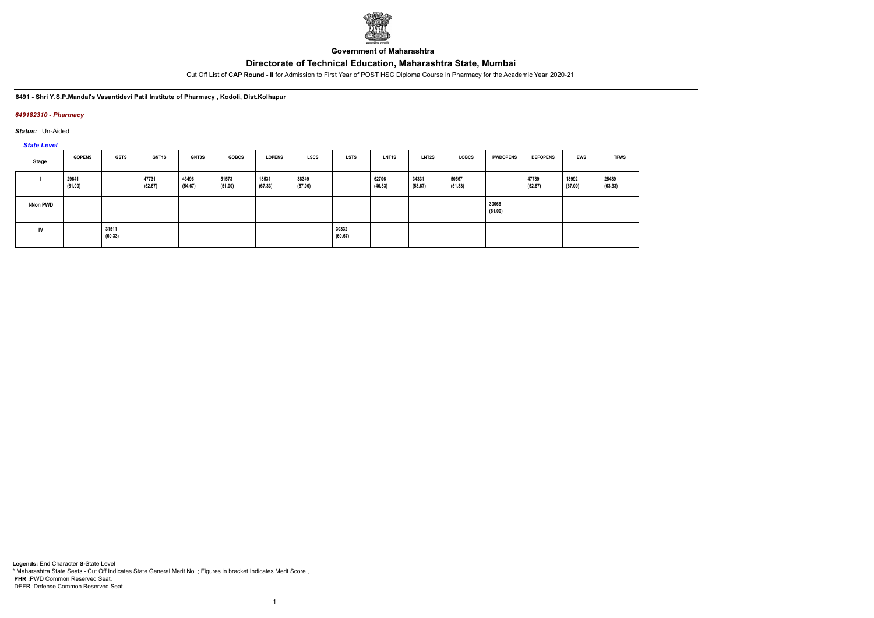

**Government of Maharashtra**

Cut Off List of **CAP Round - II** for Admission to First Year of POST HSC Diploma Course in Pharmacy for the Academic Year 2020-21

**6491 - Shri Y.S.P.Mandal's Vasantidevi Patil Institute of Pharmacy , Kodoli, Dist.Kolhapur**

### *649182310 - Pharmacy*

*Status:* Un-Aided

*State Level*

| Stage            | <b>GOPENS</b>    | <b>GSTS</b>      | <b>GNT1S</b>     | <b>GNT3S</b>     | <b>GOBCS</b>     | <b>LOPENS</b>    | LSCS             | <b>LSTS</b>      | <b>LNT1S</b>     | <b>LNT2S</b>     | <b>LOBCS</b>     | <b>PWDOPENS</b>  | <b>DEFOPENS</b>  | EWS              | <b>TFWS</b>      |
|------------------|------------------|------------------|------------------|------------------|------------------|------------------|------------------|------------------|------------------|------------------|------------------|------------------|------------------|------------------|------------------|
|                  | 29641<br>(61.00) |                  | 47731<br>(52.67) | 43496<br>(54.67) | 51573<br>(51.00) | 18531<br>(67.33) | 38349<br>(57.00) |                  | 62706<br>(46.33) | 34331<br>(58.67) | 50567<br>(51.33) |                  | 47789<br>(52.67) | 18992<br>(67.00) | 25489<br>(63.33) |
| <b>I-Non PWD</b> |                  |                  |                  |                  |                  |                  |                  |                  |                  |                  |                  | 30066<br>(61.00) |                  |                  |                  |
| IV               |                  | 31511<br>(60.33) |                  |                  |                  |                  |                  | 30332<br>(60.67) |                  |                  |                  |                  |                  |                  |                  |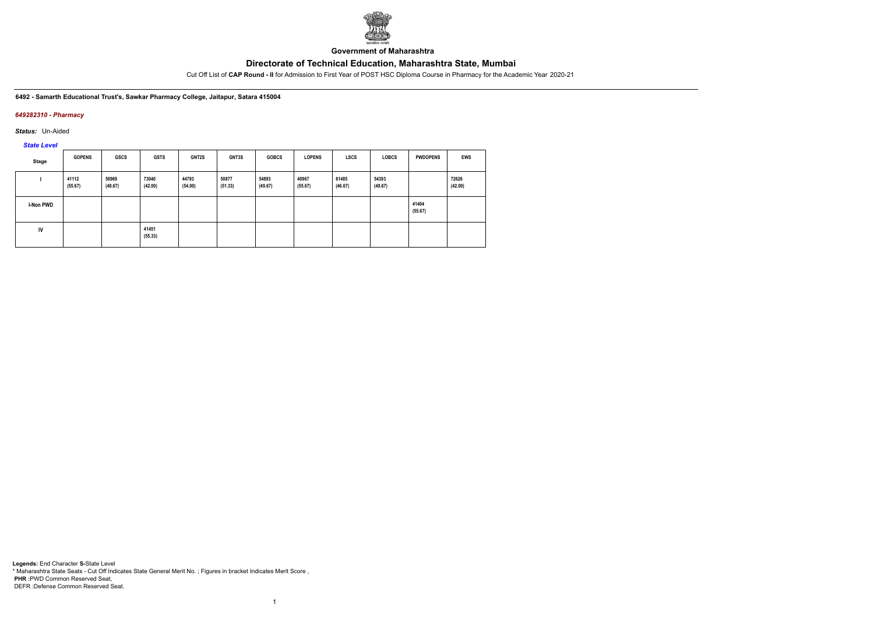

**Government of Maharashtra**

Cut Off List of **CAP Round - II** for Admission to First Year of POST HSC Diploma Course in Pharmacy for the Academic Year 2020-21

**6492 - Samarth Educational Trust's, Sawkar Pharmacy College, Jaitapur, Satara 415004**

### *649282310 - Pharmacy*

*Status:* Un-Aided

*State Level*

| Stage     | <b>GOPENS</b>    | <b>GSCS</b>      | <b>GSTS</b>      | GNT2S            | GNT3S            | <b>GOBCS</b>     | <b>LOPENS</b>    | <b>LSCS</b>      | <b>LOBCS</b>     | <b>PWDOPENS</b>  | EWS              |
|-----------|------------------|------------------|------------------|------------------|------------------|------------------|------------------|------------------|------------------|------------------|------------------|
|           | 41112<br>(55.67) | 56969<br>(48.67) | 73040<br>(42.00) | 44793<br>(54.00) | 50877<br>(51.33) | 54893<br>(49.67) | 40967<br>(55.67) | 61485<br>(46.67) | 54393<br>(49.67) |                  | 72626<br>(42.00) |
| I-Non PWD |                  |                  |                  |                  |                  |                  |                  |                  |                  | 41404<br>(55.67) |                  |
| IV        |                  |                  | 41451<br>(55.33) |                  |                  |                  |                  |                  |                  |                  |                  |

1

**Legends:** End Character **S-**State Level \* Maharashtra State Seats - Cut Off Indicates State General Merit No. ; Figures in bracket Indicates Merit Score , **PHR :**PWD Common Reserved Seat, DEFR :Defense Common Reserved Seat.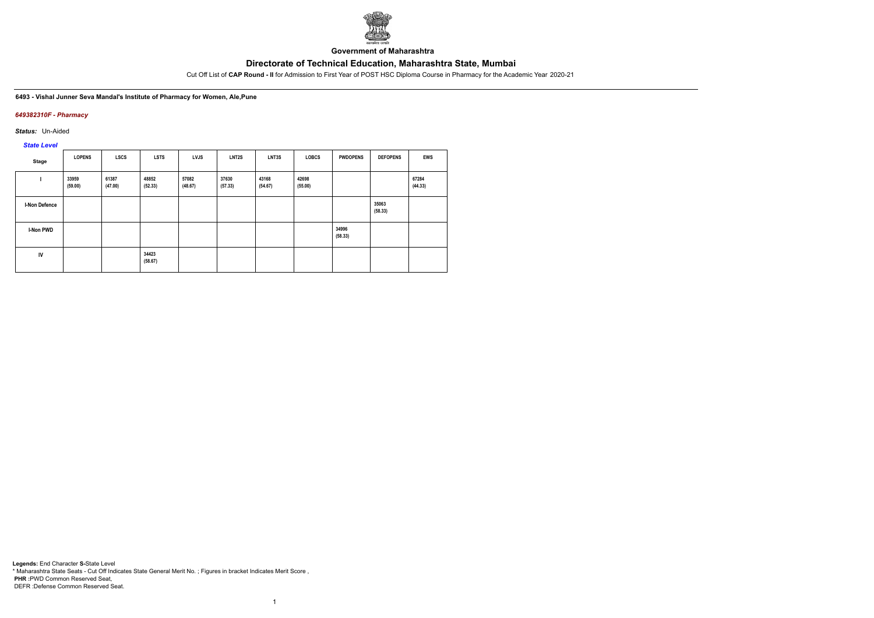

**Government of Maharashtra**

Cut Off List of **CAP Round - II** for Admission to First Year of POST HSC Diploma Course in Pharmacy for the Academic Year 2020-21

#### **6493 - Vishal Junner Seva Mandal's Institute of Pharmacy for Women, Ale,Pune**

### *649382310F - Pharmacy*

*Status:* Un-Aided

*State Level*

| Stage            | <b>LOPENS</b>    | <b>LSCS</b>      | <b>LSTS</b>      | <b>LVJS</b>      | LNT <sub>2</sub> S | LNT3S            | <b>LOBCS</b>     | <b>PWDOPENS</b>  | <b>DEFOPENS</b>  | <b>EWS</b>       |
|------------------|------------------|------------------|------------------|------------------|--------------------|------------------|------------------|------------------|------------------|------------------|
|                  | 33959<br>(59.00) | 61387<br>(47.00) | 48852<br>(52.33) | 57082<br>(48.67) | 37630<br>(57.33)   | 43168<br>(54.67) | 42698<br>(55.00) |                  |                  | 67284<br>(44.33) |
| I-Non Defence    |                  |                  |                  |                  |                    |                  |                  |                  | 35063<br>(58.33) |                  |
| <b>I-Non PWD</b> |                  |                  |                  |                  |                    |                  |                  | 34996<br>(58.33) |                  |                  |
| ${\sf IV}$       |                  |                  | 34423<br>(58.67) |                  |                    |                  |                  |                  |                  |                  |

1

**Legends:** End Character **S-**State Level \* Maharashtra State Seats - Cut Off Indicates State General Merit No. ; Figures in bracket Indicates Merit Score , **PHR :**PWD Common Reserved Seat, DEFR :Defense Common Reserved Seat.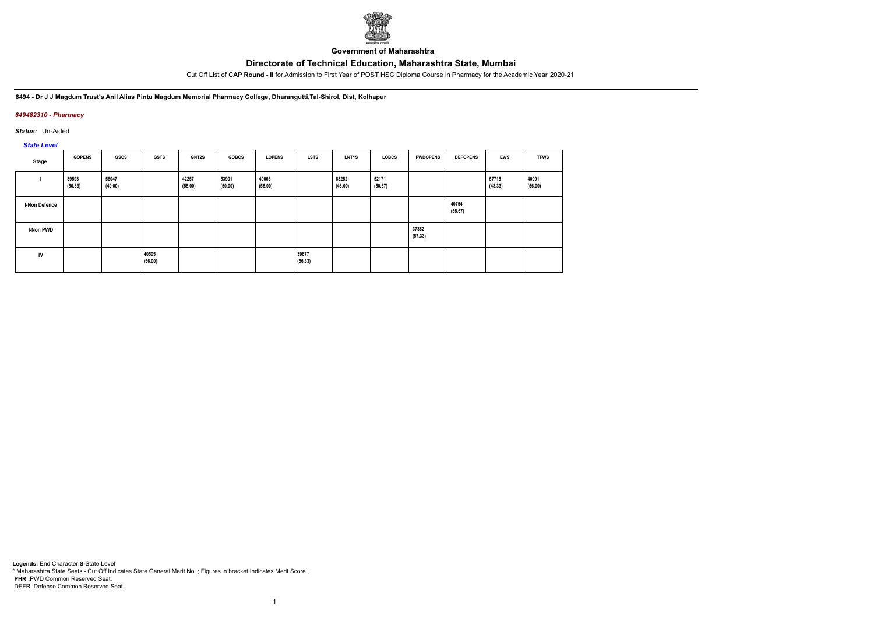

**Government of Maharashtra**

Cut Off List of **CAP Round - II** for Admission to First Year of POST HSC Diploma Course in Pharmacy for the Academic Year 2020-21

**6494 - Dr J J Magdum Trust's Anil Alias Pintu Magdum Memorial Pharmacy College, Dharangutti,Tal-Shirol, Dist, Kolhapur**

### *649482310 - Pharmacy*

*Status:* Un-Aided

*State Level*

| Stage                | <b>GOPENS</b>    | GSCS             | <b>GSTS</b>      | GNT2S            | <b>GOBCS</b>     | <b>LOPENS</b>    | <b>LSTS</b>      | <b>LNT1S</b>     | <b>LOBCS</b>     | <b>PWDOPENS</b>  | <b>DEFOPENS</b>  | <b>EWS</b>       | <b>TFWS</b>      |
|----------------------|------------------|------------------|------------------|------------------|------------------|------------------|------------------|------------------|------------------|------------------|------------------|------------------|------------------|
|                      | 39593<br>(56.33) | 56047<br>(49.00) |                  | 42257<br>(55.00) | 53901<br>(50.00) | 40066<br>(56.00) |                  | 63252<br>(46.00) | 52171<br>(50.67) |                  |                  | 57715<br>(48.33) | 40091<br>(56.00) |
| <b>I-Non Defence</b> |                  |                  |                  |                  |                  |                  |                  |                  |                  |                  | 40754<br>(55.67) |                  |                  |
| <b>I-Non PWD</b>     |                  |                  |                  |                  |                  |                  |                  |                  |                  | 37382<br>(57.33) |                  |                  |                  |
| IV                   |                  |                  | 40505<br>(56.00) |                  |                  |                  | 39677<br>(56.33) |                  |                  |                  |                  |                  |                  |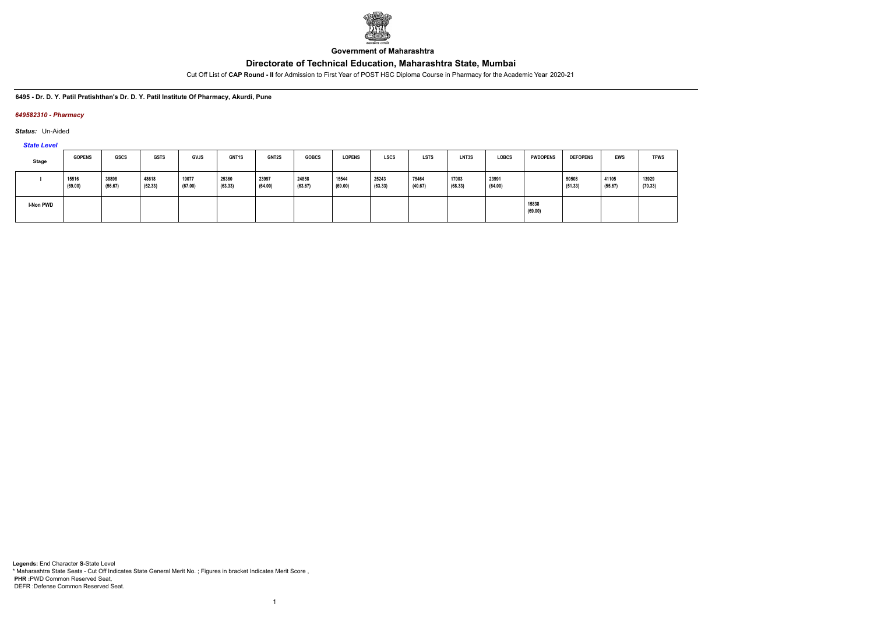

**Government of Maharashtra**

Cut Off List of **CAP Round - II** for Admission to First Year of POST HSC Diploma Course in Pharmacy for the Academic Year 2020-21

#### **6495 - Dr. D. Y. Patil Pratishthan's Dr. D. Y. Patil Institute Of Pharmacy, Akurdi, Pune**

#### *649582310 - Pharmacy*

*Status:* Un-Aided

*State Level*

| <b>Stage</b> | <b>GOPENS</b>    | <b>GSCS</b>      | <b>GSTS</b>      | <b>GVJS</b>      | <b>GNT1S</b>     | GNT2S            | <b>GOBCS</b>     | <b>LOPENS</b>    | <b>LSCS</b>      | <b>LSTS</b>      | LNT3S            | <b>LOBCS</b>     | <b>PWDOPENS</b>  | <b>DEFOPENS</b>  | EWS              | <b>TFWS</b>      |
|--------------|------------------|------------------|------------------|------------------|------------------|------------------|------------------|------------------|------------------|------------------|------------------|------------------|------------------|------------------|------------------|------------------|
|              | 15516<br>(69.00) | 38898<br>(56.67) | 48618<br>(52.33) | 19077<br>(67.00) | 25360<br>(63.33) | 23997<br>(64.00) | 24858<br>(63.67) | 15544<br>(69.00) | 25243<br>(63.33) | 75464<br>(40.67) | 17003<br>(68.33) | 23991<br>(64.00) |                  | 50508<br>(51.33) | 41105<br>(55.67) | 13929<br>(70.33) |
| I-Non PWD    |                  |                  |                  |                  |                  |                  |                  |                  |                  |                  |                  |                  | 15838<br>(69.00) |                  |                  |                  |

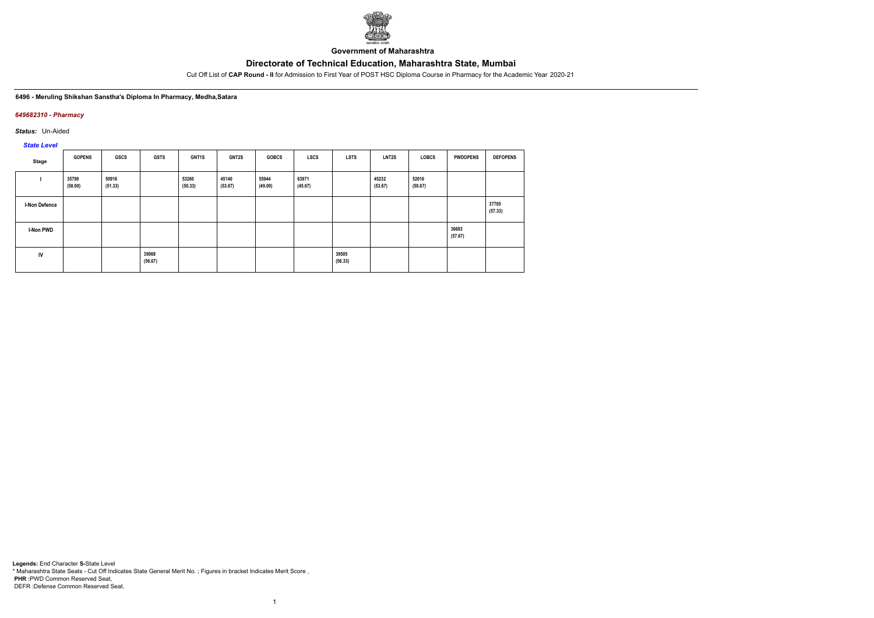

**Government of Maharashtra**

Cut Off List of **CAP Round - II** for Admission to First Year of POST HSC Diploma Course in Pharmacy for the Academic Year 2020-21

#### **6496 - Meruling Shikshan Sanstha's Diploma In Pharmacy, Medha,Satara**

#### *649682310 - Pharmacy*

*Status:* Un-Aided

*State Level*

| Stage                | <b>GOPENS</b>    | <b>GSCS</b>      | <b>GSTS</b>      | GNT1S            | <b>GNT2S</b>     | <b>GOBCS</b>     | LSCS             | <b>LSTS</b>      | LNT2S            | <b>LOBCS</b>     | <b>PWDOPENS</b>  | <b>DEFOPENS</b>  |
|----------------------|------------------|------------------|------------------|------------------|------------------|------------------|------------------|------------------|------------------|------------------|------------------|------------------|
|                      | 35799<br>(58.00) | 50916<br>(51.33) |                  | 53260<br>(50.33) | 45140<br>(53.67) | 55944<br>(49.00) | 63971<br>(45.67) |                  | 45232<br>(53.67) | 52016<br>(50.67) |                  |                  |
| <b>I-Non Defence</b> |                  |                  |                  |                  |                  |                  |                  |                  |                  |                  |                  | 37705<br>(57.33) |
| <b>I-Non PWD</b>     |                  |                  |                  |                  |                  |                  |                  |                  |                  |                  | 36693<br>(57.67) |                  |
| IV                   |                  |                  | 39068<br>(56.67) |                  |                  |                  |                  | 39505<br>(56.33) |                  |                  |                  |                  |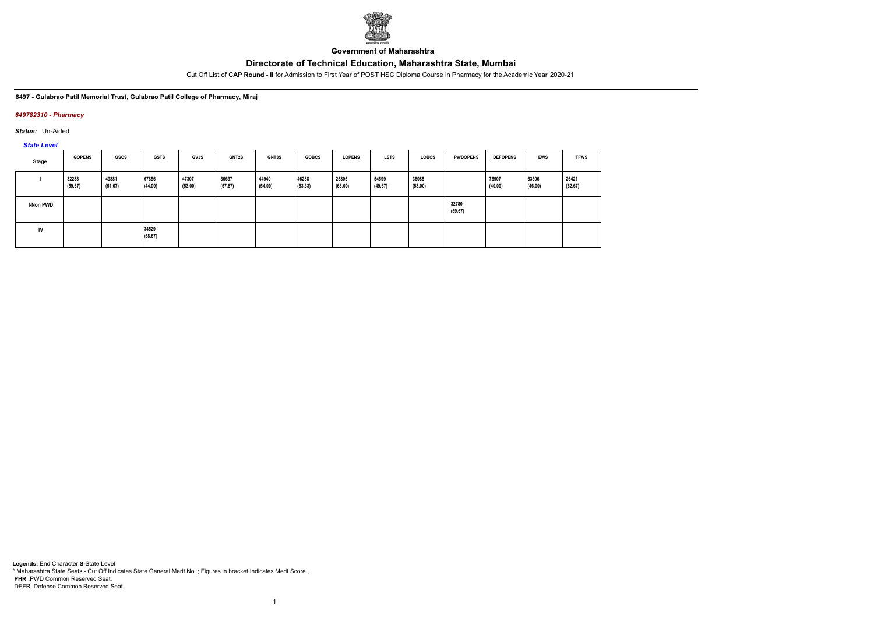

**Government of Maharashtra**

Cut Off List of **CAP Round - II** for Admission to First Year of POST HSC Diploma Course in Pharmacy for the Academic Year 2020-21

#### **6497 - Gulabrao Patil Memorial Trust, Gulabrao Patil College of Pharmacy, Miraj**

#### *649782310 - Pharmacy*

*Status:* Un-Aided

*State Level*

| Stage            | <b>GOPENS</b>    | GSCS             | <b>GSTS</b>      | <b>GVJS</b>      | <b>GNT2S</b>     | <b>GNT3S</b>     | <b>GOBCS</b>     | <b>LOPENS</b>    | <b>LSTS</b>      | <b>LOBCS</b>     | <b>PWDOPENS</b>  | <b>DEFOPENS</b>  | <b>EWS</b>       | <b>TFWS</b>      |
|------------------|------------------|------------------|------------------|------------------|------------------|------------------|------------------|------------------|------------------|------------------|------------------|------------------|------------------|------------------|
|                  | 32238<br>(59.67) | 49881<br>(51.67) | 67856<br>(44.00) | 47307<br>(53.00) | 36637<br>(57.67) | 44940<br>(54.00) | 46288<br>(53.33) | 25805<br>(63.00) | 54599<br>(49.67) | 36085<br>(58.00) |                  | 76907<br>(40.00) | 63506<br>(46.00) | 26421<br>(62.67) |
| <b>I-Non PWD</b> |                  |                  |                  |                  |                  |                  |                  |                  |                  |                  | 32780<br>(59.67) |                  |                  |                  |
| <b>IV</b>        |                  |                  | 34529<br>(58.67) |                  |                  |                  |                  |                  |                  |                  |                  |                  |                  |                  |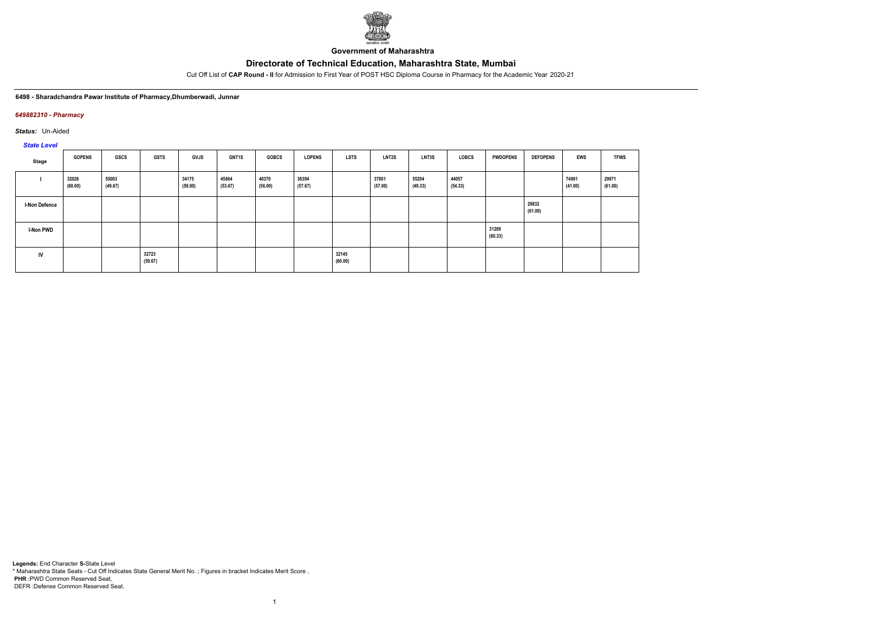

**Government of Maharashtra**

Cut Off List of **CAP Round - II** for Admission to First Year of POST HSC Diploma Course in Pharmacy for the Academic Year 2020-21

#### **6498 - Sharadchandra Pawar Institute of Pharmacy,Dhumberwadi, Junnar**

#### *649882310 - Pharmacy*

*Status:* Un-Aided

*State Level*

| Stage                | <b>GOPENS</b>    | GSCS             | <b>GSTS</b>      | <b>GVJS</b>      | GNT1S            | <b>GOBCS</b>     | <b>LOPENS</b>    | <b>LSTS</b>      | <b>LNT2S</b>     | LNT3S            | LOBCS            | <b>PWDOPENS</b>  | <b>DEFOPENS</b>  | <b>EWS</b>       | <b>TFWS</b>      |
|----------------------|------------------|------------------|------------------|------------------|------------------|------------------|------------------|------------------|------------------|------------------|------------------|------------------|------------------|------------------|------------------|
|                      | 32026<br>(60.00) | 55003<br>(49.67) |                  | 34175<br>(59.00) | 45864<br>(53.67) | 40370<br>(56.00) | 36394<br>(57.67) |                  | 37801<br>(57.00) | 55204<br>(49.33) | 44057<br>(54.33) |                  |                  | 74901<br>(41.00) | 29971<br>(61.00) |
| <b>I-Non Defence</b> |                  |                  |                  |                  |                  |                  |                  |                  |                  |                  |                  |                  | 29832<br>(61.00) |                  |                  |
| <b>I-Non PWD</b>     |                  |                  |                  |                  |                  |                  |                  |                  |                  |                  |                  | 31269<br>(60.33) |                  |                  |                  |
| IV                   |                  |                  | 32723<br>(59.67) |                  |                  |                  |                  | 32145<br>(60.00) |                  |                  |                  |                  |                  |                  |                  |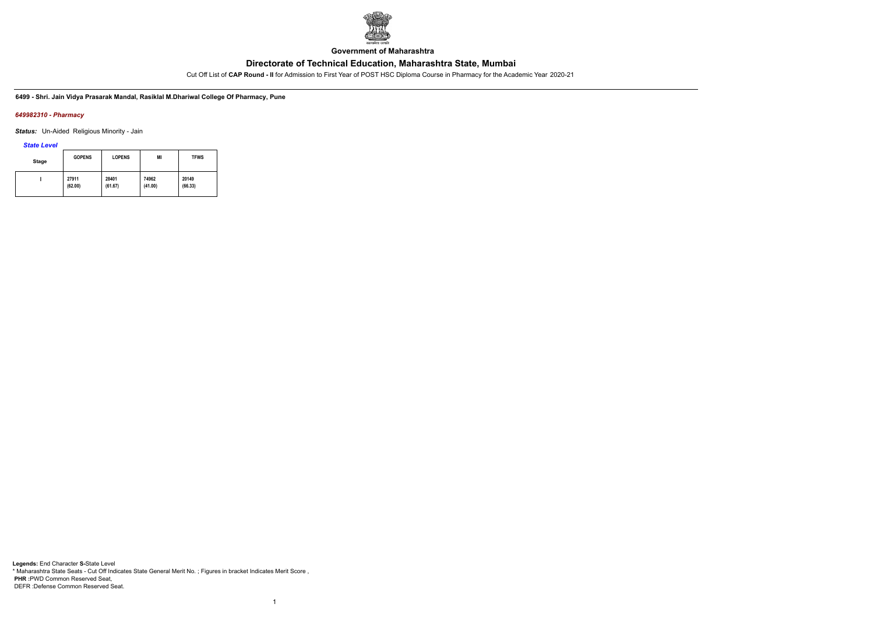

**Government of Maharashtra**

Cut Off List of **CAP Round - II** for Admission to First Year of POST HSC Diploma Course in Pharmacy for the Academic Year 2020-21

**6499 - Shri. Jain Vidya Prasarak Mandal, Rasiklal M.Dhariwal College Of Pharmacy, Pune**

#### *649982310 - Pharmacy*

*Status:* Un-Aided Religious Minority - Jain

*State Level*

| Stage | <b>GOPENS</b> | <b>LOPENS</b> | MI      | <b>TFWS</b> |
|-------|---------------|---------------|---------|-------------|
|       | 27911         | 28401         | 74962   | 20149       |
|       | (62.00)       | (61.67)       | (41.00) | (66.33)     |

1

**Legends:** End Character **S-**State Level \* Maharashtra State Seats - Cut Off Indicates State General Merit No. ; Figures in bracket Indicates Merit Score , **PHR :**PWD Common Reserved Seat, DEFR :Defense Common Reserved Seat.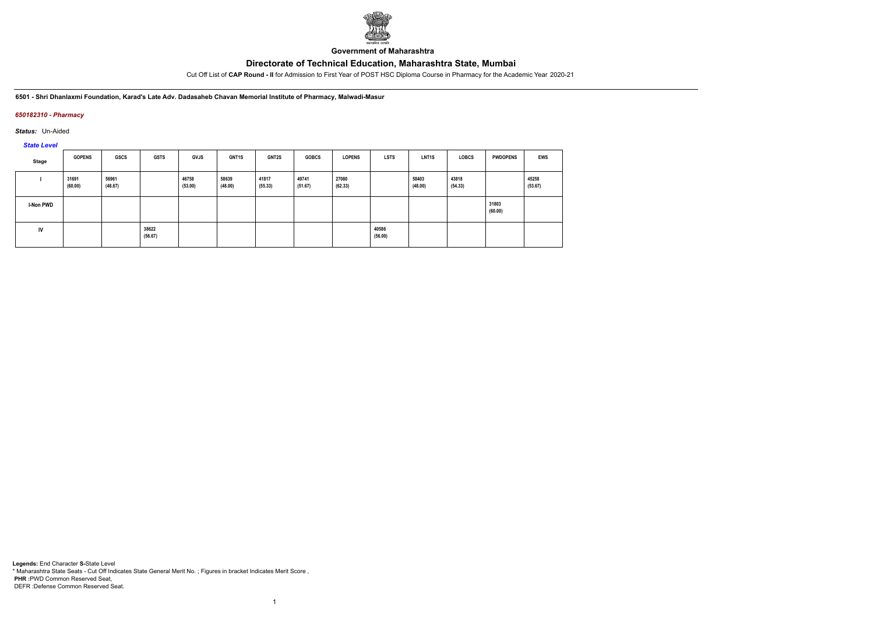

**Government of Maharashtra**

Cut Off List of **CAP Round - II** for Admission to First Year of POST HSC Diploma Course in Pharmacy for the Academic Year 2020-21

**6501 - Shri Dhanlaxmi Foundation, Karad's Late Adv. Dadasaheb Chavan Memorial Institute of Pharmacy, Malwadi-Masur**

### *650182310 - Pharmacy*

*Status:* Un-Aided

*State Level*

| Stage     | <b>GOPENS</b>    | GSCS             | <b>GSTS</b>      | <b>GVJS</b>      | <b>GNT1S</b>     | <b>GNT2S</b>     | <b>GOBCS</b>     | <b>LOPENS</b>    | <b>LSTS</b>      | LNT <sub>1</sub> S | <b>LOBCS</b>     | <b>PWDOPENS</b>  | <b>EWS</b>       |
|-----------|------------------|------------------|------------------|------------------|------------------|------------------|------------------|------------------|------------------|--------------------|------------------|------------------|------------------|
|           | 31691<br>(60.00) | 56961<br>(48.67) |                  | 46758<br>(53.00) | 58639<br>(48.00) | 41817<br>(55.33) | 49741<br>(51.67) | 27080<br>(62.33) |                  | 58403<br>(48.00)   | 43818<br>(54.33) |                  | 45258<br>(53.67) |
| I-Non PWD |                  |                  |                  |                  |                  |                  |                  |                  |                  |                    |                  | 31803<br>(60.00) |                  |
| IV        |                  |                  | 38622<br>(56.67) |                  |                  |                  |                  |                  | 40586<br>(56.00) |                    |                  |                  |                  |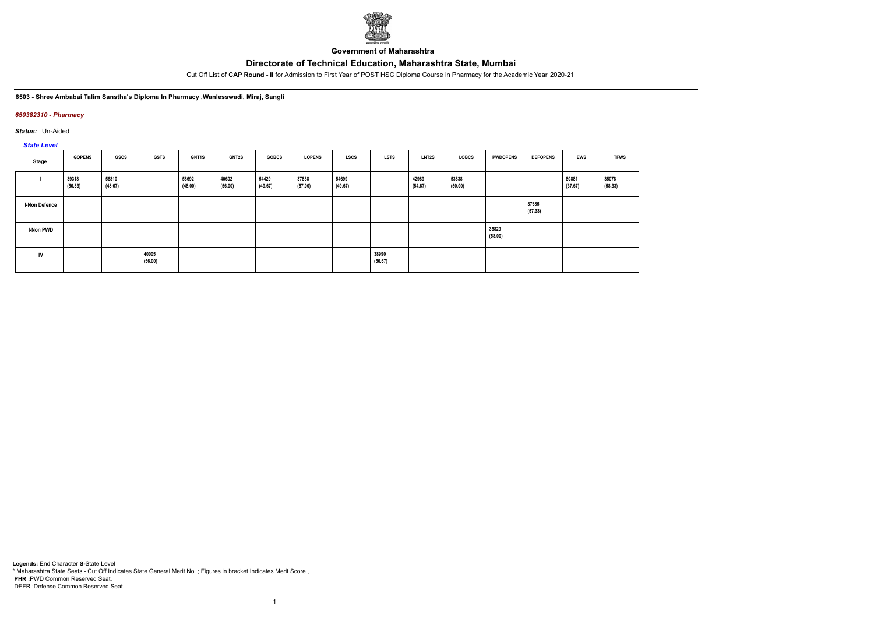

**Government of Maharashtra**

Cut Off List of **CAP Round - II** for Admission to First Year of POST HSC Diploma Course in Pharmacy for the Academic Year 2020-21

**6503 - Shree Ambabai Talim Sanstha's Diploma In Pharmacy ,Wanlesswadi, Miraj, Sangli**

### *650382310 - Pharmacy*

*Status:* Un-Aided

*State Level*

| Stage                | <b>GOPENS</b>    | <b>GSCS</b>      | <b>GSTS</b>      | GNT1S            | GNT2S            | <b>GOBCS</b>     | <b>LOPENS</b>    | LSCS             | <b>LSTS</b>      | LNT2S            | LOBCS            | <b>PWDOPENS</b>  | <b>DEFOPENS</b>  | <b>EWS</b>       | <b>TFWS</b>      |
|----------------------|------------------|------------------|------------------|------------------|------------------|------------------|------------------|------------------|------------------|------------------|------------------|------------------|------------------|------------------|------------------|
|                      | 39318<br>(56.33) | 56810<br>(48.67) |                  | 58692<br>(48.00) | 40602<br>(56.00) | 54429<br>(49.67) | 37838<br>(57.00) | 54699<br>(49.67) |                  | 42989<br>(54.67) | 53838<br>(50.00) |                  |                  | 80881<br>(37.67) | 35078<br>(58.33) |
| <b>I-Non Defence</b> |                  |                  |                  |                  |                  |                  |                  |                  |                  |                  |                  |                  | 37685<br>(57.33) |                  |                  |
| I-Non PWD            |                  |                  |                  |                  |                  |                  |                  |                  |                  |                  |                  | 35829<br>(58.00) |                  |                  |                  |
| <b>IV</b>            |                  |                  | 40005<br>(56.00) |                  |                  |                  |                  |                  | 38990<br>(56.67) |                  |                  |                  |                  |                  |                  |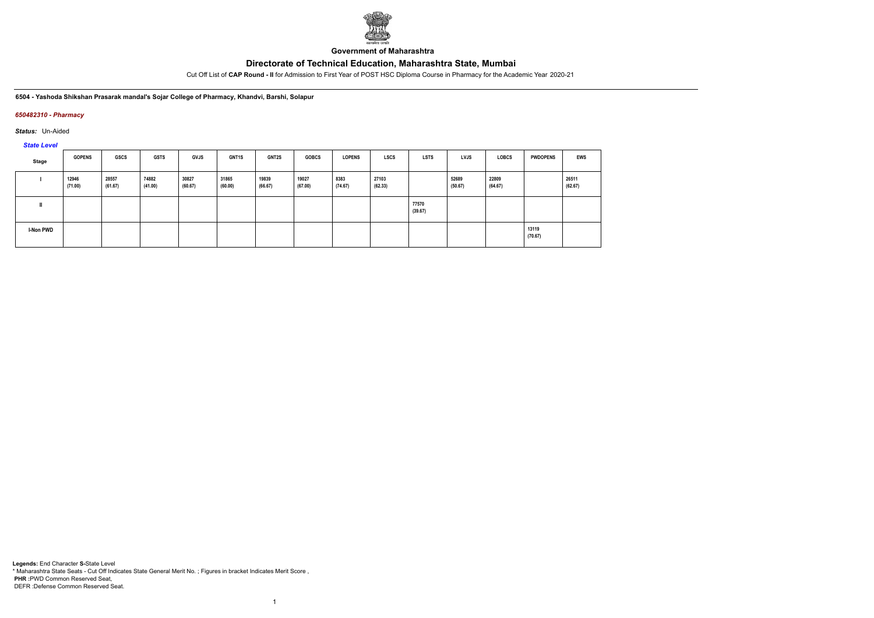

**Government of Maharashtra**

Cut Off List of **CAP Round - II** for Admission to First Year of POST HSC Diploma Course in Pharmacy for the Academic Year 2020-21

**6504 - Yashoda Shikshan Prasarak mandal's Sojar College of Pharmacy, Khandvi, Barshi, Solapur**

### *650482310 - Pharmacy*

*Status:* Un-Aided

*State Level*

| Stage            | <b>GOPENS</b>    | GSCS             | GSTS             | <b>GVJS</b>      | <b>GNT1S</b>     | <b>GNT2S</b>     | <b>GOBCS</b>     | <b>LOPENS</b>   | LSCS             | <b>LSTS</b>      | LVJS             | <b>LOBCS</b>     | <b>PWDOPENS</b>  | <b>EWS</b>       |
|------------------|------------------|------------------|------------------|------------------|------------------|------------------|------------------|-----------------|------------------|------------------|------------------|------------------|------------------|------------------|
|                  | 12946<br>(71.00) | 28557<br>(61.67) | 74882<br>(41.00) | 30827<br>(60.67) | 31865<br>(60.00) | 19839<br>(66.67) | 19027<br>(67.00) | 8383<br>(74.67) | 27103<br>(62.33) |                  | 52689<br>(50.67) | 22809<br>(64.67) |                  | 26511<br>(62.67) |
|                  |                  |                  |                  |                  |                  |                  |                  |                 |                  | 77570<br>(39.67) |                  |                  |                  |                  |
| <b>I-Non PWD</b> |                  |                  |                  |                  |                  |                  |                  |                 |                  |                  |                  |                  | 13119<br>(70.67) |                  |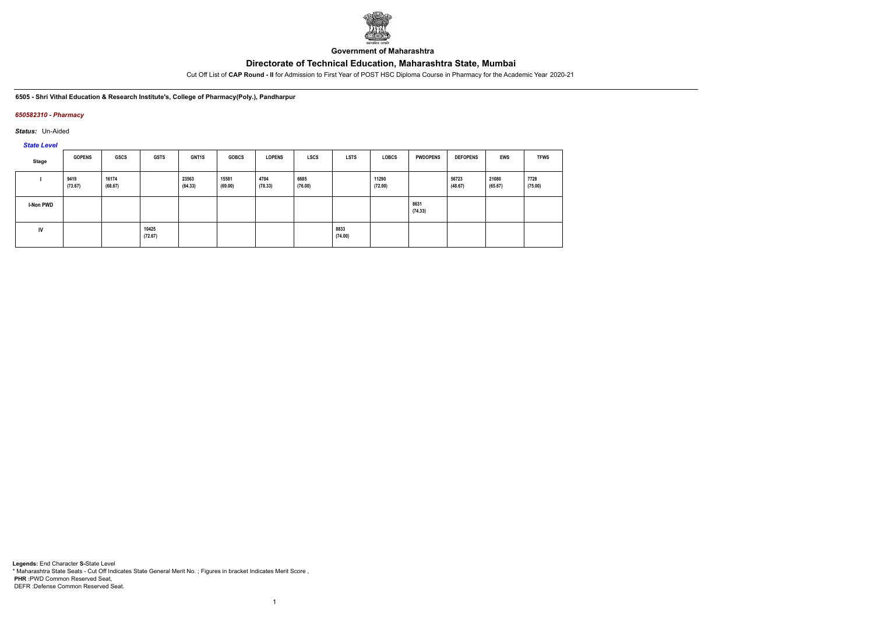

**Government of Maharashtra**

Cut Off List of **CAP Round - II** for Admission to First Year of POST HSC Diploma Course in Pharmacy for the Academic Year 2020-21

**6505 - Shri Vithal Education & Research Institute's, College of Pharmacy(Poly.), Pandharpur**

### *650582310 - Pharmacy*

*Status:* Un-Aided

*State Level*

| Stage            | <b>GOPENS</b>   | GSCS             | <b>GSTS</b>      | <b>GNT1S</b>     | <b>GOBCS</b>     | <b>LOPENS</b>   | <b>LSCS</b>     | LSTS            | <b>LOBCS</b>     | <b>PWDOPENS</b> | <b>DEFOPENS</b>  | EWS              | <b>TFWS</b>     |
|------------------|-----------------|------------------|------------------|------------------|------------------|-----------------|-----------------|-----------------|------------------|-----------------|------------------|------------------|-----------------|
|                  | 9419<br>(73.67) | 16174<br>(68.67) |                  | 23563<br>(64.33) | 15581<br>(69.00) | 4704<br>(78.33) | 6685<br>(76.00) |                 | 11290<br>(72.00) |                 | 56723<br>(48.67) | 21080<br>(65.67) | 7728<br>(75.00) |
| <b>I-Non PWD</b> |                 |                  |                  |                  |                  |                 |                 |                 |                  | 8631<br>(74.33) |                  |                  |                 |
| <b>IV</b>        |                 |                  | 10425<br>(72.67) |                  |                  |                 |                 | 8833<br>(74.00) |                  |                 |                  |                  |                 |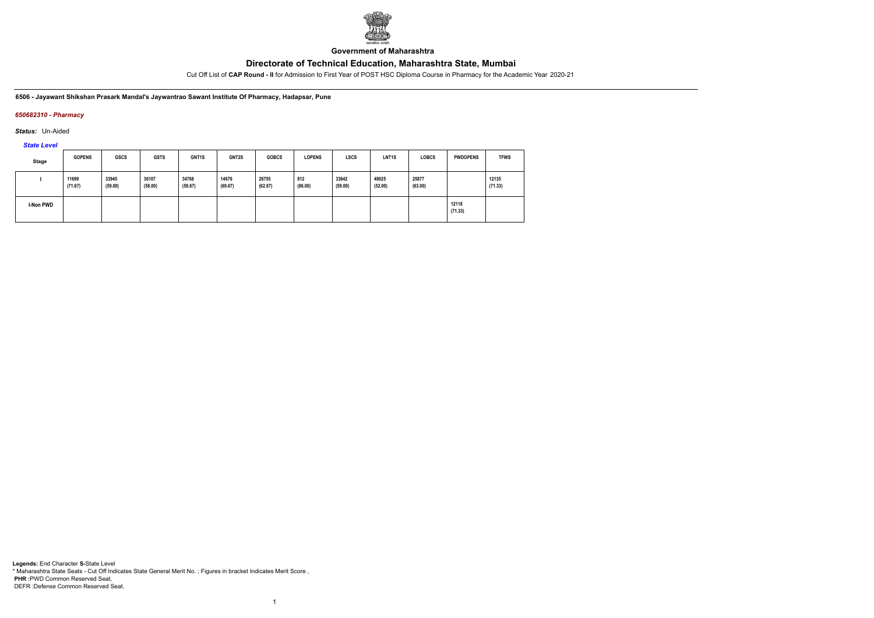

**Government of Maharashtra**

Cut Off List of **CAP Round - II** for Admission to First Year of POST HSC Diploma Course in Pharmacy for the Academic Year 2020-21

**6506 - Jayawant Shikshan Prasark Mandal's Jaywantrao Sawant Institute Of Pharmacy, Hadapsar, Pune**

### *650682310 - Pharmacy*

*Status:* Un-Aided

*State Level*

| <b>Stage</b> | <b>GOPENS</b>    | <b>GSCS</b>      | <b>GSTS</b>      | GNT1S            | GNT2S            | <b>GOBCS</b>     | <b>LOPENS</b>  | <b>LSCS</b>      | LNT <sub>1</sub> S | <b>LOBCS</b>     | <b>PWDOPENS</b>  | <b>TFWS</b>      |
|--------------|------------------|------------------|------------------|------------------|------------------|------------------|----------------|------------------|--------------------|------------------|------------------|------------------|
|              | 11699<br>(71.67) | 33945<br>(59.00) | 36107<br>(58.00) | 34768<br>(58.67) | 14676<br>(69.67) | 26755<br>(62.67) | 812<br>(86.00) | 33642<br>(59.00) | 49025<br>(52.00)   | 25877<br>(63.00) |                  | 12135<br>(71.33) |
| I-Non PWD    |                  |                  |                  |                  |                  |                  |                |                  |                    |                  | 12118<br>(71.33) |                  |

1

**Legends:** End Character **S-**State Level \* Maharashtra State Seats - Cut Off Indicates State General Merit No. ; Figures in bracket Indicates Merit Score , **PHR :**PWD Common Reserved Seat, DEFR :Defense Common Reserved Seat.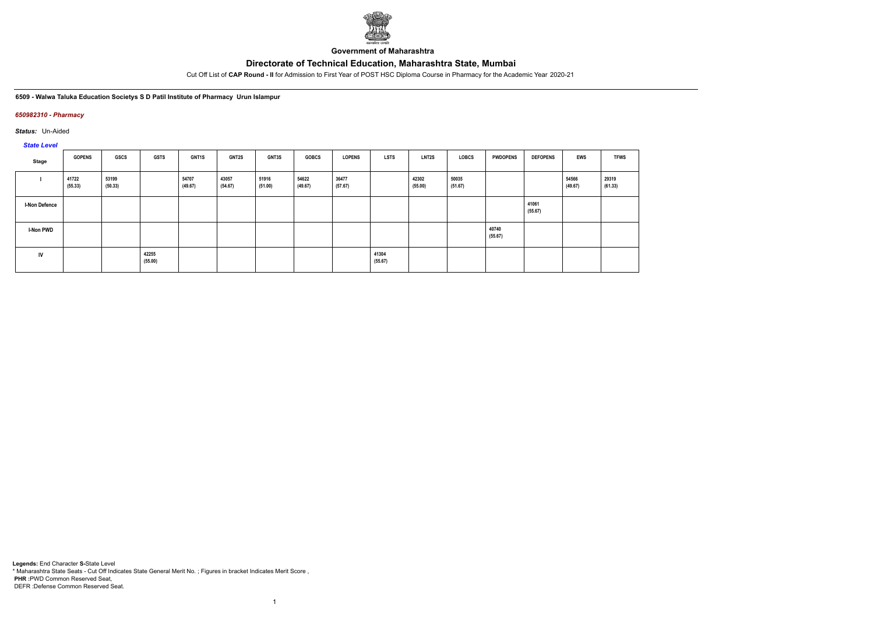

**Government of Maharashtra**

Cut Off List of **CAP Round - II** for Admission to First Year of POST HSC Diploma Course in Pharmacy for the Academic Year 2020-21

**6509 - Walwa Taluka Education Societys S D Patil Institute of Pharmacy Urun Islampur**

### *650982310 - Pharmacy*

*Status:* Un-Aided

*State Level*

| Stage                | <b>GOPENS</b>    | <b>GSCS</b>      | <b>GSTS</b>      | <b>GNT1S</b>     | GNT2S            | GNT3S            | <b>GOBCS</b>     | <b>LOPENS</b>    | <b>LSTS</b>      | LNT2S            | LOBCS            | <b>PWDOPENS</b>  | <b>DEFOPENS</b>  | <b>EWS</b>       | <b>TFWS</b>      |
|----------------------|------------------|------------------|------------------|------------------|------------------|------------------|------------------|------------------|------------------|------------------|------------------|------------------|------------------|------------------|------------------|
|                      | 41722<br>(55.33) | 53199<br>(50.33) |                  | 54707<br>(49.67) | 43057<br>(54.67) | 51916<br>(51.00) | 54622<br>(49.67) | 36477<br>(57.67) |                  | 42302<br>(55.00) | 50035<br>(51.67) |                  |                  | 54566<br>(49.67) | 29319<br>(61.33) |
| <b>I-Non Defence</b> |                  |                  |                  |                  |                  |                  |                  |                  |                  |                  |                  |                  | 41061<br>(55.67) |                  |                  |
| <b>I-Non PWD</b>     |                  |                  |                  |                  |                  |                  |                  |                  |                  |                  |                  | 40740<br>(55.67) |                  |                  |                  |
| IV                   |                  |                  | 42255<br>(55.00) |                  |                  |                  |                  |                  | 41304<br>(55.67) |                  |                  |                  |                  |                  |                  |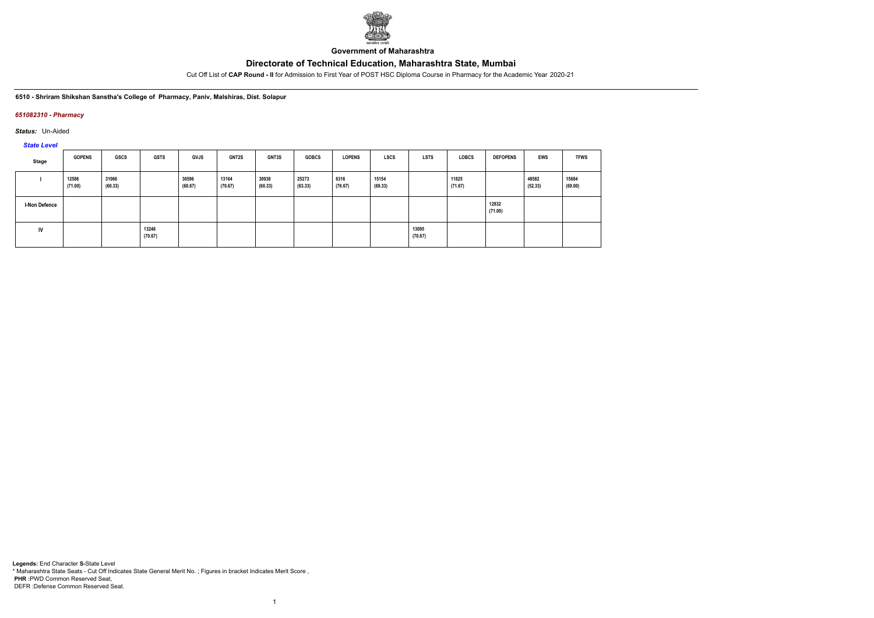

**Government of Maharashtra**

Cut Off List of **CAP Round - II** for Admission to First Year of POST HSC Diploma Course in Pharmacy for the Academic Year 2020-21

**6510 - Shriram Shikshan Sanstha's College of Pharmacy, Paniv, Malshiras, Dist. Solapur**

### *651082310 - Pharmacy*

*Status:* Un-Aided

*State Level*

| Stage                | <b>GOPENS</b>    | GSCS             | <b>GSTS</b>      | <b>GVJS</b>      | <b>GNT2S</b>     | <b>GNT3S</b>     | <b>GOBCS</b>     | <b>LOPENS</b>   | <b>LSCS</b>      | <b>LSTS</b>      | <b>LOBCS</b>     | <b>DEFOPENS</b>  | EWS              | <b>TFWS</b>      |
|----------------------|------------------|------------------|------------------|------------------|------------------|------------------|------------------|-----------------|------------------|------------------|------------------|------------------|------------------|------------------|
|                      | 12586<br>(71.00) | 31066<br>(60.33) |                  | 30596<br>(60.67) | 13164<br>(70.67) | 30938<br>(60.33) | 25273<br>(63.33) | 6316<br>(76.67) | 15154<br>(69.33) |                  | 11825<br>(71.67) |                  | 48582<br>(52.33) | 15684<br>(69.00) |
| <b>I-Non Defence</b> |                  |                  |                  |                  |                  |                  |                  |                 |                  |                  |                  | 12832<br>(71.00) |                  |                  |
| IV                   |                  |                  | 13246<br>(70.67) |                  |                  |                  |                  |                 |                  | 13095<br>(70.67) |                  |                  |                  |                  |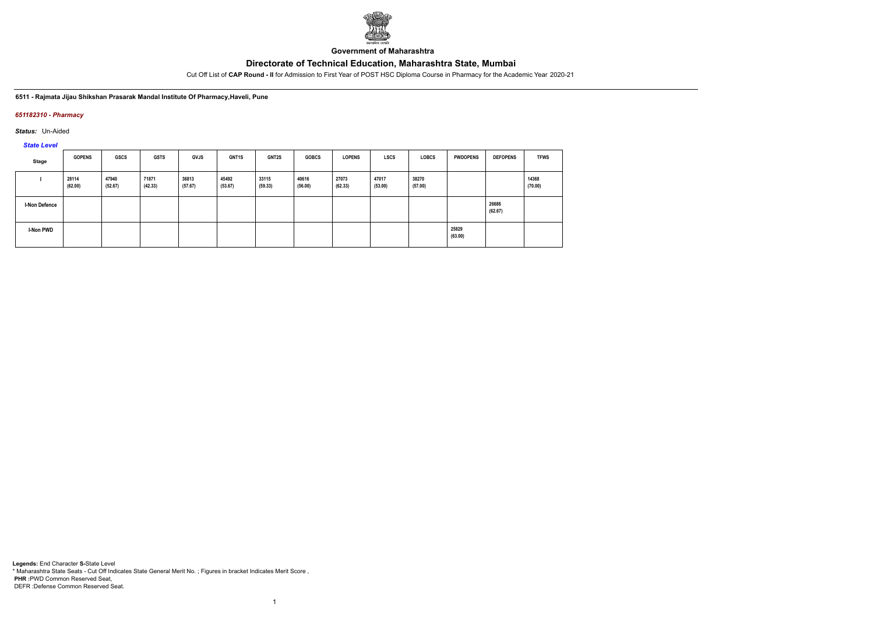

**Government of Maharashtra**

Cut Off List of **CAP Round - II** for Admission to First Year of POST HSC Diploma Course in Pharmacy for the Academic Year 2020-21

**6511 - Rajmata Jijau Shikshan Prasarak Mandal Institute Of Pharmacy,Haveli, Pune**

## *651182310 - Pharmacy*

*Status:* Un-Aided

*State Level*

| Stage                | <b>GOPENS</b>    | <b>GSCS</b>      | <b>GSTS</b>      | <b>GVJS</b>      | <b>GNT1S</b>     | GNT2S            | <b>GOBCS</b>     | <b>LOPENS</b>    | <b>LSCS</b>      | <b>LOBCS</b>     | <b>PWDOPENS</b>  | <b>DEFOPENS</b>  | <b>TFWS</b>      |
|----------------------|------------------|------------------|------------------|------------------|------------------|------------------|------------------|------------------|------------------|------------------|------------------|------------------|------------------|
|                      | 28114<br>(62.00) | 47940<br>(52.67) | 71871<br>(42.33) | 36813<br>(57.67) | 45492<br>(53.67) | 33115<br>(59.33) | 40616<br>(56.00) | 27073<br>(62.33) | 47017<br>(53.00) | 38270<br>(57.00) |                  |                  | 14368<br>(70.00) |
| <b>I-Non Defence</b> |                  |                  |                  |                  |                  |                  |                  |                  |                  |                  |                  | 26686<br>(62.67) |                  |
| <b>I-Non PWD</b>     |                  |                  |                  |                  |                  |                  |                  |                  |                  |                  | 25829<br>(63.00) |                  |                  |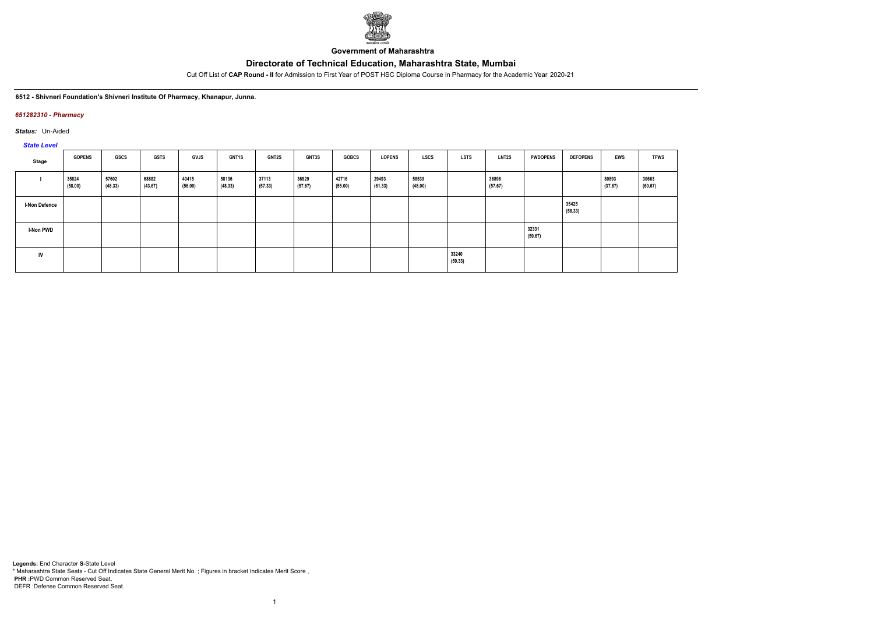

**Government of Maharashtra**

Cut Off List of **CAP Round - II** for Admission to First Year of POST HSC Diploma Course in Pharmacy for the Academic Year 2020-21

#### **6512 - Shivneri Foundation's Shivneri Institute Of Pharmacy, Khanapur, Junna.**

### *651282310 - Pharmacy*

*Status:* Un-Aided

# *State Level*

| Stage                | <b>GOPENS</b>    | <b>GSCS</b>      | GSTS             | GVJS             | <b>GNT1S</b>     | <b>GNT2S</b>     | GNT3S            | <b>GOBCS</b>     | <b>LOPENS</b>    | LSCS             | <b>LSTS</b>      | <b>LNT2S</b>     | <b>PWDOPENS</b>  | <b>DEFOPENS</b>  | <b>EWS</b>       | <b>TFWS</b>      |
|----------------------|------------------|------------------|------------------|------------------|------------------|------------------|------------------|------------------|------------------|------------------|------------------|------------------|------------------|------------------|------------------|------------------|
|                      | 35824<br>(58.00) | 57602<br>(48.33) | 68882<br>(43.67) | 40415<br>(56.00) | 58136<br>(48.33) | 37113<br>(57.33) | 36829<br>(57.67) | 42716<br>(55.00) | 29493<br>(61.33) | 58539<br>(48.00) |                  | 36896<br>(57.67) |                  |                  | 80893<br>(37.67) | 30663<br>(60.67) |
| <b>I-Non Defence</b> |                  |                  |                  |                  |                  |                  |                  |                  |                  |                  |                  |                  |                  | 35425<br>(58.33) |                  |                  |
| <b>I-Non PWD</b>     |                  |                  |                  |                  |                  |                  |                  |                  |                  |                  |                  |                  | 32331<br>(59.67) |                  |                  |                  |
| IV                   |                  |                  |                  |                  |                  |                  |                  |                  |                  |                  | 33240<br>(59.33) |                  |                  |                  |                  |                  |

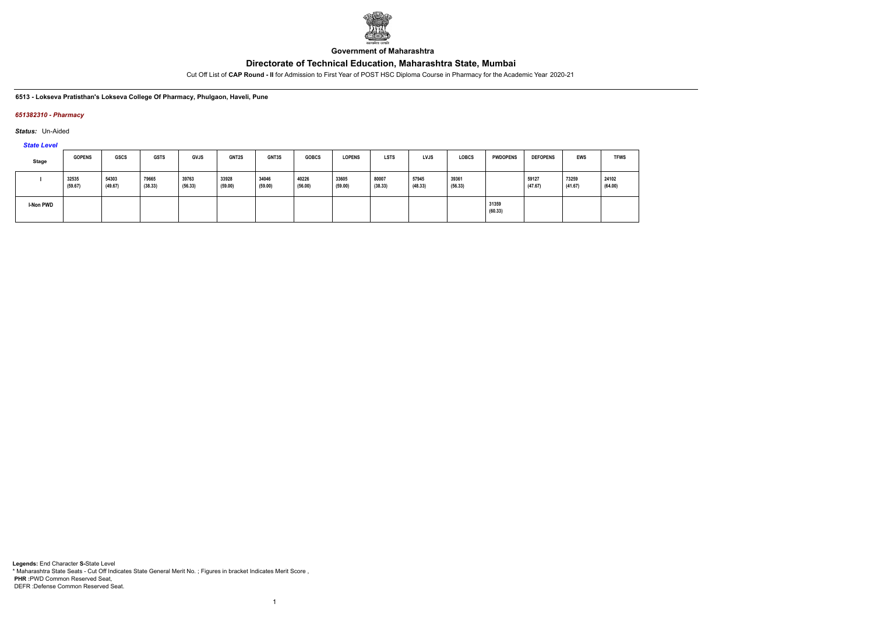

**Government of Maharashtra**

Cut Off List of **CAP Round - II** for Admission to First Year of POST HSC Diploma Course in Pharmacy for the Academic Year 2020-21

**6513 - Lokseva Pratisthan's Lokseva College Of Pharmacy, Phulgaon, Haveli, Pune**

### *651382310 - Pharmacy*

*Status:* Un-Aided

*State Level*

| <b>Stage</b> | <b>GOPENS</b>    | <b>GSCS</b>      | <b>GSTS</b>      | <b>GVJS</b>      | <b>GNT2S</b>     | <b>GNT3S</b>     | <b>GOBCS</b>     | <b>LOPENS</b>    | <b>LSTS</b>      | LVJS             | <b>LOBCS</b>     | <b>PWDOPENS</b>  | <b>DEFOPENS</b>  | <b>EWS</b>       | <b>TFWS</b>      |
|--------------|------------------|------------------|------------------|------------------|------------------|------------------|------------------|------------------|------------------|------------------|------------------|------------------|------------------|------------------|------------------|
|              | 32535<br>(59.67) | 54303<br>(49.67) | 79665<br>(38.33) | 39763<br>(56.33) | 33928<br>(59.00) | 34046<br>(59.00) | 40226<br>(56.00) | 33605<br>(59.00) | 80007<br>(38.33) | 57945<br>(48.33) | 39361<br>(56.33) |                  | 59127<br>(47.67) | 73259<br>(41.67) | 24102<br>(64.00) |
| I-Non PWD    |                  |                  |                  |                  |                  |                  |                  |                  |                  |                  |                  | 31359<br>(60.33) |                  |                  |                  |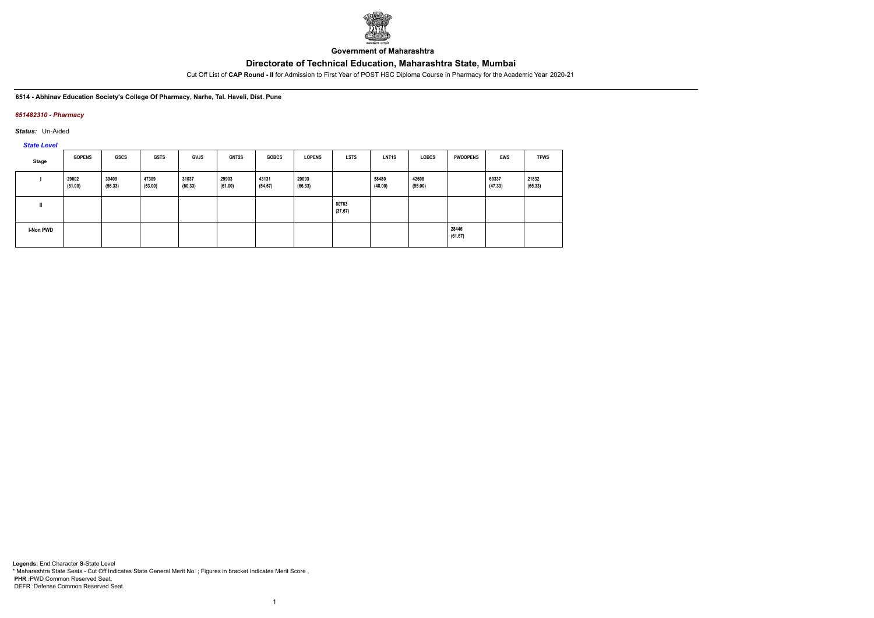

**Government of Maharashtra**

Cut Off List of **CAP Round - II** for Admission to First Year of POST HSC Diploma Course in Pharmacy for the Academic Year 2020-21

**6514 - Abhinav Education Society's College Of Pharmacy, Narhe, Tal. Haveli, Dist. Pune**

## *651482310 - Pharmacy*

*Status:* Un-Aided

*State Level*

| Stage     | <b>GOPENS</b>    | GSCS             | <b>GSTS</b>      | <b>GVJS</b>      | <b>GNT2S</b>     | <b>GOBCS</b>     | <b>LOPENS</b>    | <b>LSTS</b>      | <b>LNT1S</b>     | <b>LOBCS</b>     | <b>PWDOPENS</b>  | <b>EWS</b>       | <b>TFWS</b>      |
|-----------|------------------|------------------|------------------|------------------|------------------|------------------|------------------|------------------|------------------|------------------|------------------|------------------|------------------|
|           | 29602<br>(61.00) | 39409<br>(56.33) | 47309<br>(53.00) | 31037<br>(60.33) | 29903<br>(61.00) | 43131<br>(54.67) | 20093<br>(66.33) |                  | 58480<br>(48.00) | 42608<br>(55.00) |                  | 60337<br>(47.33) | 21832<br>(65.33) |
|           |                  |                  |                  |                  |                  |                  |                  | 80763<br>(37.67) |                  |                  |                  |                  |                  |
| I-Non PWD |                  |                  |                  |                  |                  |                  |                  |                  |                  |                  | 28446<br>(61.67) |                  |                  |

1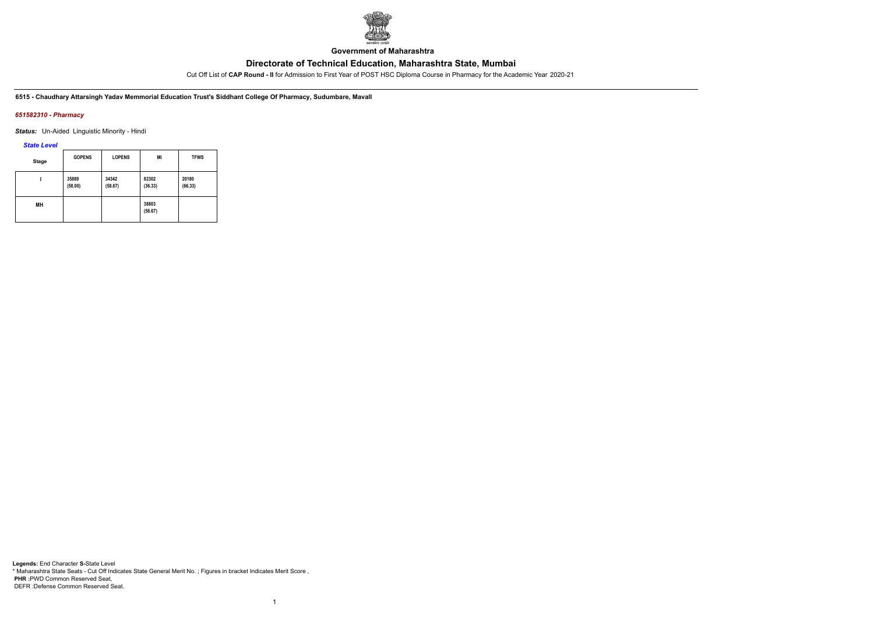

**Government of Maharashtra**

Cut Off List of **CAP Round - II** for Admission to First Year of POST HSC Diploma Course in Pharmacy for the Academic Year 2020-21

**6515 - Chaudhary Attarsingh Yadav Memmorial Education Trust's Siddhant College Of Pharmacy, Sudumbare, Mavall**

### *651582310 - Pharmacy*

*Status:* Un-Aided Linguistic Minority - Hindi

*State Level*

| <b>Stage</b> | <b>GOPENS</b>    | <b>LOPENS</b>    | MI               | <b>TFWS</b>      |
|--------------|------------------|------------------|------------------|------------------|
|              | 35889<br>(58.00) | 34342<br>(58.67) | 82302<br>(36.33) | 20180<br>(66.33) |
| MН           |                  |                  | 38803<br>(56.67) |                  |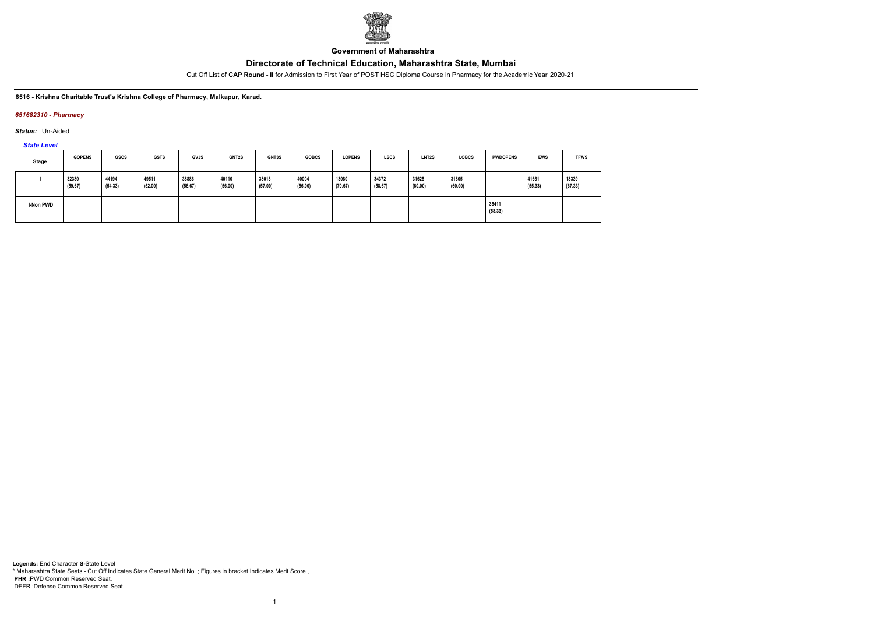

**Government of Maharashtra**

Cut Off List of **CAP Round - II** for Admission to First Year of POST HSC Diploma Course in Pharmacy for the Academic Year 2020-21

**6516 - Krishna Charitable Trust's Krishna College of Pharmacy, Malkapur, Karad.**

## *651682310 - Pharmacy*

*Status:* Un-Aided

*State Level*

| Stage            | <b>GOPENS</b>    | <b>GSCS</b>      | <b>GSTS</b>      | <b>GVJS</b>      | <b>GNT2S</b>     | GNT3S            | <b>GOBCS</b>     | <b>LOPENS</b>    | <b>LSCS</b>      | LNT <sub>2</sub> S | <b>LOBCS</b>     | <b>PWDOPENS</b>  | EWS              | <b>TFWS</b>      |
|------------------|------------------|------------------|------------------|------------------|------------------|------------------|------------------|------------------|------------------|--------------------|------------------|------------------|------------------|------------------|
|                  | 32380<br>(59.67) | 44194<br>(54.33) | 49511<br>(52.00) | 38886<br>(56.67) | 40110<br>(56.00) | 38013<br>(57.00) | 40004<br>(56.00) | 13080<br>(70.67) | 34372<br>(58.67) | 31625<br>(60.00)   | 31805<br>(60.00) |                  | 41661<br>(55.33) | 18339<br>(67.33) |
| <b>I-Non PWD</b> |                  |                  |                  |                  |                  |                  |                  |                  |                  |                    |                  | 35411<br>(58.33) |                  |                  |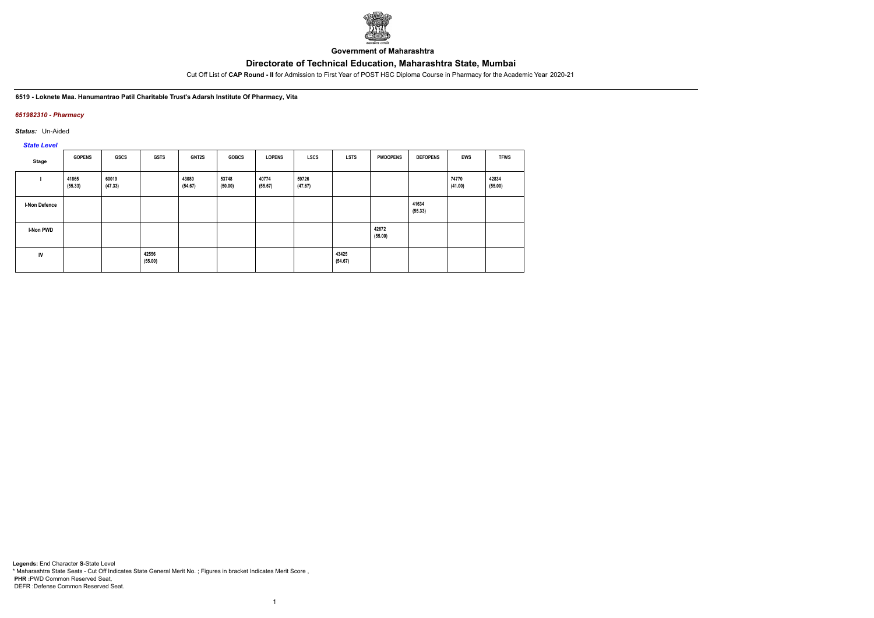

**Government of Maharashtra**

Cut Off List of **CAP Round - II** for Admission to First Year of POST HSC Diploma Course in Pharmacy for the Academic Year 2020-21

**6519 - Loknete Maa. Hanumantrao Patil Charitable Trust's Adarsh Institute Of Pharmacy, Vita**

## *651982310 - Pharmacy*

*Status:* Un-Aided

*State Level*

| Stage                | <b>GOPENS</b>    | GSCS             | <b>GSTS</b>      | GNT2S            | <b>GOBCS</b>     | <b>LOPENS</b>    | LSCS             | <b>LSTS</b>      | <b>PWDOPENS</b>  | <b>DEFOPENS</b>  | <b>EWS</b>       | <b>TFWS</b>      |
|----------------------|------------------|------------------|------------------|------------------|------------------|------------------|------------------|------------------|------------------|------------------|------------------|------------------|
|                      | 41865<br>(55.33) | 60019<br>(47.33) |                  | 43080<br>(54.67) | 53748<br>(50.00) | 40774<br>(55.67) | 59726<br>(47.67) |                  |                  |                  | 74770<br>(41.00) | 42834<br>(55.00) |
| <b>I-Non Defence</b> |                  |                  |                  |                  |                  |                  |                  |                  |                  | 41634<br>(55.33) |                  |                  |
| I-Non PWD            |                  |                  |                  |                  |                  |                  |                  |                  | 42672<br>(55.00) |                  |                  |                  |
| IV                   |                  |                  | 42556<br>(55.00) |                  |                  |                  |                  | 43425<br>(54.67) |                  |                  |                  |                  |

1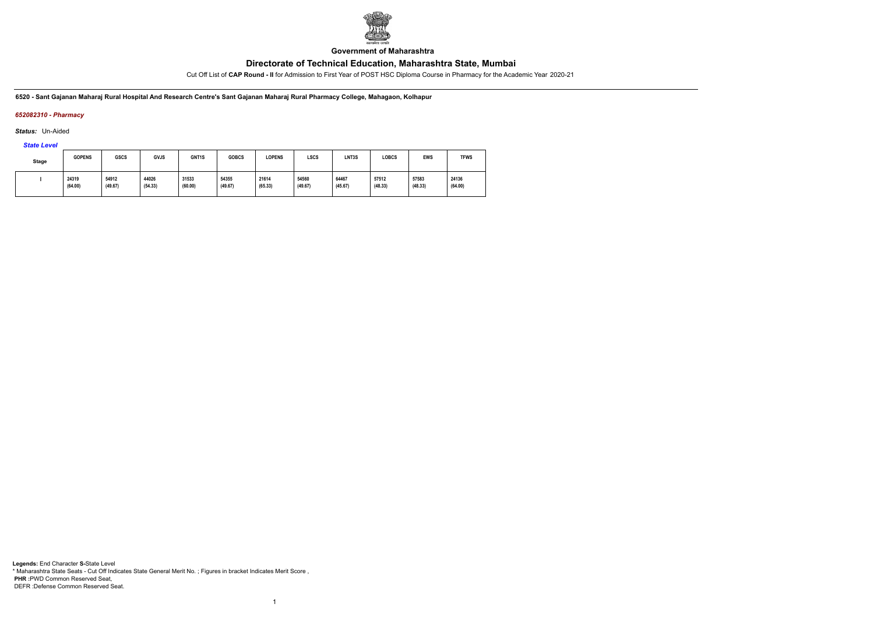

**Government of Maharashtra**

Cut Off List of **CAP Round - II** for Admission to First Year of POST HSC Diploma Course in Pharmacy for the Academic Year 2020-21

**6520 - Sant Gajanan Maharaj Rural Hospital And Research Centre's Sant Gajanan Maharaj Rural Pharmacy College, Mahagaon, Kolhapur**

# *652082310 - Pharmacy*

*Status:* Un-Aided

*State Level*

| <b>Stage</b> | <b>GOPENS</b>    | <b>GSCS</b>      | <b>GVJS</b>      | GNT <sub>1</sub> S | <b>GOBCS</b>     | <b>LOPENS</b>    | <b>LSCS</b>      | LNT3S            | LOBCS            | <b>EWS</b>       | <b>TFWS</b>      |
|--------------|------------------|------------------|------------------|--------------------|------------------|------------------|------------------|------------------|------------------|------------------|------------------|
|              | 24319<br>(64.00) | 54912<br>(49.67) | 44026<br>(54.33) | 31533<br>(60.00)   | 54355<br>(49.67) | 21614<br>(65.33) | 54560<br>(49.67) | 64467<br>(45.67) | 57512<br>(48.33) | 57583<br>(48.33) | 24136<br>(64.00) |

1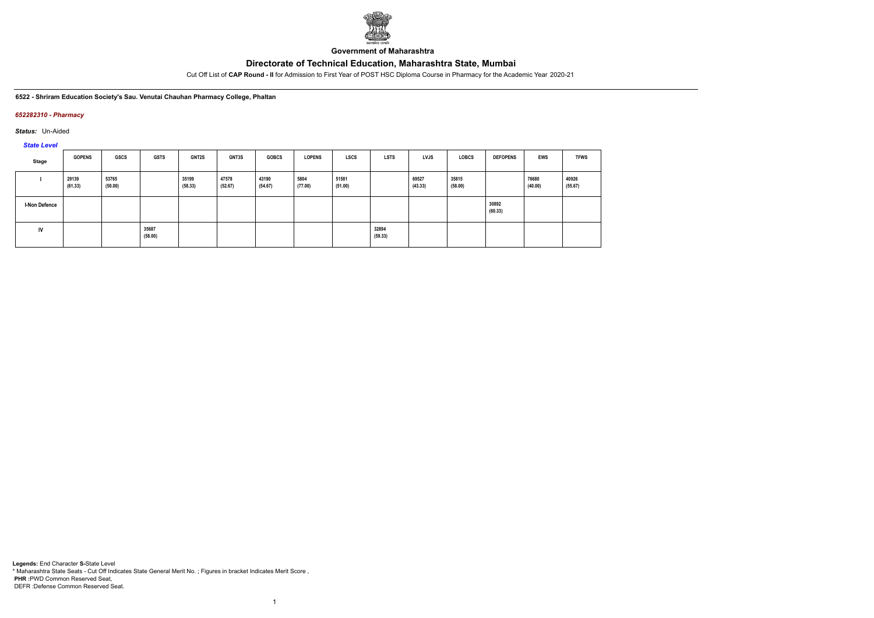

**Government of Maharashtra**

Cut Off List of **CAP Round - II** for Admission to First Year of POST HSC Diploma Course in Pharmacy for the Academic Year 2020-21

**6522 - Shriram Education Society's Sau. Venutai Chauhan Pharmacy College, Phaltan**

## *652282310 - Pharmacy*

*Status:* Un-Aided

*State Level*

| Stage                | <b>GOPENS</b>    | GSCS             | <b>GSTS</b>      | <b>GNT2S</b>     | <b>GNT3S</b>     | <b>GOBCS</b>     | <b>LOPENS</b>   | <b>LSCS</b>      | <b>LSTS</b>      | <b>LVJS</b>      | LOBCS            | <b>DEFOPENS</b>  | <b>EWS</b>       | <b>TFWS</b>      |
|----------------------|------------------|------------------|------------------|------------------|------------------|------------------|-----------------|------------------|------------------|------------------|------------------|------------------|------------------|------------------|
|                      | 29139<br>(61.33) | 53765<br>(50.00) |                  | 35199<br>(58.33) | 47578<br>(52.67) | 43190<br>(54.67) | 5804<br>(77.00) | 51581<br>(51.00) |                  | 69527<br>(43.33) | 35815<br>(58.00) |                  | 76680<br>(40.00) | 40926<br>(55.67) |
| <b>I-Non Defence</b> |                  |                  |                  |                  |                  |                  |                 |                  |                  |                  |                  | 30892<br>(60.33) |                  |                  |
| IV                   |                  |                  | 35687<br>(58.00) |                  |                  |                  |                 |                  | 32894<br>(59.33) |                  |                  |                  |                  |                  |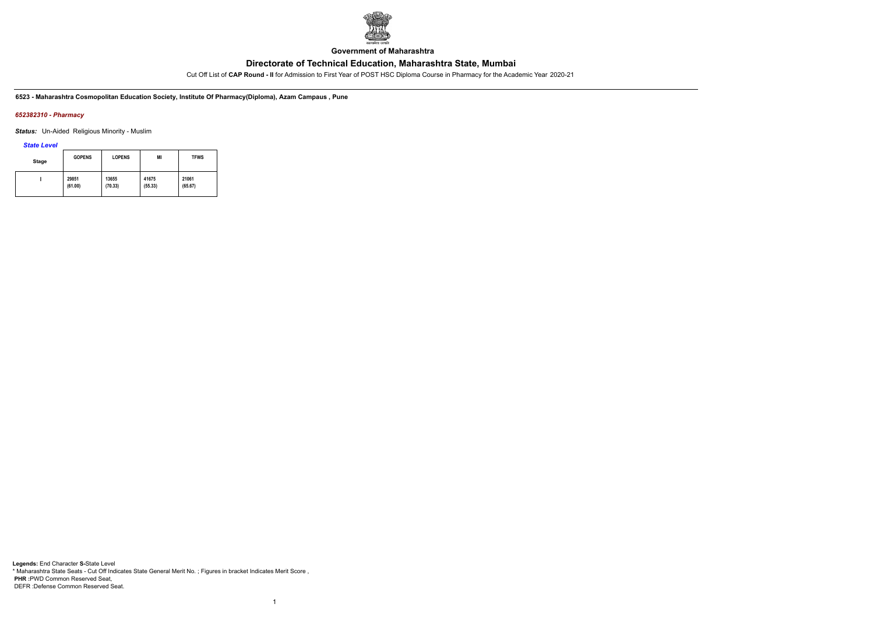

**Government of Maharashtra**

Cut Off List of **CAP Round - II** for Admission to First Year of POST HSC Diploma Course in Pharmacy for the Academic Year 2020-21

**6523 - Maharashtra Cosmopolitan Education Society, Institute Of Pharmacy(Diploma), Azam Campaus , Pune**

## *652382310 - Pharmacy*

*Status:* Un-Aided Religious Minority - Muslim

*State Level*

| Stage | <b>GOPENS</b> | <b>LOPENS</b> | ΜI      | <b>TFWS</b> |
|-------|---------------|---------------|---------|-------------|
|       | 29851         | 13655         | 41675   | 21061       |
|       | (61.00)       | (70.33)       | (55.33) | (65.67)     |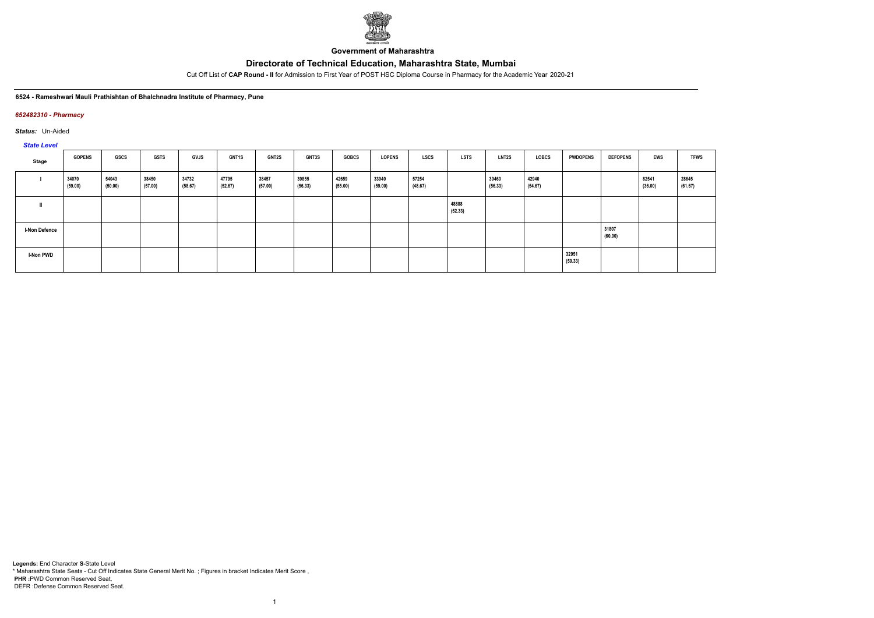

**Government of Maharashtra**

Cut Off List of **CAP Round - II** for Admission to First Year of POST HSC Diploma Course in Pharmacy for the Academic Year 2020-21

**6524 - Rameshwari Mauli Prathishtan of Bhalchnadra Institute of Pharmacy, Pune**

### *652482310 - Pharmacy*

*Status:* Un-Aided

*State Level*

| <b>PRICE</b>         |                  |                  |                  |                  |                  |                  |                  |                  |                  |                  |                  |                  |                  |                  |                  |                  |                  |
|----------------------|------------------|------------------|------------------|------------------|------------------|------------------|------------------|------------------|------------------|------------------|------------------|------------------|------------------|------------------|------------------|------------------|------------------|
| Stage                | <b>GOPENS</b>    | GSCS             | <b>GSTS</b>      | <b>GVJS</b>      | <b>GNT1S</b>     | GNT2S            | <b>GNT3S</b>     | <b>GOBCS</b>     | <b>LOPENS</b>    | <b>LSCS</b>      | <b>LSTS</b>      | <b>LNT2S</b>     | <b>LOBCS</b>     | <b>PWDOPENS</b>  | <b>DEFOPENS</b>  | <b>EWS</b>       | <b>TFWS</b>      |
|                      | 34070<br>(59.00) | 54043<br>(50.00) | 38450<br>(57.00) | 34732<br>(58.67) | 47795<br>(52.67) | 38457<br>(57.00) | 39855<br>(56.33) | 42659<br>(55.00) | 33940<br>(59.00) | 57254<br>(48.67) |                  | 39460<br>(56.33) | 42940<br>(54.67) |                  |                  | 82541<br>(36.00) | 28645<br>(61.67) |
|                      |                  |                  |                  |                  |                  |                  |                  |                  |                  |                  | 48888<br>(52.33) |                  |                  |                  |                  |                  |                  |
| <b>I-Non Defence</b> |                  |                  |                  |                  |                  |                  |                  |                  |                  |                  |                  |                  |                  |                  | 31807<br>(60.00) |                  |                  |
| I-Non PWD            |                  |                  |                  |                  |                  |                  |                  |                  |                  |                  |                  |                  |                  | 32951<br>(59.33) |                  |                  |                  |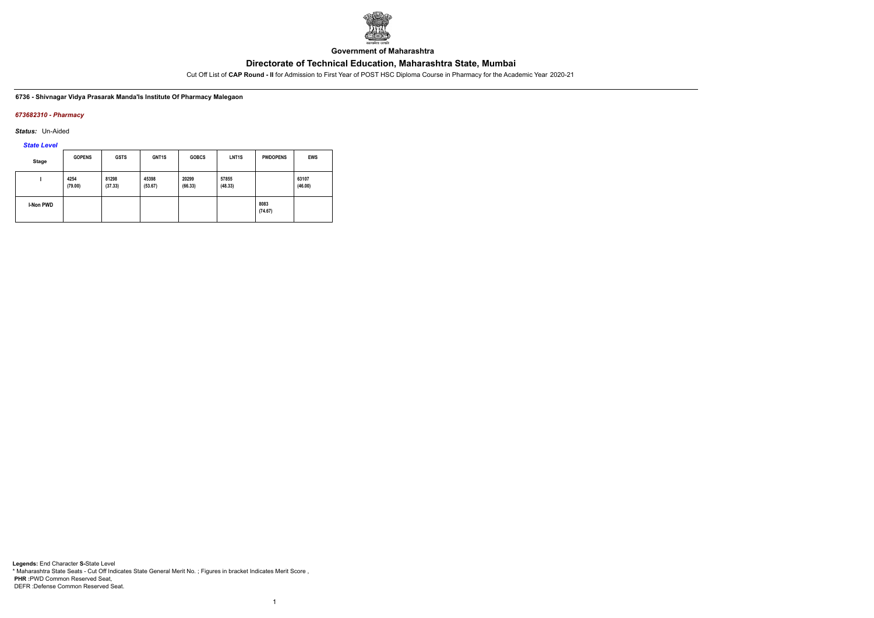

**Government of Maharashtra**

Cut Off List of **CAP Round - II** for Admission to First Year of POST HSC Diploma Course in Pharmacy for the Academic Year 2020-21

### **6736 - Shivnagar Vidya Prasarak Manda'ls Institute Of Pharmacy Malegaon**

### *673682310 - Pharmacy*

*Status:* Un-Aided

*State Level*

| Stage            | <b>GOPENS</b>   | <b>GSTS</b>      | GNT <sub>1</sub> S | <b>GOBCS</b>     | LNT <sub>1</sub> S | <b>PWDOPENS</b> | <b>EWS</b>       |
|------------------|-----------------|------------------|--------------------|------------------|--------------------|-----------------|------------------|
|                  | 4254<br>(79.00) | 81298<br>(37.33) | 45398<br>(53.67)   | 20299<br>(66.33) | 57855<br>(48.33)   |                 | 63107<br>(46.00) |
| <b>I-Non PWD</b> |                 |                  |                    |                  |                    | 8083<br>(74.67) |                  |

1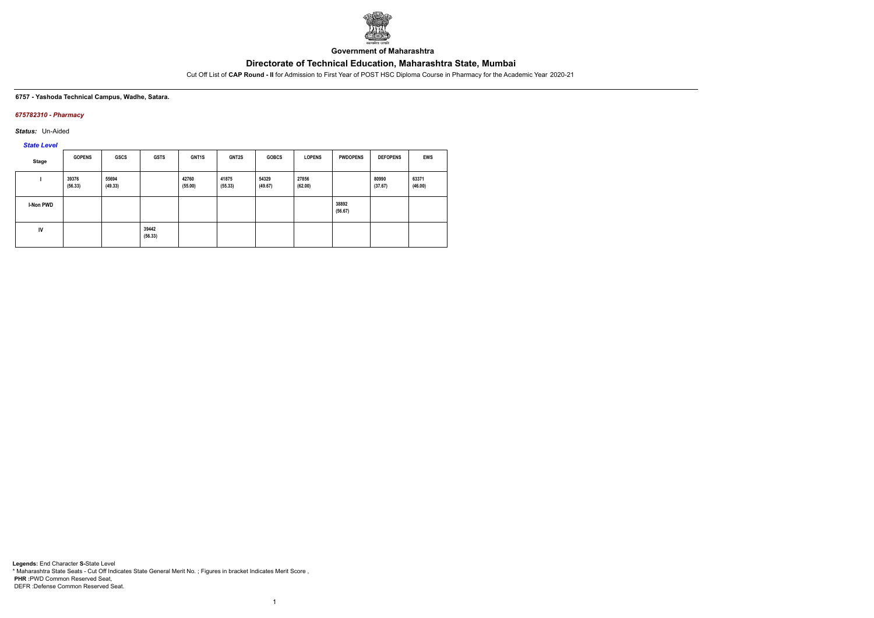

**Government of Maharashtra**

Cut Off List of **CAP Round - II** for Admission to First Year of POST HSC Diploma Course in Pharmacy for the Academic Year 2020-21

#### **6757 - Yashoda Technical Campus, Wadhe, Satara.**

## *675782310 - Pharmacy*

*Status:* Un-Aided

*State Level*

| <b>Stage</b> | <b>GOPENS</b>    | <b>GSCS</b>      | <b>GSTS</b>      | <b>GNT1S</b>     | <b>GNT2S</b>     | <b>GOBCS</b>     | <b>LOPENS</b>    | <b>PWDOPENS</b>  | <b>DEFOPENS</b>  | <b>EWS</b>       |
|--------------|------------------|------------------|------------------|------------------|------------------|------------------|------------------|------------------|------------------|------------------|
|              | 39376<br>(56.33) | 55694<br>(49.33) |                  | 42760<br>(55.00) | 41875<br>(55.33) | 54329<br>(49.67) | 27856<br>(62.00) |                  | 80990<br>(37.67) | 63371<br>(46.00) |
| I-Non PWD    |                  |                  |                  |                  |                  |                  |                  | 38892<br>(56.67) |                  |                  |
| IV           |                  |                  | 39442<br>(56.33) |                  |                  |                  |                  |                  |                  |                  |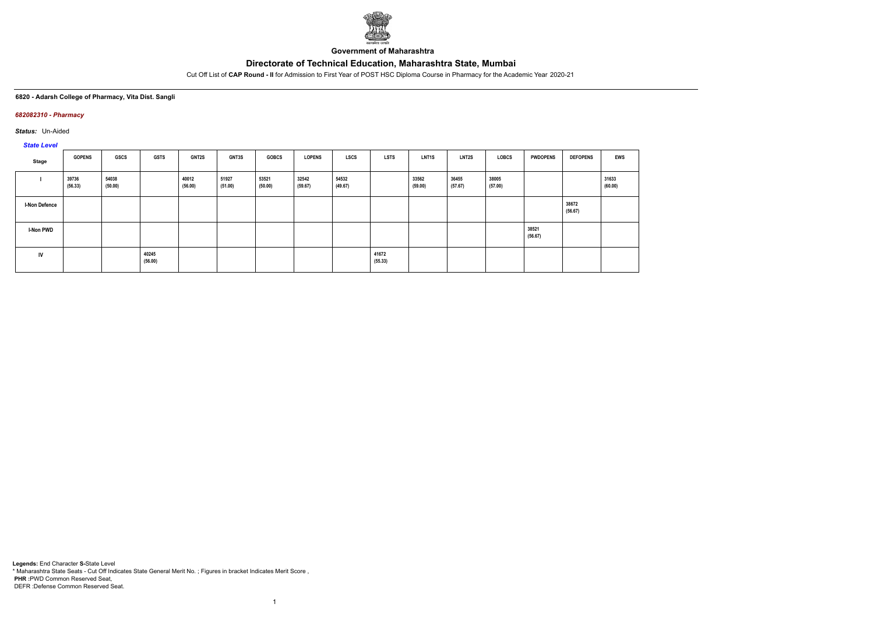

**Government of Maharashtra**

Cut Off List of **CAP Round - II** for Admission to First Year of POST HSC Diploma Course in Pharmacy for the Academic Year 2020-21

### **6820 - Adarsh College of Pharmacy, Vita Dist. Sangli**

## *682082310 - Pharmacy*

*Status:* Un-Aided

# *State Level*

| Stage                | <b>GOPENS</b>    | <b>GSCS</b>      | <b>GSTS</b>      | <b>GNT2S</b>     | GNT3S            | <b>GOBCS</b>     | <b>LOPENS</b>    | <b>LSCS</b>      | <b>LSTS</b>      | LNT1S            | LNT <sub>2</sub> S | <b>LOBCS</b>     | <b>PWDOPENS</b>  | <b>DEFOPENS</b>  | <b>EWS</b>       |
|----------------------|------------------|------------------|------------------|------------------|------------------|------------------|------------------|------------------|------------------|------------------|--------------------|------------------|------------------|------------------|------------------|
|                      | 39736<br>(56.33) | 54038<br>(50.00) |                  | 40012<br>(56.00) | 51927<br>(51.00) | 53521<br>(50.00) | 32542<br>(59.67) | 54532<br>(49.67) |                  | 33562<br>(59.00) | 36455<br>(57.67)   | 38005<br>(57.00) |                  |                  | 31633<br>(60.00) |
| <b>I-Non Defence</b> |                  |                  |                  |                  |                  |                  |                  |                  |                  |                  |                    |                  |                  | 38672<br>(56.67) |                  |
| <b>I-Non PWD</b>     |                  |                  |                  |                  |                  |                  |                  |                  |                  |                  |                    |                  | 38521<br>(56.67) |                  |                  |
| IV                   |                  |                  | 40245<br>(56.00) |                  |                  |                  |                  |                  | 41672<br>(55.33) |                  |                    |                  |                  |                  |                  |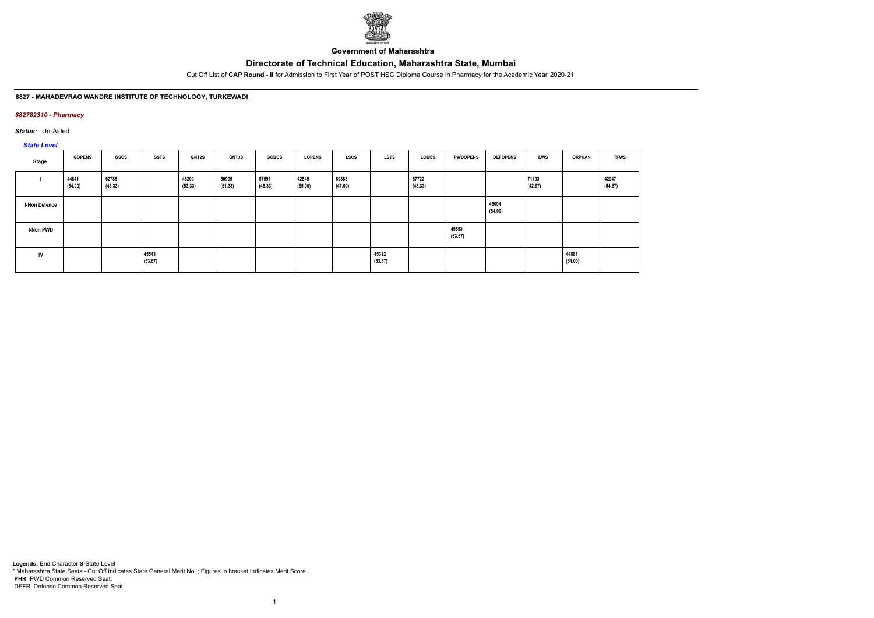

**Government of Maharashtra**

Cut Off List of **CAP Round - II** for Admission to First Year of POST HSC Diploma Course in Pharmacy for the Academic Year 2020-21

### **6827 - MAHADEVRAO WANDRE INSTITUTE OF TECHNOLOGY, TURKEWADI**

## *682782310 - Pharmacy*

*Status:* Un-Aided

# *State Level*

| <b>Stage</b>         | <b>GOPENS</b>    | GSCS             | <b>GSTS</b>      | GNT2S            | GNT3S            | <b>GOBCS</b>     | <b>LOPENS</b>    | <b>LSTS</b><br><b>LSCS</b> | <b>LOBCS</b>     | <b>PWDOPENS</b>  | <b>DEFOPENS</b>  | <b>EWS</b>       | <b>ORPHAN</b>    | <b>TFWS</b>      |
|----------------------|------------------|------------------|------------------|------------------|------------------|------------------|------------------|----------------------------|------------------|------------------|------------------|------------------|------------------|------------------|
|                      | 44841<br>(54.00) | 62788<br>(46.33) |                  | 46200<br>(53.33) | 50909<br>(51.33) | 57597<br>(48.33) | 42549<br>(55.00) | 60883<br>(47.00)           | 57722<br>(48.33) |                  |                  | 71103<br>(42.67) |                  | 42947<br>(54.67) |
| <b>I-Non Defence</b> |                  |                  |                  |                  |                  |                  |                  |                            |                  |                  | 45094<br>(54.00) |                  |                  |                  |
| <b>I-Non PWD</b>     |                  |                  |                  |                  |                  |                  |                  |                            |                  | 45553<br>(53.67) |                  |                  |                  |                  |
| IV                   |                  |                  | 45543<br>(53.67) |                  |                  |                  |                  | 45312<br>(53.67)           |                  |                  |                  |                  | 44881<br>(54.00) |                  |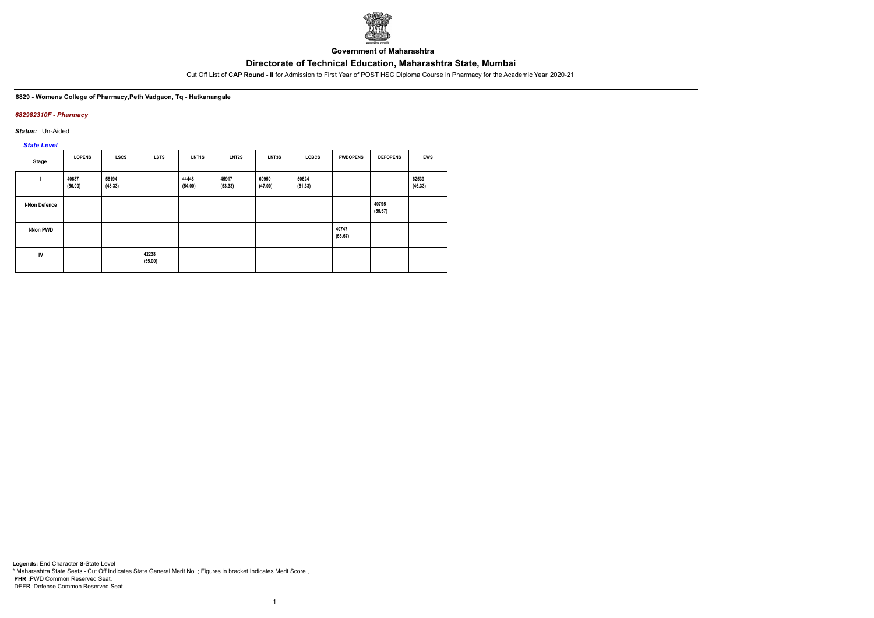

**Government of Maharashtra**

Cut Off List of **CAP Round - II** for Admission to First Year of POST HSC Diploma Course in Pharmacy for the Academic Year 2020-21

#### **6829 - Womens College of Pharmacy,Peth Vadgaon, Tq - Hatkanangale**

## *682982310F - Pharmacy*

*Status:* Un-Aided

*State Level*

| Stage                | <b>LOPENS</b>    | <b>LSCS</b>      | <b>LSTS</b>      | <b>LNT1S</b>     | LNT2S            | LNT3S            | <b>LOBCS</b>     | <b>PWDOPENS</b>  | <b>DEFOPENS</b>  | EWS              |
|----------------------|------------------|------------------|------------------|------------------|------------------|------------------|------------------|------------------|------------------|------------------|
|                      | 40687<br>(56.00) | 58194<br>(48.33) |                  | 44448<br>(54.00) | 45917<br>(53.33) | 60950<br>(47.00) | 50624<br>(51.33) |                  |                  | 62539<br>(46.33) |
| <b>I-Non Defence</b> |                  |                  |                  |                  |                  |                  |                  |                  | 40795<br>(55.67) |                  |
| I-Non PWD            |                  |                  |                  |                  |                  |                  |                  | 40747<br>(55.67) |                  |                  |
| IV                   |                  |                  | 42238<br>(55.00) |                  |                  |                  |                  |                  |                  |                  |

1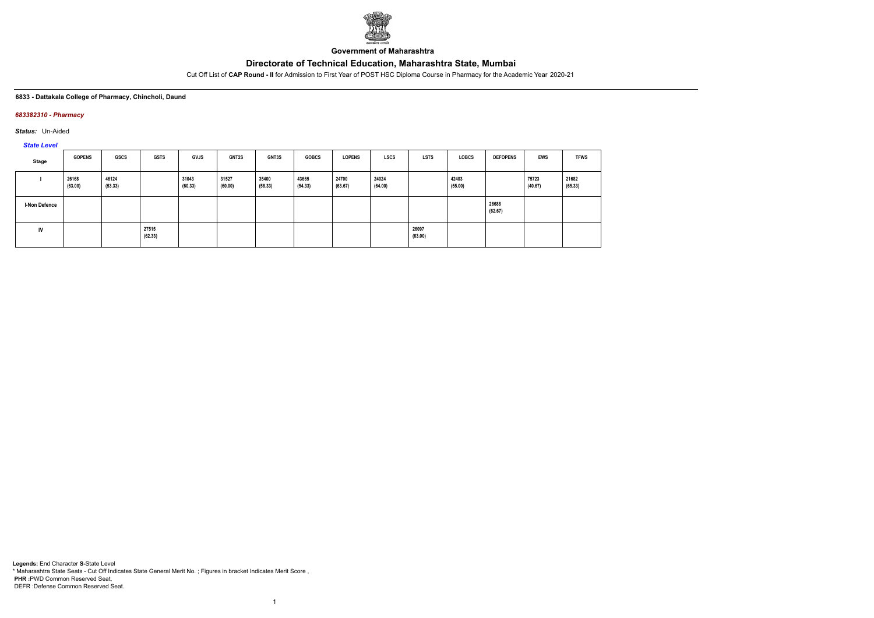

**Government of Maharashtra**

Cut Off List of **CAP Round - II** for Admission to First Year of POST HSC Diploma Course in Pharmacy for the Academic Year 2020-21

### **6833 - Dattakala College of Pharmacy, Chincholi, Daund**

### *683382310 - Pharmacy*

*Status:* Un-Aided

*State Level*

| Stage                | <b>GOPENS</b>    | GSCS             | <b>GSTS</b>      | <b>GVJS</b>      | <b>GNT2S</b>     | GNT3S            | <b>GOBCS</b>     | <b>LOPENS</b>    | <b>LSCS</b>      | <b>LSTS</b>      | <b>LOBCS</b>     | <b>DEFOPENS</b>  | <b>EWS</b>       | <b>TFWS</b>      |
|----------------------|------------------|------------------|------------------|------------------|------------------|------------------|------------------|------------------|------------------|------------------|------------------|------------------|------------------|------------------|
|                      | 26168<br>(63.00) | 46124<br>(53.33) |                  | 31043<br>(60.33) | 31527<br>(60.00) | 35400<br>(58.33) | 43665<br>(54.33) | 24700<br>(63.67) | 24024<br>(64.00) |                  | 42403<br>(55.00) |                  | 75723<br>(40.67) | 21682<br>(65.33) |
| <b>I-Non Defence</b> |                  |                  |                  |                  |                  |                  |                  |                  |                  |                  |                  | 26688<br>(62.67) |                  |                  |
| <b>IV</b>            |                  |                  | 27515<br>(62.33) |                  |                  |                  |                  |                  |                  | 26097<br>(63.00) |                  |                  |                  |                  |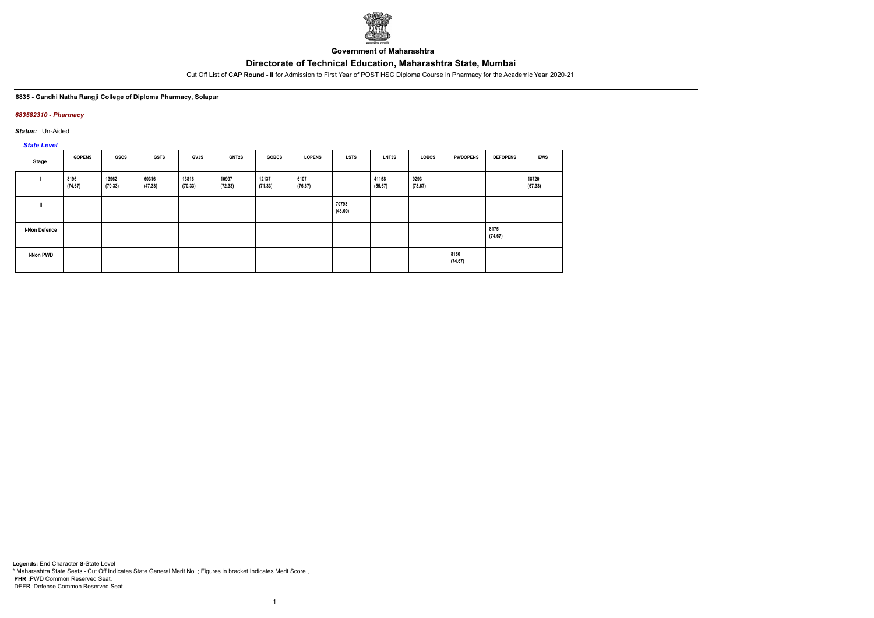

**Government of Maharashtra**

Cut Off List of **CAP Round - II** for Admission to First Year of POST HSC Diploma Course in Pharmacy for the Academic Year 2020-21

### **6835 - Gandhi Natha Rangji College of Diploma Pharmacy, Solapur**

### *683582310 - Pharmacy*

*Status:* Un-Aided

*State Level*

| Stage                | <b>GOPENS</b>   | GSCS             | <b>GSTS</b>      | <b>GVJS</b>      | <b>GNT2S</b>     | <b>GOBCS</b>     | <b>LOPENS</b>   | <b>LSTS</b>      | LNT3S            | <b>LOBCS</b>    | <b>PWDOPENS</b> | <b>DEFOPENS</b> | <b>EWS</b>       |
|----------------------|-----------------|------------------|------------------|------------------|------------------|------------------|-----------------|------------------|------------------|-----------------|-----------------|-----------------|------------------|
|                      | 8196<br>(74.67) | 13962<br>(70.33) | 60316<br>(47.33) | 13816<br>(70.33) | 10997<br>(72.33) | 12137<br>(71.33) | 6107<br>(76.67) |                  | 41158<br>(55.67) | 9293<br>(73.67) |                 |                 | 18720<br>(67.33) |
| $\mathbf{I}$         |                 |                  |                  |                  |                  |                  |                 | 70793<br>(43.00) |                  |                 |                 |                 |                  |
| <b>I-Non Defence</b> |                 |                  |                  |                  |                  |                  |                 |                  |                  |                 |                 | 8175<br>(74.67) |                  |
| <b>I-Non PWD</b>     |                 |                  |                  |                  |                  |                  |                 |                  |                  |                 | 8160<br>(74.67) |                 |                  |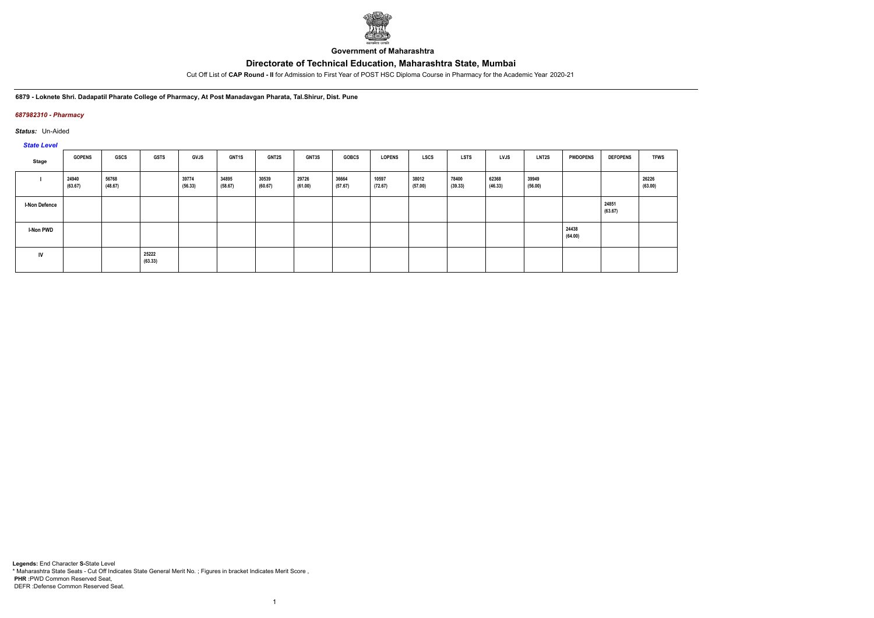

**Government of Maharashtra**

Cut Off List of **CAP Round - II** for Admission to First Year of POST HSC Diploma Course in Pharmacy for the Academic Year 2020-21

**6879 - Loknete Shri. Dadapatil Pharate College of Pharmacy, At Post Manadavgan Pharata, Tal.Shirur, Dist. Pune**

## *687982310 - Pharmacy*

*Status:* Un-Aided

# *State Level*

| Stage                | <b>GOPENS</b>    | GSCS             | <b>GSTS</b>      | <b>GVJS</b>      | <b>GNT1S</b>     | <b>GNT2S</b>     | GNT3S            | <b>GOBCS</b>     | <b>LOPENS</b>    | LSCS             | <b>LSTS</b>      | <b>LVJS</b>      | <b>LNT2S</b>     | <b>PWDOPENS</b>  | <b>DEFOPENS</b>  | <b>TFWS</b>      |
|----------------------|------------------|------------------|------------------|------------------|------------------|------------------|------------------|------------------|------------------|------------------|------------------|------------------|------------------|------------------|------------------|------------------|
|                      | 24940<br>(63.67) | 56768<br>(48.67) |                  | 39774<br>(56.33) | 34895<br>(58.67) | 30539<br>(60.67) | 29726<br>(61.00) | 36664<br>(57.67) | 10597<br>(72.67) | 38012<br>(57.00) | 78400<br>(39.33) | 62368<br>(46.33) | 39949<br>(56.00) |                  |                  | 26226<br>(63.00) |
| <b>I-Non Defence</b> |                  |                  |                  |                  |                  |                  |                  |                  |                  |                  |                  |                  |                  |                  | 24851<br>(63.67) |                  |
| <b>I-Non PWD</b>     |                  |                  |                  |                  |                  |                  |                  |                  |                  |                  |                  |                  |                  | 24438<br>(64.00) |                  |                  |
| IV                   |                  |                  | 25222<br>(63.33) |                  |                  |                  |                  |                  |                  |                  |                  |                  |                  |                  |                  |                  |

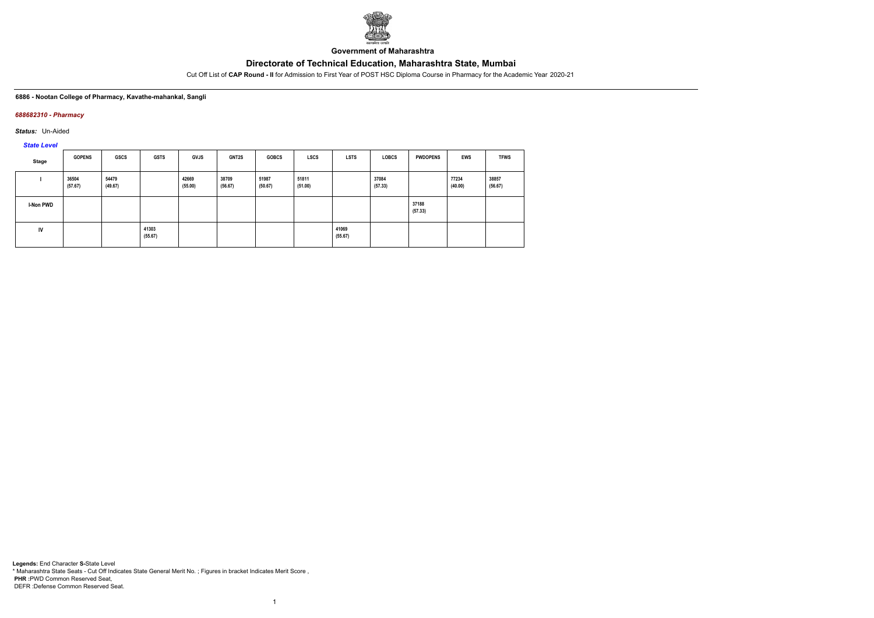

**Government of Maharashtra**

Cut Off List of **CAP Round - II** for Admission to First Year of POST HSC Diploma Course in Pharmacy for the Academic Year 2020-21

#### **6886 - Nootan College of Pharmacy, Kavathe-mahankal, Sangli**

### *688682310 - Pharmacy*

*Status:* Un-Aided

*State Level*

| Stage            | <b>GOPENS</b>    | <b>GSCS</b>      | <b>GSTS</b>      | <b>GVJS</b>      | <b>GNT2S</b>     | <b>GOBCS</b>     | <b>LSCS</b>      | <b>LSTS</b>      | <b>LOBCS</b>     | <b>PWDOPENS</b>  | <b>EWS</b>       | <b>TFWS</b>      |
|------------------|------------------|------------------|------------------|------------------|------------------|------------------|------------------|------------------|------------------|------------------|------------------|------------------|
|                  | 36504<br>(57.67) | 54479<br>(49.67) |                  | 42669<br>(55.00) | 38709<br>(56.67) | 51987<br>(50.67) | 51811<br>(51.00) |                  | 37084<br>(57.33) |                  | 77234<br>(40.00) | 38857<br>(56.67) |
| <b>I-Non PWD</b> |                  |                  |                  |                  |                  |                  |                  |                  |                  | 37188<br>(57.33) |                  |                  |
| IV               |                  |                  | 41303<br>(55.67) |                  |                  |                  |                  | 41069<br>(55.67) |                  |                  |                  |                  |

1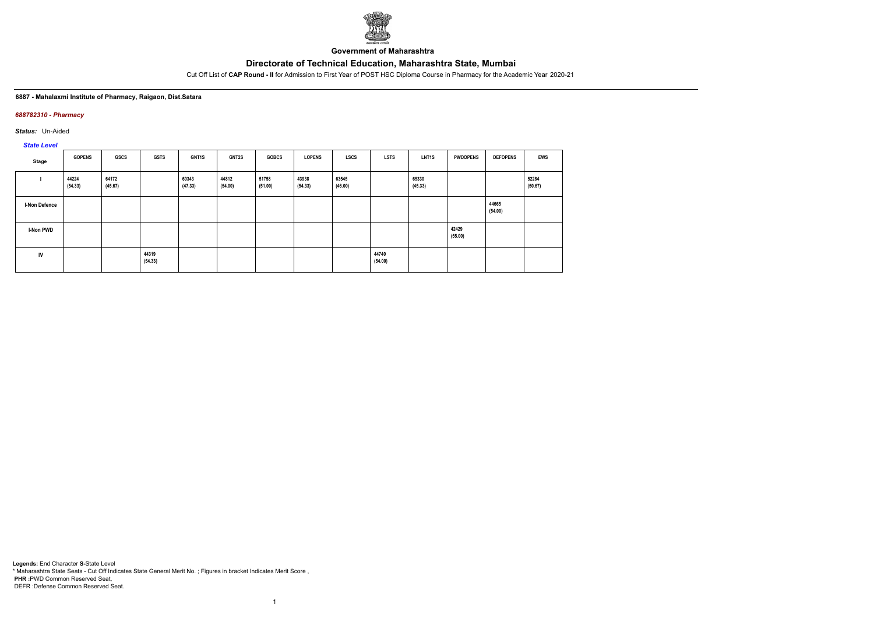

**Government of Maharashtra**

Cut Off List of **CAP Round - II** for Admission to First Year of POST HSC Diploma Course in Pharmacy for the Academic Year 2020-21

#### **6887 - Mahalaxmi Institute of Pharmacy, Raigaon, Dist.Satara**

### *688782310 - Pharmacy*

*Status:* Un-Aided

*State Level*

| Stage                | <b>GOPENS</b>    | <b>GSCS</b>      | <b>GSTS</b>      | GNT1S            | <b>GNT2S</b>     | <b>GOBCS</b>     | <b>LOPENS</b>    | <b>LSCS</b>      | <b>LSTS</b>      | LNT <sub>1</sub> S | <b>PWDOPENS</b>  | <b>DEFOPENS</b>  | <b>EWS</b>       |
|----------------------|------------------|------------------|------------------|------------------|------------------|------------------|------------------|------------------|------------------|--------------------|------------------|------------------|------------------|
|                      | 44224<br>(54.33) | 64172<br>(45.67) |                  | 60343<br>(47.33) | 44812<br>(54.00) | 51758<br>(51.00) | 43938<br>(54.33) | 63545<br>(46.00) |                  | 65330<br>(45.33)   |                  |                  | 52284<br>(50.67) |
| <b>I-Non Defence</b> |                  |                  |                  |                  |                  |                  |                  |                  |                  |                    |                  | 44665<br>(54.00) |                  |
| <b>I-Non PWD</b>     |                  |                  |                  |                  |                  |                  |                  |                  |                  |                    | 42429<br>(55.00) |                  |                  |
| IV                   |                  |                  | 44319<br>(54.33) |                  |                  |                  |                  |                  | 44740<br>(54.00) |                    |                  |                  |                  |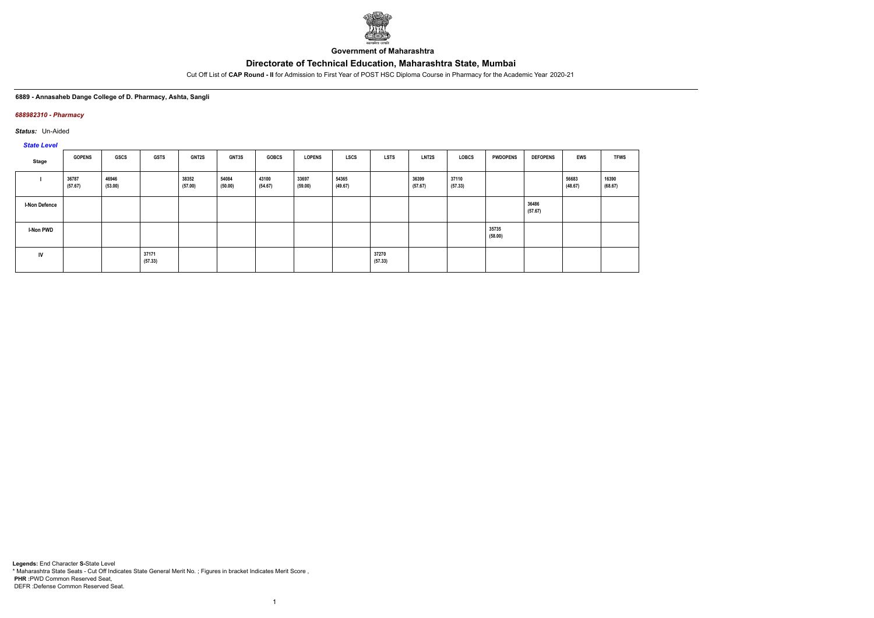

**Government of Maharashtra**

Cut Off List of **CAP Round - II** for Admission to First Year of POST HSC Diploma Course in Pharmacy for the Academic Year 2020-21

#### **6889 - Annasaheb Dange College of D. Pharmacy, Ashta, Sangli**

### *688982310 - Pharmacy*

*Status:* Un-Aided

*State Level*

| Stage                | <b>GOPENS</b>    | GSCS             | <b>GSTS</b>      | <b>GNT2S</b>     | GNT3S            | <b>GOBCS</b>     | <b>LOPENS</b>    | LSCS             | <b>LSTS</b>      | LNT2S            | LOBCS            | <b>PWDOPENS</b>  | <b>DEFOPENS</b>  | <b>EWS</b>       | <b>TFWS</b>      |
|----------------------|------------------|------------------|------------------|------------------|------------------|------------------|------------------|------------------|------------------|------------------|------------------|------------------|------------------|------------------|------------------|
|                      | 36787<br>(57.67) | 46946<br>(53.00) |                  | 38352<br>(57.00) | 54084<br>(50.00) | 43100<br>(54.67) | 33697<br>(59.00) | 54365<br>(49.67) |                  | 36399<br>(57.67) | 37110<br>(57.33) |                  |                  | 56683<br>(48.67) | 16390<br>(68.67) |
| <b>I-Non Defence</b> |                  |                  |                  |                  |                  |                  |                  |                  |                  |                  |                  |                  | 36486<br>(57.67) |                  |                  |
| I-Non PWD            |                  |                  |                  |                  |                  |                  |                  |                  |                  |                  |                  | 35735<br>(58.00) |                  |                  |                  |
| IV                   |                  |                  | 37171<br>(57.33) |                  |                  |                  |                  |                  | 37270<br>(57.33) |                  |                  |                  |                  |                  |                  |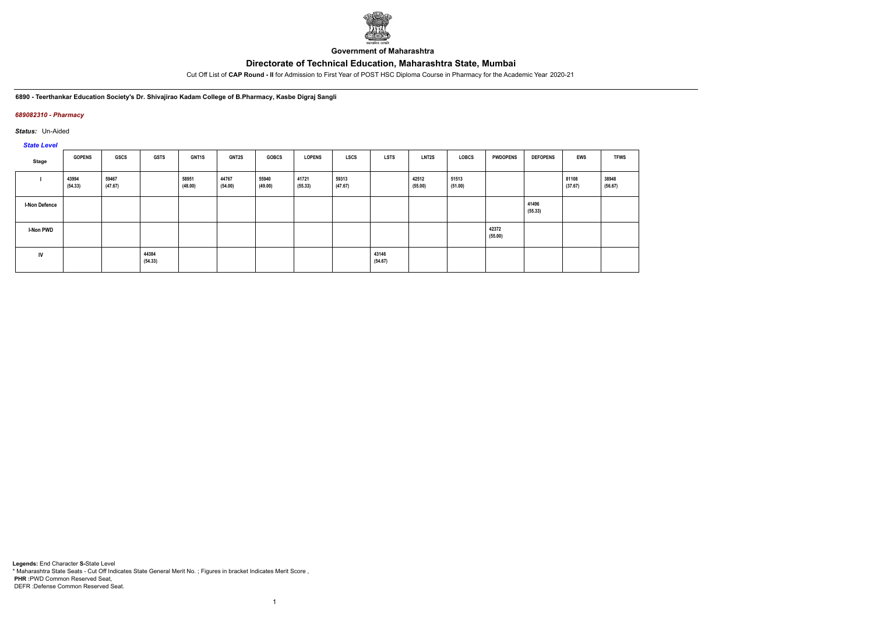

**Government of Maharashtra**

Cut Off List of **CAP Round - II** for Admission to First Year of POST HSC Diploma Course in Pharmacy for the Academic Year 2020-21

**6890 - Teerthankar Education Society's Dr. Shivajirao Kadam College of B.Pharmacy, Kasbe Digraj Sangli**

## *689082310 - Pharmacy*

*Status:* Un-Aided

*State Level*

| Stage                | <b>GOPENS</b>    | GSCS             | <b>GSTS</b>      | <b>GNT1S</b>     | GNT2S            | <b>GOBCS</b>     | <b>LOPENS</b>    | <b>LSCS</b>      | <b>LSTS</b>      | LNT2S            | LOBCS            | <b>PWDOPENS</b>  | <b>DEFOPENS</b>  | <b>EWS</b>       | <b>TFWS</b>      |
|----------------------|------------------|------------------|------------------|------------------|------------------|------------------|------------------|------------------|------------------|------------------|------------------|------------------|------------------|------------------|------------------|
|                      | 43994<br>(54.33) | 59467<br>(47.67) |                  | 58951<br>(48.00) | 44767<br>(54.00) | 55940<br>(49.00) | 41721<br>(55.33) | 59313<br>(47.67) |                  | 42512<br>(55.00) | 51513<br>(51.00) |                  |                  | 81108<br>(37.67) | 38948<br>(56.67) |
| <b>I-Non Defence</b> |                  |                  |                  |                  |                  |                  |                  |                  |                  |                  |                  |                  | 41496<br>(55.33) |                  |                  |
| I-Non PWD            |                  |                  |                  |                  |                  |                  |                  |                  |                  |                  |                  | 42372<br>(55.00) |                  |                  |                  |
| IV                   |                  |                  | 44384<br>(54.33) |                  |                  |                  |                  |                  | 43146<br>(54.67) |                  |                  |                  |                  |                  |                  |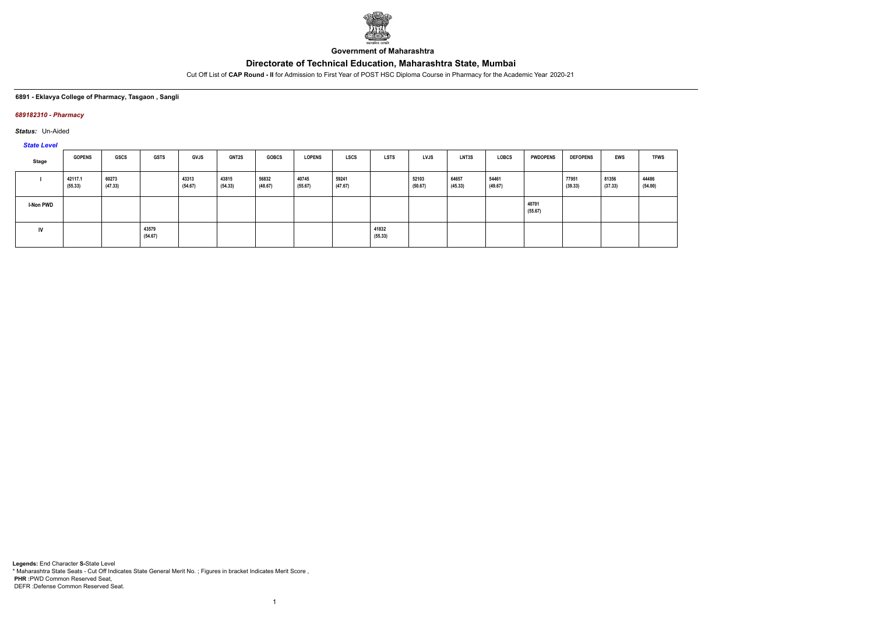

**Government of Maharashtra**

Cut Off List of **CAP Round - II** for Admission to First Year of POST HSC Diploma Course in Pharmacy for the Academic Year 2020-21

#### **6891 - Eklavya College of Pharmacy, Tasgaon , Sangli**

### *689182310 - Pharmacy*

*Status:* Un-Aided

*State Level*

| Stage            | <b>GOPENS</b>      | GSCS             | <b>GSTS</b>      | <b>GVJS</b>      | <b>GNT2S</b>     | <b>GOBCS</b>     | <b>LOPENS</b>    | <b>LSCS</b>      | <b>LSTS</b>      | LVJS             | <b>LNT3S</b>     | <b>LOBCS</b>     | <b>PWDOPENS</b>  | <b>DEFOPENS</b>  | <b>EWS</b>       | <b>TFWS</b>      |
|------------------|--------------------|------------------|------------------|------------------|------------------|------------------|------------------|------------------|------------------|------------------|------------------|------------------|------------------|------------------|------------------|------------------|
|                  | 42117.1<br>(55.33) | 60273<br>(47.33) |                  | 43313<br>(54.67) | 43815<br>(54.33) | 56832<br>(48.67) | 40745<br>(55.67) | 59241<br>(47.67) |                  | 52103<br>(50.67) | 64657<br>(45.33) | 54461<br>(49.67) |                  | 77951<br>(39.33) | 81356<br>(37.33) | 44486<br>(54.00) |
| <b>I-Non PWD</b> |                    |                  |                  |                  |                  |                  |                  |                  |                  |                  |                  |                  | 40701<br>(55.67) |                  |                  |                  |
| <b>IV</b>        |                    |                  | 43579<br>(54.67) |                  |                  |                  |                  |                  | 41832<br>(55.33) |                  |                  |                  |                  |                  |                  |                  |

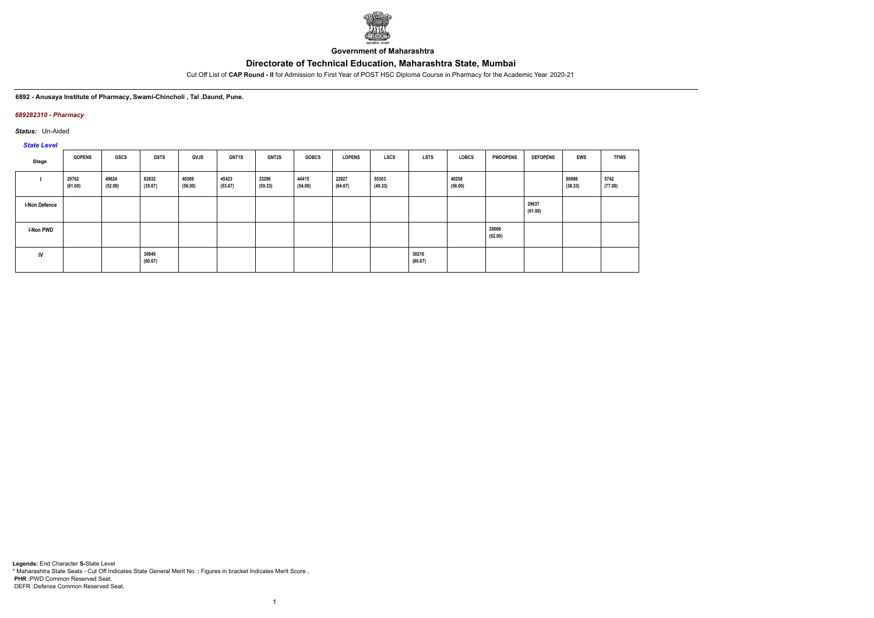

**Government of Maharashtra**

Cut Off List of **CAP Round - II** for Admission to First Year of POST HSC Diploma Course in Pharmacy for the Academic Year 2020-21

#### **6892 - Anusaya Institute of Pharmacy, Swami-Chincholi , Tal .Daund, Pune.**

### *689282310 - Pharmacy*

*Status:* Un-Aided

# *State Level*

| Stage                | <b>GOPENS</b>    | GSCS             | <b>GSTS</b>      | GVJS             | GNT1S            | GNT2S            | <b>GOBCS</b>     | <b>LOPENS</b>    | <b>LSCS</b>      | <b>LSTS</b>      | LOBCS            | <b>PWDOPENS</b>  | <b>DEFOPENS</b>  | EWS              | <b>TFWS</b>     |
|----------------------|------------------|------------------|------------------|------------------|------------------|------------------|------------------|------------------|------------------|------------------|------------------|------------------|------------------|------------------|-----------------|
|                      | 29762<br>(61.00) | 49624<br>(52.00) | 82832<br>(35.67) | 40369<br>(56.00) | 45423<br>(53.67) | 33296<br>(59.33) | 44415<br>(54.00) | 22927<br>(64.67) | 55303<br>(49.33) |                  | 40258<br>(56.00) |                  |                  | 80086<br>(38.33) | 5742<br>(77.00) |
| <b>I-Non Defence</b> |                  |                  |                  |                  |                  |                  |                  |                  |                  |                  |                  |                  | 29637<br>(61.00) |                  |                 |
| <b>I-Non PWD</b>     |                  |                  |                  |                  |                  |                  |                  |                  |                  |                  |                  | 28006<br>(62.00) |                  |                  |                 |
| IV                   |                  |                  | 30840<br>(60.67) |                  |                  |                  |                  |                  |                  | 30216<br>(60.67) |                  |                  |                  |                  |                 |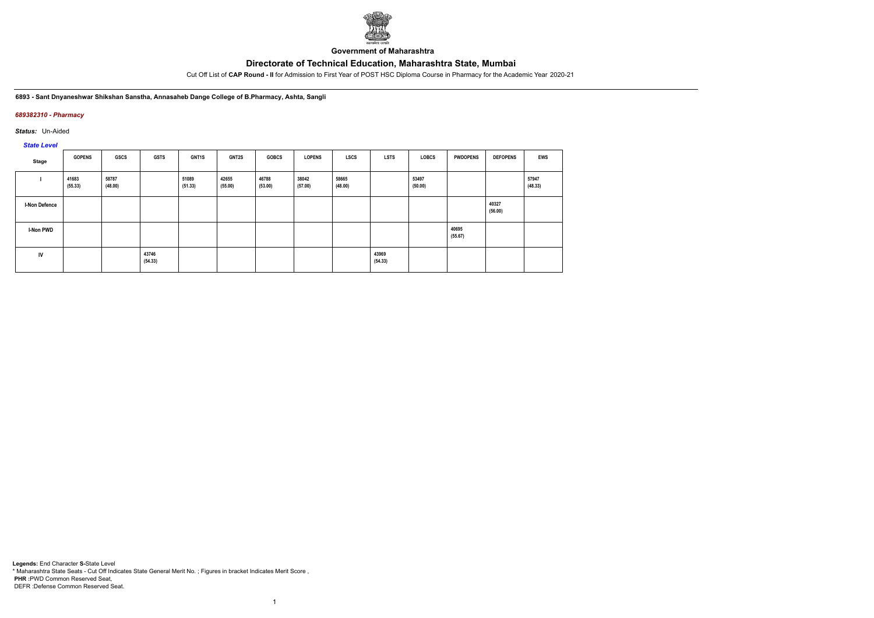

**Government of Maharashtra**

Cut Off List of **CAP Round - II** for Admission to First Year of POST HSC Diploma Course in Pharmacy for the Academic Year 2020-21

**6893 - Sant Dnyaneshwar Shikshan Sanstha, Annasaheb Dange College of B.Pharmacy, Ashta, Sangli**

## *689382310 - Pharmacy*

*Status:* Un-Aided

*State Level*

| Stage                | <b>GOPENS</b>    | <b>GSCS</b>      | <b>GSTS</b>      | GNT1S            | <b>GNT2S</b>     | <b>GOBCS</b>     | <b>LOPENS</b>    | LSCS             | <b>LSTS</b>      | <b>LOBCS</b>     | <b>PWDOPENS</b>  | <b>DEFOPENS</b>  | <b>EWS</b>       |
|----------------------|------------------|------------------|------------------|------------------|------------------|------------------|------------------|------------------|------------------|------------------|------------------|------------------|------------------|
|                      | 41683<br>(55.33) | 58787<br>(48.00) |                  | 51089<br>(51.33) | 42655<br>(55.00) | 46788<br>(53.00) | 38042<br>(57.00) | 58665<br>(48.00) |                  | 53497<br>(50.00) |                  |                  | 57947<br>(48.33) |
| <b>I-Non Defence</b> |                  |                  |                  |                  |                  |                  |                  |                  |                  |                  |                  | 40327<br>(56.00) |                  |
| <b>I-Non PWD</b>     |                  |                  |                  |                  |                  |                  |                  |                  |                  |                  | 40695<br>(55.67) |                  |                  |
| IV                   |                  |                  | 43746<br>(54.33) |                  |                  |                  |                  |                  | 43969<br>(54.33) |                  |                  |                  |                  |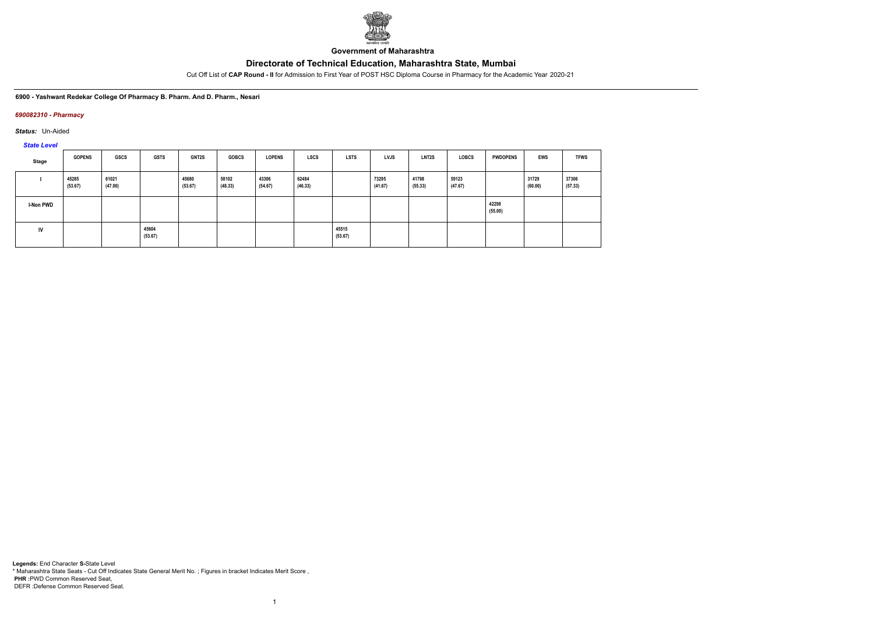

**Government of Maharashtra**

Cut Off List of **CAP Round - II** for Admission to First Year of POST HSC Diploma Course in Pharmacy for the Academic Year 2020-21

**6900 - Yashwant Redekar College Of Pharmacy B. Pharm. And D. Pharm., Nesari**

## *690082310 - Pharmacy*

*Status:* Un-Aided

*State Level*

| Stage            | <b>GOPENS</b>    | GSCS             | <b>GSTS</b>      | <b>GNT2S</b>     | <b>GOBCS</b>     | <b>LOPENS</b>    | <b>LSCS</b>      | <b>LSTS</b>      | <b>LVJS</b>      | LNT <sub>2</sub> S | <b>LOBCS</b>     | <b>PWDOPENS</b>  | EWS              | <b>TFWS</b>      |
|------------------|------------------|------------------|------------------|------------------|------------------|------------------|------------------|------------------|------------------|--------------------|------------------|------------------|------------------|------------------|
|                  | 45285<br>(53.67) | 61021<br>(47.00) |                  | 45680<br>(53.67) | 58102<br>(48.33) | 43306<br>(54.67) | 62484<br>(46.33) |                  | 73295<br>(41.67) | 41798<br>(55.33)   | 59123<br>(47.67) |                  | 31729<br>(60.00) | 37306<br>(57.33) |
| <b>I-Non PWD</b> |                  |                  |                  |                  |                  |                  |                  |                  |                  |                    |                  | 42298<br>(55.00) |                  |                  |
| <b>IV</b>        |                  |                  | 45604<br>(53.67) |                  |                  |                  |                  | 45515<br>(53.67) |                  |                    |                  |                  |                  |                  |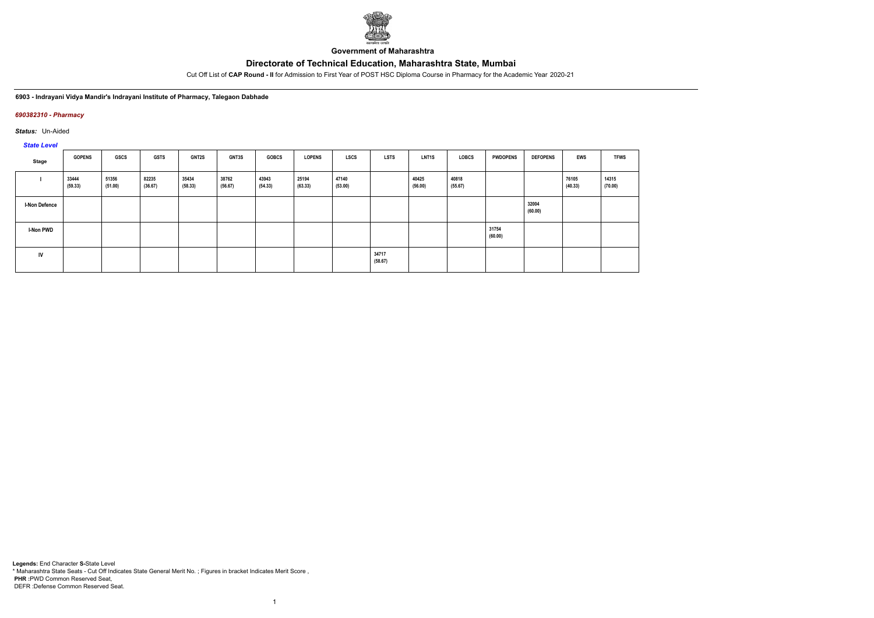

**Government of Maharashtra**

Cut Off List of **CAP Round - II** for Admission to First Year of POST HSC Diploma Course in Pharmacy for the Academic Year 2020-21

**6903 - Indrayani Vidya Mandir's Indrayani Institute of Pharmacy, Talegaon Dabhade**

### *690382310 - Pharmacy*

*Status:* Un-Aided

*State Level*

| Stage                | <b>GOPENS</b>    | GSCS             | <b>GSTS</b>      | <b>GNT2S</b>     | GNT3S            | <b>GOBCS</b>     | <b>LOPENS</b>    | LSCS             | <b>LSTS</b>      | LNT <sub>1</sub> S | LOBCS            | <b>PWDOPENS</b>  | <b>DEFOPENS</b>  | <b>EWS</b>       | <b>TFWS</b>      |
|----------------------|------------------|------------------|------------------|------------------|------------------|------------------|------------------|------------------|------------------|--------------------|------------------|------------------|------------------|------------------|------------------|
|                      | 33444<br>(59.33) | 51356<br>(51.00) | 82235<br>(36.67) | 35434<br>(58.33) | 38762<br>(56.67) | 43943<br>(54.33) | 25194<br>(63.33) | 47140<br>(53.00) |                  | 40425<br>(56.00)   | 40818<br>(55.67) |                  |                  | 76105<br>(40.33) | 14315<br>(70.00) |
| <b>I-Non Defence</b> |                  |                  |                  |                  |                  |                  |                  |                  |                  |                    |                  |                  | 32004<br>(60.00) |                  |                  |
| <b>I-Non PWD</b>     |                  |                  |                  |                  |                  |                  |                  |                  |                  |                    |                  | 31754<br>(60.00) |                  |                  |                  |
| IV                   |                  |                  |                  |                  |                  |                  |                  |                  | 34717<br>(58.67) |                    |                  |                  |                  |                  |                  |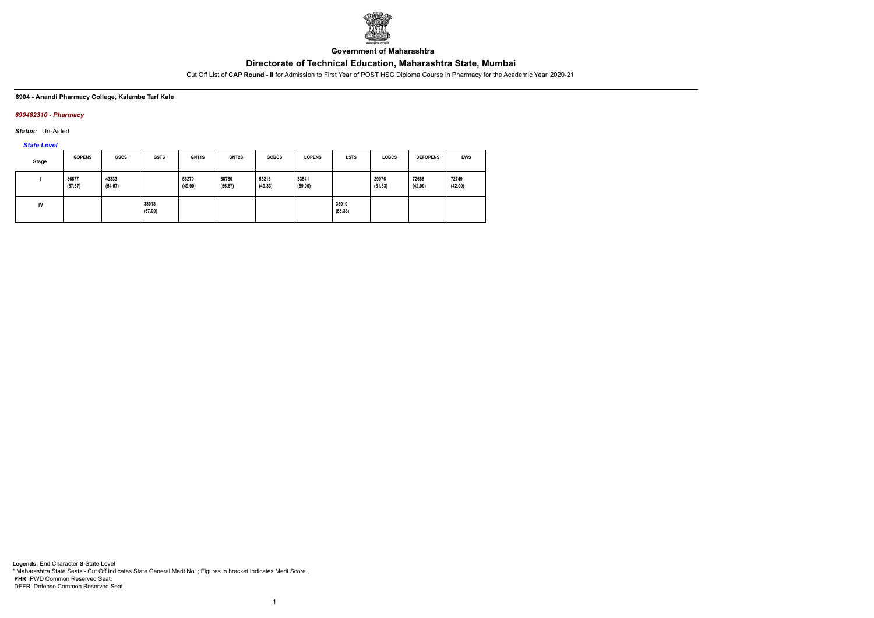

**Government of Maharashtra**

Cut Off List of **CAP Round - II** for Admission to First Year of POST HSC Diploma Course in Pharmacy for the Academic Year 2020-21

### **6904 - Anandi Pharmacy College, Kalambe Tarf Kale**

## *690482310 - Pharmacy*

*Status:* Un-Aided

*State Level*

| Stage | <b>GOPENS</b>    | <b>GSCS</b>      | <b>GSTS</b>      | GNT <sub>1</sub> S | GNT2S            | <b>GOBCS</b>     | <b>LOPENS</b>    | <b>LSTS</b>      | <b>LOBCS</b>     | <b>DEFOPENS</b>  | <b>EWS</b>       |
|-------|------------------|------------------|------------------|--------------------|------------------|------------------|------------------|------------------|------------------|------------------|------------------|
|       | 36677<br>(57.67) | 43333<br>(54.67) |                  | 56270<br>(49.00)   | 38780<br>(56.67) | 55216<br>(49.33) | 33541<br>(59.00) |                  | 29076<br>(61.33) | 72668<br>(42.00) | 72749<br>(42.00) |
| IV    |                  |                  | 38018<br>(57.00) |                    |                  |                  |                  | 35010<br>(58.33) |                  |                  |                  |

1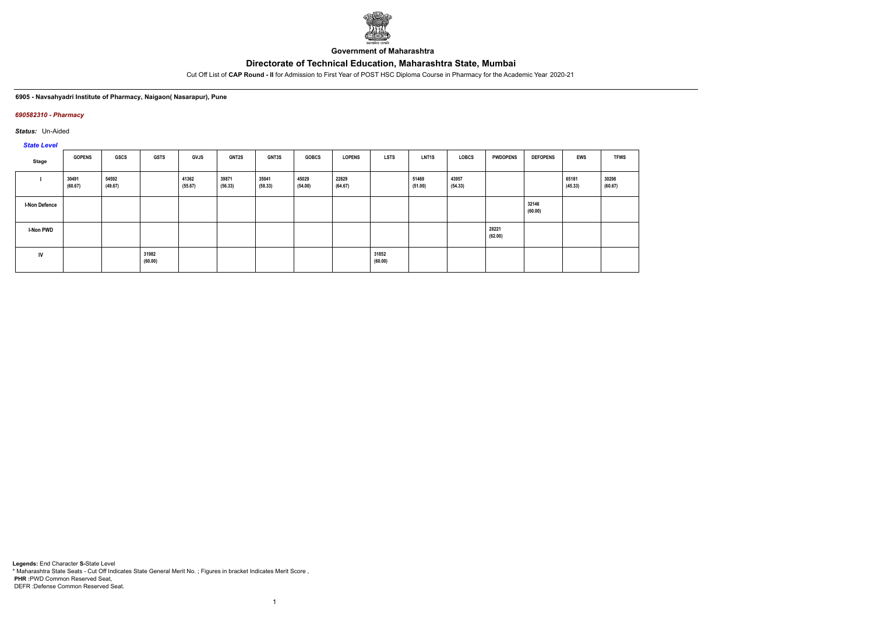

**Government of Maharashtra**

Cut Off List of **CAP Round - II** for Admission to First Year of POST HSC Diploma Course in Pharmacy for the Academic Year 2020-21

**6905 - Navsahyadri Institute of Pharmacy, Naigaon( Nasarapur), Pune**

## *690582310 - Pharmacy*

*Status:* Un-Aided

*State Level*

| Stage                | <b>GOPENS</b>    | GSCS             | <b>GSTS</b>      | <b>GVJS</b>      | <b>GNT2S</b>     | <b>GNT3S</b>     | <b>GOBCS</b>     | LOPENS           | <b>LSTS</b>      | LNT1S            | LOBCS            | <b>PWDOPENS</b>  | <b>DEFOPENS</b>  | <b>EWS</b>       | <b>TFWS</b>      |
|----------------------|------------------|------------------|------------------|------------------|------------------|------------------|------------------|------------------|------------------|------------------|------------------|------------------|------------------|------------------|------------------|
|                      | 30491<br>(60.67) | 54592<br>(49.67) |                  | 41362<br>(55.67) | 39871<br>(56.33) | 35041<br>(58.33) | 45029<br>(54.00) | 22829<br>(64.67) |                  | 51469<br>(51.00) | 43957<br>(54.33) |                  |                  | 65181<br>(45.33) | 30298<br>(60.67) |
| <b>I-Non Defence</b> |                  |                  |                  |                  |                  |                  |                  |                  |                  |                  |                  |                  | 32146<br>(60.00) |                  |                  |
| <b>I-Non PWD</b>     |                  |                  |                  |                  |                  |                  |                  |                  |                  |                  |                  | 28221<br>(62.00) |                  |                  |                  |
| IV                   |                  |                  | 31982<br>(60.00) |                  |                  |                  |                  |                  | 31852<br>(60.00) |                  |                  |                  |                  |                  |                  |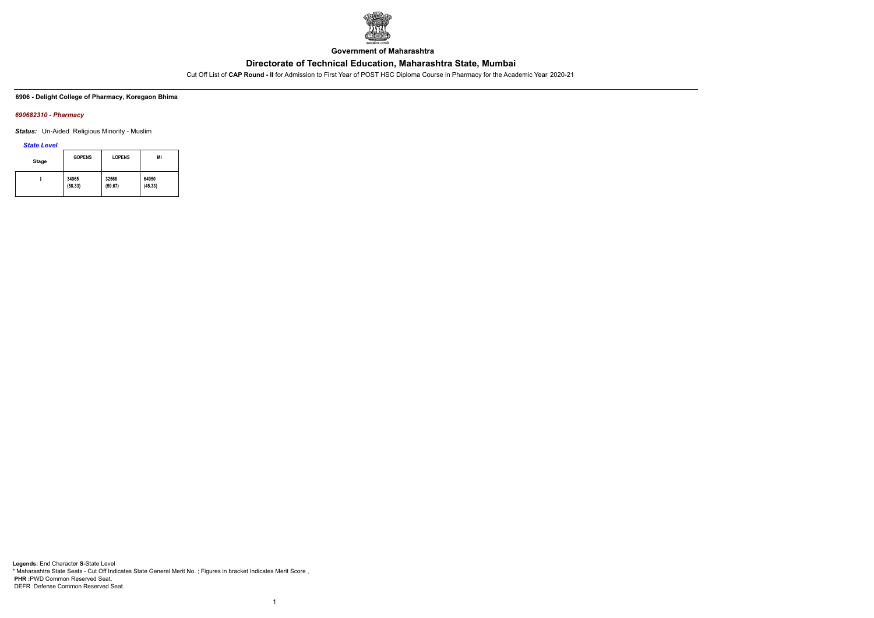

**Government of Maharashtra**

Cut Off List of **CAP Round - II** for Admission to First Year of POST HSC Diploma Course in Pharmacy for the Academic Year 2020-21

**6906 - Delight College of Pharmacy, Koregaon Bhima**

## *690682310 - Pharmacy*

*Status:* Un-Aided Religious Minority - Muslim

*State Level*

| <b>Stage</b> | <b>GOPENS</b> | <b>LOPENS</b> | MI      |
|--------------|---------------|---------------|---------|
|              | 34965         | 32566         | 64950   |
|              | (58.33)       | (59.67)       | (45.33) |

1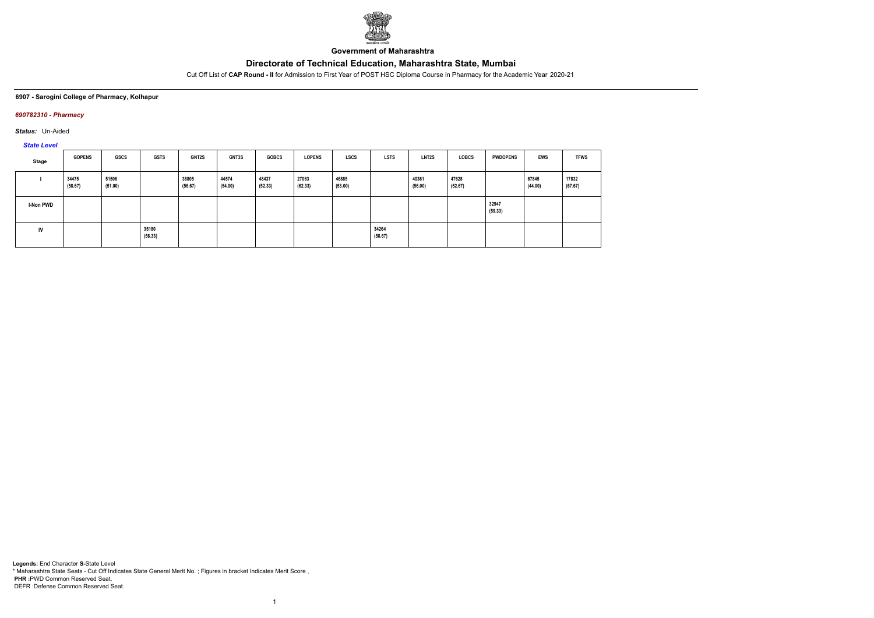

**Government of Maharashtra**

Cut Off List of **CAP Round - II** for Admission to First Year of POST HSC Diploma Course in Pharmacy for the Academic Year 2020-21

#### **6907 - Sarogini College of Pharmacy, Kolhapur**

# *690782310 - Pharmacy*

*Status:* Un-Aided

*State Level*

| Stage            | <b>GOPENS</b>    | GSCS             | GSTS             | <b>GNT2S</b>     | <b>GNT3S</b>     | <b>GOBCS</b>     | <b>LOPENS</b>    | <b>LSCS</b>      | <b>LSTS</b>      | LNT2S            | <b>LOBCS</b>     | <b>PWDOPENS</b>  | EWS              | <b>TFWS</b>      |
|------------------|------------------|------------------|------------------|------------------|------------------|------------------|------------------|------------------|------------------|------------------|------------------|------------------|------------------|------------------|
|                  | 34475<br>(58.67) | 51506<br>(51.00) |                  | 38805<br>(56.67) | 44574<br>(54.00) | 48437<br>(52.33) | 27063<br>(62.33) | 46885<br>(53.00) |                  | 40361<br>(56.00) | 47628<br>(52.67) |                  | 67845<br>(44.00) | 17832<br>(67.67) |
| <b>I-Non PWD</b> |                  |                  |                  |                  |                  |                  |                  |                  |                  |                  |                  | 32947<br>(59.33) |                  |                  |
| IV               |                  |                  | 35180<br>(58.33) |                  |                  |                  |                  |                  | 34264<br>(58.67) |                  |                  |                  |                  |                  |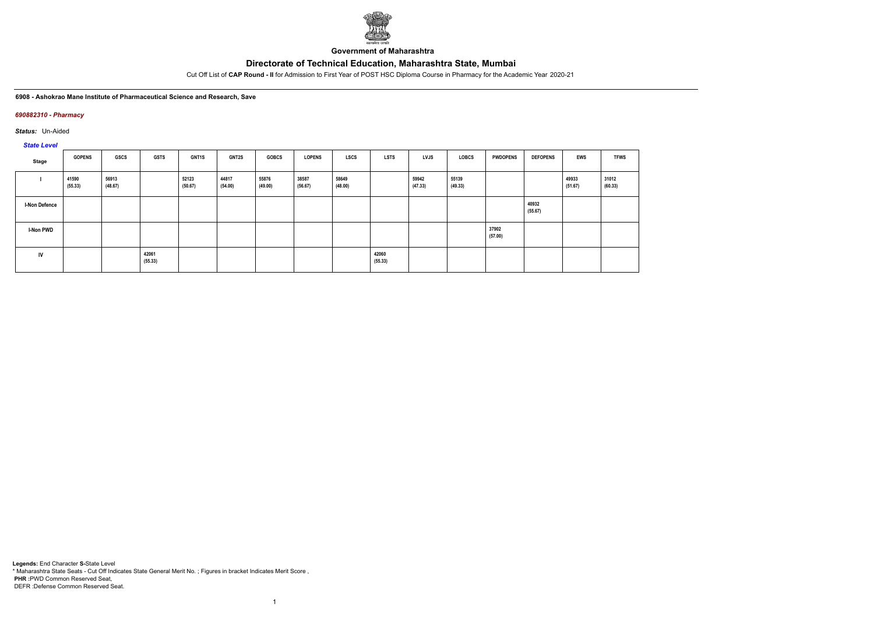

**Government of Maharashtra**

Cut Off List of **CAP Round - II** for Admission to First Year of POST HSC Diploma Course in Pharmacy for the Academic Year 2020-21

#### **6908 - Ashokrao Mane Institute of Pharmaceutical Science and Research, Save**

### *690882310 - Pharmacy*

*Status:* Un-Aided

*State Level*

| Stage                | <b>GOPENS</b>    | GSCS             | <b>GSTS</b>      | <b>GNT1S</b>     | <b>GNT2S</b>     | <b>GOBCS</b>     | <b>LOPENS</b>    | LSCS             | <b>LSTS</b>      | LVJS             | LOBCS            | <b>PWDOPENS</b>  | <b>DEFOPENS</b>  | EWS              | <b>TFWS</b>      |
|----------------------|------------------|------------------|------------------|------------------|------------------|------------------|------------------|------------------|------------------|------------------|------------------|------------------|------------------|------------------|------------------|
|                      | 41590<br>(55.33) | 56913<br>(48.67) |                  | 52123<br>(50.67) | 44817<br>(54.00) | 55876<br>(49.00) | 38587<br>(56.67) | 58649<br>(48.00) |                  | 59942<br>(47.33) | 55139<br>(49.33) |                  |                  | 49933<br>(51.67) | 31012<br>(60.33) |
| <b>I-Non Defence</b> |                  |                  |                  |                  |                  |                  |                  |                  |                  |                  |                  |                  | 40932<br>(55.67) |                  |                  |
| I-Non PWD            |                  |                  |                  |                  |                  |                  |                  |                  |                  |                  |                  | 37902<br>(57.00) |                  |                  |                  |
| IV                   |                  |                  | 42061<br>(55.33) |                  |                  |                  |                  |                  | 42060<br>(55.33) |                  |                  |                  |                  |                  |                  |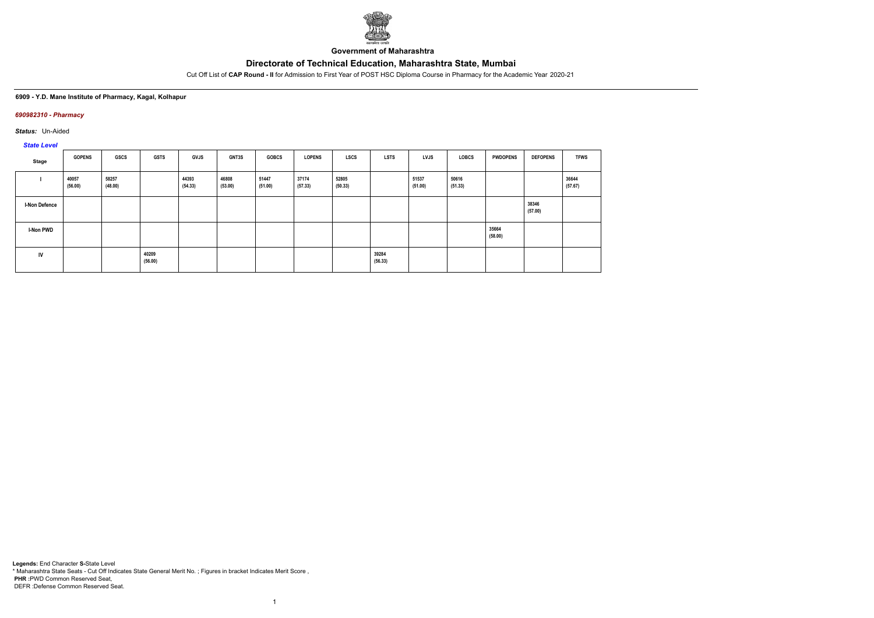

**Government of Maharashtra**

Cut Off List of **CAP Round - II** for Admission to First Year of POST HSC Diploma Course in Pharmacy for the Academic Year 2020-21

### **6909 - Y.D. Mane Institute of Pharmacy, Kagal, Kolhapur**

### *690982310 - Pharmacy*

*Status:* Un-Aided

# *State Level*

| Stage                | <b>GOPENS</b>    | <b>GSCS</b>      | <b>GSTS</b>      | <b>GVJS</b>      | <b>GNT3S</b>     | <b>GOBCS</b>     | <b>LOPENS</b>    | <b>LSCS</b>      | <b>LSTS</b>      | <b>LVJS</b>      | <b>LOBCS</b>     | <b>PWDOPENS</b>  | <b>DEFOPENS</b>  | <b>TFWS</b>      |
|----------------------|------------------|------------------|------------------|------------------|------------------|------------------|------------------|------------------|------------------|------------------|------------------|------------------|------------------|------------------|
|                      | 40057<br>(56.00) | 58257<br>(48.00) |                  | 44393<br>(54.33) | 46808<br>(53.00) | 51447<br>(51.00) | 37174<br>(57.33) | 52805<br>(50.33) |                  | 51537<br>(51.00) | 50616<br>(51.33) |                  |                  | 36644<br>(57.67) |
| <b>I-Non Defence</b> |                  |                  |                  |                  |                  |                  |                  |                  |                  |                  |                  |                  | 38346<br>(57.00) |                  |
| <b>I-Non PWD</b>     |                  |                  |                  |                  |                  |                  |                  |                  |                  |                  |                  | 35664<br>(58.00) |                  |                  |
| <b>IV</b>            |                  |                  | 40209<br>(56.00) |                  |                  |                  |                  |                  | 39284<br>(56.33) |                  |                  |                  |                  |                  |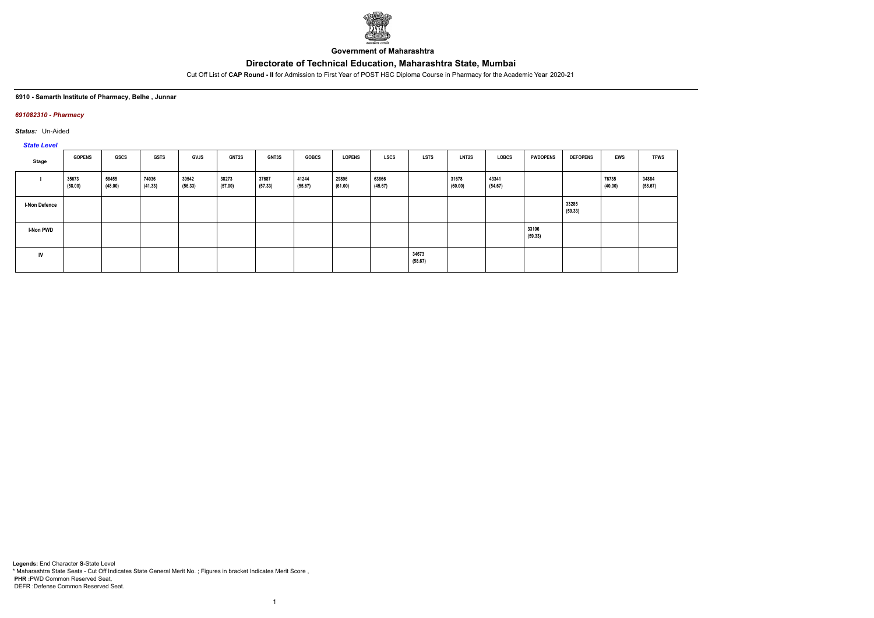

**Government of Maharashtra**

Cut Off List of **CAP Round - II** for Admission to First Year of POST HSC Diploma Course in Pharmacy for the Academic Year 2020-21

#### **6910 - Samarth Institute of Pharmacy, Belhe , Junnar**

### *691082310 - Pharmacy*

*Status:* Un-Aided

# *State Level*

| Stage                | <b>GOPENS</b>    | GSCS             | <b>GSTS</b>      | <b>GVJS</b>      | <b>GNT2S</b>     | <b>GNT3S</b>     | <b>GOBCS</b>     | <b>LOPENS</b>    | <b>LSCS</b>      | <b>LSTS</b>      | <b>LNT2S</b>     | LOBCS            | <b>PWDOPENS</b>  | <b>DEFOPENS</b>  | <b>EWS</b>       | <b>TFWS</b>      |
|----------------------|------------------|------------------|------------------|------------------|------------------|------------------|------------------|------------------|------------------|------------------|------------------|------------------|------------------|------------------|------------------|------------------|
|                      | 35673<br>(58.00) | 58455<br>(48.00) | 74036<br>(41.33) | 39542<br>(56.33) | 38273<br>(57.00) | 37687<br>(57.33) | 41244<br>(55.67) | 29896<br>(61.00) | 63866<br>(45.67) |                  | 31678<br>(60.00) | 43341<br>(54.67) |                  |                  | 76735<br>(40.00) | 34884<br>(58.67) |
| <b>I-Non Defence</b> |                  |                  |                  |                  |                  |                  |                  |                  |                  |                  |                  |                  |                  | 33285<br>(59.33) |                  |                  |
| <b>I-Non PWD</b>     |                  |                  |                  |                  |                  |                  |                  |                  |                  |                  |                  |                  | 33106<br>(59.33) |                  |                  |                  |
| <b>IV</b>            |                  |                  |                  |                  |                  |                  |                  |                  |                  | 34673<br>(58.67) |                  |                  |                  |                  |                  |                  |

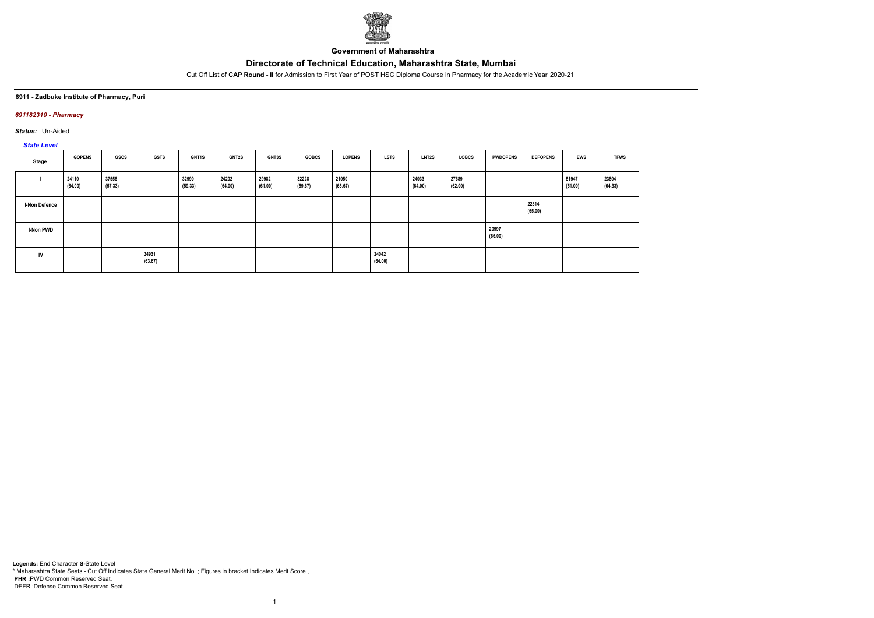

**Government of Maharashtra**

Cut Off List of **CAP Round - II** for Admission to First Year of POST HSC Diploma Course in Pharmacy for the Academic Year 2020-21

#### **6911 - Zadbuke Institute of Pharmacy, Puri**

## *691182310 - Pharmacy*

*Status:* Un-Aided

# *State Level*

| Stage                | <b>GOPENS</b>    | GSCS             | <b>GSTS</b>      | GNT1S            | <b>GNT2S</b>     | GNT3S            | <b>GOBCS</b>     | <b>LOPENS</b>    | <b>LSTS</b>      | <b>LNT2S</b>     | <b>LOBCS</b>     | <b>PWDOPENS</b>  | <b>DEFOPENS</b>  | <b>EWS</b>       | <b>TFWS</b>      |
|----------------------|------------------|------------------|------------------|------------------|------------------|------------------|------------------|------------------|------------------|------------------|------------------|------------------|------------------|------------------|------------------|
|                      | 24110<br>(64.00) | 37556<br>(57.33) |                  | 32990<br>(59.33) | 24202<br>(64.00) | 29982<br>(61.00) | 32228<br>(59.67) | 21050<br>(65.67) |                  | 24033<br>(64.00) | 27689<br>(62.00) |                  |                  | 51947<br>(51.00) | 23804<br>(64.33) |
| <b>I-Non Defence</b> |                  |                  |                  |                  |                  |                  |                  |                  |                  |                  |                  |                  | 22314<br>(65.00) |                  |                  |
| I-Non PWD            |                  |                  |                  |                  |                  |                  |                  |                  |                  |                  |                  | 20997<br>(66.00) |                  |                  |                  |
| IV                   |                  |                  | 24931<br>(63.67) |                  |                  |                  |                  |                  | 24042<br>(64.00) |                  |                  |                  |                  |                  |                  |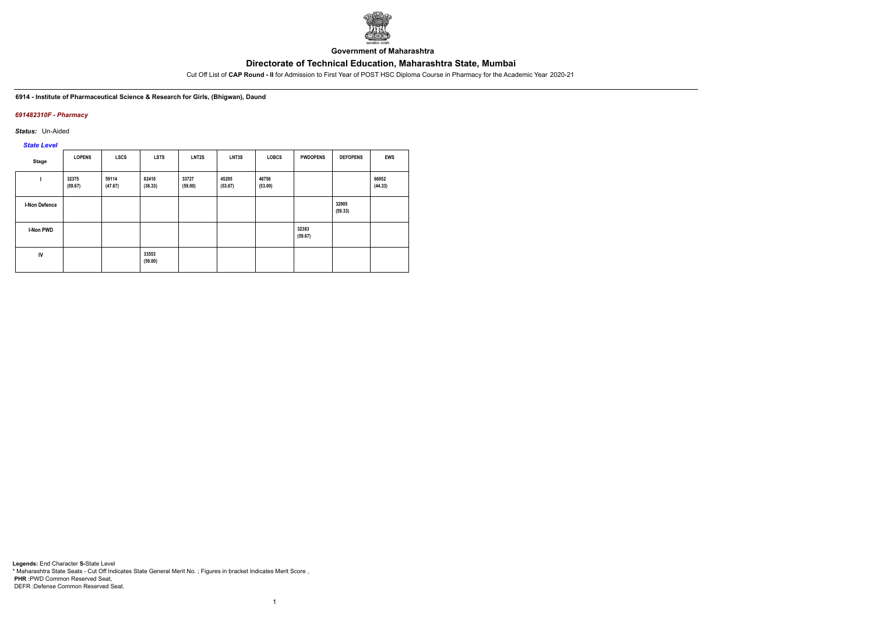

**Government of Maharashtra**

Cut Off List of **CAP Round - II** for Admission to First Year of POST HSC Diploma Course in Pharmacy for the Academic Year 2020-21

**6914 - Institute of Pharmaceutical Science & Research for Girls, (Bhigwan), Daund**

## *691482310F - Pharmacy*

*Status:* Un-Aided

*State Level*

| Stage                | <b>LOPENS</b>    | <b>LSCS</b>      | <b>LSTS</b>      | LNT2S            | LNT3S            | <b>LOBCS</b>     | <b>PWDOPENS</b>  | <b>DEFOPENS</b>  | <b>EWS</b>       |
|----------------------|------------------|------------------|------------------|------------------|------------------|------------------|------------------|------------------|------------------|
|                      | 32375<br>(59.67) | 59114<br>(47.67) | 82410<br>(36.33) | 33727<br>(59.00) | 45205<br>(53.67) | 46756<br>(53.00) |                  |                  | 66952<br>(44.33) |
| <b>I-Non Defence</b> |                  |                  |                  |                  |                  |                  |                  | 32905<br>(59.33) |                  |
| <b>I-Non PWD</b>     |                  |                  |                  |                  |                  |                  | 32383<br>(59.67) |                  |                  |
| IV                   |                  |                  | 33553<br>(59.00) |                  |                  |                  |                  |                  |                  |

1

**Legends:** End Character **S-**State Level \* Maharashtra State Seats - Cut Off Indicates State General Merit No. ; Figures in bracket Indicates Merit Score , **PHR :**PWD Common Reserved Seat, DEFR :Defense Common Reserved Seat.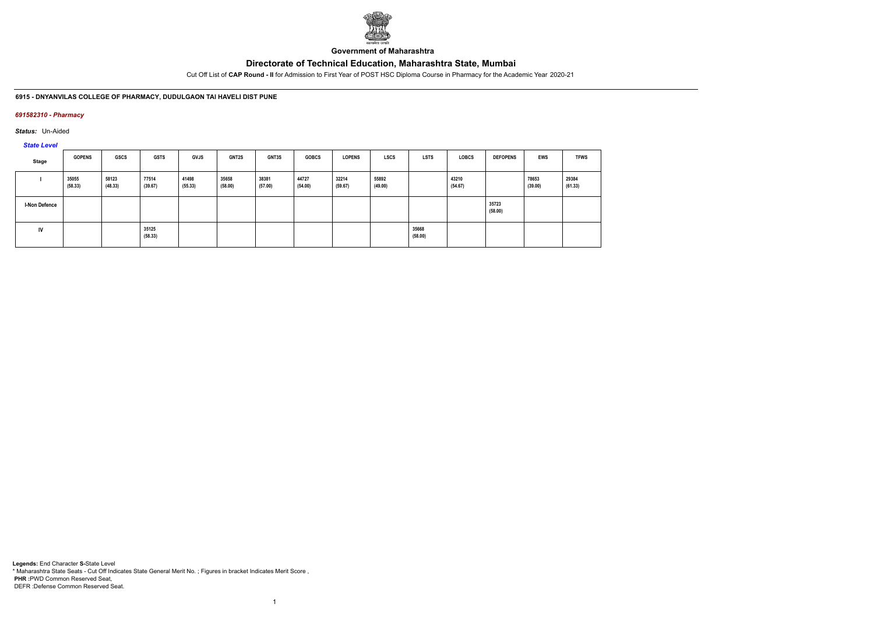

**Government of Maharashtra**

Cut Off List of **CAP Round - II** for Admission to First Year of POST HSC Diploma Course in Pharmacy for the Academic Year 2020-21

## **6915 - DNYANVILAS COLLEGE OF PHARMACY, DUDULGAON TAl HAVELI DIST PUNE**

## *691582310 - Pharmacy*

*Status:* Un-Aided

# *State Level*

| Stage                | <b>GOPENS</b>    | <b>GSCS</b>      | <b>GSTS</b>      | <b>GVJS</b>      | <b>GNT2S</b>     | <b>GNT3S</b>     | <b>GOBCS</b>     | <b>LOPENS</b>    | LSCS             | <b>LSTS</b>      | <b>LOBCS</b>     | <b>DEFOPENS</b>  | EWS              | <b>TFWS</b>      |
|----------------------|------------------|------------------|------------------|------------------|------------------|------------------|------------------|------------------|------------------|------------------|------------------|------------------|------------------|------------------|
|                      | 35055<br>(58.33) | 58123<br>(48.33) | 77514<br>(39.67) | 41498<br>(55.33) | 35658<br>(58.00) | 38381<br>(57.00) | 44727<br>(54.00) | 32214<br>(59.67) | 55892<br>(49.00) |                  | 43210<br>(54.67) |                  | 78653<br>(39.00) | 29384<br>(61.33) |
| <b>I-Non Defence</b> |                  |                  |                  |                  |                  |                  |                  |                  |                  |                  |                  | 35723<br>(58.00) |                  |                  |
| IV                   |                  |                  | 35125<br>(58.33) |                  |                  |                  |                  |                  |                  | 35668<br>(58.00) |                  |                  |                  |                  |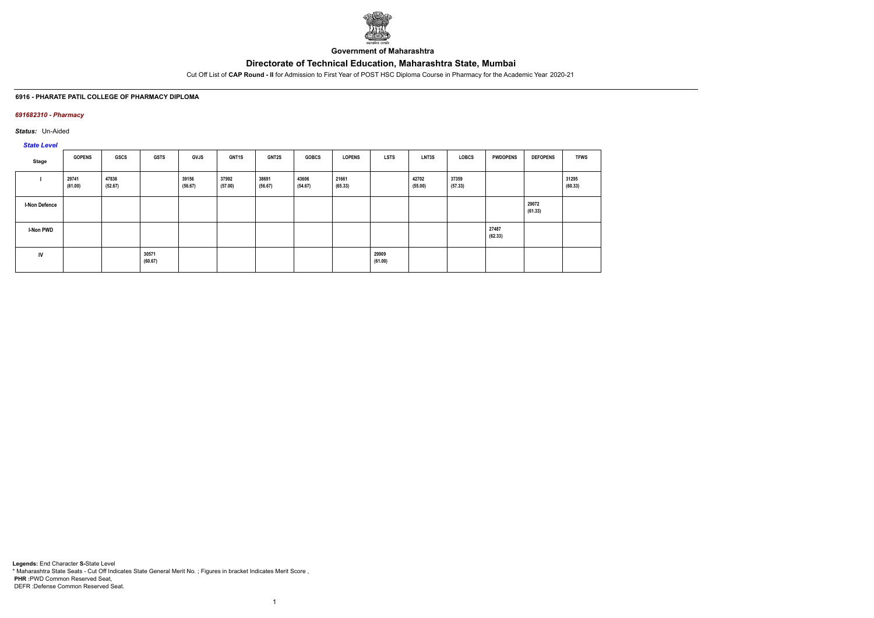

**Government of Maharashtra**

Cut Off List of **CAP Round - II** for Admission to First Year of POST HSC Diploma Course in Pharmacy for the Academic Year 2020-21

## **6916 - PHARATE PATIL COLLEGE OF PHARMACY DIPLOMA**

## *691682310 - Pharmacy*

*Status:* Un-Aided

*State Level*

| Stage                | <b>GOPENS</b>    | GSCS             | GSTS             | GVJS             | <b>GNT1S</b>     | <b>GNT2S</b>     | <b>GOBCS</b>     | <b>LOPENS</b>    | LSTS             | LNT3S            | LOBCS            | <b>PWDOPENS</b>  | <b>DEFOPENS</b>  | <b>TFWS</b>      |
|----------------------|------------------|------------------|------------------|------------------|------------------|------------------|------------------|------------------|------------------|------------------|------------------|------------------|------------------|------------------|
|                      | 29741<br>(61.00) | 47836<br>(52.67) |                  | 39156<br>(56.67) | 37992<br>(57.00) | 38691<br>(56.67) | 43606<br>(54.67) | 21661<br>(65.33) |                  | 42702<br>(55.00) | 37359<br>(57.33) |                  |                  | 31295<br>(60.33) |
| <b>I-Non Defence</b> |                  |                  |                  |                  |                  |                  |                  |                  |                  |                  |                  |                  | 29072<br>(61.33) |                  |
| I-Non PWD            |                  |                  |                  |                  |                  |                  |                  |                  |                  |                  |                  | 27487<br>(62.33) |                  |                  |
| IV                   |                  |                  | 30571<br>(60.67) |                  |                  |                  |                  |                  | 29909<br>(61.00) |                  |                  |                  |                  |                  |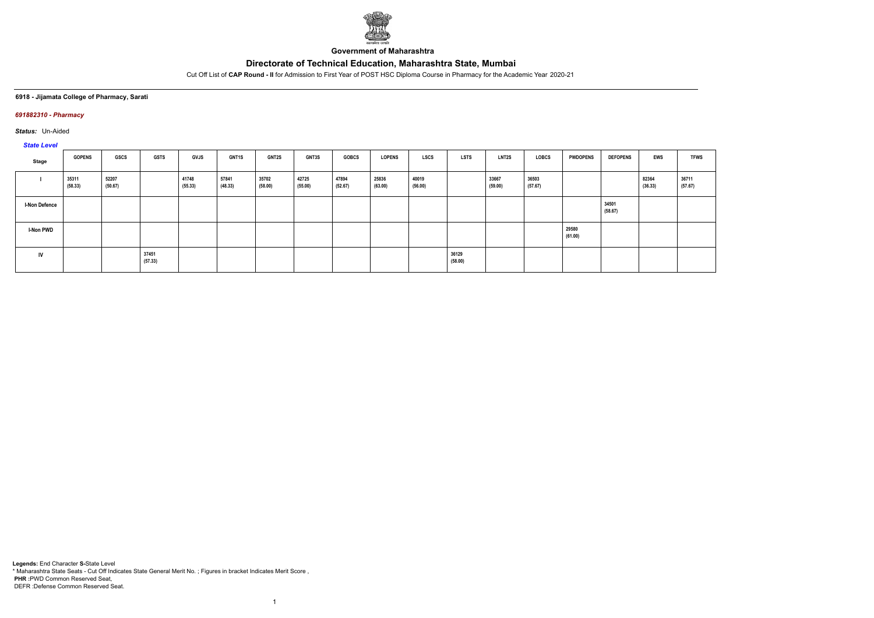

**Government of Maharashtra**

Cut Off List of **CAP Round - II** for Admission to First Year of POST HSC Diploma Course in Pharmacy for the Academic Year 2020-21

## **6918 - Jijamata College of Pharmacy, Sarati**

## *691882310 - Pharmacy*

*Status:* Un-Aided

## *State Level*

| $O(10C)$ respectively. |                  |                  |                  |                  |                  |                  |                  |                  |                  |                  |                  |                  |                  |                  |                  |                  |                  |
|------------------------|------------------|------------------|------------------|------------------|------------------|------------------|------------------|------------------|------------------|------------------|------------------|------------------|------------------|------------------|------------------|------------------|------------------|
| Stage                  | <b>GOPENS</b>    | GSCS             | <b>GSTS</b>      | <b>GVJS</b>      | <b>GNT1S</b>     | <b>GNT2S</b>     | <b>GNT3S</b>     | <b>GOBCS</b>     | <b>LOPENS</b>    | <b>LSCS</b>      | <b>LSTS</b>      | <b>LNT2S</b>     | LOBCS            | <b>PWDOPENS</b>  | <b>DEFOPENS</b>  | EWS              | <b>TFWS</b>      |
|                        | 35311<br>(58.33) | 52207<br>(50.67) |                  | 41748<br>(55.33) | 57841<br>(48.33) | 35702<br>(58.00) | 42725<br>(55.00) | 47894<br>(52.67) | 25836<br>(63.00) | 40019<br>(56.00) |                  | 33667<br>(59.00) | 36503<br>(57.67) |                  |                  | 82364<br>(36.33) | 36711<br>(57.67) |
| <b>I-Non Defence</b>   |                  |                  |                  |                  |                  |                  |                  |                  |                  |                  |                  |                  |                  |                  | 34501<br>(58.67) |                  |                  |
| <b>I-Non PWD</b>       |                  |                  |                  |                  |                  |                  |                  |                  |                  |                  |                  |                  |                  | 29580<br>(61.00) |                  |                  |                  |
| IV                     |                  |                  | 37451<br>(57.33) |                  |                  |                  |                  |                  |                  |                  | 36129<br>(58.00) |                  |                  |                  |                  |                  |                  |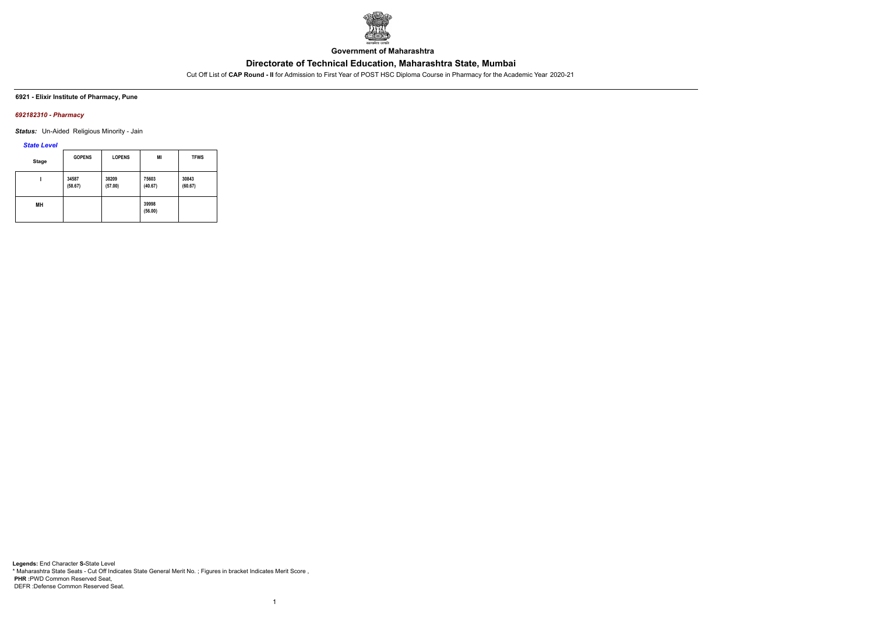

**Government of Maharashtra**

Cut Off List of **CAP Round - II** for Admission to First Year of POST HSC Diploma Course in Pharmacy for the Academic Year 2020-21

**6921 - Elixir Institute of Pharmacy, Pune**

## *692182310 - Pharmacy*

*Status:* Un-Aided Religious Minority - Jain

## *State Level*

| <b>Stage</b> | <b>GOPENS</b>    | <b>LOPENS</b>    | MI               | <b>TFWS</b>      |
|--------------|------------------|------------------|------------------|------------------|
|              | 34587<br>(58.67) | 38209<br>(57.00) | 75603<br>(40.67) | 30843<br>(60.67) |
| MН           |                  |                  | 39998<br>(56.00) |                  |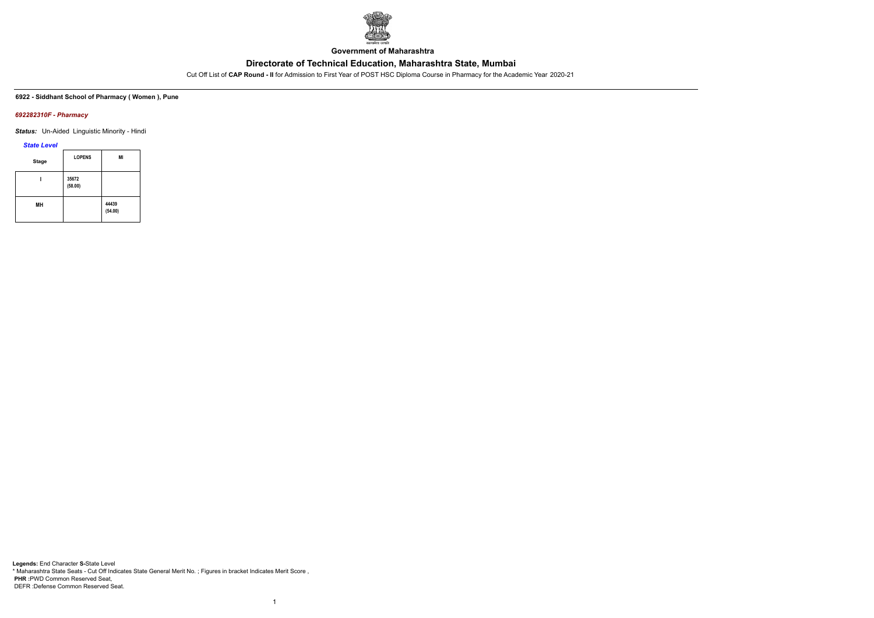

**Government of Maharashtra**

Cut Off List of **CAP Round - II** for Admission to First Year of POST HSC Diploma Course in Pharmacy for the Academic Year 2020-21

**6922 - Siddhant School of Pharmacy ( Women ), Pune**

## *692282310F - Pharmacy*

*Status:* Un-Aided Linguistic Minority - Hindi

*State Level*

| <b>Stage</b> | <b>LOPENS</b>    | MI               |
|--------------|------------------|------------------|
|              | 35672<br>(58.00) |                  |
| MН           |                  | 44439<br>(54.00) |

1

**Legends:** End Character **S-**State Level \* Maharashtra State Seats - Cut Off Indicates State General Merit No. ; Figures in bracket Indicates Merit Score , **PHR :**PWD Common Reserved Seat, DEFR :Defense Common Reserved Seat.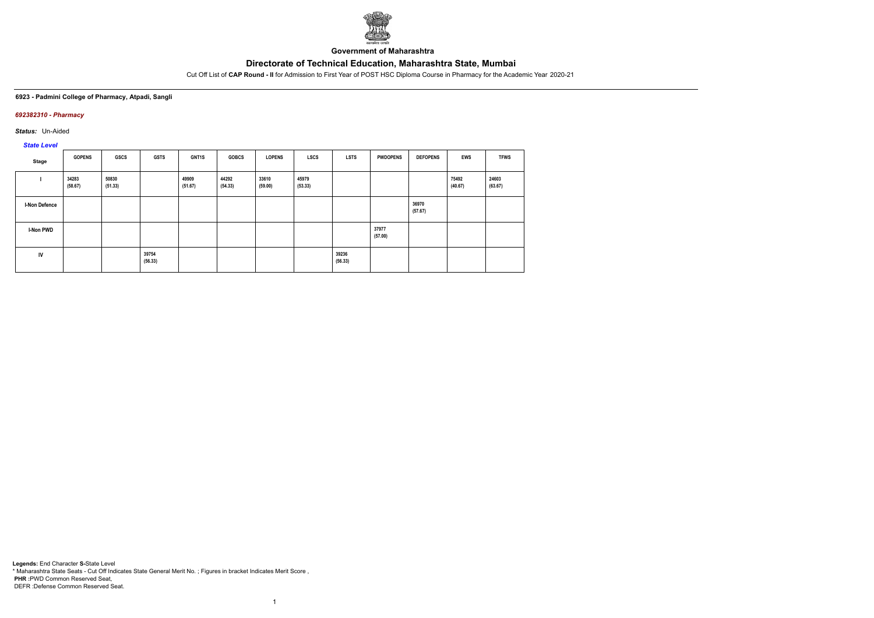

**Government of Maharashtra**

Cut Off List of **CAP Round - II** for Admission to First Year of POST HSC Diploma Course in Pharmacy for the Academic Year 2020-21

#### **6923 - Padmini College of Pharmacy, Atpadi, Sangli**

## *692382310 - Pharmacy*

*Status:* Un-Aided

# *State Level*

| Stage                | <b>GOPENS</b>    | GSCS             | <b>GSTS</b>      | GNT1S            | <b>GOBCS</b>     | <b>LOPENS</b>    | <b>LSCS</b>      | <b>LSTS</b>      | <b>PWDOPENS</b>  | <b>DEFOPENS</b>  | <b>EWS</b>       | <b>TFWS</b>      |
|----------------------|------------------|------------------|------------------|------------------|------------------|------------------|------------------|------------------|------------------|------------------|------------------|------------------|
|                      | 34283<br>(58.67) | 50830<br>(51.33) |                  | 49909<br>(51.67) | 44292<br>(54.33) | 33610<br>(59.00) | 45979<br>(53.33) |                  |                  |                  | 75492<br>(40.67) | 24603<br>(63.67) |
| <b>I-Non Defence</b> |                  |                  |                  |                  |                  |                  |                  |                  |                  | 36970<br>(57.67) |                  |                  |
| <b>I-Non PWD</b>     |                  |                  |                  |                  |                  |                  |                  |                  | 37977<br>(57.00) |                  |                  |                  |
| IV                   |                  |                  | 39754<br>(56.33) |                  |                  |                  |                  | 39236<br>(56.33) |                  |                  |                  |                  |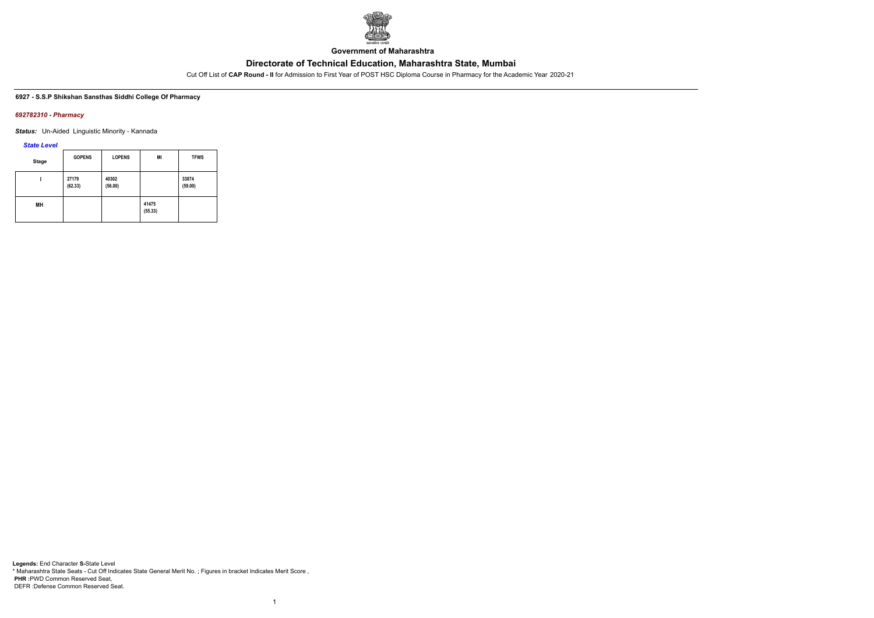

**Government of Maharashtra**

Cut Off List of **CAP Round - II** for Admission to First Year of POST HSC Diploma Course in Pharmacy for the Academic Year 2020-21

#### **6927 - S.S.P Shikshan Sansthas Siddhi College Of Pharmacy**

### *692782310 - Pharmacy*

*Status:* Un-Aided Linguistic Minority - Kannada

## *State Level*

| <b>Stage</b> | <b>GOPENS</b>    | <b>LOPENS</b>    | MI               | <b>TFWS</b>      |
|--------------|------------------|------------------|------------------|------------------|
|              | 27179<br>(62.33) | 40302<br>(56.00) |                  | 33874<br>(59.00) |
| MН           |                  |                  | 41475<br>(55.33) |                  |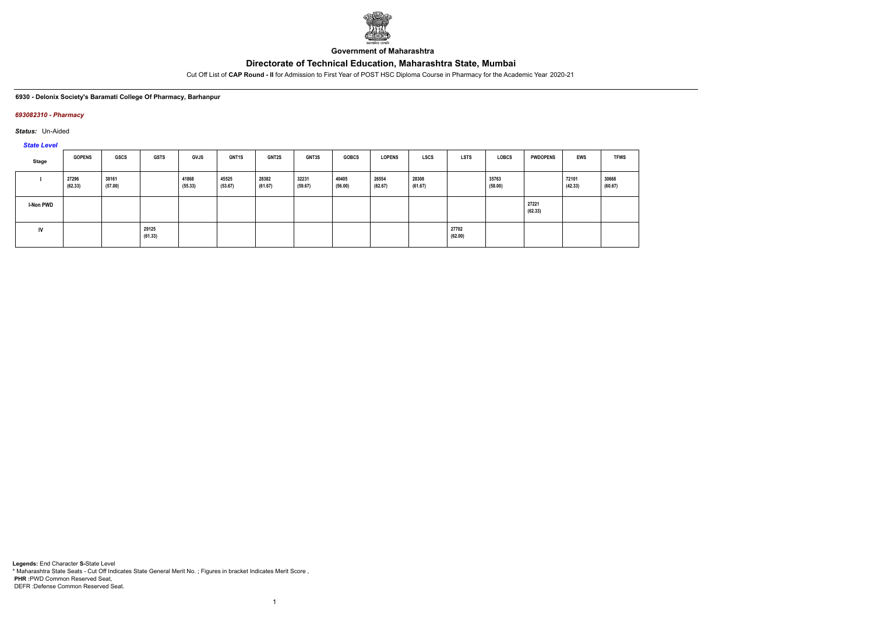

**Government of Maharashtra**

Cut Off List of **CAP Round - II** for Admission to First Year of POST HSC Diploma Course in Pharmacy for the Academic Year 2020-21

## **6930 - Delonix Society's Baramati College Of Pharmacy, Barhanpur**

## *693082310 - Pharmacy*

*Status:* Un-Aided

*State Level*

| Stage     | <b>GOPENS</b>    | <b>GSCS</b>      | <b>GSTS</b>      | <b>GVJS</b>      | <b>GNT1S</b>     | <b>GNT2S</b>     | GNT3S            | <b>GOBCS</b>     | <b>LOPENS</b>    | <b>LSCS</b>      | <b>LSTS</b>      | <b>LOBCS</b>     | <b>PWDOPENS</b>  | EWS              | <b>TFWS</b>      |
|-----------|------------------|------------------|------------------|------------------|------------------|------------------|------------------|------------------|------------------|------------------|------------------|------------------|------------------|------------------|------------------|
|           | 27296<br>(62.33) | 38161<br>(57.00) |                  | 41868<br>(55.33) | 45525<br>(53.67) | 28382<br>(61.67) | 32231<br>(59.67) | 40405<br>(56.00) | 26554<br>(62.67) | 28308<br>(61.67) |                  | 35763<br>(58.00) |                  | 72101<br>(42.33) | 30668<br>(60.67) |
| I-Non PWD |                  |                  |                  |                  |                  |                  |                  |                  |                  |                  |                  |                  | 27221<br>(62.33) |                  |                  |
| IV        |                  |                  | 29125<br>(61.33) |                  |                  |                  |                  |                  |                  |                  | 27702<br>(62.00) |                  |                  |                  |                  |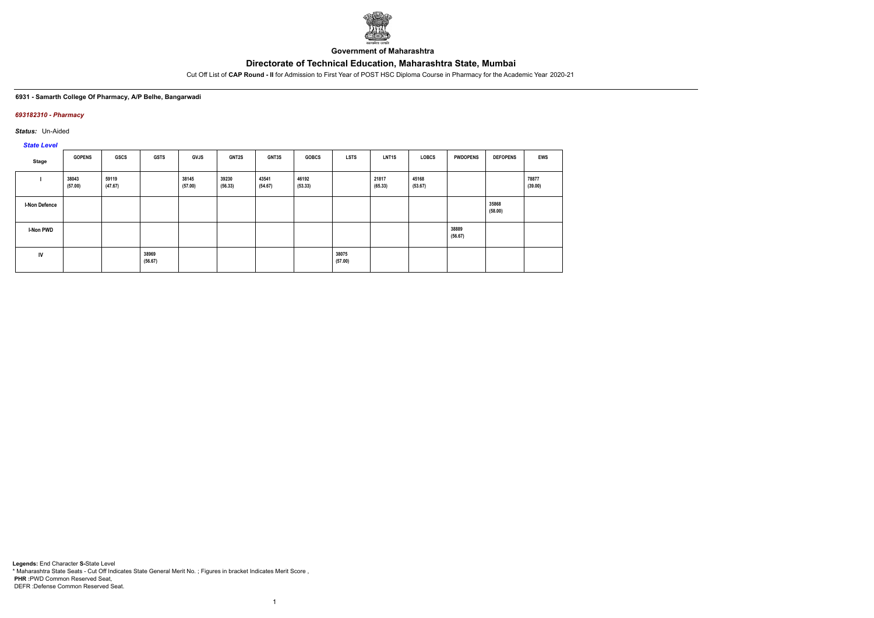

**Government of Maharashtra**

Cut Off List of **CAP Round - II** for Admission to First Year of POST HSC Diploma Course in Pharmacy for the Academic Year 2020-21

## **6931 - Samarth College Of Pharmacy, A/P Belhe, Bangarwadi**

## *693182310 - Pharmacy*

*Status:* Un-Aided

# *State Level*

| ______           |                  |                  |                  |                  |                  |                  |                  |                  |                  |                  |                  |                  |                  |
|------------------|------------------|------------------|------------------|------------------|------------------|------------------|------------------|------------------|------------------|------------------|------------------|------------------|------------------|
| Stage            | <b>GOPENS</b>    | GSCS             | <b>GSTS</b>      | <b>GVJS</b>      | <b>GNT2S</b>     | GNT3S            | <b>GOBCS</b>     | LSTS             | <b>LNT1S</b>     | LOBCS            | <b>PWDOPENS</b>  | <b>DEFOPENS</b>  | <b>EWS</b>       |
|                  | 38043<br>(57.00) | 59119<br>(47.67) |                  | 38145<br>(57.00) | 39230<br>(56.33) | 43541<br>(54.67) | 46192<br>(53.33) |                  | 21817<br>(65.33) | 45168<br>(53.67) |                  |                  | 78877<br>(39.00) |
| I-Non Defence    |                  |                  |                  |                  |                  |                  |                  |                  |                  |                  |                  | 35868<br>(58.00) |                  |
| <b>I-Non PWD</b> |                  |                  |                  |                  |                  |                  |                  |                  |                  |                  | 38889<br>(56.67) |                  |                  |
| IV               |                  |                  | 38969<br>(56.67) |                  |                  |                  |                  | 38075<br>(57.00) |                  |                  |                  |                  |                  |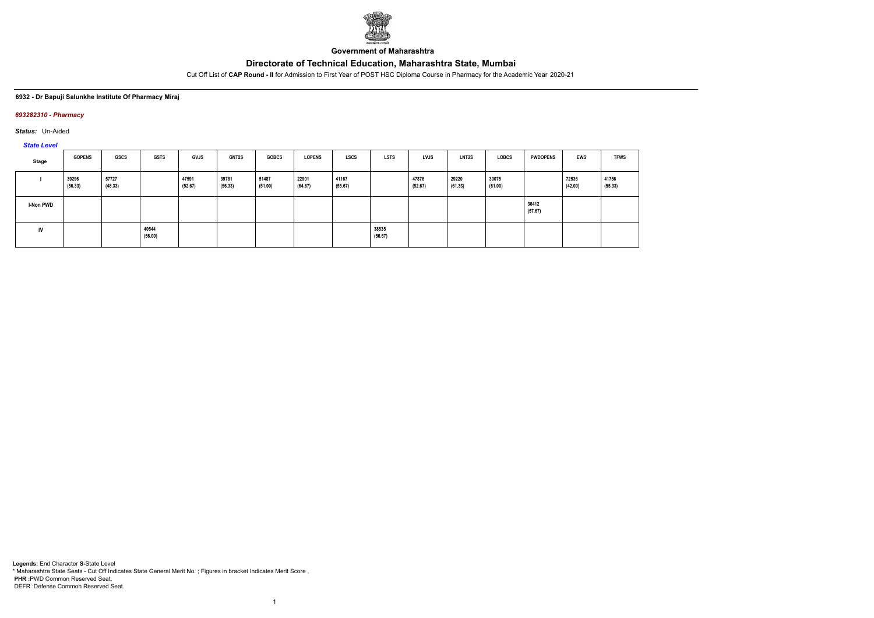

**Government of Maharashtra**

Cut Off List of **CAP Round - II** for Admission to First Year of POST HSC Diploma Course in Pharmacy for the Academic Year 2020-21

## **6932 - Dr Bapuji Salunkhe Institute Of Pharmacy Miraj**

## *693282310 - Pharmacy*

*Status:* Un-Aided

*State Level*

| Stage            | <b>GOPENS</b>    | GSCS             | <b>GSTS</b>      | <b>GVJS</b>      | <b>GNT2S</b>     | <b>GOBCS</b>     | <b>LOPENS</b>    | <b>LSCS</b>      | <b>LSTS</b>      | LVJS             | LNT2S            | <b>LOBCS</b>     | <b>PWDOPENS</b>  | <b>EWS</b>       | <b>TFWS</b>      |
|------------------|------------------|------------------|------------------|------------------|------------------|------------------|------------------|------------------|------------------|------------------|------------------|------------------|------------------|------------------|------------------|
|                  | 39296<br>(56.33) | 57727<br>(48.33) |                  | 47591<br>(52.67) | 39781<br>(56.33) | 51487<br>(51.00) | 22901<br>(64.67) | 41167<br>(55.67) |                  | 47876<br>(52.67) | 29220<br>(61.33) | 30075<br>(61.00) |                  | 72536<br>(42.00) | 41756<br>(55.33) |
| <b>I-Non PWD</b> |                  |                  |                  |                  |                  |                  |                  |                  |                  |                  |                  |                  | 36412<br>(57.67) |                  |                  |
| IV               |                  |                  | 40544<br>(56.00) |                  |                  |                  |                  |                  | 38535<br>(56.67) |                  |                  |                  |                  |                  |                  |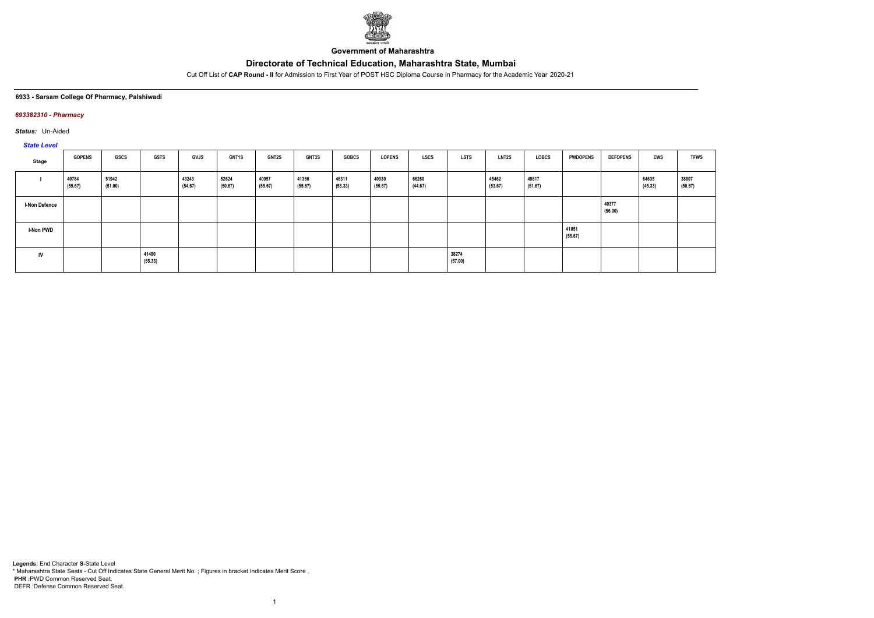

**Government of Maharashtra**

Cut Off List of **CAP Round - II** for Admission to First Year of POST HSC Diploma Course in Pharmacy for the Academic Year 2020-21

## **6933 - Sarsam College Of Pharmacy, Palshiwadi**

## *693382310 - Pharmacy*

*Status:* Un-Aided

## *State Level*

| <b>Oldie Level</b>   |                  |                  |                  |                  |                  |                  |                  |                  |                  |                  |                  |                  |                  |                  |                  |                  |                  |
|----------------------|------------------|------------------|------------------|------------------|------------------|------------------|------------------|------------------|------------------|------------------|------------------|------------------|------------------|------------------|------------------|------------------|------------------|
| Stage                | <b>GOPENS</b>    | <b>GSCS</b>      | <b>GSTS</b>      | <b>GVJS</b>      | GNT1S            | <b>GNT2S</b>     | <b>GNT3S</b>     | <b>GOBCS</b>     | <b>LOPENS</b>    | <b>LSCS</b>      | <b>LSTS</b>      | <b>LNT2S</b>     | <b>LOBCS</b>     | <b>PWDOPENS</b>  | <b>DEFOPENS</b>  | <b>EWS</b>       | <b>TFWS</b>      |
|                      | 40784<br>(55.67) | 51942<br>(51.00) |                  | 43243<br>(54.67) | 52624<br>(50.67) | 40957<br>(55.67) | 41366<br>(55.67) | 46311<br>(53.33) | 40930<br>(55.67) | 66260<br>(44.67) |                  | 45462<br>(53.67) | 49817<br>(51.67) |                  |                  | 64635<br>(45.33) | 38807<br>(56.67) |
| <b>I-Non Defence</b> |                  |                  |                  |                  |                  |                  |                  |                  |                  |                  |                  |                  |                  |                  | 40377<br>(56.00) |                  |                  |
| I-Non PWD            |                  |                  |                  |                  |                  |                  |                  |                  |                  |                  |                  |                  |                  | 41051<br>(55.67) |                  |                  |                  |
| IV                   |                  |                  | 41480<br>(55.33) |                  |                  |                  |                  |                  |                  |                  | 38274<br>(57.00) |                  |                  |                  |                  |                  |                  |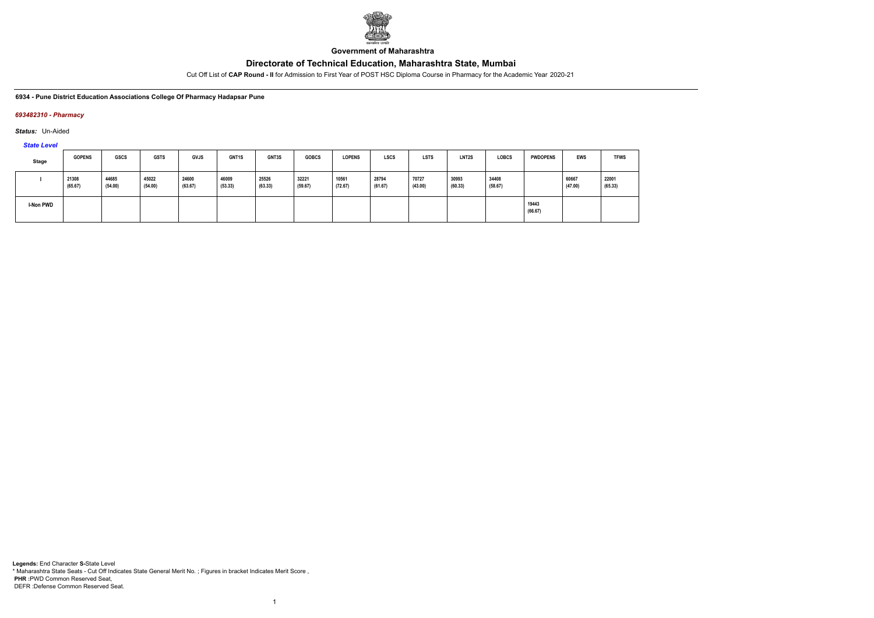

**Government of Maharashtra**

Cut Off List of **CAP Round - II** for Admission to First Year of POST HSC Diploma Course in Pharmacy for the Academic Year 2020-21

**6934 - Pune District Education Associations College Of Pharmacy Hadapsar Pune**

## *693482310 - Pharmacy*

*Status:* Un-Aided

*State Level*

| Stage     | <b>GOPENS</b>    | GSCS             | <b>GSTS</b>      | <b>GVJS</b>      | GNT1S            | <b>GNT3S</b>     | <b>GOBCS</b>     | <b>LOPENS</b>    | <b>LSCS</b>      | <b>LSTS</b>      | LNT2S            | <b>LOBCS</b>     | <b>PWDOPENS</b>  | <b>EWS</b>       | <b>TFWS</b>      |
|-----------|------------------|------------------|------------------|------------------|------------------|------------------|------------------|------------------|------------------|------------------|------------------|------------------|------------------|------------------|------------------|
|           | 21308<br>(65.67) | 44685<br>(54.00) | 45022<br>(54.00) | 24600<br>(63.67) | 46009<br>(53.33) | 25526<br>(63.33) | 32221<br>(59.67) | 10561<br>(72.67) | 28794<br>(61.67) | 70727<br>(43.00) | 30993<br>(60.33) | 34408<br>(58.67) |                  | 60667<br>(47.00) | 22001<br>(65.33) |
| I-Non PWD |                  |                  |                  |                  |                  |                  |                  |                  |                  |                  |                  |                  | 19443<br>(66.67) |                  |                  |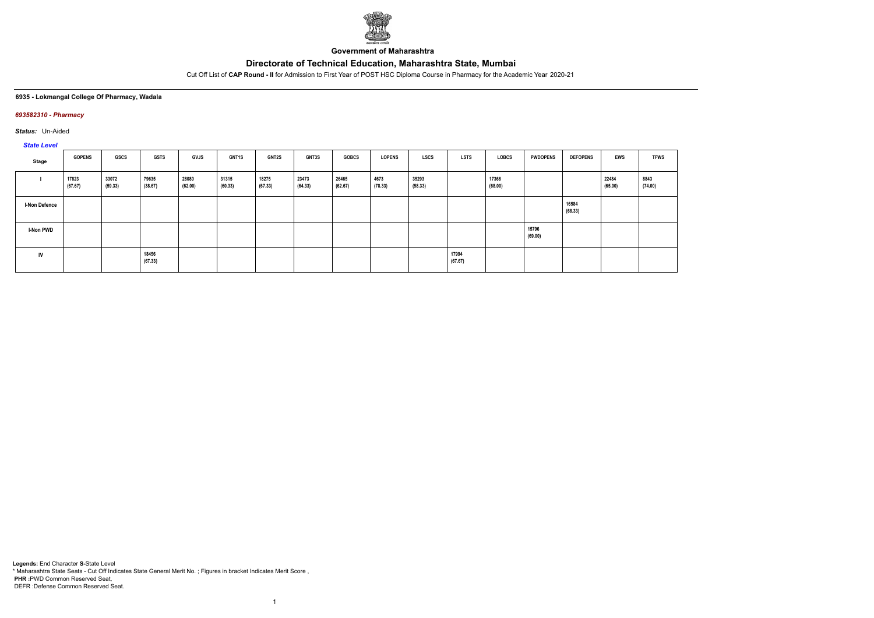

**Government of Maharashtra**

Cut Off List of **CAP Round - II** for Admission to First Year of POST HSC Diploma Course in Pharmacy for the Academic Year 2020-21

## **6935 - Lokmangal College Of Pharmacy, Wadala**

## *693582310 - Pharmacy*

*Status:* Un-Aided

# *State Level*

| Stage            | <b>GOPENS</b>    | <b>GSCS</b>      | <b>GSTS</b>      | <b>GVJS</b>      | GNT1S            | <b>GNT2S</b>     | <b>GNT3S</b>     | <b>GOBCS</b>     | <b>LOPENS</b>   | <b>LSCS</b>      | <b>LSTS</b>      | <b>LOBCS</b>     | <b>PWDOPENS</b>  | <b>DEFOPENS</b>  | <b>EWS</b>       | <b>TFWS</b>     |
|------------------|------------------|------------------|------------------|------------------|------------------|------------------|------------------|------------------|-----------------|------------------|------------------|------------------|------------------|------------------|------------------|-----------------|
|                  | 17823<br>(67.67) | 33072<br>(59.33) | 79635<br>(38.67) | 28080<br>(62.00) | 31315<br>(60.33) | 18275<br>(67.33) | 23473<br>(64.33) | 26465<br>(62.67) | 4673<br>(78.33) | 35293<br>(58.33) |                  | 17366<br>(68.00) |                  |                  | 22484<br>(65.00) | 8843<br>(74.00) |
| I-Non Defence    |                  |                  |                  |                  |                  |                  |                  |                  |                 |                  |                  |                  |                  | 16584<br>(68.33) |                  |                 |
| <b>I-Non PWD</b> |                  |                  |                  |                  |                  |                  |                  |                  |                 |                  |                  |                  | 15796<br>(69.00) |                  |                  |                 |
| IV               |                  |                  | 18456<br>(67.33) |                  |                  |                  |                  |                  |                 |                  | 17994<br>(67.67) |                  |                  |                  |                  |                 |

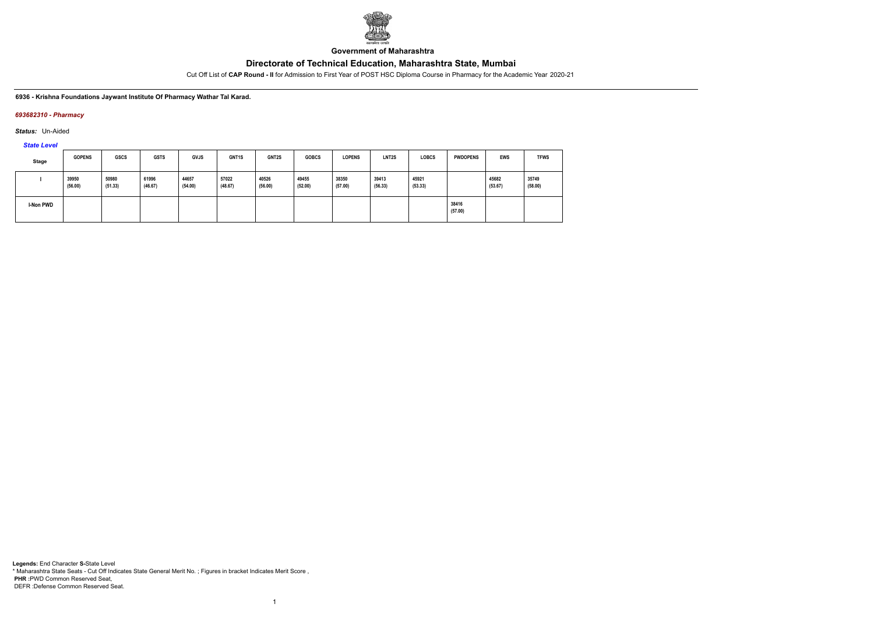

**Government of Maharashtra**

Cut Off List of **CAP Round - II** for Admission to First Year of POST HSC Diploma Course in Pharmacy for the Academic Year 2020-21

## **6936 - Krishna Foundations Jaywant Institute Of Pharmacy Wathar Tal Karad.**

## *693682310 - Pharmacy*

*Status:* Un-Aided

*State Level*

| Stage     | <b>GOPENS</b>    | <b>GSCS</b>      | <b>GSTS</b>      | <b>GVJS</b>      | GNT1S            | <b>GNT2S</b>     | <b>GOBCS</b>     | <b>LOPENS</b>    | LNT <sub>2</sub> S | <b>LOBCS</b>     | <b>PWDOPENS</b>  | <b>EWS</b>       | <b>TFWS</b>      |
|-----------|------------------|------------------|------------------|------------------|------------------|------------------|------------------|------------------|--------------------|------------------|------------------|------------------|------------------|
|           | 39950<br>(56.00) | 50980<br>(51.33) | 61996<br>(46.67) | 44657<br>(54.00) | 57022<br>(48.67) | 40526<br>(56.00) | 49455<br>(52.00) | 38350<br>(57.00) | 39413<br>(56.33)   | 45921<br>(53.33) |                  | 45682<br>(53.67) | 35749<br>(58.00) |
| I-Non PWD |                  |                  |                  |                  |                  |                  |                  |                  |                    |                  | 38416<br>(57.00) |                  |                  |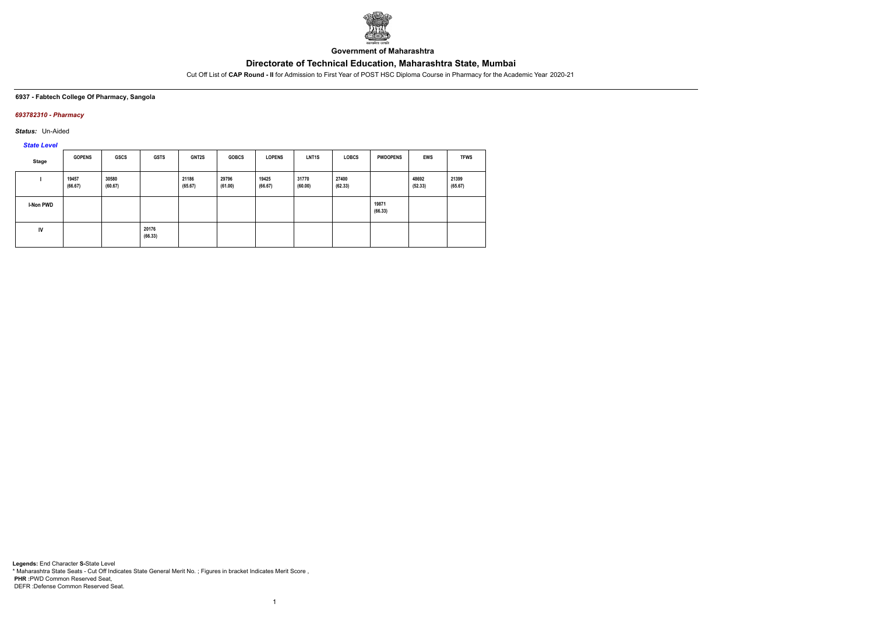

**Government of Maharashtra**

Cut Off List of **CAP Round - II** for Admission to First Year of POST HSC Diploma Course in Pharmacy for the Academic Year 2020-21

#### **6937 - Fabtech College Of Pharmacy, Sangola**

## *693782310 - Pharmacy*

*Status:* Un-Aided

*State Level*

| <b>Stage</b> | <b>GOPENS</b>    | <b>GSCS</b>      | <b>GSTS</b>      | GNT2S            | <b>GOBCS</b>     | <b>LOPENS</b>    | LNT <sub>1</sub> S | <b>LOBCS</b>     | <b>PWDOPENS</b>  | EWS              | <b>TFWS</b>      |
|--------------|------------------|------------------|------------------|------------------|------------------|------------------|--------------------|------------------|------------------|------------------|------------------|
|              | 19457<br>(66.67) | 30580<br>(60.67) |                  | 21186<br>(65.67) | 29796<br>(61.00) | 19425<br>(66.67) | 31770<br>(60.00)   | 27400<br>(62.33) |                  | 48692<br>(52.33) | 21399<br>(65.67) |
| I-Non PWD    |                  |                  |                  |                  |                  |                  |                    |                  | 19871<br>(66.33) |                  |                  |
| IV           |                  |                  | 20176<br>(66.33) |                  |                  |                  |                    |                  |                  |                  |                  |

1

**Legends:** End Character **S-**State Level \* Maharashtra State Seats - Cut Off Indicates State General Merit No. ; Figures in bracket Indicates Merit Score , **PHR :**PWD Common Reserved Seat, DEFR :Defense Common Reserved Seat.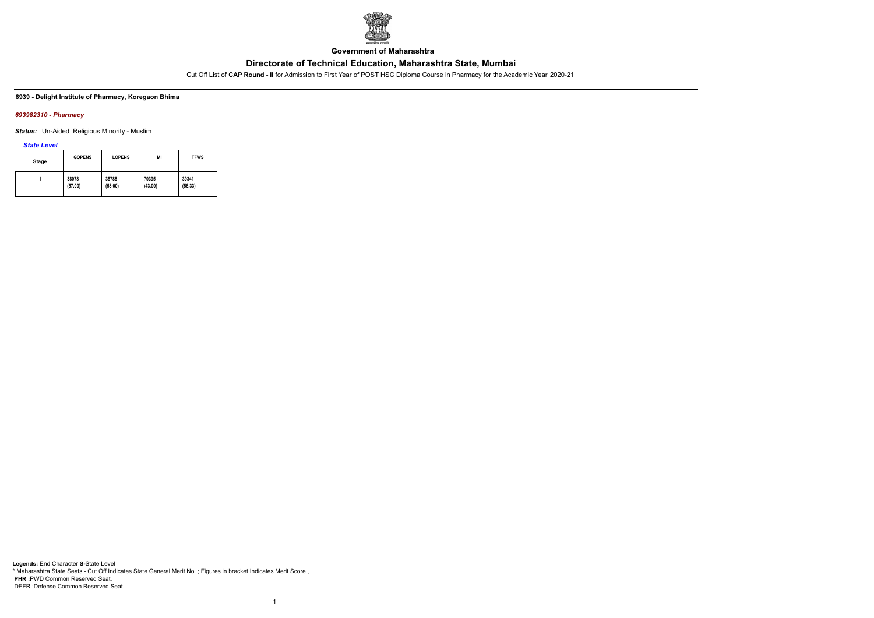

**Government of Maharashtra**

Cut Off List of **CAP Round - II** for Admission to First Year of POST HSC Diploma Course in Pharmacy for the Academic Year 2020-21

#### **6939 - Delight Institute of Pharmacy, Koregaon Bhima**

### *693982310 - Pharmacy*

*Status:* Un-Aided Religious Minority - Muslim

*State Level*

| <b>Stage</b> | <b>GOPENS</b> | <b>LOPENS</b> | MI      | <b>TFWS</b> |
|--------------|---------------|---------------|---------|-------------|
|              | 38078         | 35788         | 70395   | 39341       |
|              | (57.00)       | (58.00)       | (43.00) | (56.33)     |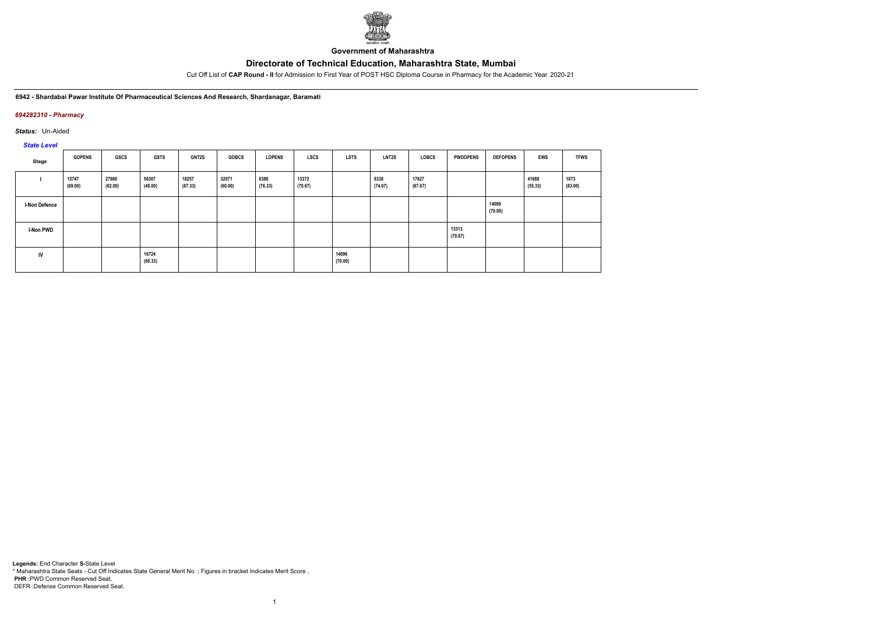

**Government of Maharashtra**

Cut Off List of **CAP Round - II** for Admission to First Year of POST HSC Diploma Course in Pharmacy for the Academic Year 2020-21

#### **6942 - Shardabai Pawar Institute Of Pharmaceutical Sciences And Research, Shardanagar, Baramati**

## *694282310 - Pharmacy*

*Status:* Un-Aided

# *State Level*

| Stage                | <b>GOPENS</b>    | GSCS             | <b>GSTS</b>      | <b>GNT2S</b>     | <b>GOBCS</b>     | <b>LOPENS</b>   | LSCS             | <b>LSTS</b>      | <b>LNT2S</b>    | <b>LOBCS</b>     | <b>PWDOPENS</b>  | <b>DEFOPENS</b>  | EWS              | <b>TFWS</b>     |
|----------------------|------------------|------------------|------------------|------------------|------------------|-----------------|------------------|------------------|-----------------|------------------|------------------|------------------|------------------|-----------------|
|                      | 15747<br>(69.00) | 27980<br>(62.00) | 56307<br>(49.00) | 18257<br>(67.33) | 32071<br>(60.00) | 6386<br>(76.33) | 13372<br>(70.67) |                  | 8338<br>(74.67) | 17627<br>(67.67) |                  |                  | 41688<br>(55.33) | 1873<br>(83.00) |
| <b>I-Non Defence</b> |                  |                  |                  |                  |                  |                 |                  |                  |                 |                  |                  | 14090<br>(70.00) |                  |                 |
| I-Non PWD            |                  |                  |                  |                  |                  |                 |                  |                  |                 |                  | 13313<br>(70.67) |                  |                  |                 |
| IV                   |                  |                  | 16724<br>(68.33) |                  |                  |                 |                  | 14096<br>(70.00) |                 |                  |                  |                  |                  |                 |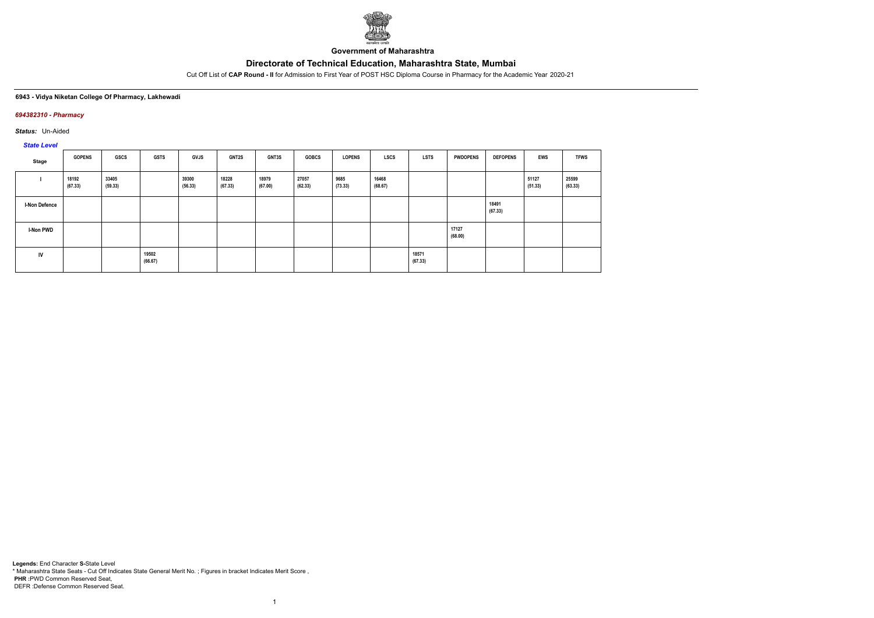

**Government of Maharashtra**

Cut Off List of **CAP Round - II** for Admission to First Year of POST HSC Diploma Course in Pharmacy for the Academic Year 2020-21

## **6943 - Vidya Niketan College Of Pharmacy, Lakhewadi**

## *694382310 - Pharmacy*

*Status:* Un-Aided

# *State Level*

| Stage                | <b>GOPENS</b>    | <b>GSCS</b>      | <b>GSTS</b>      | GVJS             | <b>GNT2S</b>     | GNT3S            | <b>GOBCS</b>     | <b>LOPENS</b>   | <b>LSCS</b>      | <b>LSTS</b>      | <b>PWDOPENS</b>  | <b>DEFOPENS</b>  | <b>EWS</b>       | <b>TFWS</b>      |
|----------------------|------------------|------------------|------------------|------------------|------------------|------------------|------------------|-----------------|------------------|------------------|------------------|------------------|------------------|------------------|
|                      | 18192<br>(67.33) | 33405<br>(59.33) |                  | 39300<br>(56.33) | 18228<br>(67.33) | 18979<br>(67.00) | 27057<br>(62.33) | 9685<br>(73.33) | 16468<br>(68.67) |                  |                  |                  | 51127<br>(51.33) | 25599<br>(63.33) |
| <b>I-Non Defence</b> |                  |                  |                  |                  |                  |                  |                  |                 |                  |                  |                  | 18491<br>(67.33) |                  |                  |
| I-Non PWD            |                  |                  |                  |                  |                  |                  |                  |                 |                  |                  | 17127<br>(68.00) |                  |                  |                  |
| <b>IV</b>            |                  |                  | 19502<br>(66.67) |                  |                  |                  |                  |                 |                  | 18571<br>(67.33) |                  |                  |                  |                  |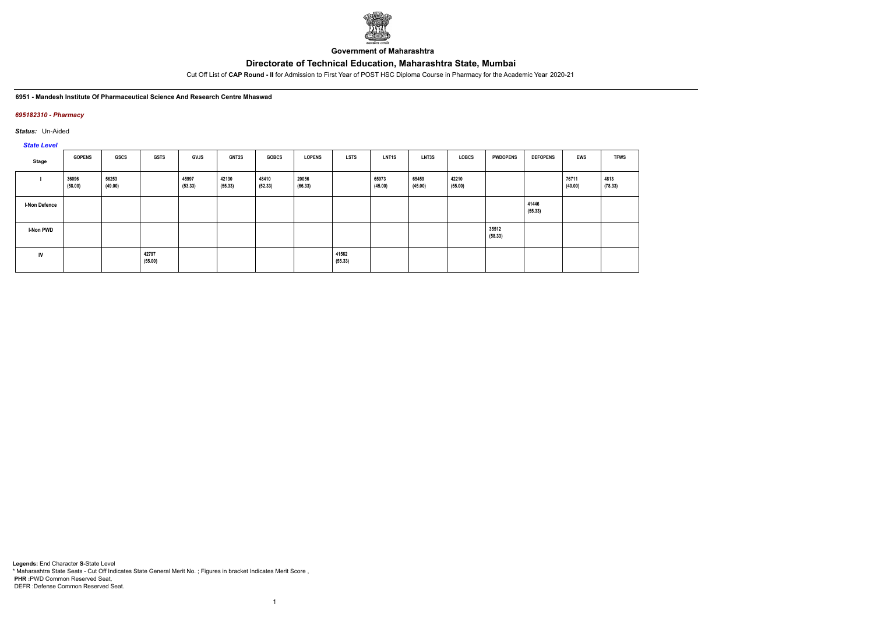

**Government of Maharashtra**

Cut Off List of **CAP Round - II** for Admission to First Year of POST HSC Diploma Course in Pharmacy for the Academic Year 2020-21

#### **6951 - Mandesh Institute Of Pharmaceutical Science And Research Centre Mhaswad**

## *695182310 - Pharmacy*

*Status:* Un-Aided

# *State Level*

| Stage                | <b>GOPENS</b>    | GSCS             | <b>GSTS</b>      | GVJS             | <b>GNT2S</b>     | <b>GOBCS</b>     | <b>LOPENS</b>    | <b>LSTS</b>      | LNT <sub>1</sub> S | LNT3S            | LOBCS            | <b>PWDOPENS</b>  | <b>DEFOPENS</b>  | <b>EWS</b>       | <b>TFWS</b>     |
|----------------------|------------------|------------------|------------------|------------------|------------------|------------------|------------------|------------------|--------------------|------------------|------------------|------------------|------------------|------------------|-----------------|
|                      | 36096<br>(58.00) | 56253<br>(49.00) |                  | 45997<br>(53.33) | 42130<br>(55.33) | 48410<br>(52.33) | 20056<br>(66.33) |                  | 65973<br>(45.00)   | 65459<br>(45.00) | 42210<br>(55.00) |                  |                  | 76711<br>(40.00) | 4813<br>(78.33) |
| <b>I-Non Defence</b> |                  |                  |                  |                  |                  |                  |                  |                  |                    |                  |                  |                  | 41446<br>(55.33) |                  |                 |
| I-Non PWD            |                  |                  |                  |                  |                  |                  |                  |                  |                    |                  |                  | 35512<br>(58.33) |                  |                  |                 |
| IV                   |                  |                  | 42797<br>(55.00) |                  |                  |                  |                  | 41562<br>(55.33) |                    |                  |                  |                  |                  |                  |                 |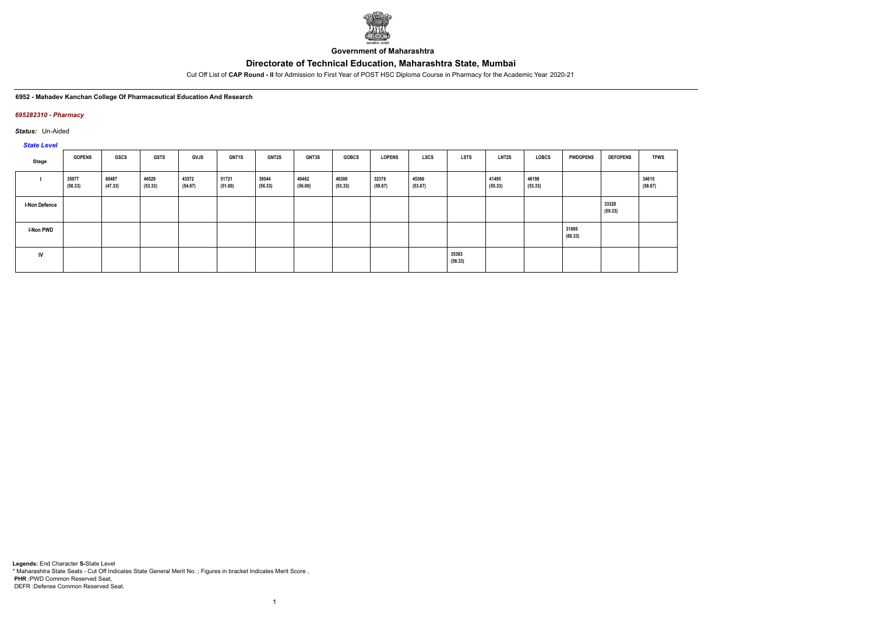

**Government of Maharashtra**

Cut Off List of **CAP Round - II** for Admission to First Year of POST HSC Diploma Course in Pharmacy for the Academic Year 2020-21

#### **6952 - Mahadev Kanchan College Of Pharmaceutical Education And Research**

## *695282310 - Pharmacy*

*Status:* Un-Aided

# *State Level*

| Stage            | <b>GOPENS</b>    | GSCS             | <b>GSTS</b>      | <b>GVJS</b>      | GNT1S            | <b>GNT2S</b>     | <b>GNT3S</b>     | <b>GOBCS</b>     | <b>LOPENS</b>    | <b>LSCS</b>      | <b>LSTS</b>      | <b>LNT2S</b>     | <b>LOBCS</b>     | <b>PWDOPENS</b>  | <b>DEFOPENS</b>  | <b>TFWS</b>      |
|------------------|------------------|------------------|------------------|------------------|------------------|------------------|------------------|------------------|------------------|------------------|------------------|------------------|------------------|------------------|------------------|------------------|
|                  | 35077<br>(58.33) | 60487<br>(47.33) | 46529<br>(53.33) | 43572<br>(54.67) | 51721<br>(51.00) | 39544<br>(56.33) | 40462<br>(56.00) | 46300<br>(53.33) | 32376<br>(59.67) | 45366<br>(53.67) |                  | 41495<br>(55.33) | 46198<br>(53.33) |                  |                  | 34615<br>(58.67) |
| I-Non Defence    |                  |                  |                  |                  |                  |                  |                  |                  |                  |                  |                  |                  |                  |                  | 33320<br>(59.33) |                  |
| <b>I-Non PWD</b> |                  |                  |                  |                  |                  |                  |                  |                  |                  |                  |                  |                  |                  | 31005<br>(60.33) |                  |                  |
| IV               |                  |                  |                  |                  |                  |                  |                  |                  |                  |                  | 35383<br>(58.33) |                  |                  |                  |                  |                  |

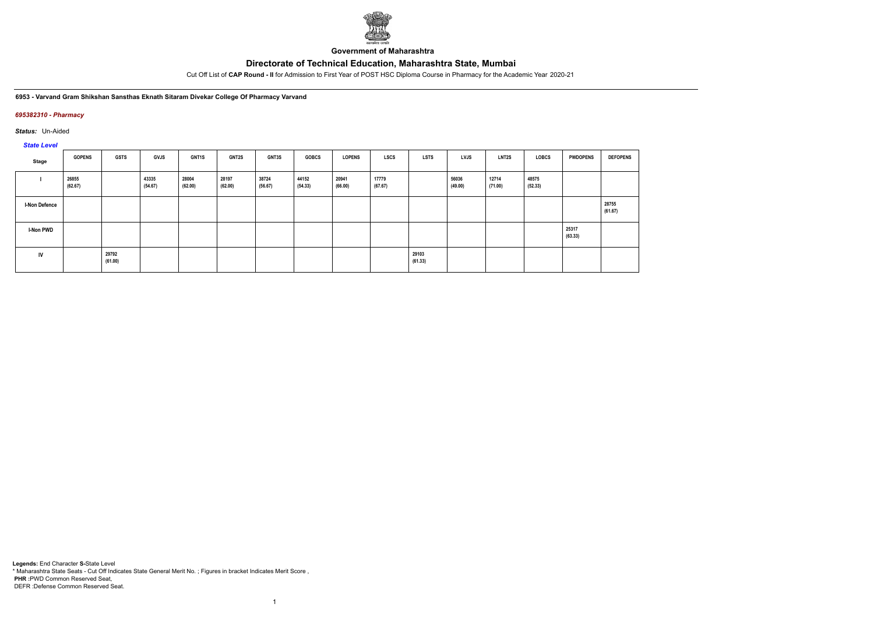

**Government of Maharashtra**

Cut Off List of **CAP Round - II** for Admission to First Year of POST HSC Diploma Course in Pharmacy for the Academic Year 2020-21

#### **6953 - Varvand Gram Shikshan Sansthas Eknath Sitaram Divekar College Of Pharmacy Varvand**

## *695382310 - Pharmacy*

*Status:* Un-Aided

# *State Level*

| Stage                | <b>GOPENS</b>    | <b>GSTS</b>      | <b>GVJS</b>      | <b>GNT1S</b>     | <b>GNT2S</b>     | GNT3S            | <b>GOBCS</b>     | <b>LOPENS</b>    | <b>LSCS</b>      | <b>LSTS</b>      | LVJS             | LNT2S            | <b>LOBCS</b>     | <b>PWDOPENS</b>  | <b>DEFOPENS</b>  |
|----------------------|------------------|------------------|------------------|------------------|------------------|------------------|------------------|------------------|------------------|------------------|------------------|------------------|------------------|------------------|------------------|
|                      | 26855<br>(62.67) |                  | 43335<br>(54.67) | 28004<br>(62.00) | 28197<br>(62.00) | 38724<br>(56.67) | 44152<br>(54.33) | 20941<br>(66.00) | 17779<br>(67.67) |                  | 56036<br>(49.00) | 12714<br>(71.00) | 48575<br>(52.33) |                  |                  |
| <b>I-Non Defence</b> |                  |                  |                  |                  |                  |                  |                  |                  |                  |                  |                  |                  |                  |                  | 28755<br>(61.67) |
| I-Non PWD            |                  |                  |                  |                  |                  |                  |                  |                  |                  |                  |                  |                  |                  | 25317<br>(63.33) |                  |
| IV                   |                  | 29792<br>(61.00) |                  |                  |                  |                  |                  |                  |                  | 29103<br>(61.33) |                  |                  |                  |                  |                  |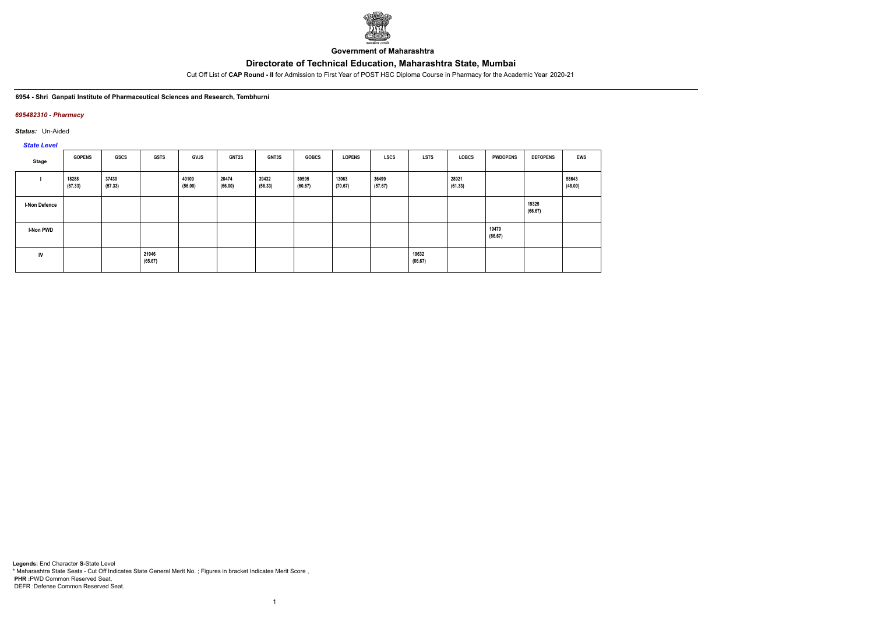

**Government of Maharashtra**

Cut Off List of **CAP Round - II** for Admission to First Year of POST HSC Diploma Course in Pharmacy for the Academic Year 2020-21

#### **6954 - Shri Ganpati Institute of Pharmaceutical Sciences and Research, Tembhurni**

## *695482310 - Pharmacy*

*Status:* Un-Aided

*State Level*

| Stage                | <b>GOPENS</b>    | GSCS             | <b>GSTS</b>      | GVJS             | <b>GNT2S</b>     | <b>GNT3S</b>     | <b>GOBCS</b>     | <b>LOPENS</b>    | LSCS             | <b>LSTS</b>      | LOBCS            | <b>PWDOPENS</b>  | <b>DEFOPENS</b>  | <b>EWS</b>       |
|----------------------|------------------|------------------|------------------|------------------|------------------|------------------|------------------|------------------|------------------|------------------|------------------|------------------|------------------|------------------|
|                      | 18288<br>(67.33) | 37430<br>(57.33) |                  | 40109<br>(56.00) | 20474<br>(66.00) | 39432<br>(56.33) | 30595<br>(60.67) | 13063<br>(70.67) | 36499<br>(57.67) |                  | 28921<br>(61.33) |                  |                  | 58643<br>(48.00) |
| <b>I-Non Defence</b> |                  |                  |                  |                  |                  |                  |                  |                  |                  |                  |                  |                  | 19325<br>(66.67) |                  |
| I-Non PWD            |                  |                  |                  |                  |                  |                  |                  |                  |                  |                  |                  | 19479<br>(66.67) |                  |                  |
| <b>IV</b>            |                  |                  | 21046<br>(65.67) |                  |                  |                  |                  |                  |                  | 19632<br>(66.67) |                  |                  |                  |                  |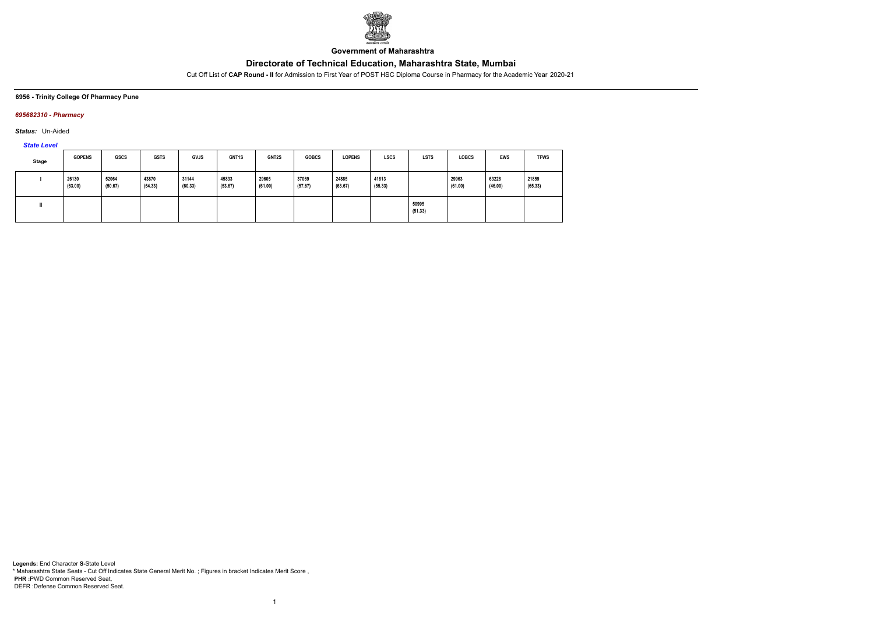

**Government of Maharashtra**

Cut Off List of **CAP Round - II** for Admission to First Year of POST HSC Diploma Course in Pharmacy for the Academic Year 2020-21

**6956 - Trinity College Of Pharmacy Pune**

## *695682310 - Pharmacy*

*Status:* Un-Aided

*State Level*

| Stage | <b>GOPENS</b>    | <b>GSCS</b>      | <b>GSTS</b>      | <b>GVJS</b>      | <b>GNT1S</b>     | <b>GNT2S</b>     | <b>GOBCS</b>     | <b>LOPENS</b>    | <b>LSCS</b>      | <b>LSTS</b>      | <b>LOBCS</b>     | <b>EWS</b>       | <b>TFWS</b>      |
|-------|------------------|------------------|------------------|------------------|------------------|------------------|------------------|------------------|------------------|------------------|------------------|------------------|------------------|
|       | 26130<br>(63.00) | 52064<br>(50.67) | 43870<br>(54.33) | 31144<br>(60.33) | 45833<br>(53.67) | 29605<br>(61.00) | 37069<br>(57.67) | 24885<br>(63.67) | 41813<br>(55.33) |                  | 29963<br>(61.00) | 63228<br>(46.00) | 21859<br>(65.33) |
|       |                  |                  |                  |                  |                  |                  |                  |                  |                  | 50995<br>(51.33) |                  |                  |                  |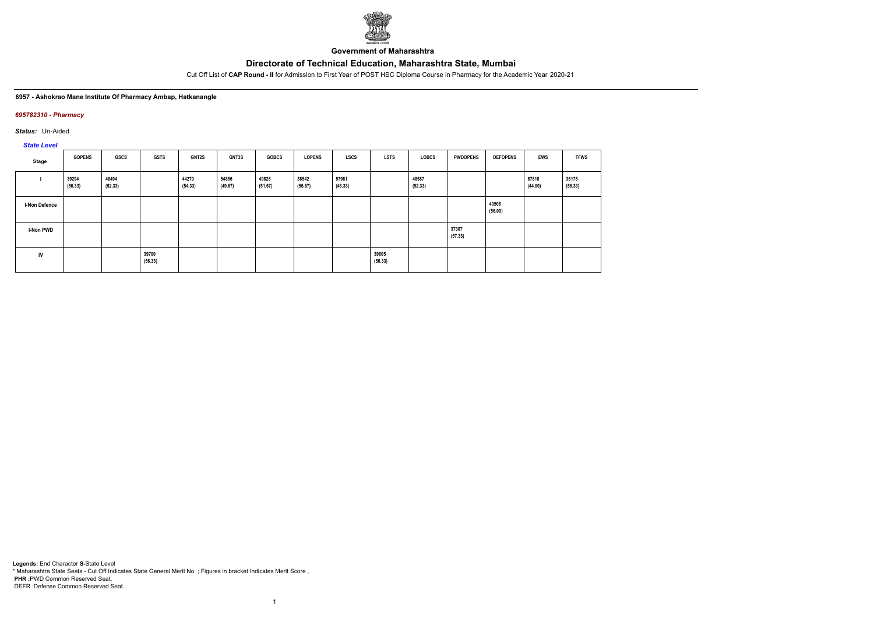

**Government of Maharashtra**

Cut Off List of **CAP Round - II** for Admission to First Year of POST HSC Diploma Course in Pharmacy for the Academic Year 2020-21

#### **6957 - Ashokrao Mane Institute Of Pharmacy Ambap, Hatkanangle**

## *695782310 - Pharmacy*

*Status:* Un-Aided

*State Level*

| Stage                | <b>GOPENS</b>    | GSCS             | <b>GSTS</b>      | <b>GNT2S</b>     | <b>GNT3S</b>     | <b>GOBCS</b>     | <b>LOPENS</b>    | <b>LSCS</b>      | LSTS             | <b>LOBCS</b>     | <b>PWDOPENS</b>  | <b>DEFOPENS</b>  | <b>EWS</b>       | <b>TFWS</b>      |
|----------------------|------------------|------------------|------------------|------------------|------------------|------------------|------------------|------------------|------------------|------------------|------------------|------------------|------------------|------------------|
|                      | 39294<br>(56.33) | 48494<br>(52.33) |                  | 44270<br>(54.33) | 54856<br>(49.67) | 49825<br>(51.67) | 38542<br>(56.67) | 57981<br>(48.33) |                  | 48587<br>(52.33) |                  |                  | 67818<br>(44.00) | 35175<br>(58.33) |
| <b>I-Non Defence</b> |                  |                  |                  |                  |                  |                  |                  |                  |                  |                  |                  | 40508<br>(56.00) |                  |                  |
| I-Non PWD            |                  |                  |                  |                  |                  |                  |                  |                  |                  |                  | 37307<br>(57.33) |                  |                  |                  |
| <b>IV</b>            |                  |                  | 39700<br>(56.33) |                  |                  |                  |                  |                  | 39605<br>(56.33) |                  |                  |                  |                  |                  |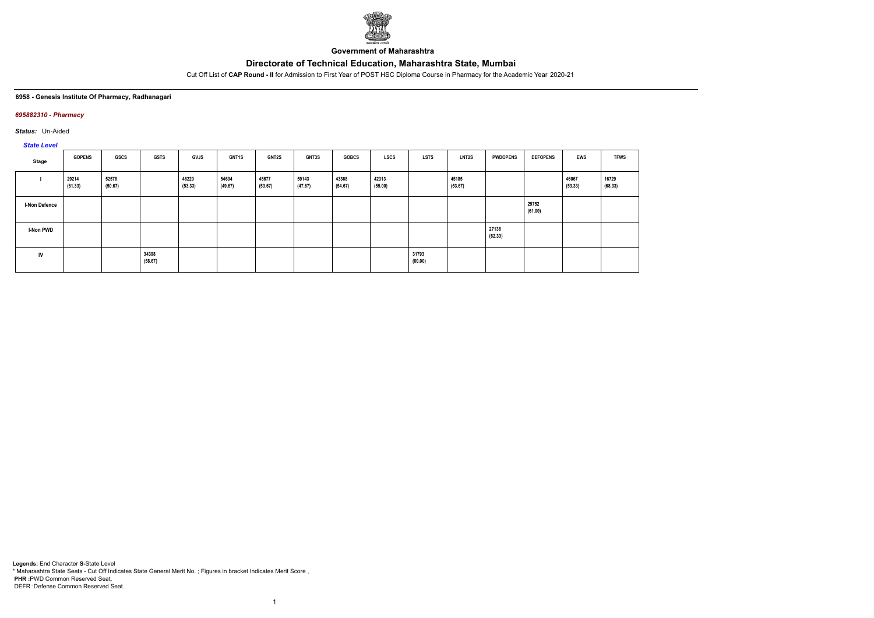

**Government of Maharashtra**

Cut Off List of **CAP Round - II** for Admission to First Year of POST HSC Diploma Course in Pharmacy for the Academic Year 2020-21

## **6958 - Genesis Institute Of Pharmacy, Radhanagari**

## *695882310 - Pharmacy*

*Status:* Un-Aided

*State Level*

| Stage                | <b>GOPENS</b>    | GSCS             | <b>GSTS</b>      | <b>GVJS</b>      | GNT1S            | <b>GNT2S</b>     | GNT3S            | <b>GOBCS</b>     | <b>LSCS</b>      | LSTS             | <b>LNT2S</b>     | <b>PWDOPENS</b>  | <b>DEFOPENS</b>  | <b>EWS</b>       | <b>TFWS</b>      |
|----------------------|------------------|------------------|------------------|------------------|------------------|------------------|------------------|------------------|------------------|------------------|------------------|------------------|------------------|------------------|------------------|
|                      | 29214<br>(61.33) | 52578<br>(50.67) |                  | 46229<br>(53.33) | 54604<br>(49.67) | 45677<br>(53.67) | 59143<br>(47.67) | 43368<br>(54.67) | 42313<br>(55.00) |                  | 45185<br>(53.67) |                  |                  | 46067<br>(53.33) | 16729<br>(68.33) |
| <b>I-Non Defence</b> |                  |                  |                  |                  |                  |                  |                  |                  |                  |                  |                  |                  | 29752<br>(61.00) |                  |                  |
| I-Non PWD            |                  |                  |                  |                  |                  |                  |                  |                  |                  |                  |                  | 27136<br>(62.33) |                  |                  |                  |
| IV                   |                  |                  | 34398<br>(58.67) |                  |                  |                  |                  |                  |                  | 31793<br>(60.00) |                  |                  |                  |                  |                  |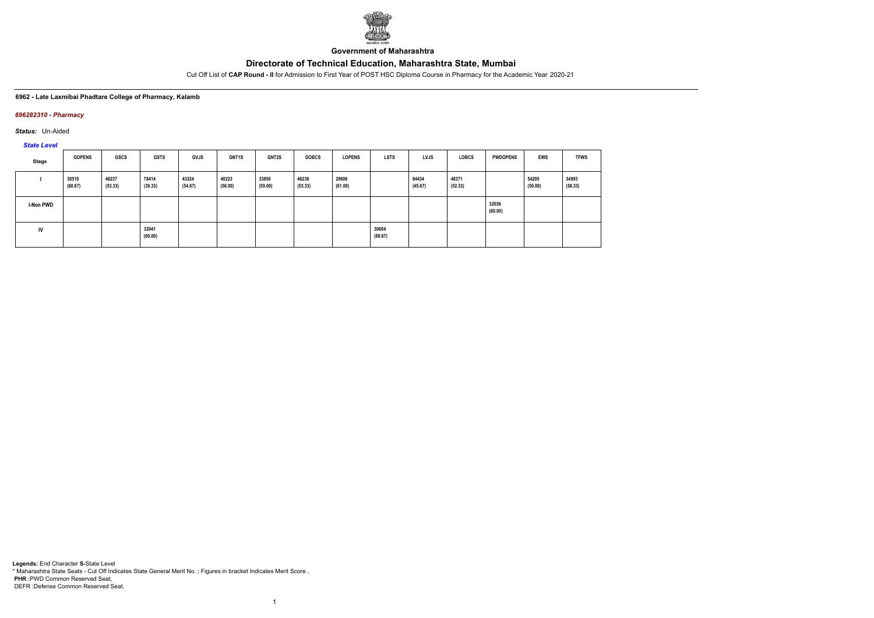

**Government of Maharashtra**

Cut Off List of **CAP Round - II** for Admission to First Year of POST HSC Diploma Course in Pharmacy for the Academic Year 2020-21

#### **6962 - Late Laxmibai Phadtare College of Pharmacy, Kalamb**

## *696282310 - Pharmacy*

*Status:* Un-Aided

*State Level*

| Stage            | <b>GOPENS</b>    | GSCS             | <b>GSTS</b>      | <b>GVJS</b>      | <b>GNT1S</b>     | <b>GNT2S</b>     | <b>GOBCS</b>     | <b>LOPENS</b>    | <b>LSTS</b>      | <b>LVJS</b>      | <b>LOBCS</b>     | <b>PWDOPENS</b>  | <b>EWS</b>       | <b>TFWS</b>      |
|------------------|------------------|------------------|------------------|------------------|------------------|------------------|------------------|------------------|------------------|------------------|------------------|------------------|------------------|------------------|
|                  | 30510<br>(60.67) | 46237<br>(53.33) | 78414<br>(39.33) | 43324<br>(54.67) | 40223<br>(56.00) | 33850<br>(59.00) | 46236<br>(53.33) | 29606<br>(61.00) |                  | 64434<br>(45.67) | 48371<br>(52.33) |                  | 54205<br>(50.00) | 34993<br>(58.33) |
| <b>I-Non PWD</b> |                  |                  |                  |                  |                  |                  |                  |                  |                  |                  |                  | 32036<br>(60.00) |                  |                  |
| IV               |                  |                  | 32041<br>(60.00) |                  |                  |                  |                  |                  | 30694<br>(60.67) |                  |                  |                  |                  |                  |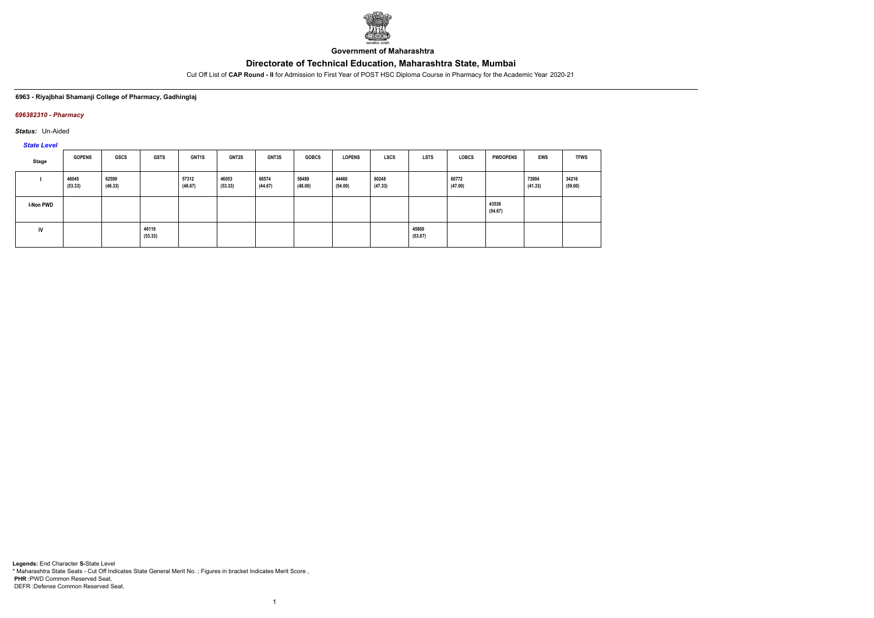

**Government of Maharashtra**

Cut Off List of **CAP Round - II** for Admission to First Year of POST HSC Diploma Course in Pharmacy for the Academic Year 2020-21

## **6963 - Riyajbhai Shamanji College of Pharmacy, Gadhinglaj**

## *696382310 - Pharmacy*

*Status:* Un-Aided

*State Level*

| Stage            | <b>GOPENS</b>    | <b>GSCS</b>      | <b>GSTS</b>      | <b>GNT1S</b>     | <b>GNT2S</b>     | <b>GNT3S</b>     | <b>GOBCS</b>     | <b>LOPENS</b>    | LSCS             | <b>LSTS</b>      | <b>LOBCS</b>     | <b>PWDOPENS</b>  | <b>EWS</b>       | <b>TFWS</b>      |
|------------------|------------------|------------------|------------------|------------------|------------------|------------------|------------------|------------------|------------------|------------------|------------------|------------------|------------------|------------------|
|                  | 46045<br>(53.33) | 62599<br>(46.33) |                  | 57312<br>(48.67) | 46053<br>(53.33) | 66574<br>(44.67) | 58489<br>(48.00) | 44460<br>(54.00) | 60248<br>(47.33) |                  | 60772<br>(47.00) |                  | 73904<br>(41.33) | 34216<br>(59.00) |
| <b>I-Non PWD</b> |                  |                  |                  |                  |                  |                  |                  |                  |                  |                  |                  | 43536<br>(54.67) |                  |                  |
| <b>IV</b>        |                  |                  | 46119<br>(53.33) |                  |                  |                  |                  |                  |                  | 45869<br>(53.67) |                  |                  |                  |                  |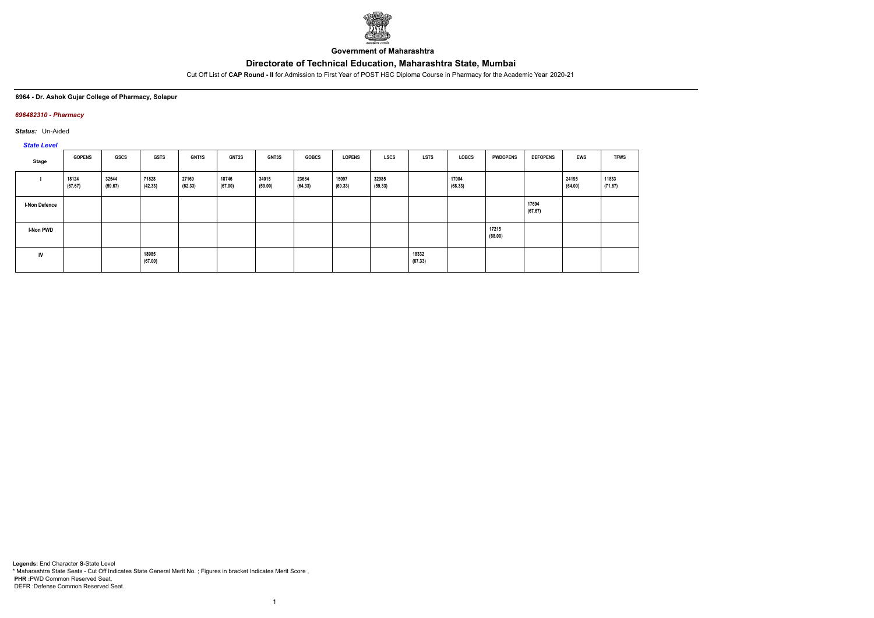

**Government of Maharashtra**

Cut Off List of **CAP Round - II** for Admission to First Year of POST HSC Diploma Course in Pharmacy for the Academic Year 2020-21

#### **6964 - Dr. Ashok Gujar College of Pharmacy, Solapur**

## *696482310 - Pharmacy*

*Status:* Un-Aided

# *State Level*

| Stage                | <b>GOPENS</b>    | GSCS             | <b>GSTS</b>      | <b>GNT1S</b>     | GNT2S            | GNT3S            | <b>GOBCS</b>     | <b>LOPENS</b>    | <b>LSCS</b>      | <b>LSTS</b>      | LOBCS            | <b>PWDOPENS</b>  | <b>DEFOPENS</b>  | EWS              | <b>TFWS</b>      |
|----------------------|------------------|------------------|------------------|------------------|------------------|------------------|------------------|------------------|------------------|------------------|------------------|------------------|------------------|------------------|------------------|
|                      | 18124<br>(67.67) | 32544<br>(59.67) | 71828<br>(42.33) | 27169<br>(62.33) | 18746<br>(67.00) | 34015<br>(59.00) | 23684<br>(64.33) | 15097<br>(69.33) | 32985<br>(59.33) |                  | 17004<br>(68.33) |                  |                  | 24195<br>(64.00) | 11833<br>(71.67) |
| <b>I-Non Defence</b> |                  |                  |                  |                  |                  |                  |                  |                  |                  |                  |                  |                  | 17694<br>(67.67) |                  |                  |
| I-Non PWD            |                  |                  |                  |                  |                  |                  |                  |                  |                  |                  |                  | 17215<br>(68.00) |                  |                  |                  |
| IV                   |                  |                  | 18985<br>(67.00) |                  |                  |                  |                  |                  |                  | 18332<br>(67.33) |                  |                  |                  |                  |                  |